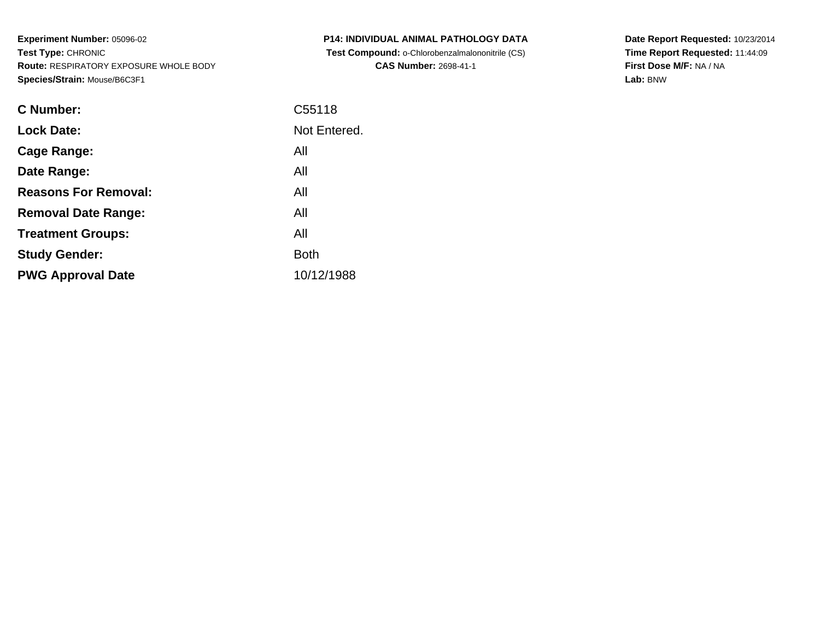**Experiment Number:** 05096-02**Test Type:** CHRONIC **Route:** RESPIRATORY EXPOSURE WHOLE BODY**Species/Strain:** Mouse/B6C3F1

| <b>C Number:</b>            | C55118       |
|-----------------------------|--------------|
| <b>Lock Date:</b>           | Not Entered. |
| <b>Cage Range:</b>          | All          |
| Date Range:                 | All          |
| <b>Reasons For Removal:</b> | All          |
| <b>Removal Date Range:</b>  | All          |
| <b>Treatment Groups:</b>    | All          |
| <b>Study Gender:</b>        | <b>Both</b>  |
| <b>PWG Approval Date</b>    | 10/12/1988   |
|                             |              |

**P14: INDIVIDUAL ANIMAL PATHOLOGY DATA Test Compound:** o-Chlorobenzalmalononitrile (CS)**CAS Number:** 2698-41-1

**Date Report Requested:** 10/23/2014**Time Report Requested:** 11:44:09**First Dose M/F:** NA / NA**Lab:** BNW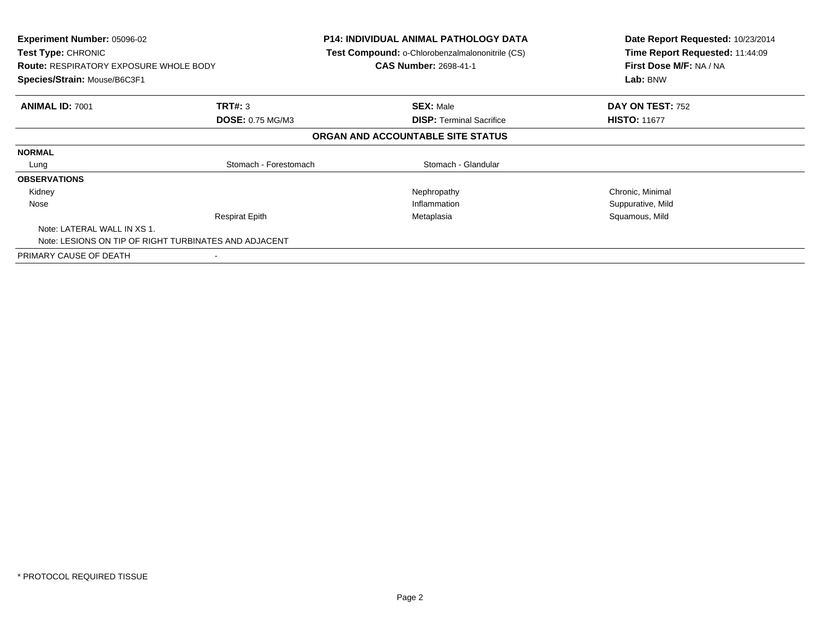| <b>Experiment Number: 05096-02</b><br><b>Test Type: CHRONIC</b><br><b>Route: RESPIRATORY EXPOSURE WHOLE BODY</b><br>Species/Strain: Mouse/B6C3F1 |                         | <b>P14: INDIVIDUAL ANIMAL PATHOLOGY DATA</b><br>Test Compound: o-Chlorobenzalmalononitrile (CS)<br><b>CAS Number: 2698-41-1</b> | Date Report Requested: 10/23/2014<br>Time Report Requested: 11:44:09<br>First Dose M/F: NA / NA<br>Lab: BNW |
|--------------------------------------------------------------------------------------------------------------------------------------------------|-------------------------|---------------------------------------------------------------------------------------------------------------------------------|-------------------------------------------------------------------------------------------------------------|
| <b>ANIMAL ID: 7001</b>                                                                                                                           | TRT#: 3                 | <b>SEX: Male</b>                                                                                                                | DAY ON TEST: 752                                                                                            |
|                                                                                                                                                  | <b>DOSE: 0.75 MG/M3</b> | <b>DISP:</b> Terminal Sacrifice                                                                                                 | <b>HISTO: 11677</b>                                                                                         |
|                                                                                                                                                  |                         | ORGAN AND ACCOUNTABLE SITE STATUS                                                                                               |                                                                                                             |
| <b>NORMAL</b>                                                                                                                                    |                         |                                                                                                                                 |                                                                                                             |
| Lung                                                                                                                                             | Stomach - Forestomach   | Stomach - Glandular                                                                                                             |                                                                                                             |
| <b>OBSERVATIONS</b>                                                                                                                              |                         |                                                                                                                                 |                                                                                                             |
| Kidney                                                                                                                                           |                         | Nephropathy                                                                                                                     | Chronic, Minimal                                                                                            |
| Nose                                                                                                                                             |                         | Inflammation                                                                                                                    | Suppurative, Mild                                                                                           |
|                                                                                                                                                  | <b>Respirat Epith</b>   | Metaplasia                                                                                                                      | Squamous, Mild                                                                                              |
| Note: LATERAL WALL IN XS 1.                                                                                                                      |                         |                                                                                                                                 |                                                                                                             |
| Note: LESIONS ON TIP OF RIGHT TURBINATES AND ADJACENT                                                                                            |                         |                                                                                                                                 |                                                                                                             |
| PRIMARY CAUSE OF DEATH                                                                                                                           |                         |                                                                                                                                 |                                                                                                             |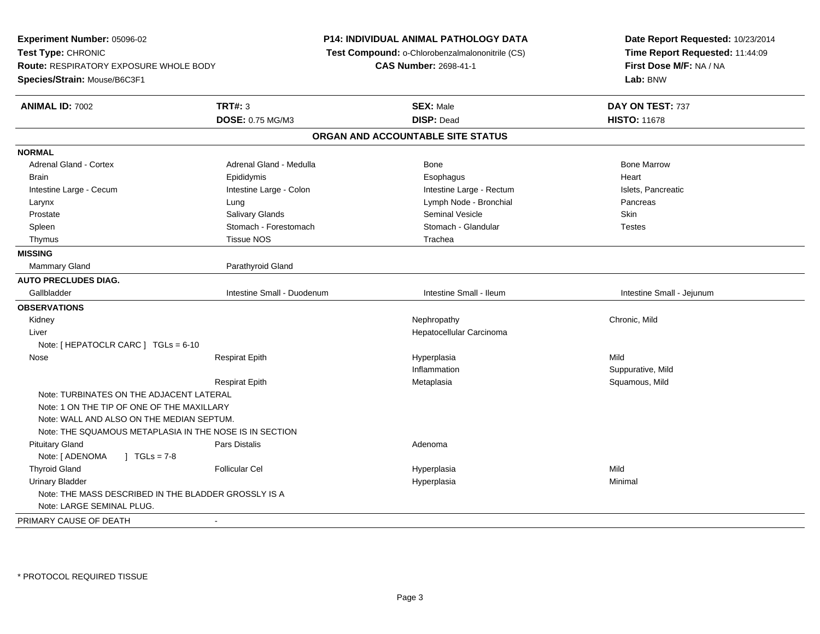**Experiment Number:** 05096-02**Test Type:** CHRONIC **Route:** RESPIRATORY EXPOSURE WHOLE BODY**Species/Strain:** Mouse/B6C3F1**P14: INDIVIDUAL ANIMAL PATHOLOGY DATA Test Compound:** o-Chlorobenzalmalononitrile (CS)**CAS Number:** 2698-41-1**Date Report Requested:** 10/23/2014**Time Report Requested:** 11:44:09**First Dose M/F:** NA / NA**Lab:** BNW**ANIMAL ID:** 7002 **TRT#:** <sup>3</sup> **SEX:** Male **DAY ON TEST:** <sup>737</sup> **DOSE:** 0.75 MG/M3 **DISP:** Dead **HISTO:** <sup>11678</sup> **ORGAN AND ACCOUNTABLE SITE STATUSNORMALAdrenal Gland - Cortex** Adrenal Gland - Medulla **Bone Adrenal Gland - Cortex Adrenal Gland - Cortex Adrenal Gland - Medulla** Bone Marrow Brain Epididymis Epididymis and the Brook of the Brook of the Brook of the Brook of the Heart Heart Heart Heart Intestine Large - Cecum and Intestine Large - Colon Clarge - Colon Intestine Large - Rectum Islets, Pancreatic Larynx Lung Lymph Node - Bronchial Pancreas Prostate Salivary Glands Seminal Vesicle Skin**Testes** Spleen Stomach - Forestomach Stomach - Stomach - Stomach - Glandular Testestes Stomach - Glandular Thymus Tissue NOS Trachea**MISSING**Mammary Gland Parathyroid Gland **AUTO PRECLUDES DIAG.**Gallbladder **Intestine Small - Duodenum** Intestine Small - Intestine Small - Ileum Intestine Small - Intestine Small - Jejunum **OBSERVATIONS** Kidneyy the controller that the controller temperature  $\mathsf{N}$  experimentally chronic, Mild  $\mathsf{N}$  experimentally  $\mathsf{N}$  experimentally  $\mathsf{N}$  experimentally  $\mathsf{N}$  experimentally  $\mathsf{N}$  experimentally  $\mathsf{N}$  . The Liver Hepatocellular CarcinomaNote: [ HEPATOCLR CARC ] TGLs = 6-10 Nose Respirat Epith Hyperplasia Mild Inflammation Suppurative, Mild Respirat Epith Metaplasia Squamous, Mild Note: TURBINATES ON THE ADJACENT LATERAL Note: 1 ON THE TIP OF ONE OF THE MAXILLARY Note: WALL AND ALSO ON THE MEDIAN SEPTUM.Note: THE SQUAMOUS METAPLASIA IN THE NOSE IS IN SECTION Pituitary Glandd and the set of the Pars Distalis and the Second Adenomal Adenomal Second Second Pars Distaller and Adenomal S Note: [ ADENOMA ] TGLs = 7-8 Thyroid Gland Follicular Cel Hyperplasia Mild Urinary Bladderr and the set of the set of the set of the set of the set of the set of the set of the set of the set of the s a **Minimal** Note: THE MASS DESCRIBED IN THE BLADDER GROSSLY IS ANote: LARGE SEMINAL PLUG.PRIMARY CAUSE OF DEATH-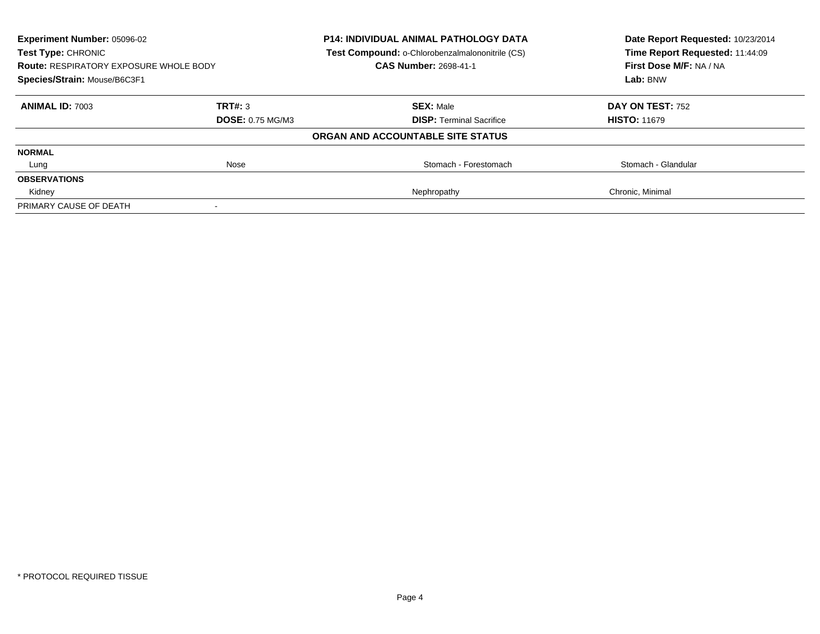| <b>Experiment Number: 05096-02</b><br><b>Test Type: CHRONIC</b> |                         | <b>P14: INDIVIDUAL ANIMAL PATHOLOGY DATA</b><br>Test Compound: o-Chlorobenzalmalononitrile (CS) | Date Report Requested: 10/23/2014<br>Time Report Requested: 11:44:09 |
|-----------------------------------------------------------------|-------------------------|-------------------------------------------------------------------------------------------------|----------------------------------------------------------------------|
| <b>Route: RESPIRATORY EXPOSURE WHOLE BODY</b>                   |                         | <b>CAS Number: 2698-41-1</b>                                                                    | First Dose M/F: NA / NA                                              |
| Species/Strain: Mouse/B6C3F1                                    |                         |                                                                                                 | Lab: BNW                                                             |
| <b>ANIMAL ID: 7003</b>                                          | TRT#: 3                 | <b>SEX: Male</b>                                                                                | DAY ON TEST: 752                                                     |
|                                                                 | <b>DOSE: 0.75 MG/M3</b> | <b>DISP:</b> Terminal Sacrifice                                                                 | <b>HISTO: 11679</b>                                                  |
|                                                                 |                         | ORGAN AND ACCOUNTABLE SITE STATUS                                                               |                                                                      |
| <b>NORMAL</b>                                                   |                         |                                                                                                 |                                                                      |
| Lung                                                            | Nose                    | Stomach - Forestomach                                                                           | Stomach - Glandular                                                  |
| <b>OBSERVATIONS</b>                                             |                         |                                                                                                 |                                                                      |
| Kidney                                                          |                         | Nephropathy                                                                                     | Chronic, Minimal                                                     |
| PRIMARY CAUSE OF DEATH                                          |                         |                                                                                                 |                                                                      |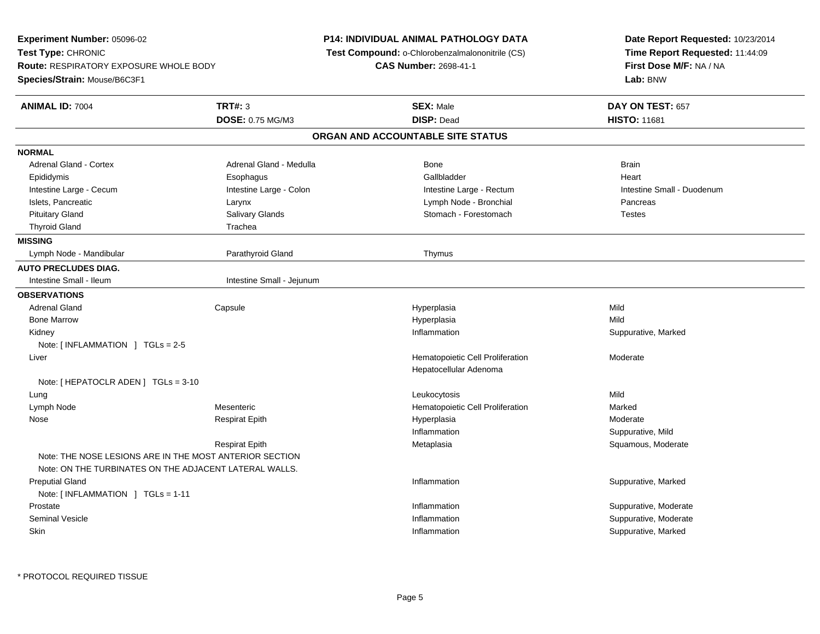| Experiment Number: 05096-02                                                                                       |                           | <b>P14: INDIVIDUAL ANIMAL PATHOLOGY DATA</b>    | Date Report Requested: 10/23/2014 |  |
|-------------------------------------------------------------------------------------------------------------------|---------------------------|-------------------------------------------------|-----------------------------------|--|
| Test Type: CHRONIC                                                                                                |                           | Test Compound: o-Chlorobenzalmalononitrile (CS) | Time Report Requested: 11:44:09   |  |
| <b>Route: RESPIRATORY EXPOSURE WHOLE BODY</b>                                                                     |                           | <b>CAS Number: 2698-41-1</b>                    | First Dose M/F: NA / NA           |  |
| Species/Strain: Mouse/B6C3F1                                                                                      |                           |                                                 | Lab: BNW                          |  |
| <b>ANIMAL ID: 7004</b>                                                                                            | <b>TRT#: 3</b>            | <b>SEX: Male</b>                                | DAY ON TEST: 657                  |  |
|                                                                                                                   | DOSE: 0.75 MG/M3          | <b>DISP: Dead</b>                               | <b>HISTO: 11681</b>               |  |
|                                                                                                                   |                           | ORGAN AND ACCOUNTABLE SITE STATUS               |                                   |  |
| <b>NORMAL</b>                                                                                                     |                           |                                                 |                                   |  |
| <b>Adrenal Gland - Cortex</b>                                                                                     | Adrenal Gland - Medulla   | Bone                                            | <b>Brain</b>                      |  |
| Epididymis                                                                                                        | Esophagus                 | Gallbladder                                     | Heart                             |  |
| Intestine Large - Cecum                                                                                           | Intestine Large - Colon   | Intestine Large - Rectum                        | Intestine Small - Duodenum        |  |
| Islets, Pancreatic                                                                                                | Larynx                    | Lymph Node - Bronchial                          | Pancreas                          |  |
| <b>Pituitary Gland</b>                                                                                            | Salivary Glands           | Stomach - Forestomach                           | <b>Testes</b>                     |  |
| <b>Thyroid Gland</b>                                                                                              | Trachea                   |                                                 |                                   |  |
| <b>MISSING</b>                                                                                                    |                           |                                                 |                                   |  |
| Lymph Node - Mandibular                                                                                           | Parathyroid Gland         | Thymus                                          |                                   |  |
| <b>AUTO PRECLUDES DIAG.</b>                                                                                       |                           |                                                 |                                   |  |
| Intestine Small - Ileum                                                                                           | Intestine Small - Jejunum |                                                 |                                   |  |
| <b>OBSERVATIONS</b>                                                                                               |                           |                                                 |                                   |  |
| <b>Adrenal Gland</b>                                                                                              | Capsule                   | Hyperplasia                                     | Mild                              |  |
| <b>Bone Marrow</b>                                                                                                |                           | Hyperplasia                                     | Mild                              |  |
| Kidney                                                                                                            |                           | Inflammation                                    | Suppurative, Marked               |  |
| Note: $\lceil$ INFLAMMATION $\lceil$ TGLs = 2-5                                                                   |                           |                                                 |                                   |  |
| Liver                                                                                                             |                           | Hematopoietic Cell Proliferation                | Moderate                          |  |
|                                                                                                                   |                           | Hepatocellular Adenoma                          |                                   |  |
| Note: [ HEPATOCLR ADEN ] TGLs = 3-10                                                                              |                           |                                                 |                                   |  |
| Lung                                                                                                              |                           | Leukocytosis                                    | Mild                              |  |
| Lymph Node                                                                                                        | Mesenteric                | Hematopoietic Cell Proliferation                | Marked                            |  |
| Nose                                                                                                              | <b>Respirat Epith</b>     | Hyperplasia                                     | Moderate                          |  |
|                                                                                                                   |                           | Inflammation                                    | Suppurative, Mild                 |  |
|                                                                                                                   | <b>Respirat Epith</b>     | Metaplasia                                      | Squamous, Moderate                |  |
| Note: THE NOSE LESIONS ARE IN THE MOST ANTERIOR SECTION<br>Note: ON THE TURBINATES ON THE ADJACENT LATERAL WALLS. |                           |                                                 |                                   |  |
| <b>Preputial Gland</b>                                                                                            |                           | Inflammation                                    | Suppurative, Marked               |  |
| Note: $[INFLAMMATION] TGLs = 1-11$                                                                                |                           |                                                 |                                   |  |
| Prostate                                                                                                          |                           | Inflammation                                    | Suppurative, Moderate             |  |
| <b>Seminal Vesicle</b>                                                                                            |                           |                                                 |                                   |  |
|                                                                                                                   |                           | Inflammation                                    | Suppurative, Moderate             |  |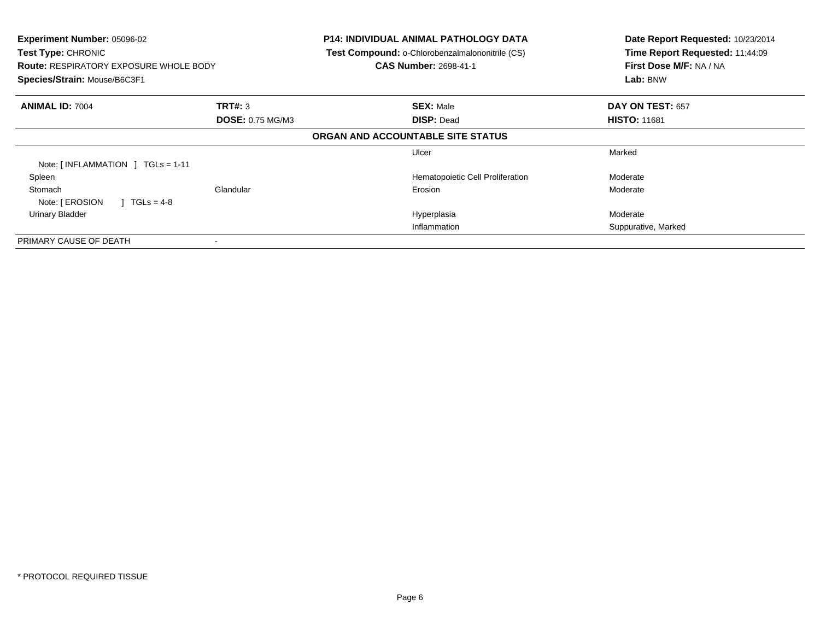| Experiment Number: 05096-02<br>Test Type: CHRONIC<br><b>Route: RESPIRATORY EXPOSURE WHOLE BODY</b><br>Species/Strain: Mouse/B6C3F1 |                         | <b>P14: INDIVIDUAL ANIMAL PATHOLOGY DATA</b><br>Test Compound: o-Chlorobenzalmalononitrile (CS)<br><b>CAS Number: 2698-41-1</b> | Date Report Requested: 10/23/2014<br>Time Report Requested: 11:44:09<br>First Dose M/F: NA / NA<br>Lab: BNW |
|------------------------------------------------------------------------------------------------------------------------------------|-------------------------|---------------------------------------------------------------------------------------------------------------------------------|-------------------------------------------------------------------------------------------------------------|
| <b>ANIMAL ID: 7004</b>                                                                                                             | TRT#: 3                 | <b>SEX: Male</b>                                                                                                                | DAY ON TEST: 657                                                                                            |
|                                                                                                                                    | <b>DOSE: 0.75 MG/M3</b> | <b>DISP: Dead</b>                                                                                                               | <b>HISTO: 11681</b>                                                                                         |
|                                                                                                                                    |                         | ORGAN AND ACCOUNTABLE SITE STATUS                                                                                               |                                                                                                             |
| Note: $[INFLAMMATION] TGLs = 1-11$                                                                                                 |                         | Ulcer                                                                                                                           | Marked                                                                                                      |
| Spleen                                                                                                                             |                         | Hematopoietic Cell Proliferation                                                                                                | Moderate                                                                                                    |
| Stomach<br>Note: [ EROSION<br>$1 TGLs = 4-8$                                                                                       | Glandular               | Erosion                                                                                                                         | Moderate                                                                                                    |
| Urinary Bladder                                                                                                                    |                         | Hyperplasia                                                                                                                     | Moderate                                                                                                    |
|                                                                                                                                    |                         | Inflammation                                                                                                                    | Suppurative, Marked                                                                                         |
| PRIMARY CAUSE OF DEATH                                                                                                             |                         |                                                                                                                                 |                                                                                                             |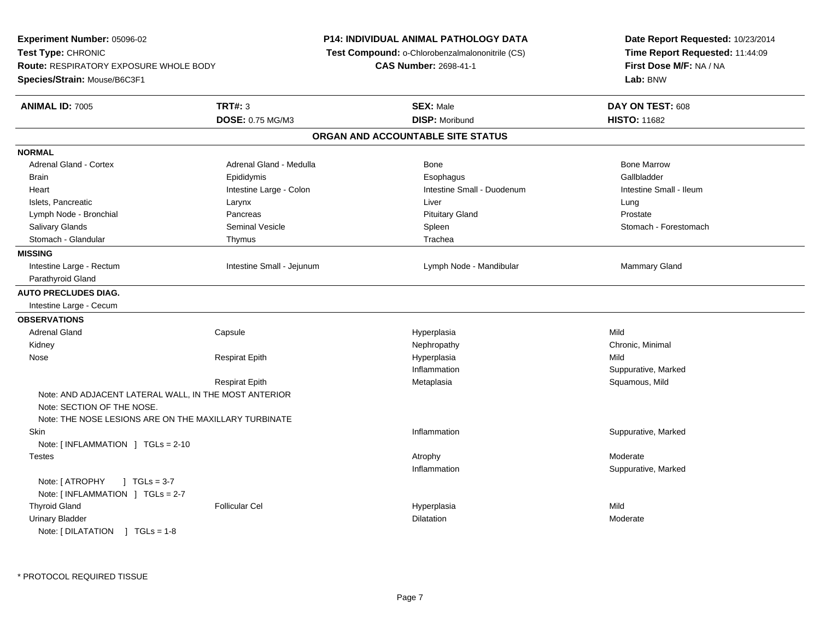| Experiment Number: 05096-02                                                         |                           | <b>P14: INDIVIDUAL ANIMAL PATHOLOGY DATA</b>    | Date Report Requested: 10/23/2014                          |  |
|-------------------------------------------------------------------------------------|---------------------------|-------------------------------------------------|------------------------------------------------------------|--|
| Test Type: CHRONIC                                                                  |                           | Test Compound: o-Chlorobenzalmalononitrile (CS) | Time Report Requested: 11:44:09<br>First Dose M/F: NA / NA |  |
| <b>Route: RESPIRATORY EXPOSURE WHOLE BODY</b>                                       |                           | <b>CAS Number: 2698-41-1</b>                    |                                                            |  |
| Species/Strain: Mouse/B6C3F1                                                        |                           |                                                 | Lab: BNW                                                   |  |
| <b>ANIMAL ID: 7005</b>                                                              | <b>TRT#: 3</b>            | <b>SEX: Male</b>                                | DAY ON TEST: 608                                           |  |
|                                                                                     | DOSE: 0.75 MG/M3          | <b>DISP: Moribund</b>                           | <b>HISTO: 11682</b>                                        |  |
|                                                                                     |                           | ORGAN AND ACCOUNTABLE SITE STATUS               |                                                            |  |
| <b>NORMAL</b>                                                                       |                           |                                                 |                                                            |  |
| Adrenal Gland - Cortex                                                              | Adrenal Gland - Medulla   | <b>Bone</b>                                     | <b>Bone Marrow</b>                                         |  |
| <b>Brain</b>                                                                        | Epididymis                | Esophagus                                       | Gallbladder                                                |  |
| Heart                                                                               | Intestine Large - Colon   | Intestine Small - Duodenum                      | Intestine Small - Ileum                                    |  |
| Islets, Pancreatic                                                                  | Larynx                    | Liver                                           | Lung                                                       |  |
| Lymph Node - Bronchial                                                              | Pancreas                  | <b>Pituitary Gland</b>                          | Prostate                                                   |  |
| Salivary Glands                                                                     | <b>Seminal Vesicle</b>    | Spleen                                          | Stomach - Forestomach                                      |  |
| Stomach - Glandular                                                                 | Thymus                    | Trachea                                         |                                                            |  |
| <b>MISSING</b>                                                                      |                           |                                                 |                                                            |  |
| Intestine Large - Rectum                                                            | Intestine Small - Jejunum | Lymph Node - Mandibular                         | <b>Mammary Gland</b>                                       |  |
| Parathyroid Gland                                                                   |                           |                                                 |                                                            |  |
| <b>AUTO PRECLUDES DIAG.</b>                                                         |                           |                                                 |                                                            |  |
| Intestine Large - Cecum                                                             |                           |                                                 |                                                            |  |
| <b>OBSERVATIONS</b>                                                                 |                           |                                                 |                                                            |  |
| <b>Adrenal Gland</b>                                                                | Capsule                   | Hyperplasia                                     | Mild                                                       |  |
| Kidney                                                                              |                           | Nephropathy                                     | Chronic, Minimal                                           |  |
| Nose                                                                                | <b>Respirat Epith</b>     | Hyperplasia                                     | Mild                                                       |  |
|                                                                                     |                           | Inflammation                                    | Suppurative, Marked                                        |  |
|                                                                                     | <b>Respirat Epith</b>     | Metaplasia                                      | Squamous, Mild                                             |  |
| Note: AND ADJACENT LATERAL WALL, IN THE MOST ANTERIOR<br>Note: SECTION OF THE NOSE. |                           |                                                 |                                                            |  |
| Note: THE NOSE LESIONS ARE ON THE MAXILLARY TURBINATE                               |                           |                                                 |                                                            |  |
| Skin                                                                                |                           | Inflammation                                    | Suppurative, Marked                                        |  |
| Note: [INFLAMMATION ] TGLs = 2-10                                                   |                           |                                                 |                                                            |  |
| <b>Testes</b>                                                                       |                           | Atrophy                                         | Moderate                                                   |  |
| $J \cdot TGLs = 3-7$<br>Note: [ ATROPHY<br>Note: [INFLAMMATION ] TGLs = 2-7         |                           | Inflammation                                    | Suppurative, Marked                                        |  |
| <b>Thyroid Gland</b>                                                                | <b>Follicular Cel</b>     | Hyperplasia                                     | Mild                                                       |  |
| <b>Urinary Bladder</b>                                                              |                           | <b>Dilatation</b>                               | Moderate                                                   |  |
| Note: [DILATATION ] TGLs = 1-8                                                      |                           |                                                 |                                                            |  |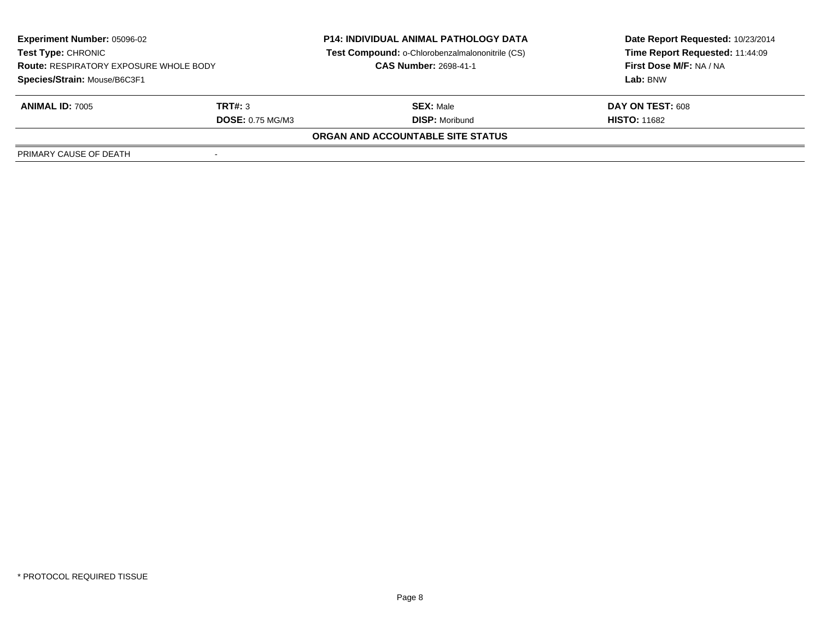| <b>Experiment Number: 05096-02</b><br><b>Test Type: CHRONIC</b><br><b>Route: RESPIRATORY EXPOSURE WHOLE BODY</b><br>Species/Strain: Mouse/B6C3F1 |                         | <b>P14: INDIVIDUAL ANIMAL PATHOLOGY DATA</b><br>Test Compound: o-Chlorobenzalmalononitrile (CS)<br><b>CAS Number: 2698-41-1</b> | Date Report Requested: 10/23/2014 |
|--------------------------------------------------------------------------------------------------------------------------------------------------|-------------------------|---------------------------------------------------------------------------------------------------------------------------------|-----------------------------------|
|                                                                                                                                                  |                         |                                                                                                                                 | Time Report Requested: 11:44:09   |
|                                                                                                                                                  |                         |                                                                                                                                 | First Dose M/F: NA / NA           |
|                                                                                                                                                  |                         |                                                                                                                                 | Lab: BNW                          |
| <b>ANIMAL ID: 7005</b>                                                                                                                           | TRT#: 3                 | <b>SEX: Male</b>                                                                                                                | DAY ON TEST: 608                  |
|                                                                                                                                                  | <b>DOSE: 0.75 MG/M3</b> | <b>DISP: Moribund</b>                                                                                                           | <b>HISTO: 11682</b>               |
|                                                                                                                                                  |                         | ORGAN AND ACCOUNTABLE SITE STATUS                                                                                               |                                   |
| PRIMARY CAUSE OF DEATH                                                                                                                           |                         |                                                                                                                                 |                                   |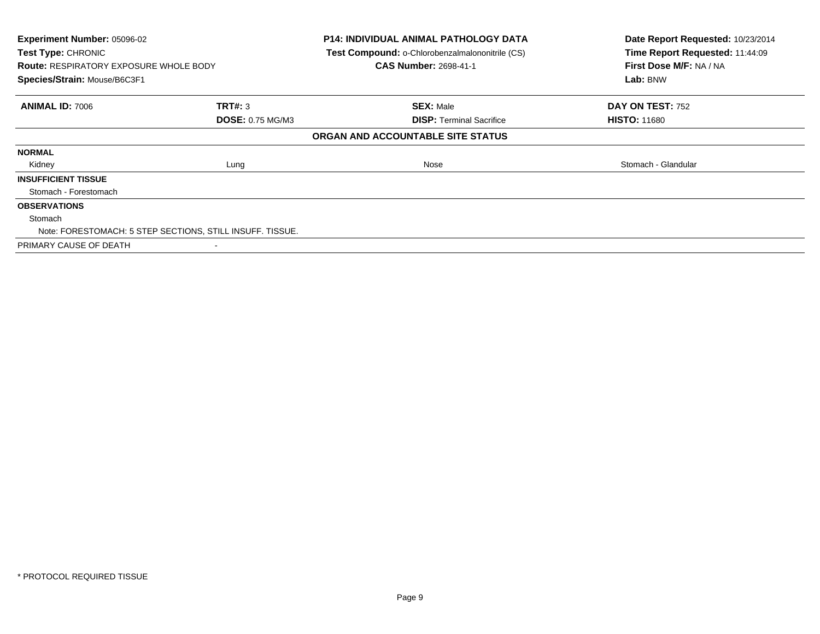| Experiment Number: 05096-02<br>Test Type: CHRONIC<br><b>Route: RESPIRATORY EXPOSURE WHOLE BODY</b><br>Species/Strain: Mouse/B6C3F1 |                                                           | <b>P14: INDIVIDUAL ANIMAL PATHOLOGY DATA</b><br>Test Compound: o-Chlorobenzalmalononitrile (CS)<br><b>CAS Number: 2698-41-1</b> | Date Report Requested: 10/23/2014<br>Time Report Requested: 11:44:09<br>First Dose M/F: NA / NA<br>Lab: BNW |
|------------------------------------------------------------------------------------------------------------------------------------|-----------------------------------------------------------|---------------------------------------------------------------------------------------------------------------------------------|-------------------------------------------------------------------------------------------------------------|
| <b>ANIMAL ID: 7006</b>                                                                                                             | <b>TRT#: 3</b>                                            | <b>SEX: Male</b>                                                                                                                | DAY ON TEST: 752                                                                                            |
|                                                                                                                                    | <b>DOSE: 0.75 MG/M3</b>                                   | <b>DISP:</b> Terminal Sacrifice<br>ORGAN AND ACCOUNTABLE SITE STATUS                                                            | <b>HISTO: 11680</b>                                                                                         |
| <b>NORMAL</b>                                                                                                                      |                                                           |                                                                                                                                 |                                                                                                             |
| Kidney                                                                                                                             | Lung                                                      | Nose                                                                                                                            | Stomach - Glandular                                                                                         |
| <b>INSUFFICIENT TISSUE</b>                                                                                                         |                                                           |                                                                                                                                 |                                                                                                             |
| Stomach - Forestomach                                                                                                              |                                                           |                                                                                                                                 |                                                                                                             |
| <b>OBSERVATIONS</b>                                                                                                                |                                                           |                                                                                                                                 |                                                                                                             |
| Stomach                                                                                                                            | Note: FORESTOMACH: 5 STEP SECTIONS, STILL INSUFF. TISSUE. |                                                                                                                                 |                                                                                                             |
| PRIMARY CAUSE OF DEATH                                                                                                             |                                                           |                                                                                                                                 |                                                                                                             |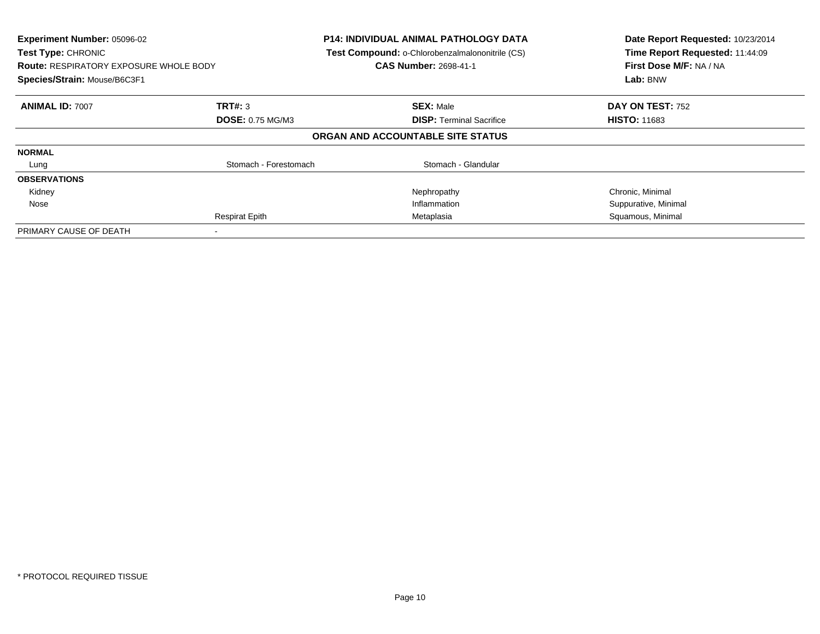| Experiment Number: 05096-02<br><b>Test Type: CHRONIC</b><br><b>Route: RESPIRATORY EXPOSURE WHOLE BODY</b><br>Species/Strain: Mouse/B6C3F1 |                         | <b>P14: INDIVIDUAL ANIMAL PATHOLOGY DATA</b><br>Test Compound: o-Chlorobenzalmalononitrile (CS)<br><b>CAS Number: 2698-41-1</b> | Date Report Requested: 10/23/2014<br>Time Report Requested: 11:44:09<br>First Dose M/F: NA / NA<br>Lab: BNW |
|-------------------------------------------------------------------------------------------------------------------------------------------|-------------------------|---------------------------------------------------------------------------------------------------------------------------------|-------------------------------------------------------------------------------------------------------------|
| <b>ANIMAL ID: 7007</b>                                                                                                                    | TRT#: 3                 | <b>SEX: Male</b>                                                                                                                | DAY ON TEST: 752                                                                                            |
|                                                                                                                                           | <b>DOSE: 0.75 MG/M3</b> | <b>DISP:</b> Terminal Sacrifice                                                                                                 | <b>HISTO: 11683</b>                                                                                         |
|                                                                                                                                           |                         | ORGAN AND ACCOUNTABLE SITE STATUS                                                                                               |                                                                                                             |
| <b>NORMAL</b>                                                                                                                             |                         |                                                                                                                                 |                                                                                                             |
| Lung                                                                                                                                      | Stomach - Forestomach   | Stomach - Glandular                                                                                                             |                                                                                                             |
| <b>OBSERVATIONS</b>                                                                                                                       |                         |                                                                                                                                 |                                                                                                             |
| Kidney                                                                                                                                    |                         | Nephropathy                                                                                                                     | Chronic, Minimal                                                                                            |
| Nose                                                                                                                                      |                         | Inflammation                                                                                                                    | Suppurative, Minimal                                                                                        |
|                                                                                                                                           | <b>Respirat Epith</b>   | Metaplasia                                                                                                                      | Squamous, Minimal                                                                                           |
| PRIMARY CAUSE OF DEATH                                                                                                                    |                         |                                                                                                                                 |                                                                                                             |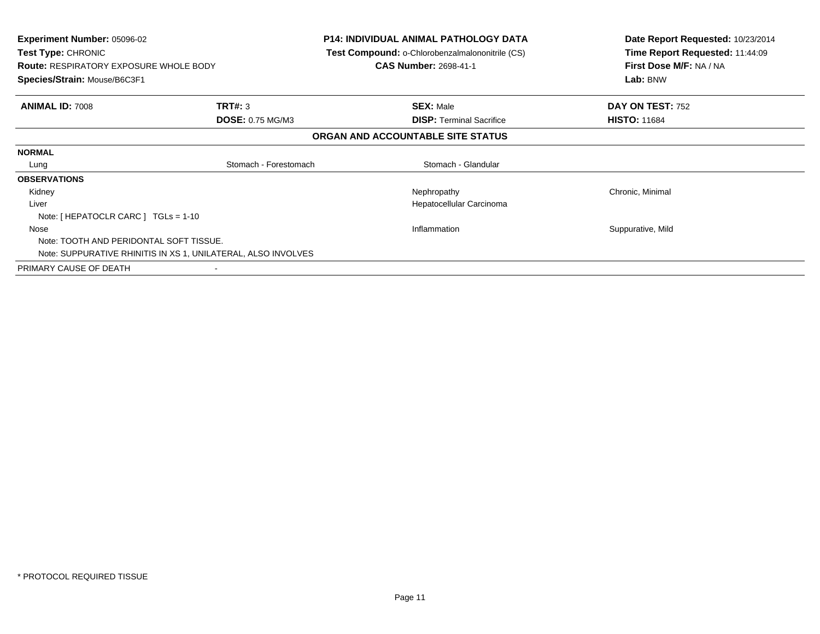| <b>Experiment Number: 05096-02</b><br><b>Test Type: CHRONIC</b><br><b>Route: RESPIRATORY EXPOSURE WHOLE BODY</b><br>Species/Strain: Mouse/B6C3F1 |                                                               | <b>P14: INDIVIDUAL ANIMAL PATHOLOGY DATA</b><br><b>Test Compound: o-Chlorobenzalmalononitrile (CS)</b><br><b>CAS Number: 2698-41-1</b> | Date Report Requested: 10/23/2014<br>Time Report Requested: 11:44:09<br>First Dose M/F: NA / NA<br>Lab: BNW |
|--------------------------------------------------------------------------------------------------------------------------------------------------|---------------------------------------------------------------|----------------------------------------------------------------------------------------------------------------------------------------|-------------------------------------------------------------------------------------------------------------|
| <b>ANIMAL ID: 7008</b>                                                                                                                           | <b>TRT#: 3</b>                                                | <b>SEX: Male</b>                                                                                                                       | DAY ON TEST: 752                                                                                            |
|                                                                                                                                                  | <b>DOSE: 0.75 MG/M3</b>                                       | <b>DISP:</b> Terminal Sacrifice                                                                                                        | <b>HISTO: 11684</b>                                                                                         |
|                                                                                                                                                  |                                                               | ORGAN AND ACCOUNTABLE SITE STATUS                                                                                                      |                                                                                                             |
| <b>NORMAL</b>                                                                                                                                    |                                                               |                                                                                                                                        |                                                                                                             |
| Lung                                                                                                                                             | Stomach - Forestomach                                         | Stomach - Glandular                                                                                                                    |                                                                                                             |
| <b>OBSERVATIONS</b>                                                                                                                              |                                                               |                                                                                                                                        |                                                                                                             |
| Kidney                                                                                                                                           |                                                               | Nephropathy                                                                                                                            | Chronic, Minimal                                                                                            |
| Liver                                                                                                                                            |                                                               | Hepatocellular Carcinoma                                                                                                               |                                                                                                             |
| Note: [ HEPATOCLR CARC ] $TGLs = 1-10$                                                                                                           |                                                               |                                                                                                                                        |                                                                                                             |
| Nose                                                                                                                                             |                                                               | Inflammation                                                                                                                           | Suppurative, Mild                                                                                           |
| Note: TOOTH AND PERIDONTAL SOFT TISSUE.                                                                                                          |                                                               |                                                                                                                                        |                                                                                                             |
|                                                                                                                                                  | Note: SUPPURATIVE RHINITIS IN XS 1, UNILATERAL, ALSO INVOLVES |                                                                                                                                        |                                                                                                             |
| PRIMARY CAUSE OF DEATH                                                                                                                           |                                                               |                                                                                                                                        |                                                                                                             |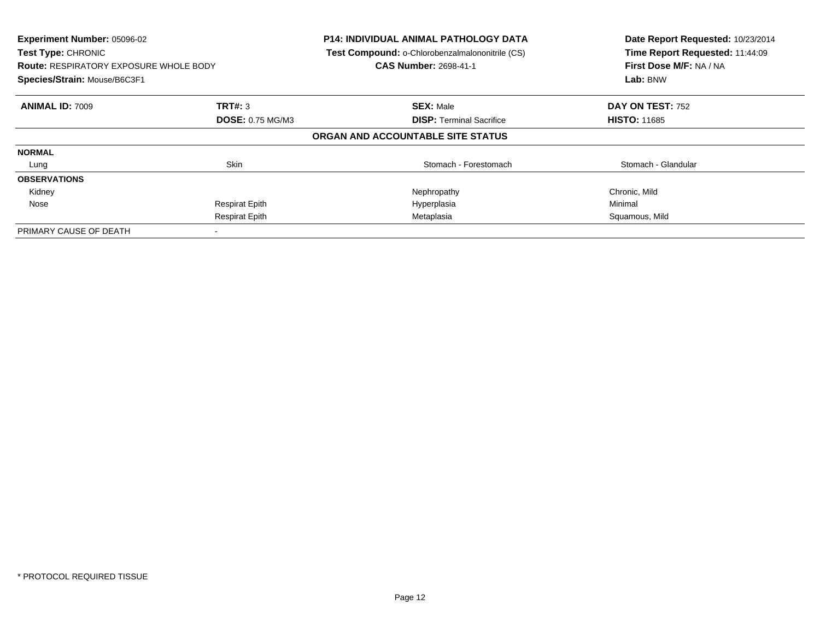| Experiment Number: 05096-02<br>Test Type: CHRONIC<br><b>Route: RESPIRATORY EXPOSURE WHOLE BODY</b><br>Species/Strain: Mouse/B6C3F1 |                         | <b>P14: INDIVIDUAL ANIMAL PATHOLOGY DATA</b><br>Test Compound: o-Chlorobenzalmalononitrile (CS)<br><b>CAS Number: 2698-41-1</b> | Date Report Requested: 10/23/2014<br>Time Report Requested: 11:44:09<br>First Dose M/F: NA / NA<br>Lab: BNW |
|------------------------------------------------------------------------------------------------------------------------------------|-------------------------|---------------------------------------------------------------------------------------------------------------------------------|-------------------------------------------------------------------------------------------------------------|
| <b>ANIMAL ID: 7009</b>                                                                                                             | <b>TRT#: 3</b>          | <b>SEX: Male</b>                                                                                                                | DAY ON TEST: 752                                                                                            |
|                                                                                                                                    | <b>DOSE: 0.75 MG/M3</b> | <b>DISP:</b> Terminal Sacrifice                                                                                                 | <b>HISTO: 11685</b>                                                                                         |
|                                                                                                                                    |                         | ORGAN AND ACCOUNTABLE SITE STATUS                                                                                               |                                                                                                             |
| <b>NORMAL</b>                                                                                                                      |                         |                                                                                                                                 |                                                                                                             |
| Lung                                                                                                                               | Skin                    | Stomach - Forestomach                                                                                                           | Stomach - Glandular                                                                                         |
| <b>OBSERVATIONS</b>                                                                                                                |                         |                                                                                                                                 |                                                                                                             |
| Kidney                                                                                                                             |                         | Nephropathy                                                                                                                     | Chronic, Mild                                                                                               |
| Nose                                                                                                                               | <b>Respirat Epith</b>   | Hyperplasia                                                                                                                     | Minimal                                                                                                     |
|                                                                                                                                    | <b>Respirat Epith</b>   | Metaplasia                                                                                                                      | Squamous, Mild                                                                                              |
| PRIMARY CAUSE OF DEATH                                                                                                             |                         |                                                                                                                                 |                                                                                                             |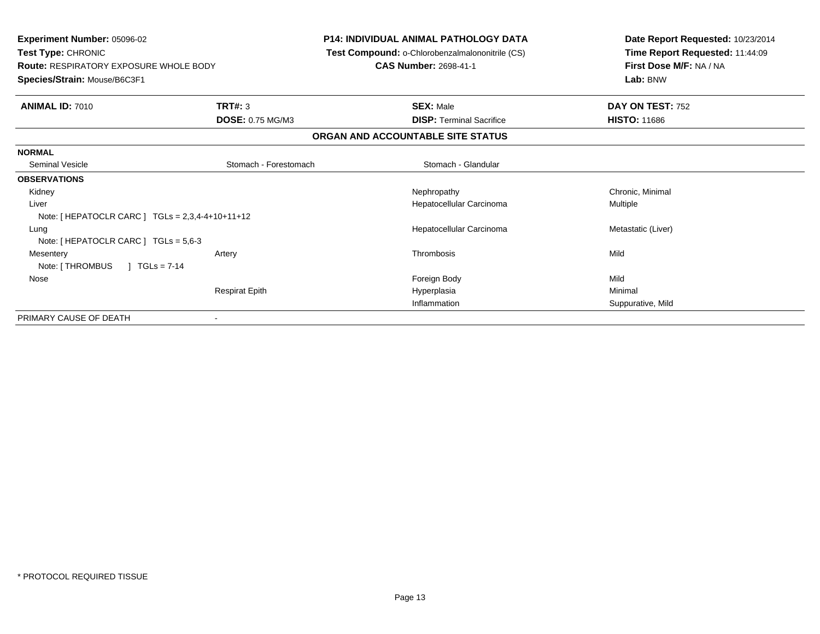| <b>Experiment Number: 05096-02</b><br>Test Type: CHRONIC<br><b>Route: RESPIRATORY EXPOSURE WHOLE BODY</b><br>Species/Strain: Mouse/B6C3F1 |                         | <b>P14: INDIVIDUAL ANIMAL PATHOLOGY DATA</b><br>Test Compound: o-Chlorobenzalmalononitrile (CS)<br><b>CAS Number: 2698-41-1</b> | Date Report Requested: 10/23/2014<br>Time Report Requested: 11:44:09<br>First Dose M/F: NA / NA<br>Lab: BNW |
|-------------------------------------------------------------------------------------------------------------------------------------------|-------------------------|---------------------------------------------------------------------------------------------------------------------------------|-------------------------------------------------------------------------------------------------------------|
| <b>ANIMAL ID: 7010</b>                                                                                                                    | TRT#: 3                 | <b>SEX: Male</b>                                                                                                                | <b>DAY ON TEST: 752</b>                                                                                     |
|                                                                                                                                           | <b>DOSE: 0.75 MG/M3</b> | <b>DISP: Terminal Sacrifice</b>                                                                                                 | <b>HISTO: 11686</b>                                                                                         |
|                                                                                                                                           |                         | ORGAN AND ACCOUNTABLE SITE STATUS                                                                                               |                                                                                                             |
| <b>NORMAL</b>                                                                                                                             |                         |                                                                                                                                 |                                                                                                             |
| <b>Seminal Vesicle</b>                                                                                                                    | Stomach - Forestomach   | Stomach - Glandular                                                                                                             |                                                                                                             |
| <b>OBSERVATIONS</b>                                                                                                                       |                         |                                                                                                                                 |                                                                                                             |
| Kidney                                                                                                                                    |                         | Nephropathy                                                                                                                     | Chronic, Minimal                                                                                            |
| Liver                                                                                                                                     |                         | Hepatocellular Carcinoma                                                                                                        | Multiple                                                                                                    |
| Note: [ HEPATOCLR CARC ] $TGLs = 2,3,4-4+10+11+12$                                                                                        |                         |                                                                                                                                 |                                                                                                             |
| Lung<br>Note: [ HEPATOCLR CARC ] TGLs = 5,6-3                                                                                             |                         | Hepatocellular Carcinoma                                                                                                        | Metastatic (Liver)                                                                                          |
| Mesentery<br>Note: [ THROMBUS<br>$1 \text{ TGLs} = 7-14$                                                                                  | Artery                  | Thrombosis                                                                                                                      | Mild                                                                                                        |
| Nose                                                                                                                                      |                         | Foreign Body                                                                                                                    | Mild                                                                                                        |
|                                                                                                                                           | <b>Respirat Epith</b>   | Hyperplasia                                                                                                                     | Minimal                                                                                                     |
|                                                                                                                                           |                         | Inflammation                                                                                                                    | Suppurative, Mild                                                                                           |
| PRIMARY CAUSE OF DEATH                                                                                                                    |                         |                                                                                                                                 |                                                                                                             |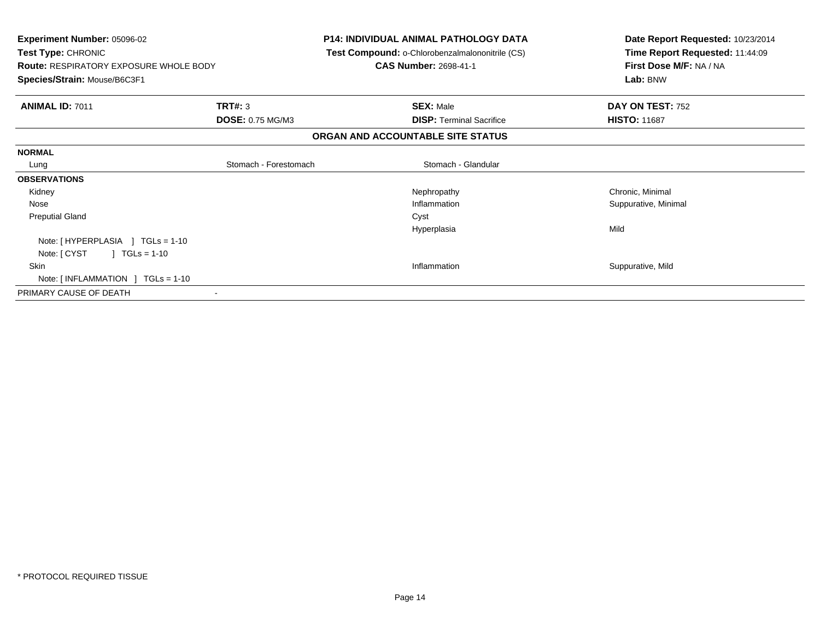| <b>P14: INDIVIDUAL ANIMAL PATHOLOGY DATA</b><br>Test Compound: o-Chlorobenzalmalononitrile (CS)<br><b>CAS Number: 2698-41-1</b> | Date Report Requested: 10/23/2014<br>Time Report Requested: 11:44:09<br>First Dose M/F: NA / NA<br>Lab: BNW |
|---------------------------------------------------------------------------------------------------------------------------------|-------------------------------------------------------------------------------------------------------------|
| <b>SEX: Male</b>                                                                                                                | DAY ON TEST: 752                                                                                            |
|                                                                                                                                 | <b>HISTO: 11687</b>                                                                                         |
| ORGAN AND ACCOUNTABLE SITE STATUS                                                                                               |                                                                                                             |
|                                                                                                                                 |                                                                                                             |
| Stomach - Glandular                                                                                                             |                                                                                                             |
|                                                                                                                                 |                                                                                                             |
| Nephropathy                                                                                                                     | Chronic, Minimal                                                                                            |
| Inflammation                                                                                                                    | Suppurative, Minimal                                                                                        |
| Cyst                                                                                                                            |                                                                                                             |
| Hyperplasia                                                                                                                     | Mild                                                                                                        |
|                                                                                                                                 |                                                                                                             |
|                                                                                                                                 |                                                                                                             |
| Inflammation                                                                                                                    | Suppurative, Mild                                                                                           |
|                                                                                                                                 |                                                                                                             |
|                                                                                                                                 |                                                                                                             |
|                                                                                                                                 | <b>DOSE: 0.75 MG/M3</b><br><b>DISP:</b> Terminal Sacrifice<br>Stomach - Forestomach                         |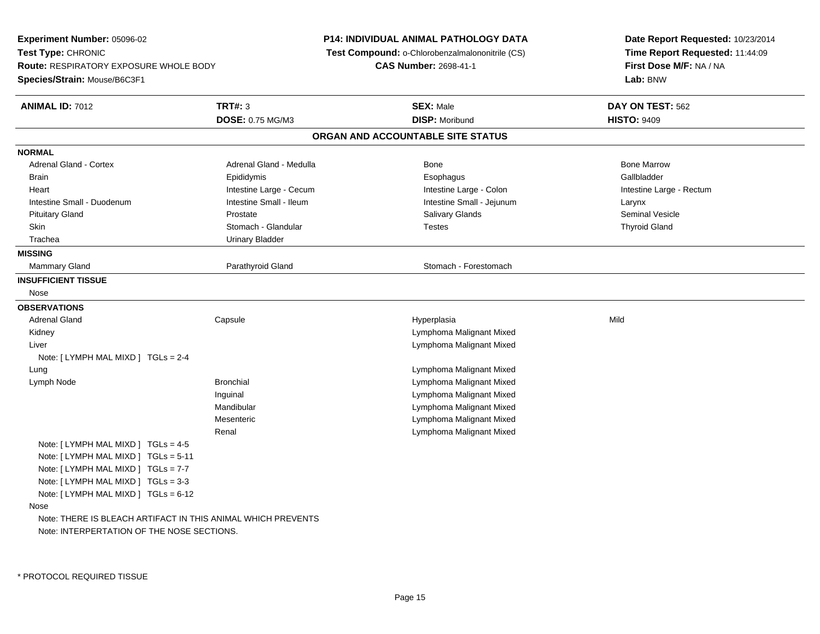**Experiment Number:** 05096-02**Test Type:** CHRONIC **Route:** RESPIRATORY EXPOSURE WHOLE BODY**Species/Strain:** Mouse/B6C3F1**P14: INDIVIDUAL ANIMAL PATHOLOGY DATA Test Compound:** o-Chlorobenzalmalononitrile (CS)**CAS Number:** 2698-41-1**Date Report Requested:** 10/23/2014**Time Report Requested:** 11:44:09**First Dose M/F:** NA / NA**Lab:** BNW**ANIMAL ID:** 7012 **TRT#:** <sup>3</sup> **SEX:** Male **DAY ON TEST:** <sup>562</sup> **DOSE:** 0.75 MG/M3**DISP:** Moribund **HISTO:** 9409 **ORGAN AND ACCOUNTABLE SITE STATUSNORMALAdrenal Gland - Cortex** Adrenal Gland - Medulla **Bone Adrenal Gland - Cortex Adrenal Gland - Cortex Adrenal Gland - Medulla** Bone Marrow Gallbladder Brain Epididymis Epididymis and the Brook of the Brook of the Brook of the Brook of the Gallbladder of the Gallbladder Heart **Intestine Large - Cecum** Intestine Large - Cecum Intestine Large - Colon Intestine Large - Rectum Intestine Small - Duodenum **Intestine Small - Ileum** Intestine Small - Ileum Intestine Small - Jejunum Larynx **Seminal Vesicle**  Pituitary Gland Prostate Salivary Glands Seminal VesicleSkin Stomach - Glandular Testes The Testes Thyroid Gland Gland Gland Communist Communist Communist Communist Co Trachea Urinary Bladder**MISSING**Mammary Gland Parathyroid Gland **Parathyroid Gland Parathyroid Gland** Stomach - Forestomach **INSUFFICIENT TISSUE** Nose**OBSERVATIONS** Adrenal Gland Capsule Hyperplasia Mild Kidney Lymphoma Malignant Mixed Lymphoma Malignant Mixed LiverNote: [ LYMPH MAL MIXD ] TGLs = 2-4 Lung Lymphoma Malignant Mixed Lymph NodeLymphoma Malignant Mixed Inguinal Lymphoma Malignant Mixed**Lymphoma Malignant Mixed** Mandibular Lymphoma Malignant MixedMesenteric Lymphoma Malignant MixedRenalNote: [ LYMPH MAL MIXD ] TGLs = 4-5 Note: [ LYMPH MAL MIXD ] TGLs = 5-11Note: [ LYMPH MAL MIXD ] TGLs = 7-7 Note: [ LYMPH MAL MIXD ] TGLs = 3-3 Note: [ LYMPH MAL MIXD ] TGLs = 6-12 Nose Note: THERE IS BLEACH ARTIFACT IN THIS ANIMAL WHICH PREVENTSNote: INTERPERTATION OF THE NOSE SECTIONS.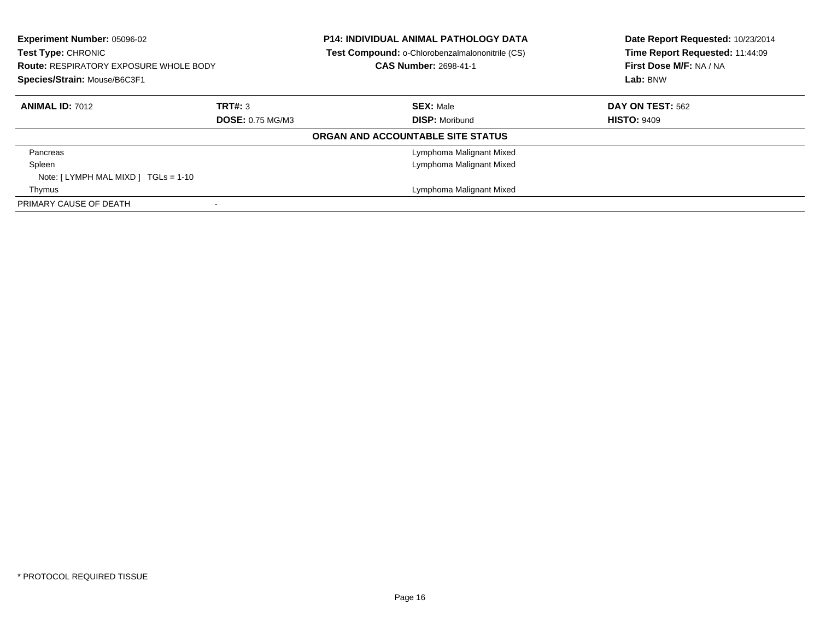| Experiment Number: 05096-02<br>Test Type: CHRONIC<br><b>Route: RESPIRATORY EXPOSURE WHOLE BODY</b><br>Species/Strain: Mouse/B6C3F1 |                         |                                   | <b>P14: INDIVIDUAL ANIMAL PATHOLOGY DATA</b><br>Test Compound: o-Chlorobenzalmalononitrile (CS)<br><b>CAS Number: 2698-41-1</b> | Date Report Requested: 10/23/2014<br>Time Report Requested: 11:44:09<br>First Dose M/F: NA / NA<br>Lab: BNW |
|------------------------------------------------------------------------------------------------------------------------------------|-------------------------|-----------------------------------|---------------------------------------------------------------------------------------------------------------------------------|-------------------------------------------------------------------------------------------------------------|
| <b>ANIMAL ID: 7012</b>                                                                                                             | TRT#: 3                 |                                   | <b>SEX: Male</b>                                                                                                                | <b>DAY ON TEST: 562</b>                                                                                     |
|                                                                                                                                    | <b>DOSE: 0.75 MG/M3</b> |                                   | <b>DISP: Moribund</b>                                                                                                           | <b>HISTO: 9409</b>                                                                                          |
|                                                                                                                                    |                         | ORGAN AND ACCOUNTABLE SITE STATUS |                                                                                                                                 |                                                                                                             |
| Pancreas                                                                                                                           |                         |                                   | Lymphoma Malignant Mixed                                                                                                        |                                                                                                             |
| Spleen                                                                                                                             |                         |                                   | Lymphoma Malignant Mixed                                                                                                        |                                                                                                             |
| Note: $[LYMPH MAL MIXD] TGLs = 1-10$                                                                                               |                         |                                   |                                                                                                                                 |                                                                                                             |
| Thymus                                                                                                                             |                         |                                   | Lymphoma Malignant Mixed                                                                                                        |                                                                                                             |
| PRIMARY CAUSE OF DEATH                                                                                                             |                         |                                   |                                                                                                                                 |                                                                                                             |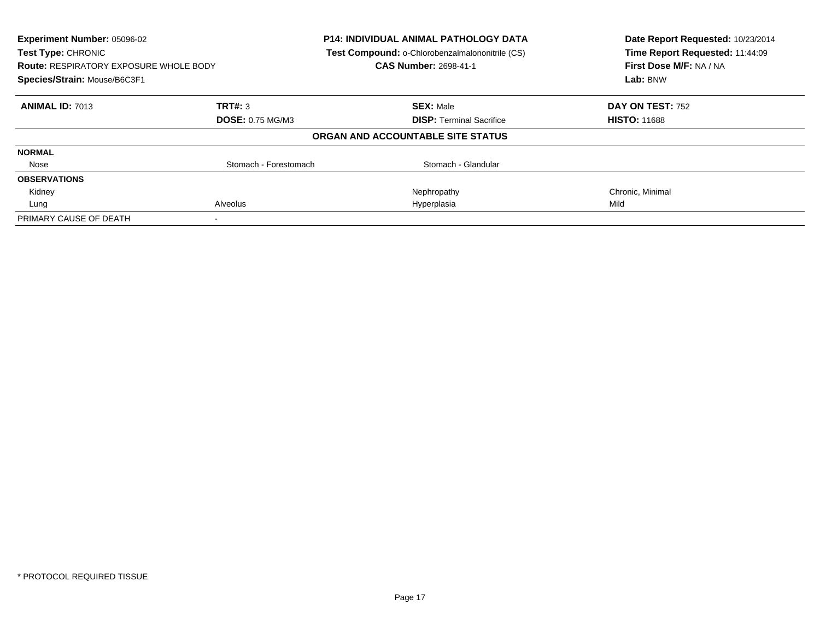| Experiment Number: 05096-02<br><b>Test Type: CHRONIC</b><br><b>Route: RESPIRATORY EXPOSURE WHOLE BODY</b><br>Species/Strain: Mouse/B6C3F1 |                         | <b>P14: INDIVIDUAL ANIMAL PATHOLOGY DATA</b><br>Test Compound: o-Chlorobenzalmalononitrile (CS)<br>CAS Number: 2698-41-1 | Date Report Requested: 10/23/2014<br>Time Report Requested: 11:44:09<br>First Dose M/F: NA / NA<br>Lab: BNW |
|-------------------------------------------------------------------------------------------------------------------------------------------|-------------------------|--------------------------------------------------------------------------------------------------------------------------|-------------------------------------------------------------------------------------------------------------|
| <b>ANIMAL ID: 7013</b>                                                                                                                    | TRT#: 3                 | <b>SEX: Male</b>                                                                                                         | DAY ON TEST: 752                                                                                            |
|                                                                                                                                           | <b>DOSE: 0.75 MG/M3</b> | <b>DISP:</b> Terminal Sacrifice                                                                                          | <b>HISTO: 11688</b>                                                                                         |
|                                                                                                                                           |                         | ORGAN AND ACCOUNTABLE SITE STATUS                                                                                        |                                                                                                             |
| <b>NORMAL</b>                                                                                                                             |                         |                                                                                                                          |                                                                                                             |
| Nose                                                                                                                                      | Stomach - Forestomach   | Stomach - Glandular                                                                                                      |                                                                                                             |
| <b>OBSERVATIONS</b>                                                                                                                       |                         |                                                                                                                          |                                                                                                             |
| Kidney                                                                                                                                    |                         | Nephropathy                                                                                                              | Chronic, Minimal                                                                                            |
| Lung                                                                                                                                      | Alveolus                | Hyperplasia                                                                                                              | Mild                                                                                                        |
| PRIMARY CAUSE OF DEATH                                                                                                                    |                         |                                                                                                                          |                                                                                                             |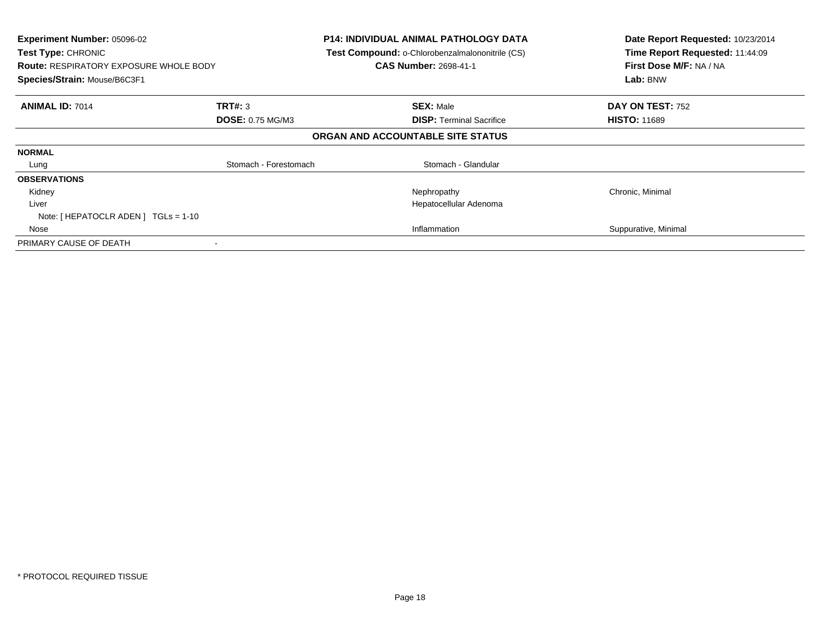| <b>Experiment Number: 05096-02</b><br>Test Type: CHRONIC<br><b>Route: RESPIRATORY EXPOSURE WHOLE BODY</b><br>Species/Strain: Mouse/B6C3F1 |                         | <b>P14: INDIVIDUAL ANIMAL PATHOLOGY DATA</b><br>Test Compound: o-Chlorobenzalmalononitrile (CS)<br><b>CAS Number: 2698-41-1</b> | Date Report Requested: 10/23/2014<br>Time Report Requested: 11:44:09<br>First Dose M/F: NA / NA<br>Lab: BNW |
|-------------------------------------------------------------------------------------------------------------------------------------------|-------------------------|---------------------------------------------------------------------------------------------------------------------------------|-------------------------------------------------------------------------------------------------------------|
| <b>ANIMAL ID: 7014</b>                                                                                                                    | <b>TRT#: 3</b>          | <b>SEX: Male</b>                                                                                                                | DAY ON TEST: 752                                                                                            |
|                                                                                                                                           | <b>DOSE: 0.75 MG/M3</b> | <b>DISP:</b> Terminal Sacrifice                                                                                                 | <b>HISTO: 11689</b>                                                                                         |
|                                                                                                                                           |                         | ORGAN AND ACCOUNTABLE SITE STATUS                                                                                               |                                                                                                             |
| <b>NORMAL</b>                                                                                                                             |                         |                                                                                                                                 |                                                                                                             |
| Lung                                                                                                                                      | Stomach - Forestomach   | Stomach - Glandular                                                                                                             |                                                                                                             |
| <b>OBSERVATIONS</b>                                                                                                                       |                         |                                                                                                                                 |                                                                                                             |
| Kidney                                                                                                                                    |                         | Nephropathy                                                                                                                     | Chronic, Minimal                                                                                            |
| Liver                                                                                                                                     |                         | Hepatocellular Adenoma                                                                                                          |                                                                                                             |
| Note: $[$ HEPATOCLR ADEN $]$ TGLs = 1-10                                                                                                  |                         |                                                                                                                                 |                                                                                                             |
| Nose                                                                                                                                      |                         | Inflammation                                                                                                                    | Suppurative, Minimal                                                                                        |
| PRIMARY CAUSE OF DEATH                                                                                                                    |                         |                                                                                                                                 |                                                                                                             |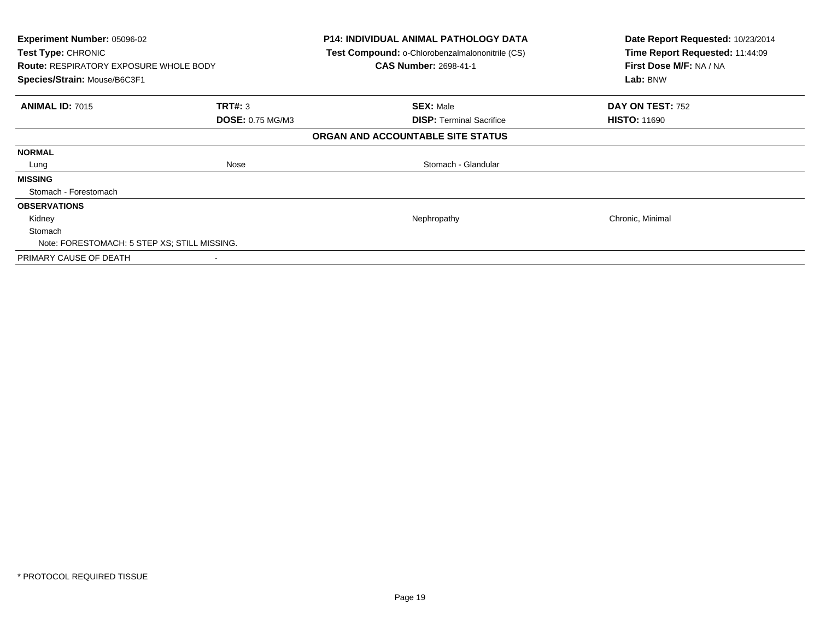| Experiment Number: 05096-02<br>Test Type: CHRONIC<br><b>Route: RESPIRATORY EXPOSURE WHOLE BODY</b><br>Species/Strain: Mouse/B6C3F1 |                         | <b>P14: INDIVIDUAL ANIMAL PATHOLOGY DATA</b><br>Test Compound: o-Chlorobenzalmalononitrile (CS)<br><b>CAS Number: 2698-41-1</b> | Date Report Requested: 10/23/2014<br>Time Report Requested: 11:44:09<br>First Dose M/F: NA / NA<br>Lab: BNW |
|------------------------------------------------------------------------------------------------------------------------------------|-------------------------|---------------------------------------------------------------------------------------------------------------------------------|-------------------------------------------------------------------------------------------------------------|
| <b>ANIMAL ID: 7015</b>                                                                                                             | TRT#: 3                 | <b>SEX: Male</b>                                                                                                                | DAY ON TEST: 752                                                                                            |
|                                                                                                                                    | <b>DOSE: 0.75 MG/M3</b> | <b>DISP: Terminal Sacrifice</b>                                                                                                 | <b>HISTO: 11690</b>                                                                                         |
|                                                                                                                                    |                         | ORGAN AND ACCOUNTABLE SITE STATUS                                                                                               |                                                                                                             |
| <b>NORMAL</b>                                                                                                                      |                         |                                                                                                                                 |                                                                                                             |
| Lung                                                                                                                               | Nose                    | Stomach - Glandular                                                                                                             |                                                                                                             |
| <b>MISSING</b>                                                                                                                     |                         |                                                                                                                                 |                                                                                                             |
| Stomach - Forestomach                                                                                                              |                         |                                                                                                                                 |                                                                                                             |
| <b>OBSERVATIONS</b>                                                                                                                |                         |                                                                                                                                 |                                                                                                             |
| Kidney                                                                                                                             |                         | Nephropathy                                                                                                                     | Chronic, Minimal                                                                                            |
| Stomach                                                                                                                            |                         |                                                                                                                                 |                                                                                                             |
| Note: FORESTOMACH: 5 STEP XS; STILL MISSING.                                                                                       |                         |                                                                                                                                 |                                                                                                             |
| PRIMARY CAUSE OF DEATH                                                                                                             |                         |                                                                                                                                 |                                                                                                             |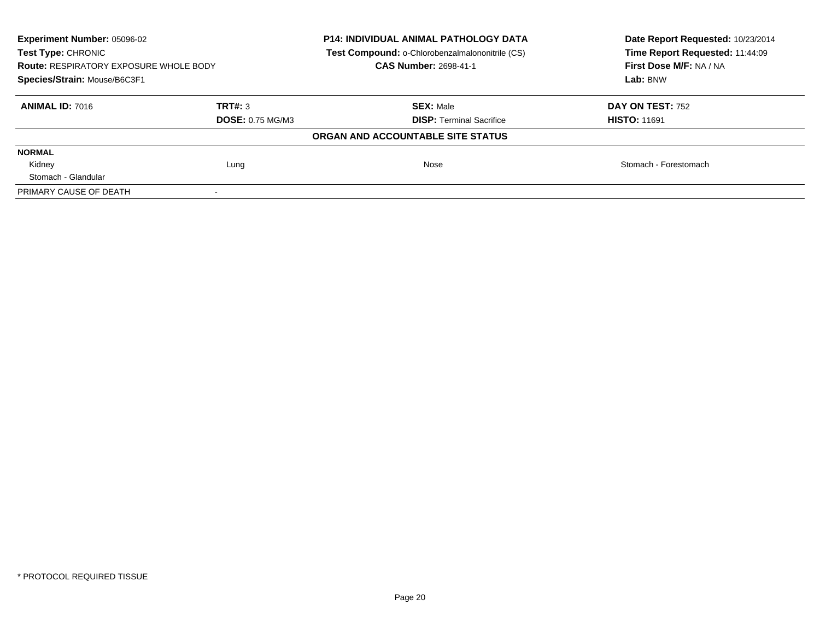| Experiment Number: 05096-02<br><b>Test Type: CHRONIC</b><br><b>Route: RESPIRATORY EXPOSURE WHOLE BODY</b><br>Species/Strain: Mouse/B6C3F1 |                                    | <b>P14: INDIVIDUAL ANIMAL PATHOLOGY DATA</b><br><b>Test Compound: o-Chlorobenzalmalononitrile (CS)</b><br><b>CAS Number: 2698-41-1</b> | Date Report Requested: 10/23/2014<br>Time Report Requested: 11:44:09<br>First Dose M/F: NA / NA<br>Lab: BNW |
|-------------------------------------------------------------------------------------------------------------------------------------------|------------------------------------|----------------------------------------------------------------------------------------------------------------------------------------|-------------------------------------------------------------------------------------------------------------|
| <b>ANIMAL ID: 7016</b>                                                                                                                    | TRT#: 3<br><b>DOSE: 0.75 MG/M3</b> | <b>SEX: Male</b><br><b>DISP:</b> Terminal Sacrifice                                                                                    | <b>DAY ON TEST: 752</b><br><b>HISTO: 11691</b>                                                              |
|                                                                                                                                           |                                    | ORGAN AND ACCOUNTABLE SITE STATUS                                                                                                      |                                                                                                             |
| <b>NORMAL</b>                                                                                                                             |                                    |                                                                                                                                        |                                                                                                             |
| Kidney                                                                                                                                    | Lung                               | Nose                                                                                                                                   | Stomach - Forestomach                                                                                       |
| Stomach - Glandular                                                                                                                       |                                    |                                                                                                                                        |                                                                                                             |
| PRIMARY CAUSE OF DEATH                                                                                                                    |                                    |                                                                                                                                        |                                                                                                             |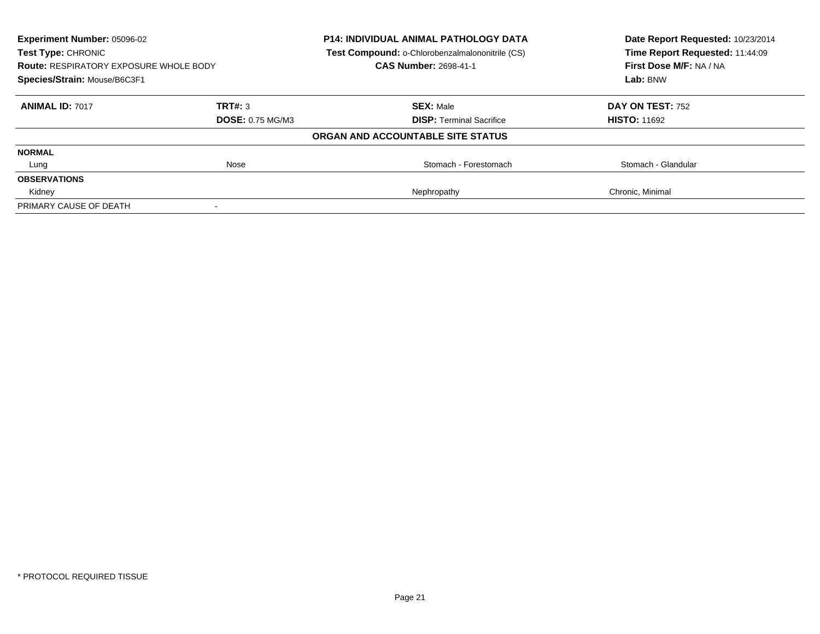| Experiment Number: 05096-02<br>Test Type: CHRONIC<br><b>Route: RESPIRATORY EXPOSURE WHOLE BODY</b> |                         | <b>P14: INDIVIDUAL ANIMAL PATHOLOGY DATA</b><br>Test Compound: o-Chlorobenzalmalononitrile (CS)<br><b>CAS Number: 2698-41-1</b> | Date Report Requested: 10/23/2014<br>Time Report Requested: 11:44:09<br>First Dose M/F: NA / NA |
|----------------------------------------------------------------------------------------------------|-------------------------|---------------------------------------------------------------------------------------------------------------------------------|-------------------------------------------------------------------------------------------------|
| Species/Strain: Mouse/B6C3F1                                                                       |                         |                                                                                                                                 | Lab: BNW                                                                                        |
| <b>ANIMAL ID: 7017</b>                                                                             | TRT#: 3                 | <b>SEX: Male</b>                                                                                                                | <b>DAY ON TEST: 752</b>                                                                         |
|                                                                                                    | <b>DOSE: 0.75 MG/M3</b> | <b>DISP:</b> Terminal Sacrifice                                                                                                 | <b>HISTO: 11692</b>                                                                             |
|                                                                                                    |                         | ORGAN AND ACCOUNTABLE SITE STATUS                                                                                               |                                                                                                 |
| <b>NORMAL</b>                                                                                      |                         |                                                                                                                                 |                                                                                                 |
| Lung                                                                                               | Nose                    | Stomach - Forestomach                                                                                                           | Stomach - Glandular                                                                             |
| <b>OBSERVATIONS</b>                                                                                |                         |                                                                                                                                 |                                                                                                 |
| Kidney                                                                                             |                         | Nephropathy                                                                                                                     | Chronic, Minimal                                                                                |
| PRIMARY CAUSE OF DEATH                                                                             |                         |                                                                                                                                 |                                                                                                 |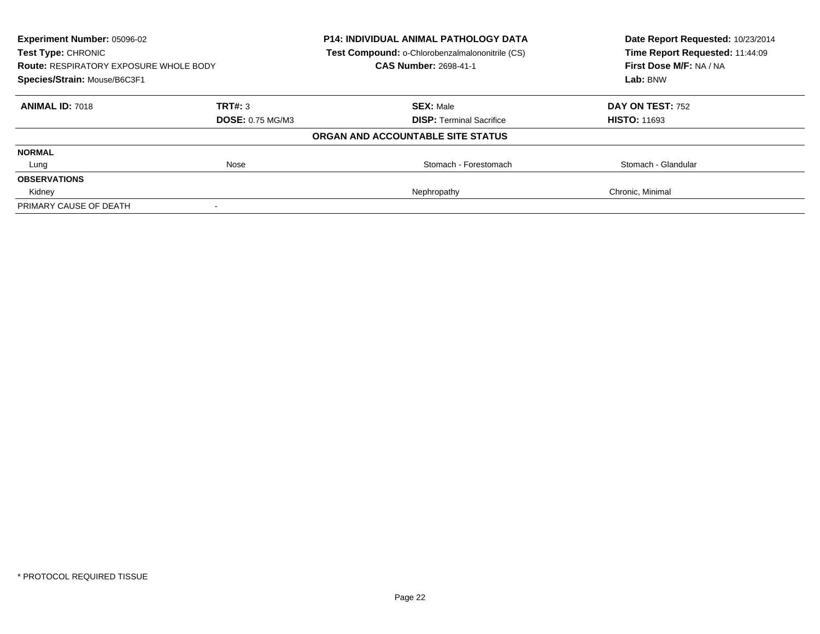| <b>Experiment Number: 05096-02</b><br><b>Test Type: CHRONIC</b>               |                         | <b>P14: INDIVIDUAL ANIMAL PATHOLOGY DATA</b><br>Test Compound: o-Chlorobenzalmalononitrile (CS) | Date Report Requested: 10/23/2014<br>Time Report Requested: 11:44:09 |
|-------------------------------------------------------------------------------|-------------------------|-------------------------------------------------------------------------------------------------|----------------------------------------------------------------------|
| <b>Route: RESPIRATORY EXPOSURE WHOLE BODY</b><br>Species/Strain: Mouse/B6C3F1 |                         | <b>CAS Number: 2698-41-1</b>                                                                    | First Dose M/F: NA / NA                                              |
|                                                                               |                         |                                                                                                 | Lab: BNW                                                             |
| <b>ANIMAL ID: 7018</b>                                                        | TRT#: 3                 | <b>SEX: Male</b>                                                                                | DAY ON TEST: 752                                                     |
|                                                                               | <b>DOSE: 0.75 MG/M3</b> | <b>DISP:</b> Terminal Sacrifice                                                                 | <b>HISTO: 11693</b>                                                  |
|                                                                               |                         | ORGAN AND ACCOUNTABLE SITE STATUS                                                               |                                                                      |
| <b>NORMAL</b>                                                                 |                         |                                                                                                 |                                                                      |
| Lung                                                                          | Nose                    | Stomach - Forestomach                                                                           | Stomach - Glandular                                                  |
| <b>OBSERVATIONS</b>                                                           |                         |                                                                                                 |                                                                      |
| Kidney                                                                        |                         | Nephropathy                                                                                     | Chronic, Minimal                                                     |
| PRIMARY CAUSE OF DEATH                                                        |                         |                                                                                                 |                                                                      |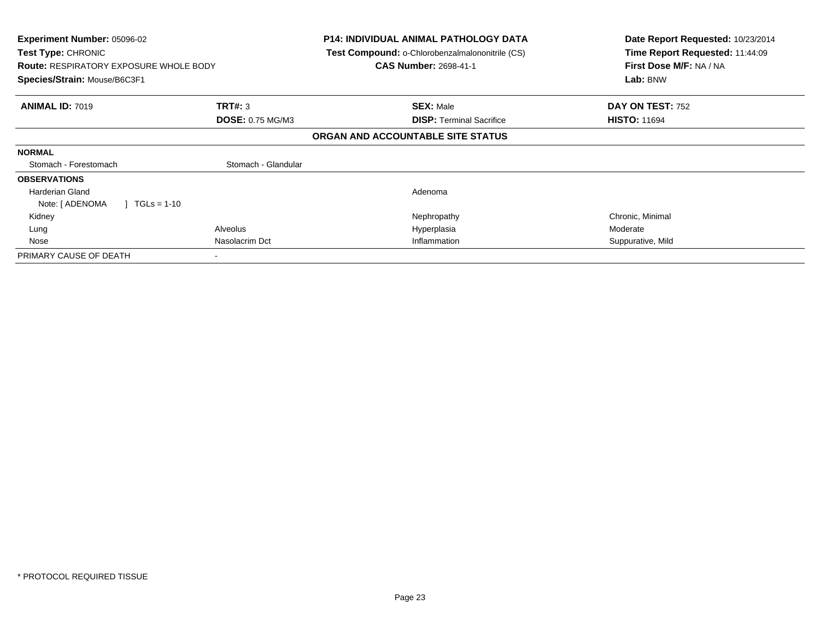| <b>Experiment Number: 05096-02</b><br><b>Test Type: CHRONIC</b><br><b>Route: RESPIRATORY EXPOSURE WHOLE BODY</b><br>Species/Strain: Mouse/B6C3F1 |                          | <b>P14: INDIVIDUAL ANIMAL PATHOLOGY DATA</b><br>Test Compound: o-Chlorobenzalmalononitrile (CS)<br><b>CAS Number: 2698-41-1</b> | Date Report Requested: 10/23/2014<br>Time Report Requested: 11:44:09<br>First Dose M/F: NA / NA<br>Lab: BNW |
|--------------------------------------------------------------------------------------------------------------------------------------------------|--------------------------|---------------------------------------------------------------------------------------------------------------------------------|-------------------------------------------------------------------------------------------------------------|
| <b>ANIMAL ID: 7019</b>                                                                                                                           | TRT#: 3                  | <b>SEX: Male</b>                                                                                                                | DAY ON TEST: 752                                                                                            |
|                                                                                                                                                  | <b>DOSE: 0.75 MG/M3</b>  | <b>DISP: Terminal Sacrifice</b>                                                                                                 | <b>HISTO: 11694</b>                                                                                         |
|                                                                                                                                                  |                          | ORGAN AND ACCOUNTABLE SITE STATUS                                                                                               |                                                                                                             |
| <b>NORMAL</b>                                                                                                                                    |                          |                                                                                                                                 |                                                                                                             |
| Stomach - Forestomach                                                                                                                            | Stomach - Glandular      |                                                                                                                                 |                                                                                                             |
| <b>OBSERVATIONS</b>                                                                                                                              |                          |                                                                                                                                 |                                                                                                             |
| <b>Harderian Gland</b>                                                                                                                           |                          | Adenoma                                                                                                                         |                                                                                                             |
| Note: [ ADENOMA<br>$TGLs = 1-10$                                                                                                                 |                          |                                                                                                                                 |                                                                                                             |
| Kidney                                                                                                                                           |                          | Nephropathy                                                                                                                     | Chronic, Minimal                                                                                            |
| Lung                                                                                                                                             | Alveolus                 | Hyperplasia                                                                                                                     | Moderate                                                                                                    |
| Nose                                                                                                                                             | Nasolacrim Dct           | Inflammation                                                                                                                    | Suppurative, Mild                                                                                           |
| PRIMARY CAUSE OF DEATH                                                                                                                           | $\overline{\phantom{a}}$ |                                                                                                                                 |                                                                                                             |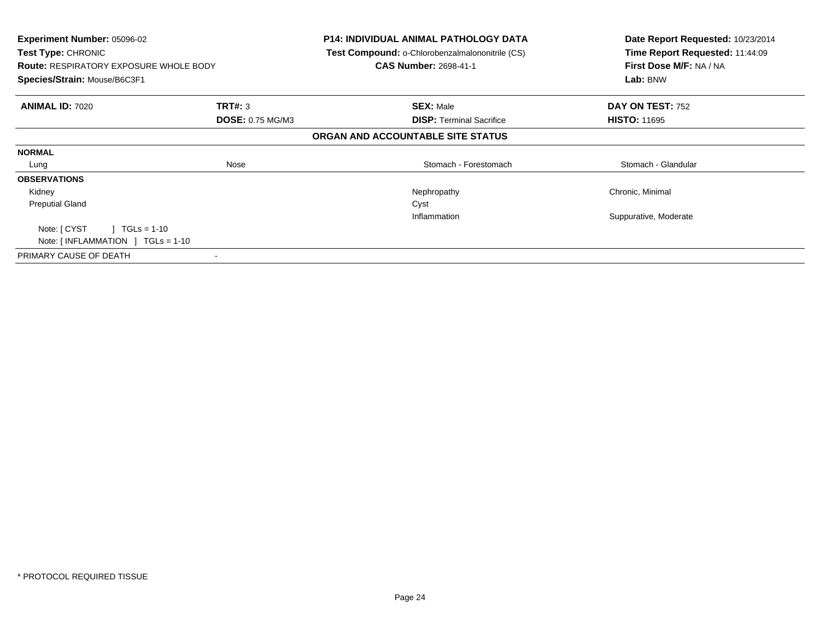| Experiment Number: 05096-02<br><b>Test Type: CHRONIC</b><br><b>Route: RESPIRATORY EXPOSURE WHOLE BODY</b><br>Species/Strain: Mouse/B6C3F1 |                         | <b>P14: INDIVIDUAL ANIMAL PATHOLOGY DATA</b><br><b>Test Compound: o-Chlorobenzalmalononitrile (CS)</b><br><b>CAS Number: 2698-41-1</b> | Date Report Requested: 10/23/2014<br>Time Report Requested: 11:44:09<br>First Dose M/F: NA / NA<br>Lab: BNW |
|-------------------------------------------------------------------------------------------------------------------------------------------|-------------------------|----------------------------------------------------------------------------------------------------------------------------------------|-------------------------------------------------------------------------------------------------------------|
| <b>ANIMAL ID: 7020</b>                                                                                                                    | TRT#: 3                 | <b>SEX: Male</b>                                                                                                                       | DAY ON TEST: 752                                                                                            |
|                                                                                                                                           | <b>DOSE: 0.75 MG/M3</b> | <b>DISP:</b> Terminal Sacrifice                                                                                                        | <b>HISTO: 11695</b>                                                                                         |
|                                                                                                                                           |                         | ORGAN AND ACCOUNTABLE SITE STATUS                                                                                                      |                                                                                                             |
| <b>NORMAL</b>                                                                                                                             |                         |                                                                                                                                        |                                                                                                             |
| Lung                                                                                                                                      | Nose                    | Stomach - Forestomach                                                                                                                  | Stomach - Glandular                                                                                         |
| <b>OBSERVATIONS</b>                                                                                                                       |                         |                                                                                                                                        |                                                                                                             |
| Kidney                                                                                                                                    |                         | Nephropathy                                                                                                                            | Chronic, Minimal                                                                                            |
| <b>Preputial Gland</b>                                                                                                                    |                         | Cyst                                                                                                                                   |                                                                                                             |
|                                                                                                                                           |                         | Inflammation                                                                                                                           | Suppurative, Moderate                                                                                       |
| Note: [ CYST<br>$1 \text{ TGLs} = 1-10$                                                                                                   |                         |                                                                                                                                        |                                                                                                             |
| Note: $[INFLAMMATION] TGLs = 1-10$                                                                                                        |                         |                                                                                                                                        |                                                                                                             |
| PRIMARY CAUSE OF DEATH                                                                                                                    |                         |                                                                                                                                        |                                                                                                             |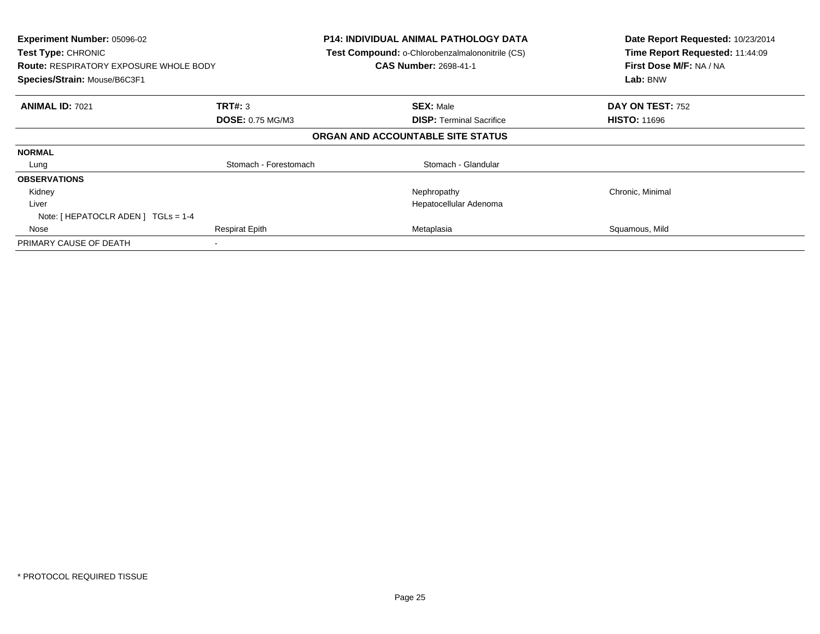| Experiment Number: 05096-02<br><b>Test Type: CHRONIC</b><br><b>Route: RESPIRATORY EXPOSURE WHOLE BODY</b><br>Species/Strain: Mouse/B6C3F1 |                         | <b>P14: INDIVIDUAL ANIMAL PATHOLOGY DATA</b><br>Test Compound: o-Chlorobenzalmalononitrile (CS)<br><b>CAS Number: 2698-41-1</b> | Date Report Requested: 10/23/2014<br>Time Report Requested: 11:44:09<br>First Dose M/F: NA / NA<br>Lab: BNW |
|-------------------------------------------------------------------------------------------------------------------------------------------|-------------------------|---------------------------------------------------------------------------------------------------------------------------------|-------------------------------------------------------------------------------------------------------------|
| <b>ANIMAL ID: 7021</b>                                                                                                                    | <b>TRT#: 3</b>          | <b>SEX: Male</b>                                                                                                                | DAY ON TEST: 752                                                                                            |
|                                                                                                                                           | <b>DOSE: 0.75 MG/M3</b> | <b>DISP:</b> Terminal Sacrifice                                                                                                 | <b>HISTO: 11696</b>                                                                                         |
|                                                                                                                                           |                         | ORGAN AND ACCOUNTABLE SITE STATUS                                                                                               |                                                                                                             |
| <b>NORMAL</b>                                                                                                                             |                         |                                                                                                                                 |                                                                                                             |
| Lung                                                                                                                                      | Stomach - Forestomach   | Stomach - Glandular                                                                                                             |                                                                                                             |
| <b>OBSERVATIONS</b>                                                                                                                       |                         |                                                                                                                                 |                                                                                                             |
| Kidney                                                                                                                                    |                         | Nephropathy                                                                                                                     | Chronic, Minimal                                                                                            |
| Liver                                                                                                                                     |                         | Hepatocellular Adenoma                                                                                                          |                                                                                                             |
| Note: $[HEPATOCLR ADEN] TGLS = 1-4$                                                                                                       |                         |                                                                                                                                 |                                                                                                             |
| Nose                                                                                                                                      | <b>Respirat Epith</b>   | Metaplasia                                                                                                                      | Squamous, Mild                                                                                              |
| PRIMARY CAUSE OF DEATH                                                                                                                    |                         |                                                                                                                                 |                                                                                                             |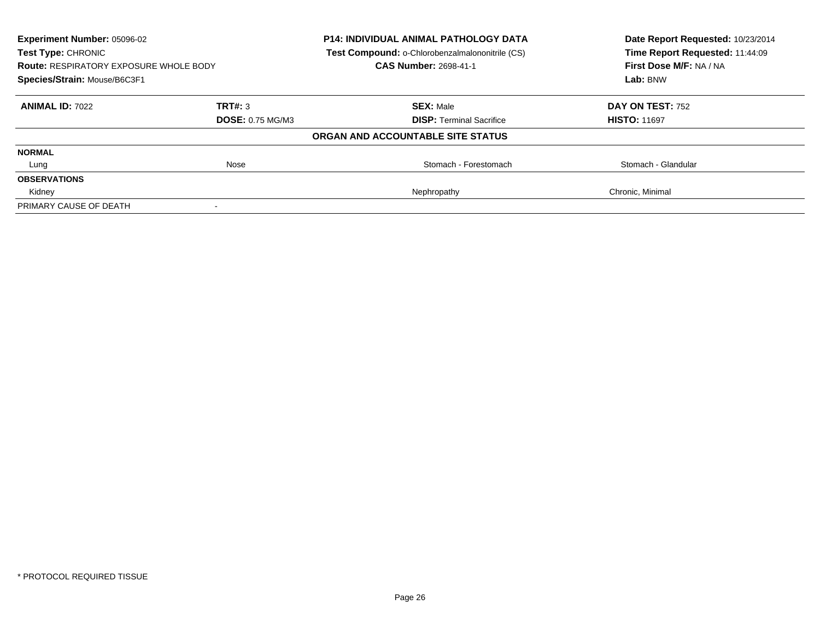| Experiment Number: 05096-02<br><b>Test Type: CHRONIC</b><br><b>Route: RESPIRATORY EXPOSURE WHOLE BODY</b> |                         | <b>P14: INDIVIDUAL ANIMAL PATHOLOGY DATA</b><br>Test Compound: o-Chlorobenzalmalononitrile (CS)<br><b>CAS Number: 2698-41-1</b> | Date Report Requested: 10/23/2014<br>Time Report Requested: 11:44:09<br>First Dose M/F: NA / NA |
|-----------------------------------------------------------------------------------------------------------|-------------------------|---------------------------------------------------------------------------------------------------------------------------------|-------------------------------------------------------------------------------------------------|
| Species/Strain: Mouse/B6C3F1                                                                              |                         |                                                                                                                                 | Lab: BNW                                                                                        |
| <b>ANIMAL ID: 7022</b>                                                                                    | TRT#: 3                 | <b>SEX: Male</b>                                                                                                                | <b>DAY ON TEST: 752</b>                                                                         |
|                                                                                                           | <b>DOSE: 0.75 MG/M3</b> | <b>DISP:</b> Terminal Sacrifice                                                                                                 | <b>HISTO: 11697</b>                                                                             |
|                                                                                                           |                         | ORGAN AND ACCOUNTABLE SITE STATUS                                                                                               |                                                                                                 |
| <b>NORMAL</b>                                                                                             |                         |                                                                                                                                 |                                                                                                 |
| Lung                                                                                                      | Nose                    | Stomach - Forestomach                                                                                                           | Stomach - Glandular                                                                             |
| <b>OBSERVATIONS</b>                                                                                       |                         |                                                                                                                                 |                                                                                                 |
| Kidney                                                                                                    |                         | Nephropathy                                                                                                                     | Chronic, Minimal                                                                                |
| PRIMARY CAUSE OF DEATH                                                                                    |                         |                                                                                                                                 |                                                                                                 |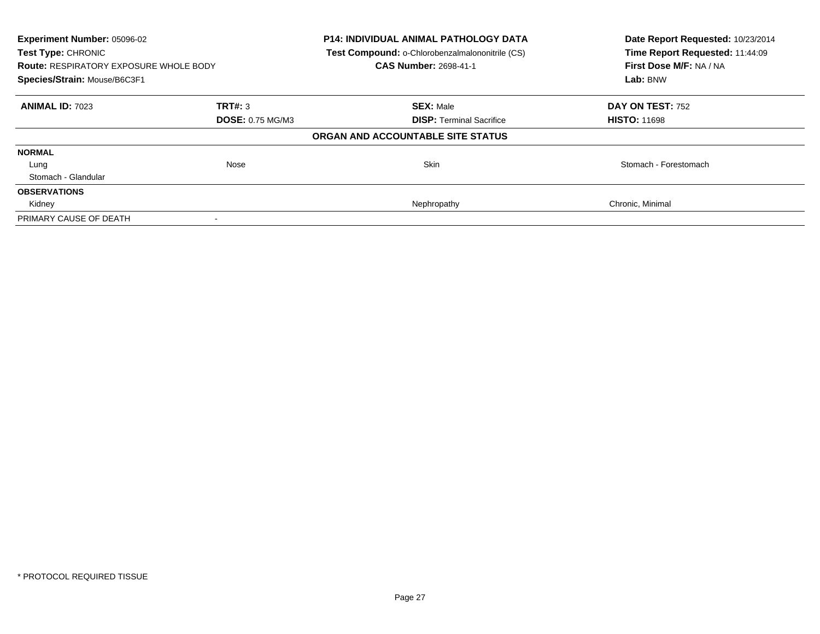| Experiment Number: 05096-02<br><b>Test Type: CHRONIC</b><br><b>Route: RESPIRATORY EXPOSURE WHOLE BODY</b><br>Species/Strain: Mouse/B6C3F1 |                         | <b>P14: INDIVIDUAL ANIMAL PATHOLOGY DATA</b><br>Test Compound: o-Chlorobenzalmalononitrile (CS)<br>CAS Number: 2698-41-1 | Date Report Requested: 10/23/2014<br>Time Report Requested: 11:44:09<br>First Dose M/F: NA / NA<br>Lab: BNW |
|-------------------------------------------------------------------------------------------------------------------------------------------|-------------------------|--------------------------------------------------------------------------------------------------------------------------|-------------------------------------------------------------------------------------------------------------|
| <b>ANIMAL ID: 7023</b>                                                                                                                    | TRT#: 3                 | <b>SEX: Male</b>                                                                                                         | DAY ON TEST: 752                                                                                            |
|                                                                                                                                           | <b>DOSE: 0.75 MG/M3</b> | <b>DISP:</b> Terminal Sacrifice                                                                                          | <b>HISTO: 11698</b>                                                                                         |
|                                                                                                                                           |                         | ORGAN AND ACCOUNTABLE SITE STATUS                                                                                        |                                                                                                             |
| <b>NORMAL</b>                                                                                                                             |                         |                                                                                                                          |                                                                                                             |
| Lung                                                                                                                                      | <b>Nose</b>             | <b>Skin</b>                                                                                                              | Stomach - Forestomach                                                                                       |
| Stomach - Glandular                                                                                                                       |                         |                                                                                                                          |                                                                                                             |
| <b>OBSERVATIONS</b>                                                                                                                       |                         |                                                                                                                          |                                                                                                             |
| Kidney                                                                                                                                    |                         | Nephropathy                                                                                                              | Chronic, Minimal                                                                                            |
| PRIMARY CAUSE OF DEATH                                                                                                                    |                         |                                                                                                                          |                                                                                                             |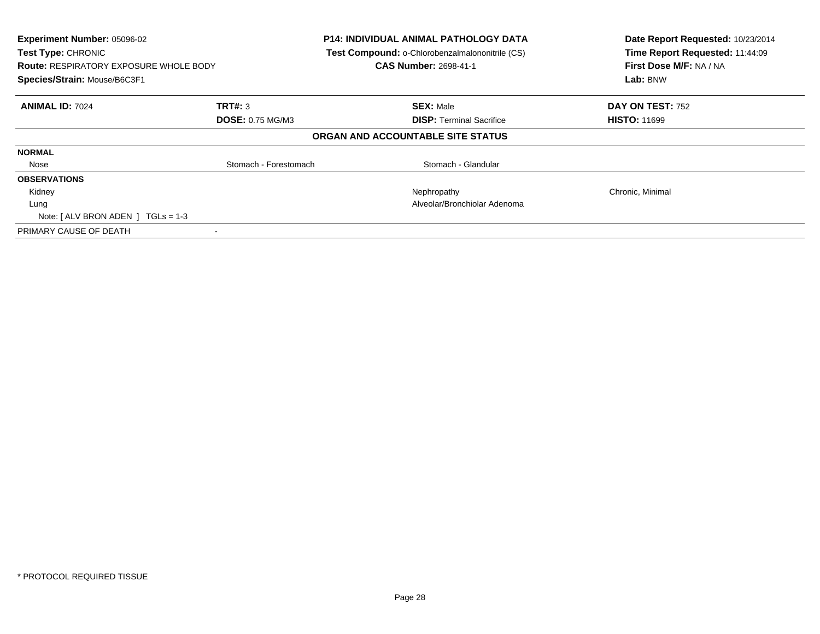| Experiment Number: 05096-02<br><b>Test Type: CHRONIC</b><br><b>Route: RESPIRATORY EXPOSURE WHOLE BODY</b><br>Species/Strain: Mouse/B6C3F1 |                         | <b>P14: INDIVIDUAL ANIMAL PATHOLOGY DATA</b><br>Test Compound: o-Chlorobenzalmalononitrile (CS)<br><b>CAS Number: 2698-41-1</b> | Date Report Requested: 10/23/2014<br>Time Report Requested: 11:44:09<br>First Dose M/F: NA / NA<br>Lab: BNW |
|-------------------------------------------------------------------------------------------------------------------------------------------|-------------------------|---------------------------------------------------------------------------------------------------------------------------------|-------------------------------------------------------------------------------------------------------------|
| <b>ANIMAL ID: 7024</b>                                                                                                                    | TRT#: 3                 | <b>SEX: Male</b>                                                                                                                | DAY ON TEST: 752                                                                                            |
|                                                                                                                                           | <b>DOSE: 0.75 MG/M3</b> | <b>DISP:</b> Terminal Sacrifice                                                                                                 | <b>HISTO: 11699</b>                                                                                         |
|                                                                                                                                           |                         | ORGAN AND ACCOUNTABLE SITE STATUS                                                                                               |                                                                                                             |
| <b>NORMAL</b>                                                                                                                             |                         |                                                                                                                                 |                                                                                                             |
| Nose                                                                                                                                      | Stomach - Forestomach   | Stomach - Glandular                                                                                                             |                                                                                                             |
| <b>OBSERVATIONS</b>                                                                                                                       |                         |                                                                                                                                 |                                                                                                             |
| Kidney                                                                                                                                    |                         | Nephropathy                                                                                                                     | Chronic, Minimal                                                                                            |
| Lung                                                                                                                                      |                         | Alveolar/Bronchiolar Adenoma                                                                                                    |                                                                                                             |
| Note: $[ALV$ BRON ADEN $]$ TGLs = 1-3                                                                                                     |                         |                                                                                                                                 |                                                                                                             |
| PRIMARY CAUSE OF DEATH                                                                                                                    |                         |                                                                                                                                 |                                                                                                             |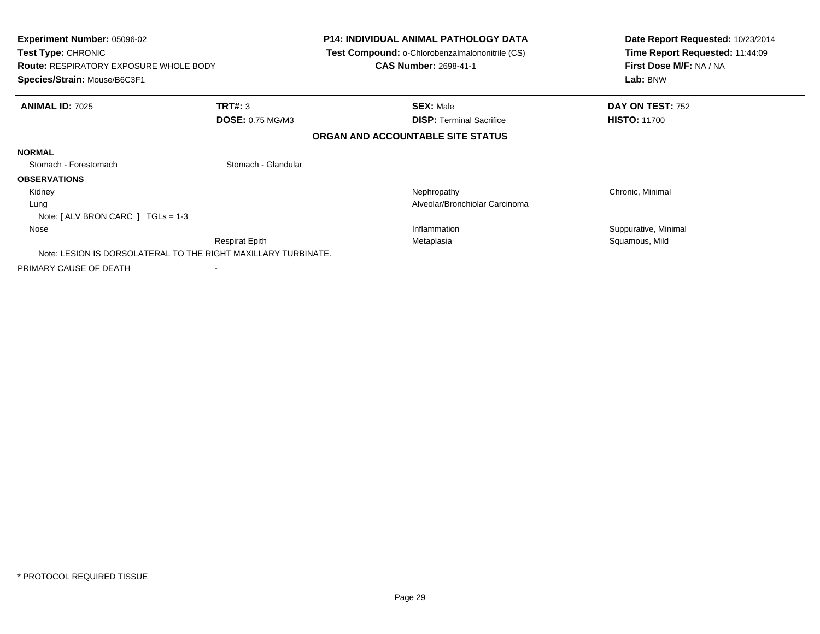| Experiment Number: 05096-02<br><b>Test Type: CHRONIC</b><br><b>Route: RESPIRATORY EXPOSURE WHOLE BODY</b><br>Species/Strain: Mouse/B6C3F1 |                         | <b>P14: INDIVIDUAL ANIMAL PATHOLOGY DATA</b><br><b>Test Compound: o-Chlorobenzalmalononitrile (CS)</b><br><b>CAS Number: 2698-41-1</b> | Date Report Requested: 10/23/2014<br>Time Report Requested: 11:44:09<br>First Dose M/F: NA / NA<br>Lab: BNW |
|-------------------------------------------------------------------------------------------------------------------------------------------|-------------------------|----------------------------------------------------------------------------------------------------------------------------------------|-------------------------------------------------------------------------------------------------------------|
| <b>ANIMAL ID: 7025</b>                                                                                                                    | TRT#: 3                 | <b>SEX: Male</b>                                                                                                                       | DAY ON TEST: 752                                                                                            |
|                                                                                                                                           | <b>DOSE: 0.75 MG/M3</b> | <b>DISP: Terminal Sacrifice</b>                                                                                                        | <b>HISTO: 11700</b>                                                                                         |
|                                                                                                                                           |                         | ORGAN AND ACCOUNTABLE SITE STATUS                                                                                                      |                                                                                                             |
| <b>NORMAL</b>                                                                                                                             |                         |                                                                                                                                        |                                                                                                             |
| Stomach - Forestomach                                                                                                                     | Stomach - Glandular     |                                                                                                                                        |                                                                                                             |
| <b>OBSERVATIONS</b>                                                                                                                       |                         |                                                                                                                                        |                                                                                                             |
| Kidney                                                                                                                                    |                         | Nephropathy                                                                                                                            | Chronic, Minimal                                                                                            |
| Lung                                                                                                                                      |                         | Alveolar/Bronchiolar Carcinoma                                                                                                         |                                                                                                             |
| Note: $[ALV$ BRON CARC $]$ TGLs = 1-3                                                                                                     |                         |                                                                                                                                        |                                                                                                             |
| Nose                                                                                                                                      |                         | Inflammation                                                                                                                           | Suppurative, Minimal                                                                                        |
|                                                                                                                                           | <b>Respirat Epith</b>   | Metaplasia                                                                                                                             | Squamous, Mild                                                                                              |
| Note: LESION IS DORSOLATERAL TO THE RIGHT MAXILLARY TURBINATE.                                                                            |                         |                                                                                                                                        |                                                                                                             |
| PRIMARY CAUSE OF DEATH                                                                                                                    |                         |                                                                                                                                        |                                                                                                             |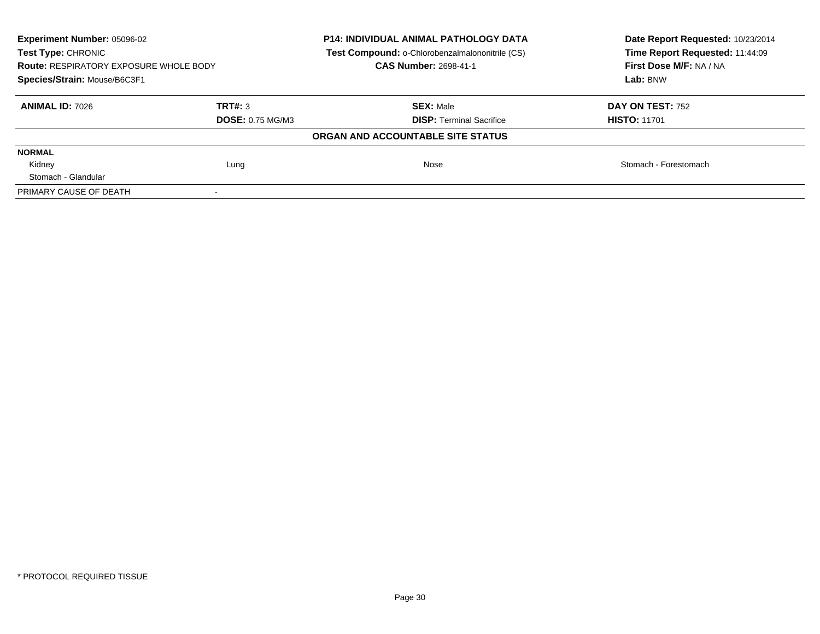| <b>Experiment Number: 05096-02</b><br>Test Type: CHRONIC<br><b>Route: RESPIRATORY EXPOSURE WHOLE BODY</b><br>Species/Strain: Mouse/B6C3F1 |                                    | <b>P14: INDIVIDUAL ANIMAL PATHOLOGY DATA</b><br>Test Compound: o-Chlorobenzalmalononitrile (CS)<br><b>CAS Number: 2698-41-1</b> | Date Report Requested: 10/23/2014<br>Time Report Requested: 11:44:09<br>First Dose M/F: NA / NA<br>Lab: BNW |
|-------------------------------------------------------------------------------------------------------------------------------------------|------------------------------------|---------------------------------------------------------------------------------------------------------------------------------|-------------------------------------------------------------------------------------------------------------|
| <b>ANIMAL ID: 7026</b>                                                                                                                    | TRT#: 3<br><b>DOSE: 0.75 MG/M3</b> | <b>SEX: Male</b><br><b>DISP:</b> Terminal Sacrifice                                                                             | <b>DAY ON TEST: 752</b><br><b>HISTO: 11701</b>                                                              |
|                                                                                                                                           |                                    | ORGAN AND ACCOUNTABLE SITE STATUS                                                                                               |                                                                                                             |
| <b>NORMAL</b>                                                                                                                             |                                    |                                                                                                                                 |                                                                                                             |
| Kidney                                                                                                                                    | Lung                               | Nose                                                                                                                            | Stomach - Forestomach                                                                                       |
| Stomach - Glandular                                                                                                                       |                                    |                                                                                                                                 |                                                                                                             |
| PRIMARY CAUSE OF DEATH                                                                                                                    |                                    |                                                                                                                                 |                                                                                                             |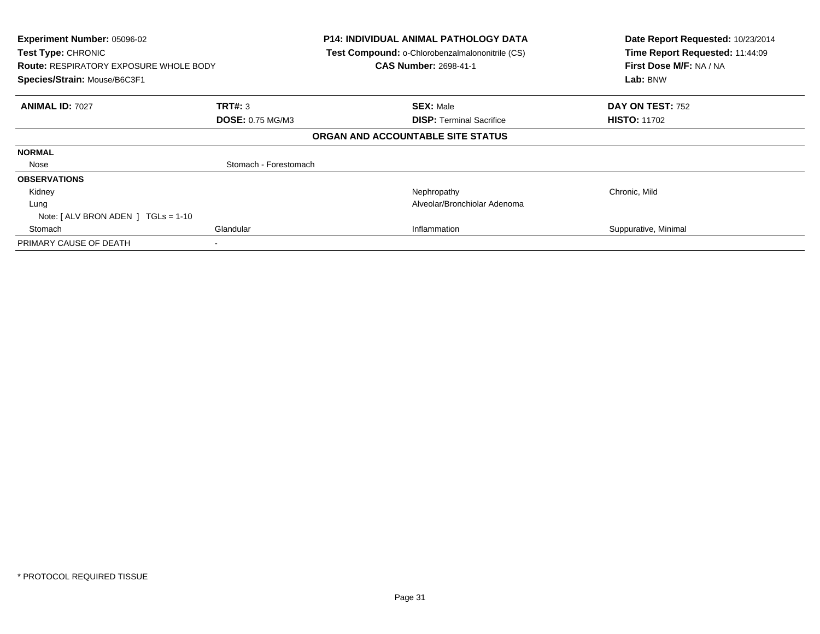| Experiment Number: 05096-02<br>Test Type: CHRONIC<br><b>Route: RESPIRATORY EXPOSURE WHOLE BODY</b><br>Species/Strain: Mouse/B6C3F1 |                         | <b>P14: INDIVIDUAL ANIMAL PATHOLOGY DATA</b><br>Test Compound: o-Chlorobenzalmalononitrile (CS)<br><b>CAS Number: 2698-41-1</b> | Date Report Requested: 10/23/2014<br>Time Report Requested: 11:44:09<br>First Dose M/F: NA / NA<br>Lab: BNW |
|------------------------------------------------------------------------------------------------------------------------------------|-------------------------|---------------------------------------------------------------------------------------------------------------------------------|-------------------------------------------------------------------------------------------------------------|
| <b>ANIMAL ID: 7027</b>                                                                                                             | TRT#: 3                 | <b>SEX: Male</b>                                                                                                                | DAY ON TEST: 752                                                                                            |
|                                                                                                                                    | <b>DOSE: 0.75 MG/M3</b> | <b>DISP: Terminal Sacrifice</b>                                                                                                 | <b>HISTO: 11702</b>                                                                                         |
|                                                                                                                                    |                         | ORGAN AND ACCOUNTABLE SITE STATUS                                                                                               |                                                                                                             |
| <b>NORMAL</b>                                                                                                                      |                         |                                                                                                                                 |                                                                                                             |
| Nose                                                                                                                               | Stomach - Forestomach   |                                                                                                                                 |                                                                                                             |
| <b>OBSERVATIONS</b>                                                                                                                |                         |                                                                                                                                 |                                                                                                             |
| Kidney                                                                                                                             |                         | Nephropathy                                                                                                                     | Chronic, Mild                                                                                               |
| Lung                                                                                                                               |                         | Alveolar/Bronchiolar Adenoma                                                                                                    |                                                                                                             |
| Note: $[ALV$ BRON ADEN $]$ TGLs = 1-10                                                                                             |                         |                                                                                                                                 |                                                                                                             |
| Stomach                                                                                                                            | Glandular               | Inflammation                                                                                                                    | Suppurative, Minimal                                                                                        |
| PRIMARY CAUSE OF DEATH                                                                                                             |                         |                                                                                                                                 |                                                                                                             |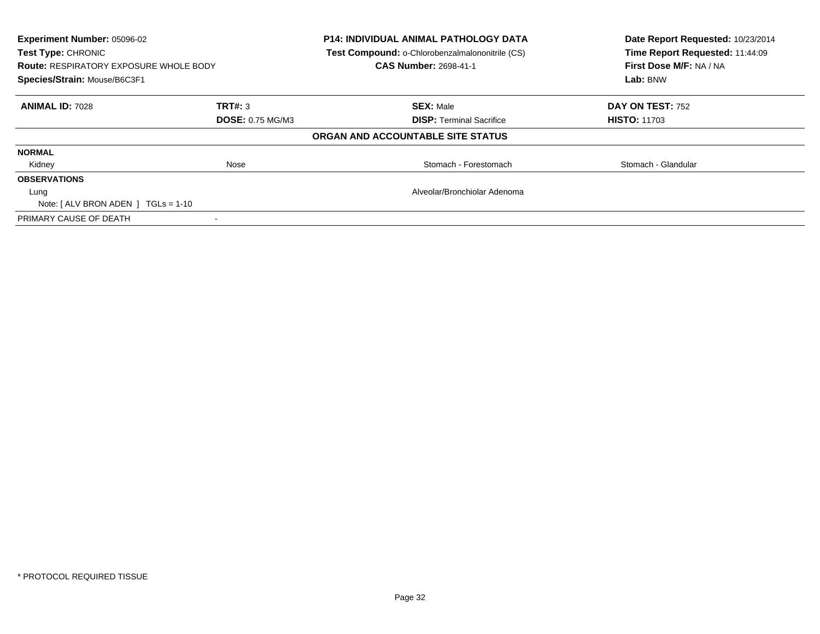| <b>Experiment Number: 05096-02</b><br>Test Type: CHRONIC<br><b>Route: RESPIRATORY EXPOSURE WHOLE BODY</b><br>Species/Strain: Mouse/B6C3F1 |                         | <b>P14: INDIVIDUAL ANIMAL PATHOLOGY DATA</b><br>Test Compound: o-Chlorobenzalmalononitrile (CS)<br><b>CAS Number: 2698-41-1</b> | Date Report Requested: 10/23/2014<br>Time Report Requested: 11:44:09<br>First Dose M/F: NA / NA<br>Lab: BNW |
|-------------------------------------------------------------------------------------------------------------------------------------------|-------------------------|---------------------------------------------------------------------------------------------------------------------------------|-------------------------------------------------------------------------------------------------------------|
|                                                                                                                                           |                         |                                                                                                                                 |                                                                                                             |
| <b>ANIMAL ID: 7028</b>                                                                                                                    | TRT#: 3                 | <b>SEX: Male</b>                                                                                                                | DAY ON TEST: 752                                                                                            |
|                                                                                                                                           | <b>DOSE: 0.75 MG/M3</b> | <b>DISP:</b> Terminal Sacrifice                                                                                                 | <b>HISTO: 11703</b>                                                                                         |
|                                                                                                                                           |                         | ORGAN AND ACCOUNTABLE SITE STATUS                                                                                               |                                                                                                             |
| <b>NORMAL</b>                                                                                                                             |                         |                                                                                                                                 |                                                                                                             |
| Kidney                                                                                                                                    | Nose                    | Stomach - Forestomach                                                                                                           | Stomach - Glandular                                                                                         |
| <b>OBSERVATIONS</b>                                                                                                                       |                         |                                                                                                                                 |                                                                                                             |
| Lung                                                                                                                                      |                         | Alveolar/Bronchiolar Adenoma                                                                                                    |                                                                                                             |
| Note: $[ALV$ BRON ADEN $]$ TGLs = 1-10                                                                                                    |                         |                                                                                                                                 |                                                                                                             |
| PRIMARY CAUSE OF DEATH                                                                                                                    |                         |                                                                                                                                 |                                                                                                             |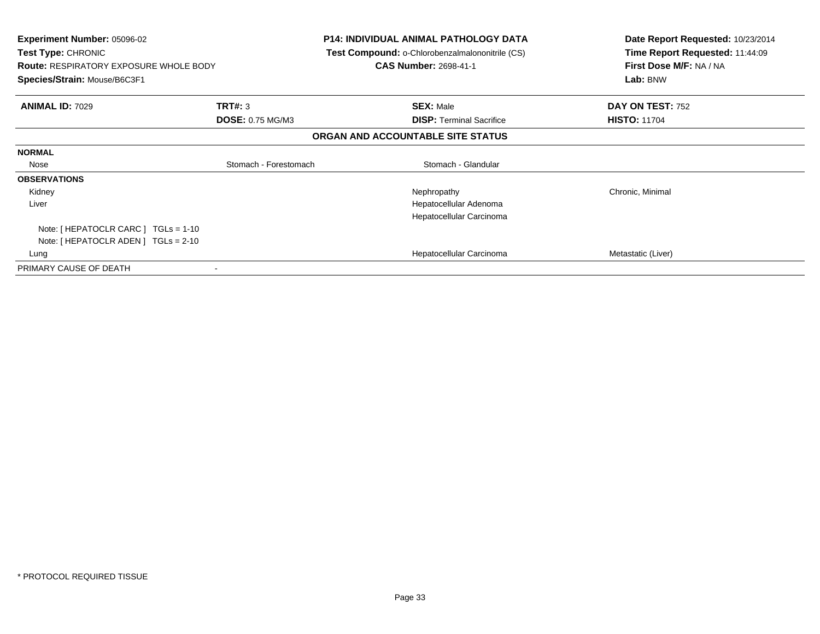| <b>Experiment Number: 05096-02</b><br><b>Test Type: CHRONIC</b><br><b>Route: RESPIRATORY EXPOSURE WHOLE BODY</b><br>Species/Strain: Mouse/B6C3F1 |                         | P14: INDIVIDUAL ANIMAL PATHOLOGY DATA<br>Test Compound: o-Chlorobenzalmalononitrile (CS)<br><b>CAS Number: 2698-41-1</b> | Date Report Requested: 10/23/2014<br>Time Report Requested: 11:44:09<br>First Dose M/F: NA / NA<br>Lab: BNW |
|--------------------------------------------------------------------------------------------------------------------------------------------------|-------------------------|--------------------------------------------------------------------------------------------------------------------------|-------------------------------------------------------------------------------------------------------------|
| <b>ANIMAL ID: 7029</b>                                                                                                                           | TRT#: 3                 | <b>SEX: Male</b>                                                                                                         | DAY ON TEST: 752                                                                                            |
|                                                                                                                                                  | <b>DOSE: 0.75 MG/M3</b> | <b>DISP:</b> Terminal Sacrifice                                                                                          | <b>HISTO: 11704</b>                                                                                         |
|                                                                                                                                                  |                         | ORGAN AND ACCOUNTABLE SITE STATUS                                                                                        |                                                                                                             |
| <b>NORMAL</b>                                                                                                                                    |                         |                                                                                                                          |                                                                                                             |
| Nose                                                                                                                                             | Stomach - Forestomach   | Stomach - Glandular                                                                                                      |                                                                                                             |
| <b>OBSERVATIONS</b>                                                                                                                              |                         |                                                                                                                          |                                                                                                             |
| Kidney                                                                                                                                           |                         | Nephropathy                                                                                                              | Chronic, Minimal                                                                                            |
| Liver                                                                                                                                            |                         | Hepatocellular Adenoma                                                                                                   |                                                                                                             |
|                                                                                                                                                  |                         | Hepatocellular Carcinoma                                                                                                 |                                                                                                             |
| Note: [ HEPATOCLR CARC ] TGLs = 1-10                                                                                                             |                         |                                                                                                                          |                                                                                                             |
| Note: [ HEPATOCLR ADEN ] TGLs = 2-10                                                                                                             |                         |                                                                                                                          |                                                                                                             |
| Lung                                                                                                                                             |                         | Hepatocellular Carcinoma                                                                                                 | Metastatic (Liver)                                                                                          |
| PRIMARY CAUSE OF DEATH                                                                                                                           | $\,$ $\,$               |                                                                                                                          |                                                                                                             |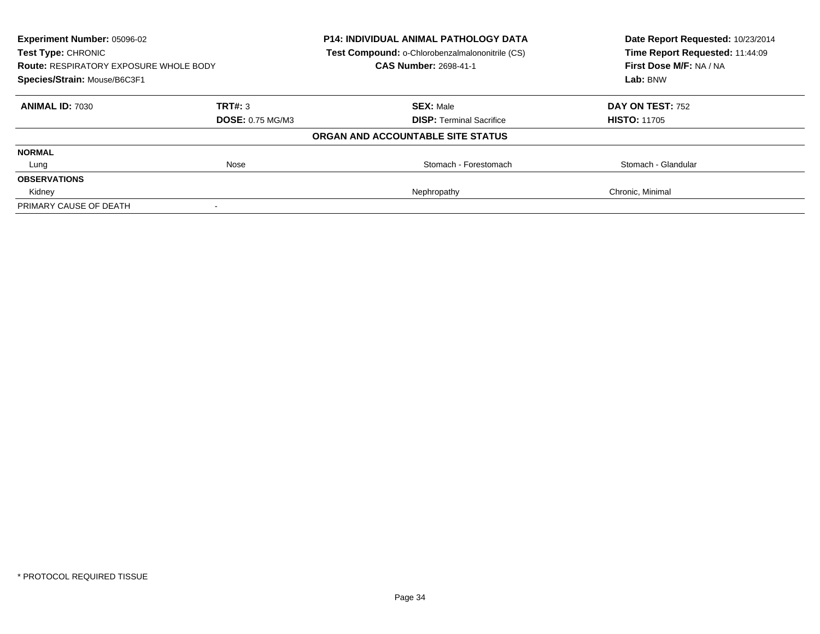| <b>Experiment Number: 05096-02</b><br><b>Test Type: CHRONIC</b><br><b>Route: RESPIRATORY EXPOSURE WHOLE BODY</b><br>Species/Strain: Mouse/B6C3F1 |                         | <b>P14: INDIVIDUAL ANIMAL PATHOLOGY DATA</b><br>Test Compound: o-Chlorobenzalmalononitrile (CS) | Date Report Requested: 10/23/2014<br>Time Report Requested: 11:44:09<br>First Dose M/F: NA / NA<br>Lab: BNW |
|--------------------------------------------------------------------------------------------------------------------------------------------------|-------------------------|-------------------------------------------------------------------------------------------------|-------------------------------------------------------------------------------------------------------------|
|                                                                                                                                                  |                         | <b>CAS Number: 2698-41-1</b>                                                                    |                                                                                                             |
|                                                                                                                                                  |                         |                                                                                                 |                                                                                                             |
| <b>ANIMAL ID: 7030</b>                                                                                                                           | TRT#: 3                 | <b>SEX: Male</b>                                                                                | DAY ON TEST: 752                                                                                            |
|                                                                                                                                                  | <b>DOSE: 0.75 MG/M3</b> | <b>DISP:</b> Terminal Sacrifice                                                                 | <b>HISTO: 11705</b>                                                                                         |
|                                                                                                                                                  |                         | ORGAN AND ACCOUNTABLE SITE STATUS                                                               |                                                                                                             |
| <b>NORMAL</b>                                                                                                                                    |                         |                                                                                                 |                                                                                                             |
| Lung                                                                                                                                             | Nose                    | Stomach - Forestomach                                                                           | Stomach - Glandular                                                                                         |
| <b>OBSERVATIONS</b>                                                                                                                              |                         |                                                                                                 |                                                                                                             |
| Kidney                                                                                                                                           |                         | Nephropathy                                                                                     | Chronic, Minimal                                                                                            |
| PRIMARY CAUSE OF DEATH                                                                                                                           |                         |                                                                                                 |                                                                                                             |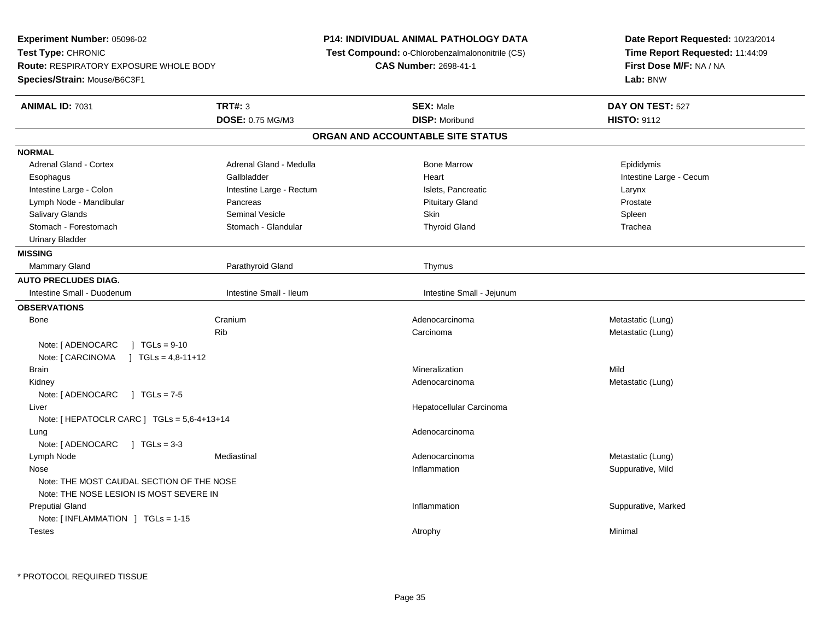**Experiment Number:** 05096-02**Test Type:** CHRONIC **Route:** RESPIRATORY EXPOSURE WHOLE BODY**Species/Strain:** Mouse/B6C3F1**P14: INDIVIDUAL ANIMAL PATHOLOGY DATA Test Compound:** o-Chlorobenzalmalononitrile (CS)**CAS Number:** 2698-41-1**Date Report Requested:** 10/23/2014**Time Report Requested:** 11:44:09**First Dose M/F:** NA / NA**Lab:** BNW**ANIMAL ID:** 7031**TRT#:** 3 **SEX:** Male **DAY ON TEST:** 527 **DOSE:** 0.75 MG/M3**DISP:** Moribund **HISTO:** 9112 **ORGAN AND ACCOUNTABLE SITE STATUSNORMALAdrenal Gland - Cortex** Adrenal Gland - Medulla **Adrenal Gland - Medulla** Bone Marrow **Correspondent Correspondent Correspondent Correspondent Correspondent Correspondent Correspondent Correspondent Correspondent Correspondent Correspondent Corre** Esophagus **Example 19** Callbladder **Gallbladder Community Community Community** Heart Heart Intestine Large - Cecum Intestine Large - Colon **Intestine Large - Rectum** Intestine Large - Rectum Islets, Pancreatic **Intestine Large - Larynx** Prostate Lymph Node - Mandibular **Pancreas** Pancreas **Prostate Prostate Prostate Prostate Prostate** Pituitary Gland Spleen Salivary Glands Seminal Vesicle Skin SpleenTrachea Stomach - Forestomach **Stomach - Stomach - Glandular** Thyroid Gland Thyroid Gland Tracheans Thyroid Gland Tracheans Urinary Bladder**MISSING**Mammary Gland Parathyroid Gland **Parathyroid Gland** Parathyroid Gland Thymus **AUTO PRECLUDES DIAG.**Intestine Small - Duodenum **Intestine Small - Intestine Small - Intestine Small - Intestine Small - Jejunum OBSERVATIONS** Bonee Cranium m and the matter of the Adenocarcinoma and the Metastatic (Lung) and Metastatic (Lung) Ribb and the controller controller controller controller controller controller controller  $\mathsf{C}$  and  $\mathsf{C}$  controller controller controller controller controller controller controller controller controller controller con Note: [ ADENOCARC ] TGLs = 9-10 Note: [ CARCINOMA ] TGLs = 4,8-11+12**Brain** n and the control of the control of the control of the control of the control of the control of the control of the control of the control of the control of the control of the control of the control of the control of the co Kidneyy and the control of the control of the control of the control of the control of the control of the control of the control of the control of the control of the control of the control of the control of the control of the co Adenocarcinoma<br>
Metastatic (Lung) Note: [ ADENOCARC ] TGLs = 7-5 Liver Hepatocellular CarcinomaNote: [ HEPATOCLR CARC ] TGLs = 5,6-4+13+14 Lungg and the state of the state of the state of the state of the state of the state of the state of the state of the state of the state of the state of the state of the state of the state of the state of the state of the stat Note: [ ADENOCARC ] TGLs = 3-3 Lymph Node Mediastinal Adenocarcinoma Metastatic (Lung) Nosee inflammation in the suppurative, Mild and Suppurative, Mild and Suppurative, Mild and Suppurative, Mild and Suppurative, Mild and Suppurative, Mild and Suppurative, Mild and Suppurative, Mild and Suppurative, Mild and Su Note: THE MOST CAUDAL SECTION OF THE NOSENote: THE NOSE LESION IS MOST SEVERE IN Preputial Glandd website the support of the set of the set of the set of the set of the set of the set of the set of the set of the set of the set of the set of the set of the set of the set of the set of the set of the set of the set of Note: [ INFLAMMATION ] TGLs = 1-15**Testes** s the control of the control of the control of the control of the control of the control of the control of the control of the control of the control of the control of the control of the control of the control of the contro

\* PROTOCOL REQUIRED TISSUE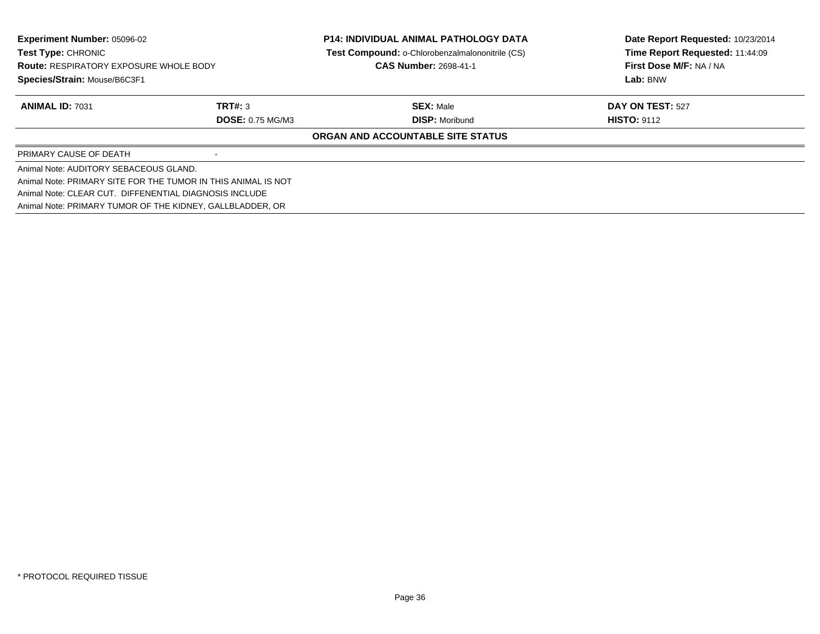| Experiment Number: 05096-02<br>Test Type: CHRONIC<br><b>Route: RESPIRATORY EXPOSURE WHOLE BODY</b><br>Species/Strain: Mouse/B6C3F1 |                         | <b>P14: INDIVIDUAL ANIMAL PATHOLOGY DATA</b>    | Date Report Requested: 10/23/2014   |
|------------------------------------------------------------------------------------------------------------------------------------|-------------------------|-------------------------------------------------|-------------------------------------|
|                                                                                                                                    |                         | Test Compound: o-Chlorobenzalmalononitrile (CS) | Time Report Requested: 11:44:09     |
|                                                                                                                                    |                         | <b>CAS Number: 2698-41-1</b>                    | First Dose M/F: NA / NA<br>Lab: BNW |
|                                                                                                                                    |                         |                                                 |                                     |
| <b>ANIMAL ID: 7031</b>                                                                                                             | TRT#: 3                 | <b>SEX: Male</b>                                | <b>DAY ON TEST: 527</b>             |
|                                                                                                                                    | <b>DOSE: 0.75 MG/M3</b> | <b>DISP:</b> Moribund                           | <b>HISTO: 9112</b>                  |
|                                                                                                                                    |                         | ORGAN AND ACCOUNTABLE SITE STATUS               |                                     |
| PRIMARY CAUSE OF DEATH                                                                                                             |                         |                                                 |                                     |
| Animal Note: AUDITORY SEBACEOUS GLAND.                                                                                             |                         |                                                 |                                     |
| Animal Note: PRIMARY SITE FOR THE TUMOR IN THIS ANIMAL IS NOT                                                                      |                         |                                                 |                                     |
| Animal Note: CLEAR CUT. DIFFENENTIAL DIAGNOSIS INCLUDE                                                                             |                         |                                                 |                                     |
| Animal Note: PRIMARY TUMOR OF THE KIDNEY, GALLBLADDER, OR                                                                          |                         |                                                 |                                     |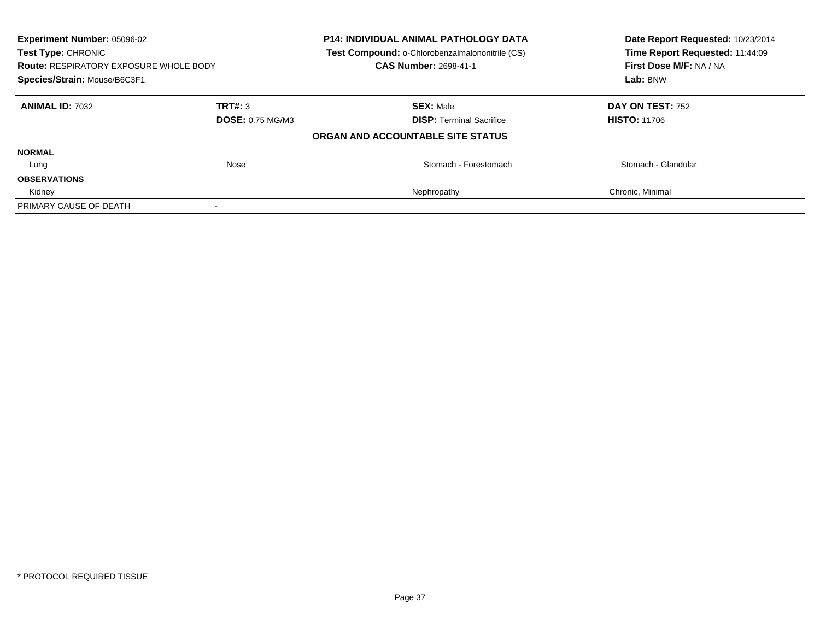| <b>Experiment Number: 05096-02</b><br><b>Test Type: CHRONIC</b><br><b>Route: RESPIRATORY EXPOSURE WHOLE BODY</b><br>Species/Strain: Mouse/B6C3F1 |                         | <b>P14: INDIVIDUAL ANIMAL PATHOLOGY DATA</b><br>Test Compound: o-Chlorobenzalmalononitrile (CS) | Date Report Requested: 10/23/2014<br>Time Report Requested: 11:44:09<br>First Dose M/F: NA / NA<br>Lab: BNW |
|--------------------------------------------------------------------------------------------------------------------------------------------------|-------------------------|-------------------------------------------------------------------------------------------------|-------------------------------------------------------------------------------------------------------------|
|                                                                                                                                                  |                         | <b>CAS Number: 2698-41-1</b>                                                                    |                                                                                                             |
|                                                                                                                                                  |                         |                                                                                                 |                                                                                                             |
| <b>ANIMAL ID: 7032</b>                                                                                                                           | TRT#: 3                 | <b>SEX: Male</b>                                                                                | DAY ON TEST: 752                                                                                            |
|                                                                                                                                                  | <b>DOSE: 0.75 MG/M3</b> | <b>DISP:</b> Terminal Sacrifice                                                                 | <b>HISTO: 11706</b>                                                                                         |
|                                                                                                                                                  |                         | ORGAN AND ACCOUNTABLE SITE STATUS                                                               |                                                                                                             |
| <b>NORMAL</b>                                                                                                                                    |                         |                                                                                                 |                                                                                                             |
| Lung                                                                                                                                             | Nose                    | Stomach - Forestomach                                                                           | Stomach - Glandular                                                                                         |
| <b>OBSERVATIONS</b>                                                                                                                              |                         |                                                                                                 |                                                                                                             |
| Kidney                                                                                                                                           |                         | Nephropathy                                                                                     | Chronic, Minimal                                                                                            |
| PRIMARY CAUSE OF DEATH                                                                                                                           |                         |                                                                                                 |                                                                                                             |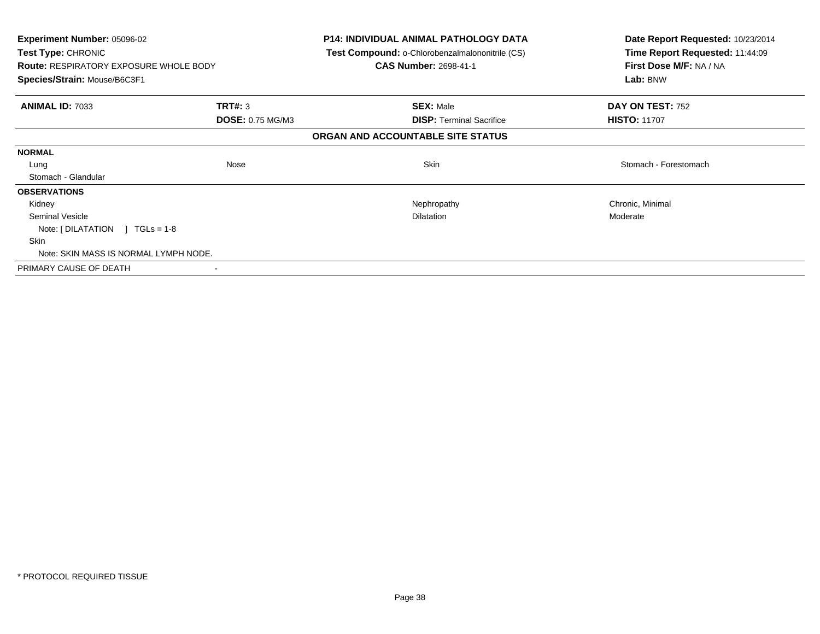| Experiment Number: 05096-02<br>Test Type: CHRONIC<br><b>Route: RESPIRATORY EXPOSURE WHOLE BODY</b><br>Species/Strain: Mouse/B6C3F1 |                         | <b>P14: INDIVIDUAL ANIMAL PATHOLOGY DATA</b><br><b>Test Compound: o-Chlorobenzalmalononitrile (CS)</b><br><b>CAS Number: 2698-41-1</b> | Date Report Requested: 10/23/2014<br>Time Report Requested: 11:44:09<br>First Dose M/F: NA / NA<br>Lab: BNW |
|------------------------------------------------------------------------------------------------------------------------------------|-------------------------|----------------------------------------------------------------------------------------------------------------------------------------|-------------------------------------------------------------------------------------------------------------|
| <b>ANIMAL ID: 7033</b>                                                                                                             | <b>TRT#: 3</b>          | <b>SEX: Male</b>                                                                                                                       | DAY ON TEST: 752                                                                                            |
|                                                                                                                                    | <b>DOSE: 0.75 MG/M3</b> | <b>DISP:</b> Terminal Sacrifice                                                                                                        | <b>HISTO: 11707</b>                                                                                         |
|                                                                                                                                    |                         | ORGAN AND ACCOUNTABLE SITE STATUS                                                                                                      |                                                                                                             |
| <b>NORMAL</b>                                                                                                                      |                         |                                                                                                                                        |                                                                                                             |
| Lung                                                                                                                               | Nose                    | <b>Skin</b>                                                                                                                            | Stomach - Forestomach                                                                                       |
| Stomach - Glandular                                                                                                                |                         |                                                                                                                                        |                                                                                                             |
| <b>OBSERVATIONS</b>                                                                                                                |                         |                                                                                                                                        |                                                                                                             |
| Kidney                                                                                                                             |                         | Nephropathy                                                                                                                            | Chronic, Minimal                                                                                            |
| Seminal Vesicle                                                                                                                    |                         | <b>Dilatation</b>                                                                                                                      | Moderate                                                                                                    |
| Note: $[ DILATATION ] TGLs = 1-8$                                                                                                  |                         |                                                                                                                                        |                                                                                                             |
| Skin                                                                                                                               |                         |                                                                                                                                        |                                                                                                             |
| Note: SKIN MASS IS NORMAL LYMPH NODE.                                                                                              |                         |                                                                                                                                        |                                                                                                             |
| PRIMARY CAUSE OF DEATH                                                                                                             |                         |                                                                                                                                        |                                                                                                             |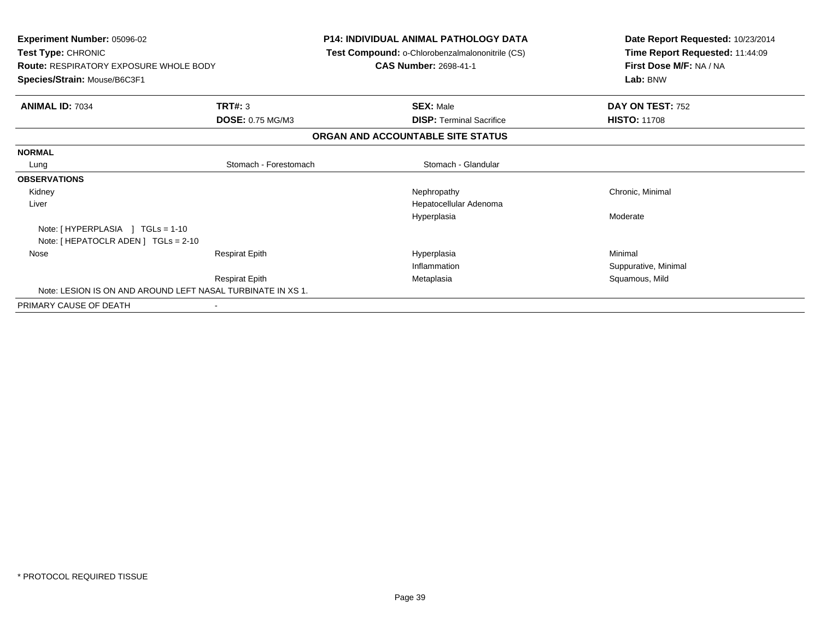| Experiment Number: 05096-02<br><b>Test Type: CHRONIC</b><br><b>Route: RESPIRATORY EXPOSURE WHOLE BODY</b><br>Species/Strain: Mouse/B6C3F1 |                         | <b>P14: INDIVIDUAL ANIMAL PATHOLOGY DATA</b><br>Test Compound: o-Chlorobenzalmalononitrile (CS)<br><b>CAS Number: 2698-41-1</b> | Date Report Requested: 10/23/2014<br>Time Report Requested: 11:44:09<br>First Dose M/F: NA / NA<br>Lab: BNW |
|-------------------------------------------------------------------------------------------------------------------------------------------|-------------------------|---------------------------------------------------------------------------------------------------------------------------------|-------------------------------------------------------------------------------------------------------------|
|                                                                                                                                           |                         |                                                                                                                                 |                                                                                                             |
| <b>ANIMAL ID: 7034</b>                                                                                                                    | TRT#: 3                 | <b>SEX: Male</b>                                                                                                                | DAY ON TEST: 752                                                                                            |
|                                                                                                                                           | <b>DOSE: 0.75 MG/M3</b> | <b>DISP:</b> Terminal Sacrifice                                                                                                 | <b>HISTO: 11708</b>                                                                                         |
|                                                                                                                                           |                         | ORGAN AND ACCOUNTABLE SITE STATUS                                                                                               |                                                                                                             |
| <b>NORMAL</b>                                                                                                                             |                         |                                                                                                                                 |                                                                                                             |
| Lung                                                                                                                                      | Stomach - Forestomach   | Stomach - Glandular                                                                                                             |                                                                                                             |
| <b>OBSERVATIONS</b>                                                                                                                       |                         |                                                                                                                                 |                                                                                                             |
| Kidney                                                                                                                                    |                         | Nephropathy                                                                                                                     | Chronic, Minimal                                                                                            |
| Liver                                                                                                                                     |                         | Hepatocellular Adenoma                                                                                                          |                                                                                                             |
|                                                                                                                                           |                         | Hyperplasia                                                                                                                     | Moderate                                                                                                    |
| Note: [HYPERPLASIA ] TGLs = 1-10                                                                                                          |                         |                                                                                                                                 |                                                                                                             |
| Note: [ HEPATOCLR ADEN ] TGLs = 2-10                                                                                                      |                         |                                                                                                                                 |                                                                                                             |
| Nose                                                                                                                                      | <b>Respirat Epith</b>   | Hyperplasia                                                                                                                     | Minimal                                                                                                     |
|                                                                                                                                           |                         | Inflammation                                                                                                                    | Suppurative, Minimal                                                                                        |
|                                                                                                                                           | <b>Respirat Epith</b>   | Metaplasia                                                                                                                      | Squamous, Mild                                                                                              |
| Note: LESION IS ON AND AROUND LEFT NASAL TURBINATE IN XS 1.                                                                               |                         |                                                                                                                                 |                                                                                                             |
| PRIMARY CAUSE OF DEATH                                                                                                                    |                         |                                                                                                                                 |                                                                                                             |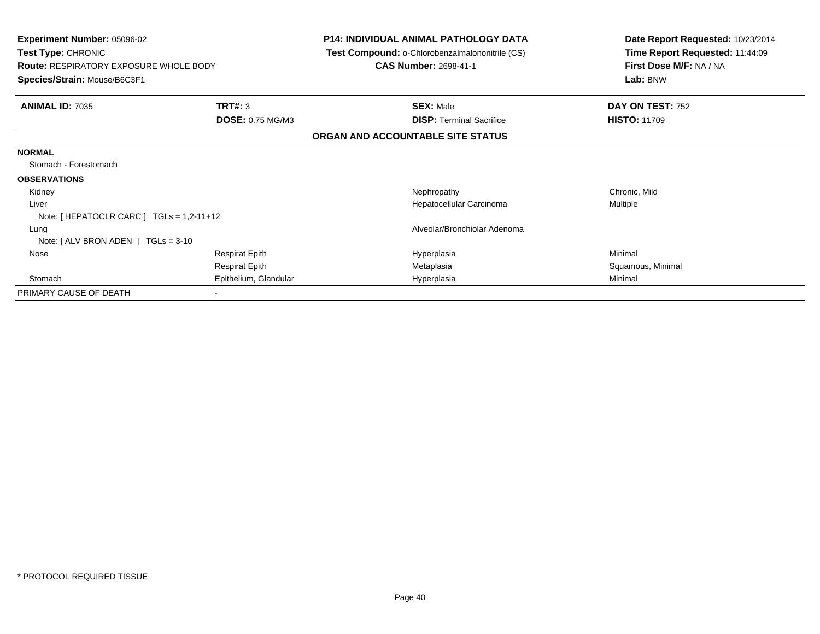| <b>Experiment Number: 05096-02</b>            |                         | <b>P14: INDIVIDUAL ANIMAL PATHOLOGY DATA</b>    | Date Report Requested: 10/23/2014 |
|-----------------------------------------------|-------------------------|-------------------------------------------------|-----------------------------------|
| Test Type: CHRONIC                            |                         | Test Compound: o-Chlorobenzalmalononitrile (CS) | Time Report Requested: 11:44:09   |
| <b>Route: RESPIRATORY EXPOSURE WHOLE BODY</b> |                         | <b>CAS Number: 2698-41-1</b>                    | First Dose M/F: NA / NA           |
| Species/Strain: Mouse/B6C3F1                  |                         |                                                 | Lab: BNW                          |
| <b>ANIMAL ID: 7035</b>                        | TRT#: 3                 | <b>SEX: Male</b>                                | DAY ON TEST: 752                  |
|                                               | <b>DOSE: 0.75 MG/M3</b> | <b>DISP: Terminal Sacrifice</b>                 | <b>HISTO: 11709</b>               |
|                                               |                         | ORGAN AND ACCOUNTABLE SITE STATUS               |                                   |
| <b>NORMAL</b>                                 |                         |                                                 |                                   |
| Stomach - Forestomach                         |                         |                                                 |                                   |
| <b>OBSERVATIONS</b>                           |                         |                                                 |                                   |
| Kidney                                        |                         | Nephropathy                                     | Chronic, Mild                     |
| Liver                                         |                         | Hepatocellular Carcinoma                        | Multiple                          |
| Note: [ HEPATOCLR CARC ] $TGLs = 1,2-11+12$   |                         |                                                 |                                   |
| Lung                                          |                         | Alveolar/Bronchiolar Adenoma                    |                                   |
| Note: $[ALV$ BRON ADEN $]$ TGLs = 3-10        |                         |                                                 |                                   |
| Nose                                          | <b>Respirat Epith</b>   | Hyperplasia                                     | Minimal                           |
|                                               | <b>Respirat Epith</b>   | Metaplasia                                      | Squamous, Minimal                 |
| Stomach                                       | Epithelium, Glandular   | Hyperplasia                                     | Minimal                           |
| PRIMARY CAUSE OF DEATH                        |                         |                                                 |                                   |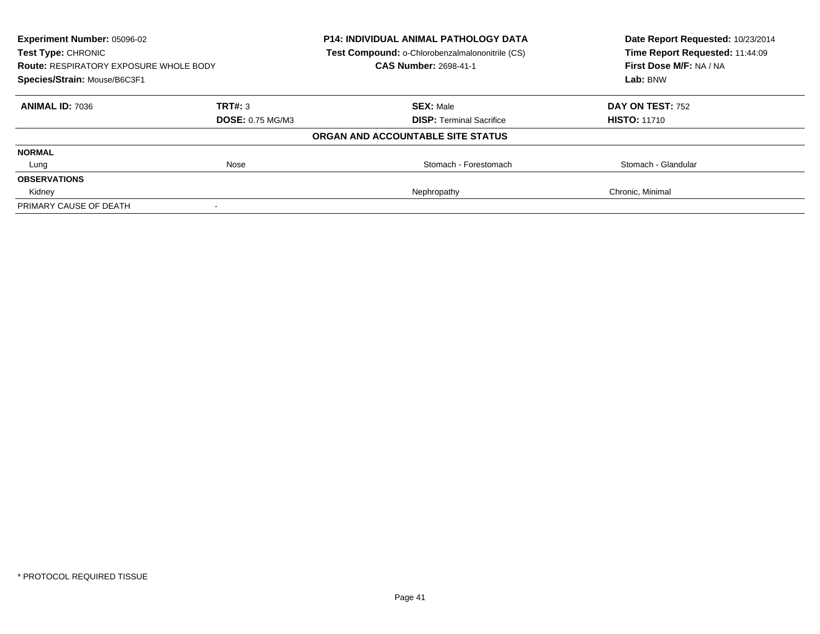| Experiment Number: 05096-02<br><b>Test Type: CHRONIC</b><br><b>Route: RESPIRATORY EXPOSURE WHOLE BODY</b><br>Species/Strain: Mouse/B6C3F1 |                         | <b>P14: INDIVIDUAL ANIMAL PATHOLOGY DATA</b><br>Test Compound: o-Chlorobenzalmalononitrile (CS)<br><b>CAS Number: 2698-41-1</b> | Date Report Requested: 10/23/2014<br>Time Report Requested: 11:44:09<br>First Dose M/F: NA / NA<br>Lab: BNW |
|-------------------------------------------------------------------------------------------------------------------------------------------|-------------------------|---------------------------------------------------------------------------------------------------------------------------------|-------------------------------------------------------------------------------------------------------------|
|                                                                                                                                           |                         |                                                                                                                                 |                                                                                                             |
| <b>ANIMAL ID: 7036</b>                                                                                                                    | TRT#: 3                 | <b>SEX: Male</b>                                                                                                                | <b>DAY ON TEST: 752</b>                                                                                     |
|                                                                                                                                           | <b>DOSE: 0.75 MG/M3</b> | <b>DISP:</b> Terminal Sacrifice                                                                                                 | <b>HISTO: 11710</b>                                                                                         |
|                                                                                                                                           |                         | ORGAN AND ACCOUNTABLE SITE STATUS                                                                                               |                                                                                                             |
| <b>NORMAL</b>                                                                                                                             |                         |                                                                                                                                 |                                                                                                             |
| Lung                                                                                                                                      | Nose                    | Stomach - Forestomach                                                                                                           | Stomach - Glandular                                                                                         |
| <b>OBSERVATIONS</b>                                                                                                                       |                         |                                                                                                                                 |                                                                                                             |
| Kidney                                                                                                                                    |                         | Nephropathy                                                                                                                     | Chronic, Minimal                                                                                            |
| PRIMARY CAUSE OF DEATH                                                                                                                    |                         |                                                                                                                                 |                                                                                                             |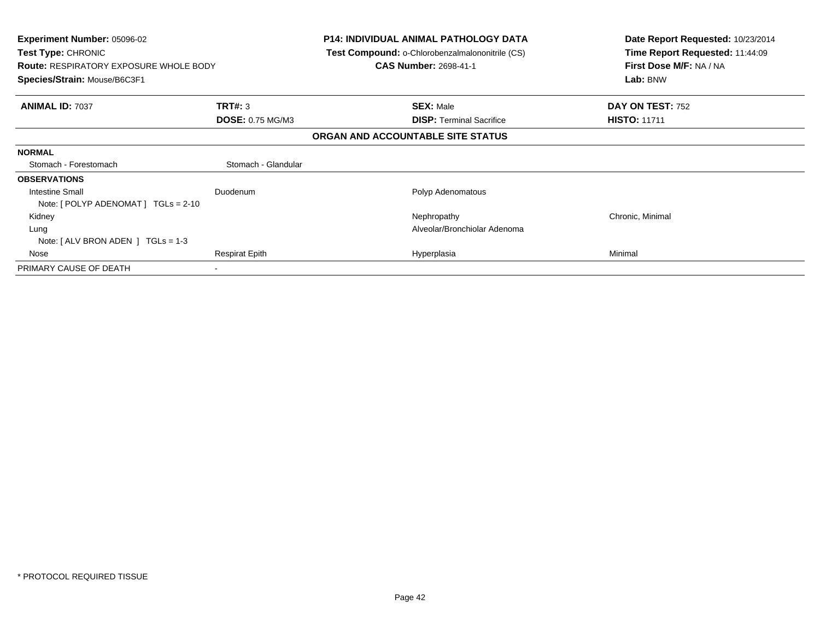| <b>Experiment Number: 05096-02</b><br><b>Test Type: CHRONIC</b><br><b>Route: RESPIRATORY EXPOSURE WHOLE BODY</b><br>Species/Strain: Mouse/B6C3F1 |                         | <b>P14: INDIVIDUAL ANIMAL PATHOLOGY DATA</b><br><b>Test Compound: o-Chlorobenzalmalononitrile (CS)</b><br><b>CAS Number: 2698-41-1</b> | Date Report Requested: 10/23/2014<br>Time Report Requested: 11:44:09<br>First Dose M/F: NA / NA<br>Lab: BNW |
|--------------------------------------------------------------------------------------------------------------------------------------------------|-------------------------|----------------------------------------------------------------------------------------------------------------------------------------|-------------------------------------------------------------------------------------------------------------|
| <b>ANIMAL ID: 7037</b>                                                                                                                           | TRT#: 3                 | <b>SEX: Male</b>                                                                                                                       | DAY ON TEST: 752                                                                                            |
|                                                                                                                                                  | <b>DOSE: 0.75 MG/M3</b> | <b>DISP:</b> Terminal Sacrifice                                                                                                        | <b>HISTO: 11711</b>                                                                                         |
|                                                                                                                                                  |                         | ORGAN AND ACCOUNTABLE SITE STATUS                                                                                                      |                                                                                                             |
| <b>NORMAL</b>                                                                                                                                    |                         |                                                                                                                                        |                                                                                                             |
| Stomach - Forestomach                                                                                                                            | Stomach - Glandular     |                                                                                                                                        |                                                                                                             |
| <b>OBSERVATIONS</b>                                                                                                                              |                         |                                                                                                                                        |                                                                                                             |
| Intestine Small                                                                                                                                  | Duodenum                | Polyp Adenomatous                                                                                                                      |                                                                                                             |
| Note: $[$ POLYP ADENOMAT $]$ TGLs = 2-10                                                                                                         |                         |                                                                                                                                        |                                                                                                             |
| Kidney                                                                                                                                           |                         | Nephropathy                                                                                                                            | Chronic, Minimal                                                                                            |
| Lung                                                                                                                                             |                         | Alveolar/Bronchiolar Adenoma                                                                                                           |                                                                                                             |
| Note: $[ALV$ BRON ADEN $]$ TGLs = 1-3                                                                                                            |                         |                                                                                                                                        |                                                                                                             |
| Nose                                                                                                                                             | <b>Respirat Epith</b>   | Hyperplasia                                                                                                                            | Minimal                                                                                                     |
| PRIMARY CAUSE OF DEATH                                                                                                                           |                         |                                                                                                                                        |                                                                                                             |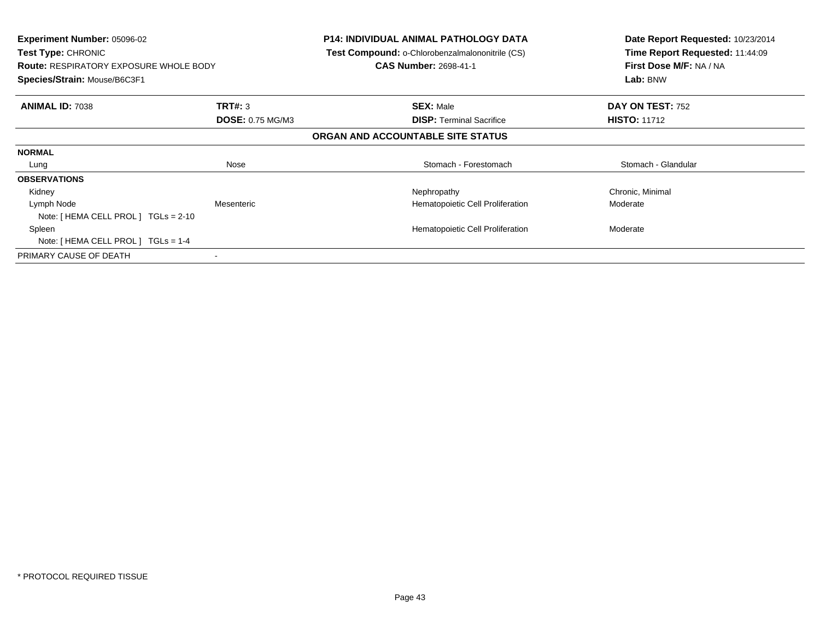| <b>Experiment Number: 05096-02</b><br><b>Test Type: CHRONIC</b><br><b>Route: RESPIRATORY EXPOSURE WHOLE BODY</b><br>Species/Strain: Mouse/B6C3F1 |                         | <b>P14: INDIVIDUAL ANIMAL PATHOLOGY DATA</b><br><b>Test Compound: o-Chlorobenzalmalononitrile (CS)</b><br><b>CAS Number: 2698-41-1</b> | Date Report Requested: 10/23/2014<br>Time Report Requested: 11:44:09<br>First Dose M/F: NA / NA<br>Lab: BNW |
|--------------------------------------------------------------------------------------------------------------------------------------------------|-------------------------|----------------------------------------------------------------------------------------------------------------------------------------|-------------------------------------------------------------------------------------------------------------|
| <b>ANIMAL ID: 7038</b>                                                                                                                           | <b>TRT#: 3</b>          | <b>SEX: Male</b>                                                                                                                       | DAY ON TEST: 752                                                                                            |
|                                                                                                                                                  | <b>DOSE: 0.75 MG/M3</b> | <b>DISP: Terminal Sacrifice</b>                                                                                                        | <b>HISTO: 11712</b>                                                                                         |
|                                                                                                                                                  |                         | ORGAN AND ACCOUNTABLE SITE STATUS                                                                                                      |                                                                                                             |
| <b>NORMAL</b>                                                                                                                                    |                         |                                                                                                                                        |                                                                                                             |
| Lung                                                                                                                                             | Nose                    | Stomach - Forestomach                                                                                                                  | Stomach - Glandular                                                                                         |
| <b>OBSERVATIONS</b>                                                                                                                              |                         |                                                                                                                                        |                                                                                                             |
| Kidney                                                                                                                                           |                         | Nephropathy                                                                                                                            | Chronic, Minimal                                                                                            |
| Lymph Node                                                                                                                                       | Mesenteric              | Hematopoietic Cell Proliferation                                                                                                       | Moderate                                                                                                    |
| Note: [ HEMA CELL PROL ] TGLs = 2-10                                                                                                             |                         |                                                                                                                                        |                                                                                                             |
| Spleen                                                                                                                                           |                         | Hematopoietic Cell Proliferation                                                                                                       | Moderate                                                                                                    |
| Note: $[HEMA CELL PROL] TGLS = 1-4$                                                                                                              |                         |                                                                                                                                        |                                                                                                             |
| PRIMARY CAUSE OF DEATH                                                                                                                           |                         |                                                                                                                                        |                                                                                                             |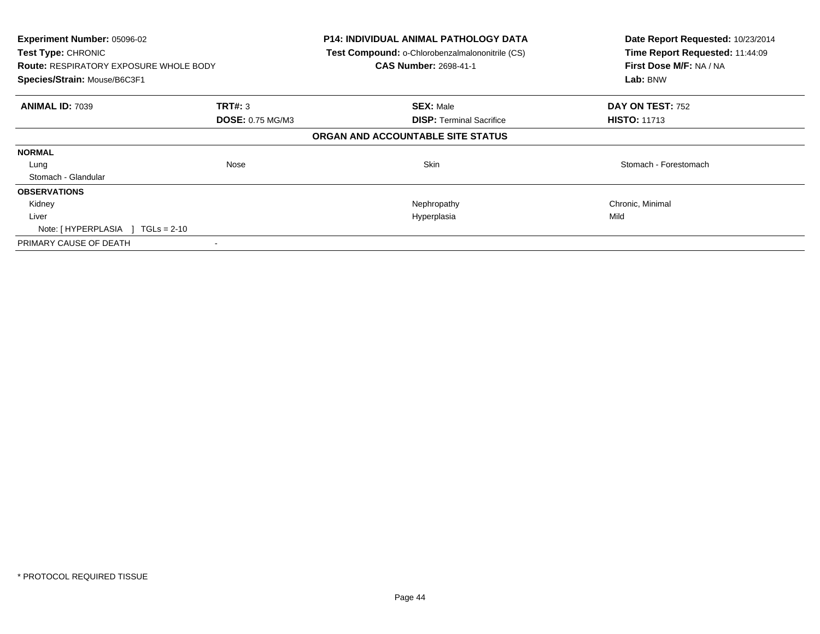| Experiment Number: 05096-02<br><b>Test Type: CHRONIC</b><br><b>Route: RESPIRATORY EXPOSURE WHOLE BODY</b><br>Species/Strain: Mouse/B6C3F1 |                                           | <b>P14: INDIVIDUAL ANIMAL PATHOLOGY DATA</b><br>Test Compound: o-Chlorobenzalmalononitrile (CS)<br><b>CAS Number: 2698-41-1</b> | Date Report Requested: 10/23/2014<br>Time Report Requested: 11:44:09<br>First Dose M/F: NA / NA<br>Lab: BNW |
|-------------------------------------------------------------------------------------------------------------------------------------------|-------------------------------------------|---------------------------------------------------------------------------------------------------------------------------------|-------------------------------------------------------------------------------------------------------------|
| <b>ANIMAL ID: 7039</b>                                                                                                                    | <b>TRT#: 3</b><br><b>DOSE: 0.75 MG/M3</b> | <b>SEX: Male</b><br><b>DISP:</b> Terminal Sacrifice                                                                             | DAY ON TEST: 752<br><b>HISTO: 11713</b>                                                                     |
|                                                                                                                                           |                                           | ORGAN AND ACCOUNTABLE SITE STATUS                                                                                               |                                                                                                             |
| <b>NORMAL</b>                                                                                                                             |                                           |                                                                                                                                 |                                                                                                             |
| Lung                                                                                                                                      | Nose                                      | Skin                                                                                                                            | Stomach - Forestomach                                                                                       |
| Stomach - Glandular                                                                                                                       |                                           |                                                                                                                                 |                                                                                                             |
| <b>OBSERVATIONS</b>                                                                                                                       |                                           |                                                                                                                                 |                                                                                                             |
| Kidney                                                                                                                                    |                                           | Nephropathy                                                                                                                     | Chronic, Minimal                                                                                            |
| Liver                                                                                                                                     |                                           | Hyperplasia                                                                                                                     | Mild                                                                                                        |
| Note: $[HYPERPLASIA] TGLs = 2-10$                                                                                                         |                                           |                                                                                                                                 |                                                                                                             |
| PRIMARY CAUSE OF DEATH                                                                                                                    |                                           |                                                                                                                                 |                                                                                                             |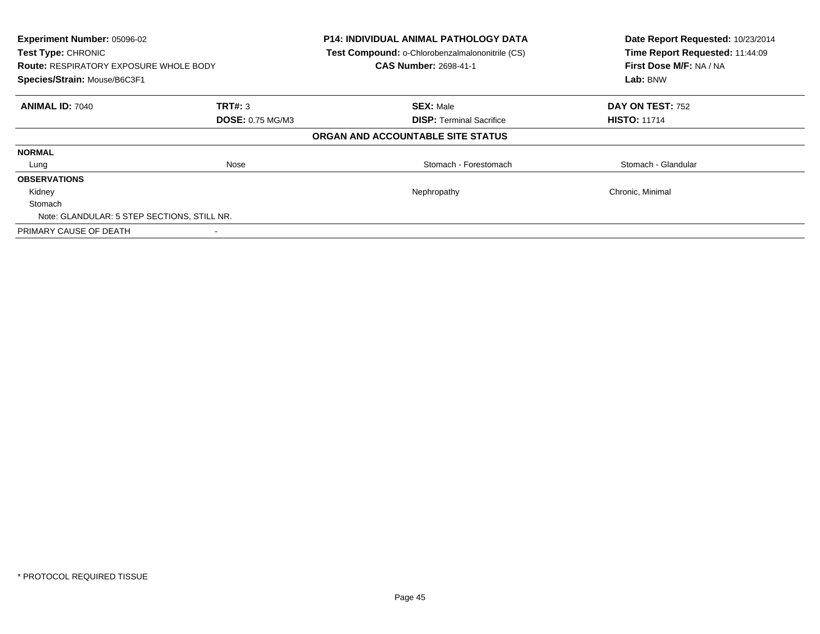| Experiment Number: 05096-02<br>Test Type: CHRONIC<br><b>Route: RESPIRATORY EXPOSURE WHOLE BODY</b><br>Species/Strain: Mouse/B6C3F1 |                         | <b>P14: INDIVIDUAL ANIMAL PATHOLOGY DATA</b><br>Test Compound: o-Chlorobenzalmalononitrile (CS)<br><b>CAS Number: 2698-41-1</b> | Date Report Requested: 10/23/2014<br>Time Report Requested: 11:44:09<br>First Dose M/F: NA / NA<br>Lab: BNW |
|------------------------------------------------------------------------------------------------------------------------------------|-------------------------|---------------------------------------------------------------------------------------------------------------------------------|-------------------------------------------------------------------------------------------------------------|
| <b>ANIMAL ID: 7040</b>                                                                                                             | <b>TRT#: 3</b>          | <b>SEX: Male</b>                                                                                                                | DAY ON TEST: 752                                                                                            |
|                                                                                                                                    | <b>DOSE: 0.75 MG/M3</b> | <b>DISP:</b> Terminal Sacrifice                                                                                                 | <b>HISTO: 11714</b>                                                                                         |
|                                                                                                                                    |                         | ORGAN AND ACCOUNTABLE SITE STATUS                                                                                               |                                                                                                             |
| <b>NORMAL</b>                                                                                                                      |                         |                                                                                                                                 |                                                                                                             |
| Lung                                                                                                                               | Nose                    | Stomach - Forestomach                                                                                                           | Stomach - Glandular                                                                                         |
| <b>OBSERVATIONS</b>                                                                                                                |                         |                                                                                                                                 |                                                                                                             |
| Kidney                                                                                                                             |                         | Nephropathy                                                                                                                     | Chronic, Minimal                                                                                            |
| Stomach                                                                                                                            |                         |                                                                                                                                 |                                                                                                             |
| Note: GLANDULAR: 5 STEP SECTIONS, STILL NR.                                                                                        |                         |                                                                                                                                 |                                                                                                             |
| PRIMARY CAUSE OF DEATH                                                                                                             |                         |                                                                                                                                 |                                                                                                             |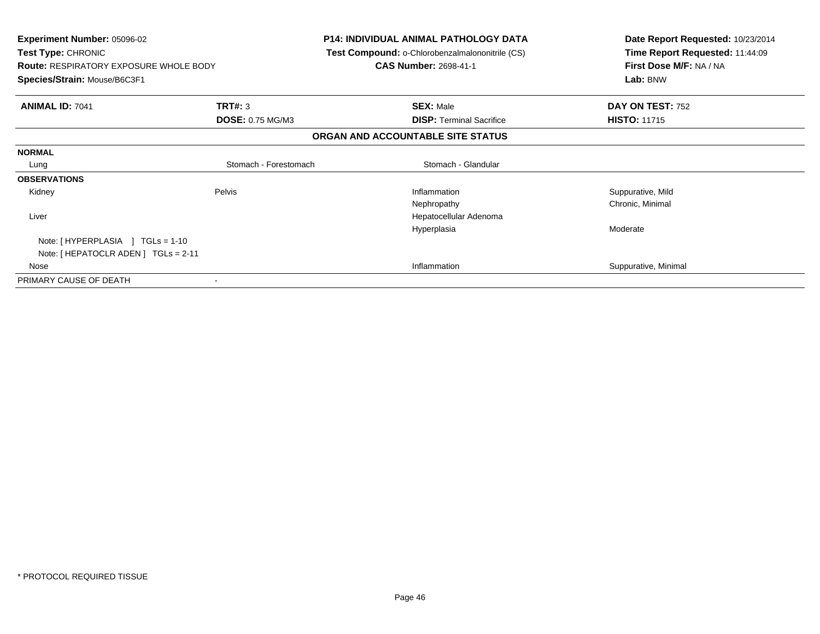| <b>Experiment Number: 05096-02</b><br>Test Type: CHRONIC<br><b>Route: RESPIRATORY EXPOSURE WHOLE BODY</b> |                       | <b>P14: INDIVIDUAL ANIMAL PATHOLOGY DATA</b><br>Test Compound: o-Chlorobenzalmalononitrile (CS)<br><b>CAS Number: 2698-41-1</b> | Date Report Requested: 10/23/2014<br>Time Report Requested: 11:44:09<br>First Dose M/F: NA / NA |
|-----------------------------------------------------------------------------------------------------------|-----------------------|---------------------------------------------------------------------------------------------------------------------------------|-------------------------------------------------------------------------------------------------|
| Species/Strain: Mouse/B6C3F1                                                                              |                       |                                                                                                                                 | Lab: BNW                                                                                        |
| <b>ANIMAL ID: 7041</b>                                                                                    | TRT#: 3               | <b>SEX: Male</b>                                                                                                                | DAY ON TEST: 752                                                                                |
|                                                                                                           | DOSE: 0.75 MG/M3      | <b>DISP:</b> Terminal Sacrifice                                                                                                 | <b>HISTO: 11715</b>                                                                             |
|                                                                                                           |                       | ORGAN AND ACCOUNTABLE SITE STATUS                                                                                               |                                                                                                 |
| <b>NORMAL</b>                                                                                             |                       |                                                                                                                                 |                                                                                                 |
| Lung                                                                                                      | Stomach - Forestomach | Stomach - Glandular                                                                                                             |                                                                                                 |
| <b>OBSERVATIONS</b>                                                                                       |                       |                                                                                                                                 |                                                                                                 |
| Kidney                                                                                                    | Pelvis                | Inflammation                                                                                                                    | Suppurative, Mild                                                                               |
|                                                                                                           |                       | Nephropathy                                                                                                                     | Chronic, Minimal                                                                                |
| Liver                                                                                                     |                       | Hepatocellular Adenoma                                                                                                          |                                                                                                 |
|                                                                                                           |                       | Hyperplasia                                                                                                                     | Moderate                                                                                        |
| Note: $[HYPERPLASIA] TGLs = 1-10$                                                                         |                       |                                                                                                                                 |                                                                                                 |
| Note: [ HEPATOCLR ADEN ] TGLs = 2-11                                                                      |                       |                                                                                                                                 |                                                                                                 |
| Nose                                                                                                      |                       | Inflammation                                                                                                                    | Suppurative, Minimal                                                                            |
| PRIMARY CAUSE OF DEATH                                                                                    |                       |                                                                                                                                 |                                                                                                 |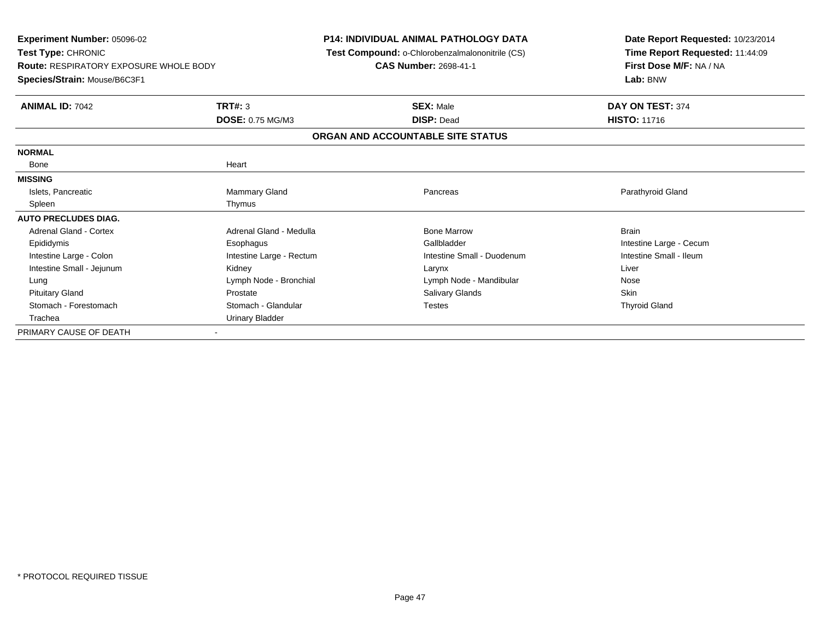**Experiment Number:** 05096-02**Test Type:** CHRONIC **Route:** RESPIRATORY EXPOSURE WHOLE BODY**Species/Strain:** Mouse/B6C3F1**P14: INDIVIDUAL ANIMAL PATHOLOGY DATA Test Compound:** o-Chlorobenzalmalononitrile (CS)**CAS Number:** 2698-41-1**Date Report Requested:** 10/23/2014**Time Report Requested:** 11:44:09**First Dose M/F:** NA / NA**Lab:** BNW**ANIMAL ID:** 7042 **TRT#:** <sup>3</sup> **SEX:** Male **DAY ON TEST:** <sup>374</sup> **DOSE:** 0.75 MG/M3 **DISP:** Dead **HISTO:** <sup>11716</sup> **ORGAN AND ACCOUNTABLE SITE STATUSNORMAL**Bone Bone Heart**MISSING**Islets, Pancreatic Islets, Pancreatic Mammary Gland Pancreas Parathyroid GlandSpleen Thymus Spleen Thymus **AUTO PRECLUDES DIAG.**Adrenal Gland - Cortex **Adrenal Gland - Medulla** Bone Marrow Brain Bone Marrow Brain Epididymis Esophagus Gallbladder Intestine Large - CecumIntestine Small - Ileum Intestine Large - Colon **Intestine Large - Rectum** Intestine Small - Duodenum Intestine Small - Duodenum Intestine Small - Jejunum Kidney Larynx LiverNose Lung Lymph Node - Bronchial Lymph Nose - Lymph Nose - Mandibular Nose - Mandibular Skin Pituitary Gland Prostate Prostate Charles Salivary Glands Salivary Glands Salivary Glands Skin **Thyroid Gland** Stomach - Forestomach **Stomach - Glandular** Stomach - Glandular Testes Trachea Urinary BladderPRIMARY CAUSE OF DEATH-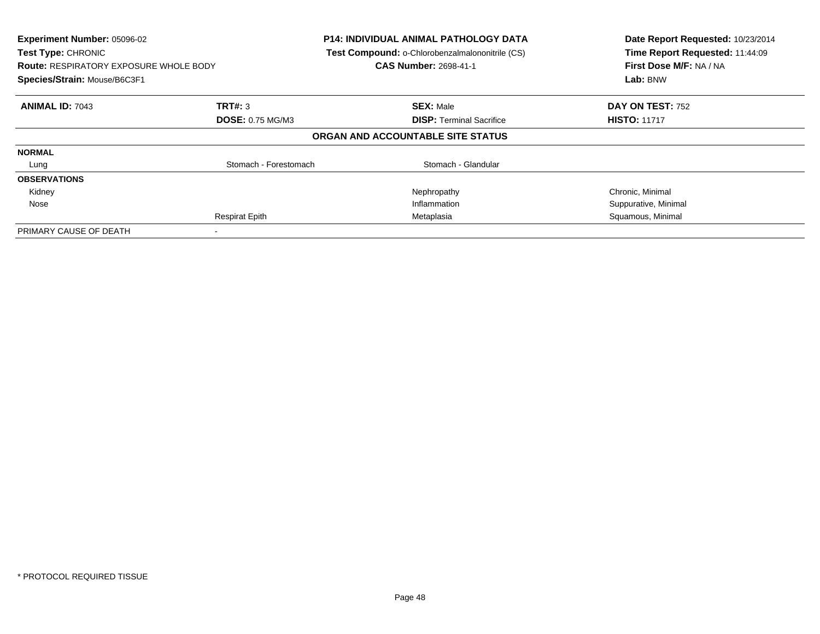| Experiment Number: 05096-02<br><b>Test Type: CHRONIC</b><br><b>Route: RESPIRATORY EXPOSURE WHOLE BODY</b><br>Species/Strain: Mouse/B6C3F1 |                         | <b>P14: INDIVIDUAL ANIMAL PATHOLOGY DATA</b><br>Test Compound: o-Chlorobenzalmalononitrile (CS)<br><b>CAS Number: 2698-41-1</b> | Date Report Requested: 10/23/2014<br>Time Report Requested: 11:44:09<br>First Dose M/F: NA / NA<br>Lab: BNW |
|-------------------------------------------------------------------------------------------------------------------------------------------|-------------------------|---------------------------------------------------------------------------------------------------------------------------------|-------------------------------------------------------------------------------------------------------------|
| <b>ANIMAL ID: 7043</b>                                                                                                                    | TRT#: 3                 | <b>SEX: Male</b>                                                                                                                | <b>DAY ON TEST: 752</b>                                                                                     |
|                                                                                                                                           | <b>DOSE: 0.75 MG/M3</b> | <b>DISP:</b> Terminal Sacrifice                                                                                                 | <b>HISTO: 11717</b>                                                                                         |
|                                                                                                                                           |                         | ORGAN AND ACCOUNTABLE SITE STATUS                                                                                               |                                                                                                             |
| <b>NORMAL</b>                                                                                                                             |                         |                                                                                                                                 |                                                                                                             |
| Lung                                                                                                                                      | Stomach - Forestomach   | Stomach - Glandular                                                                                                             |                                                                                                             |
| <b>OBSERVATIONS</b>                                                                                                                       |                         |                                                                                                                                 |                                                                                                             |
| Kidney                                                                                                                                    |                         | Nephropathy                                                                                                                     | Chronic, Minimal                                                                                            |
| Nose                                                                                                                                      |                         | Inflammation                                                                                                                    | Suppurative, Minimal                                                                                        |
|                                                                                                                                           | <b>Respirat Epith</b>   | Metaplasia                                                                                                                      | Squamous, Minimal                                                                                           |
| PRIMARY CAUSE OF DEATH                                                                                                                    |                         |                                                                                                                                 |                                                                                                             |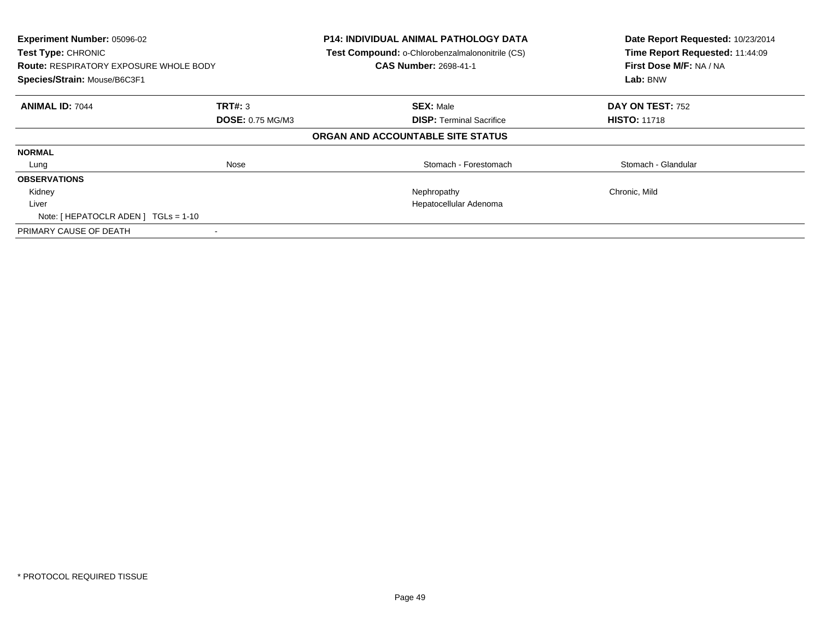| Experiment Number: 05096-02<br>Test Type: CHRONIC<br><b>Route: RESPIRATORY EXPOSURE WHOLE BODY</b><br>Species/Strain: Mouse/B6C3F1 |                         | <b>P14: INDIVIDUAL ANIMAL PATHOLOGY DATA</b><br>Test Compound: o-Chlorobenzalmalononitrile (CS)<br><b>CAS Number: 2698-41-1</b> | Date Report Requested: 10/23/2014<br>Time Report Requested: 11:44:09<br>First Dose M/F: NA / NA<br>Lab: BNW |
|------------------------------------------------------------------------------------------------------------------------------------|-------------------------|---------------------------------------------------------------------------------------------------------------------------------|-------------------------------------------------------------------------------------------------------------|
| <b>ANIMAL ID: 7044</b>                                                                                                             | TRT#: 3                 | <b>SEX: Male</b>                                                                                                                | <b>DAY ON TEST: 752</b>                                                                                     |
|                                                                                                                                    | <b>DOSE: 0.75 MG/M3</b> | <b>DISP:</b> Terminal Sacrifice                                                                                                 | <b>HISTO: 11718</b>                                                                                         |
|                                                                                                                                    |                         | ORGAN AND ACCOUNTABLE SITE STATUS                                                                                               |                                                                                                             |
| <b>NORMAL</b>                                                                                                                      |                         |                                                                                                                                 |                                                                                                             |
| Lung                                                                                                                               | Nose                    | Stomach - Forestomach                                                                                                           | Stomach - Glandular                                                                                         |
| <b>OBSERVATIONS</b>                                                                                                                |                         |                                                                                                                                 |                                                                                                             |
| Kidney                                                                                                                             |                         | Nephropathy                                                                                                                     | Chronic, Mild                                                                                               |
| Liver                                                                                                                              |                         | Hepatocellular Adenoma                                                                                                          |                                                                                                             |
| Note: [HEPATOCLR ADEN] TGLs = 1-10                                                                                                 |                         |                                                                                                                                 |                                                                                                             |
| PRIMARY CAUSE OF DEATH                                                                                                             |                         |                                                                                                                                 |                                                                                                             |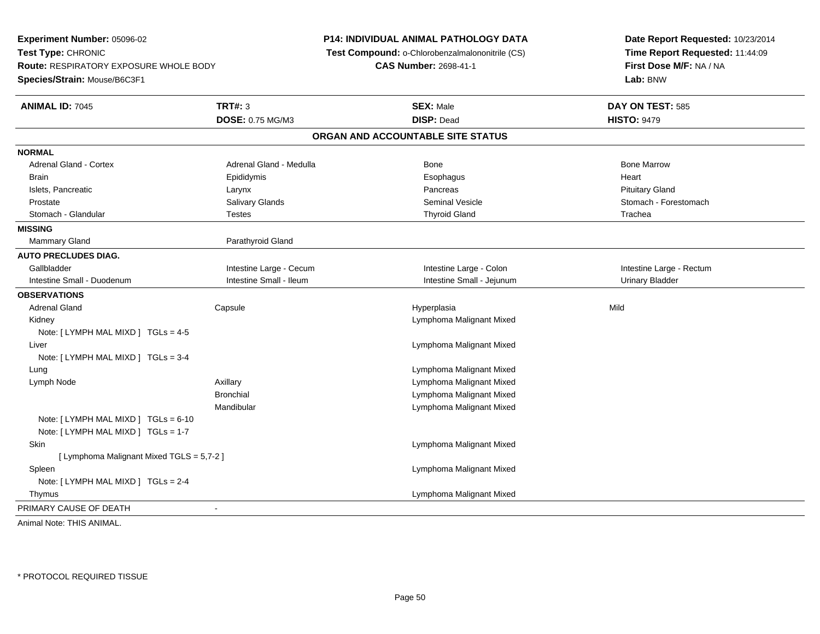**Experiment Number:** 05096-02**Test Type:** CHRONIC **Route:** RESPIRATORY EXPOSURE WHOLE BODY**Species/Strain:** Mouse/B6C3F1**P14: INDIVIDUAL ANIMAL PATHOLOGY DATA Test Compound:** o-Chlorobenzalmalononitrile (CS)**CAS Number:** 2698-41-1**Date Report Requested:** 10/23/2014**Time Report Requested:** 11:44:09**First Dose M/F:** NA / NA**Lab:** BNW**ANIMAL ID:** 7045 **TRT#:** <sup>3</sup> **SEX:** Male **DAY ON TEST:** <sup>585</sup> **DOSE:** 0.75 MG/M3 **DISP:** Dead **HISTO:** <sup>9479</sup> **ORGAN AND ACCOUNTABLE SITE STATUSNORMALAdrenal Gland - Cortex** Adrenal Gland - Medulla **Bone Adrenal Gland - Cortex Adrenal Gland - Cortex Adrenal Gland - Medulla** Bone Marrow Brain Epididymis Epididymis and the Brook of the Brook of the Brook of the Brook of the Heart Heart Heart Heart Islets, Pancreatic **Reserves Controlled and Science Larynx** Larynx Controlled and Pancreas Pancreas Pituitary Gland Stomach - Forestomach Prostate Subsection Salivary Glands Subsection Seminal Vesicle Seminal Vesicle Stomach - Forestomach - Stomach Stomach - Glandular Testes Thyroid Gland Trachea**MISSING**Mammary Gland Parathyroid Gland **AUTO PRECLUDES DIAG.**Gallbladder **Intestine Large - Cecum** Intestine Large - Cecum Intestine Large - Colon Intestine Large - Rectum Intestine Small - Duodenum **Intestine Small - Intestine Small - Ileum** Intestine Small - Jejunum Urinary Bladder **OBSERVATIONS** Adrenal Gland Capsule Hyperplasia Mild Kidney Lymphoma Malignant MixedNote: [ LYMPH MAL MIXD ] TGLs = 4-5 Liver Lymphoma Malignant MixedNote: [ LYMPH MAL MIXD ] TGLs = 3-4 Lung Lymphoma Malignant Mixed Lymph Node Axillary Lymphoma Malignant Mixed **Bronchial**  Lymphoma Malignant Mixed**Lymphoma Malignant Mixed** MandibularNote: [ LYMPH MAL MIXD ] TGLs = 6-10 Note: [ LYMPH MAL MIXD ] TGLs = 1-7 Skin Lymphoma Malignant Mixed [ Lymphoma Malignant Mixed TGLS = 5,7-2 ] Spleen Lymphoma Malignant Mixed Note: [ LYMPH MAL MIXD ] TGLs = 2-4 Thymus Lymphoma Malignant MixedPRIMARY CAUSE OF DEATH - Animal Note: THIS ANIMAL.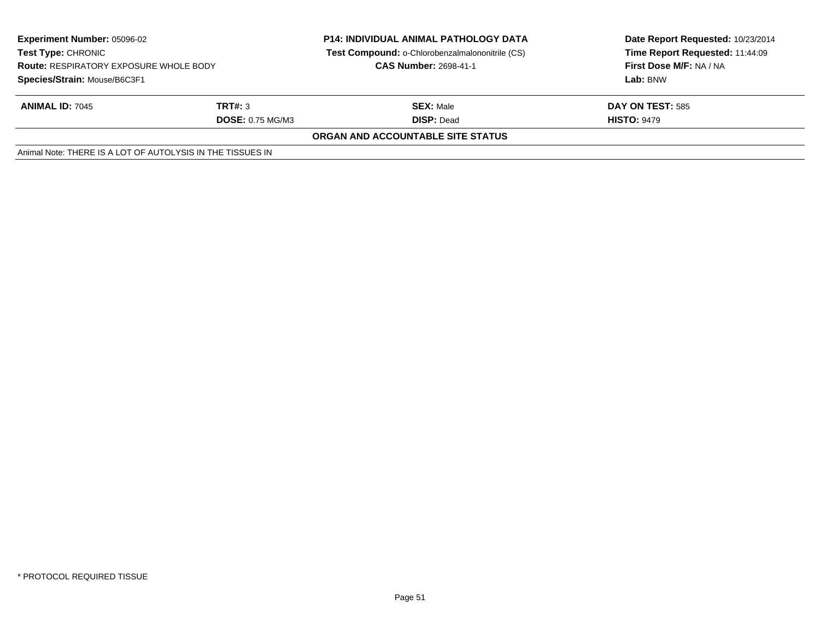| <b>Experiment Number: 05096-02</b><br>Test Type: CHRONIC<br><b>Route: RESPIRATORY EXPOSURE WHOLE BODY</b><br>Species/Strain: Mouse/B6C3F1 |                                    | <b>P14: INDIVIDUAL ANIMAL PATHOLOGY DATA</b><br><b>Test Compound: o-Chlorobenzalmalononitrile (CS)</b><br><b>CAS Number: 2698-41-1</b> | Date Report Requested: 10/23/2014<br>Time Report Requested: 11:44:09<br>First Dose M/F: NA / NA<br>Lab: BNW |
|-------------------------------------------------------------------------------------------------------------------------------------------|------------------------------------|----------------------------------------------------------------------------------------------------------------------------------------|-------------------------------------------------------------------------------------------------------------|
| <b>ANIMAL ID: 7045</b>                                                                                                                    | TRT#: 3<br><b>DOSE: 0.75 MG/M3</b> | <b>SEX: Male</b><br><b>DISP: Dead</b>                                                                                                  | <b>DAY ON TEST: 585</b><br><b>HISTO: 9479</b>                                                               |
|                                                                                                                                           |                                    | ORGAN AND ACCOUNTABLE SITE STATUS                                                                                                      |                                                                                                             |
| Animal Note: THERE IS A LOT OF AUTOLYSIS IN THE TISSUES IN                                                                                |                                    |                                                                                                                                        |                                                                                                             |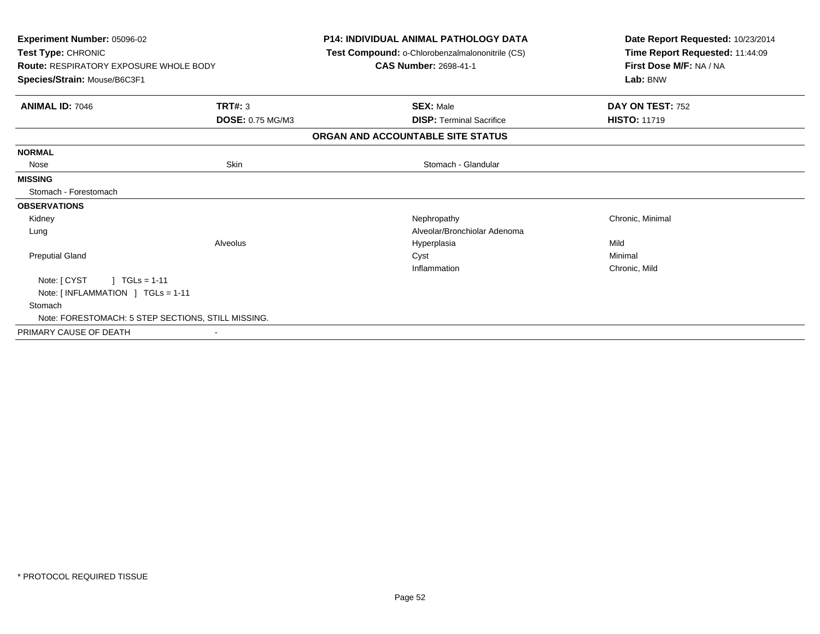| Experiment Number: 05096-02<br>Test Type: CHRONIC<br><b>Route: RESPIRATORY EXPOSURE WHOLE BODY</b><br>Species/Strain: Mouse/B6C3F1 |                         | <b>P14: INDIVIDUAL ANIMAL PATHOLOGY DATA</b><br>Test Compound: o-Chlorobenzalmalononitrile (CS)<br><b>CAS Number: 2698-41-1</b> | Date Report Requested: 10/23/2014<br>Time Report Requested: 11:44:09<br>First Dose M/F: NA / NA<br>Lab: BNW |
|------------------------------------------------------------------------------------------------------------------------------------|-------------------------|---------------------------------------------------------------------------------------------------------------------------------|-------------------------------------------------------------------------------------------------------------|
| <b>ANIMAL ID: 7046</b>                                                                                                             | <b>TRT#: 3</b>          | <b>SEX: Male</b>                                                                                                                | DAY ON TEST: 752                                                                                            |
|                                                                                                                                    | <b>DOSE: 0.75 MG/M3</b> | <b>DISP: Terminal Sacrifice</b><br>ORGAN AND ACCOUNTABLE SITE STATUS                                                            | <b>HISTO: 11719</b>                                                                                         |
|                                                                                                                                    |                         |                                                                                                                                 |                                                                                                             |
| <b>NORMAL</b><br>Nose                                                                                                              | Skin                    | Stomach - Glandular                                                                                                             |                                                                                                             |
| <b>MISSING</b>                                                                                                                     |                         |                                                                                                                                 |                                                                                                             |
| Stomach - Forestomach                                                                                                              |                         |                                                                                                                                 |                                                                                                             |
| <b>OBSERVATIONS</b>                                                                                                                |                         |                                                                                                                                 |                                                                                                             |
| Kidney                                                                                                                             |                         | Nephropathy                                                                                                                     | Chronic, Minimal                                                                                            |
| Lung                                                                                                                               |                         | Alveolar/Bronchiolar Adenoma                                                                                                    |                                                                                                             |
|                                                                                                                                    | Alveolus                | Hyperplasia                                                                                                                     | Mild                                                                                                        |
| <b>Preputial Gland</b>                                                                                                             |                         | Cyst                                                                                                                            | Minimal                                                                                                     |
|                                                                                                                                    |                         | Inflammation                                                                                                                    | Chronic, Mild                                                                                               |
| Note: [ CYST<br>$\vert$ TGLs = 1-11                                                                                                |                         |                                                                                                                                 |                                                                                                             |
| Note: $[INFLAMMATION ] TGLs = 1-11$                                                                                                |                         |                                                                                                                                 |                                                                                                             |
| Stomach                                                                                                                            |                         |                                                                                                                                 |                                                                                                             |
| Note: FORESTOMACH: 5 STEP SECTIONS, STILL MISSING.                                                                                 |                         |                                                                                                                                 |                                                                                                             |
| PRIMARY CAUSE OF DEATH                                                                                                             |                         |                                                                                                                                 |                                                                                                             |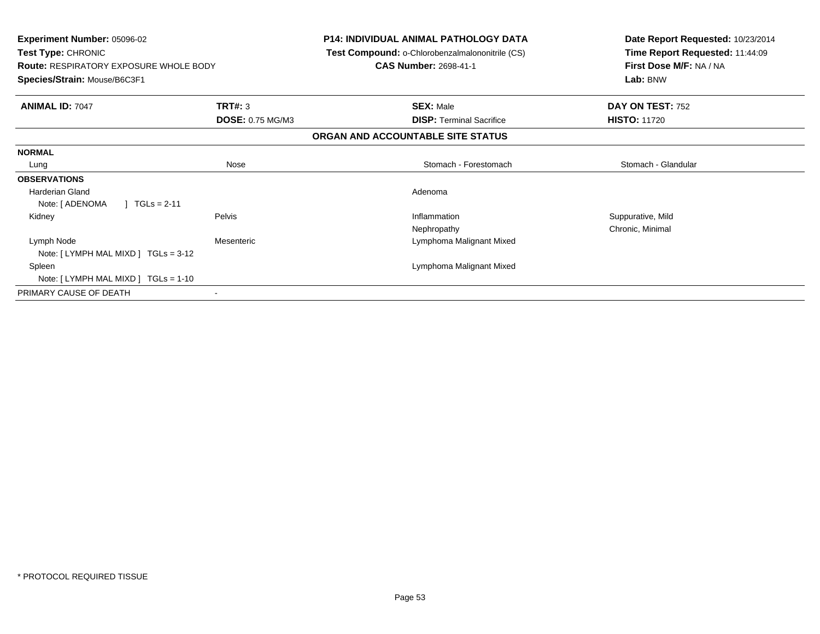| <b>Experiment Number: 05096-02</b><br>Test Type: CHRONIC<br><b>Route: RESPIRATORY EXPOSURE WHOLE BODY</b><br>Species/Strain: Mouse/B6C3F1 |                          | <b>P14: INDIVIDUAL ANIMAL PATHOLOGY DATA</b><br>Test Compound: o-Chlorobenzalmalononitrile (CS)<br><b>CAS Number: 2698-41-1</b> | Date Report Requested: 10/23/2014<br>Time Report Requested: 11:44:09<br>First Dose M/F: NA / NA<br>Lab: BNW |
|-------------------------------------------------------------------------------------------------------------------------------------------|--------------------------|---------------------------------------------------------------------------------------------------------------------------------|-------------------------------------------------------------------------------------------------------------|
|                                                                                                                                           |                          |                                                                                                                                 |                                                                                                             |
| <b>ANIMAL ID: 7047</b>                                                                                                                    | <b>TRT#: 3</b>           | <b>SEX: Male</b>                                                                                                                | DAY ON TEST: 752                                                                                            |
|                                                                                                                                           | <b>DOSE: 0.75 MG/M3</b>  | <b>DISP:</b> Terminal Sacrifice                                                                                                 | <b>HISTO: 11720</b>                                                                                         |
|                                                                                                                                           |                          | ORGAN AND ACCOUNTABLE SITE STATUS                                                                                               |                                                                                                             |
| <b>NORMAL</b>                                                                                                                             |                          |                                                                                                                                 |                                                                                                             |
| Lung                                                                                                                                      | Nose                     | Stomach - Forestomach                                                                                                           | Stomach - Glandular                                                                                         |
| <b>OBSERVATIONS</b>                                                                                                                       |                          |                                                                                                                                 |                                                                                                             |
| <b>Harderian Gland</b>                                                                                                                    |                          | Adenoma                                                                                                                         |                                                                                                             |
| Note: [ ADENOMA<br>$TGLs = 2-11$                                                                                                          |                          |                                                                                                                                 |                                                                                                             |
| Kidney                                                                                                                                    | Pelvis                   | Inflammation                                                                                                                    | Suppurative, Mild                                                                                           |
|                                                                                                                                           |                          | Nephropathy                                                                                                                     | Chronic, Minimal                                                                                            |
| Lymph Node                                                                                                                                | Mesenteric               | Lymphoma Malignant Mixed                                                                                                        |                                                                                                             |
| Note: [LYMPH MAL MIXD ] TGLs = 3-12                                                                                                       |                          |                                                                                                                                 |                                                                                                             |
| Spleen                                                                                                                                    |                          | Lymphoma Malignant Mixed                                                                                                        |                                                                                                             |
| Note: [LYMPH MAL MIXD ] TGLs = 1-10                                                                                                       |                          |                                                                                                                                 |                                                                                                             |
| PRIMARY CAUSE OF DEATH                                                                                                                    | $\overline{\phantom{a}}$ |                                                                                                                                 |                                                                                                             |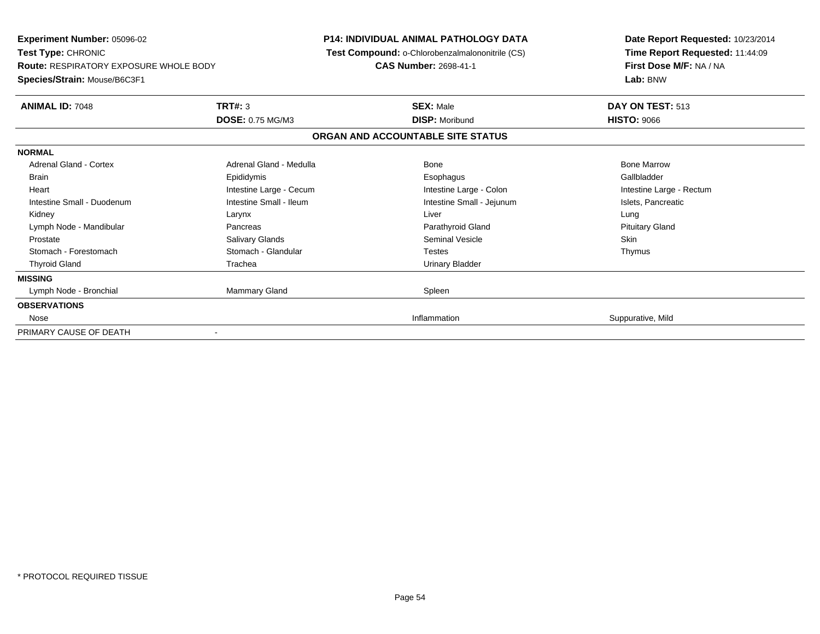**Experiment Number:** 05096-02**Test Type:** CHRONIC **Route:** RESPIRATORY EXPOSURE WHOLE BODY**Species/Strain:** Mouse/B6C3F1**P14: INDIVIDUAL ANIMAL PATHOLOGY DATA Test Compound:** o-Chlorobenzalmalononitrile (CS)**CAS Number:** 2698-41-1**Date Report Requested:** 10/23/2014**Time Report Requested:** 11:44:09**First Dose M/F:** NA / NA**Lab:** BNW**ANIMAL ID:** 7048**SEX:** Male **DAY ON TEST:** 513 **DOSE:** 0.75 MG/M3 **DISP:** Moribund **HISTO:** <sup>9066</sup> **ORGAN AND ACCOUNTABLE SITE STATUSNORMALAdrenal Gland - Cortex**  Adrenal Gland - Cortex Adrenal Gland - Medulla Bone Bone MarrowGallbladder Brain Epididymis Epididymis and the Brook of the Brook of the Brook of the Brook of the Gallbladder of the Gallbladder Heart **Intestine Large - Cecum** Intestine Large - Cecum Intestine Large - Colon Intestine Large - Rectum Intestine Small - Duodenum **Intestine Small - Ileum** Intestine Small - Ileum Intestine Small - Jejunum Intestine Small - Jejunum Islets, Pancreatic Kidney Larynx Liver Lung**Pituitary Gland** Lymph Node - Mandibular **Notelland Cland Pancreas** Pancreas **Parathyroid Gland Parathyroid Gland**  Prostate Salivary Glands Seminal Vesicle SkinThymus Stomach - Forestomach **Stomach - Glandular** Testes Testes Testes Testes Testes The Testes The Testes The Testes The Testes The Testes The Testes The Testes Testes The Testes Testes Testes Testes Testes Testes Testes Testes Thyroid Gland **Trachea** Trachea **Trachea** Trachea Urinary Bladder **MISSING**Lymph Node - Bronchial Mannes of Mammary Gland Mammary Gland Spleen **OBSERVATIONS** Nosee de la contratte de la contratte de la contratte de la contratte de la contratte de la contratte de la contratte de la contratte de la contratte de la contratte de la contratte de la contratte de la contratte de la contra PRIMARY CAUSE OF DEATH-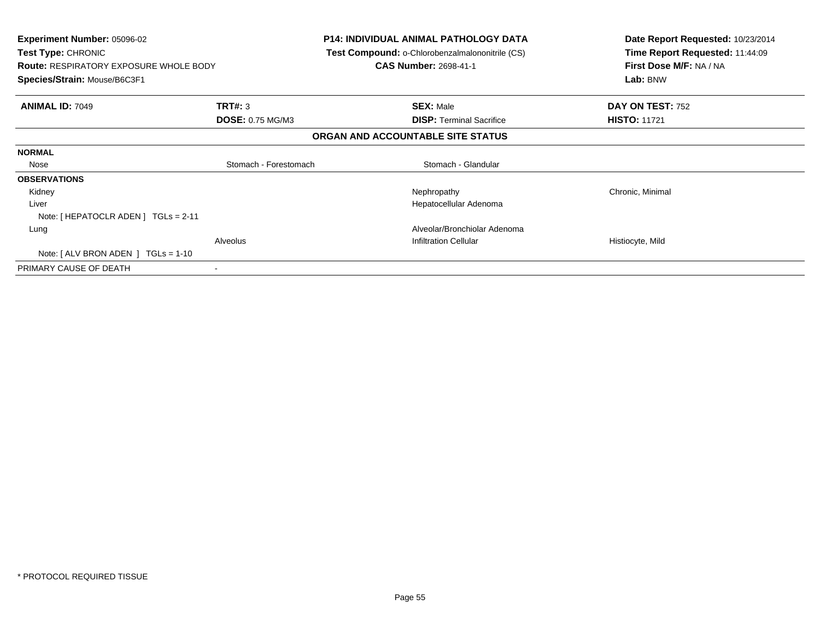| <b>Experiment Number: 05096-02</b><br>Test Type: CHRONIC<br><b>Route: RESPIRATORY EXPOSURE WHOLE BODY</b><br>Species/Strain: Mouse/B6C3F1 |                         | P14: INDIVIDUAL ANIMAL PATHOLOGY DATA<br>Test Compound: o-Chlorobenzalmalononitrile (CS)<br><b>CAS Number: 2698-41-1</b> | Date Report Requested: 10/23/2014<br>Time Report Requested: 11:44:09<br>First Dose M/F: NA / NA<br>Lab: BNW |
|-------------------------------------------------------------------------------------------------------------------------------------------|-------------------------|--------------------------------------------------------------------------------------------------------------------------|-------------------------------------------------------------------------------------------------------------|
| <b>ANIMAL ID: 7049</b>                                                                                                                    | <b>TRT#: 3</b>          | <b>SEX: Male</b>                                                                                                         | DAY ON TEST: 752                                                                                            |
|                                                                                                                                           | <b>DOSE: 0.75 MG/M3</b> | <b>DISP:</b> Terminal Sacrifice                                                                                          | <b>HISTO: 11721</b>                                                                                         |
|                                                                                                                                           |                         | ORGAN AND ACCOUNTABLE SITE STATUS                                                                                        |                                                                                                             |
| <b>NORMAL</b>                                                                                                                             |                         |                                                                                                                          |                                                                                                             |
| Nose                                                                                                                                      | Stomach - Forestomach   | Stomach - Glandular                                                                                                      |                                                                                                             |
| <b>OBSERVATIONS</b>                                                                                                                       |                         |                                                                                                                          |                                                                                                             |
| Kidney                                                                                                                                    |                         | Nephropathy                                                                                                              | Chronic, Minimal                                                                                            |
| Liver                                                                                                                                     |                         | Hepatocellular Adenoma                                                                                                   |                                                                                                             |
| Note: [ HEPATOCLR ADEN ] TGLs = 2-11                                                                                                      |                         |                                                                                                                          |                                                                                                             |
| Lung                                                                                                                                      |                         | Alveolar/Bronchiolar Adenoma                                                                                             |                                                                                                             |
|                                                                                                                                           | Alveolus                | <b>Infiltration Cellular</b>                                                                                             | Histiocyte, Mild                                                                                            |
| Note: $[ALV$ BRON ADEN $]$ TGLs = 1-10                                                                                                    |                         |                                                                                                                          |                                                                                                             |
| PRIMARY CAUSE OF DEATH                                                                                                                    |                         |                                                                                                                          |                                                                                                             |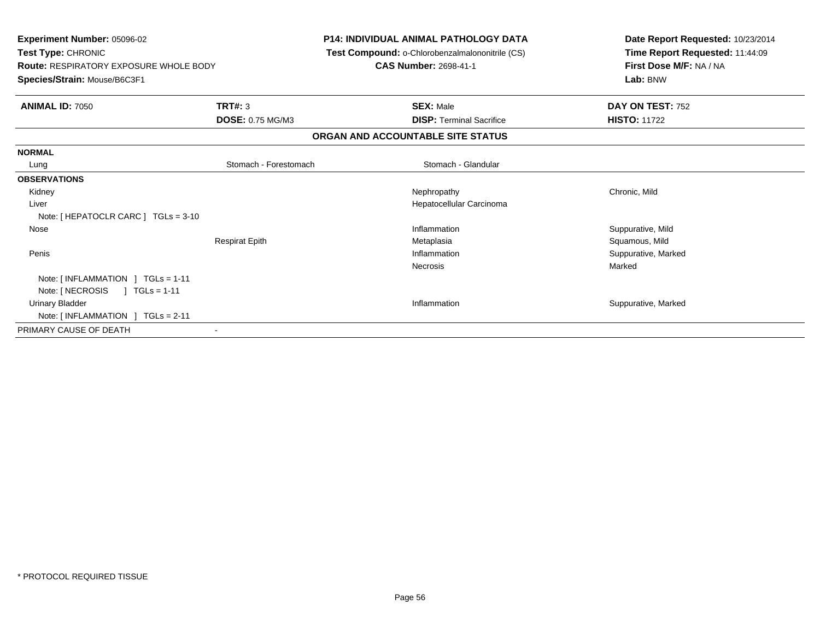| <b>Experiment Number: 05096-02</b><br><b>Test Type: CHRONIC</b><br><b>Route: RESPIRATORY EXPOSURE WHOLE BODY</b><br>Species/Strain: Mouse/B6C3F1 |                         | <b>P14: INDIVIDUAL ANIMAL PATHOLOGY DATA</b><br>Test Compound: o-Chlorobenzalmalononitrile (CS)<br><b>CAS Number: 2698-41-1</b> | Date Report Requested: 10/23/2014<br>Time Report Requested: 11:44:09<br>First Dose M/F: NA / NA<br>Lab: BNW |  |
|--------------------------------------------------------------------------------------------------------------------------------------------------|-------------------------|---------------------------------------------------------------------------------------------------------------------------------|-------------------------------------------------------------------------------------------------------------|--|
| <b>ANIMAL ID: 7050</b>                                                                                                                           | TRT#: 3                 | <b>SEX: Male</b>                                                                                                                | DAY ON TEST: 752                                                                                            |  |
|                                                                                                                                                  | <b>DOSE: 0.75 MG/M3</b> | <b>DISP: Terminal Sacrifice</b>                                                                                                 | <b>HISTO: 11722</b>                                                                                         |  |
|                                                                                                                                                  |                         | ORGAN AND ACCOUNTABLE SITE STATUS                                                                                               |                                                                                                             |  |
| <b>NORMAL</b>                                                                                                                                    |                         |                                                                                                                                 |                                                                                                             |  |
| Lung                                                                                                                                             | Stomach - Forestomach   | Stomach - Glandular                                                                                                             |                                                                                                             |  |
| <b>OBSERVATIONS</b>                                                                                                                              |                         |                                                                                                                                 |                                                                                                             |  |
| Kidney                                                                                                                                           |                         | Nephropathy                                                                                                                     | Chronic, Mild                                                                                               |  |
| Liver                                                                                                                                            |                         | Hepatocellular Carcinoma                                                                                                        |                                                                                                             |  |
| Note: [ HEPATOCLR CARC ] TGLs = 3-10                                                                                                             |                         |                                                                                                                                 |                                                                                                             |  |
| Nose                                                                                                                                             |                         | Inflammation                                                                                                                    | Suppurative, Mild                                                                                           |  |
|                                                                                                                                                  | <b>Respirat Epith</b>   | Metaplasia                                                                                                                      | Squamous, Mild                                                                                              |  |
| Penis                                                                                                                                            |                         | Inflammation                                                                                                                    | Suppurative, Marked                                                                                         |  |
|                                                                                                                                                  |                         | Necrosis                                                                                                                        | Marked                                                                                                      |  |
| Note: $\lceil$ INFLAMMATION $\lceil$ TGLs = 1-11                                                                                                 |                         |                                                                                                                                 |                                                                                                             |  |
| Note: [ NECROSIS<br>$1 TGLs = 1-11$                                                                                                              |                         |                                                                                                                                 |                                                                                                             |  |
| Urinary Bladder                                                                                                                                  |                         | Inflammation                                                                                                                    | Suppurative, Marked                                                                                         |  |
| Note: $[INFLAMMATION] TGLs = 2-11$                                                                                                               |                         |                                                                                                                                 |                                                                                                             |  |
| PRIMARY CAUSE OF DEATH                                                                                                                           |                         |                                                                                                                                 |                                                                                                             |  |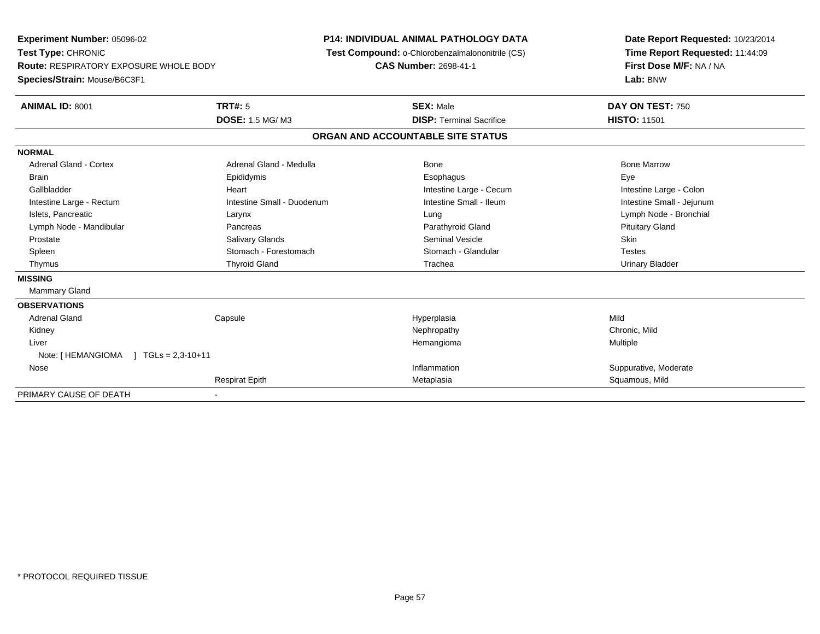**Experiment Number:** 05096-02**Test Type:** CHRONIC **Route:** RESPIRATORY EXPOSURE WHOLE BODY**Species/Strain:** Mouse/B6C3F1**P14: INDIVIDUAL ANIMAL PATHOLOGY DATA Test Compound:** o-Chlorobenzalmalononitrile (CS)**CAS Number:** 2698-41-1**Date Report Requested:** 10/23/2014**Time Report Requested:** 11:44:09**First Dose M/F:** NA / NA**Lab:** BNW**ANIMAL ID:** 8001**TRT#:** 5 **SEX:** Male **DAY ON TEST:** 750 **DOSE:** 1.5 MG/ M3**DISP:** Terminal Sacrifice **HISTO:** 11501 **ORGAN AND ACCOUNTABLE SITE STATUSNORMALAdrenal Gland - Cortex**  Adrenal Gland - Cortex Adrenal Gland - Medulla Bone Bone MarrowBrain Exercicles and the Exercise Epididymis Communications of the Exercise Exercise Exercise Exercise Exe Intestine Large - Colon Gallbladder **Gallbladder Heart** Intestine Large - Cecum Intestine Large - Cecum Intestine Large - Cecum Intestine Small - Jejunum Intestine Large - Rectum **Intestine Small - Duodenum** Intestine Small - Ileum Intestine Small - Ileum Islets, Pancreatic Larynx Lung Lymph Node - Bronchial Lymph Node - Mandibular Pancreas Parathyroid Gland Pituitary Gland Prostate Salivary Glands Seminal Vesicle Skin**Testes** Spleen Summach - Forestomach Stomach - Glandular Stomach - Glandular Testestes Stomach - Glandular **Urinary Bladder**  Thymus Thyroid Gland Trachea Urinary Bladder**MISSING** Mammary Gland**OBSERVATIONS** Adrenal Gland Capsule Hyperplasia Mild Kidneyy the controller of the controller of the controller of the controller of the controller of the chronic, Mild Liver Hemangiomaa **Multiple** Note: [HEMANGIOMA ] TGLs = 2,3-10+11 Nosee the contractive of the contraction of the contraction of the contraction of the contraction of the contraction of  $\mathbf S$ uppurative, Moderate Respirat Epithh and the matter of the Metaplasia Squamous, Mild and the Squamous, Mild and the Squamous, Mild and the Squamous, Mild and the Squamous, Mild and the Squamous, Mild and the Squamous, Mild and the Squamous, Mild and the Squ PRIMARY CAUSE OF DEATH-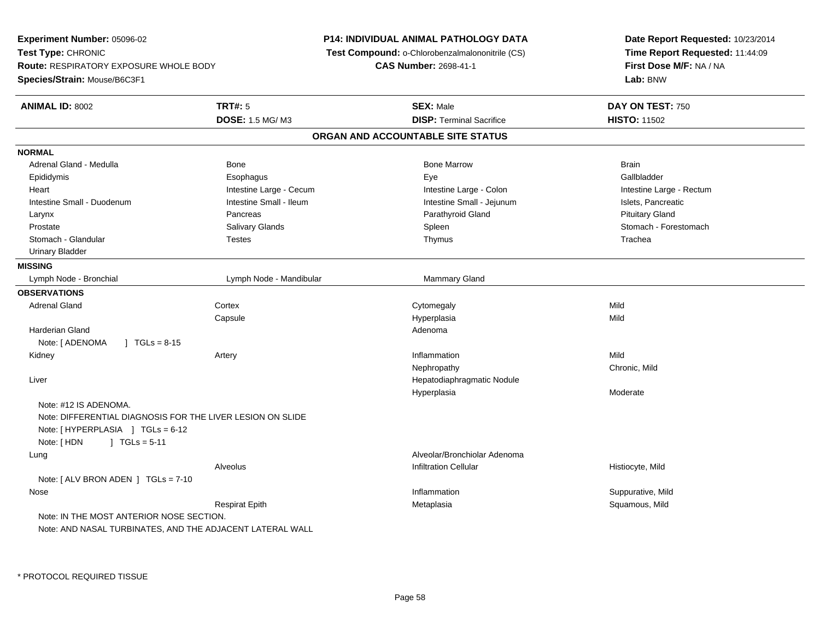**Experiment Number:** 05096-02**Test Type:** CHRONIC **Route:** RESPIRATORY EXPOSURE WHOLE BODY**Species/Strain:** Mouse/B6C3F1**P14: INDIVIDUAL ANIMAL PATHOLOGY DATA Test Compound:** o-Chlorobenzalmalononitrile (CS)**CAS Number:** 2698-41-1**Date Report Requested:** 10/23/2014**Time Report Requested:** 11:44:09**First Dose M/F:** NA / NA**Lab:** BNW**ANIMAL ID:** 8002 **TRT#:** <sup>5</sup> **SEX:** Male **DAY ON TEST:** <sup>750</sup> **DOSE:** 1.5 MG/ M3**DISP:** Terminal Sacrifice **HISTO:** 11502 **ORGAN AND ACCOUNTABLE SITE STATUSNORMAL**Adrenal Gland - Medulla November 2012 Bone National Bone Marrow Bone Marrow Bone Marrow Brain Gallbladder Epididymis Esophagus Eye GallbladderHeart **Intestine Large - Cecum** Intestine Large - Cecum Intestine Large - Colon Intestine Large - Rectum Intestine Small - Duodenum **Intestine Small - Ileum** Intestine Small - Ileum Intestine Small - Jejunum Intestine Small - Islets, Pancreatic Larynx Pancreas Parathyroid Gland Pituitary GlandProstate Salivary Glands Salivary Glands Subsection Spleen Subsection Spleen Stomach - Forestomach - Stomach - Forestomach - Stomach - Stomach - Stomach - Stomach - Stomach - Stomach - Stomach - Stomach - Stomach - Stomach Stomach - Glandular Testes Thymus Trachea Urinary Bladder**MISSING**Lymph Node - Bronchial Lymph Node - Mandibular Mammary Gland **OBSERVATIONS** Adrenal Glandd cortex Cortex Cortex Cytomegaly Cytomegaly **Capsule**  Hyperplasia Mild Harderian Glandd and a state of the control of the control of the control of the control of the control of the control of the control of the control of the control of the control of the control of the control of the control of the contro Note: [ ADENOMA ] TGLs = 8-15 Kidneyy the contract of the contract of the contract of the contract of the contract of the contract of the contract of the contract of the contract of the contract of the contract of the contract of the contract of the contract n Mild Nephropathy Chronic, Mild Liver Hepatodiaphragmatic NoduleHyperplasia Moderate Note: #12 IS ADENOMA.Note: DIFFERENTIAL DIAGNOSIS FOR THE LIVER LESION ON SLIDENote: [ HYPERPLASIA ] TGLs = 6-12 Note:  $I$  HDN  $I$  TGLs = 5-11 LungAlveolar/Bronchiolar Adenoma<br>Infiltration Cellular Alveolus Infiltration Cellular Histiocyte, MildNote: [ ALV BRON ADEN ] TGLs = 7-10 Nosee the suppurative, Mild and the support of the support of the support of the support of the support of the support of  $\mathbf S$ uppurative, Mild and the support of the support of the support of the support of the support of th Respirat Epith Metaplasia Squamous, Mild Note: IN THE MOST ANTERIOR NOSE SECTION.Note: AND NASAL TURBINATES, AND THE ADJACENT LATERAL WALL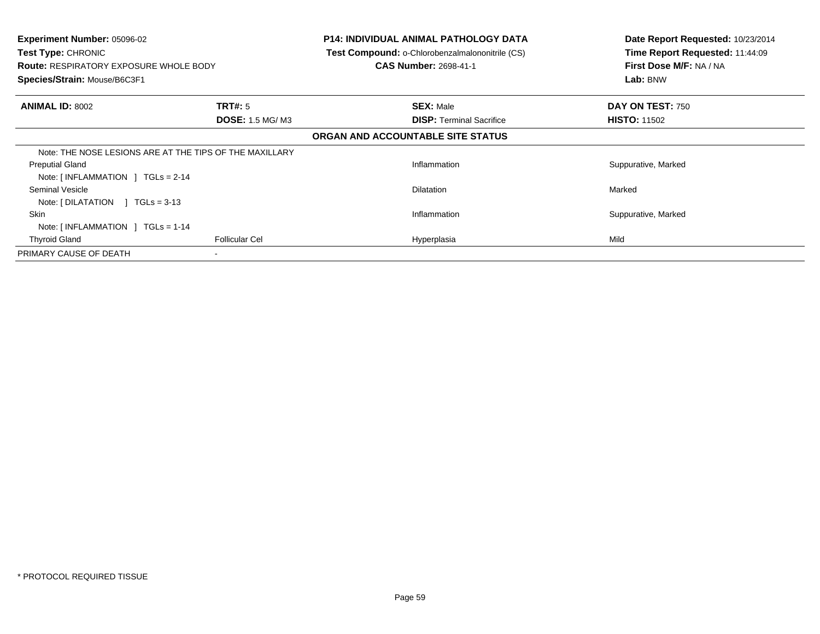| <b>Experiment Number: 05096-02</b><br><b>Test Type: CHRONIC</b><br>Route: RESPIRATORY EXPOSURE WHOLE BODY<br>Species/Strain: Mouse/B6C3F1 |                                   | <b>P14: INDIVIDUAL ANIMAL PATHOLOGY DATA</b><br><b>Test Compound: o-Chlorobenzalmalononitrile (CS)</b><br><b>CAS Number: 2698-41-1</b> | Date Report Requested: 10/23/2014<br>Time Report Requested: 11:44:09<br>First Dose M/F: NA / NA<br>Lab: BNW |
|-------------------------------------------------------------------------------------------------------------------------------------------|-----------------------------------|----------------------------------------------------------------------------------------------------------------------------------------|-------------------------------------------------------------------------------------------------------------|
| <b>ANIMAL ID: 8002</b>                                                                                                                    | TRT#: 5<br><b>DOSE: 1.5 MG/M3</b> | <b>SEX: Male</b><br><b>DISP:</b> Terminal Sacrifice                                                                                    | DAY ON TEST: 750<br><b>HISTO: 11502</b>                                                                     |
|                                                                                                                                           |                                   | ORGAN AND ACCOUNTABLE SITE STATUS                                                                                                      |                                                                                                             |
| Note: THE NOSE LESIONS ARE AT THE TIPS OF THE MAXILLARY                                                                                   |                                   |                                                                                                                                        |                                                                                                             |
| <b>Preputial Gland</b><br>Note: $\lceil$ INFLAMMATION $\lceil$ TGLs = 2-14                                                                |                                   | Inflammation                                                                                                                           | Suppurative, Marked                                                                                         |
| Seminal Vesicle<br>Note: $[DILATATION] TGLs = 3-13$                                                                                       |                                   | <b>Dilatation</b>                                                                                                                      | Marked                                                                                                      |
| <b>Skin</b><br>Note: $\lceil$ INFLAMMATION $\lceil$ TGLs = 1-14                                                                           |                                   | Inflammation                                                                                                                           | Suppurative, Marked                                                                                         |
| <b>Thyroid Gland</b>                                                                                                                      | <b>Follicular Cel</b>             | Hyperplasia                                                                                                                            | Mild                                                                                                        |
| PRIMARY CAUSE OF DEATH                                                                                                                    |                                   |                                                                                                                                        |                                                                                                             |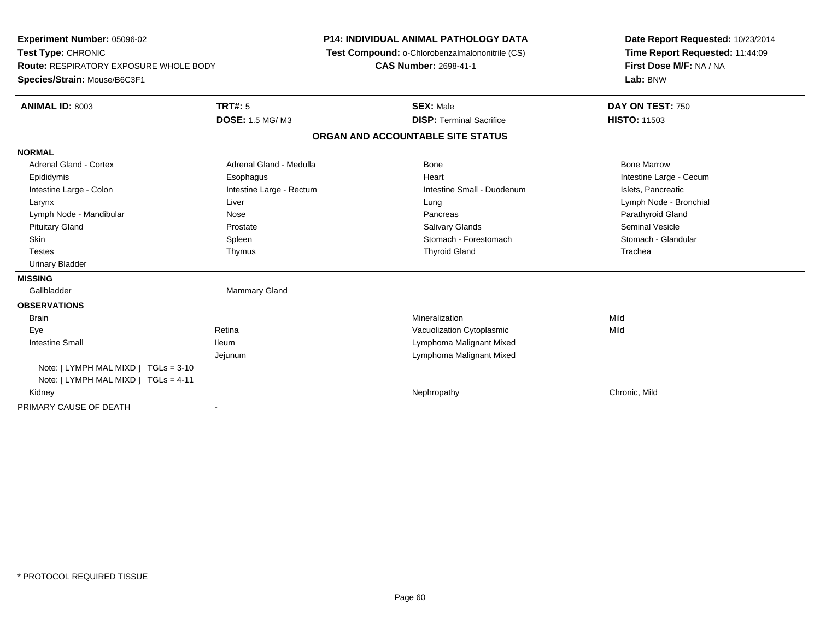| Experiment Number: 05096-02<br>Test Type: CHRONIC<br><b>Route: RESPIRATORY EXPOSURE WHOLE BODY</b> |                          | <b>P14: INDIVIDUAL ANIMAL PATHOLOGY DATA</b>    | Date Report Requested: 10/23/2014                          |  |  |
|----------------------------------------------------------------------------------------------------|--------------------------|-------------------------------------------------|------------------------------------------------------------|--|--|
|                                                                                                    |                          | Test Compound: o-Chlorobenzalmalononitrile (CS) | Time Report Requested: 11:44:09<br>First Dose M/F: NA / NA |  |  |
|                                                                                                    |                          | CAS Number: 2698-41-1                           |                                                            |  |  |
| Species/Strain: Mouse/B6C3F1                                                                       |                          |                                                 | Lab: BNW                                                   |  |  |
| <b>ANIMAL ID: 8003</b>                                                                             | <b>TRT#: 5</b>           | <b>SEX: Male</b>                                | DAY ON TEST: 750                                           |  |  |
|                                                                                                    | <b>DOSE: 1.5 MG/M3</b>   | <b>DISP: Terminal Sacrifice</b>                 | <b>HISTO: 11503</b>                                        |  |  |
|                                                                                                    |                          | ORGAN AND ACCOUNTABLE SITE STATUS               |                                                            |  |  |
| <b>NORMAL</b>                                                                                      |                          |                                                 |                                                            |  |  |
| Adrenal Gland - Cortex                                                                             | Adrenal Gland - Medulla  | Bone                                            | <b>Bone Marrow</b>                                         |  |  |
| Epididymis                                                                                         | Esophagus                | Heart                                           | Intestine Large - Cecum                                    |  |  |
| Intestine Large - Colon                                                                            | Intestine Large - Rectum | Intestine Small - Duodenum                      | Islets, Pancreatic                                         |  |  |
| Larynx                                                                                             | Liver                    | Lung                                            | Lymph Node - Bronchial                                     |  |  |
| Lymph Node - Mandibular                                                                            | Nose                     | Pancreas                                        | Parathyroid Gland                                          |  |  |
| <b>Pituitary Gland</b>                                                                             | Prostate                 | Salivary Glands                                 | <b>Seminal Vesicle</b>                                     |  |  |
| Skin                                                                                               | Spleen                   | Stomach - Forestomach                           | Stomach - Glandular                                        |  |  |
| <b>Testes</b>                                                                                      | Thymus                   | <b>Thyroid Gland</b>                            | Trachea                                                    |  |  |
| <b>Urinary Bladder</b>                                                                             |                          |                                                 |                                                            |  |  |
| <b>MISSING</b>                                                                                     |                          |                                                 |                                                            |  |  |
| Gallbladder                                                                                        | Mammary Gland            |                                                 |                                                            |  |  |
| <b>OBSERVATIONS</b>                                                                                |                          |                                                 |                                                            |  |  |
| <b>Brain</b>                                                                                       |                          | Mineralization                                  | Mild                                                       |  |  |
| Eye                                                                                                | Retina                   | Vacuolization Cytoplasmic                       | Mild                                                       |  |  |
| <b>Intestine Small</b>                                                                             | <b>Ileum</b>             | Lymphoma Malignant Mixed                        |                                                            |  |  |
|                                                                                                    | Jejunum                  | Lymphoma Malignant Mixed                        |                                                            |  |  |
| Note: [LYMPH MAL MIXD ] TGLs = 3-10                                                                |                          |                                                 |                                                            |  |  |
| Note: [LYMPH MAL MIXD ] TGLs = 4-11                                                                |                          |                                                 |                                                            |  |  |
| Kidney                                                                                             |                          | Nephropathy                                     | Chronic, Mild                                              |  |  |
| PRIMARY CAUSE OF DEATH                                                                             |                          |                                                 |                                                            |  |  |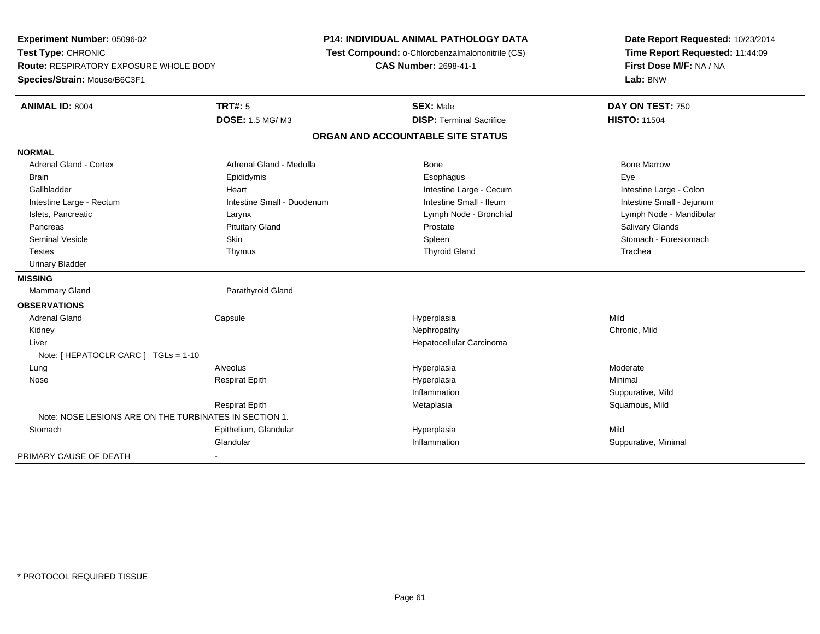**Experiment Number:** 05096-02**Test Type:** CHRONIC **Route:** RESPIRATORY EXPOSURE WHOLE BODY**Species/Strain:** Mouse/B6C3F1**P14: INDIVIDUAL ANIMAL PATHOLOGY DATA Test Compound:** o-Chlorobenzalmalononitrile (CS)**CAS Number:** 2698-41-1**Date Report Requested:** 10/23/2014**Time Report Requested:** 11:44:09**First Dose M/F:** NA / NA**Lab:** BNW**ANIMAL ID:** 8004 **TRT#:** <sup>5</sup> **SEX:** Male **DAY ON TEST:** <sup>750</sup> **DOSE:** 1.5 MG/ M3**DISP:** Terminal Sacrifice **HISTO:** 11504 **ORGAN AND ACCOUNTABLE SITE STATUSNORMALAdrenal Gland - Cortex** Adrenal Gland - Medulla **Adrenal Gland - Medulla** Bone Bone Bone Bone Bone Marrow Brain Exercicles and the Exercise Epididymis Communications of the Exercise Exercise Exercise Exercise Exe Intestine Large - Colon Gallbladder **Gallbladder Heart** Intestine Large - Cecum Intestine Large - Cecum Intestine Large - Cecum Intestine Small - Jejunum Intestine Large - Rectum **Intestine Small - Duodenum** Intestine Small - Ileum Intestine Small - Ileum Islets, Pancreatic Larynx Lymph Node - Bronchial Lymph Node - Mandibular Pancreas Pituitary Gland Prostate Salivary GlandsSeminal Vesicle Skin Skin Skin Skin Stomach - Forestomach Spleen Stomach - Forestomach - Stomach - Forestomach Testes Thymus Thyroid Gland Trachea Urinary Bladder**MISSING**Mammary Gland Parathyroid Gland **OBSERVATIONS** Adrenal Gland Capsule Hyperplasia Mild Kidneyy the controller of the controller of the controller of the controller of the controller of the chronic, Mild Liver Hepatocellular CarcinomaNote: [ HEPATOCLR CARC ] TGLs = 1-10 Lungg en and the subset of the set of the set of the set of the set of the set of the set of the set of the set of the set of the set of the set of the set of the set of the set of the set of the set of the set of the set of t Nose Respirat Epith Hyperplasia Minimal Inflammation Suppurative, Mild Respirat EpithMetaplasia **Squamous, Mild** Note: NOSE LESIONS ARE ON THE TURBINATES IN SECTION 1.**Stomach** h ann an Eise ann an Eise ann an Chaidh ann an t-an am an t-an Meid ann an Aile an Aile an Aile an Mild an Mil<br>Iomraidhean Glandular Inflammation Suppurative, Minimal PRIMARY CAUSE OF DEATH-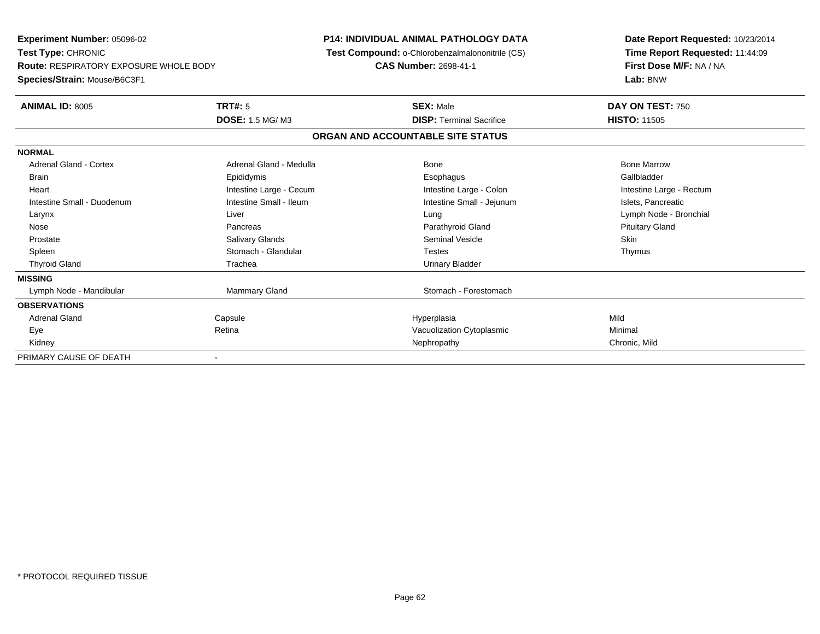**Experiment Number:** 05096-02**Test Type:** CHRONIC **Route:** RESPIRATORY EXPOSURE WHOLE BODY**Species/Strain:** Mouse/B6C3F1**P14: INDIVIDUAL ANIMAL PATHOLOGY DATA Test Compound:** o-Chlorobenzalmalononitrile (CS)**CAS Number:** 2698-41-1**Date Report Requested:** 10/23/2014**Time Report Requested:** 11:44:09**First Dose M/F:** NA / NA**Lab:** BNW**ANIMAL ID:** 8005 **TRT#:** <sup>5</sup> **SEX:** Male **DAY ON TEST:** <sup>750</sup> **DOSE:** 1.5 MG/ M3**DISP:** Terminal Sacrifice **HISTO:** 11505 **ORGAN AND ACCOUNTABLE SITE STATUSNORMALAdrenal Gland - Cortex**  Adrenal Gland - Cortex Adrenal Gland - Medulla Bone Bone MarrowGallbladder Brain Epididymis Epididymis and the Brook of the Brook of the Brook of the Brook of the Gallbladder of the Gallbladder Heart **Intestine Large - Cecum** Intestine Large - Cecum Intestine Large - Colon Intestine Large - Rectum Intestine Small - Duodenum **Intestine Small - Ileum** Intestine Small - Ileum Intestine Small - Jejunum Intestine Small - Jejunum Islets, Pancreatic Larynx Liver Lung Lymph Node - Bronchial Nose Pancreas Parathyroid Gland Pituitary Gland Prostate Salivary Glands Seminal Vesicle SkinThymus Spleen Stomach - Glandular Testes ThymusThyroid Gland **Trachea** Trachea **Trachea** Trachea Urinary Bladder **MISSING**Lymph Node - Mandibular North Mammary Gland Nammary Gland Stomach - Forestomach **OBSERVATIONS** Adrenal Gland Capsule Hyperplasia Mild EyeRetina **Exercise 2 Nacional Structure Constructs** Vacuolization Cytoplasmic<br>
Nephropathy **Chronic, Mild** Chronic, Mild Kidneyy the controller that the controller the controller that the controller the controller than  $\mathsf{N}\mathsf{E}$  chronic, Mild PRIMARY CAUSE OF DEATH-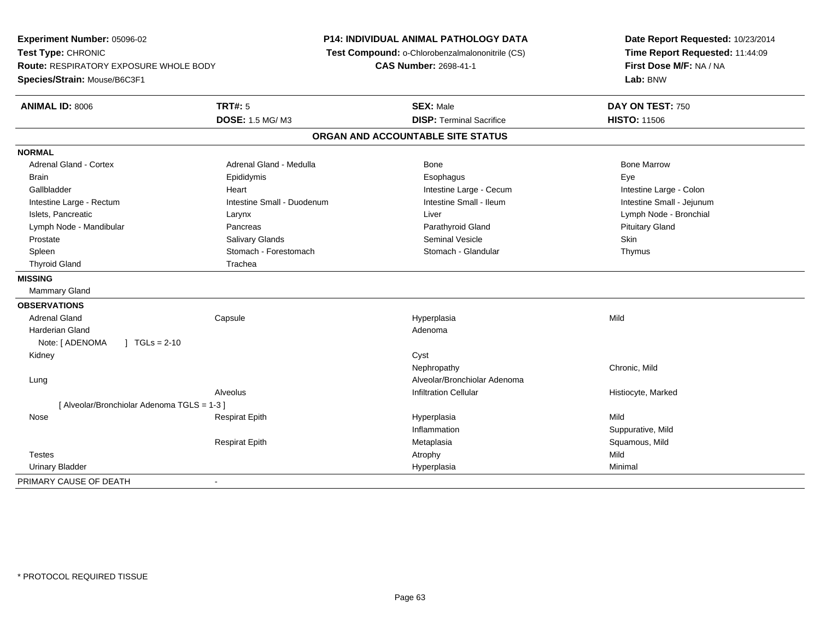**Experiment Number:** 05096-02**Test Type:** CHRONIC **Route:** RESPIRATORY EXPOSURE WHOLE BODY**Species/Strain:** Mouse/B6C3F1**P14: INDIVIDUAL ANIMAL PATHOLOGY DATA Test Compound:** o-Chlorobenzalmalononitrile (CS)**CAS Number:** 2698-41-1**Date Report Requested:** 10/23/2014**Time Report Requested:** 11:44:09**First Dose M/F:** NA / NA**Lab:** BNW**ANIMAL ID:** 8006**6 DAY ON TEST:** 750 **DOSE:** 1.5 MG/ M3**DISP:** Terminal Sacrifice **HISTO:** 11506 **ORGAN AND ACCOUNTABLE SITE STATUSNORMALAdrenal Gland - Cortex** Adrenal Gland - Medulla **Adrenal Gland - Medulla** Bone Bone Bone Bone Bone Marrow Brain Exercicles and the Exercise Epididymis Communications of the Exercise Exercise Exercise Exercise Exe Gallbladder **Eart** Heart Heart Heart Intestine Large - Cecum **Intestine Large - Cecum** Intestine Large - Colon Intestine Small - Jejunum Intestine Large - Rectum **Intestine Small - Duodenum** Intestine Small - Ileum Intestine Small - Ileum Islets, Pancreatic Larynx Liver Lymph Node - Bronchial Lymph Node - Mandibular Pancreas Parathyroid Gland Pituitary Gland Prostate Salivary Glands Seminal Vesicle SkinThymus Spleen Stomach - Forestomach Stomach - Stomach Stomach Stomach Stomach Stomach Stomach Stomach Stomach Stomach Stomach Stomach Stomach Stomach Stomach Stomach Stomach Stomach Stomach Stomach Stomach Stomach Stomach Stomach Thyroid Gland Trachea **MISSING** Mammary Gland**OBSERVATIONS** Adrenal Gland Capsule Hyperplasia Mild Harderian Glandd and a state of the control of the control of the control of the control of the control of the control of the control of the control of the control of the control of the control of the control of the control of the contro Note: [ ADENOMA ] TGLs = 2-10 Kidneyy cystem in the control of the control of the control of the control of the control of the control of the control of the control of the control of the control of the control of the control of the control of the control of Nephropathy Chronic, Mild LungAlveolar/Bronchiolar Adenoma<br>Infiltration Cellular AlveolusHistiocyte, Marked [ Alveolar/Bronchiolar Adenoma TGLS = 1-3 ] Nose Respirat Epith Hyperplasia Mild InflammationSuppurative, Mild<br>Squamous, Mild Respirat Epith Metaplasia Squamous, Mild Testess the contract of the contract of the contract of the contract of the contract of the contract of the contract of the contract of the contract of the contract of the contract of the contract of the contract of the contract Minimal Urinary Bladder Hyperplasiaa Minimal PRIMARY CAUSE OF DEATH-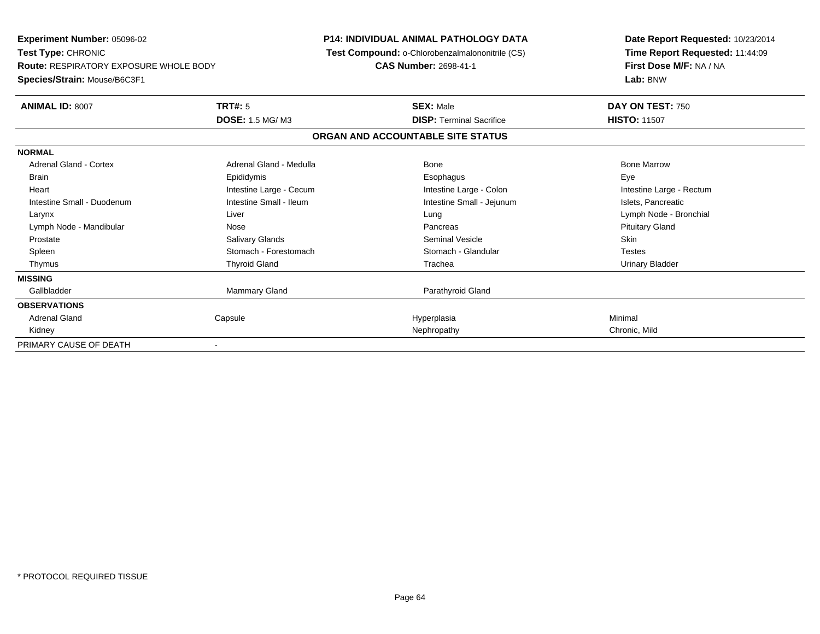**Experiment Number:** 05096-02**Test Type:** CHRONIC **Route:** RESPIRATORY EXPOSURE WHOLE BODY**Species/Strain:** Mouse/B6C3F1**P14: INDIVIDUAL ANIMAL PATHOLOGY DATA Test Compound:** o-Chlorobenzalmalononitrile (CS)**CAS Number:** 2698-41-1**Date Report Requested:** 10/23/2014**Time Report Requested:** 11:44:09**First Dose M/F:** NA / NA**Lab:** BNW**ANIMAL ID:** 8007**TRT#:** 5 **SEX:** Male **DAY ON TEST:** 750 **DOSE:** 1.5 MG/ M3**DISP:** Terminal Sacrifice **HISTO:** 11507 **ORGAN AND ACCOUNTABLE SITE STATUSNORMALAdrenal Gland - Cortex**  Adrenal Gland - Cortex Adrenal Gland - Medulla Bone Bone MarrowBrain Exercicles and the Exercise Epididymis Communications of the Exercise Exercise Exercise Exercise Exe Intestine Large - Rectum Heart **Intestine Large - Cecum** Intestine Large - Cecum **Intestine Large - Colon** Intestine Large - Rectum Intestine Small - Duodenum **Intestine Small - Ileum** Intestine Small - Ileum Intestine Small - Jejunum Intestine Small - Jejunum Islets, Pancreatic Larynx Liver Lung Lymph Node - BronchialLymph Node - Mandibular **Nose** Nose **Pancreas** Pancreas Pancreas Pancreas Pancreas Prituitary Gland Prostate Salivary Glands Seminal Vesicle Skin**Testes** Spleen Summach - Forestomach Stomach - Glandular Stomach - Glandular Testestes Stomach - Glandular **Urinary Bladder**  Thymus Thyroid Gland Trachea Urinary Bladder**MISSING**Gallbladder Mammary Gland **Parathyroid Gland OBSERVATIONS** Adrenal Gland Capsule Hyperplasia Minimal Kidneyy the controller that the controller the controller that the controller the controller than  $\mathsf{N}\mathsf{E}$  chronic, Mild PRIMARY CAUSE OF DEATH-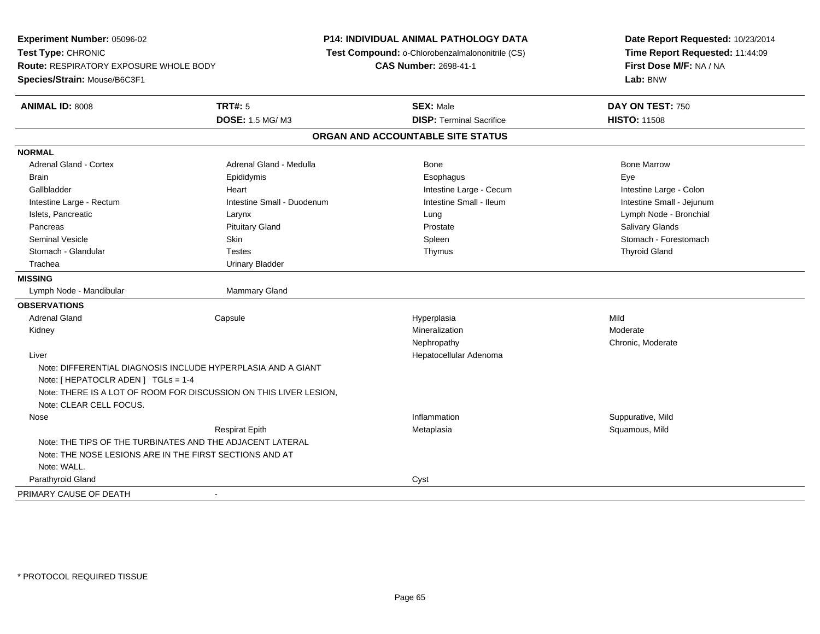**Experiment Number:** 05096-02**Test Type:** CHRONIC **Route:** RESPIRATORY EXPOSURE WHOLE BODY**Species/Strain:** Mouse/B6C3F1**P14: INDIVIDUAL ANIMAL PATHOLOGY DATA Test Compound:** o-Chlorobenzalmalononitrile (CS)**CAS Number:** 2698-41-1**Date Report Requested:** 10/23/2014**Time Report Requested:** 11:44:09**First Dose M/F:** NA / NA**Lab:** BNW**ANIMAL ID:** 8008**TRT#:** 5 **SEX:** Male **DAY ON TEST:** 750 **DOSE:** 1.5 MG/ M3**DISP:** Terminal Sacrifice **HISTO:** 11508 **ORGAN AND ACCOUNTABLE SITE STATUSNORMALAdrenal Gland - Cortex** Adrenal Gland - Medulla **Bone Adrenal Gland - Cortex Adrenal Gland - Cortex Adrenal Gland - Medulla** Bone Marrow Brain Exercicles and the Exercise Epididymis Communications of the Exercise Exercise Exercise Exercise Exe Gallbladder **Eart** Heart Heart Heart Intestine Large - Cecum **Intestine Large - Cecum** Intestine Large - Colon Intestine Small - Jejunum Intestine Large - Rectum **Intestine Small - Duodenum** Intestine Small - Ileum Intestine Small - Ileum Islets, Pancreatic Larynx Lung Lymph Node - Bronchial Pancreas Pituitary Gland Prostate Salivary GlandsSeminal Vesicle Skin Skin Skin Skin Stomach - Forestomach Spleen Stomach - Forestomach - Stomach - Forestomach Stomach - Glandular Testes Thymus Thyroid GlandTrachea **Urinary Bladder MISSING**Lymph Node - Mandibular Mammary Gland **OBSERVATIONS** Adrenal Gland Capsule Hyperplasia Mild Kidneyy with the control of the control of the control of the control of the control of the control of the control of the control of the control of the control of the control of the control of the control of the control of the c Mineralization **Moderate** Moderate Nephropathy Chronic, Moderate Liver Hepatocellular AdenomaNote: DIFFERENTIAL DIAGNOSIS INCLUDE HYPERPLASIA AND A GIANTNote: [ HEPATOCLR ADEN ] TGLs = 1-4 Note: THERE IS A LOT OF ROOM FOR DISCUSSION ON THIS LIVER LESION,Note: CLEAR CELL FOCUS. Nosee the suppurative, Mild and the support of the support of the support of the support of the support of the support of  $\mathbf S$ uppurative, Mild and the support of the support of the support of the support of the support of th Respirat Epith Metaplasia Squamous, Mild Note: THE TIPS OF THE TURBINATES AND THE ADJACENT LATERALNote: THE NOSE LESIONS ARE IN THE FIRST SECTIONS AND ATNote: WALL. Parathyroid Glandd<sub>d</sub> Cyst PRIMARY CAUSE OF DEATH-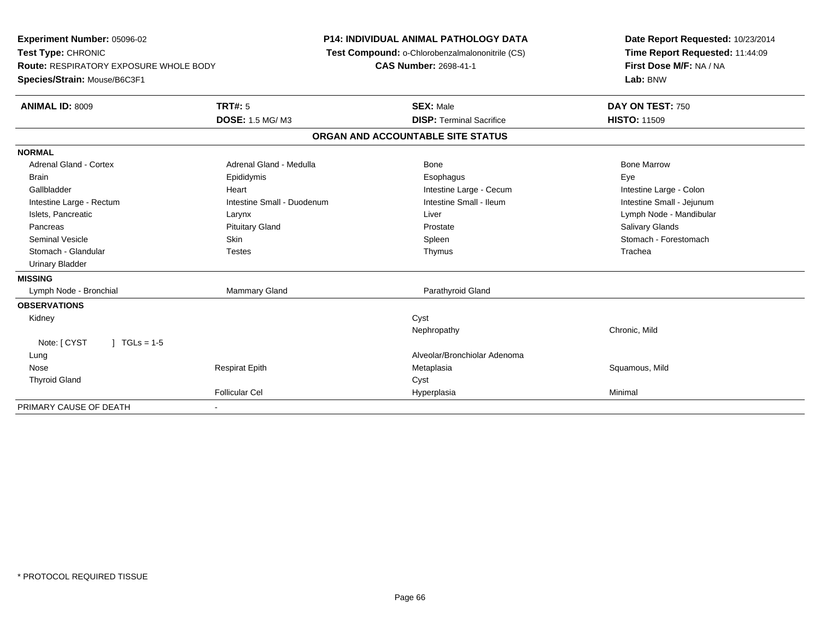| Experiment Number: 05096-02<br>Test Type: CHRONIC |                            | <b>P14: INDIVIDUAL ANIMAL PATHOLOGY DATA</b>    | Date Report Requested: 10/23/2014   |  |  |
|---------------------------------------------------|----------------------------|-------------------------------------------------|-------------------------------------|--|--|
|                                                   |                            | Test Compound: o-Chlorobenzalmalononitrile (CS) | Time Report Requested: 11:44:09     |  |  |
| <b>Route: RESPIRATORY EXPOSURE WHOLE BODY</b>     |                            | <b>CAS Number: 2698-41-1</b>                    | First Dose M/F: NA / NA<br>Lab: BNW |  |  |
| Species/Strain: Mouse/B6C3F1                      |                            |                                                 |                                     |  |  |
| <b>ANIMAL ID: 8009</b>                            | <b>TRT#: 5</b>             | <b>SEX: Male</b>                                | DAY ON TEST: 750                    |  |  |
|                                                   | DOSE: 1.5 MG/M3            | <b>DISP: Terminal Sacrifice</b>                 | <b>HISTO: 11509</b>                 |  |  |
|                                                   |                            | ORGAN AND ACCOUNTABLE SITE STATUS               |                                     |  |  |
| <b>NORMAL</b>                                     |                            |                                                 |                                     |  |  |
| Adrenal Gland - Cortex                            | Adrenal Gland - Medulla    | <b>Bone</b>                                     | <b>Bone Marrow</b>                  |  |  |
| <b>Brain</b>                                      | Epididymis                 | Esophagus                                       | Eye                                 |  |  |
| Gallbladder                                       | Heart                      | Intestine Large - Cecum                         | Intestine Large - Colon             |  |  |
| Intestine Large - Rectum                          | Intestine Small - Duodenum | Intestine Small - Ileum                         | Intestine Small - Jejunum           |  |  |
| Islets, Pancreatic                                | Larynx                     | Liver                                           | Lymph Node - Mandibular             |  |  |
| Pancreas                                          | <b>Pituitary Gland</b>     | Prostate                                        | Salivary Glands                     |  |  |
| <b>Seminal Vesicle</b>                            | Skin                       | Spleen                                          | Stomach - Forestomach               |  |  |
| Stomach - Glandular                               | <b>Testes</b>              | Thymus                                          | Trachea                             |  |  |
| <b>Urinary Bladder</b>                            |                            |                                                 |                                     |  |  |
| <b>MISSING</b>                                    |                            |                                                 |                                     |  |  |
| Lymph Node - Bronchial                            | Mammary Gland              | Parathyroid Gland                               |                                     |  |  |
| <b>OBSERVATIONS</b>                               |                            |                                                 |                                     |  |  |
| Kidney                                            |                            | Cyst                                            |                                     |  |  |
|                                                   |                            | Nephropathy                                     | Chronic, Mild                       |  |  |
| Note: [ CYST<br>$1 TGLs = 1-5$                    |                            |                                                 |                                     |  |  |
| Lung                                              |                            | Alveolar/Bronchiolar Adenoma                    |                                     |  |  |
| Nose                                              | <b>Respirat Epith</b>      | Metaplasia                                      | Squamous, Mild                      |  |  |
| <b>Thyroid Gland</b>                              |                            | Cyst                                            |                                     |  |  |
|                                                   | <b>Follicular Cel</b>      | Hyperplasia                                     | Minimal                             |  |  |
| PRIMARY CAUSE OF DEATH                            |                            |                                                 |                                     |  |  |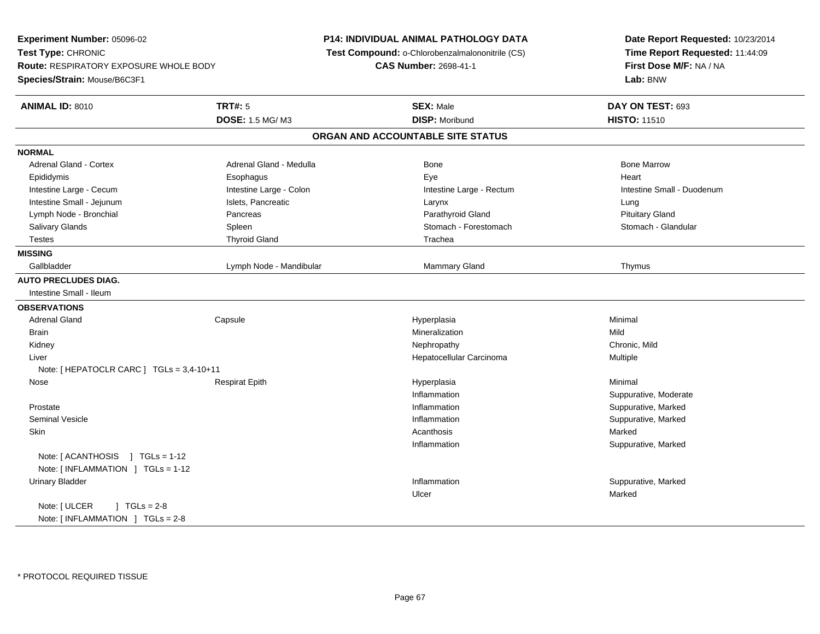| Experiment Number: 05096-02                                                |                         | <b>P14: INDIVIDUAL ANIMAL PATHOLOGY DATA</b>    | Date Report Requested: 10/23/2014                                      |  |  |
|----------------------------------------------------------------------------|-------------------------|-------------------------------------------------|------------------------------------------------------------------------|--|--|
| Test Type: CHRONIC                                                         |                         | Test Compound: o-Chlorobenzalmalononitrile (CS) | Time Report Requested: 11:44:09<br>First Dose M/F: NA / NA<br>Lab: BNW |  |  |
| <b>Route: RESPIRATORY EXPOSURE WHOLE BODY</b>                              |                         | <b>CAS Number: 2698-41-1</b>                    |                                                                        |  |  |
| Species/Strain: Mouse/B6C3F1                                               |                         |                                                 |                                                                        |  |  |
| <b>ANIMAL ID: 8010</b>                                                     | <b>TRT#: 5</b>          | <b>SEX: Male</b>                                | DAY ON TEST: 693                                                       |  |  |
|                                                                            | DOSE: 1.5 MG/M3         | <b>DISP: Moribund</b>                           | <b>HISTO: 11510</b>                                                    |  |  |
|                                                                            |                         | ORGAN AND ACCOUNTABLE SITE STATUS               |                                                                        |  |  |
| <b>NORMAL</b>                                                              |                         |                                                 |                                                                        |  |  |
| Adrenal Gland - Cortex                                                     | Adrenal Gland - Medulla | <b>Bone</b>                                     | <b>Bone Marrow</b>                                                     |  |  |
| Epididymis                                                                 | Esophagus               | Eye                                             | Heart                                                                  |  |  |
| Intestine Large - Cecum                                                    | Intestine Large - Colon | Intestine Large - Rectum                        | Intestine Small - Duodenum                                             |  |  |
| Intestine Small - Jejunum                                                  | Islets, Pancreatic      | Larynx                                          | Lung                                                                   |  |  |
| Lymph Node - Bronchial                                                     | Pancreas                | Parathyroid Gland                               | <b>Pituitary Gland</b>                                                 |  |  |
| Salivary Glands                                                            | Spleen                  | Stomach - Forestomach                           | Stomach - Glandular                                                    |  |  |
| <b>Testes</b>                                                              | <b>Thyroid Gland</b>    | Trachea                                         |                                                                        |  |  |
| <b>MISSING</b>                                                             |                         |                                                 |                                                                        |  |  |
| Gallbladder                                                                | Lymph Node - Mandibular | Mammary Gland                                   | Thymus                                                                 |  |  |
| <b>AUTO PRECLUDES DIAG.</b>                                                |                         |                                                 |                                                                        |  |  |
| Intestine Small - Ileum                                                    |                         |                                                 |                                                                        |  |  |
| <b>OBSERVATIONS</b>                                                        |                         |                                                 |                                                                        |  |  |
| <b>Adrenal Gland</b>                                                       | Capsule                 | Hyperplasia                                     | Minimal                                                                |  |  |
| <b>Brain</b>                                                               |                         | Mineralization                                  | Mild                                                                   |  |  |
| Kidney                                                                     |                         | Nephropathy                                     | Chronic, Mild                                                          |  |  |
| Liver                                                                      |                         | Hepatocellular Carcinoma                        | Multiple                                                               |  |  |
| Note: [HEPATOCLR CARC ] TGLs = 3,4-10+11                                   |                         |                                                 |                                                                        |  |  |
| Nose                                                                       | <b>Respirat Epith</b>   | Hyperplasia                                     | Minimal                                                                |  |  |
|                                                                            |                         | Inflammation                                    | Suppurative, Moderate                                                  |  |  |
| Prostate                                                                   |                         | Inflammation                                    | Suppurative, Marked                                                    |  |  |
| <b>Seminal Vesicle</b>                                                     |                         | Inflammation                                    | Suppurative, Marked                                                    |  |  |
| Skin                                                                       |                         | Acanthosis                                      | Marked                                                                 |  |  |
|                                                                            |                         | Inflammation                                    | Suppurative, Marked                                                    |  |  |
| Note: [ACANTHOSIS ] TGLs = 1-12                                            |                         |                                                 |                                                                        |  |  |
| Note: [INFLAMMATION ] TGLs = 1-12                                          |                         |                                                 |                                                                        |  |  |
| <b>Urinary Bladder</b>                                                     |                         | Inflammation                                    | Suppurative, Marked                                                    |  |  |
|                                                                            |                         | Ulcer                                           | Marked                                                                 |  |  |
| Note: [ ULCER<br>$\sqrt{6}$ TGLs = 2-8<br>Note: [INFLAMMATION ] TGLs = 2-8 |                         |                                                 |                                                                        |  |  |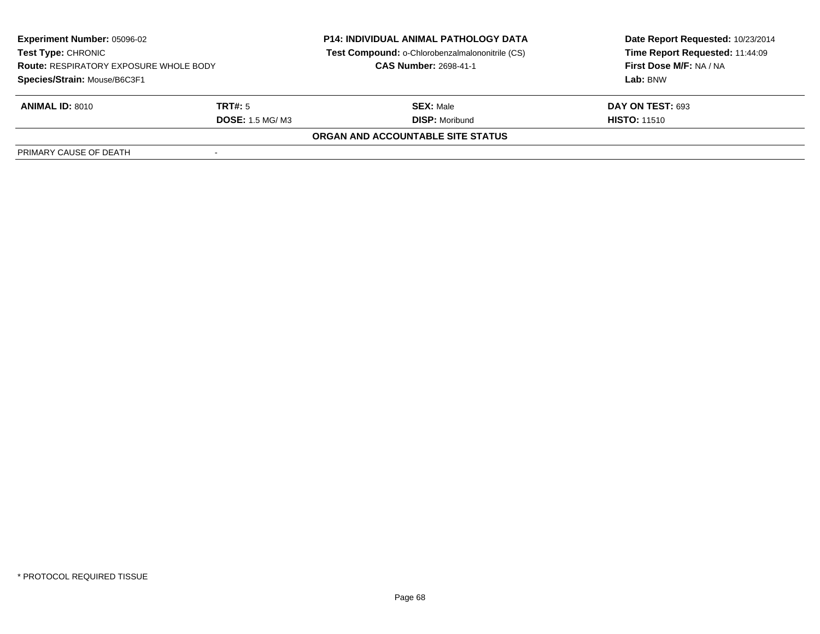| <b>Experiment Number: 05096-02</b><br><b>Test Type: CHRONIC</b><br><b>Route: RESPIRATORY EXPOSURE WHOLE BODY</b> |                        | <b>P14: INDIVIDUAL ANIMAL PATHOLOGY DATA</b>    | Date Report Requested: 10/23/2014 |  |
|------------------------------------------------------------------------------------------------------------------|------------------------|-------------------------------------------------|-----------------------------------|--|
|                                                                                                                  |                        | Test Compound: o-Chlorobenzalmalononitrile (CS) | Time Report Requested: 11:44:09   |  |
|                                                                                                                  |                        | <b>CAS Number: 2698-41-1</b>                    | First Dose M/F: NA / NA           |  |
| Species/Strain: Mouse/B6C3F1                                                                                     |                        |                                                 | Lab: BNW                          |  |
| <b>ANIMAL ID: 8010</b>                                                                                           | TRT#: 5                | <b>SEX: Male</b>                                | DAY ON TEST: 693                  |  |
|                                                                                                                  | <b>DOSE: 1.5 MG/M3</b> | <b>DISP:</b> Moribund                           | <b>HISTO: 11510</b>               |  |
|                                                                                                                  |                        | ORGAN AND ACCOUNTABLE SITE STATUS               |                                   |  |
| PRIMARY CAUSE OF DEATH                                                                                           |                        |                                                 |                                   |  |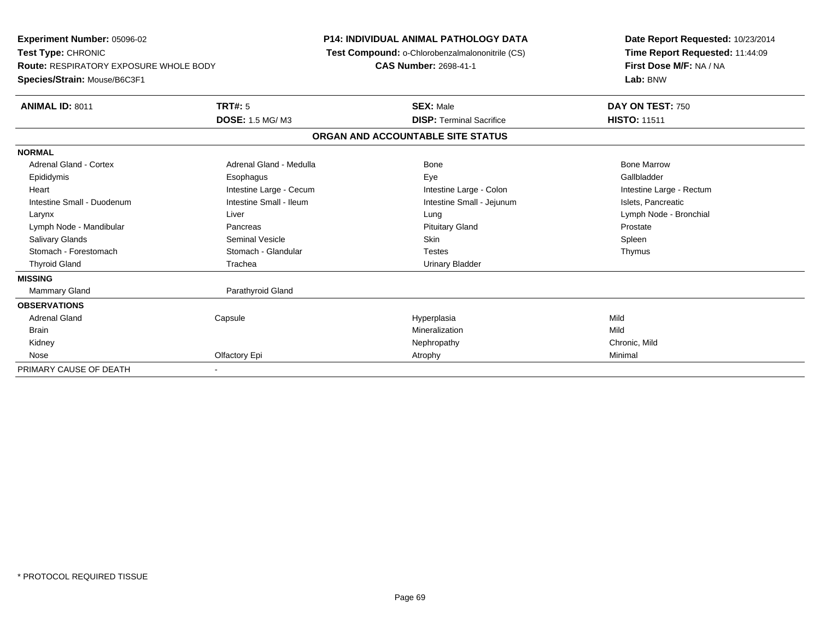| Experiment Number: 05096-02<br>Test Type: CHRONIC<br><b>Route: RESPIRATORY EXPOSURE WHOLE BODY</b><br>Species/Strain: Mouse/B6C3F1 |                         | <b>P14: INDIVIDUAL ANIMAL PATHOLOGY DATA</b><br>Test Compound: o-Chlorobenzalmalononitrile (CS)<br>CAS Number: 2698-41-1 |                                   | Date Report Requested: 10/23/2014<br>Time Report Requested: 11:44:09<br>First Dose M/F: NA / NA<br>Lab: BNW |  |
|------------------------------------------------------------------------------------------------------------------------------------|-------------------------|--------------------------------------------------------------------------------------------------------------------------|-----------------------------------|-------------------------------------------------------------------------------------------------------------|--|
| <b>ANIMAL ID: 8011</b>                                                                                                             | TRT#: 5                 |                                                                                                                          | <b>SEX: Male</b>                  | DAY ON TEST: 750                                                                                            |  |
|                                                                                                                                    | <b>DOSE: 1.5 MG/M3</b>  |                                                                                                                          | <b>DISP:</b> Terminal Sacrifice   | <b>HISTO: 11511</b>                                                                                         |  |
|                                                                                                                                    |                         |                                                                                                                          | ORGAN AND ACCOUNTABLE SITE STATUS |                                                                                                             |  |
| <b>NORMAL</b>                                                                                                                      |                         |                                                                                                                          |                                   |                                                                                                             |  |
| Adrenal Gland - Cortex                                                                                                             | Adrenal Gland - Medulla |                                                                                                                          | <b>Bone</b>                       | <b>Bone Marrow</b>                                                                                          |  |
| Epididymis                                                                                                                         | Esophagus               |                                                                                                                          | Eye                               | Gallbladder                                                                                                 |  |
| Heart                                                                                                                              | Intestine Large - Cecum |                                                                                                                          | Intestine Large - Colon           | Intestine Large - Rectum                                                                                    |  |
| Intestine Small - Duodenum                                                                                                         | Intestine Small - Ileum |                                                                                                                          | Intestine Small - Jejunum         | Islets, Pancreatic                                                                                          |  |
| Larynx                                                                                                                             | Liver                   |                                                                                                                          | Lung                              | Lymph Node - Bronchial                                                                                      |  |
| Lymph Node - Mandibular                                                                                                            | Pancreas                |                                                                                                                          | <b>Pituitary Gland</b>            | Prostate                                                                                                    |  |
| <b>Salivary Glands</b>                                                                                                             | <b>Seminal Vesicle</b>  |                                                                                                                          | <b>Skin</b>                       | Spleen                                                                                                      |  |
| Stomach - Forestomach                                                                                                              | Stomach - Glandular     |                                                                                                                          | <b>Testes</b>                     | Thymus                                                                                                      |  |
| <b>Thyroid Gland</b>                                                                                                               | Trachea                 |                                                                                                                          | <b>Urinary Bladder</b>            |                                                                                                             |  |
| <b>MISSING</b>                                                                                                                     |                         |                                                                                                                          |                                   |                                                                                                             |  |
| <b>Mammary Gland</b>                                                                                                               | Parathyroid Gland       |                                                                                                                          |                                   |                                                                                                             |  |
| <b>OBSERVATIONS</b>                                                                                                                |                         |                                                                                                                          |                                   |                                                                                                             |  |
| <b>Adrenal Gland</b>                                                                                                               | Capsule                 |                                                                                                                          | Hyperplasia                       | Mild                                                                                                        |  |
| <b>Brain</b>                                                                                                                       |                         |                                                                                                                          | Mineralization                    | Mild                                                                                                        |  |
| Kidney                                                                                                                             |                         |                                                                                                                          | Nephropathy                       | Chronic, Mild                                                                                               |  |
| Nose                                                                                                                               | Olfactory Epi           |                                                                                                                          | Atrophy                           | Minimal                                                                                                     |  |
| PRIMARY CAUSE OF DEATH                                                                                                             |                         |                                                                                                                          |                                   |                                                                                                             |  |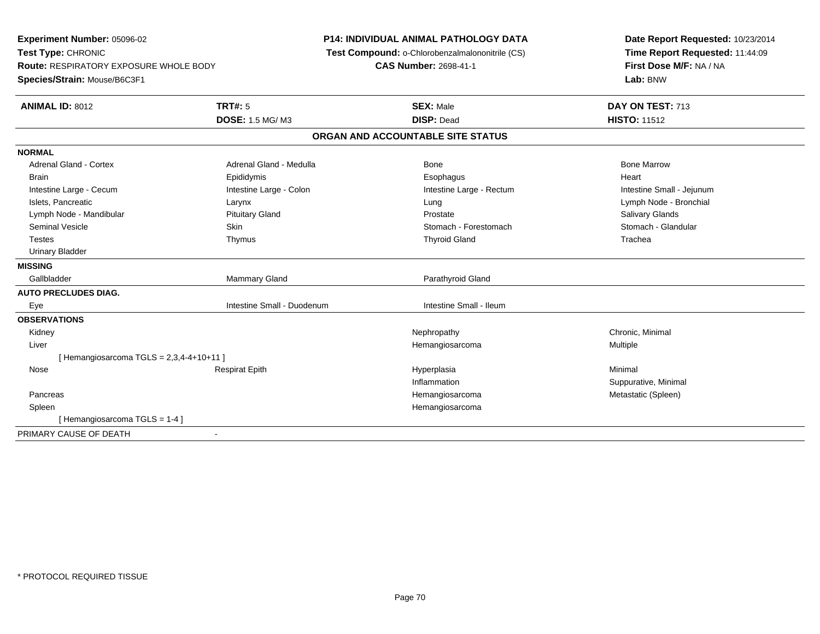**Experiment Number:** 05096-02**Test Type:** CHRONIC **Route:** RESPIRATORY EXPOSURE WHOLE BODY**Species/Strain:** Mouse/B6C3F1**P14: INDIVIDUAL ANIMAL PATHOLOGY DATA Test Compound:** o-Chlorobenzalmalononitrile (CS)**CAS Number:** 2698-41-1**Date Report Requested:** 10/23/2014**Time Report Requested:** 11:44:09**First Dose M/F:** NA / NA**Lab:** BNW**ANIMAL ID:** 8012 **TRT#:** <sup>5</sup> **SEX:** Male **DAY ON TEST:** <sup>713</sup> **DOSE:** 1.5 MG/ M3 **DISP:** Dead **HISTO:** <sup>11512</sup> **ORGAN AND ACCOUNTABLE SITE STATUSNORMALAdrenal Gland - Cortex** Adrenal Gland - Medulla **Bone Adrenal Gland - Cortex Adrenal Gland - Cortex Adrenal Gland - Medulla** Bone Marrow Brain Epididymis Epididymis and the Brook of the Brook of the Brook of the Brook of the Heart Heart Heart Heart Intestine Large - Cecum **Intestine Large - Colon** Intestine Large - Rectum Intestine Large - Rectum Intestine Small - Jejunum Islets, Pancreatic Larynx Lung Lymph Node - Bronchial Lymph Node - Mandibular Pituitary Gland Prostate Salivary GlandsStomach - Glandular Seminal Vesicle Seminal Vesicle Skin Stomach - Forestomach - Stomach - Stomach - Forestomach - Stomach - Glandular Testes Thymus Thyroid Gland Trachea Urinary Bladder**MISSING**Gallbladder Mammary Gland **Parathyroid Gland AUTO PRECLUDES DIAG.** Eye Intestine Small - Duodenum Intestine Small - Ileum**OBSERVATIONS** Kidneyy the controller the controller of the controller of the controller of the controller of the controller of the controller of the controller of the controller of the controller of the controller of the controller of the con Liver Hemangiosarcoma Multiple  $[$  Hemangiosarcoma TGLS = 2,3,4-4+10+11 ] Nose Respirat Epith Hyperplasia Minimal Inflammation Suppurative, Minimal Pancreas Hemangiosarcoma Metastatic (Spleen) Spleen Hemangiosarcoma [ Hemangiosarcoma TGLS = 1-4 ]PRIMARY CAUSE OF DEATH-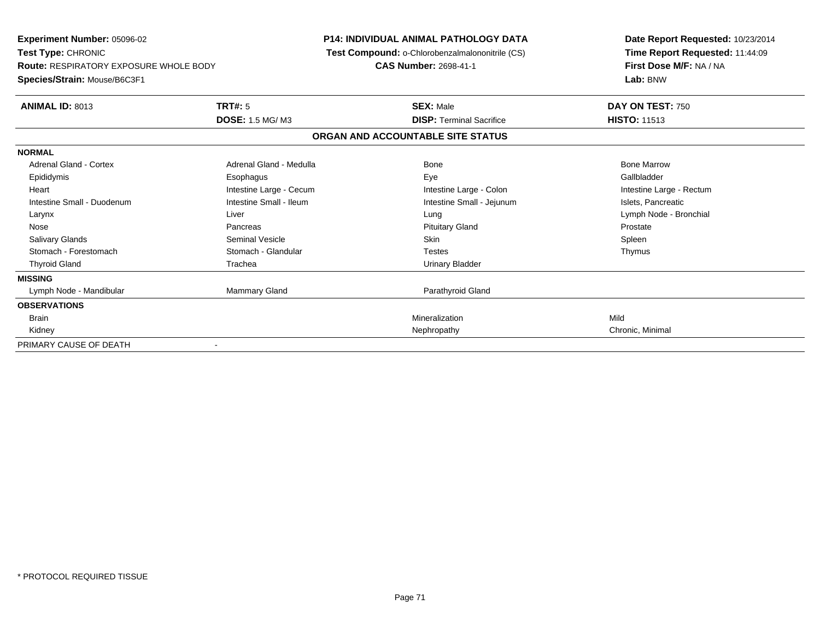| <b>Experiment Number: 05096-02</b><br>Test Type: CHRONIC                      |                         | <b>P14: INDIVIDUAL ANIMAL PATHOLOGY DATA</b><br>Test Compound: o-Chlorobenzalmalononitrile (CS) | Date Report Requested: 10/23/2014<br>Time Report Requested: 11:44:09 |
|-------------------------------------------------------------------------------|-------------------------|-------------------------------------------------------------------------------------------------|----------------------------------------------------------------------|
| <b>Route: RESPIRATORY EXPOSURE WHOLE BODY</b><br>Species/Strain: Mouse/B6C3F1 |                         | <b>CAS Number: 2698-41-1</b>                                                                    | First Dose M/F: NA / NA<br>Lab: BNW                                  |
| ANIMAL ID: 8013                                                               | <b>TRT#: 5</b>          | <b>SEX: Male</b>                                                                                | DAY ON TEST: 750                                                     |
|                                                                               | <b>DOSE: 1.5 MG/M3</b>  | <b>DISP: Terminal Sacrifice</b>                                                                 | <b>HISTO: 11513</b>                                                  |
|                                                                               |                         | ORGAN AND ACCOUNTABLE SITE STATUS                                                               |                                                                      |
| <b>NORMAL</b>                                                                 |                         |                                                                                                 |                                                                      |
| Adrenal Gland - Cortex                                                        | Adrenal Gland - Medulla | Bone                                                                                            | <b>Bone Marrow</b>                                                   |
| Epididymis                                                                    | Esophagus               | Eye                                                                                             | Gallbladder                                                          |
| Heart                                                                         | Intestine Large - Cecum | Intestine Large - Colon                                                                         | Intestine Large - Rectum                                             |
| Intestine Small - Duodenum                                                    | Intestine Small - Ileum | Intestine Small - Jejunum                                                                       | Islets, Pancreatic                                                   |
| Larynx                                                                        | Liver                   | Lung                                                                                            | Lymph Node - Bronchial                                               |
| Nose                                                                          | Pancreas                | <b>Pituitary Gland</b>                                                                          | Prostate                                                             |
| <b>Salivary Glands</b>                                                        | <b>Seminal Vesicle</b>  | Skin                                                                                            | Spleen                                                               |
| Stomach - Forestomach                                                         | Stomach - Glandular     | <b>Testes</b>                                                                                   | Thymus                                                               |
| <b>Thyroid Gland</b>                                                          | Trachea                 | <b>Urinary Bladder</b>                                                                          |                                                                      |
| <b>MISSING</b>                                                                |                         |                                                                                                 |                                                                      |
| Lymph Node - Mandibular                                                       | Mammary Gland           | Parathyroid Gland                                                                               |                                                                      |
| <b>OBSERVATIONS</b>                                                           |                         |                                                                                                 |                                                                      |
| <b>Brain</b>                                                                  |                         | Mineralization                                                                                  | Mild                                                                 |
| Kidney                                                                        |                         | Nephropathy                                                                                     | Chronic, Minimal                                                     |
| PRIMARY CAUSE OF DEATH                                                        |                         |                                                                                                 |                                                                      |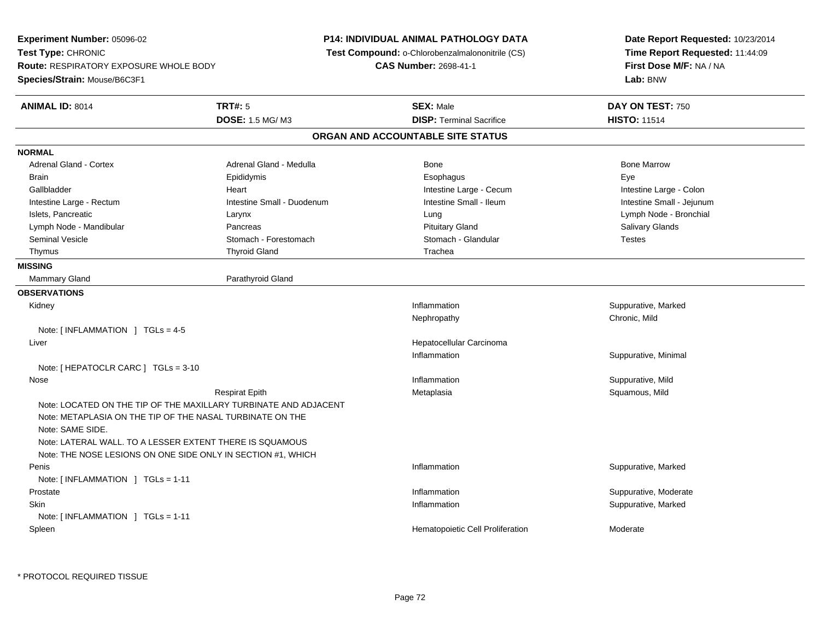**Experiment Number:** 05096-02**Test Type:** CHRONIC **Route:** RESPIRATORY EXPOSURE WHOLE BODY**Species/Strain:** Mouse/B6C3F1**P14: INDIVIDUAL ANIMAL PATHOLOGY DATA Test Compound:** o-Chlorobenzalmalononitrile (CS)**CAS Number:** 2698-41-1**Date Report Requested:** 10/23/2014**Time Report Requested:** 11:44:09**First Dose M/F:** NA / NA**Lab:** BNW**ANIMAL ID:** 8014 **TRT#:** <sup>5</sup> **SEX:** Male **DAY ON TEST:** <sup>750</sup> **DOSE:** 1.5 MG/ M3**DISP:** Terminal Sacrifice **HISTO:** 11514 **ORGAN AND ACCOUNTABLE SITE STATUSNORMALAdrenal Gland - Cortex** Adrenal Gland - Medulla **Bone Adrenal Gland - Cortex Adrenal Gland - Cortex Adrenal Gland - Medulla** Bone Marrow Brain Exercicles and the Exercise Epididymis Communications of the Exercise Exercise Exercise Exercise Exe Gallbladder **Eart** Heart Heart Heart Intestine Large - Cecum **Intestine Large - Cecum** Intestine Large - Colon Intestine Small - Jejunum Intestine Large - Rectum **Intestine Small - Duodenum** Intestine Small - Ileum Intestine Small - Ileum Islets, Pancreatic Larynx Lung Lymph Node - BronchialLymph Node - Mandibular **Pancreas** Pancreas **Pancreas** Pituitary Gland Pituitary Gland Salivary Glands Salivary Glands Seminal Vesicle Stomach - Stomach - Forestomach Stomach - Stomach - Glandular Stomach - Testes Thymus Thyroid Gland Trachea The Theorem Trachea Trachea **MISSINGMammary Gland** Parathyroid Gland **OBSERVATIONS** Kidneyy the control of the control of the control of the control of the control of the control of the control of the control of the control of the control of the control of the control of the control of the control of the contro Inflammation **Suppurative, Marked** Nephropathy Chronic, MildNote: [ INFLAMMATION ] TGLs = 4-5 Liver Hepatocellular CarcinomaInflammation Suppurative, Minimal Note: [ HEPATOCLR CARC ] TGLs = 3-10 Nosee the suppurative, Mild and the support of the support of the support of the support of the support of the support of  $\mathbf S$ uppurative, Mild and the support of the support of the support of the support of the support of th Respirat Epith Metaplasia Squamous, Mild Note: LOCATED ON THE TIP OF THE MAXILLARY TURBINATE AND ADJACENTNote: METAPLASIA ON THE TIP OF THE NASAL TURBINATE ON THENote: SAME SIDE.Note: LATERAL WALL. TO A LESSER EXTENT THERE IS SQUAMOUS Note: THE NOSE LESIONS ON ONE SIDE ONLY IN SECTION #1, WHICH Peniss the control of the control of the control of the control of the control of the control of the control of the control of the control of the control of the control of the control of the control of the control of the contro Inflammation **Suppurative, Marked** Note: [ INFLAMMATION ] TGLs = 1-11 Prostatee inflammation inflammation in the suppurative, Moderate expansion in the suppurative, Moderate expansion in the suppurative, Moderate  $\epsilon$  Skinn and the suppurative, Marked Suppurative, Marked Suppurative, Marked Suppurative, Marked Suppurative, Marked Suppurative, Marked Suppurative, Marked Suppurative, Marked Suppurative, Marked Suppurative, Marked Suppurative, Note: [ INFLAMMATION ] TGLs = 1-11 SpleenHematopoietic Cell Proliferation Moderate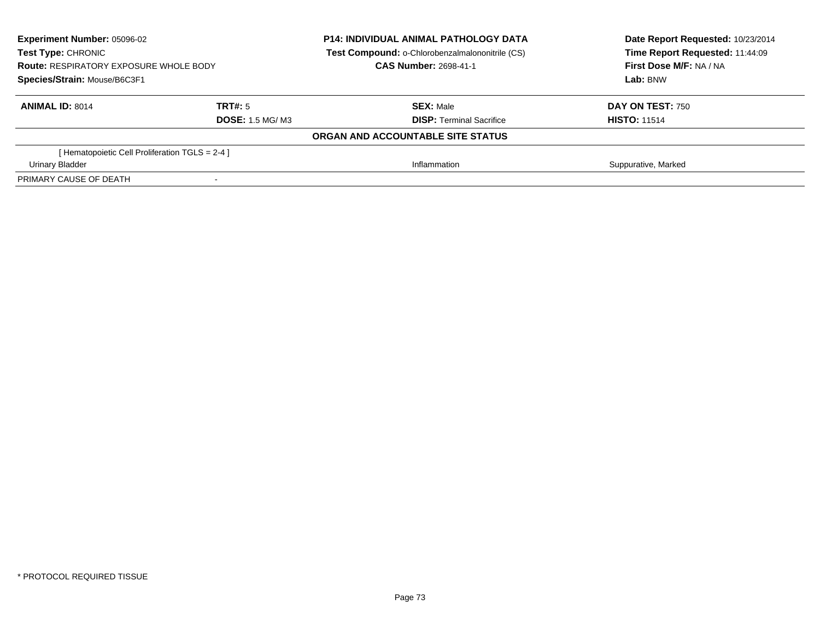| <b>Experiment Number: 05096-02</b><br><b>Test Type: CHRONIC</b> |                        | <b>P14: INDIVIDUAL ANIMAL PATHOLOGY DATA</b><br>Test Compound: o-Chlorobenzalmalononitrile (CS) | Date Report Requested: 10/23/2014<br>Time Report Requested: 11:44:09 |  |
|-----------------------------------------------------------------|------------------------|-------------------------------------------------------------------------------------------------|----------------------------------------------------------------------|--|
| <b>Route: RESPIRATORY EXPOSURE WHOLE BODY</b>                   |                        | <b>CAS Number: 2698-41-1</b>                                                                    | First Dose M/F: NA / NA                                              |  |
| Species/Strain: Mouse/B6C3F1                                    |                        |                                                                                                 | Lab: BNW                                                             |  |
| <b>ANIMAL ID: 8014</b>                                          | TRT#: 5                | <b>SEX: Male</b>                                                                                | <b>DAY ON TEST: 750</b>                                              |  |
|                                                                 | <b>DOSE: 1.5 MG/M3</b> | <b>DISP:</b> Terminal Sacrifice                                                                 | <b>HISTO: 11514</b>                                                  |  |
|                                                                 |                        | ORGAN AND ACCOUNTABLE SITE STATUS                                                               |                                                                      |  |
| [Hematopoietic Cell Proliferation TGLS = 2-4 ]                  |                        |                                                                                                 |                                                                      |  |
| Urinary Bladder                                                 |                        | Inflammation                                                                                    | Suppurative, Marked                                                  |  |
| PRIMARY CAUSE OF DEATH                                          |                        |                                                                                                 |                                                                      |  |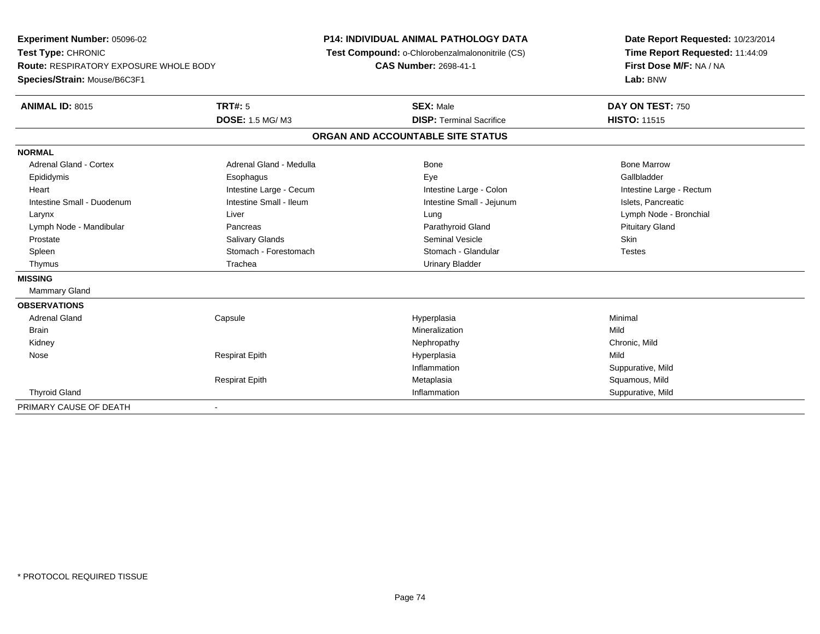**Experiment Number:** 05096-02**Test Type:** CHRONIC **Route:** RESPIRATORY EXPOSURE WHOLE BODY**Species/Strain:** Mouse/B6C3F1**P14: INDIVIDUAL ANIMAL PATHOLOGY DATA Test Compound:** o-Chlorobenzalmalononitrile (CS)**CAS Number:** 2698-41-1**Date Report Requested:** 10/23/2014**Time Report Requested:** 11:44:09**First Dose M/F:** NA / NA**Lab:** BNW**ANIMAL ID:** 8015 **TRT#:** <sup>5</sup> **SEX:** Male **DAY ON TEST:** <sup>750</sup> **DOSE:** 1.5 MG/ M3**DISP:** Terminal Sacrifice **HISTO:** 11515 **ORGAN AND ACCOUNTABLE SITE STATUSNORMALAdrenal Gland - Cortex** Adrenal Gland - Medulla **Adrenal Gland - Medulla** Bone Bone Bone Bone Bone Marrow Gallbladder Epididymis Esophagus Eye GallbladderHeart **Intestine Large - Cecum** Intestine Large - Cecum Intestine Large - Colon Intestine Large - Rectum Intestine Small - Duodenum **Intestine Small - Ileum** Intestine Small - Ileum Intestine Small - Jejunum Intestine Small - Jejunum Islets, Pancreatic Larynx Liver Lung Lymph Node - Bronchial Lymph Node - Mandibular Pancreas Parathyroid Gland Pituitary Gland Prostate Salivary Glands Seminal Vesicle Skin**Testes** Spleen Stomach - Forestomach Stomach - Stomach Stomach Stomach Stomach Stomach Stomach Stomach Stomach Stomach Stomach Stomach Stomach Stomach Stomach Stomach Stomach Stomach Stomach Stomach Stomach Stomach Stomach Stomach Thymus **Trachea** Trachea **Trachea** Urinary Bladder **MISSING** Mammary Gland**OBSERVATIONS** Adrenal Gland Capsule Hyperplasia Minimal Brainn and the control of the control of the control of the control of the control of the control of the control of the control of the control of the control of the control of the control of the control of the control of the co Kidneyy the controller that the controller the controller that the controller the controller that  $\mathsf{N}\mathsf{H}$   $\mathsf{N}\mathsf{H}$   $\mathsf{C}\mathsf{H}$   $\mathsf{R}\mathsf{H}$   $\mathsf{C}\mathsf{H}$   $\mathsf{R}\mathsf{H}$   $\mathsf{H}$   $\mathsf{H}$   $\mathsf{H}$   $\mathsf{H}$   $\mathsf{H}$  Nose Respirat Epith Hyperplasia Mild Inflammation Suppurative, Mild Respirat EpithMetaplasia **Metaplasia** Squamous, Mild<br>1991 - Inflammation Mild Inflammation Thyroid Gland Inflammation Suppurative, Mild PRIMARY CAUSE OF DEATH-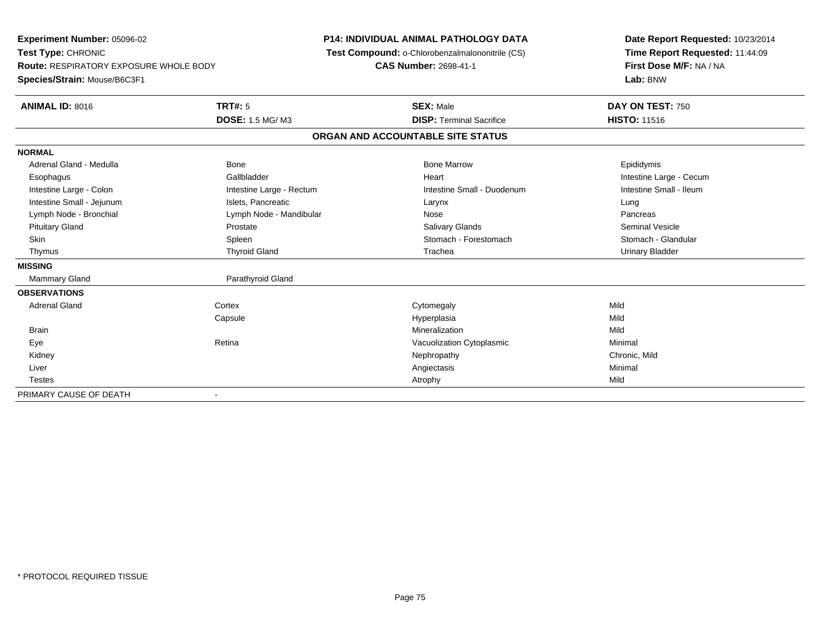**Experiment Number:** 05096-02**Test Type:** CHRONIC **Route:** RESPIRATORY EXPOSURE WHOLE BODY**Species/Strain:** Mouse/B6C3F1**P14: INDIVIDUAL ANIMAL PATHOLOGY DATA Test Compound:** o-Chlorobenzalmalononitrile (CS)**CAS Number:** 2698-41-1**Date Report Requested:** 10/23/2014**Time Report Requested:** 11:44:09**First Dose M/F:** NA / NA**Lab:** BNW**ANIMAL ID:** 8016**6 DAY ON TEST:** 750 **DOSE:** 1.5 MG/ M3**DISP:** Terminal Sacrifice **HISTO:** 11516 **ORGAN AND ACCOUNTABLE SITE STATUSNORMAL**Adrenal Gland - Medulla Newsternal Bone Bone Bone Bone Marrow Bone Marrow Bone Marrow Bone Epididymis Esophagus **Example 19** Callbladder **Gallbladder Community Community Community** Heart Heart Intestine Large - Cecum Intestine Small - Ileum Intestine Large - Colon **Intestine Large - Rectum** Intestine Small - Duodenum Intestine Small - Duodenum Intestine Small - Jejunum **Intestine Small - Jejunum** Islets, Pancreatic **Network Construction Career Construction** Pancreas Lymph Node - Bronchial and Communication Cymph Node - Mandibular Nose Pancrease Pancrease Pancrease Pancrease Seminal Vesicle Pituitary Gland Prostate Salivary Glands Seminal VesicleStomach - Glandular Skin Stomach - Forestomach Spleen Spleen Stomach - Forestomach - Stomach - Forestomach - Stomach - Glandular Stomach - Glandular Stomach - Glandular Stomach - Glandular Stomach - Stomach - Stomach - Stomach - Stomach - Sto Thymus Thyroid Gland Trachea Urinary Bladder**MISSING**Mammary Gland **Parathyroid Gland OBSERVATIONS** Adrenal Glandd cortex Cortex Cortex Cytomegaly Cytomegaly **Capsule**  Hyperplasia Mild **Brain** n and the control of the control of the control of the control of the control of the control of the control of the control of the control of the control of the control of the control of the control of the control of the co EyeRetina **Exercise 2 Nacional Vacuolization Cytoplasmic** Cytoplasmic Minimal Minimal Minimal Chronic, Mild Kidneyy the controller that the controller the controller that the controller the controller that  $\mathsf{N}\mathsf{H}$   $\mathsf{N}\mathsf{H}$   $\mathsf{C}\mathsf{H}$   $\mathsf{R}\mathsf{H}$   $\mathsf{C}\mathsf{H}$   $\mathsf{R}\mathsf{H}$   $\mathsf{H}$   $\mathsf{H}$   $\mathsf{H}$   $\mathsf{H}$   $\mathsf{H}$  Liverr and the contract of the contract of the contract of the contract of the contract of the contract of the contract of the contract of the contract of the contract of the contract of the contract of the contract of the cont Minimal Testess and the contract of the contract of the contract of the contract of the contract of the contract of the contract of the contract of the contract of the contract of the contract of the contract of the contract of the cont PRIMARY CAUSE OF DEATH-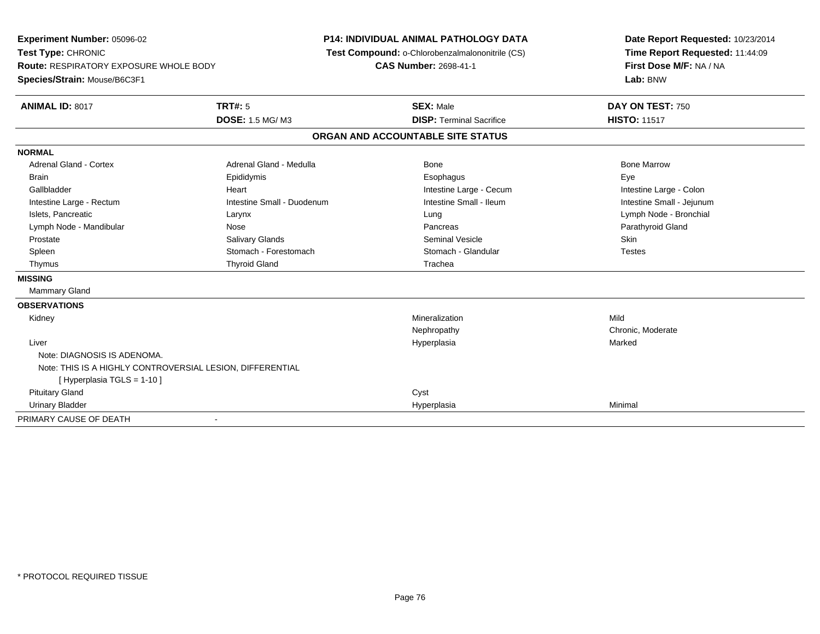**Experiment Number:** 05096-02**Test Type:** CHRONIC **Route:** RESPIRATORY EXPOSURE WHOLE BODY**Species/Strain:** Mouse/B6C3F1**P14: INDIVIDUAL ANIMAL PATHOLOGY DATA Test Compound:** o-Chlorobenzalmalononitrile (CS)**CAS Number:** 2698-41-1**Date Report Requested:** 10/23/2014**Time Report Requested:** 11:44:09**First Dose M/F:** NA / NA**Lab:** BNW**ANIMAL ID:** 8017**TRT#:** 5 **SEX:** Male **DAY ON TEST:** 750 **DOSE:** 1.5 MG/ M3**DISP:** Terminal Sacrifice **HISTO:** 11517 **ORGAN AND ACCOUNTABLE SITE STATUSNORMALAdrenal Gland - Cortex** Adrenal Gland - Medulla **Adrenal Gland - Medulla** Bone Bone Bone Bone Bone Marrow Brain Exercicles and the Exercise Epididymis Communications of the Exercise Exercise Exercise Exercise Exe Intestine Large - Colon Gallbladder **Gallbladder Heart** Intestine Large - Cecum Intestine Large - Cecum Intestine Large - Cecum Intestine Small - Jejunum Intestine Large - Rectum **Intestine Small - Duodenum** Intestine Small - Ileum Intestine Small - Ileum Islets, Pancreatic Larynx Lung Lymph Node - BronchialLymph Node - Mandibular Nose Nose Nose Pancreas Pancreas Pancreas Pancreas Parathyroid Gland Prostate Salivary Glands Seminal Vesicle Skin**Testes** Spleen Stomach - Forestomach Stomach - Stomach Stomach Stomach Stomach Stomach Stomach Stomach Stomach Stomach Stomach Stomach Stomach Stomach Stomach Stomach Stomach Stomach Stomach Stomach Stomach Stomach Stomach Stomach Thymus Thyroid Gland Trachea**MISSING** Mammary Gland**OBSERVATIONS** Kidneyy with the control of the control of the control of the control of the control of the control of the control of the control of the control of the control of the control of the control of the control of the control of the c n Mild Nephropathy Chronic, Moderate Liverr and the control of the control of the control of the control of the control of the control of the control of a **Marked** Note: DIAGNOSIS IS ADENOMA.Note: THIS IS A HIGHLY CONTROVERSIAL LESION, DIFFERENTIAL[ Hyperplasia TGLS = 1-10 ] Pituitary Glandd and the contract of the contract of the contract of the contract of the contract of the contract of the contract of the contract of the contract of the contract of the contract of the contract of the contract of the cont Urinary Bladder Hyperplasiaa Minimal PRIMARY CAUSE OF DEATH-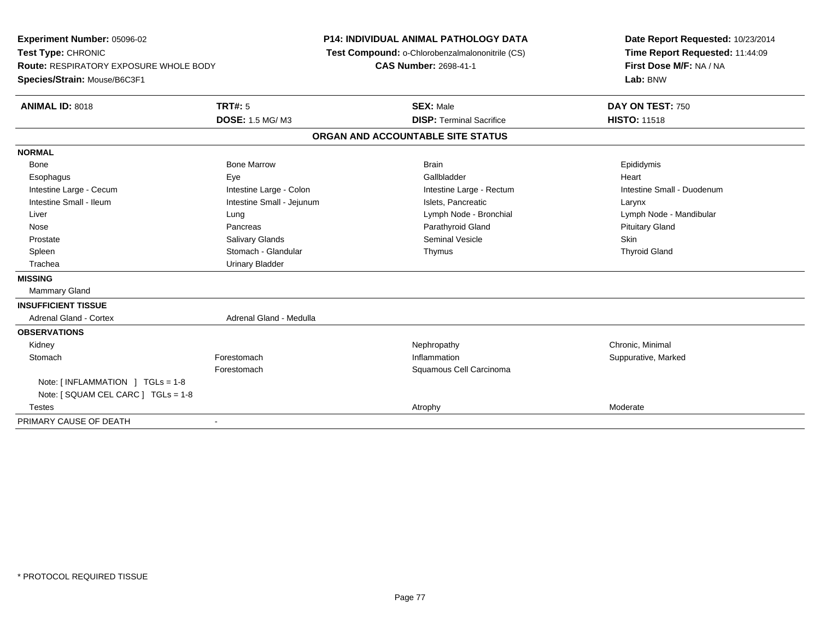**Experiment Number:** 05096-02**Test Type:** CHRONIC **Route:** RESPIRATORY EXPOSURE WHOLE BODY**Species/Strain:** Mouse/B6C3F1**P14: INDIVIDUAL ANIMAL PATHOLOGY DATA Test Compound:** o-Chlorobenzalmalononitrile (CS)**CAS Number:** 2698-41-1**Date Report Requested:** 10/23/2014**Time Report Requested:** 11:44:09**First Dose M/F:** NA / NA**Lab:** BNW**ANIMAL ID:** 8018**TRT#:** 5 **SEX:** Male **DAY ON TEST:** 750 **DOSE:** 1.5 MG/ M3**DISP:** Terminal Sacrifice **HISTO:** 11518 **ORGAN AND ACCOUNTABLE SITE STATUSNORMAL**Bone Bone Bone Marrow Bone Harrow Brain Brain Brain Brain Brain Brain Brain Brain Brain Brain Brain Brain Brain Brain Esophagus Eye Gallbladder HeartIntestine Large - Cecum **Intestine Large - Colon** Intestine Large - Colon Intestine Large - Rectum Intestine Large - Rectum Intestine Small - Duodenum Intestine Small - Ileum Larynx Intestine Small - Jejunum Intestine Small - Jejunum Islets, Pancreatic Larynx Liver Lung Lymph Node - Bronchial Lymph Node - Mandibular Nose Pancreas Parathyroid Gland Pituitary Gland Prostate Salivary Glands Seminal Vesicle Skin**Thyroid Gland** Spleen Stomach - Glandular Stomach - Glandular Shows Thymus School of the Stomach - Glandular Shows Thyroid Gland Trachea Urinary Bladder**MISSING** Mammary Gland**INSUFFICIENT TISSUE**Adrenal Gland - Cortex Adrenal Gland - Medulla **OBSERVATIONS** Kidneyy the controller the controller of the controller of the controller of the controller of the controller of the controller of the controller of the controller of the controller of the controller of the controller of the con **Stomach** h is the set of the set of the set of the set of the set of the set of the Suppurative, Marked Suppurative, Marked  $\mathsf{S}$ Forestomach Squamous Cell Carcinoma Note: [ INFLAMMATION ] TGLs = 1-8 Note: [ SQUAM CEL CARC ] TGLs = 1-8**Testes** s the contract of the contract of the contract of the contract of the contract of the contract of the contract of  $\lambda$ PRIMARY CAUSE OF DEATH-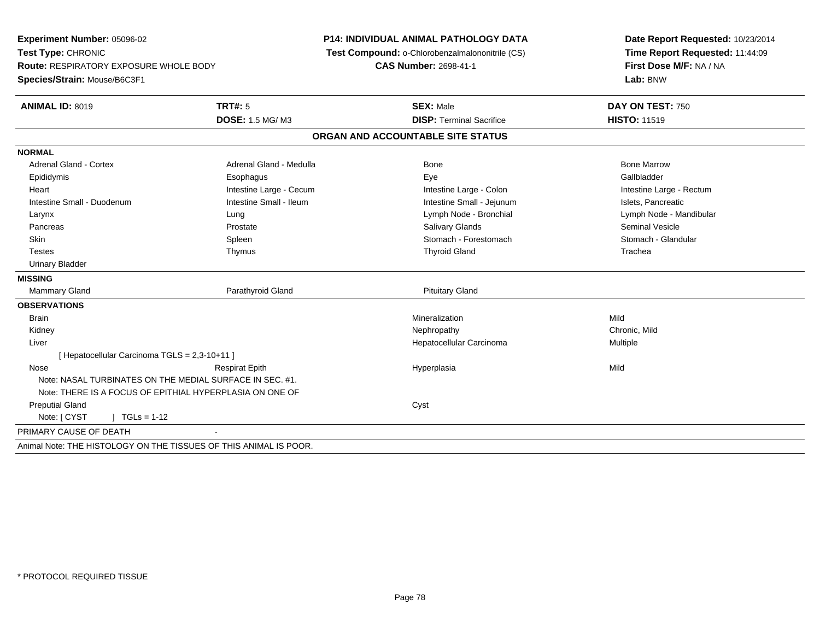**Experiment Number:** 05096-02**Test Type:** CHRONIC **Route:** RESPIRATORY EXPOSURE WHOLE BODY**Species/Strain:** Mouse/B6C3F1**P14: INDIVIDUAL ANIMAL PATHOLOGY DATA Test Compound:** o-Chlorobenzalmalononitrile (CS)**CAS Number:** 2698-41-1**Date Report Requested:** 10/23/2014**Time Report Requested:** 11:44:09**First Dose M/F:** NA / NA**Lab:** BNW**ANIMAL ID:** 8019 **TRT#:** <sup>5</sup> **SEX:** Male **DAY ON TEST:** <sup>750</sup> **DOSE:** 1.5 MG/ M3**DISP:** Terminal Sacrifice **HISTO:** 11519 **ORGAN AND ACCOUNTABLE SITE STATUSNORMALAdrenal Gland - Cortex** Adrenal Gland - Medulla **Bone Adrenal Gland - Cortex Adrenal Gland - Cortex Adrenal Gland - Medulla** Bone Marrow Gallbladder Epididymis Esophagus Eye GallbladderHeart **Intestine Large - Cecum** Intestine Large - Cecum Intestine Large - Colon Intestine Large - Rectum Intestine Small - Duodenum **Intestine Small - Ileum** Intestine Small - Ileum Intestine Small - Jejunum Intestine Small - Jejunum Islets, Pancreatic Larynx Lung Lymph Node - Bronchial Lymph Node - Mandibular Pancreas Prostate Salivary Glands Seminal VesicleStomach - Glandular Skin Stomach - Forestomach Spleen Spleen Stomach - Forestomach - Stomach - Forestomach - Stomach - Glandular Stomach - Glandular Stomach - Glandular Stomach - Glandular Stomach - Stomach - Stomach - Stomach - Stomach - Sto Testes Thymus Thyroid Gland Trachea Urinary Bladder**MISSINGMammary Gland** Parathyroid Gland **Parathyroid Gland** Pituitary Gland **OBSERVATIONS** Brainn and the control of the control of the control of the control of the control of the control of the control of the control of the control of the control of the control of the control of the control of the control of the co Kidneyy the controller that the controller the controller that the controller the controller that  $\mathsf{N}\mathsf{H}$   $\mathsf{N}\mathsf{H}$   $\mathsf{C}\mathsf{H}$   $\mathsf{R}\mathsf{H}$   $\mathsf{C}\mathsf{H}$   $\mathsf{R}\mathsf{H}$   $\mathsf{H}$   $\mathsf{H}$   $\mathsf{H}$   $\mathsf{H}$   $\mathsf{H}$  Liver Hepatocellular Carcinoma Multiple [ Hepatocellular Carcinoma TGLS = 2,3-10+11 ] Nose Respirat Epith Hyperplasia Mild Note: NASAL TURBINATES ON THE MEDIAL SURFACE IN SEC. #1.Note: THERE IS A FOCUS OF EPITHIAL HYPERPLASIA ON ONE OF Preputial Glandd Cyst Note: [ CYST | TGLs = 1-12 PRIMARY CAUSE OF DEATH - Animal Note: THE HISTOLOGY ON THE TISSUES OF THIS ANIMAL IS POOR.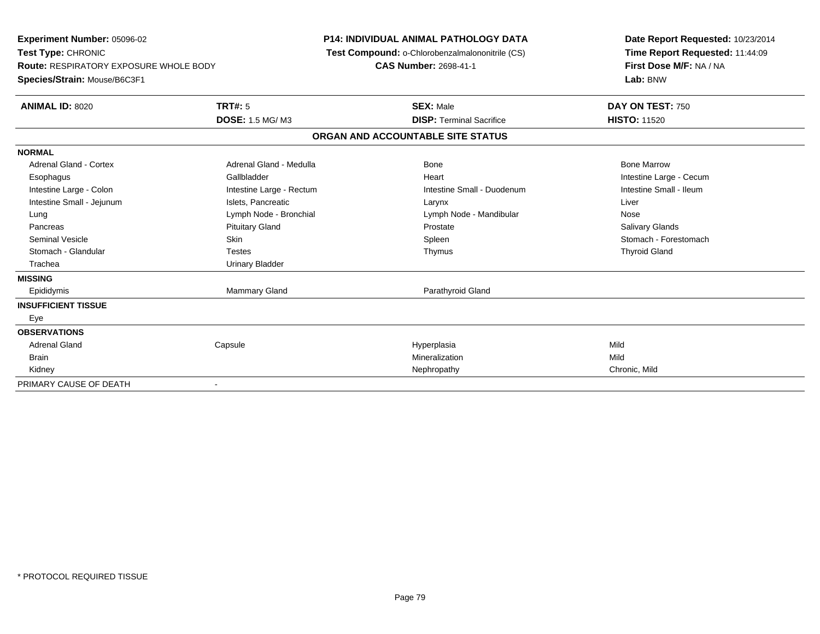| <b>Experiment Number: 05096-02</b><br>Test Type: CHRONIC<br><b>Route: RESPIRATORY EXPOSURE WHOLE BODY</b><br>Species/Strain: Mouse/B6C3F1 |                          | <b>P14: INDIVIDUAL ANIMAL PATHOLOGY DATA</b><br>Test Compound: o-Chlorobenzalmalononitrile (CS)<br><b>CAS Number: 2698-41-1</b> | Date Report Requested: 10/23/2014<br>Time Report Requested: 11:44:09<br>First Dose M/F: NA / NA<br>Lab: BNW |
|-------------------------------------------------------------------------------------------------------------------------------------------|--------------------------|---------------------------------------------------------------------------------------------------------------------------------|-------------------------------------------------------------------------------------------------------------|
| <b>ANIMAL ID: 8020</b>                                                                                                                    | TRT#: 5                  | <b>SEX: Male</b>                                                                                                                | DAY ON TEST: 750                                                                                            |
|                                                                                                                                           | <b>DOSE: 1.5 MG/M3</b>   | <b>DISP: Terminal Sacrifice</b>                                                                                                 | <b>HISTO: 11520</b>                                                                                         |
|                                                                                                                                           |                          | ORGAN AND ACCOUNTABLE SITE STATUS                                                                                               |                                                                                                             |
| <b>NORMAL</b>                                                                                                                             |                          |                                                                                                                                 |                                                                                                             |
| <b>Adrenal Gland - Cortex</b>                                                                                                             | Adrenal Gland - Medulla  | Bone                                                                                                                            | <b>Bone Marrow</b>                                                                                          |
| Esophagus                                                                                                                                 | Gallbladder              | Heart                                                                                                                           | Intestine Large - Cecum                                                                                     |
| Intestine Large - Colon                                                                                                                   | Intestine Large - Rectum | Intestine Small - Duodenum                                                                                                      | Intestine Small - Ileum                                                                                     |
| Intestine Small - Jejunum                                                                                                                 | Islets, Pancreatic       | Larynx                                                                                                                          | Liver                                                                                                       |
| Lung                                                                                                                                      | Lymph Node - Bronchial   | Lymph Node - Mandibular                                                                                                         | Nose                                                                                                        |
| Pancreas                                                                                                                                  | <b>Pituitary Gland</b>   | Prostate                                                                                                                        | <b>Salivary Glands</b>                                                                                      |
| Seminal Vesicle                                                                                                                           | <b>Skin</b>              | Spleen                                                                                                                          | Stomach - Forestomach                                                                                       |
| Stomach - Glandular                                                                                                                       | <b>Testes</b>            | Thymus                                                                                                                          | <b>Thyroid Gland</b>                                                                                        |
| Trachea                                                                                                                                   | <b>Urinary Bladder</b>   |                                                                                                                                 |                                                                                                             |
| <b>MISSING</b>                                                                                                                            |                          |                                                                                                                                 |                                                                                                             |
| Epididymis                                                                                                                                | <b>Mammary Gland</b>     | Parathyroid Gland                                                                                                               |                                                                                                             |
| <b>INSUFFICIENT TISSUE</b>                                                                                                                |                          |                                                                                                                                 |                                                                                                             |
| Eye                                                                                                                                       |                          |                                                                                                                                 |                                                                                                             |
| <b>OBSERVATIONS</b>                                                                                                                       |                          |                                                                                                                                 |                                                                                                             |
| <b>Adrenal Gland</b>                                                                                                                      | Capsule                  | Hyperplasia                                                                                                                     | Mild                                                                                                        |
| <b>Brain</b>                                                                                                                              |                          | Mineralization                                                                                                                  | Mild                                                                                                        |
| Kidney                                                                                                                                    |                          | Nephropathy                                                                                                                     | Chronic, Mild                                                                                               |
| PRIMARY CAUSE OF DEATH                                                                                                                    |                          |                                                                                                                                 |                                                                                                             |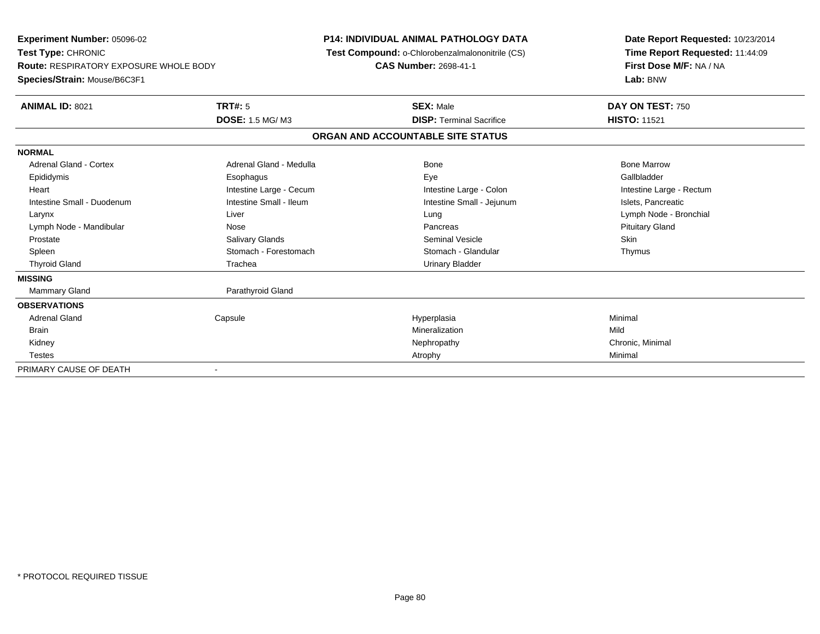**Experiment Number:** 05096-02**Test Type:** CHRONIC **Route:** RESPIRATORY EXPOSURE WHOLE BODY**Species/Strain:** Mouse/B6C3F1**P14: INDIVIDUAL ANIMAL PATHOLOGY DATA Test Compound:** o-Chlorobenzalmalononitrile (CS)**CAS Number:** 2698-41-1**Date Report Requested:** 10/23/2014**Time Report Requested:** 11:44:09**First Dose M/F:** NA / NA**Lab:** BNW**ANIMAL ID:** 8021**TRT#:** 5 **SEX:** Male **DAY ON TEST:** 750 **DOSE:** 1.5 MG/ M3**DISP:** Terminal Sacrifice **HISTO:** 11521 **ORGAN AND ACCOUNTABLE SITE STATUSNORMALAdrenal Gland - Cortex**  Adrenal Gland - Cortex Adrenal Gland - Medulla Bone Bone MarrowGallbladder Epididymis Esophagus Eye GallbladderHeart **Intestine Large - Cecum** Intestine Large - Cecum Intestine Large - Colon Intestine Large - Rectum Intestine Small - Duodenum **Intestine Small - Ileum** Intestine Small - Ileum Intestine Small - Jejunum Intestine Small - Jejunum Islets, Pancreatic Larynx Liver Lung Lymph Node - BronchialLymph Node - Mandibular **Nose** Nose **Pancreas** Pancreas Pancreas Pancreas Pituitary Gland Prostate Salivary Glands Seminal Vesicle SkinThymus Spleen Stomach - Forestomach Stomach - Stomach Stomach Stomach Stomach Stomach Stomach Stomach Stomach Stomach Stomach Stomach Stomach Stomach Stomach Stomach Stomach Stomach Stomach Stomach Stomach Stomach Stomach Stomach Thyroid Gland **Trachea** Trachea **Trachea** Trachea Urinary Bladder **MISSING**Mammary Gland Parathyroid Gland **OBSERVATIONS** Adrenal Gland Capsule Hyperplasia Minimal Brainn and the control of the control of the control of the control of the control of the control of the control of the control of the control of the control of the control of the control of the control of the control of the co Kidneyy the controller the controller of the controller of the controller of the controller of the controller of the controller of the controller of the controller of the controller of the controller of the controller of the con Testess and the control of the control of the control of the control of the control of the control of the control of the control of the control of the control of the control of the control of the control of the control of the co PRIMARY CAUSE OF DEATH-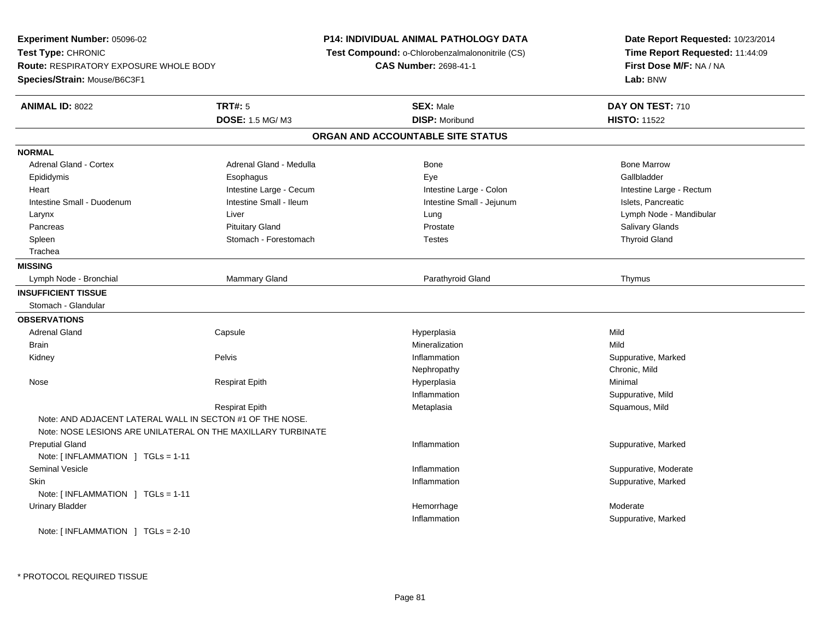**Experiment Number:** 05096-02**Test Type:** CHRONIC **Route:** RESPIRATORY EXPOSURE WHOLE BODY**Species/Strain:** Mouse/B6C3F1**P14: INDIVIDUAL ANIMAL PATHOLOGY DATA Test Compound:** o-Chlorobenzalmalononitrile (CS)**CAS Number:** 2698-41-1**Date Report Requested:** 10/23/2014**Time Report Requested:** 11:44:09**First Dose M/F:** NA / NA**Lab:** BNW**ANIMAL ID:** 8022**TRT#:** 5 **SEX:** Male **DAY ON TEST:** 710 **DOSE:** 1.5 MG/ M3 **DISP:** Moribund **HISTO:** <sup>11522</sup> **ORGAN AND ACCOUNTABLE SITE STATUSNORMALAdrenal Gland - Cortex** Adrenal Gland - Medulla **Bone Adrenal Gland - Cortex Adrenal Gland - Cortex Adrenal Gland - Medulla** Bone Marrow Gallbladder Epididymis Esophagus Eye GallbladderHeart **Intestine Large - Cecum** Intestine Large - Cecum Intestine Large - Colon Intestine Large - Rectum Intestine Small - Duodenum **Intestine Small - Ileum** Intestine Small - Ileum Intestine Small - Jejunum Intestine Small - Jejunum Islets, Pancreatic Larynx Liver Lung Lymph Node - Mandibular Pancreas Pituitary Gland Prostate Salivary GlandsSpleen Schleiden Stomach - Forestomach Christian Testes Theorem Christian Testes Thyroid Gland Trachea**MISSING**Lymph Node - Bronchial Mammary Gland Parathyroid Gland Thymus **INSUFFICIENT TISSUE** Stomach - Glandular**OBSERVATIONS** Adrenal Gland Capsule Hyperplasia Mild **Brain** n and the control of the control of the control of the control of the control of the control of the control of the control of the control of the control of the control of the control of the control of the control of the co Kidneyy the control of the Pelvis of the control of the control of the control of the control of the control of the control of the control of the control of the control of the control of the control of the control of the control Inflammation **Suppurative, Marked** Nephropathy Chronic, Mild Nose Respirat Epith Hyperplasia Minimal Inflammation Suppurative, Mild Respirat Epith Metaplasia Squamous, Mild Note: AND ADJACENT LATERAL WALL IN SECTON #1 OF THE NOSE.Note: NOSE LESIONS ARE UNILATERAL ON THE MAXILLARY TURBINATE Preputial Glandd website the support of the set of the set of the set of the set of the set of the set of the set of the set of the set of the set of the set of the set of the set of the set of the set of the set of the set of the set of Note: [ INFLAMMATION ] TGLs = 1-11 Seminal Vesiclee inflammation inflammation in the suppurative, Moderate expansion in the suppurative, Moderate expansion in the suppurative, Moderate  $\epsilon$  Skinn and the suppurative, Marked Suppurative, Marked Suppurative, Marked Suppurative, Marked Suppurative, Marked Suppurative, Marked Suppurative, Marked Suppurative, Marked Suppurative, Marked Suppurative, Marked Suppurative, Note: [ INFLAMMATION ] TGLs = 1-11 Urinary Bladderr and the control of the control of the control of the control of the control of the control of the control of the control of the control of the control of the control of the control of the control of the control of the co Hemorrhage Moderate Inflammation Suppurative, Marked Note: [ INFLAMMATION ] TGLs = 2-10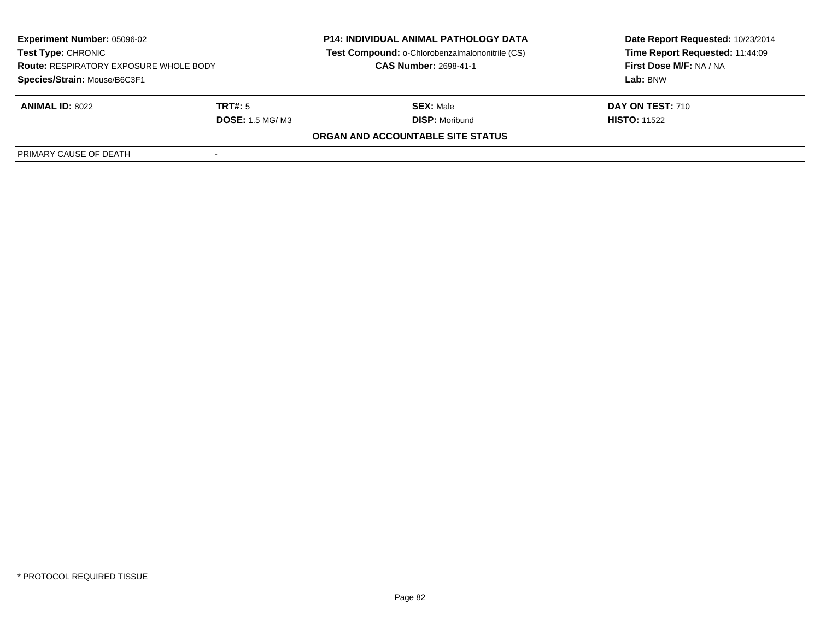| <b>Experiment Number: 05096-02</b>                                                                         |                         | <b>P14: INDIVIDUAL ANIMAL PATHOLOGY DATA</b>    | Date Report Requested: 10/23/2014 |  |  |  |
|------------------------------------------------------------------------------------------------------------|-------------------------|-------------------------------------------------|-----------------------------------|--|--|--|
| <b>Test Type: CHRONIC</b><br><b>Route: RESPIRATORY EXPOSURE WHOLE BODY</b><br>Species/Strain: Mouse/B6C3F1 |                         | Test Compound: o-Chlorobenzalmalononitrile (CS) | Time Report Requested: 11:44:09   |  |  |  |
|                                                                                                            |                         | <b>CAS Number: 2698-41-1</b>                    | First Dose M/F: NA / NA           |  |  |  |
|                                                                                                            |                         |                                                 | Lab: BNW                          |  |  |  |
| <b>ANIMAL ID: 8022</b>                                                                                     | TRT#: 5                 | <b>SEX: Male</b>                                | DAY ON TEST: 710                  |  |  |  |
|                                                                                                            | <b>DOSE: 1.5 MG/ M3</b> | <b>DISP: Moribund</b>                           | <b>HISTO: 11522</b>               |  |  |  |
| ORGAN AND ACCOUNTABLE SITE STATUS                                                                          |                         |                                                 |                                   |  |  |  |
| PRIMARY CAUSE OF DEATH                                                                                     |                         |                                                 |                                   |  |  |  |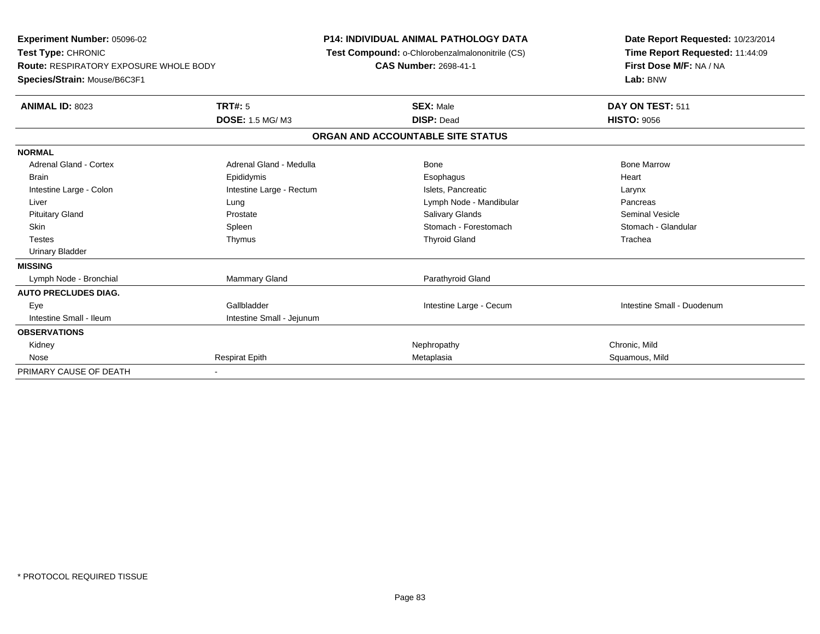| <b>Experiment Number: 05096-02</b><br>Test Type: CHRONIC<br><b>Route: RESPIRATORY EXPOSURE WHOLE BODY</b><br>Species/Strain: Mouse/B6C3F1 |                           | <b>P14: INDIVIDUAL ANIMAL PATHOLOGY DATA</b><br><b>Test Compound: o-Chlorobenzalmalononitrile (CS)</b><br><b>CAS Number: 2698-41-1</b> | Date Report Requested: 10/23/2014<br>Time Report Requested: 11:44:09<br>First Dose M/F: NA / NA<br>Lab: BNW |  |
|-------------------------------------------------------------------------------------------------------------------------------------------|---------------------------|----------------------------------------------------------------------------------------------------------------------------------------|-------------------------------------------------------------------------------------------------------------|--|
| <b>ANIMAL ID: 8023</b>                                                                                                                    | <b>TRT#: 5</b>            | <b>SEX: Male</b>                                                                                                                       | DAY ON TEST: 511                                                                                            |  |
|                                                                                                                                           | <b>DOSE: 1.5 MG/M3</b>    | <b>DISP: Dead</b>                                                                                                                      | <b>HISTO: 9056</b>                                                                                          |  |
|                                                                                                                                           |                           | ORGAN AND ACCOUNTABLE SITE STATUS                                                                                                      |                                                                                                             |  |
| <b>NORMAL</b>                                                                                                                             |                           |                                                                                                                                        |                                                                                                             |  |
| <b>Adrenal Gland - Cortex</b>                                                                                                             | Adrenal Gland - Medulla   | Bone                                                                                                                                   | <b>Bone Marrow</b>                                                                                          |  |
| <b>Brain</b>                                                                                                                              | Epididymis                | Esophagus                                                                                                                              | Heart                                                                                                       |  |
| Intestine Large - Colon                                                                                                                   | Intestine Large - Rectum  | Islets, Pancreatic                                                                                                                     | Larynx                                                                                                      |  |
| Liver                                                                                                                                     | Lung                      | Lymph Node - Mandibular                                                                                                                | Pancreas                                                                                                    |  |
| <b>Pituitary Gland</b>                                                                                                                    | Prostate                  | Salivary Glands                                                                                                                        | <b>Seminal Vesicle</b>                                                                                      |  |
| <b>Skin</b>                                                                                                                               | Spleen                    | Stomach - Forestomach                                                                                                                  | Stomach - Glandular                                                                                         |  |
| <b>Testes</b>                                                                                                                             | Thymus                    | <b>Thyroid Gland</b>                                                                                                                   | Trachea                                                                                                     |  |
| <b>Urinary Bladder</b>                                                                                                                    |                           |                                                                                                                                        |                                                                                                             |  |
| <b>MISSING</b>                                                                                                                            |                           |                                                                                                                                        |                                                                                                             |  |
| Lymph Node - Bronchial                                                                                                                    | <b>Mammary Gland</b>      | Parathyroid Gland                                                                                                                      |                                                                                                             |  |
| <b>AUTO PRECLUDES DIAG.</b>                                                                                                               |                           |                                                                                                                                        |                                                                                                             |  |
| Eye                                                                                                                                       | Gallbladder               | Intestine Large - Cecum                                                                                                                | Intestine Small - Duodenum                                                                                  |  |
| Intestine Small - Ileum                                                                                                                   | Intestine Small - Jejunum |                                                                                                                                        |                                                                                                             |  |
| <b>OBSERVATIONS</b>                                                                                                                       |                           |                                                                                                                                        |                                                                                                             |  |
| Kidney                                                                                                                                    |                           | Nephropathy                                                                                                                            | Chronic, Mild                                                                                               |  |
| Nose                                                                                                                                      | <b>Respirat Epith</b>     | Metaplasia                                                                                                                             | Squamous, Mild                                                                                              |  |
| PRIMARY CAUSE OF DEATH                                                                                                                    |                           |                                                                                                                                        |                                                                                                             |  |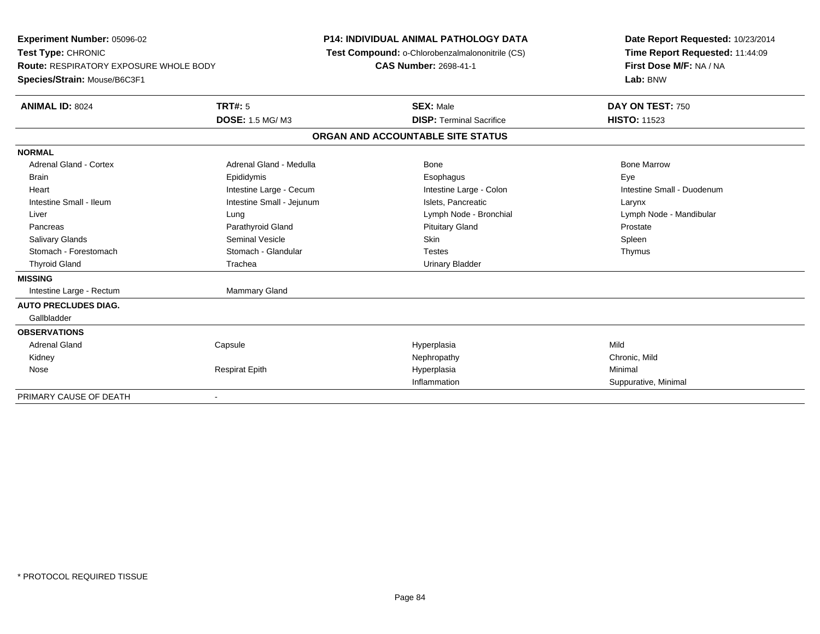**Experiment Number:** 05096-02**Test Type:** CHRONIC **Route:** RESPIRATORY EXPOSURE WHOLE BODY**Species/Strain:** Mouse/B6C3F1**P14: INDIVIDUAL ANIMAL PATHOLOGY DATA Test Compound:** o-Chlorobenzalmalononitrile (CS)**CAS Number:** 2698-41-1**Date Report Requested:** 10/23/2014**Time Report Requested:** 11:44:09**First Dose M/F:** NA / NA**Lab:** BNW**ANIMAL ID:** 8024 **TRT#:** <sup>5</sup> **SEX:** Male **DAY ON TEST:** <sup>750</sup> **DOSE:** 1.5 MG/ M3**DISP:** Terminal Sacrifice **HISTO:** 11523 **ORGAN AND ACCOUNTABLE SITE STATUSNORMALAdrenal Gland - Cortex** Adrenal Gland - Medulla **Adrenal Gland - Medulla** Bone Bone Bone Bone Bone Marrow Brain Exercicles and the Exercise Epididymis Communications of the Exercise Exercise Exercise Exercise Exe Intestine Small - Duodenum Heart **Intestine Large - Cecum** Intestine Large - Cecum Intestine Large - Colon Intestine Large - Colon Intestine Small - Ileum Larynx Intestine Small - Jejunum Intestine Small - Jejunum Islets, Pancreatic Larynx Liver Lung Lymph Node - Bronchial Lymph Node - MandibularPancreas **Parathyroid Gland Prostate Parathyroid Gland** Prostate Prostate Prostate Prostate Spleen Salivary Glands Seminal Vesicle Skin SpleenThymus Stomach - Forestomach **Stomach - Glandular** Testes Testes Testes Testes Testes The Testes The Testes The Testes The Testes The Testes The Testes The Testes Testes The Testes Testes Testes Testes Testes Testes Testes Testes Thyroid Gland **Trachea** Trachea **Trachea** Trachea Urinary Bladder **MISSING**Intestine Large - Rectum Mammary Gland **AUTO PRECLUDES DIAG.** Gallbladder**OBSERVATIONS** Adrenal Gland Capsule Hyperplasia Mild Kidneyy the controller that the controller temperature  $\mathsf{N}$  experimentally chronic, Mild  $\mathsf{N}$  experimentally  $\mathsf{N}$  experimentally  $\mathsf{N}$  experimentally  $\mathsf{N}$  experimentally  $\mathsf{N}$  experimentally  $\mathsf{N}$  . The Nose Respirat Epith Hyperplasia Minimal Inflammation Suppurative, Minimal PRIMARY CAUSE OF DEATH-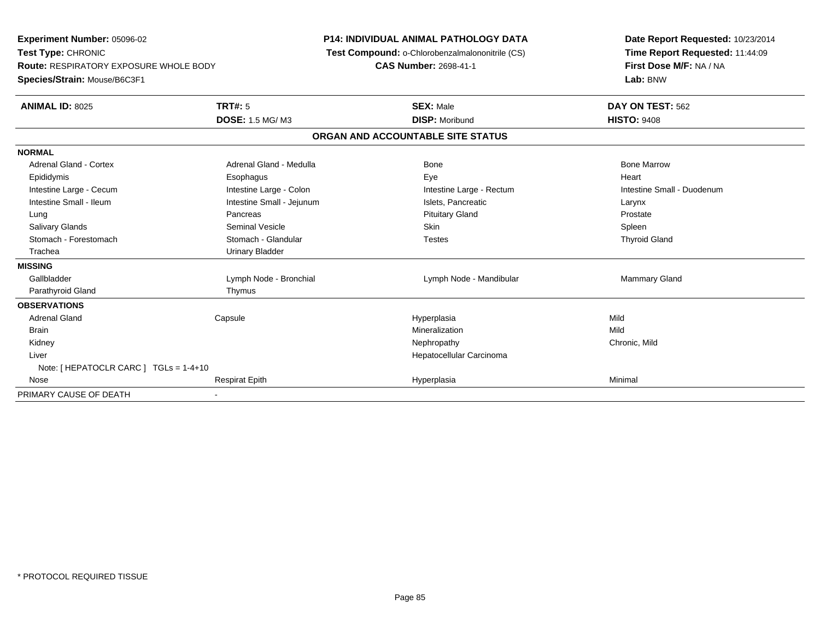**Experiment Number:** 05096-02**Test Type:** CHRONIC **Route:** RESPIRATORY EXPOSURE WHOLE BODY**Species/Strain:** Mouse/B6C3F1**P14: INDIVIDUAL ANIMAL PATHOLOGY DATA Test Compound:** o-Chlorobenzalmalononitrile (CS)**CAS Number:** 2698-41-1**Date Report Requested:** 10/23/2014**Time Report Requested:** 11:44:09**First Dose M/F:** NA / NA**Lab:** BNW**ANIMAL ID:** 8025 **TRT#:** <sup>5</sup> **SEX:** Male **DAY ON TEST:** <sup>562</sup> **DOSE:** 1.5 MG/ M3**DISP:** Moribund **HISTO:** 9408 **ORGAN AND ACCOUNTABLE SITE STATUSNORMALAdrenal Gland - Cortex** Adrenal Gland - Medulla **Adrenal Gland - Medulla** Bone Bone Bone Bone Bone Marrow Epididymis Esophagus Eye HeartIntestine Large - Cecum **Intestine Large - Colon** Intestine Large - Colon Intestine Large - Rectum Intestine Large - Rectum Intestine Small - Duodenum Intestine Small - Ileum Larynx Intestine Small - Jejunum Intestine Small - Jejunum Islets, Pancreatic Larynx Prostate Lung Pancreas Pituitary Gland ProstateSpleen Salivary Glands Seminal Vesicle Skin Spleen**Thyroid Gland** Stomach - Forestomach **Stomach - Glandular** Testes Testes Testes Testes Testes The Testes The Testes The Testes The Testes The Testes Testes Testes Testes Testes Testes Testes Testes Testes Testes Testes Testes Testes Test Trachea Urinary Bladder**MISSING**Gallbladder Lymph Node - Bronchial **Challbladder Lymph Node - Mandibular** Mammary Gland Parathyroid Gland Thymus **OBSERVATIONS** Adrenal Gland Capsule Hyperplasia Mild Brainn and the control of the control of the control of the control of the control of the control of the control of the control of the control of the control of the control of the control of the control of the control of the co Kidneyy the controller that the controller the controller that the controller the controller that  $\mathsf{N}\mathsf{H}$   $\mathsf{N}\mathsf{H}$   $\mathsf{C}\mathsf{H}$   $\mathsf{R}\mathsf{H}$   $\mathsf{C}\mathsf{H}$   $\mathsf{R}\mathsf{H}$   $\mathsf{H}$   $\mathsf{H}$   $\mathsf{H}$   $\mathsf{H}$   $\mathsf{H}$  Liver Hepatocellular CarcinomaNote: [ HEPATOCLR CARC ] TGLs = 1-4+10 Nosee and the Respirat Epith Hyperplasia Minimal Minimal Minimal Minimal September 2014 and the Minimal Minimal September 2014 and the Minimal Minimal September 2014 and the Minimal September 2014 and the Minimal September 201 PRIMARY CAUSE OF DEATH-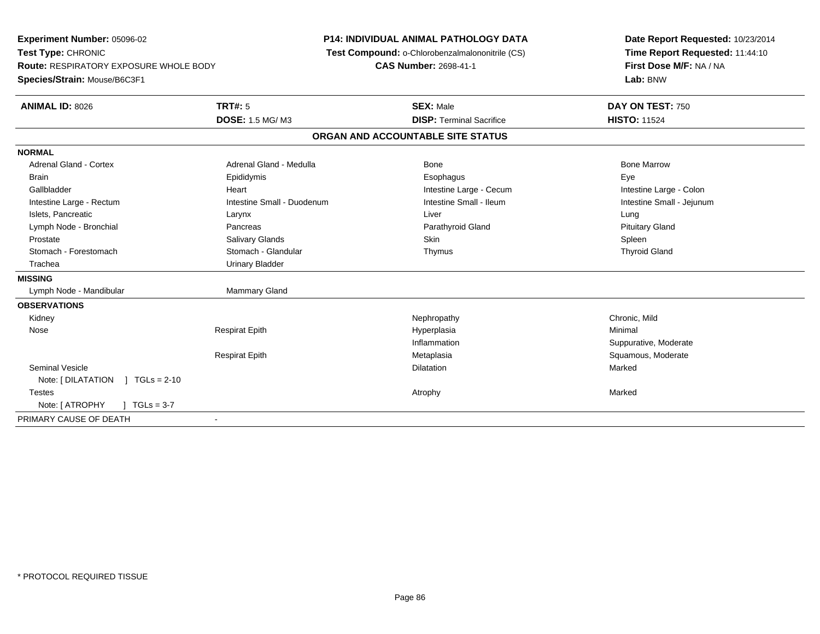**Experiment Number:** 05096-02**Test Type:** CHRONIC **Route:** RESPIRATORY EXPOSURE WHOLE BODY**Species/Strain:** Mouse/B6C3F1**P14: INDIVIDUAL ANIMAL PATHOLOGY DATA Test Compound:** o-Chlorobenzalmalononitrile (CS)**CAS Number:** 2698-41-1**Date Report Requested:** 10/23/2014**Time Report Requested:** 11:44:10**First Dose M/F:** NA / NA**Lab:** BNW**ANIMAL ID:** 8026**6 DAY ON TEST:** 750 **DOSE:** 1.5 MG/ M3**DISP:** Terminal Sacrifice **HISTO:** 11524 **ORGAN AND ACCOUNTABLE SITE STATUSNORMALAdrenal Gland - Cortex** Adrenal Gland - Medulla **Adrenal Gland - Medulla** Bone Bone Bone Bone Bone Marrow Brain Exercicles and the Exercise Epididymis Communications of the Exercise Exercise Exercise Exercise Exe Intestine Large - Colon Gallbladder **Gallbladder Heart** Intestine Large - Cecum Intestine Large - Cecum Intestine Large - Cecum Intestine Small - Jejunum Intestine Large - Rectum **Intestine Small - Duodenum** Intestine Small - Ileum Intestine Small - Ileum Islets, Pancreatic Larynx Liver Lung**Pituitary Gland** Lymph Node - Bronchial **Pancreas** Pancreas **Pancreas** Parathyroid Gland Parathyroid Gland Prostate Salivary Glands Skin Spleen**Thyroid Gland**  Stomach - Forestomach Stomach - Glandular Thymus Thyroid GlandTrachea **Urinary Bladder MISSING**Lymph Node - Mandibular Mammary Gland **OBSERVATIONS** Kidneyy the controller that the controller the controller that the controller the controller that  $\mathsf{N}\mathsf{H}$   $\mathsf{N}\mathsf{H}$   $\mathsf{C}\mathsf{H}$   $\mathsf{R}\mathsf{H}$   $\mathsf{C}\mathsf{H}$   $\mathsf{R}\mathsf{H}$   $\mathsf{H}$   $\mathsf{H}$   $\mathsf{H}$   $\mathsf{H}$   $\mathsf{H}$  Nose Respirat Epith Hyperplasia Minimal Inflammation Suppurative, Moderate Respirat Epith Metaplasia Squamous, Moderate Seminal Vesiclee die die staatsbeskip van die beskryf van die beskryf van die beskryf van die beskryf van die beskryf van die<br>Dilatation Note: [ DILATATION ] TGLs = 2-10 Testess the control of the control of the control of the control of the control of the control of the control of the control of the control of the control of the control of the control of the control of the control of the contro Note: [ ATROPHY ] TGLs = 3-7 PRIMARY CAUSE OF DEATH-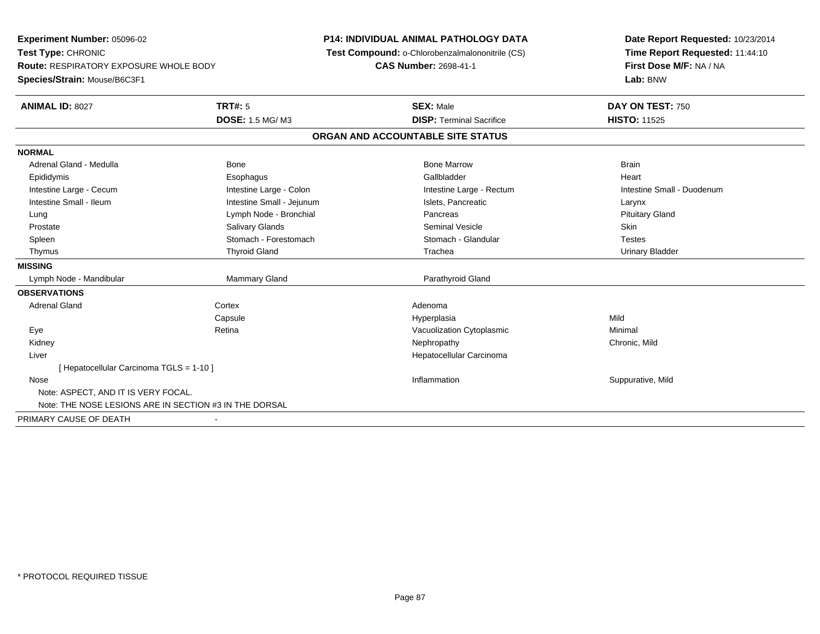| <b>Experiment Number: 05096-02</b>                     |                           | P14: INDIVIDUAL ANIMAL PATHOLOGY DATA           | Date Report Requested: 10/23/2014 |  |
|--------------------------------------------------------|---------------------------|-------------------------------------------------|-----------------------------------|--|
| Test Type: CHRONIC                                     |                           | Test Compound: o-Chlorobenzalmalononitrile (CS) | Time Report Requested: 11:44:10   |  |
| <b>Route: RESPIRATORY EXPOSURE WHOLE BODY</b>          |                           | <b>CAS Number: 2698-41-1</b>                    | First Dose M/F: NA / NA           |  |
| Species/Strain: Mouse/B6C3F1                           |                           |                                                 | Lab: BNW                          |  |
| ANIMAL ID: 8027                                        | <b>TRT#: 5</b>            | <b>SEX: Male</b>                                | DAY ON TEST: 750                  |  |
|                                                        | <b>DOSE: 1.5 MG/M3</b>    | <b>DISP: Terminal Sacrifice</b>                 | <b>HISTO: 11525</b>               |  |
|                                                        |                           | ORGAN AND ACCOUNTABLE SITE STATUS               |                                   |  |
| <b>NORMAL</b>                                          |                           |                                                 |                                   |  |
| Adrenal Gland - Medulla                                | Bone                      | <b>Bone Marrow</b>                              | <b>Brain</b>                      |  |
| Epididymis                                             | Esophagus                 | Gallbladder                                     | Heart                             |  |
| Intestine Large - Cecum                                | Intestine Large - Colon   | Intestine Large - Rectum                        | Intestine Small - Duodenum        |  |
| Intestine Small - Ileum                                | Intestine Small - Jejunum | Islets, Pancreatic                              | Larynx                            |  |
| Lung                                                   | Lymph Node - Bronchial    | Pancreas                                        | <b>Pituitary Gland</b>            |  |
| Prostate                                               | Salivary Glands           | <b>Seminal Vesicle</b>                          | Skin                              |  |
| Spleen                                                 | Stomach - Forestomach     | Stomach - Glandular                             | <b>Testes</b>                     |  |
| Thymus                                                 | <b>Thyroid Gland</b>      | Trachea                                         | <b>Urinary Bladder</b>            |  |
| <b>MISSING</b>                                         |                           |                                                 |                                   |  |
| Lymph Node - Mandibular                                | Mammary Gland             | Parathyroid Gland                               |                                   |  |
| <b>OBSERVATIONS</b>                                    |                           |                                                 |                                   |  |
| <b>Adrenal Gland</b>                                   | Cortex                    | Adenoma                                         |                                   |  |
|                                                        | Capsule                   | Hyperplasia                                     | Mild                              |  |
| Eye                                                    | Retina                    | Vacuolization Cytoplasmic                       | Minimal                           |  |
| Kidney                                                 |                           | Nephropathy                                     | Chronic, Mild                     |  |
| Liver                                                  |                           | Hepatocellular Carcinoma                        |                                   |  |
| [Hepatocellular Carcinoma TGLS = 1-10]                 |                           |                                                 |                                   |  |
| Nose                                                   |                           | Inflammation                                    | Suppurative, Mild                 |  |
| Note: ASPECT, AND IT IS VERY FOCAL.                    |                           |                                                 |                                   |  |
| Note: THE NOSE LESIONS ARE IN SECTION #3 IN THE DORSAL |                           |                                                 |                                   |  |
| PRIMARY CAUSE OF DEATH                                 |                           |                                                 |                                   |  |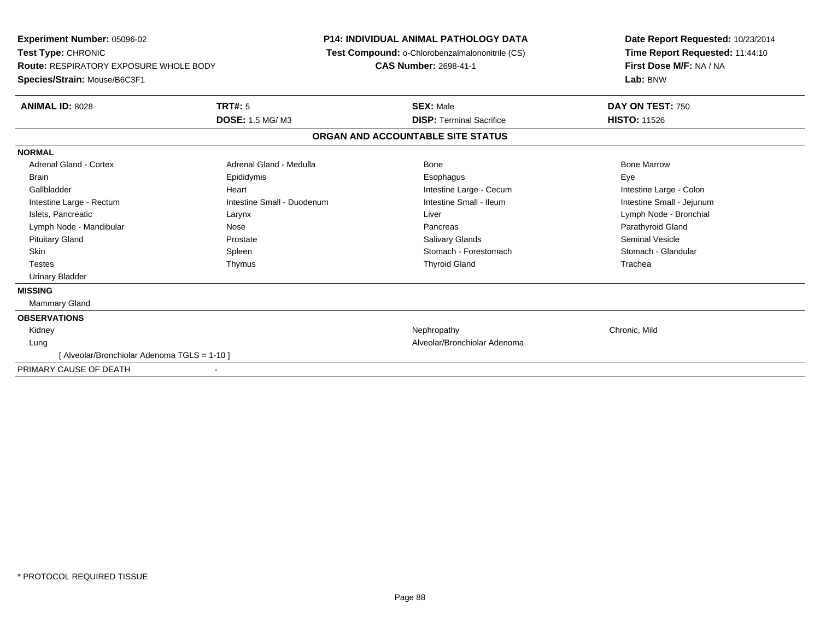| TRT#: 5<br>DAY ON TEST: 750<br><b>ANIMAL ID: 8028</b><br><b>SEX: Male</b><br>DOSE: 1.5 MG/M3<br><b>HISTO: 11526</b><br><b>DISP: Terminal Sacrifice</b><br>ORGAN AND ACCOUNTABLE SITE STATUS<br><b>NORMAL</b><br>Adrenal Gland - Medulla<br><b>Bone Marrow</b><br><b>Adrenal Gland - Cortex</b><br>Bone<br>Epididymis<br><b>Brain</b><br>Esophagus<br>Eye<br>Gallbladder<br>Intestine Large - Cecum<br>Intestine Large - Colon<br>Heart<br>Intestine Small - Ileum<br>Intestine Small - Jejunum<br>Intestine Small - Duodenum<br>Intestine Large - Rectum<br>Islets, Pancreatic<br>Lymph Node - Bronchial<br>Larynx<br>Liver<br>Lymph Node - Mandibular<br>Parathyroid Gland<br>Nose<br>Pancreas<br><b>Seminal Vesicle</b><br><b>Pituitary Gland</b><br><b>Salivary Glands</b><br>Prostate<br>Stomach - Forestomach<br>Stomach - Glandular<br><b>Skin</b><br>Spleen<br><b>Testes</b><br><b>Thyroid Gland</b><br>Trachea<br>Thymus<br><b>Urinary Bladder</b> |
|------------------------------------------------------------------------------------------------------------------------------------------------------------------------------------------------------------------------------------------------------------------------------------------------------------------------------------------------------------------------------------------------------------------------------------------------------------------------------------------------------------------------------------------------------------------------------------------------------------------------------------------------------------------------------------------------------------------------------------------------------------------------------------------------------------------------------------------------------------------------------------------------------------------------------------------------------------|
|                                                                                                                                                                                                                                                                                                                                                                                                                                                                                                                                                                                                                                                                                                                                                                                                                                                                                                                                                            |
|                                                                                                                                                                                                                                                                                                                                                                                                                                                                                                                                                                                                                                                                                                                                                                                                                                                                                                                                                            |
|                                                                                                                                                                                                                                                                                                                                                                                                                                                                                                                                                                                                                                                                                                                                                                                                                                                                                                                                                            |
|                                                                                                                                                                                                                                                                                                                                                                                                                                                                                                                                                                                                                                                                                                                                                                                                                                                                                                                                                            |
|                                                                                                                                                                                                                                                                                                                                                                                                                                                                                                                                                                                                                                                                                                                                                                                                                                                                                                                                                            |
|                                                                                                                                                                                                                                                                                                                                                                                                                                                                                                                                                                                                                                                                                                                                                                                                                                                                                                                                                            |
|                                                                                                                                                                                                                                                                                                                                                                                                                                                                                                                                                                                                                                                                                                                                                                                                                                                                                                                                                            |
|                                                                                                                                                                                                                                                                                                                                                                                                                                                                                                                                                                                                                                                                                                                                                                                                                                                                                                                                                            |
|                                                                                                                                                                                                                                                                                                                                                                                                                                                                                                                                                                                                                                                                                                                                                                                                                                                                                                                                                            |
|                                                                                                                                                                                                                                                                                                                                                                                                                                                                                                                                                                                                                                                                                                                                                                                                                                                                                                                                                            |
|                                                                                                                                                                                                                                                                                                                                                                                                                                                                                                                                                                                                                                                                                                                                                                                                                                                                                                                                                            |
|                                                                                                                                                                                                                                                                                                                                                                                                                                                                                                                                                                                                                                                                                                                                                                                                                                                                                                                                                            |
|                                                                                                                                                                                                                                                                                                                                                                                                                                                                                                                                                                                                                                                                                                                                                                                                                                                                                                                                                            |
|                                                                                                                                                                                                                                                                                                                                                                                                                                                                                                                                                                                                                                                                                                                                                                                                                                                                                                                                                            |
| <b>MISSING</b>                                                                                                                                                                                                                                                                                                                                                                                                                                                                                                                                                                                                                                                                                                                                                                                                                                                                                                                                             |
| <b>Mammary Gland</b>                                                                                                                                                                                                                                                                                                                                                                                                                                                                                                                                                                                                                                                                                                                                                                                                                                                                                                                                       |
| <b>OBSERVATIONS</b>                                                                                                                                                                                                                                                                                                                                                                                                                                                                                                                                                                                                                                                                                                                                                                                                                                                                                                                                        |
| Chronic, Mild<br>Kidney<br>Nephropathy                                                                                                                                                                                                                                                                                                                                                                                                                                                                                                                                                                                                                                                                                                                                                                                                                                                                                                                     |
| Alveolar/Bronchiolar Adenoma<br>Lung                                                                                                                                                                                                                                                                                                                                                                                                                                                                                                                                                                                                                                                                                                                                                                                                                                                                                                                       |
| [Alveolar/Bronchiolar Adenoma TGLS = 1-10]                                                                                                                                                                                                                                                                                                                                                                                                                                                                                                                                                                                                                                                                                                                                                                                                                                                                                                                 |
| PRIMARY CAUSE OF DEATH                                                                                                                                                                                                                                                                                                                                                                                                                                                                                                                                                                                                                                                                                                                                                                                                                                                                                                                                     |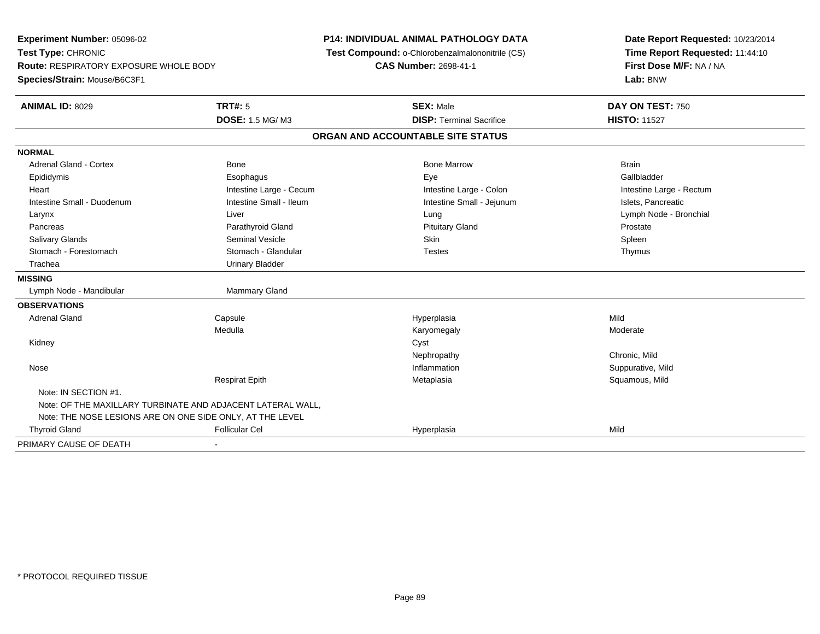**Experiment Number:** 05096-02**Test Type:** CHRONIC **Route:** RESPIRATORY EXPOSURE WHOLE BODY**Species/Strain:** Mouse/B6C3F1**P14: INDIVIDUAL ANIMAL PATHOLOGY DATA Test Compound:** o-Chlorobenzalmalononitrile (CS)**CAS Number:** 2698-41-1**Date Report Requested:** 10/23/2014**Time Report Requested:** 11:44:10**First Dose M/F:** NA / NA**Lab:** BNW**ANIMAL ID:** 8029 **TRT#:** <sup>5</sup> **SEX:** Male **DAY ON TEST:** <sup>750</sup> **DOSE:** 1.5 MG/ M3**DISP:** Terminal Sacrifice **HISTO:** 11527 **ORGAN AND ACCOUNTABLE SITE STATUSNORMAL**Adrenal Gland - Cortex **Bone Bone Bone Brain** Bone Bone Bone Marrow Bone Marrow Brain Brain Gallbladder Epididymis Esophagus Eye GallbladderHeart **Intestine Large - Cecum** Intestine Large - Cecum Intestine Large - Colon Intestine Large - Rectum Intestine Small - Duodenum **Intestine Small - Ileum** Intestine Small - Ileum Intestine Small - Jejunum Intestine Small - Jejunum Islets, Pancreatic Larynx Liver Lung Lymph Node - BronchialPancreas **Parathyroid Gland Prostate Parathyroid Gland** Prostate Prostate Prostate Prostate Spleen Salivary Glands Seminal Vesicle Skin SpleenThymus Stomach - Forestomach **Stomach - Glandular** Testes Testes Trachea Urinary Bladder**MISSING**Lymph Node - Mandibular Mammary Gland **OBSERVATIONS** Adrenal Gland Capsule Hyperplasia Mild Medullaa magnetic metal of the Moderate Moderate Moderate Moderate Moderate Moderate Moderate Moderate Moderate Moder Kidneyy cystem in the control of the control of the control of the control of the control of the control of the control of the control of the control of the control of the control of the control of the control of the control of NephropathyNephropathy Chronic, Mild<br>
Inflammation Suppurative. Suppurative, Mild Nosee the suppurative, Mild and the support of the support of the support of the support of the support of the support of  $\mathbf S$ uppurative, Mild and the support of the support of the support of the support of the support of th Respirat EpithMetaplasia **Squamous, Mild** Note: IN SECTION #1.Note: OF THE MAXILLARY TURBINATE AND ADJACENT LATERAL WALL,Note: THE NOSE LESIONS ARE ON ONE SIDE ONLY, AT THE LEVEL Thyroid Gland Follicular Cel Hyperplasia Mild PRIMARY CAUSE OF DEATH-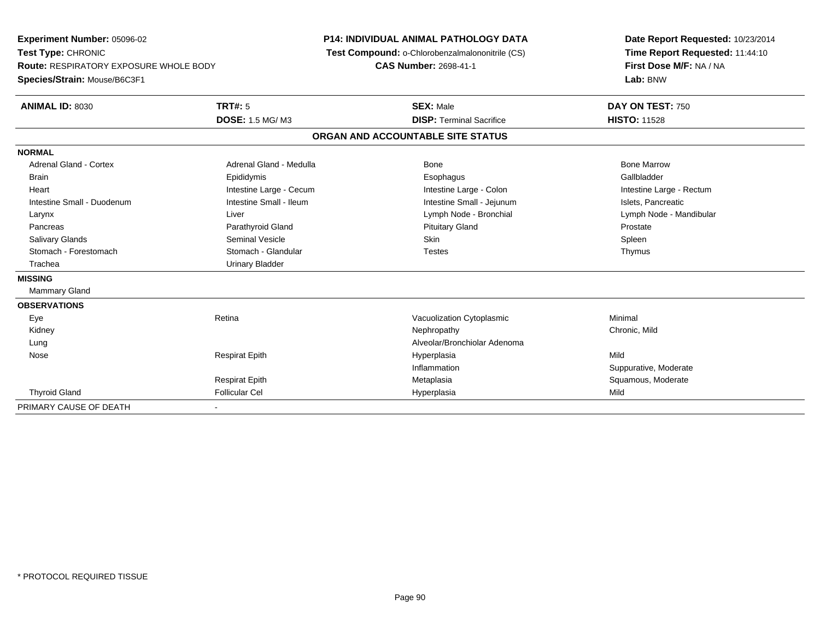**Experiment Number:** 05096-02**Test Type:** CHRONIC **Route:** RESPIRATORY EXPOSURE WHOLE BODY**Species/Strain:** Mouse/B6C3F1**P14: INDIVIDUAL ANIMAL PATHOLOGY DATA Test Compound:** o-Chlorobenzalmalononitrile (CS)**CAS Number:** 2698-41-1**Date Report Requested:** 10/23/2014**Time Report Requested:** 11:44:10**First Dose M/F:** NA / NA**Lab:** BNW**ANIMAL ID:** 8030**TRT#:** 5 **SEX:** Male **DAY ON TEST:** 750 **DOSE:** 1.5 MG/ M3**DISP:** Terminal Sacrifice **HISTO:** 11528 **ORGAN AND ACCOUNTABLE SITE STATUSNORMALAdrenal Gland - Cortex** Adrenal Gland - Medulla **Adrenal Gland - Medulla** Bone Bone Bone Bone Bone Marrow Gallbladder Brain Epididymis Epididymis and the Brook of the Brook of the Brook of the Brook of the Gallbladder of the Gallbladder Heart **Intestine Large - Cecum** Intestine Large - Cecum Intestine Large - Colon Intestine Large - Rectum Intestine Small - Duodenum **Intestine Small - Ileum** Intestine Small - Ileum Intestine Small - Jejunum Intestine Small - Jejunum Islets, Pancreatic Larynx Liver Lymph Node - Bronchial Lymph Node - MandibularPancreas **Parathyroid Gland Prostate Parathyroid Gland** Prostate Prostate Prostate Prostate Spleen Salivary Glands Seminal Vesicle Skin SpleenThymus Stomach - Forestomach **Stomach - Glandular** Stomach - Glandular Testes Trachea **Urinary Bladder MISSING** Mammary Gland**OBSERVATIONS** EyeRetina **Retina** Cytoplasmic Cytoplasmic Minimal Mechanic Minimal Minimal Retina Minimal Minimal Retinance Minimal Minimal Retinance Minimal Retinance Minimal Retinance Minimal Retinance Minimal Retinance Minimal Retinance Kidneyy the controller that the controller the controller that the controller the controller that  $\mathsf{N}\mathsf{H}$   $\mathsf{N}\mathsf{H}$   $\mathsf{C}\mathsf{H}$   $\mathsf{R}\mathsf{H}$   $\mathsf{C}\mathsf{H}$   $\mathsf{R}\mathsf{H}$   $\mathsf{H}$   $\mathsf{H}$   $\mathsf{H}$   $\mathsf{H}$   $\mathsf{H}$  LungAlveolar/Bronchiolar Adenoma<br>
Respirat Epith **Mateurs Adenoma**<br>
Hyperplasia Nose Respirat Epith Hyperplasia Mild Inflammation Suppurative, Moderate Respirat Epith Metaplasia Squamous, Moderate Thyroid Gland Follicular Cel Hyperplasia Mild PRIMARY CAUSE OF DEATH-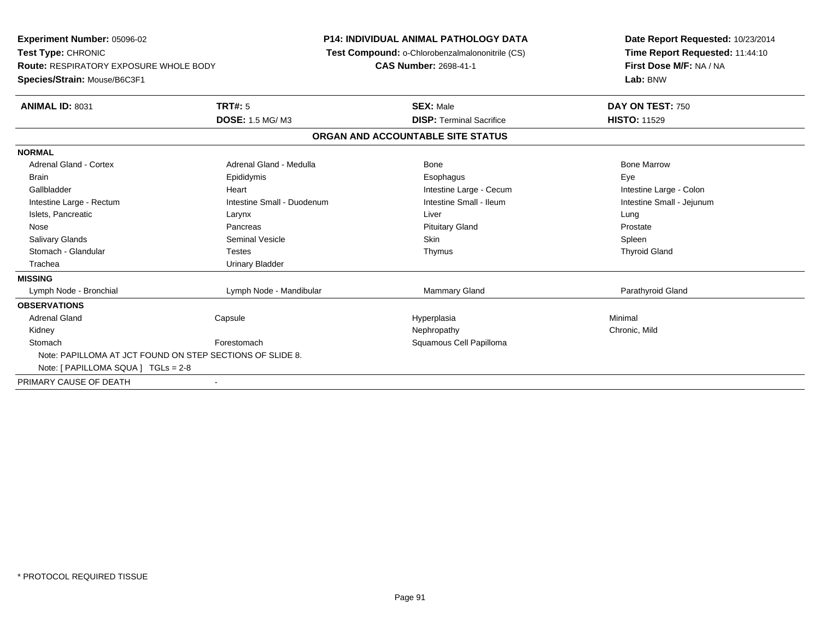| <b>Experiment Number: 05096-02</b><br>Test Type: CHRONIC<br><b>Route: RESPIRATORY EXPOSURE WHOLE BODY</b><br>Species/Strain: Mouse/B6C3F1 |                            | <b>P14: INDIVIDUAL ANIMAL PATHOLOGY DATA</b><br>Test Compound: o-Chlorobenzalmalononitrile (CS)<br><b>CAS Number: 2698-41-1</b> | Date Report Requested: 10/23/2014<br>Time Report Requested: 11:44:10<br>First Dose M/F: NA / NA<br>Lab: BNW |
|-------------------------------------------------------------------------------------------------------------------------------------------|----------------------------|---------------------------------------------------------------------------------------------------------------------------------|-------------------------------------------------------------------------------------------------------------|
| ANIMAL ID: 8031                                                                                                                           | <b>TRT#: 5</b>             | <b>SEX: Male</b>                                                                                                                | DAY ON TEST: 750                                                                                            |
|                                                                                                                                           | DOSE: 1.5 MG/M3            | <b>DISP: Terminal Sacrifice</b>                                                                                                 | <b>HISTO: 11529</b>                                                                                         |
|                                                                                                                                           |                            | ORGAN AND ACCOUNTABLE SITE STATUS                                                                                               |                                                                                                             |
| <b>NORMAL</b>                                                                                                                             |                            |                                                                                                                                 |                                                                                                             |
| <b>Adrenal Gland - Cortex</b>                                                                                                             | Adrenal Gland - Medulla    | Bone                                                                                                                            | <b>Bone Marrow</b>                                                                                          |
| <b>Brain</b>                                                                                                                              | Epididymis                 | Esophagus                                                                                                                       | Eye                                                                                                         |
| Gallbladder                                                                                                                               | Heart                      | Intestine Large - Cecum                                                                                                         | Intestine Large - Colon                                                                                     |
| Intestine Large - Rectum                                                                                                                  | Intestine Small - Duodenum | Intestine Small - Ileum                                                                                                         | Intestine Small - Jejunum                                                                                   |
| Islets, Pancreatic                                                                                                                        | Larynx                     | Liver                                                                                                                           | Lung                                                                                                        |
| Nose                                                                                                                                      | Pancreas                   | <b>Pituitary Gland</b>                                                                                                          | Prostate                                                                                                    |
| Salivary Glands                                                                                                                           | <b>Seminal Vesicle</b>     | <b>Skin</b>                                                                                                                     | Spleen                                                                                                      |
| Stomach - Glandular                                                                                                                       | <b>Testes</b>              | Thymus                                                                                                                          | <b>Thyroid Gland</b>                                                                                        |
| Trachea                                                                                                                                   | <b>Urinary Bladder</b>     |                                                                                                                                 |                                                                                                             |
| <b>MISSING</b>                                                                                                                            |                            |                                                                                                                                 |                                                                                                             |
| Lymph Node - Bronchial                                                                                                                    | Lymph Node - Mandibular    | <b>Mammary Gland</b>                                                                                                            | Parathyroid Gland                                                                                           |
| <b>OBSERVATIONS</b>                                                                                                                       |                            |                                                                                                                                 |                                                                                                             |
| <b>Adrenal Gland</b>                                                                                                                      | Capsule                    | Hyperplasia                                                                                                                     | Minimal                                                                                                     |
| Kidney                                                                                                                                    |                            | Nephropathy                                                                                                                     | Chronic, Mild                                                                                               |
| Stomach                                                                                                                                   | Forestomach                | Squamous Cell Papilloma                                                                                                         |                                                                                                             |
| Note: PAPILLOMA AT JCT FOUND ON STEP SECTIONS OF SLIDE 8.                                                                                 |                            |                                                                                                                                 |                                                                                                             |
| Note: [ PAPILLOMA SQUA ] TGLs = 2-8                                                                                                       |                            |                                                                                                                                 |                                                                                                             |
| PRIMARY CAUSE OF DEATH                                                                                                                    |                            |                                                                                                                                 |                                                                                                             |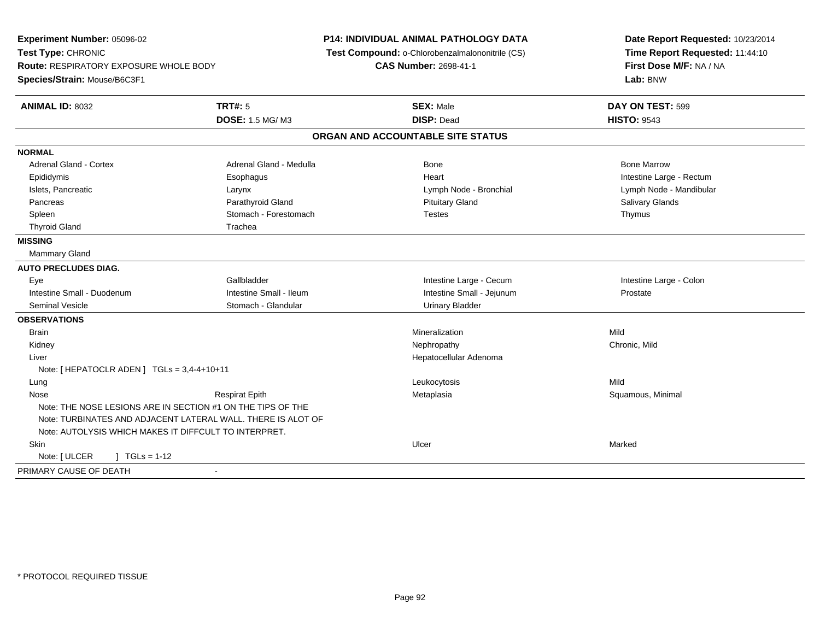**Experiment Number:** 05096-02**Test Type:** CHRONIC **Route:** RESPIRATORY EXPOSURE WHOLE BODY**Species/Strain:** Mouse/B6C3F1**P14: INDIVIDUAL ANIMAL PATHOLOGY DATA Test Compound:** o-Chlorobenzalmalononitrile (CS)**CAS Number:** 2698-41-1**Date Report Requested:** 10/23/2014**Time Report Requested:** 11:44:10**First Dose M/F:** NA / NA**Lab:** BNW**ANIMAL ID:** 8032**TRT#:** 5 **SEX:** Male **DAY ON TEST:** 599 **DOSE:** 1.5 MG/ M3 **DISP:** Dead **HISTO:** <sup>9543</sup> **ORGAN AND ACCOUNTABLE SITE STATUSNORMALAdrenal Gland - Cortex** Adrenal Gland - Medulla **Adrenal Gland - Medulla** Bone Bone Bone Bone Bone Marrow Epididymis Esophagus Heart Intestine Large - RectumIslets, Pancreatic Larynx Lymph Node - Bronchial Lymph Node - Mandibular Pancreas Parathyroid Gland Pituitary Gland Salivary GlandsSpleen Schwach - Forestomach Communication Communication Communication Communication Thymus Communication Communication Communication Communication Communication Communication Communication Communication Communication Comm Thyroid Gland Trachea **MISSING** Mammary Gland**AUTO PRECLUDES DIAG.** Eye Gallbladder Intestine Large - Cecum Intestine Large - ColonIntestine Small - Duodenum **Intestine Small - Ileum** Intestine Small - Ileum Intestine Small - Jejunum Prostate Seminal Vesicle **Stomach - Glandular** Stomach - Glandular Clandular Clandular Clandular Clandular Urinary Bladder **OBSERVATIONS** Brainn and the control of the control of the control of the control of the control of the control of the control of the control of the control of the control of the control of the control of the control of the control of the co Kidneyy the controller that the controller temperature  $\mathsf{N}$  experimentally chronic, Mild  $\mathsf{N}$  experimentally  $\mathsf{N}$  experimentally  $\mathsf{N}$  experimentally  $\mathsf{N}$  experimentally  $\mathsf{N}$  experimentally  $\mathsf{N}$  . The Liver Hepatocellular AdenomaNote: [ HEPATOCLR ADEN ] TGLs = 3,4-4+10+11 Lung Leukocytosis Mild Nose Respirat Epith Metaplasia Squamous, Minimal Note: THE NOSE LESIONS ARE IN SECTION #1 ON THE TIPS OF THE Note: TURBINATES AND ADJACENT LATERAL WALL. THERE IS ALOT OFNote: AUTOLYSIS WHICH MAKES IT DIFFCULT TO INTERPRET. Skinn and the control of the control of the control of the control of the control of the control of the control of the control of the control of the control of the control of the control of the control of the control of the co Note: [ ULCER ] TGLs = 1-12PRIMARY CAUSE OF DEATH-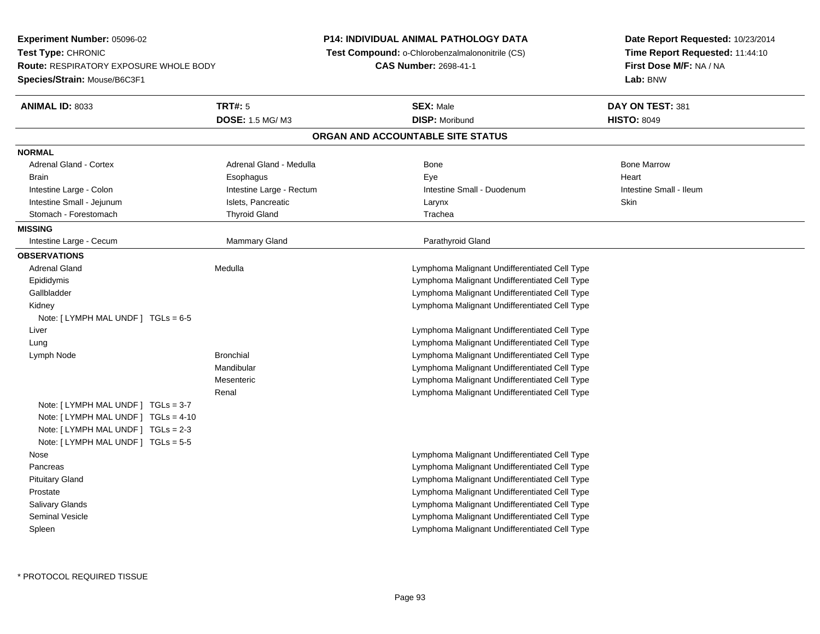**Experiment Number:** 05096-02**Test Type:** CHRONIC **Route:** RESPIRATORY EXPOSURE WHOLE BODY**Species/Strain:** Mouse/B6C3F1**P14: INDIVIDUAL ANIMAL PATHOLOGY DATA Test Compound:** o-Chlorobenzalmalononitrile (CS)**CAS Number:** 2698-41-1**Date Report Requested:** 10/23/2014**Time Report Requested:** 11:44:10**First Dose M/F:** NA / NA**Lab:** BNW**ANIMAL ID:** 8033 **TRT#:** <sup>5</sup> **SEX:** Male **DAY ON TEST:** <sup>381</sup> **DOSE:** 1.5 MG/ M3 **DISP:** Moribund **HISTO:** <sup>8049</sup> **ORGAN AND ACCOUNTABLE SITE STATUSNORMALAdrenal Gland - Cortex**  Adrenal Gland - Cortex Adrenal Gland - Medulla Bone Bone MarrowBrain Esophagus Esophagus Esophagus Executive Eye Eye and the Heart Heart Heart Heart Heart Intestine Large - Colon **Intestine Large - Rectum** Intestine Small - Duodenum Intestine Small - Ileum Intestine Small - Ileum Intestine Small - Jejunum **Intestine Small - Jejunum** Islets, Pancreatic **Network Contract Contract Contract Contract Contract Contract Contract Contract Contract Contract Contract Contract Contract Contract Contract Contr** Stomach - Forestomach The Thyroid Gland Trachea Trachea **MISSING** Intestine Large - Cecum Mammary Gland Parathyroid Gland**OBSERVATIONS** Adrenal Gland Medulla Lymphoma Malignant Undifferentiated Cell Type Epididymis Lymphoma Malignant Undifferentiated Cell Type Lymphoma Malignant Undifferentiated Cell Type Gallbladder Lymphoma Malignant Undifferentiated Cell Type KidneyNote: [ LYMPH MAL UNDF ] TGLs = 6-5 Liver Lymphoma Malignant Undifferentiated Cell Type Lymphoma Malignant Undifferentiated Cell Type Lung Lymph Node Bronchial Lymphoma Malignant Undifferentiated Cell Type Mandibular Lymphoma Malignant Undifferentiated Cell Type Lymphoma Malignant Undifferentiated Cell Type**Mesenteric**  Lymphoma Malignant Undifferentiated Cell TypeRenalNote: [ LYMPH MAL UNDF ] TGLs = 3-7 Note: [ LYMPH MAL UNDF ] TGLs = 4-10 Note: [ LYMPH MAL UNDF ] TGLs = 2-3 Note: [ LYMPH MAL UNDF ] TGLs = 5-5 Nose Lymphoma Malignant Undifferentiated Cell Type Pancreas Lymphoma Malignant Undifferentiated Cell Type Lymphoma Malignant Undifferentiated Cell Type Pituitary Gland Prostate Lymphoma Malignant Undifferentiated Cell Type Salivary Glands Lymphoma Malignant Undifferentiated Cell Type Lymphoma Malignant Undifferentiated Cell Type Seminal Vesicle SpleenLymphoma Malignant Undifferentiated Cell Type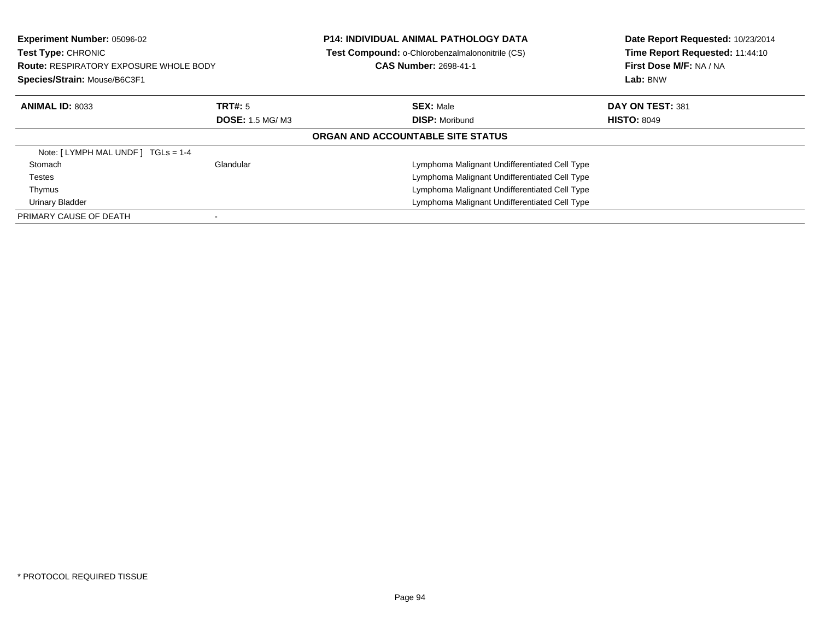| <b>Experiment Number: 05096-02</b><br>Test Type: CHRONIC<br><b>Route: RESPIRATORY EXPOSURE WHOLE BODY</b><br>Species/Strain: Mouse/B6C3F1 |                        | <b>P14: INDIVIDUAL ANIMAL PATHOLOGY DATA</b><br>Test Compound: o-Chlorobenzalmalononitrile (CS)<br><b>CAS Number: 2698-41-1</b> | Date Report Requested: 10/23/2014<br>Time Report Requested: 11:44:10<br>First Dose M/F: NA / NA<br>Lab: BNW |
|-------------------------------------------------------------------------------------------------------------------------------------------|------------------------|---------------------------------------------------------------------------------------------------------------------------------|-------------------------------------------------------------------------------------------------------------|
| <b>ANIMAL ID: 8033</b>                                                                                                                    | TRT#: 5                | <b>SEX: Male</b>                                                                                                                | DAY ON TEST: 381                                                                                            |
|                                                                                                                                           | <b>DOSE: 1.5 MG/M3</b> | <b>DISP:</b> Moribund                                                                                                           | <b>HISTO: 8049</b>                                                                                          |
|                                                                                                                                           |                        | ORGAN AND ACCOUNTABLE SITE STATUS                                                                                               |                                                                                                             |
| Note: [LYMPH MAL UNDF] TGLs = 1-4                                                                                                         |                        |                                                                                                                                 |                                                                                                             |
| Stomach                                                                                                                                   | Glandular              | Lymphoma Malignant Undifferentiated Cell Type                                                                                   |                                                                                                             |
| Testes                                                                                                                                    |                        | Lymphoma Malignant Undifferentiated Cell Type                                                                                   |                                                                                                             |
| Thymus                                                                                                                                    |                        | Lymphoma Malignant Undifferentiated Cell Type                                                                                   |                                                                                                             |
| <b>Urinary Bladder</b>                                                                                                                    |                        | Lymphoma Malignant Undifferentiated Cell Type                                                                                   |                                                                                                             |
| PRIMARY CAUSE OF DEATH                                                                                                                    |                        |                                                                                                                                 |                                                                                                             |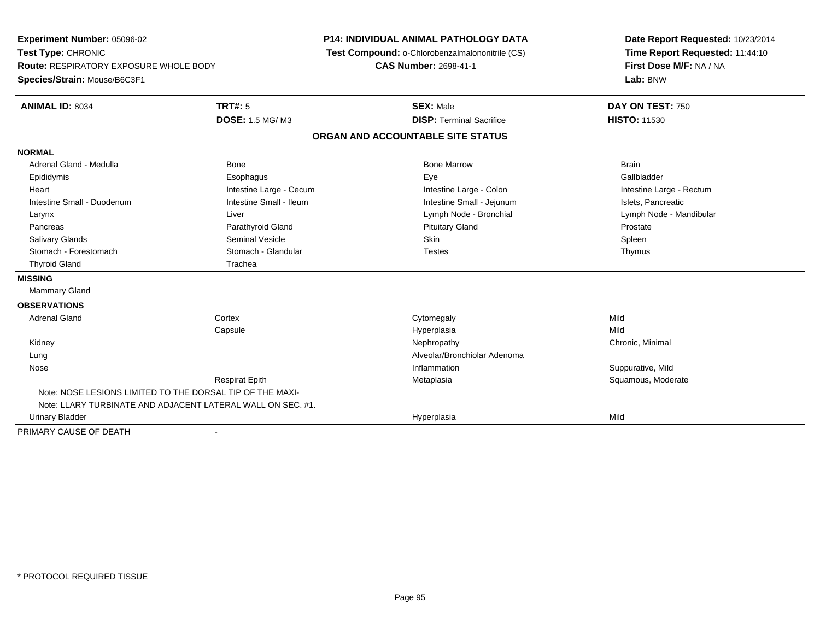**Experiment Number:** 05096-02**Test Type:** CHRONIC **Route:** RESPIRATORY EXPOSURE WHOLE BODY**Species/Strain:** Mouse/B6C3F1**P14: INDIVIDUAL ANIMAL PATHOLOGY DATA Test Compound:** o-Chlorobenzalmalononitrile (CS)**CAS Number:** 2698-41-1**Date Report Requested:** 10/23/2014**Time Report Requested:** 11:44:10**First Dose M/F:** NA / NA**Lab:** BNW**ANIMAL ID:** 8034 **TRT#:** <sup>5</sup> **SEX:** Male **DAY ON TEST:** <sup>750</sup> **DOSE:** 1.5 MG/ M3**DISP:** Terminal Sacrifice **HISTO:** 11530 **ORGAN AND ACCOUNTABLE SITE STATUSNORMAL**Adrenal Gland - Medulla November 2012 Bone National Bone Marrow Bone Marrow Bone Marrow Brain Gallbladder Epididymis Esophagus Eye GallbladderHeart **Intestine Large - Cecum** Intestine Large - Cecum Intestine Large - Colon Intestine Large - Rectum Intestine Small - Duodenum **Intestine Small - Ileum** Intestine Small - Ileum Intestine Small - Jejunum Intestine Small - Jejunum Islets, Pancreatic Larynx Liver Lymph Node - Bronchial Lymph Node - MandibularPancreas **Parathyroid Gland Prostate Parathyroid Gland** Prostate Prostate Prostate Prostate Spleen Salivary Glands Seminal Vesicle Skin SpleenThymus Stomach - Forestomach **Stomach - Glandular** Testes Testes Testes Testes Testes The Testes The Testes The Testes The Testes The Testes The Testes The Testes Testes The Testes Testes Testes Testes Testes Testes Testes Testes Thyroid Gland Thyroid Gland **MISSING** Mammary Gland**OBSERVATIONS** Adrenal Glandd cortex Cortex Cortex Cytomegaly Cytomegaly **Capsule**  Hyperplasia Mild Kidneyy the controller the controller of the controller of the controller of the controller of the controller of the controller of the controller of the controller of the controller of the controller of the controller of the con LungAlveolar/Bronchiolar Adenoma<br>Inflammation Nosee the suppurative, Mild and the support of the support of the support of the support of the support of the support of  $\mathbf S$ uppurative, Mild and the support of the support of the support of the support of the support of th Respirat EpithMetaplasia **Squamous, Moderate** Note: NOSE LESIONS LIMITED TO THE DORSAL TIP OF THE MAXI-Note: LLARY TURBINATE AND ADJACENT LATERAL WALL ON SEC. #1. Urinary Bladderr and the contract of the contract of the contract of the contract of the contract of the contract of the contract of the contract of the contract of the contract of the contract of the contract of the contract of the cont a Mild PRIMARY CAUSE OF DEATH-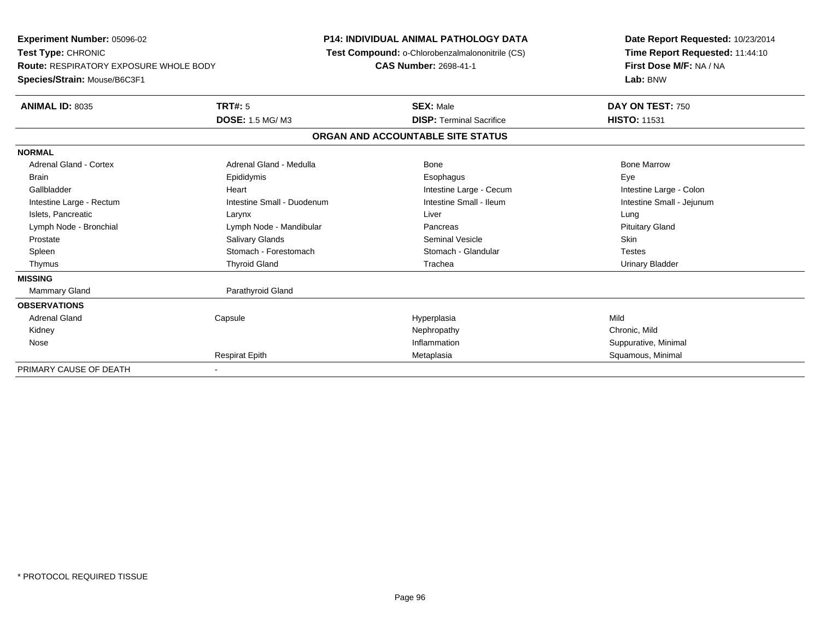**Experiment Number:** 05096-02**Test Type:** CHRONIC **Route:** RESPIRATORY EXPOSURE WHOLE BODY**Species/Strain:** Mouse/B6C3F1**P14: INDIVIDUAL ANIMAL PATHOLOGY DATA Test Compound:** o-Chlorobenzalmalononitrile (CS)**CAS Number:** 2698-41-1**Date Report Requested:** 10/23/2014**Time Report Requested:** 11:44:10**First Dose M/F:** NA / NA**Lab:** BNW**ANIMAL ID:** 8035 **TRT#:** <sup>5</sup> **SEX:** Male **DAY ON TEST:** <sup>750</sup> **DOSE:** 1.5 MG/ M3**DISP:** Terminal Sacrifice **HISTO:** 11531 **ORGAN AND ACCOUNTABLE SITE STATUSNORMALAdrenal Gland - Cortex**  Adrenal Gland - Cortex Adrenal Gland - Medulla Bone Bone MarrowBrain Exercicles and the Exercise Epididymis Communications of the Exercise Exercise Exercise Exercise Exe Intestine Large - Colon Gallbladder **Gallbladder Heart** Intestine Large - Cecum Intestine Large - Cecum Intestine Large - Cecum Intestine Small - Jejunum Intestine Large - Rectum **Intestine Small - Duodenum** Intestine Small - Ileum Intestine Small - Ileum Islets, Pancreatic Larynx Liver Lung**Pituitary Gland** Lymph Node - Bronchial **Lymph Node - Mandibular Pancreas Pancreas** Pancreas Prostate Salivary Glands Seminal Vesicle Skin**Testes** Spleen Stomach - Forestomach Stomach - Stomach Stomach Stomach Stomach Stomach Stomach Stomach Stomach Stomach Stomach Stomach Stomach Stomach Stomach Stomach Stomach Stomach Stomach Stomach Stomach Stomach Stomach Stomach **Urinary Bladder**  Thymus Thyroid Gland Trachea Urinary Bladder**MISSING**Mammary Gland Parathyroid Gland **OBSERVATIONS** Adrenal Gland Capsule Hyperplasia Mild Kidneyy the controller that the controller the controller that the controller the controller that  $\mathsf{N}\mathsf{H}$   $\mathsf{N}\mathsf{H}$   $\mathsf{C}\mathsf{H}$   $\mathsf{R}\mathsf{H}$   $\mathsf{C}\mathsf{H}$   $\mathsf{R}\mathsf{H}$   $\mathsf{H}$   $\mathsf{H}$   $\mathsf{H}$   $\mathsf{H}$   $\mathsf{H}$  Suppurative, Minimal Nosee the contract of the contract of the contract of the contract of the contract of the contract of the contract of the contract of the contract of the contract of the contract of the contract of the contract of the contract Respirat EpithMetaplasia **Squamous, Minimal** PRIMARY CAUSE OF DEATH-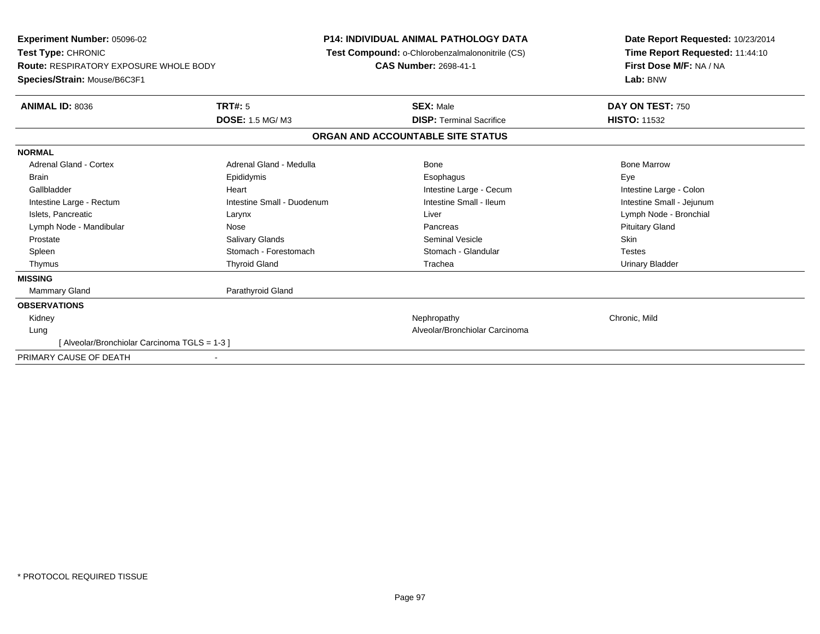|                            | CAS Number: 2698-41-1                                                             | Date Report Requested: 10/23/2014<br>Time Report Requested: 11:44:10<br>First Dose M/F: NA / NA<br>Lab: BNW                                 |
|----------------------------|-----------------------------------------------------------------------------------|---------------------------------------------------------------------------------------------------------------------------------------------|
|                            |                                                                                   |                                                                                                                                             |
|                            | <b>SEX: Male</b>                                                                  | DAY ON TEST: 750                                                                                                                            |
|                            | <b>DISP: Terminal Sacrifice</b>                                                   | <b>HISTO: 11532</b>                                                                                                                         |
|                            |                                                                                   |                                                                                                                                             |
|                            |                                                                                   |                                                                                                                                             |
| Adrenal Gland - Medulla    | Bone                                                                              | <b>Bone Marrow</b>                                                                                                                          |
| Epididymis                 | Esophagus                                                                         | Eye                                                                                                                                         |
| Heart                      | Intestine Large - Cecum                                                           | Intestine Large - Colon                                                                                                                     |
| Intestine Small - Duodenum | Intestine Small - Ileum                                                           | Intestine Small - Jejunum                                                                                                                   |
| Larynx                     | Liver                                                                             | Lymph Node - Bronchial                                                                                                                      |
| Nose                       | Pancreas                                                                          | <b>Pituitary Gland</b>                                                                                                                      |
| <b>Salivary Glands</b>     | <b>Seminal Vesicle</b>                                                            | Skin                                                                                                                                        |
| Stomach - Forestomach      | Stomach - Glandular                                                               | <b>Testes</b>                                                                                                                               |
| <b>Thyroid Gland</b>       | Trachea                                                                           | <b>Urinary Bladder</b>                                                                                                                      |
|                            |                                                                                   |                                                                                                                                             |
| Parathyroid Gland          |                                                                                   |                                                                                                                                             |
|                            |                                                                                   |                                                                                                                                             |
|                            | Nephropathy                                                                       | Chronic, Mild                                                                                                                               |
|                            | Alveolar/Bronchiolar Carcinoma                                                    |                                                                                                                                             |
|                            |                                                                                   |                                                                                                                                             |
|                            |                                                                                   |                                                                                                                                             |
|                            | TRT#: 5<br><b>DOSE: 1.5 MG/M3</b><br>[Alveolar/Bronchiolar Carcinoma TGLS = 1-3 ] | <b>P14: INDIVIDUAL ANIMAL PATHOLOGY DATA</b><br><b>Test Compound: o-Chlorobenzalmalononitrile (CS)</b><br>ORGAN AND ACCOUNTABLE SITE STATUS |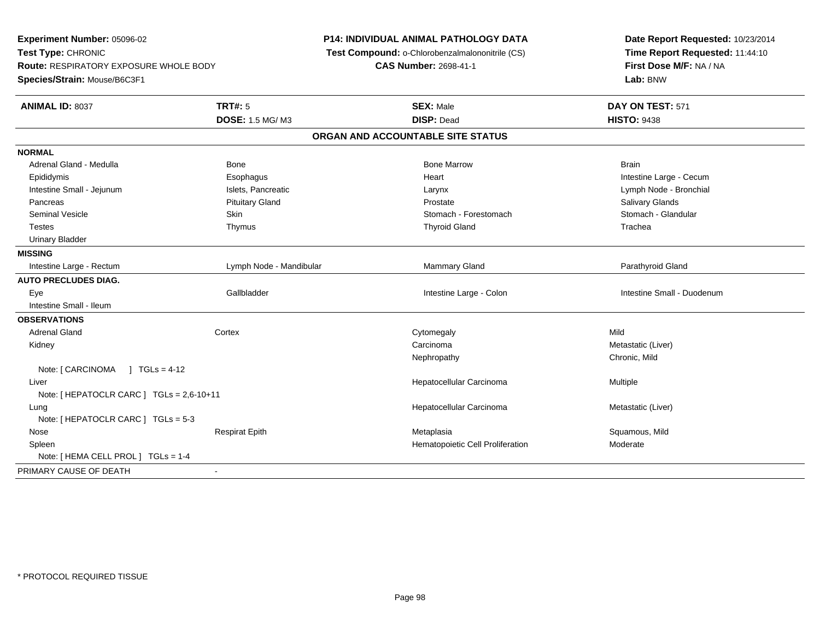**Experiment Number:** 05096-02**Test Type:** CHRONIC **Route:** RESPIRATORY EXPOSURE WHOLE BODY**Species/Strain:** Mouse/B6C3F1**P14: INDIVIDUAL ANIMAL PATHOLOGY DATA Test Compound:** o-Chlorobenzalmalononitrile (CS)**CAS Number:** 2698-41-1**Date Report Requested:** 10/23/2014**Time Report Requested:** 11:44:10**First Dose M/F:** NA / NA**Lab:** BNW**ANIMAL ID:** 8037**TRT#:** 5 **SEX:** Male **DAY ON TEST:** 571 **DOSE:** 1.5 MG/ M3 **DISP:** Dead **HISTO:** <sup>9438</sup> **ORGAN AND ACCOUNTABLE SITE STATUSNORMAL**Adrenal Gland - Medulla November 2012 Bone National Bone Marrow Bone Marrow Bone Marrow Brain Epididymis Esophagus Heart Intestine Large - CecumLymph Node - Bronchial Intestine Small - Jejunum **Islets, Pancreatic Larynx** Larynx Larynx Larynx Larynx Larynx Larynx Larynx Larynx Larynx Pancreas Pituitary Gland Prostate Salivary GlandsStomach - Glandular Seminal Vesicle Seminal Vesicle Skin Stomach - Forestomach - Stomach - Stomach - Forestomach - Stomach - Glandular Testes Thymus Thyroid Gland Trachea Urinary Bladder**MISSING**Intestine Large - Rectum Lymph Node - Mandibular **Manual Lymph Node - Manual Mammary Gland** Parathyroid Gland Parathyroid Gland **AUTO PRECLUDES DIAG.** Eye Gallbladder Intestine Large - Colon Intestine Small - Duodenum Intestine Small - Ileum**OBSERVATIONS** Adrenal Glandd the cortex contex contex and cytomegaly contex context of  $\mathsf{C}\mathsf{y}$  and  $\mathsf{C}\mathsf{y}$  and  $\mathsf{C}\mathsf{y}$  and  $\mathsf{C}\mathsf{y}$  and  $\mathsf{C}\mathsf{y}$  and  $\mathsf{C}\mathsf{y}$  and  $\mathsf{C}\mathsf{y}$  and  $\mathsf{C}\mathsf{y}$  and  $\mathsf{C}\mathsf{y}$  and Kidneyy contract to the contract of the contract of the contract of the contract of the contract of the contract of the contract of the contract of the contract of the contract of the contract of the contract of the contract of Carcinoma **Metastatic (Liver)** Metastatic (Liver) Nephropathy Chronic, MildNote: [ CARCINOMA ] TGLs = 4-12 Liver Hepatocellular Carcinoma Multiple Note: [ HEPATOCLR CARC ] TGLs = 2,6-10+11 Lungg and the state of the state of the state of the state of the Hepatocellular Carcinoma and the Metastatic (Liver) Note: [ HEPATOCLR CARC ] TGLs = 5-3 Nose Respirat Epith Metaplasia Squamous, Mild SpleenHematopoietic Cell Proliferation Moderate Note: [ HEMA CELL PROL ] TGLs = 1-4 PRIMARY CAUSE OF DEATH-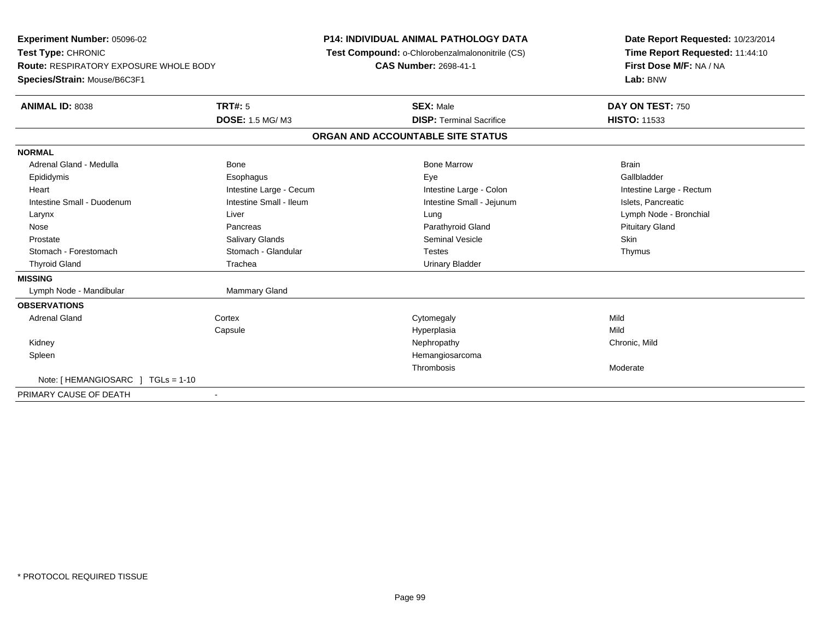**Experiment Number:** 05096-02**Test Type:** CHRONIC **Route:** RESPIRATORY EXPOSURE WHOLE BODY**Species/Strain:** Mouse/B6C3F1**P14: INDIVIDUAL ANIMAL PATHOLOGY DATA Test Compound:** o-Chlorobenzalmalononitrile (CS)**CAS Number:** 2698-41-1**Date Report Requested:** 10/23/2014**Time Report Requested:** 11:44:10**First Dose M/F:** NA / NA**Lab:** BNW**ANIMAL ID:** 8038**TRT#:** 5 **SEX:** Male **DAY ON TEST:** 750 **DOSE:** 1.5 MG/ M3**DISP:** Terminal Sacrifice **HISTO:** 11533 **ORGAN AND ACCOUNTABLE SITE STATUSNORMAL**Adrenal Gland - Medulla November 2012 Bone National Bone Marrow Bone Marrow Bone Marrow Brain Gallbladder Epididymis Esophagus Eye GallbladderHeart **Intestine Large - Cecum** Intestine Large - Cecum Intestine Large - Colon Intestine Large - Rectum Intestine Small - Duodenum **Intestine Small - Ileum** Intestine Small - Ileum Intestine Small - Jejunum Intestine Small - Jejunum Islets, Pancreatic Larynx Liver Lung Lymph Node - Bronchial Nose Pancreas Parathyroid Gland Pituitary Gland Prostate Salivary Glands Seminal Vesicle SkinThymus Stomach - Forestomach Stomach - Glandular Testes ThymusThyroid Gland **Trachea** Trachea **Trachea** Trachea Urinary Bladder **MISSING**Lymph Node - Mandibular Mammary Gland **OBSERVATIONS** Adrenal Glandd cortex Cortex Cortex Cytomegaly Cytomegaly **Capsule**  Hyperplasia Mild Kidneyy the controller that the controller the controller that the controller the controller that  $\mathsf{N}\mathsf{H}$   $\mathsf{N}\mathsf{H}$   $\mathsf{C}\mathsf{H}$   $\mathsf{R}\mathsf{H}$   $\mathsf{C}\mathsf{H}$   $\mathsf{R}\mathsf{H}$   $\mathsf{H}$   $\mathsf{H}$   $\mathsf{H}$   $\mathsf{H}$   $\mathsf{H}$  Spleen Hemangiosarcoma Thrombosis ModerateNote: [ HEMANGIOSARC ] TGLs = 1-10PRIMARY CAUSE OF DEATH-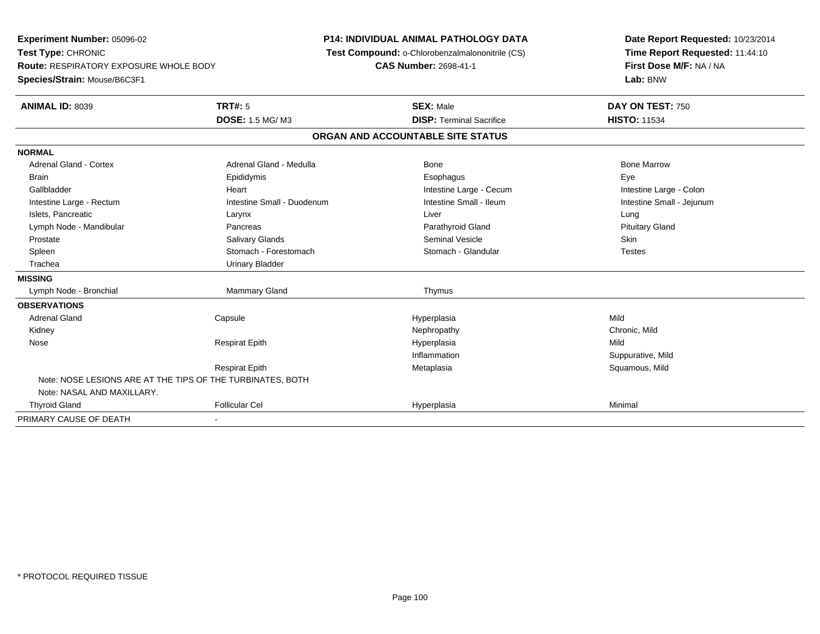**Experiment Number:** 05096-02**Test Type:** CHRONIC **Route:** RESPIRATORY EXPOSURE WHOLE BODY**Species/Strain:** Mouse/B6C3F1**P14: INDIVIDUAL ANIMAL PATHOLOGY DATA Test Compound:** o-Chlorobenzalmalononitrile (CS)**CAS Number:** 2698-41-1**Date Report Requested:** 10/23/2014**Time Report Requested:** 11:44:10**First Dose M/F:** NA / NA**Lab:** BNW**ANIMAL ID:** 8039 **TRT#:** <sup>5</sup> **SEX:** Male **DAY ON TEST:** <sup>750</sup> **DOSE:** 1.5 MG/ M3**DISP:** Terminal Sacrifice **HISTO:** 11534 **ORGAN AND ACCOUNTABLE SITE STATUSNORMALAdrenal Gland - Cortex** Adrenal Gland - Medulla **Adrenal Gland - Medulla** Bone Bone Bone Bone Bone Marrow Brain Exercicles and the Exercise Epididymis Communications of the Exercise Exercise Exercise Exercise Exe Intestine Large - Colon Gallbladder **Gallbladder Heart** Intestine Large - Cecum Intestine Large - Cecum Intestine Large - Cecum Intestine Small - Jejunum Intestine Large - Rectum **Intestine Small - Duodenum** Intestine Small - Ileum Intestine Small - Ileum Islets, Pancreatic Larynx Liver Lung**Pituitary Gland** Lymph Node - Mandibular **Pancreas** Pancreas **Pancreas** Parathyroid Gland Parathyroid Gland Prostate Salivary Glands Seminal Vesicle Skin**Testes** Spleen Stomach - Forestomach Stomach - Stomach Stomach Stomach Stomach Stomach Stomach Stomach Stomach Stomach Stomach Stomach Stomach Stomach Stomach Stomach Stomach Stomach Stomach Stomach Stomach Stomach Stomach Stomach Trachea Urinary Bladder**MISSING**Lymph Node - Bronchial Mammary Gland Thymus **OBSERVATIONS** Adrenal Gland Capsule Hyperplasia Mild Kidneyy the controller that the controller the controller that the controller the controller that  $\mathsf{N}\mathsf{H}$   $\mathsf{N}\mathsf{H}$   $\mathsf{C}\mathsf{H}$   $\mathsf{R}\mathsf{H}$   $\mathsf{C}\mathsf{H}$   $\mathsf{R}\mathsf{H}$   $\mathsf{H}$   $\mathsf{H}$   $\mathsf{H}$   $\mathsf{H}$   $\mathsf{H}$  Nose Respirat Epith Hyperplasia Mild InflammationSuppurative, Mild<br>Squamous, Mild Respirat Epith Metaplasia Squamous, Mild Note: NOSE LESIONS ARE AT THE TIPS OF THE TURBINATES, BOTHNote: NASAL AND MAXILLARY. Thyroid Gland Follicular Cel Hyperplasia Minimal PRIMARY CAUSE OF DEATH-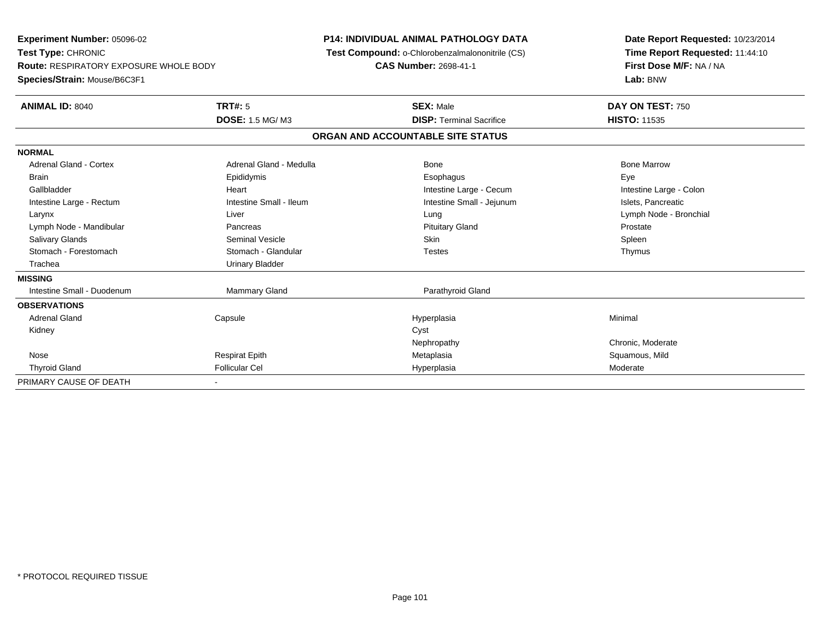**Experiment Number:** 05096-02**Test Type:** CHRONIC **Route:** RESPIRATORY EXPOSURE WHOLE BODY**Species/Strain:** Mouse/B6C3F1**P14: INDIVIDUAL ANIMAL PATHOLOGY DATA Test Compound:** o-Chlorobenzalmalononitrile (CS)**CAS Number:** 2698-41-1**Date Report Requested:** 10/23/2014**Time Report Requested:** 11:44:10**First Dose M/F:** NA / NA**Lab:** BNW**ANIMAL ID:** 8040**TRT#:** 5 **SEX:** Male **DAY ON TEST:** 750 **DOSE:** 1.5 MG/ M3**DISP:** Terminal Sacrifice **HISTO:** 11535 **ORGAN AND ACCOUNTABLE SITE STATUSNORMALAdrenal Gland - Cortex**  Adrenal Gland - Cortex Adrenal Gland - Medulla Bone Bone MarrowBrain Exercicles and the Exercise Epididymis Communications of the Exercise Exercise Exercise Exercise Exe Intestine Large - Colon Gallbladder **East Community Community** Heart Heart Intestine Large - Cecum Intestine Large - Cecum Intestine Large - Rectum **Intestine Intestine Small - Ileum** Intestine Small - Intestine Small - Jejunum Intestine Small - Jejunum Islets, Pancreatic Larynx Liver Lung Lymph Node - BronchialLymph Node - Mandibular **Pancreas** Pancreas **Prostate** Prostate Prostate Prostate Prostate Spleen Salivary Glands Seminal Vesicle Skin SpleenThymus Stomach - Forestomach **Stomach - Glandular** Testes Testes Testes Testes Testes The Testes The Testes The Testes The Testes The Testes The Testes The Testes Testes The Testes Testes Testes Testes Testes Testes Testes Testes Trachea **Urinary Bladder MISSING**Intestine Small - Duodenum Nammary Gland Mammary Gland Parathyroid Gland **OBSERVATIONS** Adrenal Gland Capsule Hyperplasia Minimal Kidneyy cystem in the control of the control of the control of the control of the control of the control of the control of the control of the control of the control of the control of the control of the control of the control of Nephropathy Chronic, Moderate Nose Respirat Epith Metaplasia Squamous, Mild Thyroid Glandd and the Follicular Cel the Cel Annual Hyperplasia Moderate Moderate Moderate Moderate Moderate Moderate Moderate Moderate  $\sim$  Moderate Moderate Moderate  $\sim$  Moderate  $\sim$  Moderate  $\sim$  Moderate  $\sim$  Moderate  $\sim$  Moder PRIMARY CAUSE OF DEATH-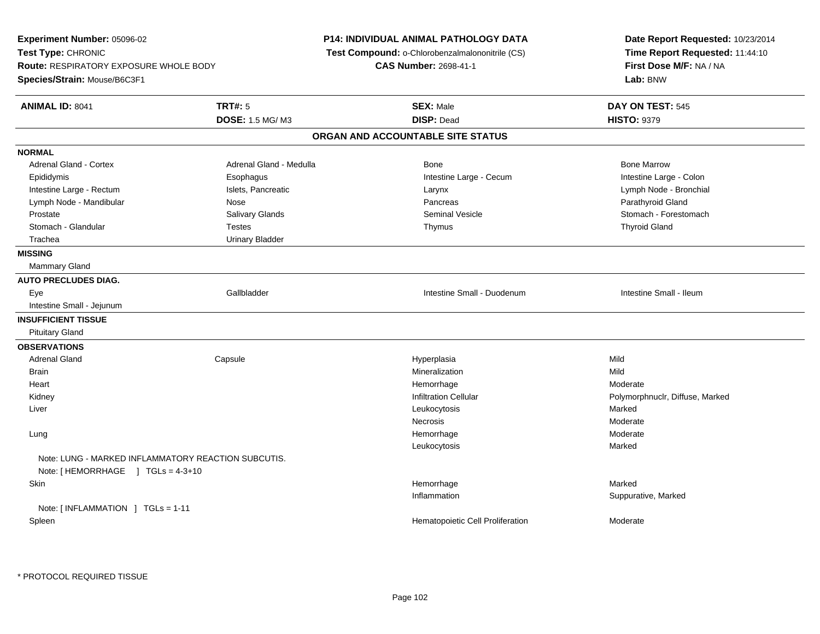**Experiment Number:** 05096-02**Test Type:** CHRONIC **Route:** RESPIRATORY EXPOSURE WHOLE BODY**Species/Strain:** Mouse/B6C3F1**P14: INDIVIDUAL ANIMAL PATHOLOGY DATA Test Compound:** o-Chlorobenzalmalononitrile (CS)**CAS Number:** 2698-41-1**Date Report Requested:** 10/23/2014**Time Report Requested:** 11:44:10**First Dose M/F:** NA / NA**Lab:** BNW**ANIMAL ID:** 8041**TRT#:** 5 **SEX:** Male **DAY ON TEST:** 545 **DOSE:** 1.5 MG/ M3 **DISP:** Dead **HISTO:** <sup>9379</sup> **ORGAN AND ACCOUNTABLE SITE STATUSNORMALAdrenal Gland - Cortex** Adrenal Gland - Medulla **Bone Adrenal Gland - Cortex Adrenal Gland - Cortex Adrenal Gland - Medulla** Bone Marrow Intestine Large - Colon Epididymis **Exophagus** Esophagus Intestine Large - Cecum Intestine Large - Cecum Lymph Node - Bronchial Intestine Large - Rectum **Islets, Pancreatic Communist According Communist Carynx** Larynx Lymph Node - Mandibular Nose Nose Nose Randibular Nose Pancreas Pancreas Parathyroid Gland Stomach - Forestomach Prostate Subsection Salivary Glands Subsection Seminal Vesicle Seminal Vesicle Stomach - Forestomach - Stomach Stomach - Glandular Testes Thymus Thyroid Gland Trachea Urinary Bladder**MISSING** Mammary Gland**AUTO PRECLUDES DIAG.** Eye Gallbladder Intestine Small - Duodenum Intestine Small - Ileum Intestine Small - Jejunum**INSUFFICIENT TISSUE** Pituitary Gland**OBSERVATIONS** Adrenal Gland Capsule Hyperplasia Mild **Brain** n and the control of the control of the control of the Mineralization and the control of the Mild of the Mild o Heartt de la communicación de la communicación de la communicación de la communicación de la communicación de la co Hemorrhage Moderate<br>
Infiltration Cellular Moderate Polymorpl KidneyPolymorphnuclr, Diffuse, Marked Liverr and the control of the control of the control of the control of the control of the control of the control of s Marked s Moderate NecrosisModerate Lungg and the state of the state of the state of the Moderate of the Moderate of the Moderate of the Moderate of the Moderate of the Moderate of the Moderate of the Moderate of the Moderate of the Moderate of the Moderate of t Leukocytosiss Marked Note: LUNG - MARKED INFLAMMATORY REACTION SUBCUTIS.Note: [HEMORRHAGE ] TGLs = 4-3+10 Skinn and the state of the state of the state of the state of the Marked Marked of the Marked State of the Marked State of the Marked State of the State of the Marked State of the State of the State of the State of the State o Inflammation Suppurative, Marked Note: [ INFLAMMATION ] TGLs = 1-11 SpleenHematopoietic Cell Proliferation Moderate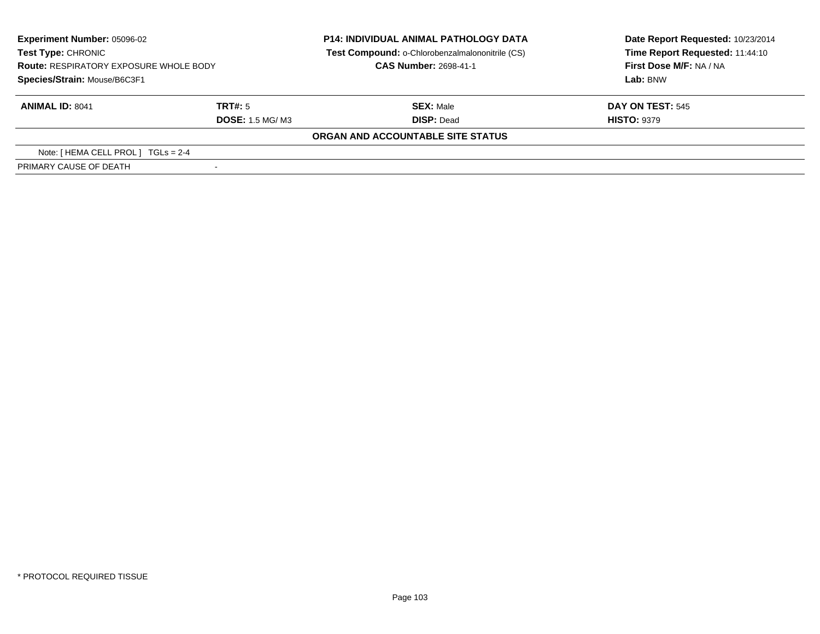| <b>Experiment Number: 05096-02</b>                                  |                        | <b>P14: INDIVIDUAL ANIMAL PATHOLOGY DATA</b>    | Date Report Requested: 10/23/2014 |
|---------------------------------------------------------------------|------------------------|-------------------------------------------------|-----------------------------------|
| Test Type: CHRONIC<br><b>Route: RESPIRATORY EXPOSURE WHOLE BODY</b> |                        | Test Compound: o-Chlorobenzalmalononitrile (CS) | Time Report Requested: 11:44:10   |
|                                                                     |                        | <b>CAS Number: 2698-41-1</b>                    | First Dose M/F: NA / NA           |
| Species/Strain: Mouse/B6C3F1                                        |                        |                                                 | Lab: BNW                          |
| <b>ANIMAL ID: 8041</b>                                              | TRT#: 5                | <b>SEX: Male</b>                                | <b>DAY ON TEST: 545</b>           |
|                                                                     | <b>DOSE: 1.5 MG/M3</b> | <b>DISP: Dead</b>                               | <b>HISTO: 9379</b>                |
|                                                                     |                        | ORGAN AND ACCOUNTABLE SITE STATUS               |                                   |
| Note: $[HEMA CELL PROL] TGLS = 2-4$                                 |                        |                                                 |                                   |
| PRIMARY CAUSE OF DEATH                                              |                        |                                                 |                                   |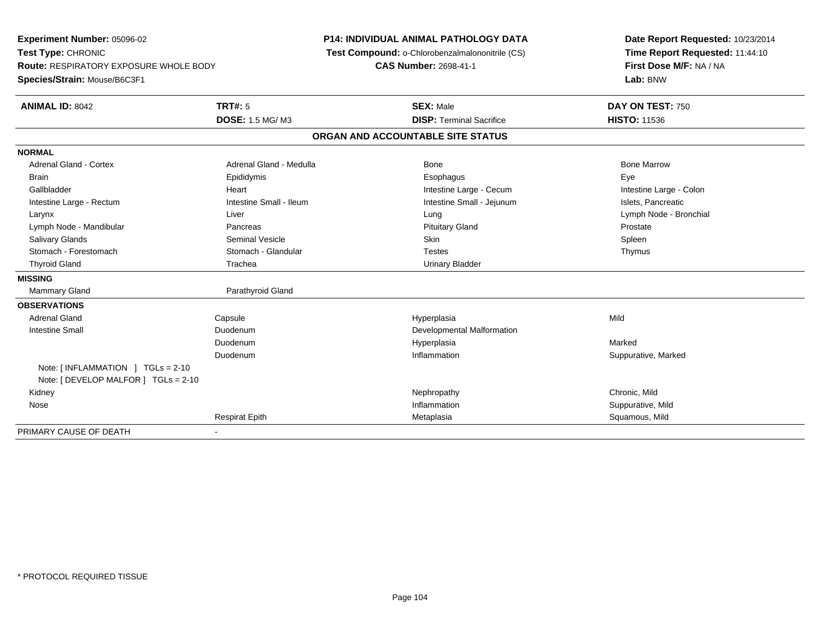**Experiment Number:** 05096-02**Test Type:** CHRONIC **Route:** RESPIRATORY EXPOSURE WHOLE BODY**Species/Strain:** Mouse/B6C3F1**P14: INDIVIDUAL ANIMAL PATHOLOGY DATA Test Compound:** o-Chlorobenzalmalononitrile (CS)**CAS Number:** 2698-41-1**Date Report Requested:** 10/23/2014**Time Report Requested:** 11:44:10**First Dose M/F:** NA / NA**Lab:** BNW**ANIMAL ID:** 8042 **TRT#:** <sup>5</sup> **SEX:** Male **DAY ON TEST:** <sup>750</sup> **DOSE:** 1.5 MG/ M3**DISP:** Terminal Sacrifice **HISTO:** 11536 **ORGAN AND ACCOUNTABLE SITE STATUSNORMALAdrenal Gland - Cortex** Adrenal Gland - Medulla **Adrenal Gland - Medulla** Bone Bone Bone Bone Bone Marrow Brain Exercicles and the Exercise Epididymis Communications of the Exercise Exercise Exercise Exercise Exe Intestine Large - Colon Gallbladder **East Community Community** Heart **Integrals** Intestine Large - Cecum Intestine Large - Cecum Intestine Large - Rectum **Intestine Intestine Small - Ileum** Intestine Small - Intestine Small - Jejunum Intestine Small - Jejunum Islets, Pancreatic Larynx Liver Lung Lymph Node - BronchialLymph Node - Mandibular **Pancreas** Pancreas **Prostate** Prostate Prostate Prostate Prostate Spleen Salivary Glands Seminal Vesicle Skin SpleenThymus Stomach - Forestomach **Stomach - Glandular** Stomach - Glandular Testes Testes Thyroid Gland Trachea Trachea Communication Christian Urinary Bladder **MISSING**Mammary Gland Parathyroid Gland **OBSERVATIONS** Adrenal Gland Capsule Hyperplasia Mild Intestine Small DuodenumDevelopmental Malformation<br>Hyperplasia Duodenum Hyperplasia Marked DuodenumInflammation **Suppurative, Marked** Note: [ INFLAMMATION ] TGLs = 2-10 Note: [ DEVELOP MALFOR ] TGLs = 2-10 Kidneyy the controller that the controller the controller that the controller the controller that  $\mathsf{N}\mathsf{H}$   $\mathsf{N}\mathsf{H}$   $\mathsf{C}\mathsf{H}$   $\mathsf{R}\mathsf{H}$   $\mathsf{C}\mathsf{H}$   $\mathsf{R}\mathsf{H}$   $\mathsf{H}$   $\mathsf{H}$   $\mathsf{H}$   $\mathsf{H}$   $\mathsf{H}$  Suppurative, Mild Nosee the suppurative, Mild and the support of the support of the support of the support of the support of the support of  $\mathbf S$ uppurative, Mild and the support of the support of the support of the support of the support of th Respirat Epithh and the matter of the Metaplasia Squamous, Mild and the Squamous, Mild and the Squamous, Mild and the Squamous, Mild and the Squamous, Mild and the Squamous, Mild and the Squamous, Mild and the Squamous, Mild and the Squ PRIMARY CAUSE OF DEATH-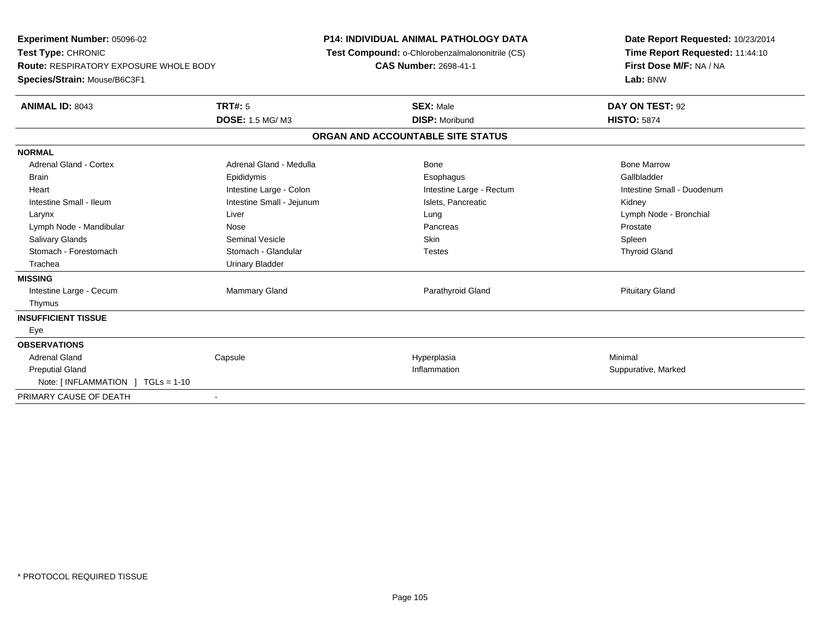**Experiment Number:** 05096-02**Test Type:** CHRONIC **Route:** RESPIRATORY EXPOSURE WHOLE BODY**Species/Strain:** Mouse/B6C3F1**P14: INDIVIDUAL ANIMAL PATHOLOGY DATA Test Compound:** o-Chlorobenzalmalononitrile (CS)**CAS Number:** 2698-41-1**Date Report Requested:** 10/23/2014**Time Report Requested:** 11:44:10**First Dose M/F:** NA / NA**Lab:** BNW**ANIMAL ID:** 8043**TRT#:** 5 **SEX:** Male **DAY ON TEST:** 92 **DOSE:** 1.5 MG/ M3 **DISP:** Moribund **HISTO:** <sup>5874</sup> **ORGAN AND ACCOUNTABLE SITE STATUSNORMALAdrenal Gland - Cortex** Adrenal Gland - Medulla **Adrenal Gland - Medulla** Bone Bone Bone Bone Bone Marrow Gallbladder Brain Epididymis Epididymis and the Brook of the Brook of the Brook of the Brook of the Gallbladder of the Gallbladder Heart **Intestine Large - Colon** Intestine Large - Colon Intestine Large - Rectum Intestine Small - Duodenum Intestine Small - Ileum **Intestine Small - Intestine Small - Jejunum** Intestine Small - Jejunum Islets, Pancreatic **Kidney**  Larynx Liver Lung Lymph Node - BronchialLymph Node - Mandibular **Nose** Prostate Nose Pancreas Pancreas Prostate Prostate Spleen Salivary Glands Seminal Vesicle Skin Spleen**Thyroid Gland** Stomach - Forestomach **Stomach - Glandular** Testes Testes Testes Testes Testes The Testes The Testes The Testes The Testes The Testes Testes Testes Testes Testes Testes Testes Testes Testes Testes Testes Testes Testes Test Trachea **Urinary Bladder MISSING**Intestine Large - Cecum Mammary Gland Parathyroid Gland Pituitary Gland Thymus**INSUFFICIENT TISSUE** Eye**OBSERVATIONS** Adrenal Gland Capsule Hyperplasia Minimal Preputial Glandd website the support of the set of the set of the set of the set of the set of the set of the set of the set of the set of the set of the set of the set of the set of the set of the set of the set of the set of the set of Note: [ INFLAMMATION ] TGLs = 1-10PRIMARY CAUSE OF DEATH-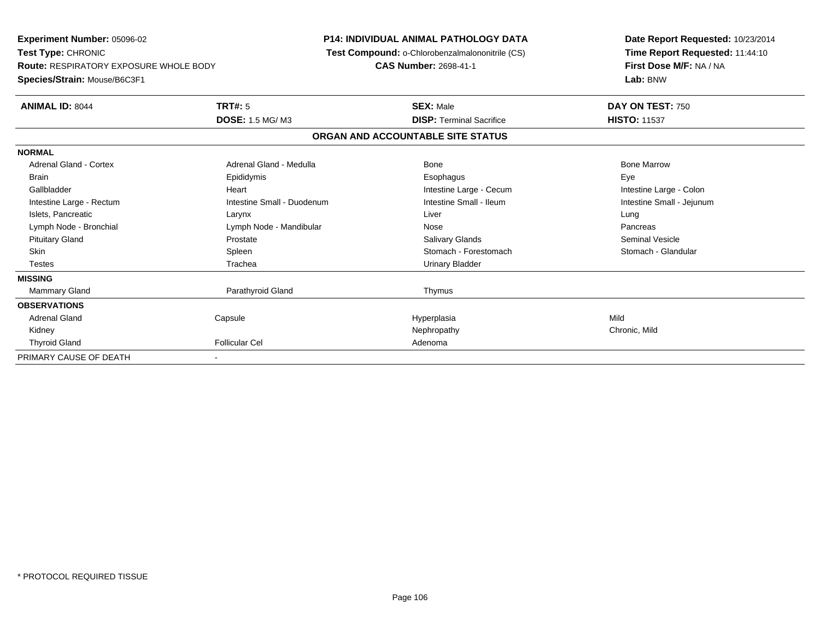**Experiment Number:** 05096-02**Test Type:** CHRONIC **Route:** RESPIRATORY EXPOSURE WHOLE BODY**Species/Strain:** Mouse/B6C3F1**P14: INDIVIDUAL ANIMAL PATHOLOGY DATA Test Compound:** o-Chlorobenzalmalononitrile (CS)**CAS Number:** 2698-41-1**Date Report Requested:** 10/23/2014**Time Report Requested:** 11:44:10**First Dose M/F:** NA / NA**Lab:** BNW**ANIMAL ID:** 8044 **TRT#:** <sup>5</sup> **SEX:** Male **DAY ON TEST:** <sup>750</sup> **DOSE:** 1.5 MG/ M3**DISP:** Terminal Sacrifice **HISTO:** 11537 **ORGAN AND ACCOUNTABLE SITE STATUSNORMALAdrenal Gland - Cortex**  Adrenal Gland - Cortex Adrenal Gland - Medulla Bone Bone MarrowBrain Exercicles and the Exercise Epididymis Communications of the Exercise Exercise Exercise Exercise Exe Intestine Large - Colon Gallbladder **Gallbladder Heart** Intestine Large - Cecum Intestine Large - Cecum Intestine Large - Cecum Intestine Small - Jejunum Intestine Large - Rectum **Intestine Small - Duodenum** Intestine Small - Ileum Intestine Small - Ileum Islets, Pancreatic Larynx Liver LungPancreas Lymph Node - Bronchial and Communication Communication Communication Communication Communication Communication **Seminal Vesicle**  Pituitary Gland Prostate Salivary Glands Seminal VesicleStomach - Glandular Skin Stomach - Forestomach Spleen Stomach - Forestomach - Stomach - Forestomach - Stomach - Forestomach - Glandular Testes Trachea Urinary Bladder**MISSING**Mammary Gland Parathyroid Gland Thymus **OBSERVATIONS** Adrenal Gland Capsule Hyperplasia Mild Kidneyy the controller that the controller the controller that the controller the controller that  $\mathsf{N}\mathsf{H}$   $\mathsf{N}\mathsf{H}$   $\mathsf{C}\mathsf{H}$   $\mathsf{R}\mathsf{H}$   $\mathsf{C}\mathsf{H}$   $\mathsf{R}\mathsf{H}$   $\mathsf{H}$   $\mathsf{H}$   $\mathsf{H}$   $\mathsf{H}$   $\mathsf{H}$  Thyroid Glandd **Example 2018** Follicular Cel **Adenoma** Adenoma and Adenoma and Adenoma and Adenoma and Adenoma and Adenoma and Adenoma and Adenoma and Adenoma and Adenoma and Adenoma and Adenoma and Adenoma and Adenoma and Adenoma and PRIMARY CAUSE OF DEATH-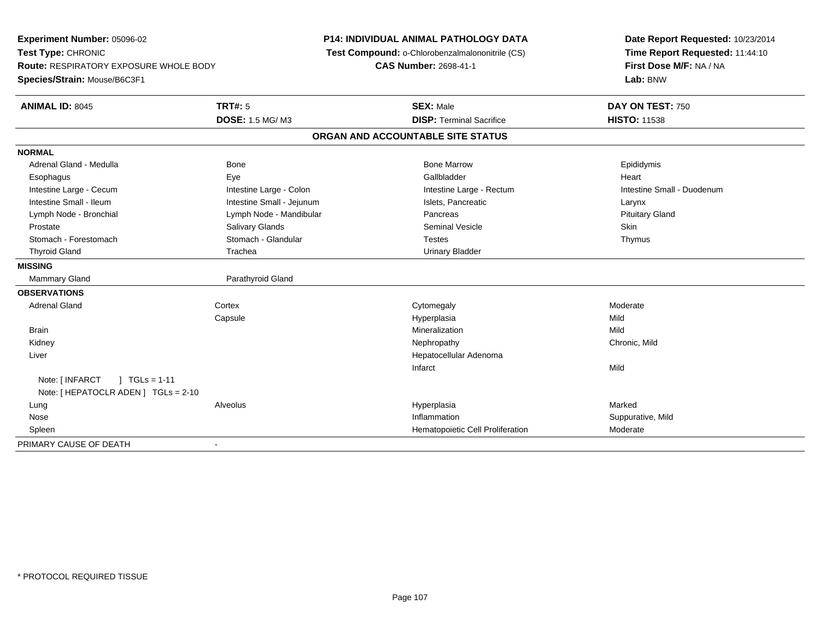**Experiment Number:** 05096-02**Test Type:** CHRONIC **Route:** RESPIRATORY EXPOSURE WHOLE BODY**Species/Strain:** Mouse/B6C3F1**P14: INDIVIDUAL ANIMAL PATHOLOGY DATA Test Compound:** o-Chlorobenzalmalononitrile (CS)**CAS Number:** 2698-41-1**Date Report Requested:** 10/23/2014**Time Report Requested:** 11:44:10**First Dose M/F:** NA / NA**Lab:** BNW**ANIMAL ID:** 8045 **TRT#:** <sup>5</sup> **SEX:** Male **DAY ON TEST:** <sup>750</sup> **DOSE:** 1.5 MG/ M3**DISP:** Terminal Sacrifice **HISTO:** 11538 **ORGAN AND ACCOUNTABLE SITE STATUSNORMAL**Adrenal Gland - Medulla Newsternal Bone Bone Bone Bone Marrow Bone Marrow Bone Marrow Bone Epididymis Esophagus Eye Gallbladder HeartIntestine Large - Cecum **Intestine Large - Colon** Intestine Large - Colon Intestine Large - Rectum Intestine Large - Rectum Intestine Small - Duodenum Intestine Small - Ileum Larynx Intestine Small - Jejunum Intestine Small - Jejunum Islets, Pancreatic Larynx **Pituitary Gland** Lymph Node - Bronchial Lymph Node - Mandibular Pancreas Pancreas Pancreas Pancreas Pancreas Pancreas Pancreas Prostate Salivary Glands Seminal Vesicle SkinThymus Stomach - Forestomach **Stomach - Glandular** Stomach - Glandular Testes Testes Thyroid Gland Trachea Urinary Bladder**MISSING**Mammary Gland Parathyroid Gland **OBSERVATIONS** Adrenal Glandd external cortex corresponding to the cytomegaly control control of the control of the control of the control of the control of the control of the control of the control of the control of the control of the control of the **Capsule**  Hyperplasia Mild Brainn and the control of the control of the control of the control of the control of the control of the control of the control of the control of the control of the control of the control of the control of the control of the co Kidneyy the controller that the controller the controller that the controller the controller that  $\mathsf{N}\mathsf{H}$   $\mathsf{N}\mathsf{H}$   $\mathsf{C}\mathsf{H}$   $\mathsf{R}\mathsf{H}$   $\mathsf{C}\mathsf{H}$   $\mathsf{R}\mathsf{H}$   $\mathsf{H}$   $\mathsf{H}$   $\mathsf{H}$   $\mathsf{H}$   $\mathsf{H}$  Liver Hepatocellular AdenomaInfarctt and the contract of the contract of the contract of the contract of the contract of the contract of the contract of the contract of the contract of the contract of the contract of the contract of the contract of the cont Note: [INFARCT ] TGLs = 1-11 Note: [ HEPATOCLR ADEN ] TGLs = 2-10 Lung Alveolus Hyperplasia Marked Nosee the suppurative, Mild and the support of the support of the support of the support of the support of the support of  $\mathbf S$ uppurative, Mild and the support of the support of the support of the support of the support of th SpleenHematopoietic Cell Proliferation Moderate PRIMARY CAUSE OF DEATH-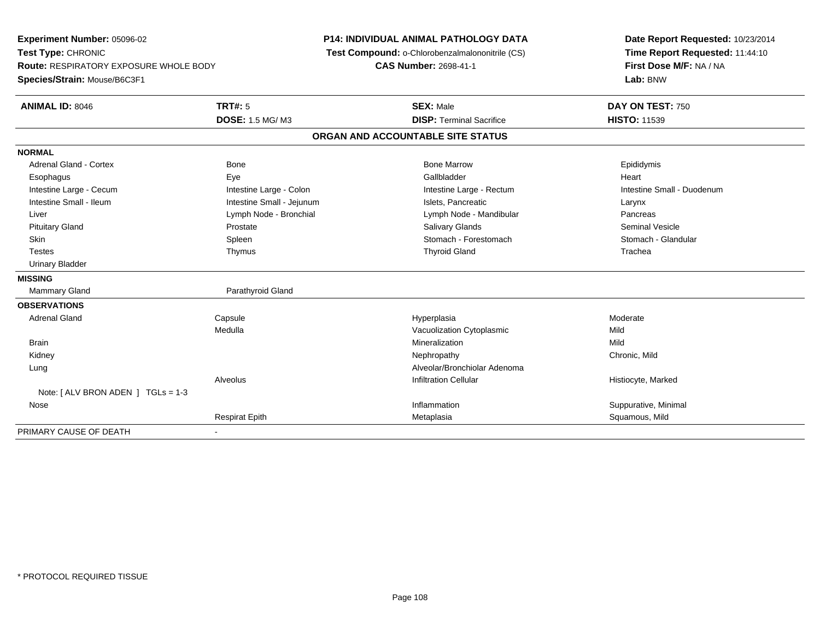**Experiment Number:** 05096-02**Test Type:** CHRONIC **Route:** RESPIRATORY EXPOSURE WHOLE BODY**Species/Strain:** Mouse/B6C3F1**P14: INDIVIDUAL ANIMAL PATHOLOGY DATA Test Compound:** o-Chlorobenzalmalononitrile (CS)**CAS Number:** 2698-41-1**Date Report Requested:** 10/23/2014**Time Report Requested:** 11:44:10**First Dose M/F:** NA / NA**Lab:** BNW**ANIMAL ID:** 8046**6 DAY ON TEST:** 750 **DOSE:** 1.5 MG/ M3**DISP:** Terminal Sacrifice **HISTO:** 11539 **ORGAN AND ACCOUNTABLE SITE STATUSNORMAL**Adrenal Gland - Cortex **Administrative Cortex** Bone Bone Marrow Bone Marrow Bone Marrow **Epididymis**  Esophagus Eye Gallbladder HeartIntestine Large - Cecum **Intestine Large - Colon** Intestine Large - Colon Intestine Large - Rectum Intestine Large - Rectum Intestine Small - Duodenum Intestine Small - Ileum Larynx Intestine Small - Jejunum Intestine Small - Jejunum Islets, Pancreatic Larynx Pancreas Liver Liver Lymph Node - Bronchial Lymph Note - Health Lymph Node - Mandibular Pancrease Lymph Node - Mandibular Seminal Vesicle Pituitary Gland Prostate Salivary Glands Seminal VesicleStomach - Glandular Skin Stomach - Forestomach Spleen Spleen Stomach - Forestomach - Stomach - Forestomach - Stomach - Glandular Stomach - Glandular Stomach - Glandular Stomach - Glandular Stomach - Stomach - Stomach - Stomach - Stomach - Sto Testes Thymus Thyroid Gland Trachea Urinary Bladder**MISSING**Mammary Gland Parathyroid Gland **OBSERVATIONS** Adrenal Gland Capsule Hyperplasia Moderate MedullaVacuolization Cytoplasmic<br>
Mineralization Mild<br>
Mild Brainn and the control of the control of the control of the control of the control of the control of the control of the control of the control of the control of the control of the control of the control of the control of the co Kidneyy the controller that the controller the controller that the controller the controller that  $\mathsf{N}\mathsf{H}$   $\mathsf{N}\mathsf{H}$   $\mathsf{C}\mathsf{H}$   $\mathsf{R}\mathsf{H}$   $\mathsf{C}\mathsf{H}$   $\mathsf{R}\mathsf{H}$   $\mathsf{H}$   $\mathsf{H}$   $\mathsf{H}$   $\mathsf{H}$   $\mathsf{H}$  LungAlveolar/Bronchiolar Adenoma<br>Infiltration Cellular AlveolusHistiocyte, Marked Note: [ ALV BRON ADEN ] TGLs = 1-3 Nosee the contract of the contract of the contract of the contract of the contract of the contract of the contract of the contract of the contract of the contract of the contract of the contract of the contract of the contract Respirat Epithh and the matter of the Metaplasia Squamous, Mild and the Squamous, Mild and the Squamous, Mild and the Squamous, Mild and the Squamous, Mild and the Squamous, Mild and the Squamous, Mild and the Squamous, Mild and the Squ PRIMARY CAUSE OF DEATH-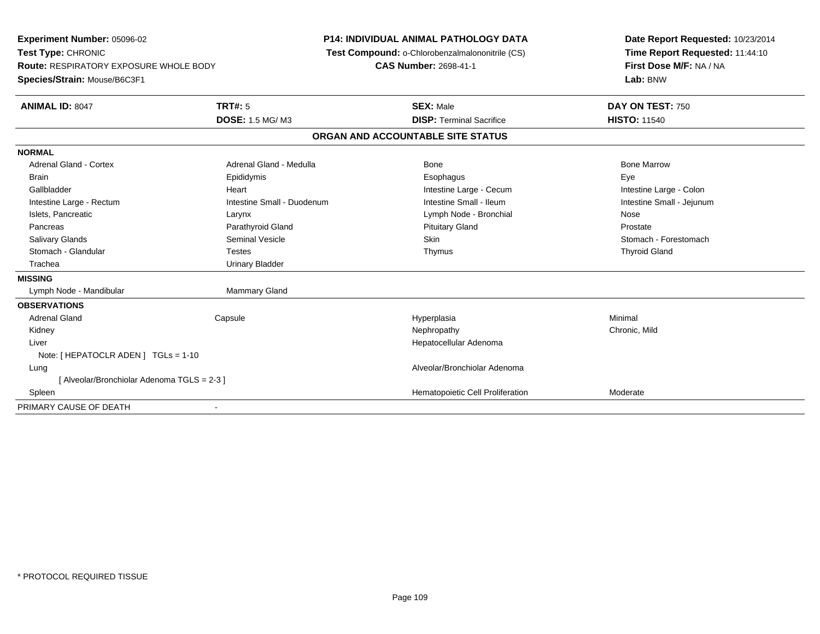**Experiment Number:** 05096-02**Test Type:** CHRONIC **Route:** RESPIRATORY EXPOSURE WHOLE BODY**Species/Strain:** Mouse/B6C3F1**P14: INDIVIDUAL ANIMAL PATHOLOGY DATA Test Compound:** o-Chlorobenzalmalononitrile (CS)**CAS Number:** 2698-41-1**Date Report Requested:** 10/23/2014**Time Report Requested:** 11:44:10**First Dose M/F:** NA / NA**Lab:** BNW**ANIMAL ID:** 8047**TRT#:** 5 **SEX:** Male **DAY ON TEST:** 750 **DOSE:** 1.5 MG/ M3**DISP:** Terminal Sacrifice **HISTO:** 11540 **ORGAN AND ACCOUNTABLE SITE STATUSNORMALAdrenal Gland - Cortex**  Adrenal Gland - Cortex Adrenal Gland - Medulla Bone Bone MarrowBrain Exercicles and the Exercise Epididymis Communications of the Exercise Exercise Exercise Exercise Exe Intestine Large - Colon Gallbladder **Gallbladder Heart** Intestine Large - Cecum Intestine Large - Cecum Intestine Large - Cecum Intestine Small - Jejunum Intestine Large - Rectum **Intestine Small - Duodenum** Intestine Small - Ileum Intestine Small - Ileum Islets, Pancreatic Larynx Lymph Node - Bronchial NoseProstate Pancreas **Parathyroid Gland Prostate Parathyroid Gland** Prostate Prostate Prostate Prostate Stomach - Forestomach Salivary Glands Summath Seminal Vesicle Seminal Vesicle Skin Skin Stomach - Forestomach - Stomach - Forestomach - Stomach - Stomach - Stomach - Stomach - Stomach - Stomach - Stomach - Stomach - Stomach - Stomach - Stomach Stomach - Glandular Testes Thymus Thyroid Gland Trachea Urinary Bladder**MISSING**Lymph Node - Mandibular Mammary Gland **OBSERVATIONS** Adrenal Gland Capsule Hyperplasia Minimal Kidneyy the controller that the controller the controller that the controller the controller that  $\mathsf{N}\mathsf{H}$   $\mathsf{N}\mathsf{H}$   $\mathsf{C}\mathsf{H}$   $\mathsf{R}\mathsf{H}$   $\mathsf{C}\mathsf{H}$   $\mathsf{R}\mathsf{H}$   $\mathsf{H}$   $\mathsf{H}$   $\mathsf{H}$   $\mathsf{H}$   $\mathsf{H}$  Liver Hepatocellular AdenomaNote: [ HEPATOCLR ADEN ] TGLs = 1-10 Lung Alveolar/Bronchiolar Adenoma [ Alveolar/Bronchiolar Adenoma TGLS = 2-3 ] SpleenHematopoietic Cell Proliferation Moderate PRIMARY CAUSE OF DEATH-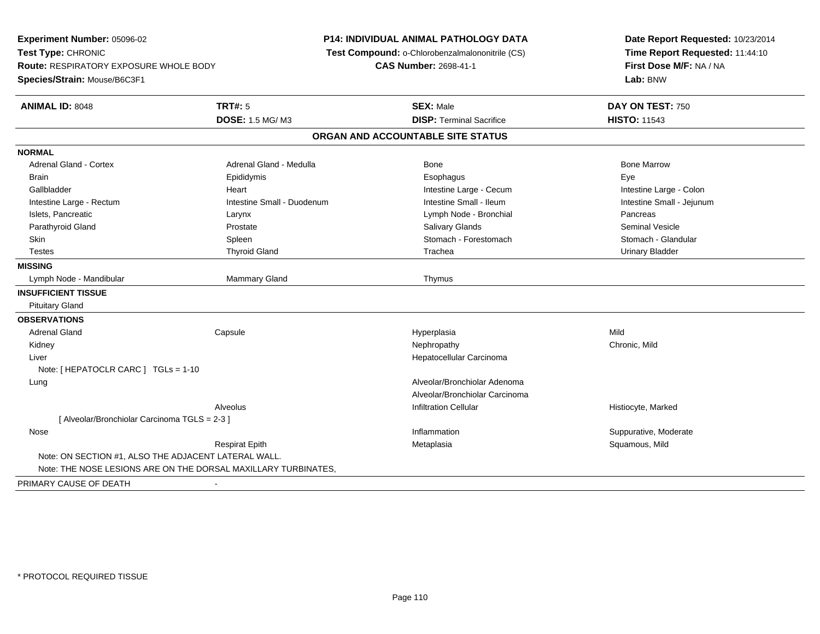**Experiment Number:** 05096-02**Test Type:** CHRONIC **Route:** RESPIRATORY EXPOSURE WHOLE BODY**Species/Strain:** Mouse/B6C3F1**P14: INDIVIDUAL ANIMAL PATHOLOGY DATA Test Compound:** o-Chlorobenzalmalononitrile (CS)**CAS Number:** 2698-41-1**Date Report Requested:** 10/23/2014**Time Report Requested:** 11:44:10**First Dose M/F:** NA / NA**Lab:** BNW**ANIMAL ID:** 8048**TRT#:** 5 **SEX:** Male **DAY ON TEST:** 750 **DOSE:** 1.5 MG/ M3**DISP:** Terminal Sacrifice **HISTO:** 11543 **ORGAN AND ACCOUNTABLE SITE STATUSNORMALAdrenal Gland - Cortex** Adrenal Gland - Medulla **Bone Adrenal Gland - Cortex Adrenal Gland - Cortex Adrenal Gland - Medulla** Bone Marrow Brain Exercicles and the Exercise Epididymis Communications of the Exercise Exercise Exercise Exercise Exe Intestine Large - Colon Gallbladder **Gallbladder Heart** Intestine Large - Cecum Intestine Large - Cecum Intestine Large - Cecum Intestine Small - Jejunum Intestine Large - Rectum **Intestine Small - Duodenum** Intestine Small - Ileum Intestine Small - Ileum Islets, Pancreatic Larynx Lymph Node - Bronchial PancreasSeminal Vesicle Parathyroid Gland Prostate Prostate Prostate Salivary Glands Salivary Glands Seminal Vesicle Stomach - Glandular Skin Stomach - Forestomach - Spleen Stomach - Stomach - Forestomach - Stomach - Forestomach - Stomach - Glandular Testes Thyroid Gland Trachea Urinary Bladder**MISSING** Lymph Node - Mandibular Mammary Gland Thymus**INSUFFICIENT TISSUE** Pituitary Gland**OBSERVATIONS** Adrenal Gland Capsule Hyperplasia Mild Kidneyy the controller that the controller temperature  $\mathsf{N}$  experimentally chronic, Mild  $\mathsf{N}$  experimentally  $\mathsf{N}$  experimentally  $\mathsf{N}$  experimentally  $\mathsf{N}$  experimentally  $\mathsf{N}$  experimentally  $\mathsf{N}$  . The Liver Hepatocellular CarcinomaNote: [ HEPATOCLR CARC ] TGLs = 1-10 Lung Alveolar/Bronchiolar Adenoma Alveolar/Bronchiolar CarcinomaAlveolusInfiltration Cellular **Histiocyte**, Marked [ Alveolar/Bronchiolar Carcinoma TGLS = 2-3 ] Nosee inflammation inflammation in the support of the Suppurative, Moderate entry the Suppurative, Moderate entry  $\sim$  Suppurative, Moderate entry  $\sim$  Suppurative, Moderate entry  $\sim$  Suppurative, Moderate entry  $\sim$  Suppurat Respirat EpithMetaplasia **Squamous, Mild** Note: ON SECTION #1, ALSO THE ADJACENT LATERAL WALL.Note: THE NOSE LESIONS ARE ON THE DORSAL MAXILLARY TURBINATES,PRIMARY CAUSE OF DEATH-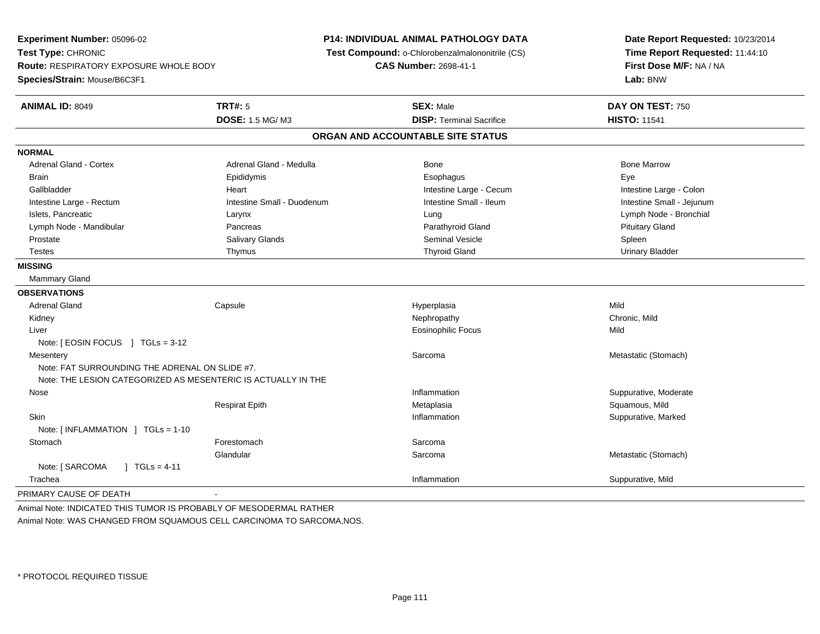**Experiment Number:** 05096-02**Test Type:** CHRONIC **Route:** RESPIRATORY EXPOSURE WHOLE BODY**Species/Strain:** Mouse/B6C3F1**P14: INDIVIDUAL ANIMAL PATHOLOGY DATA Test Compound:** o-Chlorobenzalmalononitrile (CS)**CAS Number:** 2698-41-1**Date Report Requested:** 10/23/2014**Time Report Requested:** 11:44:10**First Dose M/F:** NA / NA**Lab:** BNW**ANIMAL ID:** 8049 **TRT#:** <sup>5</sup> **SEX:** Male **DAY ON TEST:** <sup>750</sup> **DOSE:** 1.5 MG/ M3**DISP:** Terminal Sacrifice **HISTO:** 11541 **ORGAN AND ACCOUNTABLE SITE STATUSNORMALAdrenal Gland - Cortex** Adrenal Gland - Medulla **Bone Adrenal Gland - Cortex Adrenal Gland - Cortex Adrenal Gland - Medulla** Bone Marrow Brain Exercicles and the Exercise Epididymis Communications of the Exercise Exercise Exercise Exercise Exe Gallbladder **Eart** Heart Heart Heart Intestine Large - Cecum **Intestine Large - Cecum** Intestine Large - Colon Intestine Small - Jejunum Intestine Large - Rectum **Intestine Small - Duodenum** Intestine Small - Ileum Intestine Small - Ileum Islets, Pancreatic Larynx Lung Lymph Node - Bronchial Lymph Node - Mandibular Pancreas Parathyroid Gland Pituitary Gland Prostate Salivary Glands Seminal Vesicle Spleen**Urinary Bladder** Testes Thymus Thyroid Gland Urinary Bladder **MISSING** Mammary Gland**OBSERVATIONS** Adrenal Gland Capsule Hyperplasia Mild Kidneyy the controller that the controller the controller that the controller the controller that  $\mathsf{N}\mathsf{H}$   $\mathsf{N}\mathsf{H}$   $\mathsf{C}\mathsf{H}$   $\mathsf{R}\mathsf{H}$   $\mathsf{C}\mathsf{H}$   $\mathsf{R}\mathsf{H}$   $\mathsf{H}$   $\mathsf{H}$   $\mathsf{H}$   $\mathsf{H}$   $\mathsf{H}$  Liver Eosinophilic Focuss Mild Note: [ EOSIN FOCUS ] TGLs = 3-12**Mesentery** y the control of the control of the control of the control of the control of the control of the control of the control of the control of the control of the control of the control of the control of the control of the contro Sarcoma Metastatic (Stomach) Note: FAT SURROUNDING THE ADRENAL ON SLIDE #7.Note: THE LESION CATEGORIZED AS MESENTERIC IS ACTUALLY IN THE Nosee the contractive of the contraction of the contraction of the contraction of the contraction of the contraction of  $\mathbf S$ uppurative, Moderate Respirat Epithh is a community of the Metaplasia service of the Squamous, Mild and Squamous, Mild and Squamous, Mild and Squamous, Mild and Squamous, Mild and Squamous, Mild and Squamous, Mild and Squamous, Mild and Squamous, Mild and S Skinn and the suppurative, Marked Suppurative, Marked Suppurative, Marked Suppurative, Marked Suppurative, Marked Suppurative, Marked Suppurative, Marked Suppurative, Marked Suppurative, Marked Suppurative, Marked Suppurative, Note: [ INFLAMMATION ] TGLs = 1-10**Stomach** h chomach ann an t-Index ann an Sarcomach ann an Sarcomach ann an Sarcomach ann an Sarcomach ann an Sarcomach an Sarcomach an Sarcomach an Sarcomach an Sarcomach an Sarcomach an Sarcomach an Sarcomach an Sarcomach an Sarco Glandularr **Sarcoma** Sarcoma **Metastatic (Stomach)** Metastatic (Stomach) Note: [ SARCOMA ] TGLs = 4-11 Tracheaa inflammation in the suppurative, Mild and Suppurative, Mild and Suppurative, Mild and Suppurative, Mild and Suppurative, Mild and Suppurative, Mild and Suppurative, Mild and Suppurative, Mild and Suppurative, Mild and Su PRIMARY CAUSE OF DEATH-

Animal Note: INDICATED THIS TUMOR IS PROBABLY OF MESODERMAL RATHERAnimal Note: WAS CHANGED FROM SQUAMOUS CELL CARCINOMA TO SARCOMA,NOS.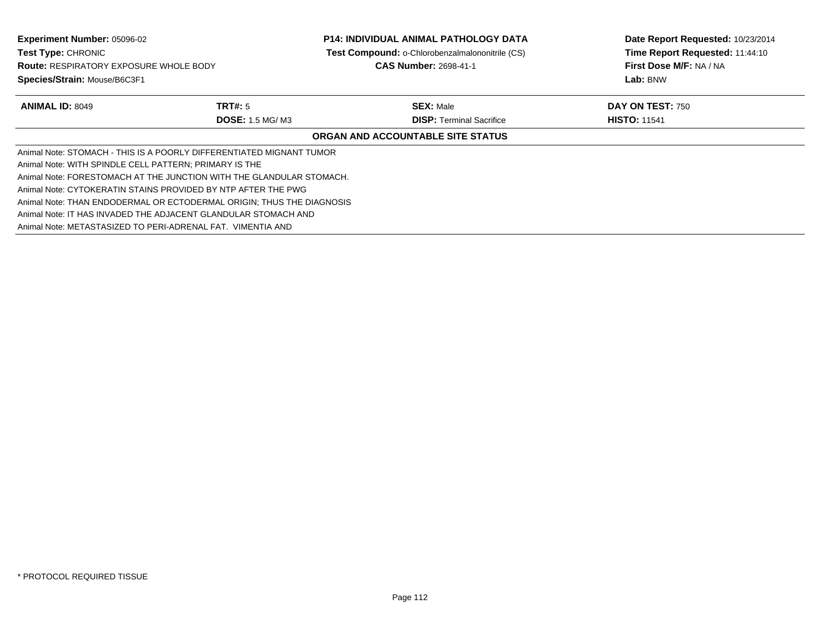**Experiment Number:** 05096-02**Test Type:** CHRONIC **Route:** RESPIRATORY EXPOSURE WHOLE BODY**Species/Strain:** Mouse/B6C3F1**P14: INDIVIDUAL ANIMAL PATHOLOGY DATA Test Compound:** o-Chlorobenzalmalononitrile (CS)**CAS Number:** 2698-41-1**Date Report Requested:** 10/23/2014**Time Report Requested:** 11:44:10**First Dose M/F:** NA / NA**Lab:** BNW**ANIMAL ID:** 8049 **TRT#:** <sup>5</sup> **SEX:** Male **DAY ON TEST:** <sup>750</sup> **DOSE:** 1.5 MG/ M3**DISP:** Terminal Sacrifice **HISTO:** 11541 **ORGAN AND ACCOUNTABLE SITE STATUS**Animal Note: STOMACH - THIS IS A POORLY DIFFERENTIATED MIGNANT TUMORAnimal Note: WITH SPINDLE CELL PATTERN; PRIMARY IS THE Animal Note: FORESTOMACH AT THE JUNCTION WITH THE GLANDULAR STOMACH.Animal Note: CYTOKERATIN STAINS PROVIDED BY NTP AFTER THE PWG Animal Note: THAN ENDODERMAL OR ECTODERMAL ORIGIN; THUS THE DIAGNOSISAnimal Note: IT HAS INVADED THE ADJACENT GLANDULAR STOMACH ANDAnimal Note: METASTASIZED TO PERI-ADRENAL FAT. VIMENTIA AND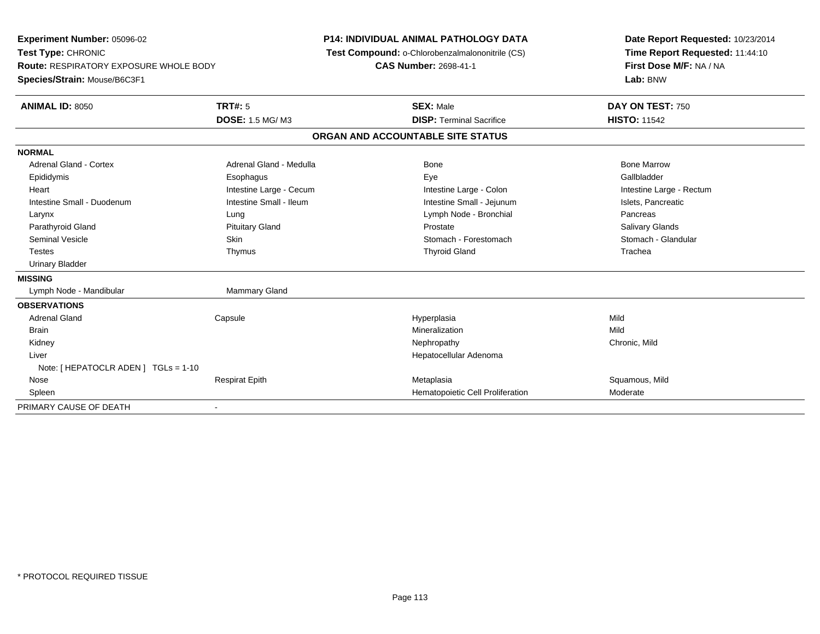| Experiment Number: 05096-02                   |                         | <b>P14: INDIVIDUAL ANIMAL PATHOLOGY DATA</b>    | Date Report Requested: 10/23/2014 |
|-----------------------------------------------|-------------------------|-------------------------------------------------|-----------------------------------|
| Test Type: CHRONIC                            |                         | Test Compound: o-Chlorobenzalmalononitrile (CS) | Time Report Requested: 11:44:10   |
| <b>Route: RESPIRATORY EXPOSURE WHOLE BODY</b> |                         | <b>CAS Number: 2698-41-1</b>                    | First Dose M/F: NA / NA           |
| Species/Strain: Mouse/B6C3F1                  |                         |                                                 | Lab: BNW                          |
| <b>ANIMAL ID: 8050</b>                        | <b>TRT#: 5</b>          | <b>SEX: Male</b>                                | DAY ON TEST: 750                  |
|                                               | <b>DOSE: 1.5 MG/M3</b>  | <b>DISP: Terminal Sacrifice</b>                 | <b>HISTO: 11542</b>               |
|                                               |                         | ORGAN AND ACCOUNTABLE SITE STATUS               |                                   |
| <b>NORMAL</b>                                 |                         |                                                 |                                   |
| <b>Adrenal Gland - Cortex</b>                 | Adrenal Gland - Medulla | Bone                                            | <b>Bone Marrow</b>                |
| Epididymis                                    | Esophagus               | Eye                                             | Gallbladder                       |
| Heart                                         | Intestine Large - Cecum | Intestine Large - Colon                         | Intestine Large - Rectum          |
| Intestine Small - Duodenum                    | Intestine Small - Ileum | Intestine Small - Jejunum                       | Islets, Pancreatic                |
| Larynx                                        | Lung                    | Lymph Node - Bronchial                          | Pancreas                          |
| Parathyroid Gland                             | <b>Pituitary Gland</b>  | Prostate                                        | Salivary Glands                   |
| Seminal Vesicle                               | Skin                    | Stomach - Forestomach                           | Stomach - Glandular               |
| <b>Testes</b>                                 | Thymus                  | <b>Thyroid Gland</b>                            | Trachea                           |
| <b>Urinary Bladder</b>                        |                         |                                                 |                                   |
| <b>MISSING</b>                                |                         |                                                 |                                   |
| Lymph Node - Mandibular                       | <b>Mammary Gland</b>    |                                                 |                                   |
| <b>OBSERVATIONS</b>                           |                         |                                                 |                                   |
| <b>Adrenal Gland</b>                          | Capsule                 | Hyperplasia                                     | Mild                              |
| <b>Brain</b>                                  |                         | Mineralization                                  | Mild                              |
| Kidney                                        |                         | Nephropathy                                     | Chronic, Mild                     |
| Liver                                         |                         | Hepatocellular Adenoma                          |                                   |
| Note: [ HEPATOCLR ADEN ] TGLs = 1-10          |                         |                                                 |                                   |
| Nose                                          | <b>Respirat Epith</b>   | Metaplasia                                      | Squamous, Mild                    |
| Spleen                                        |                         | Hematopoietic Cell Proliferation                | Moderate                          |
| PRIMARY CAUSE OF DEATH                        |                         |                                                 |                                   |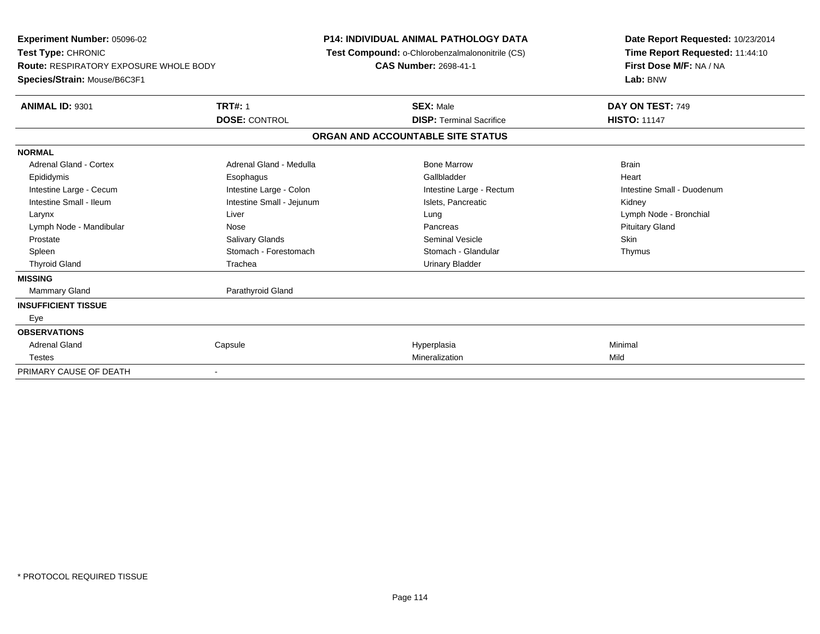| Experiment Number: 05096-02<br>Test Type: CHRONIC<br><b>Route: RESPIRATORY EXPOSURE WHOLE BODY</b> |                           | <b>P14: INDIVIDUAL ANIMAL PATHOLOGY DATA</b><br>Test Compound: o-Chlorobenzalmalononitrile (CS)<br><b>CAS Number: 2698-41-1</b> |                                   | Date Report Requested: 10/23/2014<br>Time Report Requested: 11:44:10<br>First Dose M/F: NA / NA |  |
|----------------------------------------------------------------------------------------------------|---------------------------|---------------------------------------------------------------------------------------------------------------------------------|-----------------------------------|-------------------------------------------------------------------------------------------------|--|
| Species/Strain: Mouse/B6C3F1                                                                       |                           |                                                                                                                                 |                                   | Lab: BNW                                                                                        |  |
| <b>ANIMAL ID: 9301</b>                                                                             | <b>TRT#: 1</b>            |                                                                                                                                 | <b>SEX: Male</b>                  | DAY ON TEST: 749                                                                                |  |
|                                                                                                    | <b>DOSE: CONTROL</b>      |                                                                                                                                 | <b>DISP: Terminal Sacrifice</b>   | <b>HISTO: 11147</b>                                                                             |  |
|                                                                                                    |                           |                                                                                                                                 | ORGAN AND ACCOUNTABLE SITE STATUS |                                                                                                 |  |
| <b>NORMAL</b>                                                                                      |                           |                                                                                                                                 |                                   |                                                                                                 |  |
| <b>Adrenal Gland - Cortex</b>                                                                      | Adrenal Gland - Medulla   |                                                                                                                                 | <b>Bone Marrow</b>                | <b>Brain</b>                                                                                    |  |
| Epididymis                                                                                         | Esophagus                 |                                                                                                                                 | Gallbladder                       | Heart                                                                                           |  |
| Intestine Large - Cecum                                                                            | Intestine Large - Colon   |                                                                                                                                 | Intestine Large - Rectum          | Intestine Small - Duodenum                                                                      |  |
| Intestine Small - Ileum                                                                            | Intestine Small - Jejunum |                                                                                                                                 | Islets, Pancreatic                | Kidney                                                                                          |  |
| Larynx                                                                                             | Liver                     |                                                                                                                                 | Lung                              | Lymph Node - Bronchial                                                                          |  |
| Lymph Node - Mandibular                                                                            | Nose                      |                                                                                                                                 | Pancreas                          | <b>Pituitary Gland</b>                                                                          |  |
| Prostate                                                                                           | Salivary Glands           |                                                                                                                                 | <b>Seminal Vesicle</b>            | Skin                                                                                            |  |
| Spleen                                                                                             | Stomach - Forestomach     |                                                                                                                                 | Stomach - Glandular               | Thymus                                                                                          |  |
| <b>Thyroid Gland</b>                                                                               | Trachea                   |                                                                                                                                 | <b>Urinary Bladder</b>            |                                                                                                 |  |
| <b>MISSING</b>                                                                                     |                           |                                                                                                                                 |                                   |                                                                                                 |  |
| <b>Mammary Gland</b>                                                                               | Parathyroid Gland         |                                                                                                                                 |                                   |                                                                                                 |  |
| <b>INSUFFICIENT TISSUE</b>                                                                         |                           |                                                                                                                                 |                                   |                                                                                                 |  |
| Eye                                                                                                |                           |                                                                                                                                 |                                   |                                                                                                 |  |
| <b>OBSERVATIONS</b>                                                                                |                           |                                                                                                                                 |                                   |                                                                                                 |  |
| Adrenal Gland                                                                                      | Capsule                   |                                                                                                                                 | Hyperplasia                       | Minimal                                                                                         |  |
| <b>Testes</b>                                                                                      |                           |                                                                                                                                 | Mineralization                    | Mild                                                                                            |  |
| PRIMARY CAUSE OF DEATH                                                                             |                           |                                                                                                                                 |                                   |                                                                                                 |  |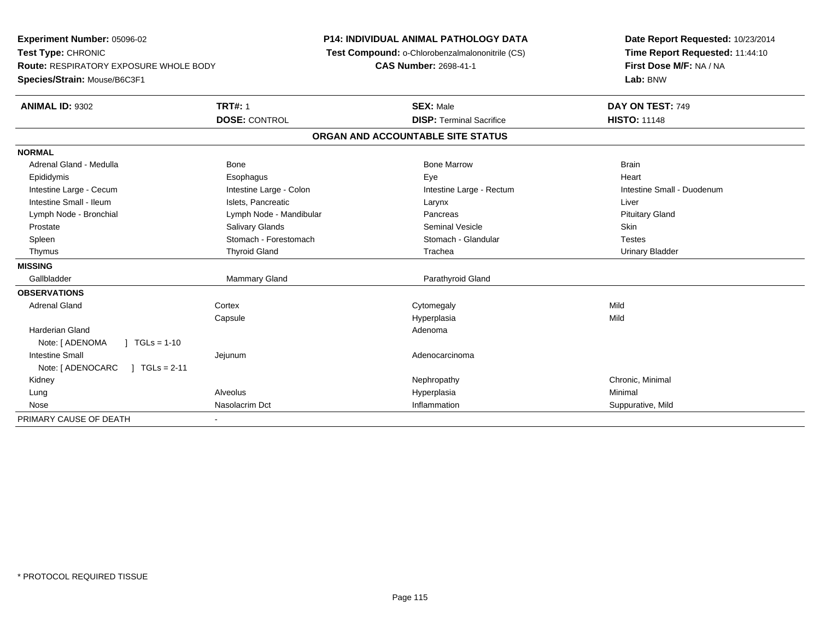**Experiment Number:** 05096-02**Test Type:** CHRONIC **Route:** RESPIRATORY EXPOSURE WHOLE BODY**Species/Strain:** Mouse/B6C3F1**P14: INDIVIDUAL ANIMAL PATHOLOGY DATA Test Compound:** o-Chlorobenzalmalononitrile (CS)**CAS Number:** 2698-41-1**Date Report Requested:** 10/23/2014**Time Report Requested:** 11:44:10**First Dose M/F:** NA / NA**Lab:** BNW**ANIMAL ID:** 9302**TRT#:** 1 **SEX:** Male **DAY ON TEST:** 749 **DOSE:** CONTROL**DISP:** Terminal Sacrifice **HISTO:** 11148 **ORGAN AND ACCOUNTABLE SITE STATUSNORMAL**Adrenal Gland - Medulla Bone Bone Bone Marrow Bone Marrow Brain Brain Brain Brain Heart Epididymis Esophagus Eye HeartIntestine Large - Cecum **Intestine Large - Colon** Intestine Large - Colon Intestine Large - Rectum Intestine Large - Rectum Intestine Small - Duodenum Intestine Small - Ileum Liver Larynx Liver Larynx Liver Larynx Liver Larynx Liver Larynx Liver Lymph Node - Bronchial **Lymph Node - Mandibular** Pancreas Pancreas Pancreas Pituitary Gland Prostate Salivary Glands Seminal Vesicle Skin**Testes** Spleen Stomach - Stomach - Forestomach - Stomach - Stomach - Glandular Testes in the Stomach - Glandular **Urinary Bladder**  Thymus Thyroid Gland Trachea Urinary Bladder**MISSING**Gallbladder Mammary Gland **Parathyroid Gland OBSERVATIONS** Adrenal Glandd cortex Cortex Cortex Cytomegaly Cytomegaly **Capsule**  Hyperplasia Mild Harderian Glandd and a state of the control of the control of the control of the control of the control of the control of the control of the control of the control of the control of the control of the control of the control of the contro Note: [ ADENOMA ] TGLs = 1-10 Intestine Small Jejunum Adenocarcinoma Note: [ ADENOCARC ] TGLs = 2-11 Kidneyy the controller the controller of the controller of the controller of the controller of the controller of the controller of the controller of the controller of the controller of the controller of the controller of the con Lung Alveolus Hyperplasia Minimal Nosee and the United Suppurative, Mild and Suppurative, Mild and Suppurative, Mild and Suppurative, Mild and Suppurative, Mild and Suppurative, Mild and Suppurative, Mild and Suppurative, Mild and Suppurative, Mild and Suppura PRIMARY CAUSE OF DEATH-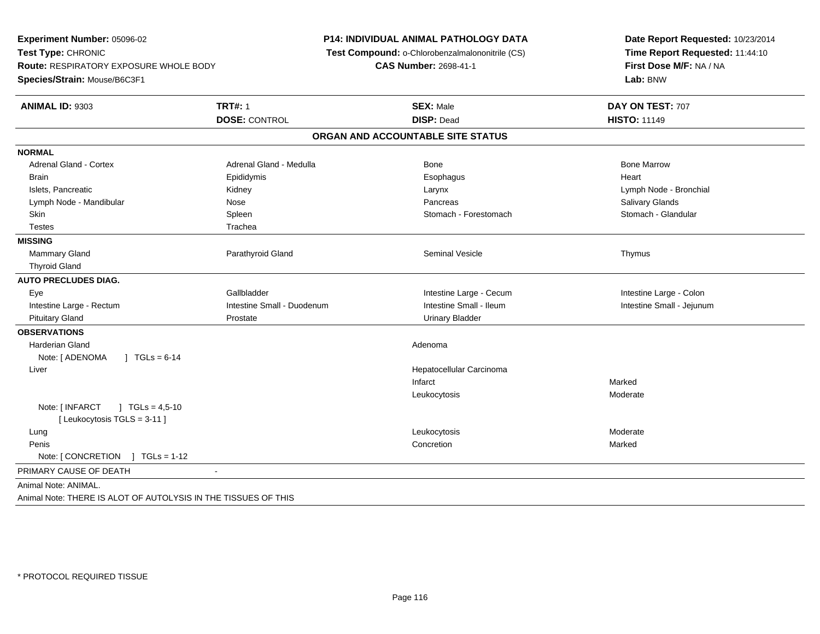**Experiment Number:** 05096-02**Test Type:** CHRONIC **Route:** RESPIRATORY EXPOSURE WHOLE BODY**Species/Strain:** Mouse/B6C3F1**P14: INDIVIDUAL ANIMAL PATHOLOGY DATA Test Compound:** o-Chlorobenzalmalononitrile (CS)**CAS Number:** 2698-41-1**Date Report Requested:** 10/23/2014**Time Report Requested:** 11:44:10**First Dose M/F:** NA / NA**Lab:** BNW**ANIMAL ID:** 9303**TRT#:** 1 **SEX:** Male **DAY ON TEST:** 707 **DOSE:** CONTROL **DISP:** Dead **HISTO:** <sup>11149</sup> **ORGAN AND ACCOUNTABLE SITE STATUSNORMALAdrenal Gland - Cortex** Adrenal Gland - Medulla **Bone Adrenal Gland - Cortex Adrenal Gland - Cortex Adrenal Gland - Medulla** Bone Marrow Brain Epididymis Epididymis and the Brook of the Brook of the Brook of the Brook of the Heart Heart Heart Heart Islets, Pancreatic Kidney Larynx Lymph Node - BronchialLymph Node - Mandibular Nose Nose Pancreas Pancreas Pancreas Salivary Glands Salivary Glands Stomach - Glandular Skin Stomach - Spleen Stomach - Forestomach - Stomach - Stomach - Forestomach - Stomach - Forestomach Testes Trachea**MISSINGMammary Gland** Parathyroid Gland **Parathyroid Gland Seminal Vesicle** Thymus Seminal Vesicle **Thymus**  Thyroid Gland**AUTO PRECLUDES DIAG.** Eye Gallbladder Intestine Large - Cecum Intestine Large - ColonIntestine Small - Jejunum Intestine Large - Rectum **Intestine Small - Duodenum** Intestine Small - Ileum Intestine Small - Ileum Pituitary Gland Prostate Urinary Bladder**OBSERVATIONS** Harderian Glandd and a state of the control of the control of the control of the control of the control of the control of the control of the control of the control of the control of the control of the control of the control of the contro Note: [ ADENOMA ] TGLs = 6-14 Liver Hepatocellular CarcinomaInfarct Markeds Moderate LeukocytosisNote: [ INFARCT ] TGLs = 4,5-10[ Leukocytosis TGLS = 3-11 ] Lungg which is a state of the control of the control of the control of the control of the control of the control of the control of the control of the control of the control of the control of the control of the control of the c Peniss and the concretion of the concretion of the concretion of the concretion of the concretion n **Marked** Note: [ CONCRETION ] TGLs = 1-12 PRIMARY CAUSE OF DEATH - Animal Note: ANIMAL.Animal Note: THERE IS ALOT OF AUTOLYSIS IN THE TISSUES OF THIS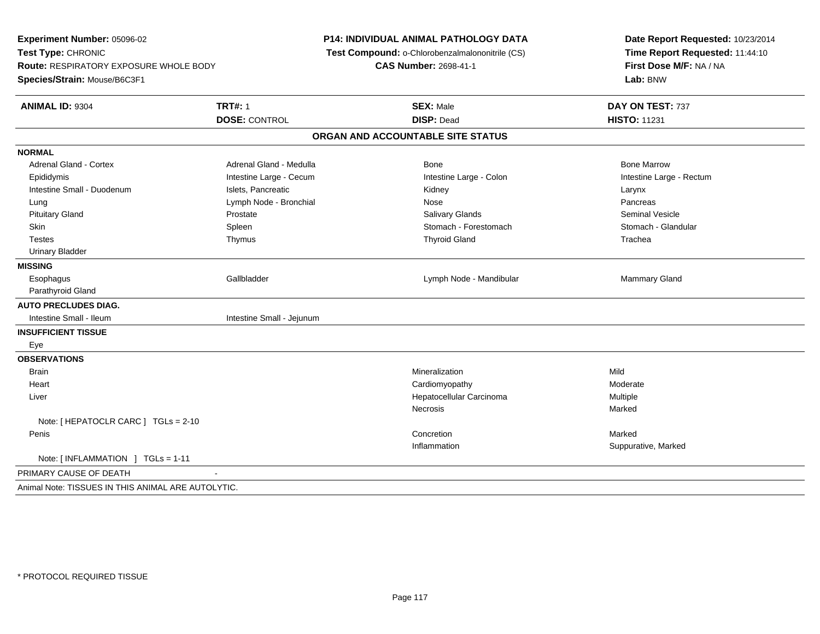**Experiment Number:** 05096-02**Test Type:** CHRONIC **Route:** RESPIRATORY EXPOSURE WHOLE BODY**Species/Strain:** Mouse/B6C3F1**P14: INDIVIDUAL ANIMAL PATHOLOGY DATA Test Compound:** o-Chlorobenzalmalononitrile (CS)**CAS Number:** 2698-41-1**Date Report Requested:** 10/23/2014**Time Report Requested:** 11:44:10**First Dose M/F:** NA / NA**Lab:** BNW**ANIMAL ID:** 9304**TRT#:** 1 **SEX:** Male **DAY ON TEST:** 737 **DOSE:** CONTROL **DISP:** Dead **HISTO:** <sup>11231</sup> **ORGAN AND ACCOUNTABLE SITE STATUSNORMALAdrenal Gland - Cortex** Adrenal Gland - Medulla **Adrenal Gland - Medulla** Bone Bone Bone Bone Bone Marrow Intestine Large - Rectum Epididymis Intestine Large - Cecum Intestine Large - Colon Intestine Large - RectumIntestine Small - Duodenum **Intestine Small - Duodenum** Islets, Pancreatic **Network Constructs** Carynx Larynx Pancreas Lung **Lymph Node - Bronchial Nose Pancrease Pancrease Pancrease Pancrease Pancrease Pancrease Pancrease Pancrease Pancrease Pancrease Pancrease Pancrease Pancrease Pancrease Pancrease Pancrease Pancrease Pancrease Pancreas** Seminal Vesicle Pituitary Gland Prostate Salivary Glands Seminal VesicleStomach - Glandular Skin Stomach - Forestomach Spleen Stomach - Forestomach - Stomach - Forestomach - Stomach - Forestomach - Glandular Testes Thymus Thyroid Gland Trachea Urinary Bladder**MISSING**Esophagus Establadder **Establace Community Community** Community Community Community Community Community Community Community Community Community Community Community Community Community Community Community Community Community Communit Parathyroid Gland**AUTO PRECLUDES DIAG.**Intestine Small - Ileum Intestine Small - Jejunum **INSUFFICIENT TISSUE** Eye **OBSERVATIONSBrain** n and the control of the control of the control of the Mineralization and the control of the Mild of the Mild o Heart Cardiomyopathy Moderate Liver Hepatocellular Carcinoma Multiple Necrosiss and the contract of the Marked Note: [ HEPATOCLR CARC ] TGLs = 2-10 Peniss and the concretion of the concretion of the concretion of the concretion of the concretion n Marked and Marked Marked and Marked and Marked and Marked and Marked and Marked and Marked and Marked and Ma Inflammation Suppurative, Marked Note: [ INFLAMMATION ] TGLs = 1-11PRIMARY CAUSE OF DEATH - Animal Note: TISSUES IN THIS ANIMAL ARE AUTOLYTIC.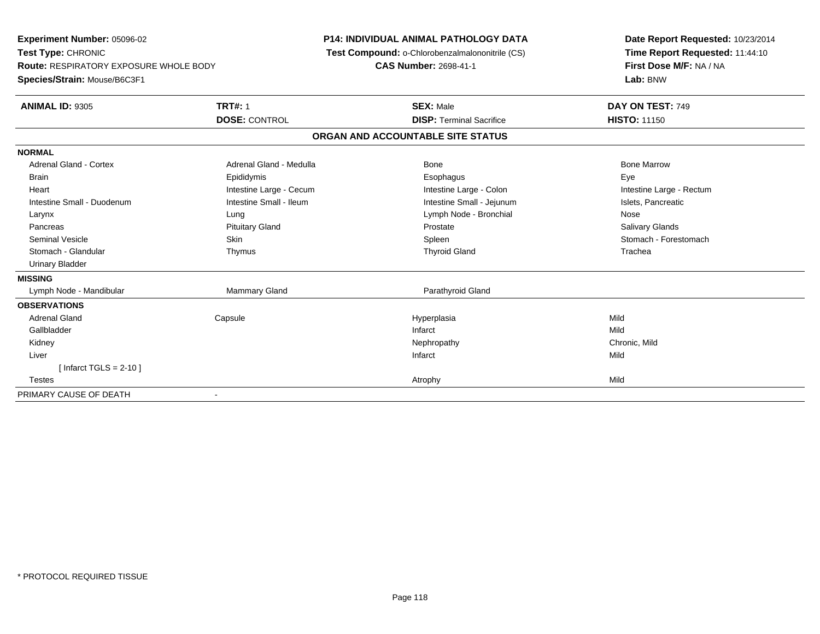**Experiment Number:** 05096-02**Test Type:** CHRONIC **Route:** RESPIRATORY EXPOSURE WHOLE BODY**Species/Strain:** Mouse/B6C3F1**P14: INDIVIDUAL ANIMAL PATHOLOGY DATA Test Compound:** o-Chlorobenzalmalononitrile (CS)**CAS Number:** 2698-41-1**Date Report Requested:** 10/23/2014**Time Report Requested:** 11:44:10**First Dose M/F:** NA / NA**Lab:** BNW**ANIMAL ID:** 9305**TRT#:** 1 **SEX:** Male **DAY ON TEST:** 749 **DOSE:** CONTROL**DISP:** Terminal Sacrifice **HISTO:** 11150 **ORGAN AND ACCOUNTABLE SITE STATUSNORMALAdrenal Gland - Cortex**  Adrenal Gland - Cortex Adrenal Gland - Medulla Bone Bone MarrowBrain Exercicles and the Exercise Epididymis Communications of the Exercise Exercise Exercise Exercise Exe Intestine Large - Rectum Heart **Intestine Large - Cecum** Intestine Large - Cecum **Intestine Large - Colon** Intestine Large - Colon Intestine Small - Duodenum **Intestine Small - Ileum** Intestine Small - Ileum Intestine Small - Jejunum Intestine Small - Jejunum Islets, Pancreatic Larynx Lung Lymph Node - Bronchial Nose**Salivary Glands**  Pancreas Pituitary Gland Prostate Salivary GlandsSeminal Vesicle Skin Skin Skin Skin Stomach - Forestomach Spleen Stomach - Forestomach - Stomach - Forestomach Stomach - Glandular Thymus Thyroid Gland Trachea Urinary Bladder**MISSING** Lymph Node - Mandibular Mammary Gland Parathyroid Gland**OBSERVATIONS** Adrenal Gland Capsule Hyperplasia Mild Gallbladderr and the control of the control of the control of the control of the control of the control of the control of the control of the control of the control of the control of the control of the control of the control of the co Chronic, Mild Kidneyy the controller of the controller of the controller of the controller of the controller of the chronic, Mild Liverr and the contract of the contract of the contract of the contract of the contract of the contract of the contract of the contract of the contract of the contract of the contract of the contract of the contract of the cont [ Infarct TGLS = 2-10 ] Testess and the contract of the contract of the contract of the contract of the contract of the contract of the contract of the contract of the contract of the contract of the contract of the contract of the contract of the cont PRIMARY CAUSE OF DEATH-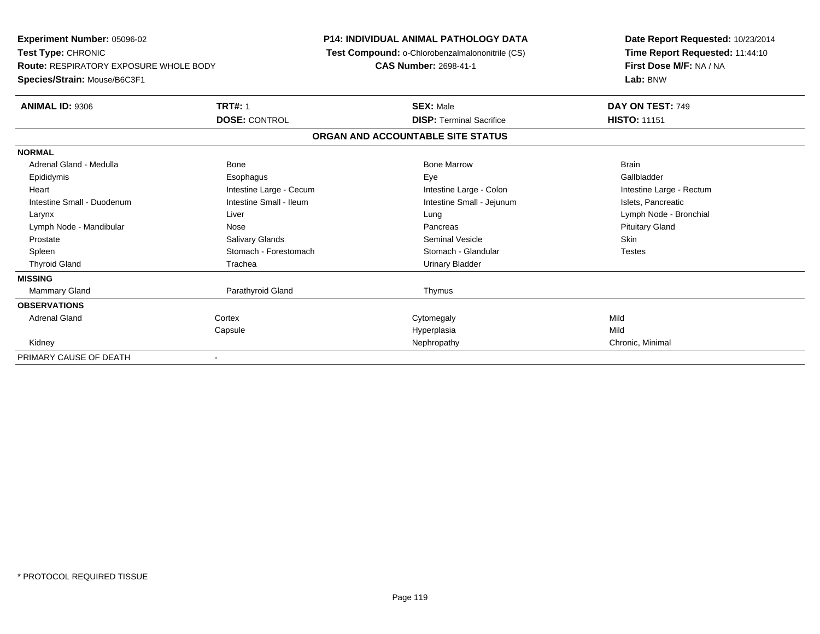**Experiment Number:** 05096-02**Test Type:** CHRONIC **Route:** RESPIRATORY EXPOSURE WHOLE BODY**Species/Strain:** Mouse/B6C3F1**P14: INDIVIDUAL ANIMAL PATHOLOGY DATA Test Compound:** o-Chlorobenzalmalononitrile (CS)**CAS Number:** 2698-41-1**Date Report Requested:** 10/23/2014**Time Report Requested:** 11:44:10**First Dose M/F:** NA / NA**Lab:** BNW**ANIMAL ID:** 9306**6 DAY ON TEST:** 749 **DOSE:** CONTROL**DISP:** Terminal Sacrifice **HISTO:** 11151 **ORGAN AND ACCOUNTABLE SITE STATUSNORMAL**Adrenal Gland - Medulla Bone Bone Bone Marrow Bone Marrow Brain Brain Brain Brain Gallbladder Epididymis Esophagus Eye GallbladderHeart **Intestine Large - Cecum** Intestine Large - Cecum Intestine Large - Colon Intestine Large - Rectum Intestine Small - Duodenum **Intestine Small - Ileum** Intestine Small - Ileum Intestine Small - Jejunum Intestine Small - Jejunum Islets, Pancreatic Larynx Liver Lung Lymph Node - BronchialLymph Node - Mandibular **Nose** Nose **Pancreas** Pancreas Pancreas Pancreas Pituitary Gland Prostate Salivary Glands Seminal Vesicle Skin**Testes** Spleen Stomach - Forestomach Stomach - Stomach Stomach Stomach Stomach Stomach Stomach Stomach Stomach Stomach Stomach Stomach Stomach Stomach Stomach Stomach Stomach Stomach Stomach Stomach Stomach Stomach Stomach Stomach Thyroid Gland **Trachea** Trachea **Trachea** Trachea Urinary Bladder **MISSINGMammary Gland** Parathyroid Gland Thymus **OBSERVATIONS** Adrenal Glandd cortex Cortex Cortex Cytomegaly Cytomegaly **Capsule**  Hyperplasia Mild Kidneyy Nephropathy Nephropathy Chronic, Minimal PRIMARY CAUSE OF DEATH-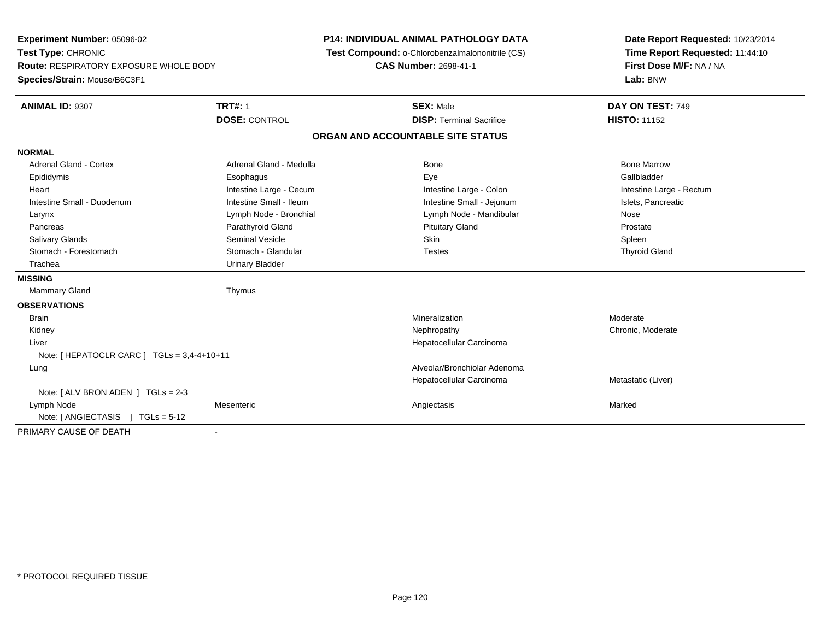**Experiment Number:** 05096-02**Test Type:** CHRONIC **Route:** RESPIRATORY EXPOSURE WHOLE BODY**Species/Strain:** Mouse/B6C3F1**P14: INDIVIDUAL ANIMAL PATHOLOGY DATA Test Compound:** o-Chlorobenzalmalononitrile (CS)**CAS Number:** 2698-41-1**Date Report Requested:** 10/23/2014**Time Report Requested:** 11:44:10**First Dose M/F:** NA / NA**Lab:** BNW**ANIMAL ID:** 9307**TRT#:** 1 **SEX:** Male **DAY ON TEST:** 749 **DOSE:** CONTROL**DISP:** Terminal Sacrifice **HISTO:** 11152 **ORGAN AND ACCOUNTABLE SITE STATUSNORMALAdrenal Gland - Cortex** Adrenal Gland - Medulla **Bone Adrenal Gland - Cortex Adrenal Gland - Cortex Adrenal Gland - Medulla** Bone Marrow Gallbladder Epididymis Esophagus Eye GallbladderHeart **Intestine Large - Cecum** Intestine Large - Cecum Intestine Large - Colon Intestine Large - Rectum Intestine Small - Duodenum **Intestine Small - Ileum** Intestine Small - Ileum Intestine Small - Jejunum Intestine Small - Jejunum Islets, Pancreatic Larynx **Lymph Node - Bronchial Lymph Node - Mandibular** Lymph Node - Mandibular Nose Prostate Pancreas **Parathyroid Gland Prostate Parathyroid Gland** Prostate Prostate Prostate Prostate Spleen Salivary Glands Seminal Vesicle Skin Spleen**Thyroid Gland** Stomach - Forestomach Stomach - Glandular Testes Testes Testes Testes Testes Testes The Testes The Testes The Testes The Testes Testes Testes Testes Testes Testes Testes Testes Testes Testes Testes Testes Testes Testes Tes Trachea Urinary Bladder**MISSING**Mammary Gland Thymus **OBSERVATIONS** Brainn and the controller of the controller of the controller of the Moderate Moderate of Moderate of the Moderate o Kidneyy the chronic, Moderate and September 2011 of the Chronic Moderate and September 2012 of the Chronic, Moderate Liver Hepatocellular CarcinomaNote: [ HEPATOCLR CARC ] TGLs = 3,4-4+10+11 Lung Alveolar/Bronchiolar Adenoma Hepatocellular Carcinoma Metastatic (Liver) Note: [ ALV BRON ADEN ] TGLs = 2-3 Lymph Nodee the contract of the Mesenteric contract and the contract of the Angiectasis Contract of the Marked Marked of the Marked of the Marked of the Marked of the Marked of the Marked of the Marked of the Marked of the Marked of Note: [ ANGIECTASIS ] TGLs = 5-12PRIMARY CAUSE OF DEATH-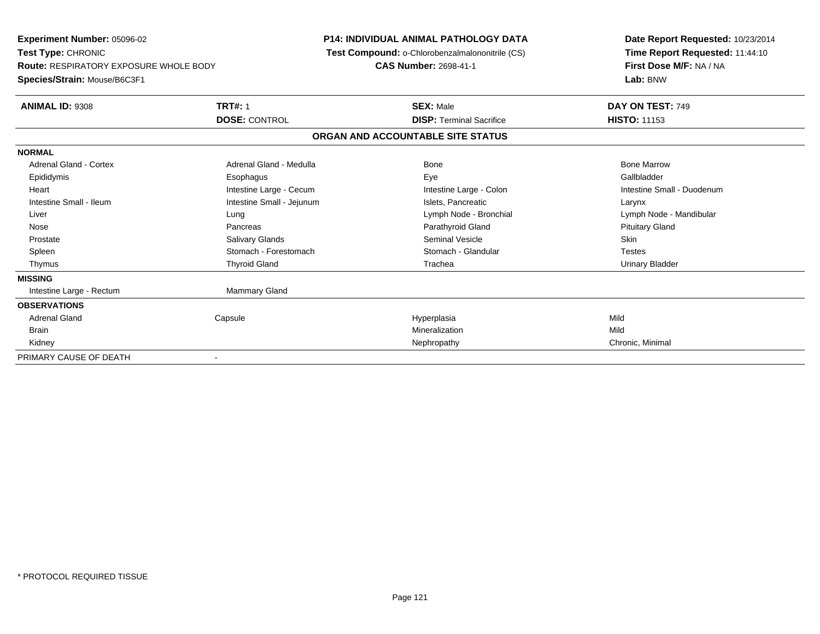**Experiment Number:** 05096-02**Test Type:** CHRONIC **Route:** RESPIRATORY EXPOSURE WHOLE BODY**Species/Strain:** Mouse/B6C3F1**P14: INDIVIDUAL ANIMAL PATHOLOGY DATA Test Compound:** o-Chlorobenzalmalononitrile (CS)**CAS Number:** 2698-41-1**Date Report Requested:** 10/23/2014**Time Report Requested:** 11:44:10**First Dose M/F:** NA / NA**Lab:** BNW**ANIMAL ID:** 9308**TRT#:** 1 **SEX:** Male **DAY ON TEST:** 749 **DOSE:** CONTROL**DISP:** Terminal Sacrifice **HISTO:** 11153 **ORGAN AND ACCOUNTABLE SITE STATUSNORMALAdrenal Gland - Cortex**  Adrenal Gland - Cortex Adrenal Gland - Medulla Bone Bone MarrowGallbladder Epididymis Esophagus Eye GallbladderHeart **Intestine Large - Cecum** Intestine Large - Cecum Intestine Large - Colon Intestine Small - Duodenum Intestine Small - Ileum Larynx Intestine Small - Jejunum Intestine Small - Jejunum Islets, Pancreatic Larynx Liver Lung Lymph Node - Bronchial Lymph Node - Mandibular Nose Pancreas Parathyroid Gland Pituitary Gland Prostate Salivary Glands Seminal Vesicle Skin**Testes** Spleen Stomach - Forestomach Stomach - Stomach Stomach Stomach Stomach Stomach Stomach Stomach Stomach Stomach Stomach Stomach Stomach Stomach Stomach Stomach Stomach Stomach Stomach Stomach Stomach Stomach Stomach Stomach **Urinary Bladder**  Thymus Thyroid Gland Trachea Urinary Bladder**MISSING**Intestine Large - Rectum Mammary Gland **OBSERVATIONS** Adrenal Gland Capsule Hyperplasia Mild Brainn and the control of the control of the control of the control of the control of the control of the control of the control of the control of the control of the control of the control of the control of the control of the co Kidneyy Nephropathy Nephropathy Chronic, Minimal PRIMARY CAUSE OF DEATH-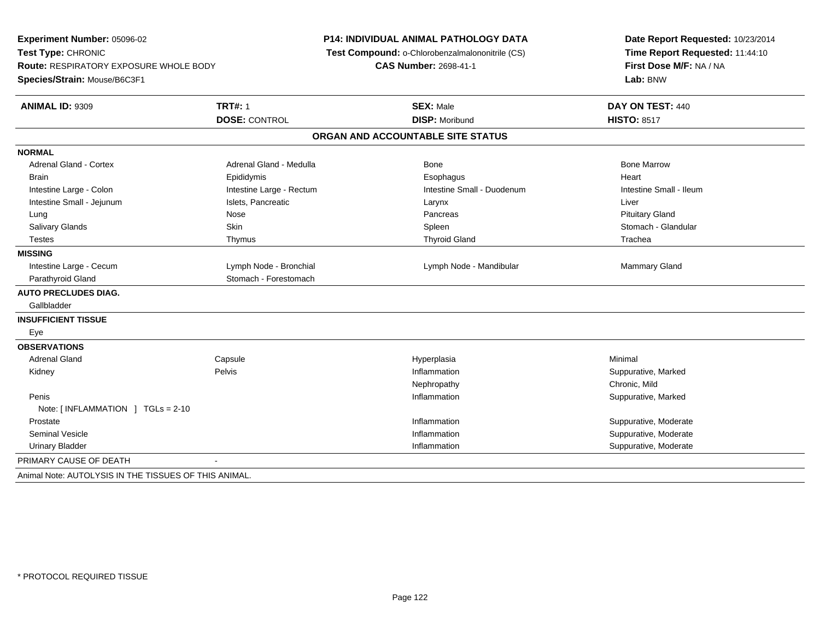| Experiment Number: 05096-02<br>Test Type: CHRONIC<br>Route: RESPIRATORY EXPOSURE WHOLE BODY |                          | <b>P14: INDIVIDUAL ANIMAL PATHOLOGY DATA</b><br>Test Compound: o-Chlorobenzalmalononitrile (CS)<br><b>CAS Number: 2698-41-1</b> | Date Report Requested: 10/23/2014<br>Time Report Requested: 11:44:10<br>First Dose M/F: NA / NA |  |  |
|---------------------------------------------------------------------------------------------|--------------------------|---------------------------------------------------------------------------------------------------------------------------------|-------------------------------------------------------------------------------------------------|--|--|
| Species/Strain: Mouse/B6C3F1                                                                |                          |                                                                                                                                 | Lab: BNW                                                                                        |  |  |
| ANIMAL ID: 9309                                                                             | <b>TRT#: 1</b>           | <b>SEX: Male</b>                                                                                                                | DAY ON TEST: 440                                                                                |  |  |
|                                                                                             | <b>DOSE: CONTROL</b>     | <b>DISP: Moribund</b>                                                                                                           | <b>HISTO: 8517</b>                                                                              |  |  |
|                                                                                             |                          | ORGAN AND ACCOUNTABLE SITE STATUS                                                                                               |                                                                                                 |  |  |
| <b>NORMAL</b>                                                                               |                          |                                                                                                                                 |                                                                                                 |  |  |
| <b>Adrenal Gland - Cortex</b>                                                               | Adrenal Gland - Medulla  | Bone                                                                                                                            | <b>Bone Marrow</b>                                                                              |  |  |
| <b>Brain</b>                                                                                | Epididymis               | Esophagus                                                                                                                       | Heart                                                                                           |  |  |
| Intestine Large - Colon                                                                     | Intestine Large - Rectum | Intestine Small - Duodenum                                                                                                      | Intestine Small - Ileum                                                                         |  |  |
| Intestine Small - Jejunum                                                                   | Islets, Pancreatic       | Larynx                                                                                                                          | Liver                                                                                           |  |  |
| Lung                                                                                        | Nose                     | Pancreas                                                                                                                        | <b>Pituitary Gland</b>                                                                          |  |  |
| <b>Salivary Glands</b>                                                                      | Skin                     | Spleen                                                                                                                          | Stomach - Glandular                                                                             |  |  |
| <b>Testes</b>                                                                               | Thymus                   | <b>Thyroid Gland</b>                                                                                                            | Trachea                                                                                         |  |  |
| <b>MISSING</b>                                                                              |                          |                                                                                                                                 |                                                                                                 |  |  |
| Intestine Large - Cecum                                                                     | Lymph Node - Bronchial   | Lymph Node - Mandibular                                                                                                         | Mammary Gland                                                                                   |  |  |
| Parathyroid Gland                                                                           | Stomach - Forestomach    |                                                                                                                                 |                                                                                                 |  |  |
| <b>AUTO PRECLUDES DIAG.</b>                                                                 |                          |                                                                                                                                 |                                                                                                 |  |  |
| Gallbladder                                                                                 |                          |                                                                                                                                 |                                                                                                 |  |  |
| <b>INSUFFICIENT TISSUE</b>                                                                  |                          |                                                                                                                                 |                                                                                                 |  |  |
| Eye                                                                                         |                          |                                                                                                                                 |                                                                                                 |  |  |
| <b>OBSERVATIONS</b>                                                                         |                          |                                                                                                                                 |                                                                                                 |  |  |
| <b>Adrenal Gland</b>                                                                        | Capsule                  | Hyperplasia                                                                                                                     | Minimal                                                                                         |  |  |
| Kidney                                                                                      | Pelvis                   | Inflammation                                                                                                                    | Suppurative, Marked                                                                             |  |  |
|                                                                                             |                          | Nephropathy                                                                                                                     | Chronic, Mild                                                                                   |  |  |
| Penis                                                                                       |                          | Inflammation                                                                                                                    | Suppurative, Marked                                                                             |  |  |
| Note: [INFLAMMATION ] TGLs = 2-10                                                           |                          |                                                                                                                                 |                                                                                                 |  |  |
| Prostate                                                                                    |                          | Inflammation                                                                                                                    | Suppurative, Moderate                                                                           |  |  |
| <b>Seminal Vesicle</b>                                                                      |                          | Inflammation                                                                                                                    | Suppurative, Moderate                                                                           |  |  |
| <b>Urinary Bladder</b>                                                                      |                          | Inflammation                                                                                                                    | Suppurative, Moderate                                                                           |  |  |
| PRIMARY CAUSE OF DEATH                                                                      |                          |                                                                                                                                 |                                                                                                 |  |  |
| Animal Note: AUTOLYSIS IN THE TISSUES OF THIS ANIMAL                                        |                          |                                                                                                                                 |                                                                                                 |  |  |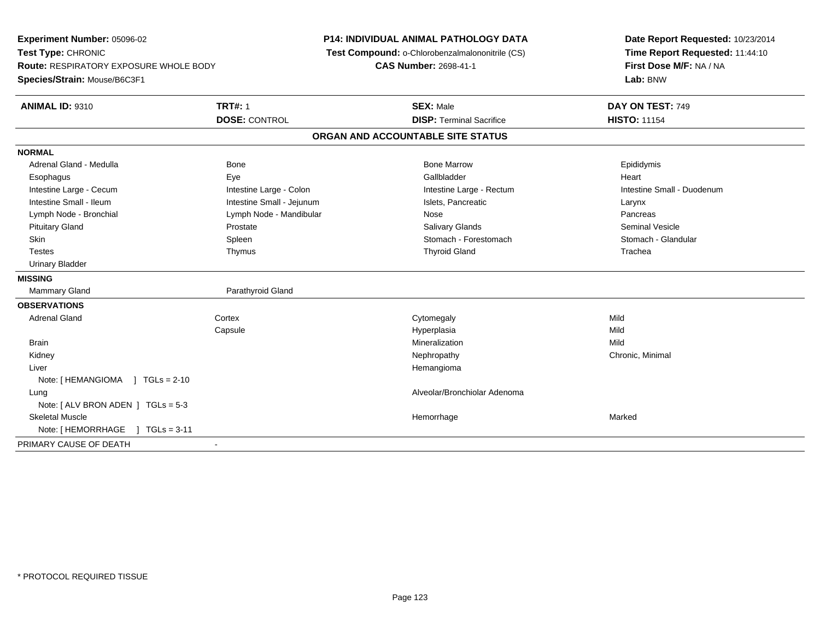**Experiment Number:** 05096-02**Test Type:** CHRONIC **Route:** RESPIRATORY EXPOSURE WHOLE BODY**Species/Strain:** Mouse/B6C3F1**P14: INDIVIDUAL ANIMAL PATHOLOGY DATA Test Compound:** o-Chlorobenzalmalononitrile (CS)**CAS Number:** 2698-41-1**Date Report Requested:** 10/23/2014**Time Report Requested:** 11:44:10**First Dose M/F:** NA / NA**Lab:** BNW**ANIMAL ID:** 9310**TRT#:** 1 **SEX:** Male **DAY ON TEST:** 749 **DOSE:** CONTROL**DISP:** Terminal Sacrifice **HISTO:** 11154 **ORGAN AND ACCOUNTABLE SITE STATUSNORMAL**Adrenal Gland - Medulla Newsternal Bone Bone Bone Bone Marrow Bone Marrow Bone Marrow Bone Epididymis Esophagus Eye Gallbladder HeartIntestine Large - Cecum **Intestine Large - Colon** Intestine Large - Colon Intestine Large - Rectum Intestine Large - Rectum Intestine Small - Duodenum Intestine Small - Ileum Larynx Intestine Small - Jejunum Intestine Small - Islets, Pancreatic Larynx Pancreas Lymph Node - Bronchial and Communication Communication Communication Communication Communication Communication Seminal Vesicle Pituitary Gland Prostate Salivary Glands Seminal VesicleStomach - Glandular Skin Stomach - Forestomach Spleen Spleen Stomach - Forestomach - Stomach - Forestomach - Stomach - Glandular S Testes Thymus Thyroid Gland Trachea Urinary Bladder**MISSINGMammary Gland** Parathyroid Gland **OBSERVATIONS** Adrenal Glandd cortex Cortex Cortex Cytomegaly Cytomegaly **Capsule**  Hyperplasia Mild Brainn and the control of the control of the control of the control of the control of the control of the control of the control of the control of the control of the control of the control of the control of the control of the co Kidneyy the controller the controller of the controller of the controller of the controller of the controller of the controller of the controller of the controller of the controller of the controller of the controller of the con Liver HemangiomaNote: [ HEMANGIOMA ] TGLs = 2-10 Lung Alveolar/Bronchiolar Adenoma Note: [ ALV BRON ADEN ] TGLs = 5-3 Skeletal Musclee which is a state of the control of the control of the Marked Marked of the Marked Marked of the Marked of the Marked of the Marked of the Marked of the Marked of the Marked of the Marked of the Marked of the Marked of th Note: [ HEMORRHAGE ] TGLs = 3-11 PRIMARY CAUSE OF DEATH-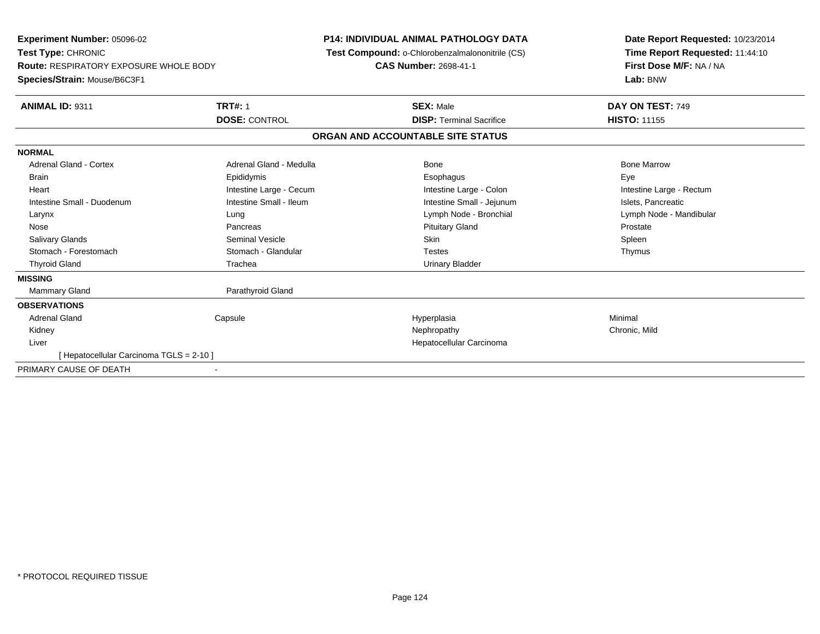| Experiment Number: 05096-02<br>Test Type: CHRONIC<br><b>Route: RESPIRATORY EXPOSURE WHOLE BODY</b><br>Species/Strain: Mouse/B6C3F1 |                         | P14: INDIVIDUAL ANIMAL PATHOLOGY DATA<br>Test Compound: o-Chlorobenzalmalononitrile (CS)<br><b>CAS Number: 2698-41-1</b> |                                   | Date Report Requested: 10/23/2014<br>Time Report Requested: 11:44:10<br>First Dose M/F: NA / NA<br>Lab: BNW |  |
|------------------------------------------------------------------------------------------------------------------------------------|-------------------------|--------------------------------------------------------------------------------------------------------------------------|-----------------------------------|-------------------------------------------------------------------------------------------------------------|--|
| <b>ANIMAL ID: 9311</b>                                                                                                             | <b>TRT#: 1</b>          |                                                                                                                          | <b>SEX: Male</b>                  | DAY ON TEST: 749                                                                                            |  |
|                                                                                                                                    | <b>DOSE: CONTROL</b>    |                                                                                                                          | <b>DISP: Terminal Sacrifice</b>   | <b>HISTO: 11155</b>                                                                                         |  |
|                                                                                                                                    |                         |                                                                                                                          | ORGAN AND ACCOUNTABLE SITE STATUS |                                                                                                             |  |
| <b>NORMAL</b>                                                                                                                      |                         |                                                                                                                          |                                   |                                                                                                             |  |
| <b>Adrenal Gland - Cortex</b>                                                                                                      | Adrenal Gland - Medulla |                                                                                                                          | <b>Bone</b>                       | <b>Bone Marrow</b>                                                                                          |  |
| <b>Brain</b>                                                                                                                       | Epididymis              |                                                                                                                          | Esophagus                         | Eye                                                                                                         |  |
| Heart                                                                                                                              | Intestine Large - Cecum |                                                                                                                          | Intestine Large - Colon           | Intestine Large - Rectum                                                                                    |  |
| Intestine Small - Duodenum                                                                                                         | Intestine Small - Ileum |                                                                                                                          | Intestine Small - Jejunum         | Islets, Pancreatic                                                                                          |  |
| Larynx                                                                                                                             | Lung                    |                                                                                                                          | Lymph Node - Bronchial            | Lymph Node - Mandibular                                                                                     |  |
| Nose                                                                                                                               | Pancreas                |                                                                                                                          | <b>Pituitary Gland</b>            | Prostate                                                                                                    |  |
| <b>Salivary Glands</b>                                                                                                             | <b>Seminal Vesicle</b>  |                                                                                                                          | Skin                              | Spleen                                                                                                      |  |
| Stomach - Forestomach                                                                                                              | Stomach - Glandular     |                                                                                                                          | <b>Testes</b>                     | Thymus                                                                                                      |  |
| <b>Thyroid Gland</b>                                                                                                               | Trachea                 |                                                                                                                          | Urinary Bladder                   |                                                                                                             |  |
| <b>MISSING</b>                                                                                                                     |                         |                                                                                                                          |                                   |                                                                                                             |  |
| <b>Mammary Gland</b>                                                                                                               | Parathyroid Gland       |                                                                                                                          |                                   |                                                                                                             |  |
| <b>OBSERVATIONS</b>                                                                                                                |                         |                                                                                                                          |                                   |                                                                                                             |  |
| Adrenal Gland                                                                                                                      | Capsule                 |                                                                                                                          | Hyperplasia                       | Minimal                                                                                                     |  |
| Kidney                                                                                                                             |                         |                                                                                                                          | Nephropathy                       | Chronic, Mild                                                                                               |  |
| Liver                                                                                                                              |                         |                                                                                                                          | Hepatocellular Carcinoma          |                                                                                                             |  |
| Hepatocellular Carcinoma TGLS = 2-10 ]                                                                                             |                         |                                                                                                                          |                                   |                                                                                                             |  |
| PRIMARY CAUSE OF DEATH                                                                                                             |                         |                                                                                                                          |                                   |                                                                                                             |  |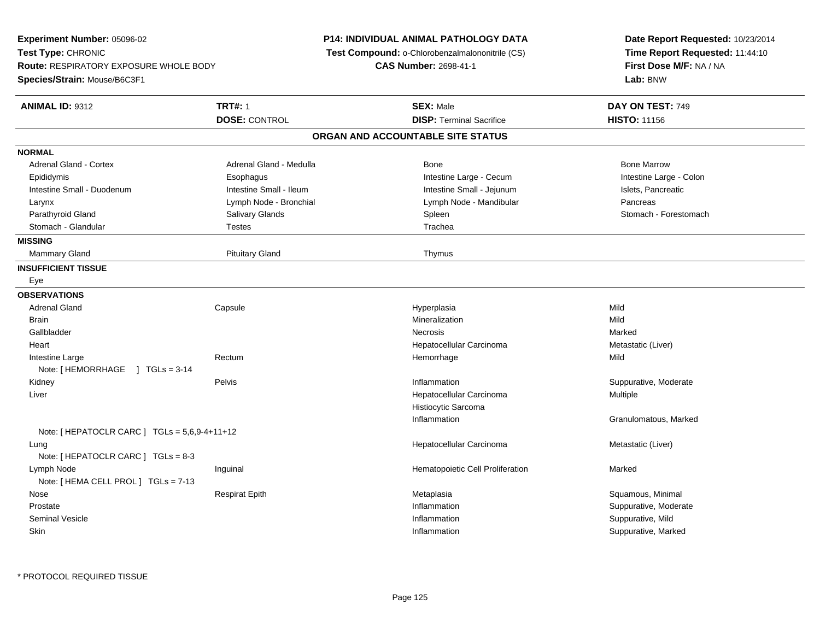| Experiment Number: 05096-02                   |                         | <b>P14: INDIVIDUAL ANIMAL PATHOLOGY DATA</b>    | Date Report Requested: 10/23/2014                                      |  |  |
|-----------------------------------------------|-------------------------|-------------------------------------------------|------------------------------------------------------------------------|--|--|
| Test Type: CHRONIC                            |                         | Test Compound: o-Chlorobenzalmalononitrile (CS) | Time Report Requested: 11:44:10<br>First Dose M/F: NA / NA<br>Lab: BNW |  |  |
| <b>Route: RESPIRATORY EXPOSURE WHOLE BODY</b> |                         | <b>CAS Number: 2698-41-1</b>                    |                                                                        |  |  |
| Species/Strain: Mouse/B6C3F1                  |                         |                                                 |                                                                        |  |  |
| <b>ANIMAL ID: 9312</b>                        | <b>TRT#: 1</b>          | <b>SEX: Male</b>                                | DAY ON TEST: 749                                                       |  |  |
|                                               | <b>DOSE: CONTROL</b>    | <b>DISP: Terminal Sacrifice</b>                 | <b>HISTO: 11156</b>                                                    |  |  |
|                                               |                         | ORGAN AND ACCOUNTABLE SITE STATUS               |                                                                        |  |  |
| <b>NORMAL</b>                                 |                         |                                                 |                                                                        |  |  |
| <b>Adrenal Gland - Cortex</b>                 | Adrenal Gland - Medulla | <b>Bone</b>                                     | <b>Bone Marrow</b>                                                     |  |  |
| Epididymis                                    | Esophagus               | Intestine Large - Cecum                         | Intestine Large - Colon                                                |  |  |
| Intestine Small - Duodenum                    | Intestine Small - Ileum | Intestine Small - Jejunum                       | Islets, Pancreatic                                                     |  |  |
| Larynx                                        | Lymph Node - Bronchial  | Lymph Node - Mandibular                         | Pancreas                                                               |  |  |
| Parathyroid Gland                             | Salivary Glands         | Spleen                                          | Stomach - Forestomach                                                  |  |  |
| Stomach - Glandular                           | <b>Testes</b>           | Trachea                                         |                                                                        |  |  |
| <b>MISSING</b>                                |                         |                                                 |                                                                        |  |  |
| <b>Mammary Gland</b>                          | <b>Pituitary Gland</b>  | Thymus                                          |                                                                        |  |  |
| <b>INSUFFICIENT TISSUE</b>                    |                         |                                                 |                                                                        |  |  |
| Eye                                           |                         |                                                 |                                                                        |  |  |
| <b>OBSERVATIONS</b>                           |                         |                                                 |                                                                        |  |  |
| <b>Adrenal Gland</b>                          | Capsule                 | Hyperplasia                                     | Mild                                                                   |  |  |
| <b>Brain</b>                                  |                         | Mineralization                                  | Mild                                                                   |  |  |
| Gallbladder                                   |                         | <b>Necrosis</b>                                 | Marked                                                                 |  |  |
| Heart                                         |                         | Hepatocellular Carcinoma                        | Metastatic (Liver)                                                     |  |  |
| Intestine Large                               | Rectum                  | Hemorrhage                                      | Mild                                                                   |  |  |
| Note: $HEMORRHAGE$   TGLs = 3-14              |                         |                                                 |                                                                        |  |  |
| Kidney                                        | Pelvis                  | Inflammation                                    | Suppurative, Moderate                                                  |  |  |
| Liver                                         |                         | Hepatocellular Carcinoma                        | Multiple                                                               |  |  |
|                                               |                         | Histiocytic Sarcoma                             |                                                                        |  |  |
|                                               |                         | Inflammation                                    | Granulomatous, Marked                                                  |  |  |
| Note: [ HEPATOCLR CARC ] TGLs = 5,6,9-4+11+12 |                         |                                                 |                                                                        |  |  |
| Lung                                          |                         | Hepatocellular Carcinoma                        | Metastatic (Liver)                                                     |  |  |
| Note: [ HEPATOCLR CARC ] TGLs = 8-3           |                         |                                                 |                                                                        |  |  |
| Lymph Node                                    | Inguinal                | Hematopoietic Cell Proliferation                | Marked                                                                 |  |  |
| Note: [ HEMA CELL PROL ] TGLs = 7-13          |                         |                                                 |                                                                        |  |  |
| Nose                                          | <b>Respirat Epith</b>   | Metaplasia                                      | Squamous, Minimal                                                      |  |  |
| Prostate                                      |                         | Inflammation                                    | Suppurative, Moderate                                                  |  |  |
| Seminal Vesicle                               |                         | Inflammation                                    | Suppurative, Mild                                                      |  |  |
| Skin                                          |                         | Inflammation                                    | Suppurative, Marked                                                    |  |  |
|                                               |                         |                                                 |                                                                        |  |  |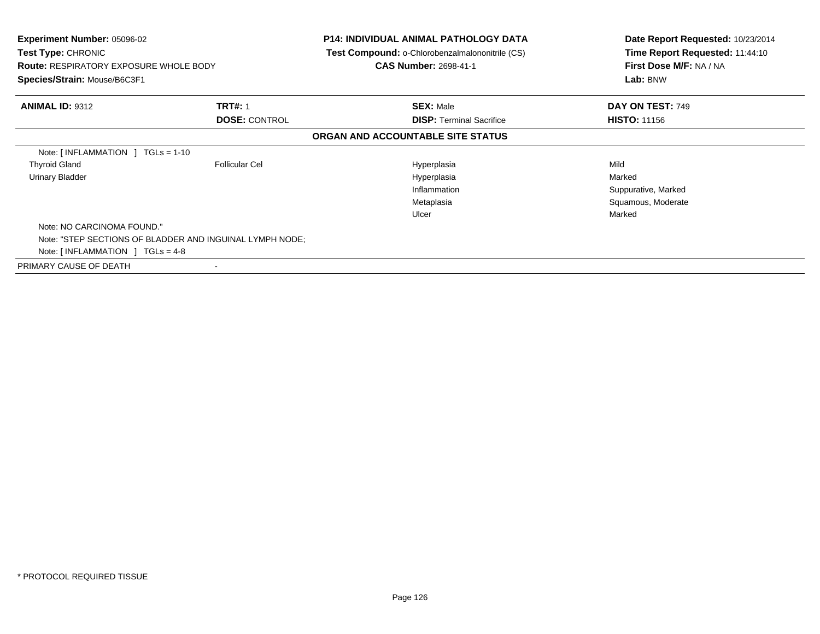| Experiment Number: 05096-02<br>Test Type: CHRONIC<br><b>Route: RESPIRATORY EXPOSURE WHOLE BODY</b><br>Species/Strain: Mouse/B6C3F1 |                       | P14: INDIVIDUAL ANIMAL PATHOLOGY DATA<br><b>Test Compound: o-Chlorobenzalmalononitrile (CS)</b><br><b>CAS Number: 2698-41-1</b> | Date Report Requested: 10/23/2014<br>Time Report Requested: 11:44:10<br>First Dose M/F: NA / NA<br>Lab: BNW |
|------------------------------------------------------------------------------------------------------------------------------------|-----------------------|---------------------------------------------------------------------------------------------------------------------------------|-------------------------------------------------------------------------------------------------------------|
| <b>ANIMAL ID: 9312</b>                                                                                                             | <b>TRT#: 1</b>        | <b>SEX: Male</b>                                                                                                                | DAY ON TEST: 749                                                                                            |
|                                                                                                                                    | <b>DOSE: CONTROL</b>  | <b>DISP:</b> Terminal Sacrifice                                                                                                 | <b>HISTO: 11156</b>                                                                                         |
|                                                                                                                                    |                       | ORGAN AND ACCOUNTABLE SITE STATUS                                                                                               |                                                                                                             |
| Note: $\lceil$ INFLAMMATION $\lceil$ TGLs = 1-10                                                                                   |                       |                                                                                                                                 |                                                                                                             |
| <b>Thyroid Gland</b>                                                                                                               | <b>Follicular Cel</b> | Hyperplasia                                                                                                                     | Mild                                                                                                        |
| <b>Urinary Bladder</b>                                                                                                             |                       | Hyperplasia                                                                                                                     | Marked                                                                                                      |
|                                                                                                                                    |                       | Inflammation                                                                                                                    | Suppurative, Marked                                                                                         |
|                                                                                                                                    |                       | Metaplasia                                                                                                                      | Squamous, Moderate                                                                                          |
|                                                                                                                                    |                       | Ulcer                                                                                                                           | Marked                                                                                                      |
| Note: NO CARCINOMA FOUND."                                                                                                         |                       |                                                                                                                                 |                                                                                                             |
| Note: "STEP SECTIONS OF BLADDER AND INGUINAL LYMPH NODE;                                                                           |                       |                                                                                                                                 |                                                                                                             |
| Note: $\lceil$ INFLAMMATION $\lceil$ TGLs = 4-8                                                                                    |                       |                                                                                                                                 |                                                                                                             |
| PRIMARY CAUSE OF DEATH                                                                                                             |                       |                                                                                                                                 |                                                                                                             |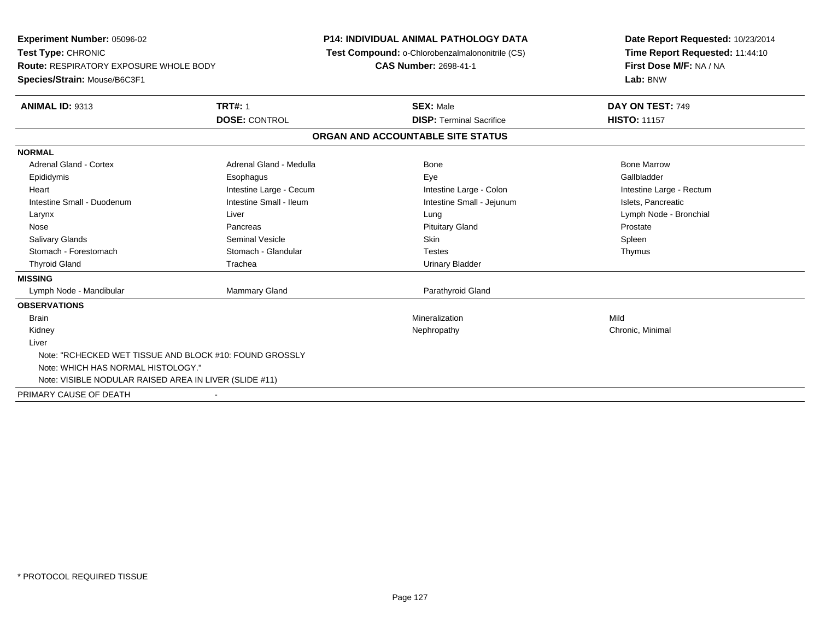**Experiment Number:** 05096-02**Test Type:** CHRONIC **Route:** RESPIRATORY EXPOSURE WHOLE BODY**Species/Strain:** Mouse/B6C3F1**P14: INDIVIDUAL ANIMAL PATHOLOGY DATA Test Compound:** o-Chlorobenzalmalononitrile (CS)**CAS Number:** 2698-41-1**Date Report Requested:** 10/23/2014**Time Report Requested:** 11:44:10**First Dose M/F:** NA / NA**Lab:** BNW**ANIMAL ID:** 9313**TRT#:** 1 **SEX:** Male **DAY ON TEST:** 749 **DOSE:** CONTROL**DISP:** Terminal Sacrifice **HISTO:** 11157 **ORGAN AND ACCOUNTABLE SITE STATUSNORMALAdrenal Gland - Cortex** Adrenal Gland - Medulla **Adrenal Gland - Medulla** Bone Bone Bone Bone Bone Marrow Gallbladder Epididymis Esophagus Eye GallbladderHeart **Intestine Large - Cecum** Intestine Large - Cecum Intestine Large - Colon Intestine Large - Rectum Intestine Small - Duodenum **Intestine Small - Ileum** Intestine Small - Ileum Intestine Small - Jejunum Intestine Small - Jejunum Islets, Pancreatic Larynx Liver Lung Lymph Node - Bronchial Nose Pancreas Pituitary Gland ProstateSpleen Salivary Glands Seminal Vesicle Skin SpleenThymus Stomach - Forestomach **Stomach - Glandular** Testes Testes Testes Testes Testes The Testes The Testes The Testes The Testes The Testes The Testes The Testes Testes The Testes Testes Testes Testes Testes Testes Testes Testes Thyroid Gland Trachea Trachea Communication Christian Urinary Bladder **MISSING** Lymph Node - Mandibular Mammary Gland Parathyroid Gland**OBSERVATIONS** Brainn and the control of the control of the control of the control of the control of the control of the control of the control of the control of the control of the control of the control of the control of the control of the co Kidneyy the controller the controller of the controller of the controller of the controller of the controller of the controller of the controller of the controller of the controller of the controller of the controller of the con LiverNote: "RCHECKED WET TISSUE AND BLOCK #10: FOUND GROSSLYNote: WHICH HAS NORMAL HISTOLOGY."Note: VISIBLE NODULAR RAISED AREA IN LIVER (SLIDE #11)PRIMARY CAUSE OF DEATH-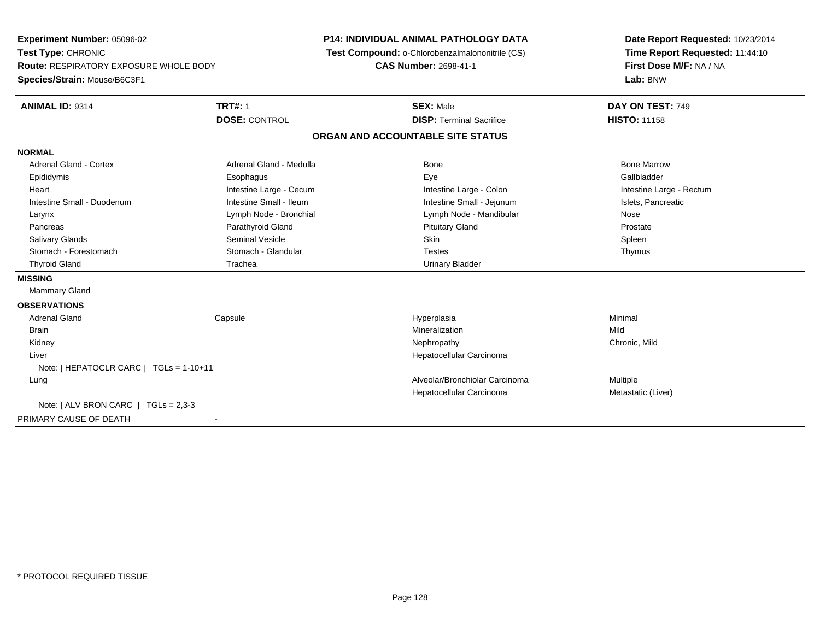**Experiment Number:** 05096-02**Test Type:** CHRONIC **Route:** RESPIRATORY EXPOSURE WHOLE BODY**Species/Strain:** Mouse/B6C3F1**P14: INDIVIDUAL ANIMAL PATHOLOGY DATA Test Compound:** o-Chlorobenzalmalononitrile (CS)**CAS Number:** 2698-41-1**Date Report Requested:** 10/23/2014**Time Report Requested:** 11:44:10**First Dose M/F:** NA / NA**Lab:** BNW**ANIMAL ID:** 9314**TRT#:** 1 **SEX:** Male **DAY ON TEST:** 749 **DOSE:** CONTROL**DISP:** Terminal Sacrifice **HISTO:** 11158 **ORGAN AND ACCOUNTABLE SITE STATUSNORMALAdrenal Gland - Cortex** Adrenal Gland - Medulla **Adrenal Gland - Medulla** Bone Bone Bone Bone Bone Marrow Gallbladder Epididymis Esophagus Eye GallbladderHeart **Intestine Large - Cecum** Intestine Large - Cecum Intestine Large - Colon Intestine Large - Rectum Intestine Small - Duodenum **Intestine Small - Ileum** Intestine Small - Ileum Intestine Small - Jejunum Intestine Small - Jejunum Islets, Pancreatic Larynx **Lymph Node - Bronchial Lymph Node - Mandibular** Lymph Node - Mandibular Nose Prostate Pancreas **Parathyroid Gland Prostate Parathyroid Gland** Prostate Prostate Prostate Prostate Spleen Salivary Glands Seminal Vesicle Skin SpleenThymus Stomach - Forestomach **Stomach - Glandular** Testes Testes Testes Testes Testes The Testes The Testes The Testes The Testes The Testes The Testes The Testes Testes The Testes Testes Testes Testes Testes Testes Testes Testes Thyroid Gland Trachea Trachea Communication Christian Urinary Bladder **MISSING** Mammary Gland**OBSERVATIONS** Adrenal Gland Capsule Hyperplasia Minimal Brainn and the control of the control of the control of the control of the control of the control of the control of the control of the control of the control of the control of the control of the control of the control of the co Kidneyy the controller of the controller of the controller of the controller of the controller of the chronic, Mild Liver Hepatocellular CarcinomaNote: [ HEPATOCLR CARC ] TGLs = 1-10+11 LungAlveolar/Bronchiolar Carcinoma Multiple Hepatocellular Carcinoma Metastatic (Liver) Note: [ ALV BRON CARC ] TGLs = 2,3-3PRIMARY CAUSE OF DEATH-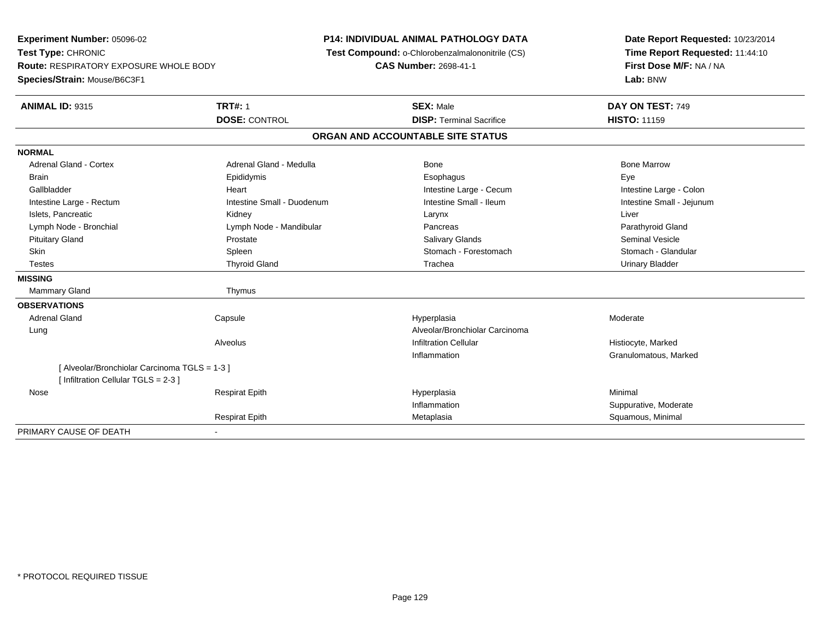**Experiment Number:** 05096-02**Test Type:** CHRONIC **Route:** RESPIRATORY EXPOSURE WHOLE BODY**Species/Strain:** Mouse/B6C3F1**P14: INDIVIDUAL ANIMAL PATHOLOGY DATA Test Compound:** o-Chlorobenzalmalononitrile (CS)**CAS Number:** 2698-41-1**Date Report Requested:** 10/23/2014**Time Report Requested:** 11:44:10**First Dose M/F:** NA / NA**Lab:** BNW**ANIMAL ID:** 9315**TRT#:** 1 **SEX:** Male **DAY ON TEST:** 749 **DOSE:** CONTROL**DISP:** Terminal Sacrifice **HISTO:** 11159 **ORGAN AND ACCOUNTABLE SITE STATUSNORMALAdrenal Gland - Cortex** Adrenal Gland - Medulla **Adrenal Gland - Medulla** Bone Bone Bone Bone Bone Marrow Brain Exercicles and the Exercise Epididymis Communications of the Exercise Exercise Exercise Exercise Exe Intestine Large - Colon Gallbladder **Gallbladder Heart** Intestine Large - Cecum Intestine Large - Cecum Intestine Large - Cecum Intestine Small - Jejunum Intestine Large - Rectum **Intestine Small - Duodenum** Intestine Small - Ileum Intestine Small - Ileum Islets, Pancreatic Kidney Larynx Liver Lymph Node - Bronchial **Lymph Node - Mandibular** Pancreas Pancreas Pancreas Parathyroid Gland Pituitary Gland Prostate Salivary Glands Seminal VesicleStomach - Glandular Skin Stomach - Forestomach Spleen Stomach - Forestomach - Stomach - Forestomach - Stomach - Forestomach - Glandular Testes Thyroid Gland Trachea Urinary Bladder**MISSING**Mammary Gland Thymus **OBSERVATIONS** Adrenal Gland Capsule Hyperplasia Moderate LungAlveolar/Bronchiolar Carcinoma<br>Infiltration Cellular AlveolusHistiocyte, Marked n **Granulomatous, Marked** Inflammation[ Alveolar/Bronchiolar Carcinoma TGLS = 1-3 ][ Infiltration Cellular TGLS = 2-3 ] Nose Respirat Epith Hyperplasia Minimal Inflammation Suppurative, Moderate Respirat EpithMetaplasia **Matagazia Strandard Metaplasia** Squamous, Minimal PRIMARY CAUSE OF DEATH-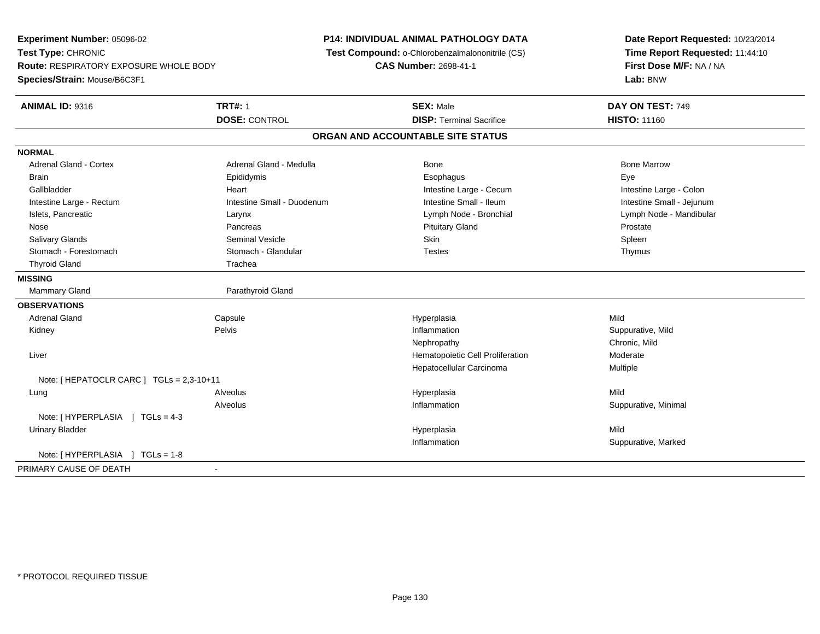**Experiment Number:** 05096-02**Test Type:** CHRONIC **Route:** RESPIRATORY EXPOSURE WHOLE BODY**Species/Strain:** Mouse/B6C3F1**P14: INDIVIDUAL ANIMAL PATHOLOGY DATA Test Compound:** o-Chlorobenzalmalononitrile (CS)**CAS Number:** 2698-41-1**Date Report Requested:** 10/23/2014**Time Report Requested:** 11:44:10**First Dose M/F:** NA / NA**Lab:** BNW**ANIMAL ID:** 9316**6 DAY ON TEST:** 749 **DOSE:** CONTROL**DISP:** Terminal Sacrifice **HISTO:** 11160 **ORGAN AND ACCOUNTABLE SITE STATUSNORMALAdrenal Gland - Cortex** Adrenal Gland - Medulla **Adrenal Gland - Medulla** Bone Bone Bone Bone Bone Marrow Brain Exercicles and the Exercise Epididymis Communications of the Exercise Exercise Exercise Exercise Exe Intestine Large - Colon Gallbladder **East Intestine Large - Cecum Intestine Large - Cecum** Intestine Large - Cecum Intestine Small - Jejunum Intestine Large - Rectum **Intestine Small - Duodenum** Intestine Small - Ileum Intestine Small - Ileum Islets, Pancreatic Larynx Lymph Node - Bronchial Lymph Node - Mandibular Nose Pancreas Pituitary Gland ProstateSpleen Salivary Glands Seminal Vesicle Skin SpleenThymus Stomach - Forestomach **Stomach - Glandular** Testes Testes Testes Testes Testes Testes The Testes The Testes The Testes The Testes The Testes Testes Testes Testes Testes Testes Testes Testes Testes Testes Testes Testes Test Thyroid Gland Thyroid Gland **MISSINGMammary Gland** Parathyroid Gland **OBSERVATIONS** Adrenal Gland Capsule Hyperplasia Mild Kidneyy the control of the Pelvis of the control of the control of the control of the control of the control of the control of the control of the control of the control of the control of the control of the control of the control Inflammation **Suppurative, Mild** Nephropathy Chronic, Mild Liver Hematopoietic Cell Proliferation Moderate Hepatocellular Carcinoma Multiple Note: [ HEPATOCLR CARC ] TGLs = 2,3-10+11Alveolus Lung Alveolus Hyperplasia Mild Alveolus Inflammation Suppurative, Minimal Note: [HYPERPLASIA ] TGLs = 4-3 Urinary Bladderr and the contract of the contract of the contract of the contract of the contract of the contract of the contract of the contract of the contract of the contract of the contract of the contract of the contract of the cont a Mild Inflammation Suppurative, Marked Note: [HYPERPLASIA ] TGLs = 1-8 PRIMARY CAUSE OF DEATH-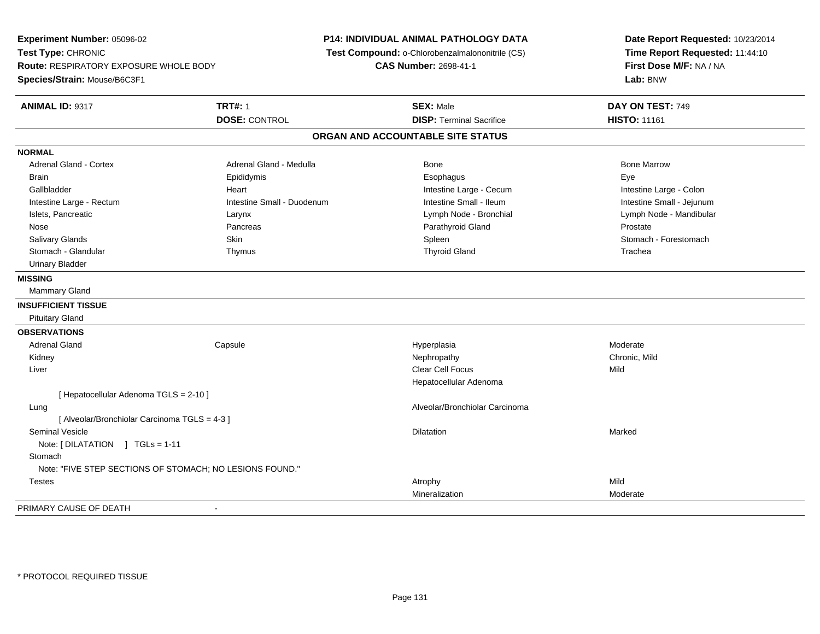**Experiment Number:** 05096-02**Test Type:** CHRONIC **Route:** RESPIRATORY EXPOSURE WHOLE BODY**Species/Strain:** Mouse/B6C3F1**P14: INDIVIDUAL ANIMAL PATHOLOGY DATA Test Compound:** o-Chlorobenzalmalononitrile (CS)**CAS Number:** 2698-41-1**Date Report Requested:** 10/23/2014**Time Report Requested:** 11:44:10**First Dose M/F:** NA / NA**Lab:** BNW**ANIMAL ID:** 9317**TRT#:** 1 **SEX:** Male **DAY ON TEST:** 749 **DOSE:** CONTROL**DISP:** Terminal Sacrifice **HISTO:** 11161 **ORGAN AND ACCOUNTABLE SITE STATUSNORMALAdrenal Gland - Cortex** Adrenal Gland - Medulla **Adrenal Gland - Medulla** Bone Bone Bone Bone Bone Marrow Brain Exercicles and the Exercise Epididymis Communications of the Exercise Exercise Exercise Exercise Exe Intestine Large - Colon Gallbladder **Gallbladder Heart** Intestine Large - Cecum Intestine Large - Cecum Intestine Large - Cecum Intestine Small - Jejunum Intestine Large - Rectum **Intestine Small - Duodenum** Intestine Small - Ileum Intestine Small - Ileum Islets, Pancreatic Larynx Lymph Node - Bronchial Lymph Node - Mandibular Nose Pancreas Parathyroid Gland ProstateStomach - Forestomach Salivary Glands Summach - Skin Shin Shin Shin Shines Spleen Shines Stomach - Forestomach - Stomach - Forestomach - Stomach - Stomach - Stomach - Stomach - Stomach - Stomach - Stomach - Stomach - Stomach - Stomach - Stomach Stomach - Glandular Thymus Thyroid Gland Trachea Urinary Bladder**MISSING** Mammary Gland**INSUFFICIENT TISSUE** Pituitary Gland**OBSERVATIONS** Adrenal Gland Capsule Hyperplasia Moderate Kidneyy the controller of the controller of the controller of the controller of the controller of the chronic, Mild Liverr and the contract of the contract of the contract of the contract of the contract of the contract of the contract of the contract of the contract of the contract of the contract of the contract of the contract of the cont s Mild Hepatocellular Adenoma[ Hepatocellular Adenoma TGLS = 2-10 ] Lung Alveolar/Bronchiolar Carcinoma [ Alveolar/Bronchiolar Carcinoma TGLS = 4-3 ] Seminal Vesiclee die die staatsbeskip van die beskryf van die beskryf van die beskryf van die beskryf van die beskryf van die<br>Dilatation Note: [ DILATATION ] TGLs = 1-11**Stomach**  Note: "FIVE STEP SECTIONS OF STOMACH; NO LESIONS FOUND." Testess the contract of the contract of the contract of the contract of the contract of the contract of the contract of the contract of the contract of the contract of the contract of the contract of the contract of the contract n Moderate MineralizationPRIMARY CAUSE OF DEATH-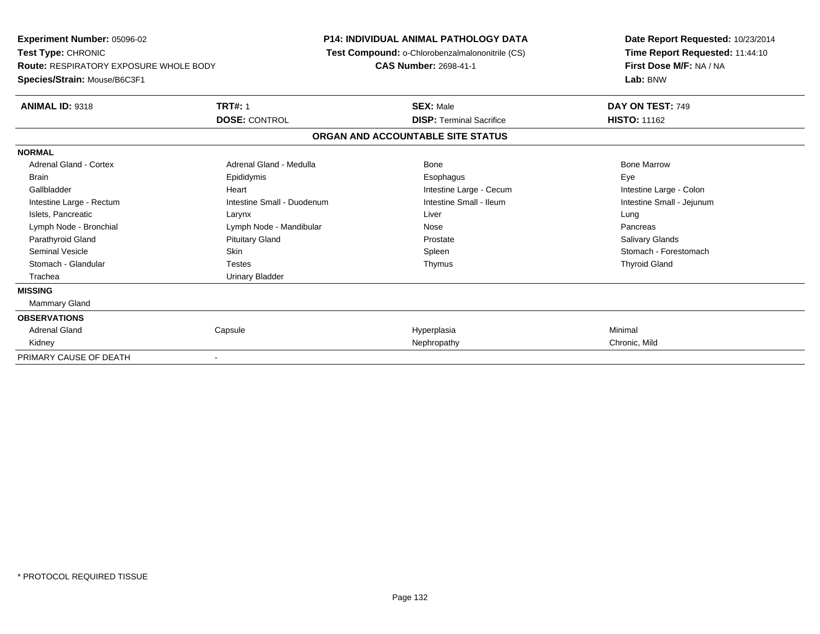| <b>Experiment Number: 05096-02</b><br>Test Type: CHRONIC<br><b>Route: RESPIRATORY EXPOSURE WHOLE BODY</b> |                            | <b>P14: INDIVIDUAL ANIMAL PATHOLOGY DATA</b><br>Test Compound: o-Chlorobenzalmalononitrile (CS)<br><b>CAS Number: 2698-41-1</b> | Date Report Requested: 10/23/2014<br>Time Report Requested: 11:44:10<br>First Dose M/F: NA / NA |  |  |
|-----------------------------------------------------------------------------------------------------------|----------------------------|---------------------------------------------------------------------------------------------------------------------------------|-------------------------------------------------------------------------------------------------|--|--|
| Species/Strain: Mouse/B6C3F1                                                                              |                            |                                                                                                                                 | Lab: BNW                                                                                        |  |  |
| <b>ANIMAL ID: 9318</b>                                                                                    | <b>TRT#: 1</b>             | <b>SEX: Male</b>                                                                                                                | DAY ON TEST: 749                                                                                |  |  |
|                                                                                                           | <b>DOSE: CONTROL</b>       | <b>DISP: Terminal Sacrifice</b>                                                                                                 | <b>HISTO: 11162</b>                                                                             |  |  |
|                                                                                                           |                            | ORGAN AND ACCOUNTABLE SITE STATUS                                                                                               |                                                                                                 |  |  |
| <b>NORMAL</b>                                                                                             |                            |                                                                                                                                 |                                                                                                 |  |  |
| <b>Adrenal Gland - Cortex</b>                                                                             | Adrenal Gland - Medulla    | <b>Bone</b>                                                                                                                     | <b>Bone Marrow</b>                                                                              |  |  |
| <b>Brain</b>                                                                                              | Epididymis                 | Esophagus                                                                                                                       | Eye                                                                                             |  |  |
| Gallbladder                                                                                               | Heart                      | Intestine Large - Cecum                                                                                                         | Intestine Large - Colon                                                                         |  |  |
| Intestine Large - Rectum                                                                                  | Intestine Small - Duodenum | Intestine Small - Ileum                                                                                                         | Intestine Small - Jejunum                                                                       |  |  |
| Islets, Pancreatic                                                                                        | Larynx                     | Liver                                                                                                                           | Lung                                                                                            |  |  |
| Lymph Node - Bronchial                                                                                    | Lymph Node - Mandibular    | Nose                                                                                                                            | Pancreas                                                                                        |  |  |
| Parathyroid Gland                                                                                         | <b>Pituitary Gland</b>     | Prostate                                                                                                                        | Salivary Glands                                                                                 |  |  |
| Seminal Vesicle                                                                                           | <b>Skin</b>                | Spleen                                                                                                                          | Stomach - Forestomach                                                                           |  |  |
| Stomach - Glandular                                                                                       | <b>Testes</b>              | Thymus                                                                                                                          | <b>Thyroid Gland</b>                                                                            |  |  |
| Trachea                                                                                                   | <b>Urinary Bladder</b>     |                                                                                                                                 |                                                                                                 |  |  |
| <b>MISSING</b>                                                                                            |                            |                                                                                                                                 |                                                                                                 |  |  |
| <b>Mammary Gland</b>                                                                                      |                            |                                                                                                                                 |                                                                                                 |  |  |
| <b>OBSERVATIONS</b>                                                                                       |                            |                                                                                                                                 |                                                                                                 |  |  |
| <b>Adrenal Gland</b>                                                                                      | Capsule                    | Hyperplasia                                                                                                                     | Minimal                                                                                         |  |  |
| Kidney                                                                                                    |                            | Nephropathy                                                                                                                     | Chronic, Mild                                                                                   |  |  |
| PRIMARY CAUSE OF DEATH                                                                                    |                            |                                                                                                                                 |                                                                                                 |  |  |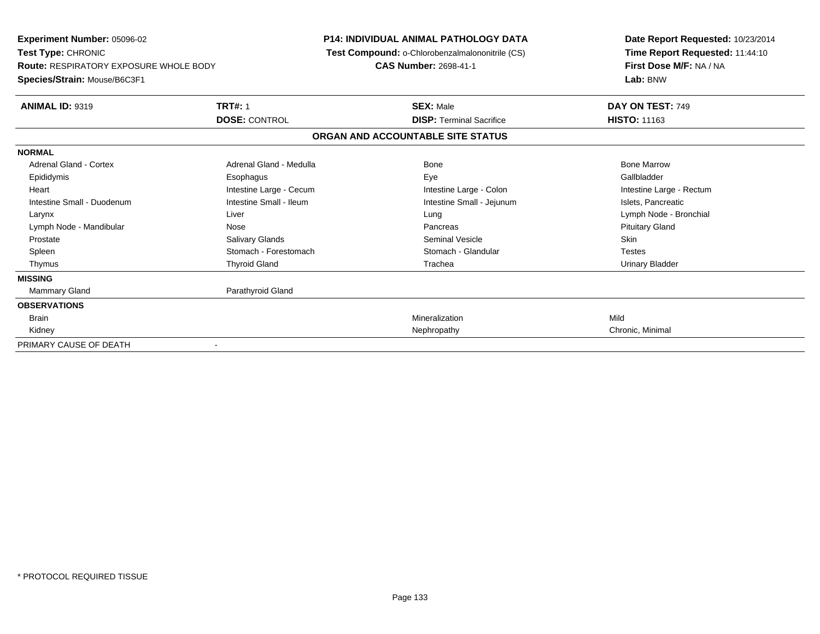| <b>Experiment Number: 05096-02</b><br><b>Test Type: CHRONIC</b>               |                         | <b>P14: INDIVIDUAL ANIMAL PATHOLOGY DATA</b><br>Test Compound: o-Chlorobenzalmalononitrile (CS) | Date Report Requested: 10/23/2014<br>Time Report Requested: 11:44:10 |  |  |
|-------------------------------------------------------------------------------|-------------------------|-------------------------------------------------------------------------------------------------|----------------------------------------------------------------------|--|--|
| <b>Route: RESPIRATORY EXPOSURE WHOLE BODY</b><br>Species/Strain: Mouse/B6C3F1 |                         | <b>CAS Number: 2698-41-1</b>                                                                    | First Dose M/F: NA / NA<br>Lab: BNW                                  |  |  |
| <b>ANIMAL ID: 9319</b>                                                        | <b>TRT#: 1</b>          | <b>SEX: Male</b>                                                                                | DAY ON TEST: 749                                                     |  |  |
|                                                                               | <b>DOSE: CONTROL</b>    | <b>DISP: Terminal Sacrifice</b>                                                                 | <b>HISTO: 11163</b>                                                  |  |  |
|                                                                               |                         | ORGAN AND ACCOUNTABLE SITE STATUS                                                               |                                                                      |  |  |
| <b>NORMAL</b>                                                                 |                         |                                                                                                 |                                                                      |  |  |
| <b>Adrenal Gland - Cortex</b>                                                 | Adrenal Gland - Medulla | Bone                                                                                            | <b>Bone Marrow</b>                                                   |  |  |
| Epididymis                                                                    | Esophagus               | Eye                                                                                             | Gallbladder                                                          |  |  |
| Heart                                                                         | Intestine Large - Cecum | Intestine Large - Colon                                                                         | Intestine Large - Rectum                                             |  |  |
| Intestine Small - Duodenum                                                    | Intestine Small - Ileum | Intestine Small - Jejunum                                                                       | Islets, Pancreatic                                                   |  |  |
| Larynx                                                                        | Liver                   | Lung                                                                                            | Lymph Node - Bronchial                                               |  |  |
| Lymph Node - Mandibular                                                       | Nose                    | Pancreas                                                                                        | <b>Pituitary Gland</b>                                               |  |  |
| Prostate                                                                      | <b>Salivary Glands</b>  | Seminal Vesicle                                                                                 | <b>Skin</b>                                                          |  |  |
| Spleen                                                                        | Stomach - Forestomach   | Stomach - Glandular                                                                             | <b>Testes</b>                                                        |  |  |
| Thymus                                                                        | <b>Thyroid Gland</b>    | Trachea                                                                                         | Urinary Bladder                                                      |  |  |
| <b>MISSING</b>                                                                |                         |                                                                                                 |                                                                      |  |  |
| <b>Mammary Gland</b>                                                          | Parathyroid Gland       |                                                                                                 |                                                                      |  |  |
| <b>OBSERVATIONS</b>                                                           |                         |                                                                                                 |                                                                      |  |  |
| <b>Brain</b>                                                                  |                         | Mineralization                                                                                  | Mild                                                                 |  |  |
| Kidney                                                                        |                         | Nephropathy                                                                                     | Chronic, Minimal                                                     |  |  |
| PRIMARY CAUSE OF DEATH                                                        |                         |                                                                                                 |                                                                      |  |  |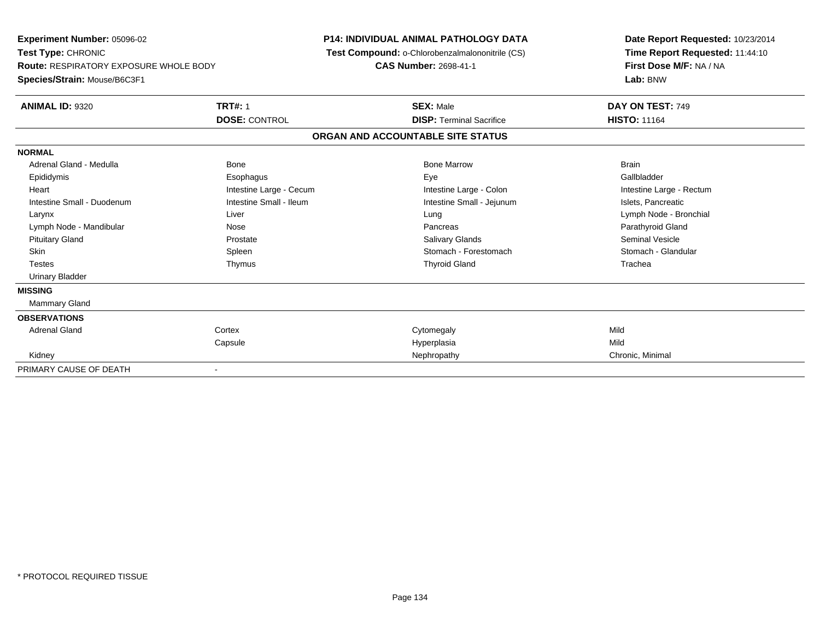| Experiment Number: 05096-02<br>Test Type: CHRONIC<br><b>Route: RESPIRATORY EXPOSURE WHOLE BODY</b><br>Species/Strain: Mouse/B6C3F1 |                         | <b>P14: INDIVIDUAL ANIMAL PATHOLOGY DATA</b><br>Test Compound: o-Chlorobenzalmalononitrile (CS)<br>CAS Number: 2698-41-1 |                                   | Date Report Requested: 10/23/2014<br>Time Report Requested: 11:44:10<br>First Dose M/F: NA / NA<br>Lab: BNW |  |  |
|------------------------------------------------------------------------------------------------------------------------------------|-------------------------|--------------------------------------------------------------------------------------------------------------------------|-----------------------------------|-------------------------------------------------------------------------------------------------------------|--|--|
| <b>ANIMAL ID: 9320</b>                                                                                                             | <b>TRT#: 1</b>          |                                                                                                                          | <b>SEX: Male</b>                  | DAY ON TEST: 749                                                                                            |  |  |
|                                                                                                                                    | <b>DOSE: CONTROL</b>    |                                                                                                                          | <b>DISP: Terminal Sacrifice</b>   | <b>HISTO: 11164</b>                                                                                         |  |  |
|                                                                                                                                    |                         |                                                                                                                          | ORGAN AND ACCOUNTABLE SITE STATUS |                                                                                                             |  |  |
| <b>NORMAL</b>                                                                                                                      |                         |                                                                                                                          |                                   |                                                                                                             |  |  |
| Adrenal Gland - Medulla                                                                                                            | <b>Bone</b>             |                                                                                                                          | <b>Bone Marrow</b>                | <b>Brain</b>                                                                                                |  |  |
| Epididymis                                                                                                                         | Esophagus               |                                                                                                                          | Eye                               | Gallbladder                                                                                                 |  |  |
| Heart                                                                                                                              | Intestine Large - Cecum |                                                                                                                          | Intestine Large - Colon           | Intestine Large - Rectum                                                                                    |  |  |
| Intestine Small - Duodenum                                                                                                         | Intestine Small - Ileum |                                                                                                                          | Intestine Small - Jejunum         | Islets, Pancreatic                                                                                          |  |  |
| Larynx                                                                                                                             | Liver                   |                                                                                                                          | Lung                              | Lymph Node - Bronchial                                                                                      |  |  |
| Lymph Node - Mandibular                                                                                                            | Nose                    |                                                                                                                          | Pancreas                          | Parathyroid Gland                                                                                           |  |  |
| <b>Pituitary Gland</b>                                                                                                             | Prostate                |                                                                                                                          | <b>Salivary Glands</b>            | <b>Seminal Vesicle</b>                                                                                      |  |  |
| <b>Skin</b>                                                                                                                        | Spleen                  |                                                                                                                          | Stomach - Forestomach             | Stomach - Glandular                                                                                         |  |  |
| <b>Testes</b>                                                                                                                      | Thymus                  |                                                                                                                          | <b>Thyroid Gland</b>              | Trachea                                                                                                     |  |  |
| <b>Urinary Bladder</b>                                                                                                             |                         |                                                                                                                          |                                   |                                                                                                             |  |  |
| <b>MISSING</b>                                                                                                                     |                         |                                                                                                                          |                                   |                                                                                                             |  |  |
| <b>Mammary Gland</b>                                                                                                               |                         |                                                                                                                          |                                   |                                                                                                             |  |  |
| <b>OBSERVATIONS</b>                                                                                                                |                         |                                                                                                                          |                                   |                                                                                                             |  |  |
| <b>Adrenal Gland</b>                                                                                                               | Cortex                  |                                                                                                                          | Cytomegaly                        | Mild                                                                                                        |  |  |
|                                                                                                                                    | Capsule                 |                                                                                                                          | Hyperplasia                       | Mild                                                                                                        |  |  |
| Kidney                                                                                                                             |                         |                                                                                                                          | Nephropathy                       | Chronic, Minimal                                                                                            |  |  |
| PRIMARY CAUSE OF DEATH                                                                                                             |                         |                                                                                                                          |                                   |                                                                                                             |  |  |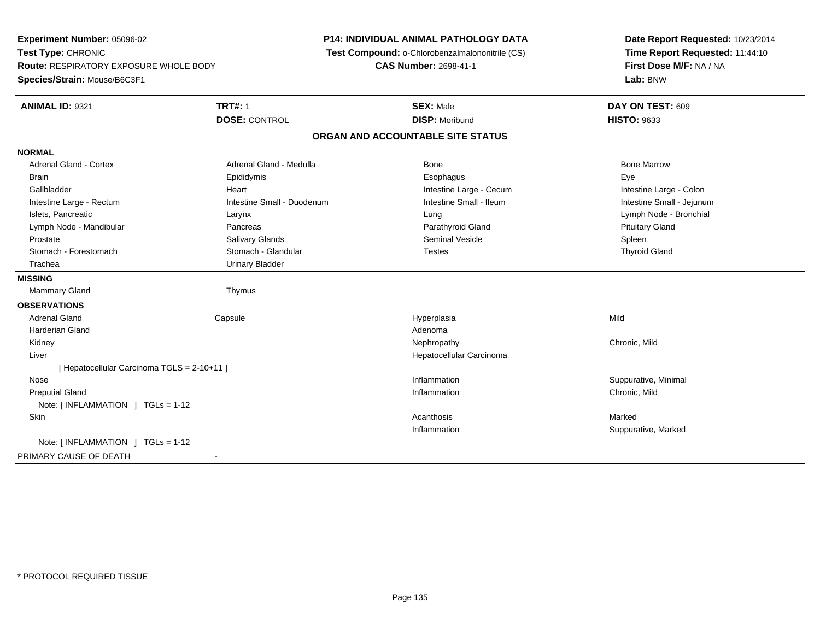**Experiment Number:** 05096-02**Test Type:** CHRONIC **Route:** RESPIRATORY EXPOSURE WHOLE BODY**Species/Strain:** Mouse/B6C3F1**P14: INDIVIDUAL ANIMAL PATHOLOGY DATA Test Compound:** o-Chlorobenzalmalononitrile (CS)**CAS Number:** 2698-41-1**Date Report Requested:** 10/23/2014**Time Report Requested:** 11:44:10**First Dose M/F:** NA / NA**Lab:** BNW**ANIMAL ID:** 9321**TRT#:** 1 **SEX:** Male **DAY ON TEST:** 609 **DOSE:** CONTROL **DISP:** Moribund **HISTO:** <sup>9633</sup> **ORGAN AND ACCOUNTABLE SITE STATUSNORMALAdrenal Gland - Cortex** Adrenal Gland - Medulla **Adrenal Gland - Medulla** Bone Bone Bone Bone Bone Marrow Brain Exercicles and the Exercise Epididymis Communications of the Exercise Exercise Exercise Exercise Exe Intestine Large - Colon Gallbladder **Gallbladder Heart** Intestine Large - Cecum Intestine Large - Cecum Intestine Large - Cecum Intestine Small - Jejunum Intestine Large - Rectum **Intestine Small - Duodenum** Intestine Small - Ileum Intestine Small - Ileum Islets, Pancreatic Larynx Lung Lymph Node - Bronchial Lymph Node - Mandibular Pancreas Parathyroid Gland Pituitary Gland Prostate Salivary Glands Seminal Vesicle Spleen**Thyroid Gland**  Stomach - Forestomach Stomach - Glandular Testes Thyroid Gland Trachea Urinary Bladder**MISSING**Mammary Gland Thymus **OBSERVATIONS** Adrenal Gland Capsule Hyperplasia Mild Harderian Glandd and a state of the control of the control of the control of the control of the control of the control of the control of the control of the control of the control of the control of the control of the control of the contro Kidneyy the controller of the controller of the controller of the controller of the controller of the chronic, Mild Liver Hepatocellular Carcinoma[ Hepatocellular Carcinoma TGLS = 2-10+11 ] Nosee the contract of the contract of the contract of the contract of the contract of the contract of the contract of the contract of the contract of the contract of the contract of the contract of the contract of the contract Preputial Glandd
and
the contract of the contract of the contract of the contract of the contract of the contract of the contract of the contract of the contract of the contract of the contract of the contract of the contract of the cont Note: [ INFLAMMATION ] TGLs = 1-12**Skin** n and the controller of the controller of the controller of the controller of the controller of the controller of the controller of the controller of the controller of the controller of the controller of the controller of Inflammation Suppurative, Marked Note: [ INFLAMMATION ] TGLs = 1-12PRIMARY CAUSE OF DEATH-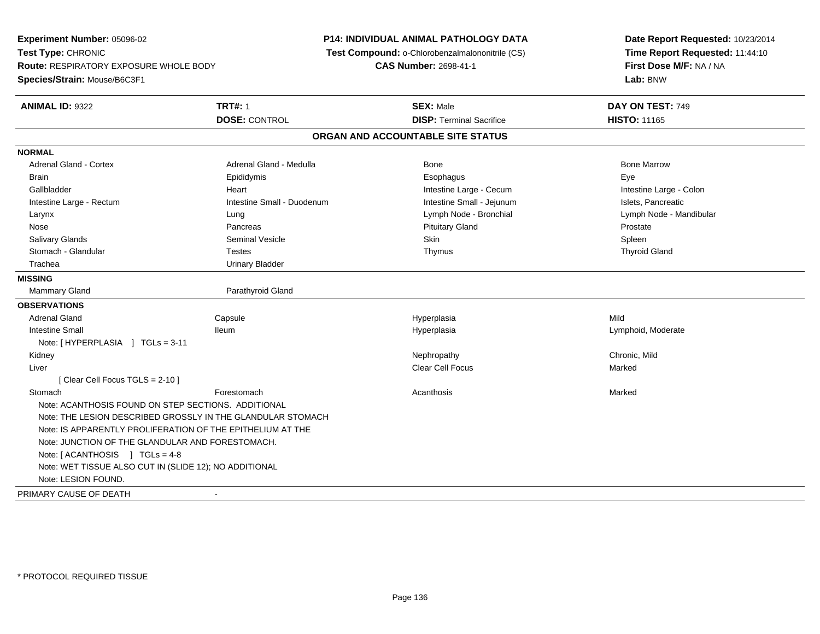**Experiment Number:** 05096-02**Test Type:** CHRONIC **Route:** RESPIRATORY EXPOSURE WHOLE BODY**Species/Strain:** Mouse/B6C3F1**P14: INDIVIDUAL ANIMAL PATHOLOGY DATA Test Compound:** o-Chlorobenzalmalononitrile (CS)**CAS Number:** 2698-41-1**Date Report Requested:** 10/23/2014**Time Report Requested:** 11:44:10**First Dose M/F:** NA / NA**Lab:** BNW**ANIMAL ID:** 9322**TRT#:** 1 **SEX:** Male **DAY ON TEST:** 749 **DOSE:** CONTROL**DISP:** Terminal Sacrifice **HISTO:** 11165 **ORGAN AND ACCOUNTABLE SITE STATUSNORMALAdrenal Gland - Cortex** Adrenal Gland - Medulla **Bone Adrenal Gland - Cortex Adrenal Gland - Cortex Adrenal Gland - Medulla** Bone Marrow Brain Exercicles and the Exercise Epididymis Communications of the Exercise Exercise Exercise Exercise Exe Intestine Large - Colon Gallbladder **Gallbladder Heart** Intestine Large - Cecum Intestine Large - Cecum Intestine Large - Cecum Intestine Large - Rectum **Intestine Small - Duodenum** Intestine Small - Jejunum Intestine Small - Jejunum Islets, Pancreatic Larynx Lung Lymph Node - Bronchial Lymph Node - Mandibular Nose Pancreas Pituitary Gland ProstateSpleen Salivary Glands Seminal Vesicle Skin Spleen**Thyroid Gland**  Stomach - Glandular Testes Thymus Thyroid Gland Trachea Urinary Bladder**MISSINGMammary Gland** Parathyroid Gland **OBSERVATIONS** Adrenal Gland Capsule Hyperplasia Mild Intestine Small Ileum Hyperplasia Lymphoid, Moderate Note: [ HYPERPLASIA ] TGLs = 3-11 Kidneyy the controller of the controller of the controller of the controller of the controller of the chronic, Mild Liverr and the contract of the contract of the contract of the contract of the contract of the contract of the contract of the contract of the contract of the contract of the contract of the contract of the contract of the cont s Marked [ Clear Cell Focus TGLS = 2-10 ]**Stomach** h anns an t-India anns an t-India anns an t-India anns an t-India anns an t-India anns an t-India anns an Marked Note: ACANTHOSIS FOUND ON STEP SECTIONS. ADDITIONAL Note: THE LESION DESCRIBED GROSSLY IN THE GLANDULAR STOMACHNote: IS APPARENTLY PROLIFERATION OF THE EPITHELIUM AT THENote: JUNCTION OF THE GLANDULAR AND FORESTOMACH.Note: [ ACANTHOSIS ] TGLs = 4-8 Note: WET TISSUE ALSO CUT IN (SLIDE 12); NO ADDITIONALNote: LESION FOUND.PRIMARY CAUSE OF DEATH-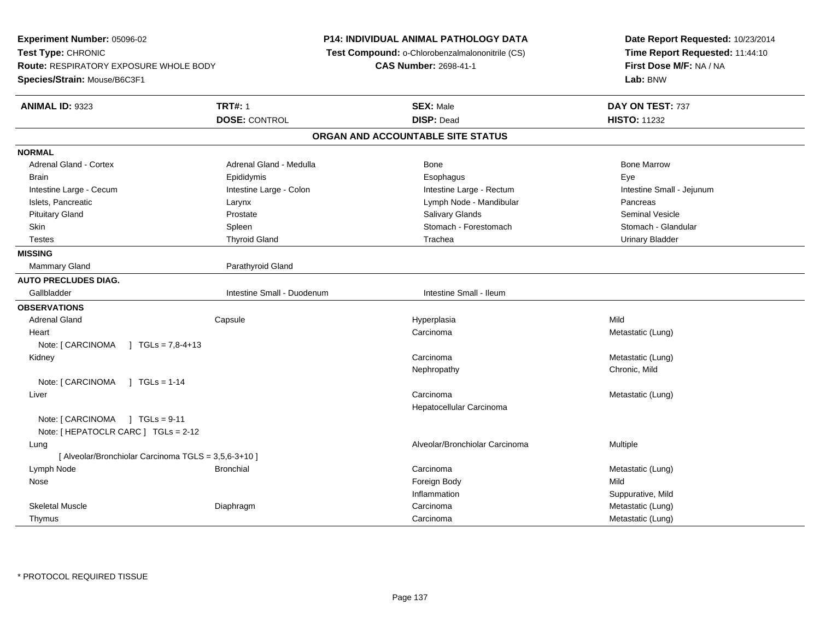**Experiment Number:** 05096-02**Test Type:** CHRONIC **Route:** RESPIRATORY EXPOSURE WHOLE BODY**Species/Strain:** Mouse/B6C3F1**P14: INDIVIDUAL ANIMAL PATHOLOGY DATA Test Compound:** o-Chlorobenzalmalononitrile (CS)**CAS Number:** 2698-41-1**Date Report Requested:** 10/23/2014**Time Report Requested:** 11:44:10**First Dose M/F:** NA / NA**Lab:** BNW**ANIMAL ID:** 9323**TRT#:** 1 **SEX:** Male **DAY ON TEST:** 737 **DOSE:** CONTROL **DISP:** Dead **HISTO:** <sup>11232</sup> **ORGAN AND ACCOUNTABLE SITE STATUSNORMALAdrenal Gland - Cortex** Adrenal Gland - Medulla **Bone Adrenal Gland - Cortex Adrenal Gland - Cortex Adrenal Gland - Medulla** Bone Marrow Brain Exercicles and the Exercise Epididymis Communications of the Exercise Exercise Exercise Exercise Exe Intestine Large - Cecum and Intestine Large - Colon and Intestine Large - Rectum and Intestine Small - Jejunum Islets, Pancreatic Larynx Lymph Node - Mandibular Pancreas**Seminal Vesicle**  Pituitary Gland Prostate Salivary Glands Seminal VesicleStomach - Glandular Skin Stomach - Forestomach Spleen Stomach - Forestomach - Stomach - Forestomach - Stomach - Forestomach - Glandular Testes Thyroid Gland Trachea Urinary Bladder**MISSINGMammary Gland** Parathyroid Gland **AUTO PRECLUDES DIAG.**Gallbladder **Intestine Small - Duodenum** Intestine Small - Duodenum Intestine Small - Ileum **OBSERVATIONS** Adrenal Gland Capsule Hyperplasia Mild Heartt de la componentación de la componentación de la componentación de la componentación de la componentación de Carcinoma<br>
Metastatic (Lung) Note:  $[ CARCINOMA ] TGLs = 7,8-4+13$  Kidneyy contract to the contract of the contract of the contract of the contract of the contract of the contract of the contract of the contract of the contract of the contract of the contract of the contract of the contract of Carcinoma Metastatic (Lung) Nephropathy Chronic, MildNote: [ CARCINOMA ] TGLs = 1-14 Liverr and the contract of the contract of the contract of the contract of the contract of the contract of the contract of the contract of the contract of the contract of the contract of the contract of the contract of the cont Carcinoma **Metastatic (Lung)** Hepatocellular CarcinomaNote: [ CARCINOMA ] TGLs = 9-11 Note: [ HEPATOCLR CARC ] TGLs = 2-12 Lungg is a constant of the contract of the constant of the constant of the constant of the constant of the constant  $\alpha$  Multiple [ Alveolar/Bronchiolar Carcinoma TGLS = 3,5,6-3+10 ] Lymph Node Bronchial Carcinoma Metastatic (Lung) Nosee and the state of the state of the state of the state of the state of the state of the state of the state of the state of the state of the state of the state of the state of the state of the state of the state of the stat Inflammation Suppurative, Mild Skeletal Muscle Diaphragmm Carcinoma Carcinoma Carcinoma Metastatic (Lung) Thymuss and the contract of the contract of the contract of the contract of the contract of the contract of the contract of the contract of the contract of the contract of the contract of the contract of the contract of the cont Carcinoma Metastatic (Lung)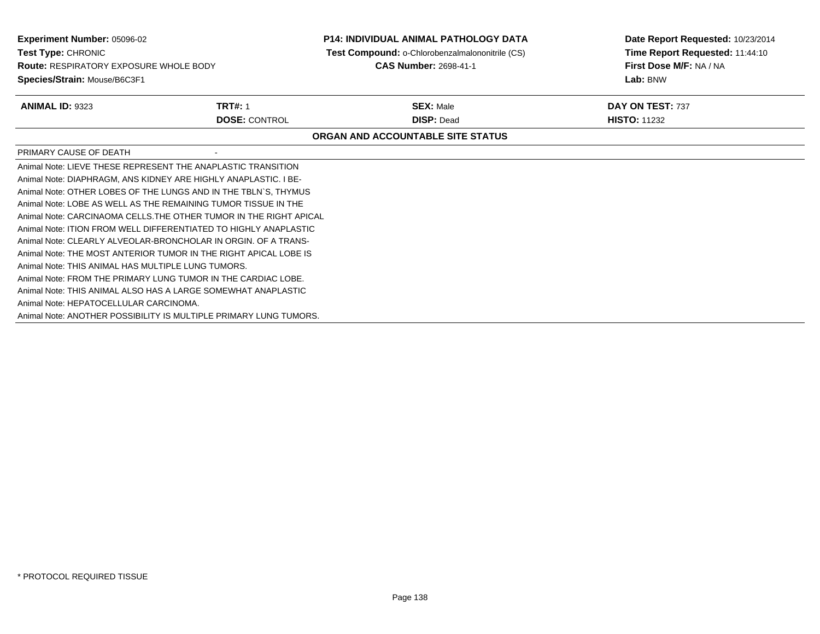**Experiment Number:** 05096-02**Test Type:** CHRONIC **Route:** RESPIRATORY EXPOSURE WHOLE BODY**Species/Strain:** Mouse/B6C3F1**P14: INDIVIDUAL ANIMAL PATHOLOGY DATA Test Compound:** o-Chlorobenzalmalononitrile (CS)**CAS Number:** 2698-41-1**Date Report Requested:** 10/23/2014**Time Report Requested:** 11:44:10**First Dose M/F:** NA / NA**Lab:** BNW**ANIMAL ID:** 9323**TRT#:** 1 **SEX:** Male **DAY ON TEST:** 737 **DOSE:** CONTROL **DISP:** Dead **HISTO:** <sup>11232</sup> **ORGAN AND ACCOUNTABLE SITE STATUS**PRIMARY CAUSE OF DEATH - Animal Note: LIEVE THESE REPRESENT THE ANAPLASTIC TRANSITION Animal Note: DIAPHRAGM, ANS KIDNEY ARE HIGHLY ANAPLASTIC. I BE-Animal Note: OTHER LOBES OF THE LUNGS AND IN THE TBLN`S, THYMUSAnimal Note: LOBE AS WELL AS THE REMAINING TUMOR TISSUE IN THE Animal Note: CARCINAOMA CELLS.THE OTHER TUMOR IN THE RIGHT APICALAnimal Note: ITION FROM WELL DIFFERENTIATED TO HIGHLY ANAPLASTIC Animal Note: CLEARLY ALVEOLAR-BRONCHOLAR IN ORGIN. OF A TRANS-Animal Note: THE MOST ANTERIOR TUMOR IN THE RIGHT APICAL LOBE ISAnimal Note: THIS ANIMAL HAS MULTIPLE LUNG TUMORS.Animal Note: FROM THE PRIMARY LUNG TUMOR IN THE CARDIAC LOBE.Animal Note: THIS ANIMAL ALSO HAS A LARGE SOMEWHAT ANAPLASTICAnimal Note: HEPATOCELLULAR CARCINOMA.Animal Note: ANOTHER POSSIBILITY IS MULTIPLE PRIMARY LUNG TUMORS.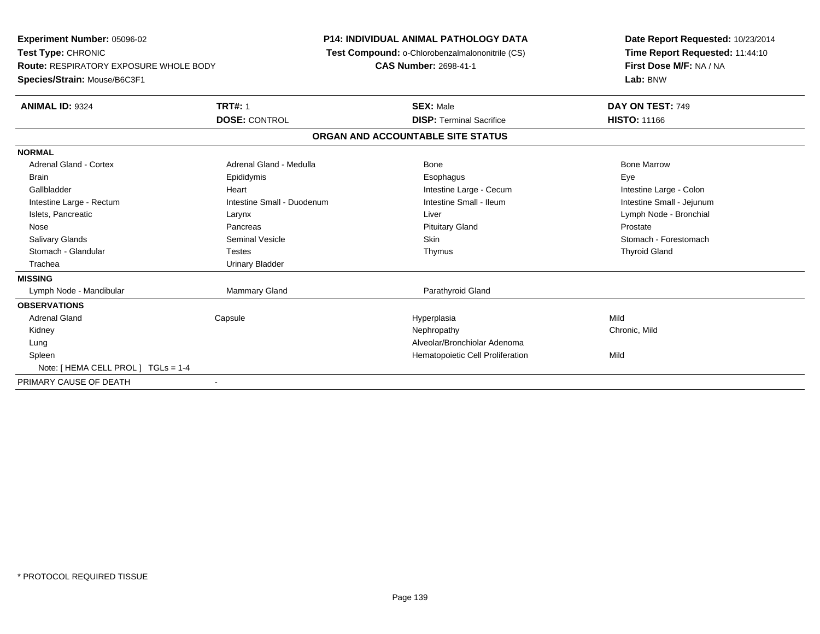**Experiment Number:** 05096-02**Test Type:** CHRONIC **Route:** RESPIRATORY EXPOSURE WHOLE BODY**Species/Strain:** Mouse/B6C3F1**P14: INDIVIDUAL ANIMAL PATHOLOGY DATA Test Compound:** o-Chlorobenzalmalononitrile (CS)**CAS Number:** 2698-41-1**Date Report Requested:** 10/23/2014**Time Report Requested:** 11:44:10**First Dose M/F:** NA / NA**Lab:** BNW**ANIMAL ID:** 9324**TRT#:** 1 **SEX:** Male **DAY ON TEST:** 749 **DOSE:** CONTROL**DISP:** Terminal Sacrifice **HISTO:** 11166 **ORGAN AND ACCOUNTABLE SITE STATUSNORMALAdrenal Gland - Cortex** Adrenal Gland - Medulla **Adrenal Gland - Medulla** Bone Bone Bone Bone Bone Marrow Brain Exercicles and the Exercise Epididymis Communications of the Exercise Exercise Exercise Exercise Exe Intestine Large - Colon Gallbladder **Gallbladder Heart** Intestine Large - Cecum Intestine Large - Cecum Intestine Large - Cecum Intestine Small - Jejunum Intestine Large - Rectum **Intestine Small - Duodenum** Intestine Small - Ileum Intestine Small - Ileum Islets, Pancreatic Larynx Liver Lymph Node - Bronchial Nose Pancreas Pituitary Gland ProstateStomach - Forestomach Salivary Glands Summath Seminal Vesicle Seminal Vesicle Skin Skin Stomach - Forestomach - Stomach - Forestomach - Stomach - Stomach - Stomach - Stomach - Stomach - Stomach - Stomach - Stomach - Stomach - Stomach - Stomach Stomach - Glandular Testes Thymus Thyroid GlandTrachea **Urinary Bladder MISSING** Lymph Node - Mandibular Mammary Gland Parathyroid Gland**OBSERVATIONS** Adrenal Gland Capsule Hyperplasia Mild Kidneyy the controller of the controller of the controller of the controller of the controller of the chronic, Mild Lung Alveolar/Bronchiolar Adenoma SpleenHematopoietic Cell Proliferation Mild Note: [ HEMA CELL PROL ] TGLs = 1-4PRIMARY CAUSE OF DEATH-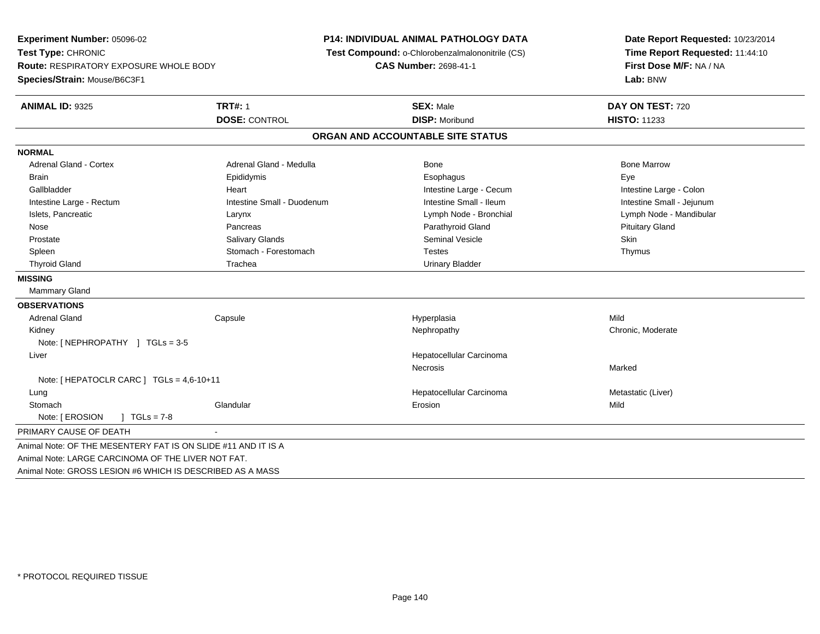**Experiment Number:** 05096-02**Test Type:** CHRONIC **Route:** RESPIRATORY EXPOSURE WHOLE BODY**Species/Strain:** Mouse/B6C3F1**P14: INDIVIDUAL ANIMAL PATHOLOGY DATA Test Compound:** o-Chlorobenzalmalononitrile (CS)**CAS Number:** 2698-41-1**Date Report Requested:** 10/23/2014**Time Report Requested:** 11:44:10**First Dose M/F:** NA / NA**Lab:** BNW**ANIMAL ID:** 9325 **TRT#:** <sup>1</sup> **SEX:** Male **DAY ON TEST:** <sup>720</sup> **DOSE:** CONTROL **DISP:** Moribund **HISTO:** <sup>11233</sup> **ORGAN AND ACCOUNTABLE SITE STATUSNORMALAdrenal Gland - Cortex** Adrenal Gland - Medulla **Bone Adrenal Gland - Cortex Adrenal Gland - Cortex Adrenal Gland - Medulla** Bone Marrow Brain Exercicles and the Exercise Epididymis Communications of the Exercise Exercise Exercise Exercise Exe Intestine Large - Colon Gallbladder **Gallbladder Heart** Intestine Large - Cecum Intestine Large - Cecum Intestine Large - Cecum Intestine Small - Jejunum Intestine Large - Rectum **Intestine Small - Duodenum** Intestine Small - Ileum Intestine Small - Ileum Islets, Pancreatic Larynx Lymph Node - Bronchial Lymph Node - Mandibular Nose Pancreas Parathyroid Gland Pituitary Gland Prostate Salivary Glands Seminal Vesicle SkinThymus Spleen Stomach - Forestomach - Stomach - Forestomach Testes Thyroid Gland Trachea Trachea Trachea Urinary Bladder **MISSING** Mammary Gland**OBSERVATIONS** Adrenal Gland Capsule Hyperplasia Mild Kidneyy the chronic, Moderate and September 2011 of the Chronic Moderate and September 2012 of the Chronic, Moderate Note: [ NEPHROPATHY ] TGLs = 3-5 Liver Hepatocellular Carcinoma**Necrosis** s and the contract of the Marked Note: [ HEPATOCLR CARC ] TGLs = 4,6-10+11 Lung Hepatocellular Carcinoma Metastatic (Liver) **Stomach** h ann an Glandular Changes ann an t-Iomraid ann an t-Iomraid ann an t-Iomraid ann an Mild an Mild an Mild an M Note: [ EROSION ] TGLs = 7-8 PRIMARY CAUSE OF DEATH - Animal Note: OF THE MESENTERY FAT IS ON SLIDE #11 AND IT IS AAnimal Note: LARGE CARCINOMA OF THE LIVER NOT FAT.Animal Note: GROSS LESION #6 WHICH IS DESCRIBED AS A MASS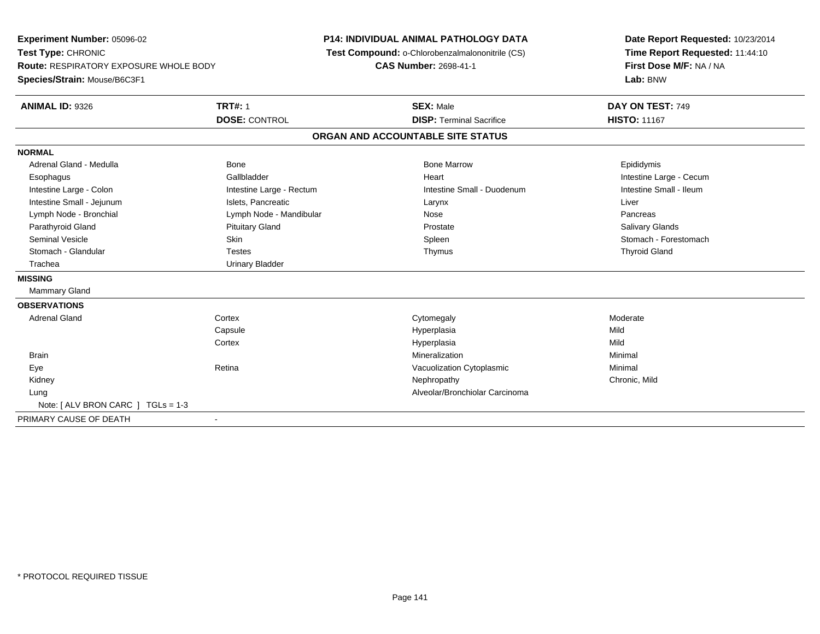**Experiment Number:** 05096-02**Test Type:** CHRONIC **Route:** RESPIRATORY EXPOSURE WHOLE BODY**Species/Strain:** Mouse/B6C3F1**P14: INDIVIDUAL ANIMAL PATHOLOGY DATA Test Compound:** o-Chlorobenzalmalononitrile (CS)**CAS Number:** 2698-41-1**Date Report Requested:** 10/23/2014**Time Report Requested:** 11:44:10**First Dose M/F:** NA / NA**Lab:** BNW**ANIMAL ID:** 9326**6 DAY ON TEST:** 749 **DOSE:** CONTROL**DISP:** Terminal Sacrifice **HISTO:** 11167 **ORGAN AND ACCOUNTABLE SITE STATUSNORMAL**Adrenal Gland - Medulla Newsternal Bone Bone Bone Bone Marrow Bone Marrow Bone Marrow Bone Epididymis Esophagus **Example 19** Callbladder **Gallbladder Community Community Community** Heart Heart Intestine Large - Cecum Intestine Small - Ileum Intestine Large - Colon **Intestine Large - Rectum** Intestine Small - Duodenum Intestine Small - Duodenum Intestine Small - Jejunum **Intestine Small - Jejunum** Islets, Pancreatic **National Communist Communist Communist Communist Communist Communist Communist Communist Communist Communist Communist Communist Communist Communist** Lymph Node - Bronchial Pancreas Chemical Lymph Node - Mandibular Nose Nose Pancreas Pancreas Pancreas **Salivary Glands** Parathyroid Gland Salivary Glands Pituitary Gland Prosection Prostate Prostate Salivary Glands Salivary Glands Seminal Vesicle Skin Skin Skin Skin Stomach - Forestomach Spleen Stomach - Forestomach - Stomach - Forestomach Stomach - Glandular Testes Thymus Thyroid GlandTrachea **Urinary Bladder MISSING** Mammary Gland**OBSERVATIONS** Adrenal Glandd external cortex corresponding to the cytomegaly control control of the control of the control of the control of the control of the control of the control of the control of the control of the control of the control of the **Capsule**  Hyperplasia Mild **Cortex** Hyperplasia<br>Mineralization a Mild **Brain** n and the controller of the controller of the controller of the Minimal Minimal and the controller of the controller of the controller of the controller of the controller of the controller of the controller of the controll EyeRetina **Retina Retina Retina Retina Retina Retinal Retinal Representation Cytoplasmic Chronic Mid Chronic Mid**  Kidneyy the controller of the controller of the controller of the controller of the controller of the chronic, Mild Lung Alveolar/Bronchiolar Carcinoma Note: [ ALV BRON CARC ] TGLs = 1-3PRIMARY CAUSE OF DEATH-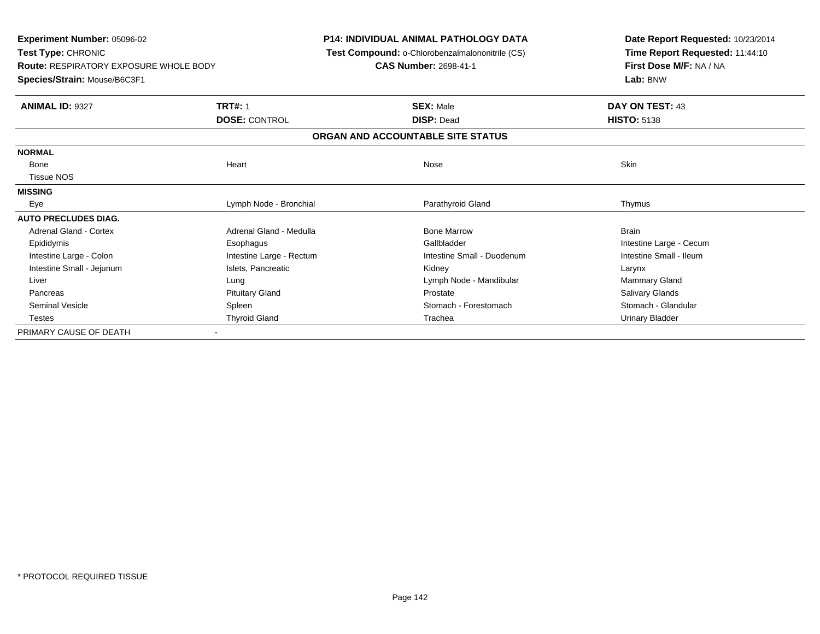**Experiment Number:** 05096-02**Test Type:** CHRONIC **Route:** RESPIRATORY EXPOSURE WHOLE BODY**Species/Strain:** Mouse/B6C3F1**P14: INDIVIDUAL ANIMAL PATHOLOGY DATA Test Compound:** o-Chlorobenzalmalononitrile (CS)**CAS Number:** 2698-41-1**Date Report Requested:** 10/23/2014**Time Report Requested:** 11:44:10**First Dose M/F:** NA / NA**Lab:** BNW**ANIMAL ID:** 9327**TRT#:** 1 **SEX:** Male **DAY ON TEST:** 43 **DOSE:** CONTROL **DISP:** Dead **HISTO:** <sup>5138</sup> **ORGAN AND ACCOUNTABLE SITE STATUSNORMAL**Bone Bone Heart Nose Skin Tissue NOS**MISSING**Eye **Execution Contract Contract Contract Contract Contract Contract Contract Contract Contract Contract Contract Contract Contract Contract Contract Contract Contract Contract Contract Contract Contract Contract Contract AUTO PRECLUDES DIAG.**Adrenal Gland - Cortex **Adrenal Gland - Medulla** Bone Marrow Brain Bone Marrow Brain Epididymis Esophagus Gallbladder Intestine Large - CecumIntestine Small - Ileum Intestine Large - Colon **Intestine Large - Rectum** Intestine Small - Duodenum Intestine Small - Duodenum Intestine Small - Jejunum **Islets, Pancreatic** Chronic Communications and Communications Carynx Larynx Mammary Gland Liver **Liver** 2008 Communication and Lung Lung Lung Communication and Lymph Node - Mandibular Mammary Gland Mammary Gland **Salivary Glands** Pancreas **Pituitary Gland Prostate Salivary Glands** Prostate Salivary Glands Prostate Salivary Glands Stomach - Glandular Seminal Vesicle Spleen Spleen Spleen Stomach - Forestomach - Stomach - Stomach - Forestomach Testes Thyroid Gland The Communication of the Communication of the Communication of the Urinary Bladder Urinary Bladder PRIMARY CAUSE OF DEATH-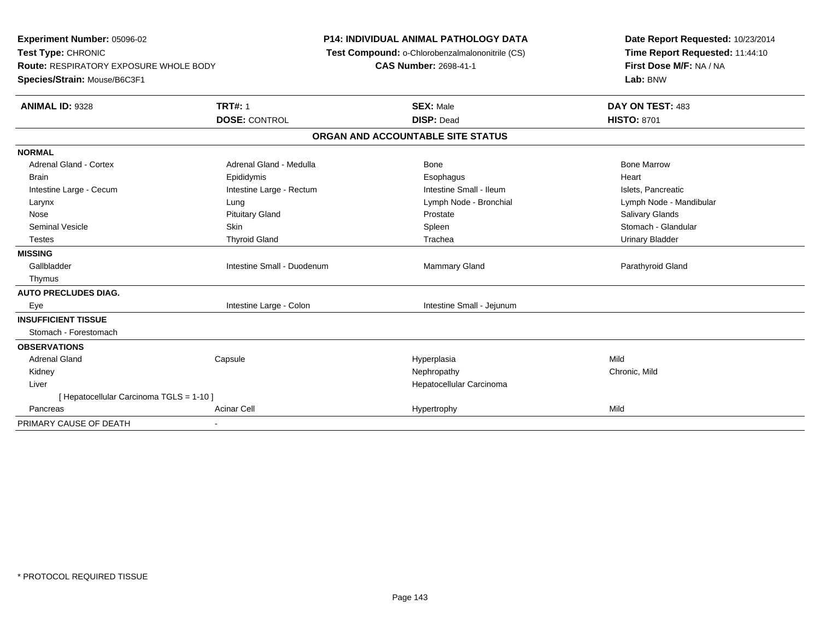**Experiment Number:** 05096-02**Test Type:** CHRONIC **Route:** RESPIRATORY EXPOSURE WHOLE BODY**Species/Strain:** Mouse/B6C3F1**P14: INDIVIDUAL ANIMAL PATHOLOGY DATA Test Compound:** o-Chlorobenzalmalononitrile (CS)**CAS Number:** 2698-41-1**Date Report Requested:** 10/23/2014**Time Report Requested:** 11:44:10**First Dose M/F:** NA / NA**Lab:** BNW**ANIMAL ID:** 9328**Ref TRT#:** 1 **SEX:** Male **DAY ON TEST:** 483 **DOSE:** CONTROL **DISP:** Dead **HISTO:** <sup>8701</sup> **ORGAN AND ACCOUNTABLE SITE STATUSNORMALAdrenal Gland - Cortex** Adrenal Gland - Medulla **Adrenal Gland - Medulla** Bone Bone Bone Bone Bone Marrow Brain Epididymis Epididymis and the Brook of the Brook of the Brook of the Brook of the Heart Heart Heart Heart Intestine Large - Cecum **Intestine Large - Rectum** Intestine Small - Ileum Intestine Small - Ileum Islets, Pancreatic Larynx Lung Lymph Node - Bronchial Lymph Node - Mandibular Nose Pituitary Gland Prostate Salivary GlandsSeminal Vesicle Skin Schlichten Skin Schlichten Spleen Spleen Schlichten Stomach - Glandular Testes Thyroid Gland Trachea Urinary Bladder**MISSING**Gallbladder Intestine Small - Duodenum **Mammary Gland** Parathyroid Gland Parathyroid Gland Thymus**AUTO PRECLUDES DIAG.**Eye **Intestine Large - Colon** Intestine Colon **Intestine Small - Jejunum INSUFFICIENT TISSUE** Stomach - Forestomach**OBSERVATIONS** Adrenal Gland Capsule Hyperplasia Mild Kidneyy the controller of the controller of the controller of the controller of the controller of the chronic, Mild  $\sim$  Chronic, Mild  $\sim$  Chronic, Mild  $\sim$  Chronic, Mild  $\sim$  Chronic, Mild  $\sim$  Chronic, Mild  $\sim$  Chronic, Mil Liver Hepatocellular Carcinoma[ Hepatocellular Carcinoma TGLS = 1-10 ] Pancreass and the contract of the Acinar Cell the Cell of the Hypertrophy of the Hypertrophy Mild PRIMARY CAUSE OF DEATH-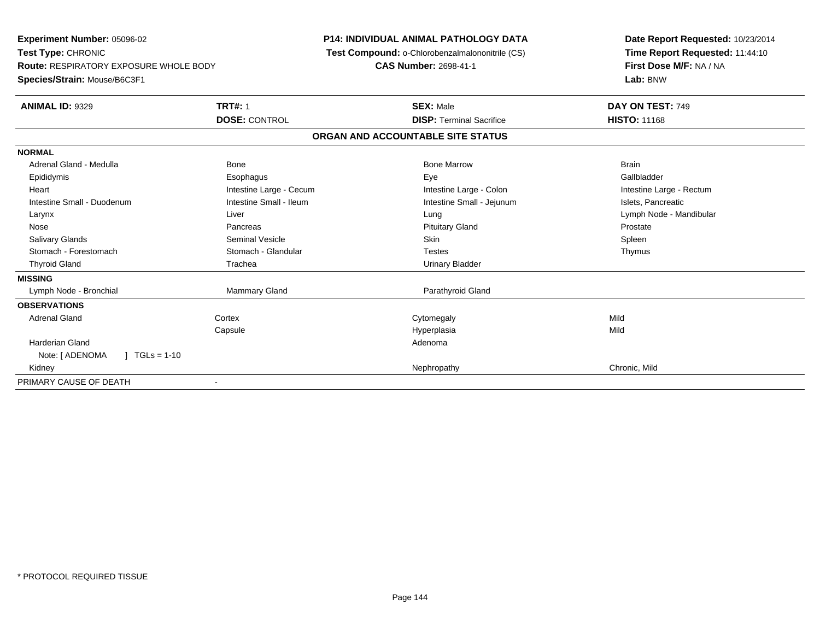**Experiment Number:** 05096-02**Test Type:** CHRONIC **Route:** RESPIRATORY EXPOSURE WHOLE BODY**Species/Strain:** Mouse/B6C3F1**P14: INDIVIDUAL ANIMAL PATHOLOGY DATA Test Compound:** o-Chlorobenzalmalononitrile (CS)**CAS Number:** 2698-41-1**Date Report Requested:** 10/23/2014**Time Report Requested:** 11:44:10**First Dose M/F:** NA / NA**Lab:** BNW**ANIMAL ID:** 9329**TRT#:** 1 **SEX:** Male **DAY ON TEST:** 749 **DOSE:** CONTROL**DISP:** Terminal Sacrifice **HISTO:** 11168 **ORGAN AND ACCOUNTABLE SITE STATUSNORMAL**Adrenal Gland - Medulla Bone Bone Bone Marrow Bone Marrow Brain Brain Brain Brain Gallbladder Epididymis Esophagus Eye GallbladderHeart **Intestine Large - Cecum** Intestine Large - Cecum Intestine Large - Colon Intestine Large - Rectum Intestine Small - Duodenum **Intestine Small - Ileum** Intestine Small - Ileum Intestine Small - Jejunum Intestine Small - Jejunum Islets, Pancreatic Larynx Liver Lung Lymph Node - Mandibular Nose Pancreas Pituitary Gland ProstateSpleen Salivary Glands Seminal Vesicle Skin SpleenThymus Stomach - Forestomach **Stomach - Glandular** Testes Testes Testes Testes Testes The Testes The Testes The Testes The Testes The Testes The Testes The Testes Testes The Testes Testes Testes Testes Testes Testes Testes Testes Thyroid Gland Trachea Trachea Communication Christian Urinary Bladder **MISSING**Lymph Node - Bronchial Mammary Gland Parathyroid Gland **OBSERVATIONS** Adrenal Glandd cortex Cortex Cortex Cytomegaly Cytomegaly **Capsule**  Hyperplasia Mild Harderian Glandd and a state of the control of the control of the control of the control of the control of the control of the control of the control of the control of the control of the control of the control of the control of the contro Note: [ ADENOMA ] TGLs = 1-10 Kidneyy the controller that the controller the controller that the controller the controller than  $\mathsf{N}\mathsf{E}$  chronic, Mild PRIMARY CAUSE OF DEATH-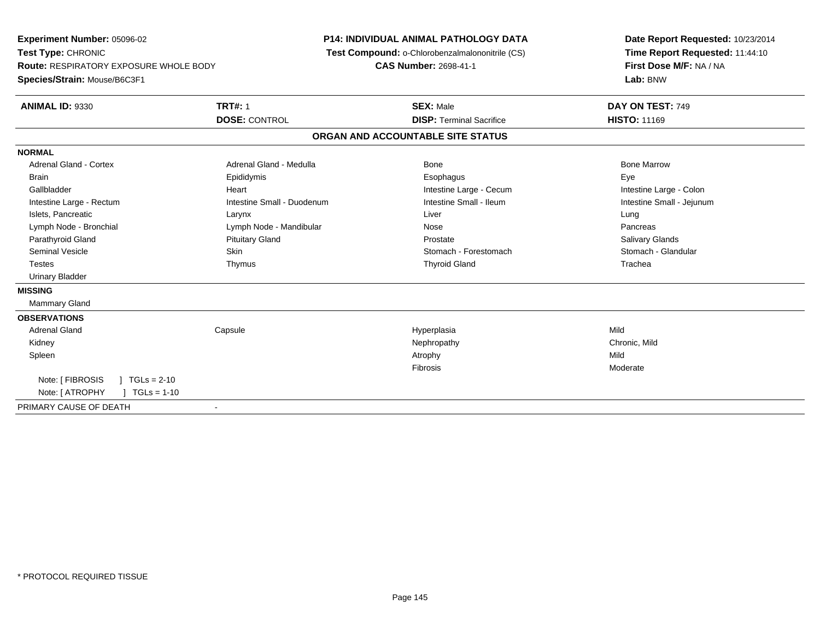**Experiment Number:** 05096-02**Test Type:** CHRONIC **Route:** RESPIRATORY EXPOSURE WHOLE BODY**Species/Strain:** Mouse/B6C3F1**P14: INDIVIDUAL ANIMAL PATHOLOGY DATA Test Compound:** o-Chlorobenzalmalononitrile (CS)**CAS Number:** 2698-41-1**Date Report Requested:** 10/23/2014**Time Report Requested:** 11:44:10**First Dose M/F:** NA / NA**Lab:** BNW**ANIMAL ID:** 9330**TRT#:** 1 **SEX:** Male **DAY ON TEST:** 749 **DOSE:** CONTROL**DISP:** Terminal Sacrifice **HISTO:** 11169 **ORGAN AND ACCOUNTABLE SITE STATUSNORMALAdrenal Gland - Cortex**  Adrenal Gland - Cortex Adrenal Gland - Medulla Bone Bone MarrowBrain Exercicles and the Exercise Epididymis Communications of the Exercise Exercise Exercise Exercise Exe Intestine Large - Colon Gallbladder **Gallbladder Heart** Intestine Large - Cecum Intestine Large - Cecum Intestine Large - Cecum Intestine Small - Jejunum Intestine Large - Rectum **Intestine Small - Duodenum** Intestine Small - Ileum Intestine Small - Ileum Islets, Pancreatic Larynx Liver LungPancreas Lymph Node - Bronchial and Communication Cymph Node - Mandibular and Communication Communication Nose Salivary Glands Parathyroid Gland **Prostate Community Cland** Pituitary Gland Prostate Prostate Prostate Stomach - Glandular Seminal Vesicle Seminal Vesicle Skin Stomach - Forestomach - Stomach - Stomach - Forestomach - Stomach - Glandular Testes Thymus Thyroid Gland Trachea Urinary Bladder**MISSING** Mammary Gland**OBSERVATIONS** Adrenal Gland Capsule Hyperplasia Mild Kidneyy the controller that the controller the controller that the controller the controller that  $\mathsf{N}\mathsf{H}$   $\mathsf{N}\mathsf{H}$   $\mathsf{C}\mathsf{H}$   $\mathsf{R}\mathsf{H}$   $\mathsf{C}\mathsf{H}$   $\mathsf{R}\mathsf{H}$   $\mathsf{H}$   $\mathsf{H}$   $\mathsf{H}$   $\mathsf{H}$   $\mathsf{H}$  Spleenn and the control of the control of the control of the control of the control of the control of the control of the control of the control of the control of the control of the control of the control of the control of the co Fibrosis ModerateNote: [ FIBROSIS ] TGLs = 2-10  $1 \text{ TGLs} = 1-10$ Note: [ ATROPHY PRIMARY CAUSE OF DEATH-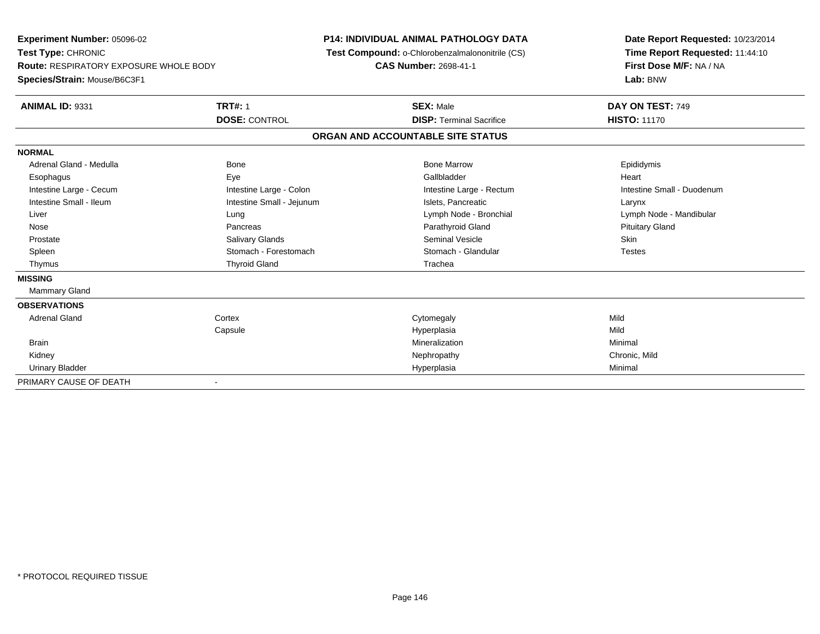**Experiment Number:** 05096-02**Test Type:** CHRONIC **Route:** RESPIRATORY EXPOSURE WHOLE BODY**Species/Strain:** Mouse/B6C3F1**P14: INDIVIDUAL ANIMAL PATHOLOGY DATA Test Compound:** o-Chlorobenzalmalononitrile (CS)**CAS Number:** 2698-41-1**Date Report Requested:** 10/23/2014**Time Report Requested:** 11:44:10**First Dose M/F:** NA / NA**Lab:** BNW**ANIMAL ID:** 9331**TRT#:** 1 **SEX:** Male **DAY ON TEST:** 749 **DOSE:** CONTROL**DISP:** Terminal Sacrifice **HISTO:** 11170 **ORGAN AND ACCOUNTABLE SITE STATUSNORMAL**Adrenal Gland - Medulla Newsternal Bone Bone Bone Bone Marrow Bone Marrow Bone Marrow Bone Epididymis Esophagus Eye Gallbladder HeartIntestine Large - Cecum **Intestine Large - Colon** Intestine Large - Colon Intestine Large - Rectum Intestine Large - Rectum Intestine Small - Duodenum Intestine Small - Ileum Larynx **Intestine Small - Jejunum Intestine Small** - Islets, Pancreatic Larynx Liver Lung Lymph Node - Bronchial Lymph Node - Mandibular Nose Pancreas Parathyroid Gland Pituitary Gland Prostate Salivary Glands Seminal Vesicle Skin**Testes** Spleen Summach - Forestomach Stomach - Glandular Stomach - Glandular Testestes Stomach - Glandular Thymus Thyroid Gland Trachea**MISSING** Mammary Gland**OBSERVATIONS** Adrenal Glandd cortex Cortex Cortex Cytomegaly Cytomegaly **Capsule**  Hyperplasia Mild **Brain** n and the controller of the controller of the controller of the Minimal Minimal and the controller of the controller of the controller of the controller of the controller of the controller of the controller of the controll Kidneyy the controller that the controller the controller that the controller the controller that  $\mathsf{N}\mathsf{H}$   $\mathsf{N}\mathsf{H}$   $\mathsf{C}\mathsf{H}$   $\mathsf{R}\mathsf{H}$   $\mathsf{C}\mathsf{H}$   $\mathsf{R}\mathsf{H}$   $\mathsf{H}$   $\mathsf{H}$   $\mathsf{H}$   $\mathsf{H}$   $\mathsf{H}$  Urinary Bladder Hyperplasiaa Minimal PRIMARY CAUSE OF DEATH-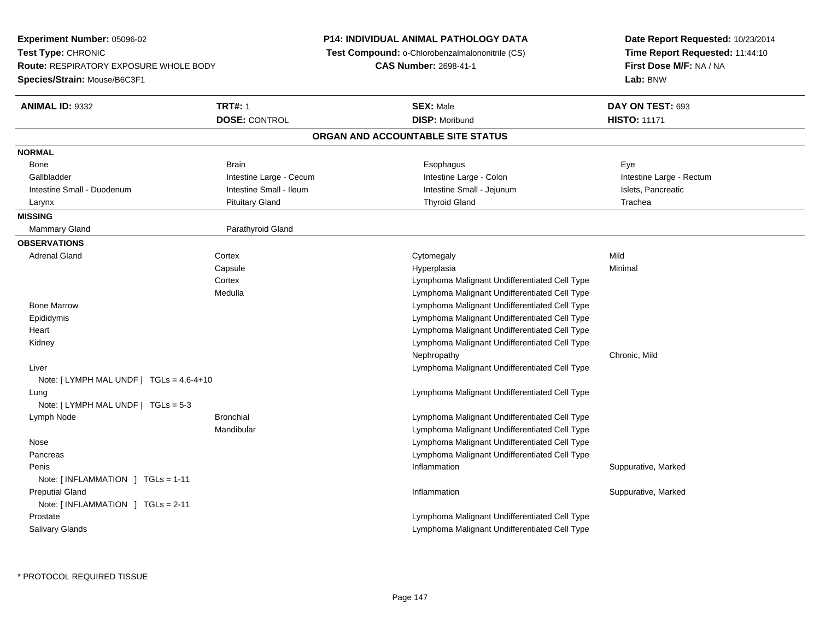**Experiment Number:** 05096-02**Test Type:** CHRONIC **Route:** RESPIRATORY EXPOSURE WHOLE BODY**Species/Strain:** Mouse/B6C3F1**P14: INDIVIDUAL ANIMAL PATHOLOGY DATA Test Compound:** o-Chlorobenzalmalononitrile (CS)**CAS Number:** 2698-41-1**Date Report Requested:** 10/23/2014**Time Report Requested:** 11:44:10**First Dose M/F:** NA / NA**Lab:** BNW**ANIMAL ID:** 9332 **TRT#:** <sup>1</sup> **SEX:** Male **DAY ON TEST:** <sup>693</sup> **DOSE:** CONTROL**DISP:** Moribund **HISTO:** 11171 **ORGAN AND ACCOUNTABLE SITE STATUSNORMALBone** Bone Brain Brain Brain Brain Communications and the Brain Brain Brain Brain Brain Brain Brain Brain Brain Brai Gallbladder **Integral Colon** Intestine Large - Cecum **Intestine Large - Colon** Intestine Large - Rectum Intestine Large - Rectum Intestine Small - Duodenum **Intestine Small - Ileum** Intestine Small - Ileum Intestine Small - Jejunum Intestine Small - Islets, Pancreatic Larynx Pituitary Gland Thyroid Gland Trachea**MISSINGMammary Gland** Parathyroid Gland **OBSERVATIONS** Adrenal Glandd cortex Cortex Cortex Cytomegaly Cytomegaly **Capsule**  Hyperplasia Minimal **Cortex**  Lymphoma Malignant Undifferentiated Cell Type Lymphoma Malignant Undifferentiated Cell Type Medulla Bone Marrow Lymphoma Malignant Undifferentiated Cell Type Epididymis Lymphoma Malignant Undifferentiated Cell Type Lymphoma Malignant Undifferentiated Cell Type Heart Lymphoma Malignant Undifferentiated Cell Type KidneyNephropathy Chronic, Mild Liver Lymphoma Malignant Undifferentiated Cell TypeNote: [ LYMPH MAL UNDF ] TGLs = 4,6-4+10 Lung Lymphoma Malignant Undifferentiated Cell Type Note: [ LYMPH MAL UNDF ] TGLs = 5-3 Lymph Node Bronchial Lymphoma Malignant Undifferentiated Cell Type Mandibular Lymphoma Malignant Undifferentiated Cell Type Lymphoma Malignant Undifferentiated Cell Type Nose Pancreas Lymphoma Malignant Undifferentiated Cell Type Peniss the control of the control of the control of the control of the control of the control of the control of the control of the control of the control of the control of the control of the control of the control of the contro Inflammation **Suppurative, Marked** Note: [ INFLAMMATION ] TGLs = 1-11 Preputial Glandd the suppurative, Marked of the Suppuration of the Suppuration of the Suppurative, Marked of the Suppurative, Marked of the Suppuration of the Suppuration of the Suppuration of the Suppuration of the Suppuration of the Su Note: [ INFLAMMATION ] TGLs = 2-11 Prostate Lymphoma Malignant Undifferentiated Cell Type Salivary GlandsLymphoma Malignant Undifferentiated Cell Type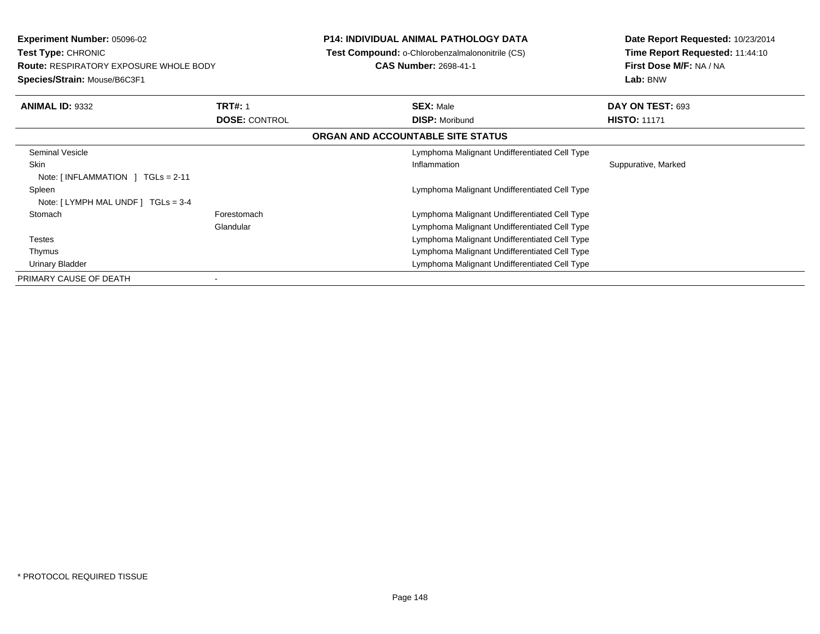**Experiment Number:** 05096-02**Test Type:** CHRONIC **Route:** RESPIRATORY EXPOSURE WHOLE BODY**Species/Strain:** Mouse/B6C3F1

## **P14: INDIVIDUAL ANIMAL PATHOLOGY DATA**

**Test Compound:** o-Chlorobenzalmalononitrile (CS)

**CAS Number:** 2698-41-1

**Date Report Requested:** 10/23/2014**Time Report Requested:** 11:44:10**First Dose M/F:** NA / NA**Lab:** BNW

| <b>ANIMAL ID: 9332</b>                           | <b>TRT#: 1</b>       | <b>SEX: Male</b>                              | DAY ON TEST: 693    |  |
|--------------------------------------------------|----------------------|-----------------------------------------------|---------------------|--|
|                                                  | <b>DOSE: CONTROL</b> | <b>DISP: Moribund</b>                         | <b>HISTO: 11171</b> |  |
|                                                  |                      | ORGAN AND ACCOUNTABLE SITE STATUS             |                     |  |
| Seminal Vesicle                                  |                      | Lymphoma Malignant Undifferentiated Cell Type |                     |  |
| Skin                                             |                      | Inflammation                                  | Suppurative, Marked |  |
| Note: $\lceil$ INFLAMMATION $\lceil$ TGLs = 2-11 |                      |                                               |                     |  |
| Spleen                                           |                      | Lymphoma Malignant Undifferentiated Cell Type |                     |  |
| Note: $[LYMPH MAL UNDER] TGLs = 3-4$             |                      |                                               |                     |  |
| Stomach                                          | Forestomach          | Lymphoma Malignant Undifferentiated Cell Type |                     |  |
|                                                  | Glandular            | Lymphoma Malignant Undifferentiated Cell Type |                     |  |
| Testes                                           |                      | Lymphoma Malignant Undifferentiated Cell Type |                     |  |
| Thymus                                           |                      | Lymphoma Malignant Undifferentiated Cell Type |                     |  |
| <b>Urinary Bladder</b>                           |                      | Lymphoma Malignant Undifferentiated Cell Type |                     |  |
| PRIMARY CAUSE OF DEATH                           |                      |                                               |                     |  |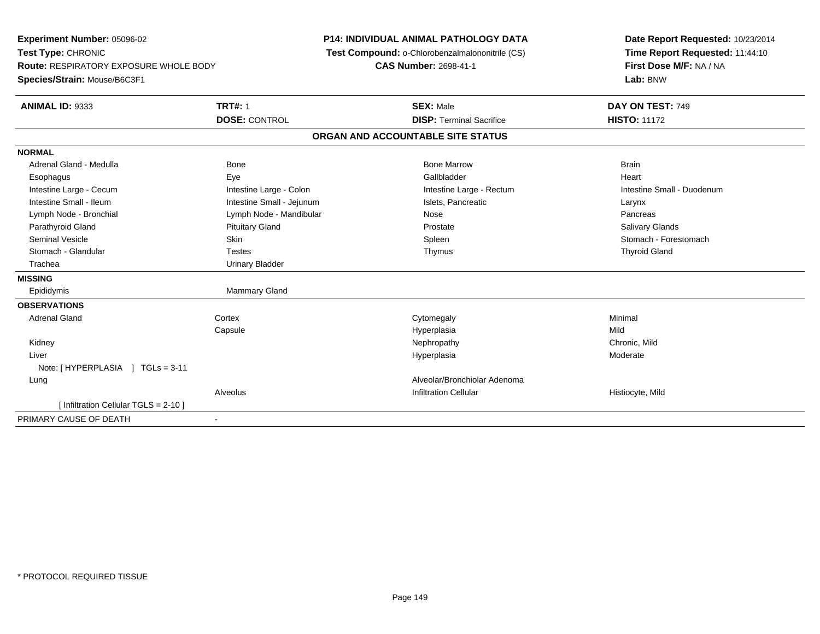| Experiment Number: 05096-02                   |                           | <b>P14: INDIVIDUAL ANIMAL PATHOLOGY DATA</b>    | Date Report Requested: 10/23/2014                          |
|-----------------------------------------------|---------------------------|-------------------------------------------------|------------------------------------------------------------|
| Test Type: CHRONIC                            |                           | Test Compound: o-Chlorobenzalmalononitrile (CS) | Time Report Requested: 11:44:10<br>First Dose M/F: NA / NA |
| <b>Route: RESPIRATORY EXPOSURE WHOLE BODY</b> |                           | <b>CAS Number: 2698-41-1</b>                    |                                                            |
| Species/Strain: Mouse/B6C3F1                  |                           |                                                 | Lab: BNW                                                   |
| <b>ANIMAL ID: 9333</b>                        | <b>TRT#: 1</b>            | <b>SEX: Male</b>                                | DAY ON TEST: 749                                           |
|                                               | <b>DOSE: CONTROL</b>      | <b>DISP: Terminal Sacrifice</b>                 | <b>HISTO: 11172</b>                                        |
|                                               |                           | ORGAN AND ACCOUNTABLE SITE STATUS               |                                                            |
| <b>NORMAL</b>                                 |                           |                                                 |                                                            |
| Adrenal Gland - Medulla                       | <b>Bone</b>               | <b>Bone Marrow</b>                              | <b>Brain</b>                                               |
| Esophagus                                     | Eye                       | Gallbladder                                     | Heart                                                      |
| Intestine Large - Cecum                       | Intestine Large - Colon   | Intestine Large - Rectum                        | Intestine Small - Duodenum                                 |
| Intestine Small - Ileum                       | Intestine Small - Jejunum | Islets, Pancreatic                              | Larynx                                                     |
| Lymph Node - Bronchial                        | Lymph Node - Mandibular   | Nose                                            | Pancreas                                                   |
| Parathyroid Gland                             | <b>Pituitary Gland</b>    | Prostate                                        | Salivary Glands                                            |
| <b>Seminal Vesicle</b>                        | <b>Skin</b>               | Spleen                                          | Stomach - Forestomach                                      |
| Stomach - Glandular                           | <b>Testes</b>             | Thymus                                          | <b>Thyroid Gland</b>                                       |
| Trachea                                       | <b>Urinary Bladder</b>    |                                                 |                                                            |
| <b>MISSING</b>                                |                           |                                                 |                                                            |
| Epididymis                                    | Mammary Gland             |                                                 |                                                            |
| <b>OBSERVATIONS</b>                           |                           |                                                 |                                                            |
| <b>Adrenal Gland</b>                          | Cortex                    | Cytomegaly                                      | Minimal                                                    |
|                                               | Capsule                   | Hyperplasia                                     | Mild                                                       |
| Kidney                                        |                           | Nephropathy                                     | Chronic, Mild                                              |
| Liver                                         |                           | Hyperplasia                                     | Moderate                                                   |
| Note: [HYPERPLASIA ] TGLs = 3-11              |                           |                                                 |                                                            |
| Lung                                          |                           | Alveolar/Bronchiolar Adenoma                    |                                                            |
|                                               | Alveolus                  | <b>Infiltration Cellular</b>                    | Histiocyte, Mild                                           |
| [ Infiltration Cellular TGLS = 2-10 ]         |                           |                                                 |                                                            |
| PRIMARY CAUSE OF DEATH                        |                           |                                                 |                                                            |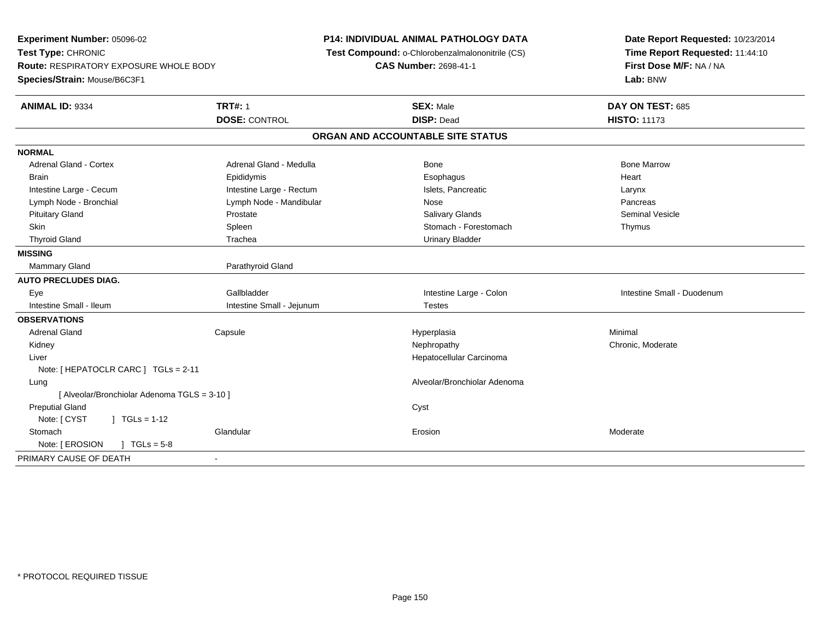| Experiment Number: 05096-02<br>Test Type: CHRONIC<br><b>Route: RESPIRATORY EXPOSURE WHOLE BODY</b><br>Species/Strain: Mouse/B6C3F1 |                           | <b>P14: INDIVIDUAL ANIMAL PATHOLOGY DATA</b><br>Test Compound: o-Chlorobenzalmalononitrile (CS)<br><b>CAS Number: 2698-41-1</b> | Date Report Requested: 10/23/2014<br>Time Report Requested: 11:44:10<br>First Dose M/F: NA / NA<br>Lab: BNW |
|------------------------------------------------------------------------------------------------------------------------------------|---------------------------|---------------------------------------------------------------------------------------------------------------------------------|-------------------------------------------------------------------------------------------------------------|
| <b>ANIMAL ID: 9334</b>                                                                                                             | <b>TRT#: 1</b>            | <b>SEX: Male</b>                                                                                                                | DAY ON TEST: 685                                                                                            |
|                                                                                                                                    | <b>DOSE: CONTROL</b>      | <b>DISP: Dead</b>                                                                                                               | <b>HISTO: 11173</b>                                                                                         |
|                                                                                                                                    |                           | ORGAN AND ACCOUNTABLE SITE STATUS                                                                                               |                                                                                                             |
| <b>NORMAL</b>                                                                                                                      |                           |                                                                                                                                 |                                                                                                             |
| <b>Adrenal Gland - Cortex</b>                                                                                                      | Adrenal Gland - Medulla   | Bone                                                                                                                            | <b>Bone Marrow</b>                                                                                          |
| <b>Brain</b>                                                                                                                       | Epididymis                | Esophagus                                                                                                                       | Heart                                                                                                       |
| Intestine Large - Cecum                                                                                                            | Intestine Large - Rectum  | Islets, Pancreatic                                                                                                              | Larynx                                                                                                      |
| Lymph Node - Bronchial                                                                                                             | Lymph Node - Mandibular   | Nose                                                                                                                            | Pancreas                                                                                                    |
| <b>Pituitary Gland</b>                                                                                                             | Prostate                  | Salivary Glands                                                                                                                 | <b>Seminal Vesicle</b>                                                                                      |
| <b>Skin</b>                                                                                                                        | Spleen                    | Stomach - Forestomach                                                                                                           | Thymus                                                                                                      |
| <b>Thyroid Gland</b>                                                                                                               | Trachea                   | <b>Urinary Bladder</b>                                                                                                          |                                                                                                             |
| <b>MISSING</b>                                                                                                                     |                           |                                                                                                                                 |                                                                                                             |
| <b>Mammary Gland</b>                                                                                                               | Parathyroid Gland         |                                                                                                                                 |                                                                                                             |
| <b>AUTO PRECLUDES DIAG.</b>                                                                                                        |                           |                                                                                                                                 |                                                                                                             |
| Eye                                                                                                                                | Gallbladder               | Intestine Large - Colon                                                                                                         | Intestine Small - Duodenum                                                                                  |
| Intestine Small - Ileum                                                                                                            | Intestine Small - Jejunum | <b>Testes</b>                                                                                                                   |                                                                                                             |
| <b>OBSERVATIONS</b>                                                                                                                |                           |                                                                                                                                 |                                                                                                             |
| <b>Adrenal Gland</b>                                                                                                               | Capsule                   | Hyperplasia                                                                                                                     | Minimal                                                                                                     |
| Kidney                                                                                                                             |                           | Nephropathy                                                                                                                     | Chronic, Moderate                                                                                           |
| Liver                                                                                                                              |                           | Hepatocellular Carcinoma                                                                                                        |                                                                                                             |
| Note: [ HEPATOCLR CARC ] TGLs = 2-11                                                                                               |                           |                                                                                                                                 |                                                                                                             |
| Lung                                                                                                                               |                           | Alveolar/Bronchiolar Adenoma                                                                                                    |                                                                                                             |
| [ Alveolar/Bronchiolar Adenoma TGLS = 3-10 ]                                                                                       |                           |                                                                                                                                 |                                                                                                             |
| <b>Preputial Gland</b>                                                                                                             |                           | Cyst                                                                                                                            |                                                                                                             |
| Note: [ CYST<br>$\int$ TGLs = 1-12                                                                                                 |                           |                                                                                                                                 |                                                                                                             |
| Stomach                                                                                                                            | Glandular                 | Erosion                                                                                                                         | Moderate                                                                                                    |
| Note: [ EROSION<br>$\sqrt{1} \text{ TGLs} = 5.8$                                                                                   |                           |                                                                                                                                 |                                                                                                             |
| PRIMARY CAUSE OF DEATH                                                                                                             | $\overline{\phantom{a}}$  |                                                                                                                                 |                                                                                                             |
|                                                                                                                                    |                           |                                                                                                                                 |                                                                                                             |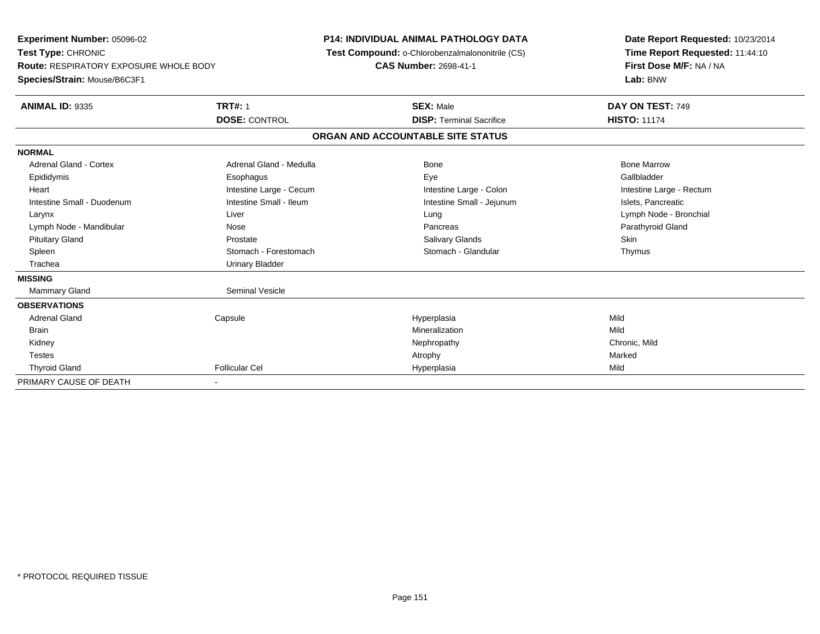**Experiment Number:** 05096-02**Test Type:** CHRONIC **Route:** RESPIRATORY EXPOSURE WHOLE BODY**Species/Strain:** Mouse/B6C3F1**P14: INDIVIDUAL ANIMAL PATHOLOGY DATA Test Compound:** o-Chlorobenzalmalononitrile (CS)**CAS Number:** 2698-41-1**Date Report Requested:** 10/23/2014**Time Report Requested:** 11:44:10**First Dose M/F:** NA / NA**Lab:** BNW**ANIMAL ID:** 9335**TRT#:** 1 **SEX:** Male **DAY ON TEST:** 749 **DOSE:** CONTROL**DISP:** Terminal Sacrifice **HISTO:** 11174 **ORGAN AND ACCOUNTABLE SITE STATUSNORMALAdrenal Gland - Cortex**  Adrenal Gland - Cortex Adrenal Gland - Medulla Bone Bone MarrowGallbladder Epididymis Esophagus Eye GallbladderHeart **Intestine Large - Cecum** Intestine Large - Cecum Intestine Large - Colon Intestine Large - Rectum Intestine Small - Duodenum **Intestine Small - Ileum** Intestine Small - Ileum Intestine Small - Jejunum Intestine Small - Jejunum Islets, Pancreatic Larynx Liver Lung Lymph Node - BronchialLymph Node - Mandibular Nose Nose Nose Pancreas Pancreas Pancreas Pancreas Parathyroid Gland Pituitary Gland Prostate Prostate Charles School and Salivary Glands School School Skin Thymus Spleen Stomach - Forestomach Stomach - Stomach Stomach Stomach Stomach Stomach Stomach Stomach Stomach Stomach Stomach Stomach Stomach Stomach Stomach Stomach Stomach Stomach Stomach Stomach Stomach Stomach Stomach Stomach Trachea Urinary Bladder**MISSING**Mammary Gland Seminal Vesicle **OBSERVATIONS** Adrenal Gland Capsule Hyperplasia Mild **Brain** n and the control of the control of the control of the control of the control of the control of the control of the control of the control of the control of the control of the control of the control of the control of the co Kidneyy the controller that the controller the controller that the controller the controller that  $\mathsf{N}\mathsf{H}$   $\mathsf{N}\mathsf{H}$   $\mathsf{C}\mathsf{H}$   $\mathsf{R}\mathsf{H}$   $\mathsf{C}\mathsf{H}$   $\mathsf{R}\mathsf{H}$   $\mathsf{H}$   $\mathsf{H}$   $\mathsf{H}$   $\mathsf{H}$   $\mathsf{H}$  Testess the control of the control of the control of the control of the control of the control of the control of the control of the control of the control of the control of the control of the control of the control of the contro Thyroid Gland Follicular Cel Hyperplasia Mild PRIMARY CAUSE OF DEATH-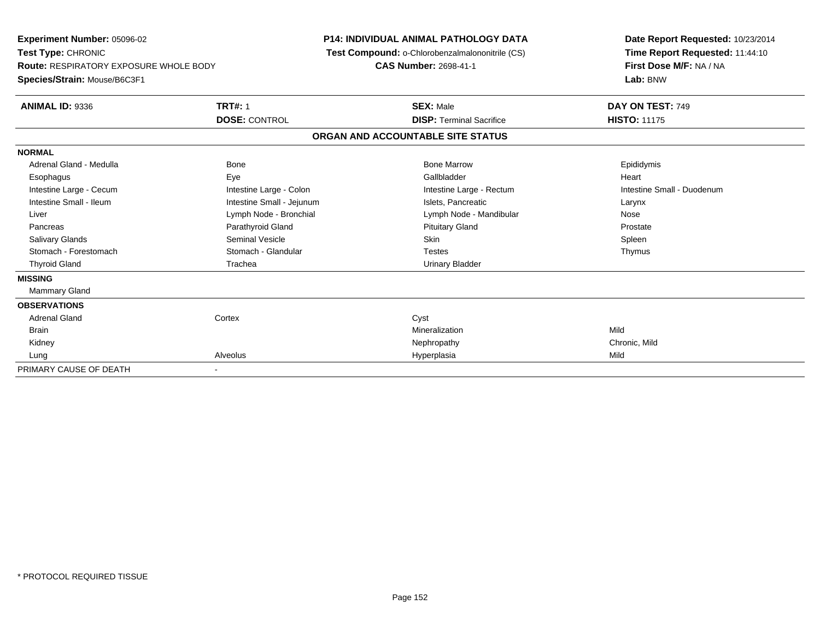| Experiment Number: 05096-02<br>Test Type: CHRONIC<br><b>Route: RESPIRATORY EXPOSURE WHOLE BODY</b><br>Species/Strain: Mouse/B6C3F1 |                           | <b>P14: INDIVIDUAL ANIMAL PATHOLOGY DATA</b><br>Test Compound: o-Chlorobenzalmalononitrile (CS)<br><b>CAS Number: 2698-41-1</b> |                                   | Date Report Requested: 10/23/2014<br>Time Report Requested: 11:44:10<br>First Dose M/F: NA / NA<br>Lab: BNW |
|------------------------------------------------------------------------------------------------------------------------------------|---------------------------|---------------------------------------------------------------------------------------------------------------------------------|-----------------------------------|-------------------------------------------------------------------------------------------------------------|
| <b>ANIMAL ID: 9336</b>                                                                                                             | <b>TRT#: 1</b>            |                                                                                                                                 | <b>SEX: Male</b>                  | DAY ON TEST: 749                                                                                            |
|                                                                                                                                    | <b>DOSE: CONTROL</b>      |                                                                                                                                 | <b>DISP: Terminal Sacrifice</b>   | <b>HISTO: 11175</b>                                                                                         |
|                                                                                                                                    |                           |                                                                                                                                 | ORGAN AND ACCOUNTABLE SITE STATUS |                                                                                                             |
| <b>NORMAL</b>                                                                                                                      |                           |                                                                                                                                 |                                   |                                                                                                             |
| Adrenal Gland - Medulla                                                                                                            | <b>Bone</b>               |                                                                                                                                 | <b>Bone Marrow</b>                | Epididymis                                                                                                  |
| Esophagus                                                                                                                          | Eye                       |                                                                                                                                 | Gallbladder                       | Heart                                                                                                       |
| Intestine Large - Cecum                                                                                                            | Intestine Large - Colon   |                                                                                                                                 | Intestine Large - Rectum          | Intestine Small - Duodenum                                                                                  |
| Intestine Small - Ileum                                                                                                            | Intestine Small - Jejunum |                                                                                                                                 | Islets, Pancreatic                | Larynx                                                                                                      |
| Liver                                                                                                                              | Lymph Node - Bronchial    |                                                                                                                                 | Lymph Node - Mandibular           | Nose                                                                                                        |
| Pancreas                                                                                                                           | Parathyroid Gland         |                                                                                                                                 | <b>Pituitary Gland</b>            | Prostate                                                                                                    |
| <b>Salivary Glands</b>                                                                                                             | <b>Seminal Vesicle</b>    |                                                                                                                                 | <b>Skin</b>                       | Spleen                                                                                                      |
| Stomach - Forestomach                                                                                                              | Stomach - Glandular       |                                                                                                                                 | <b>Testes</b>                     | Thymus                                                                                                      |
| <b>Thyroid Gland</b>                                                                                                               | Trachea                   |                                                                                                                                 | <b>Urinary Bladder</b>            |                                                                                                             |
| <b>MISSING</b>                                                                                                                     |                           |                                                                                                                                 |                                   |                                                                                                             |
| <b>Mammary Gland</b>                                                                                                               |                           |                                                                                                                                 |                                   |                                                                                                             |
| <b>OBSERVATIONS</b>                                                                                                                |                           |                                                                                                                                 |                                   |                                                                                                             |
| <b>Adrenal Gland</b>                                                                                                               | Cortex                    |                                                                                                                                 | Cyst                              |                                                                                                             |
| <b>Brain</b>                                                                                                                       |                           |                                                                                                                                 | Mineralization                    | Mild                                                                                                        |
| Kidney                                                                                                                             |                           |                                                                                                                                 | Nephropathy                       | Chronic, Mild                                                                                               |
| Lung                                                                                                                               | Alveolus                  |                                                                                                                                 | Hyperplasia                       | Mild                                                                                                        |
| PRIMARY CAUSE OF DEATH                                                                                                             |                           |                                                                                                                                 |                                   |                                                                                                             |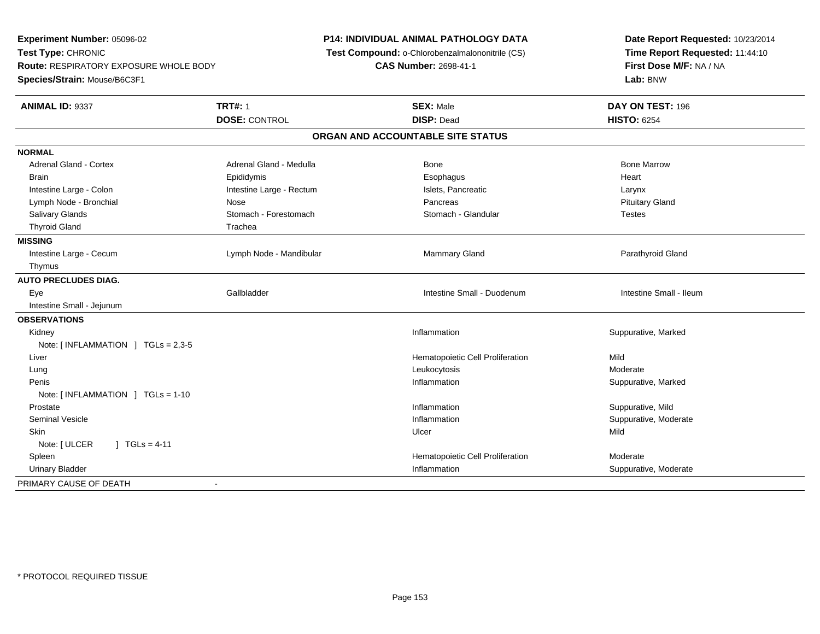**Experiment Number:** 05096-02**Test Type:** CHRONIC **Route:** RESPIRATORY EXPOSURE WHOLE BODY**Species/Strain:** Mouse/B6C3F1**P14: INDIVIDUAL ANIMAL PATHOLOGY DATA Test Compound:** o-Chlorobenzalmalononitrile (CS)**CAS Number:** 2698-41-1**Date Report Requested:** 10/23/2014**Time Report Requested:** 11:44:10**First Dose M/F:** NA / NA**Lab:** BNW**ANIMAL ID:** 9337**TRT#:** 1 **SEX:** Male **DAY ON TEST:** 196 **DOSE:** CONTROL **DISP:** Dead **HISTO:** <sup>6254</sup> **ORGAN AND ACCOUNTABLE SITE STATUSNORMALAdrenal Gland - Cortex** Adrenal Gland - Medulla **Bone Adrenal Gland - Cortex Adrenal Gland - Cortex Adrenal Gland - Medulla** Bone Marrow Brain Epididymis Epididymis and the Brook of the Brook of the Brook of the Brook of the Heart Heart Heart Heart Intestine Large - Colon **Intestine Large - Rectum** Intestine Large - Rectum Islets, Pancreatic **Intestine Large - Rectum Pituitary Gland** Lymph Node - Bronchial **Nose** Pancreas Pancreas Pancreas Pancreas Pancreas Pancreas Pancreas Pancreas Pancreas Pancreas Pancreas Pancreas Pancreas Pancreas Pancreas Pancreas Pancreas Pancreas Pancreas Pancreas Pancreas Pan Salivary Glands **Stomach - Forestomach - Stomach - Stomach - Glandular** Stomach - Glandular - Stomach - Glandular Thyroid Gland Trachea **MISSING**Intestine Large - Cecum Lymph Node - Mandibular Mammary Gland Parathyroid Gland Thymus **AUTO PRECLUDES DIAG.** Eye Gallbladder Intestine Small - Duodenum Intestine Small - Ileum Intestine Small - Jejunum**OBSERVATIONS** Kidneyy the control of the control of the control of the control of the control of the control of the control of the control of the control of the control of the control of the control of the control of the control of the contro Inflammation **Suppurative, Marked** Note: [ INFLAMMATION ] TGLs = 2,3-5 Liver Hematopoietic Cell Proliferationn Mild Lungg which is a state of the control of the control of the control of the control of the control of the control of the control of the control of the control of the control of the control of the control of the control of the c Peniss the control of the control of the control of the control of the control of the control of the control of the control of the control of the control of the control of the control of the control of the control of the contro Inflammation **Suppurative, Marked** Note: [ INFLAMMATION ] TGLs = 1-10 Prostatee inflammation in the suppurative, Mild and Suppurative, Mild and Suppurative, Mild and Suppurative, Mild and Suppurative, Mild and Suppurative, Mild and Suppurative, Mild and Suppurative, Mild and Suppurative, Mild and Su Seminal Vesiclee inflammation inflammation in the suppurative, Moderate expansion in the suppurative, Moderate expansion in the suppurative, Moderate  $\epsilon$  Skinn and the control of the control of the control of the control of the control of the control of the control of the control of the control of the control of the control of the control of the control of the control of the co Note: [ ULCER ] TGLs = 4-11 SpleenHematopoietic Cell Proliferation Moderate Urinary Bladder**Inflammation Inflammation** Inflammation **Suppurative, Moderate** PRIMARY CAUSE OF DEATH-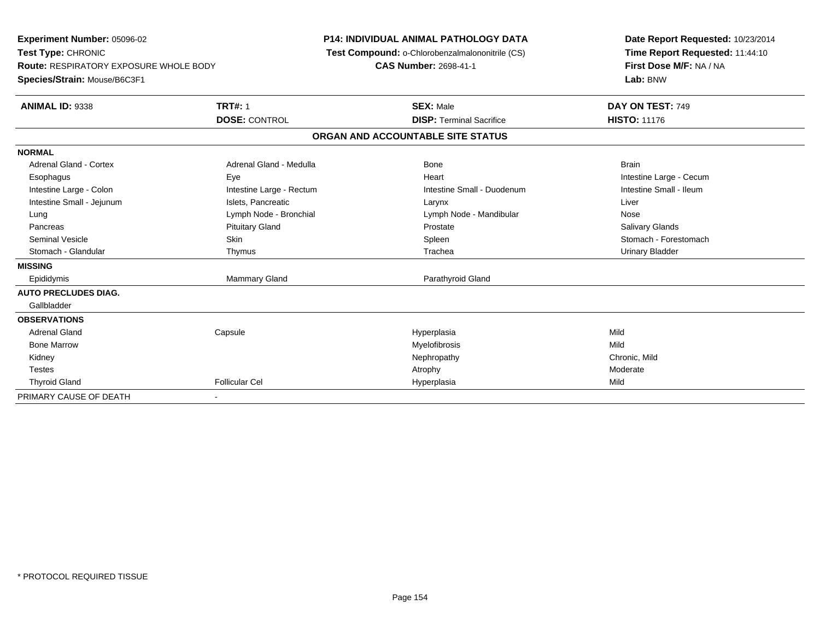| Experiment Number: 05096-02<br>Test Type: CHRONIC |                          | <b>P14: INDIVIDUAL ANIMAL PATHOLOGY DATA</b><br>Test Compound: o-Chlorobenzalmalononitrile (CS) | Date Report Requested: 10/23/2014<br>Time Report Requested: 11:44:10 |
|---------------------------------------------------|--------------------------|-------------------------------------------------------------------------------------------------|----------------------------------------------------------------------|
| Route: RESPIRATORY EXPOSURE WHOLE BODY            |                          | <b>CAS Number: 2698-41-1</b>                                                                    | First Dose M/F: NA / NA                                              |
| Species/Strain: Mouse/B6C3F1                      |                          |                                                                                                 | Lab: BNW                                                             |
| <b>ANIMAL ID: 9338</b>                            | <b>TRT#: 1</b>           | <b>SEX: Male</b>                                                                                | DAY ON TEST: 749                                                     |
|                                                   | <b>DOSE: CONTROL</b>     | <b>DISP: Terminal Sacrifice</b>                                                                 | <b>HISTO: 11176</b>                                                  |
|                                                   |                          | ORGAN AND ACCOUNTABLE SITE STATUS                                                               |                                                                      |
| <b>NORMAL</b>                                     |                          |                                                                                                 |                                                                      |
| <b>Adrenal Gland - Cortex</b>                     | Adrenal Gland - Medulla  | Bone                                                                                            | <b>Brain</b>                                                         |
| Esophagus                                         | Eye                      | Heart                                                                                           | Intestine Large - Cecum                                              |
| Intestine Large - Colon                           | Intestine Large - Rectum | Intestine Small - Duodenum                                                                      | Intestine Small - Ileum                                              |
| Intestine Small - Jejunum                         | Islets, Pancreatic       | Larynx                                                                                          | Liver                                                                |
| Lung                                              | Lymph Node - Bronchial   | Lymph Node - Mandibular                                                                         | Nose                                                                 |
| Pancreas                                          | <b>Pituitary Gland</b>   | Prostate                                                                                        | <b>Salivary Glands</b>                                               |
| <b>Seminal Vesicle</b>                            | <b>Skin</b>              | Spleen                                                                                          | Stomach - Forestomach                                                |
| Stomach - Glandular                               | Thymus                   | Trachea                                                                                         | <b>Urinary Bladder</b>                                               |
| <b>MISSING</b>                                    |                          |                                                                                                 |                                                                      |
| Epididymis                                        | Mammary Gland            | Parathyroid Gland                                                                               |                                                                      |
| <b>AUTO PRECLUDES DIAG.</b>                       |                          |                                                                                                 |                                                                      |
| Gallbladder                                       |                          |                                                                                                 |                                                                      |
| <b>OBSERVATIONS</b>                               |                          |                                                                                                 |                                                                      |
| <b>Adrenal Gland</b>                              | Capsule                  | Hyperplasia                                                                                     | Mild                                                                 |
| <b>Bone Marrow</b>                                |                          | Myelofibrosis                                                                                   | Mild                                                                 |
| Kidney                                            |                          | Nephropathy                                                                                     | Chronic, Mild                                                        |
| <b>Testes</b>                                     |                          | Atrophy                                                                                         | Moderate                                                             |
| <b>Thyroid Gland</b>                              | <b>Follicular Cel</b>    | Hyperplasia                                                                                     | Mild                                                                 |
| PRIMARY CAUSE OF DEATH                            | $\blacksquare$           |                                                                                                 |                                                                      |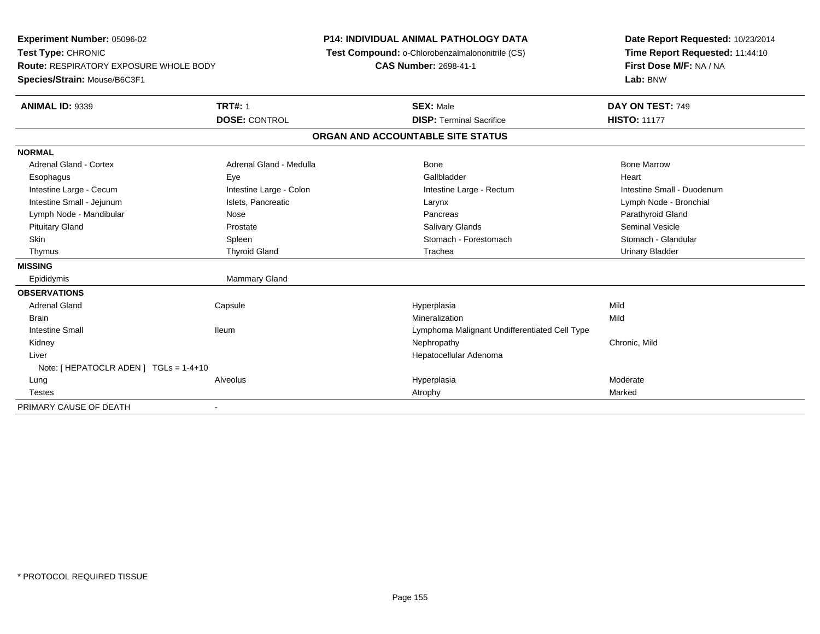**Experiment Number:** 05096-02**Test Type:** CHRONIC **Route:** RESPIRATORY EXPOSURE WHOLE BODY**Species/Strain:** Mouse/B6C3F1**P14: INDIVIDUAL ANIMAL PATHOLOGY DATA Test Compound:** o-Chlorobenzalmalononitrile (CS)**CAS Number:** 2698-41-1**Date Report Requested:** 10/23/2014**Time Report Requested:** 11:44:10**First Dose M/F:** NA / NA**Lab:** BNW**ANIMAL ID:** 9339**TRT#:** 1 **SEX:** Male **DAY ON TEST:** 749 **DOSE:** CONTROL**DISP:** Terminal Sacrifice **HISTO:** 11177 **ORGAN AND ACCOUNTABLE SITE STATUSNORMALAdrenal Gland - Cortex** Adrenal Gland - Medulla **Adrenal Gland - Medulla** Bone Bone Bone Bone Bone Marrow Esophagus Eye Gallbladder HeartIntestine Large - Cecum **Intestine Large - Colon** Intestine Large - Colon Intestine Large - Rectum Intestine Large - Rectum Intestine Small - Duodenum Intestine Small - Jejunum **Islets, Pancreatic** Charges and Larynx Larynx Lymph Node - Bronchial Lymph Node - Bronchial Lymph Node - Mandibular Nose Nose Nose Pancreas Pancreas Pancreas Pancreas Parathyroid Gland Pituitary Gland Prostate Salivary Glands Seminal VesicleStomach - Glandular Skin Stomach - Forestomach Spleen Spleen Stomach - Forestomach - Stomach - Forestomach - Stomach - Glandular Stomach - Glandular Stomach - Glandular Stomach - Glandular Stomach - Stomach - Stomach - Stomach - Stomach - Sto Thymus Thyroid Gland Trachea Urinary Bladder**MISSING**Epididymis Mammary Gland **OBSERVATIONS** Adrenal Gland Capsule Hyperplasia Mild Brainn and the control of the control of the control of the control of the control of the control of the control of the control of the control of the control of the control of the control of the control of the control of the co Intestine Small Ileum Lymphoma Malignant Undifferentiated Cell Type Kidneyy the controller of the controller of the controller of the controller of the controller of the chronic, Mild Liver Hepatocellular AdenomaNote: [ HEPATOCLR ADEN ] TGLs = 1-4+10 Lungg en and the subset of the set of the set of the set of the set of the set of the set of the set of the set of the set of the set of the set of the set of the set of the set of the set of the set of the set of the set of t Testess and the control of the control of the control of the control of the control of the control of the control of the control of the control of the control of the control of the control of the control of the control of the co PRIMARY CAUSE OF DEATH-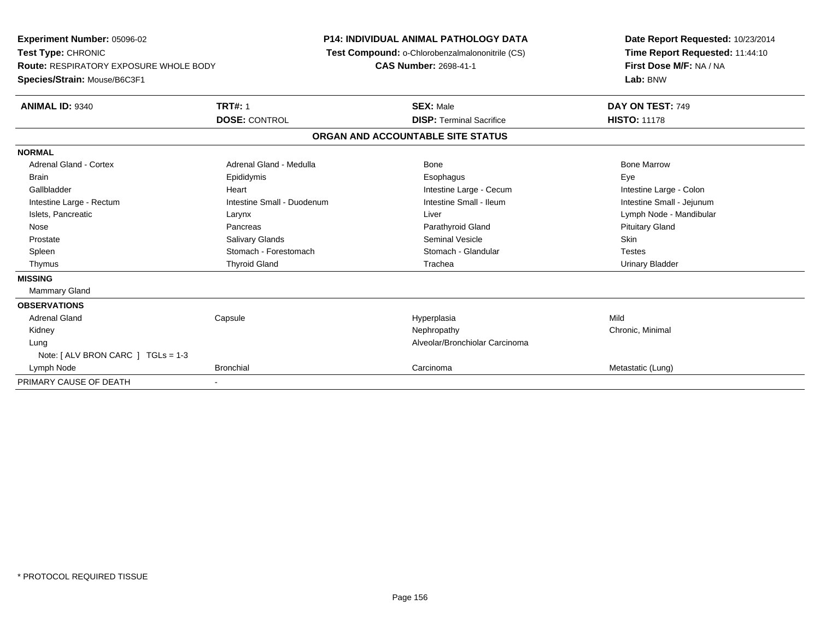**Experiment Number:** 05096-02**Test Type:** CHRONIC **Route:** RESPIRATORY EXPOSURE WHOLE BODY**Species/Strain:** Mouse/B6C3F1**P14: INDIVIDUAL ANIMAL PATHOLOGY DATA Test Compound:** o-Chlorobenzalmalononitrile (CS)**CAS Number:** 2698-41-1**Date Report Requested:** 10/23/2014**Time Report Requested:** 11:44:10**First Dose M/F:** NA / NA**Lab:** BNW**ANIMAL ID:** 9340**TRT#:** 1 **SEX:** Male **DAY ON TEST:** 749 **DOSE:** CONTROL**DISP:** Terminal Sacrifice **HISTO:** 11178 **ORGAN AND ACCOUNTABLE SITE STATUSNORMALAdrenal Gland - Cortex** Adrenal Gland - Medulla **Adrenal Gland - Medulla** Bone Bone Bone Bone Bone Marrow Brain Exercicles and the Exercise Epididymis Communications of the Exercise Exercise Exercise Exercise Exe Intestine Large - Colon Gallbladder **Gallbladder Heart** Intestine Large - Cecum Intestine Large - Cecum Intestine Large - Cecum Intestine Small - Jejunum Intestine Large - Rectum **Intestine Small - Duodenum** Intestine Small - Ileum Intestine Small - Ileum Islets, Pancreatic **Larynx Larynx Larynx** Larynx Liver Liver Liver Communications are Lymph Node - Mandibular Nose Pancreas Parathyroid Gland Pituitary Gland Prostate Salivary Glands Seminal Vesicle Skin**Testes** Spleen Summach - Forestomach Stomach - Glandular Stomach - Glandular Testestes Stomach - Glandular **Urinary Bladder**  Thymus Thyroid Gland Trachea Urinary Bladder**MISSING** Mammary Gland**OBSERVATIONS** Adrenal Gland Capsule Hyperplasia Mild Kidneyy the controller the controller of the controller of the controller of the controller of the controller of the controller of the controller of the controller of the controller of the controller of the controller of the con Lung Alveolar/Bronchiolar Carcinoma Note: [ ALV BRON CARC ] TGLs = 1-3 Lymph Nodee and the controller of the Bronchial Carcinoma Carcinoma Carcinoma Carcinoma Metastatic (Lung) PRIMARY CAUSE OF DEATH-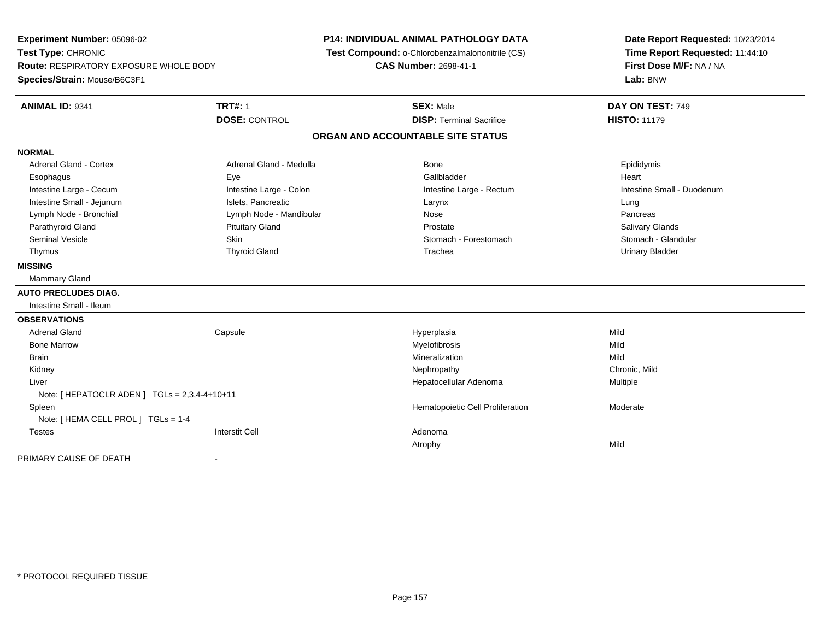**Experiment Number:** 05096-02**Test Type:** CHRONIC **Route:** RESPIRATORY EXPOSURE WHOLE BODY**Species/Strain:** Mouse/B6C3F1**P14: INDIVIDUAL ANIMAL PATHOLOGY DATA Test Compound:** o-Chlorobenzalmalononitrile (CS)**CAS Number:** 2698-41-1**Date Report Requested:** 10/23/2014**Time Report Requested:** 11:44:10**First Dose M/F:** NA / NA**Lab:** BNW**ANIMAL ID:** 9341**TRT#:** 1 **SEX:** Male **DAY ON TEST:** 749 **DOSE:** CONTROL**DISP:** Terminal Sacrifice **HISTO:** 11179 **ORGAN AND ACCOUNTABLE SITE STATUSNORMALAdrenal Gland - Cortex** Adrenal Gland - Medulla **Adrenal Gland - Medulla** Bone **Bone** Bone Epididymis Esophagus Eye Gallbladder HeartIntestine Large - Cecum **Intestine Large - Colon** Intestine Large - Colon Intestine Large - Rectum Intestine Large - Rectum Intestine Small - Duodenum Intestine Small - Jejunum **Intestine Small - Jejunum** Islets, Pancreatic **Network Construction Career Construction** Pancreas Lymph Node - Bronchial **Note 2018** Lymph Node - Mandibular Nose Pancrease Pancrease Pancrease Pancrease Pancrease **Salivary Glands** Parathyroid Gland Salivary Glands Pituitary Gland Prosection Prostate Prostate Salivary Glands Salivary Glands Stomach - Glandular Seminal Vesicle Supervisors of Skin Stomach - Stomach - Forestomach - Stomach - Forestomach - Stomach - Glandular Thymus Thyroid Gland Trachea Urinary Bladder**MISSING** Mammary Gland**AUTO PRECLUDES DIAG.** Intestine Small - Ileum**OBSERVATIONS** Adrenal Gland Capsule Hyperplasia Mild Bone Marroww which is a matter of the Myelofibrosis and the Myelofibrosis and the Mild of the Mild of the Mild of the Mild of the Mild of the Mild of the Mild of the Mild of the Mild of the Mild of the Mild of the Mild of the Mild of **Brain** n and the control of the control of the control of the control of the control of the control of the control of the control of the control of the control of the control of the control of the control of the control of the co Kidneyy the controller of the controller of the controller of the controller of the controller of the chronic, Mild Liver Hepatocellular Adenoma Multiple Note: [ HEPATOCLR ADEN ] TGLs = 2,3,4-4+10+11 SpleenHematopoietic Cell Proliferation Moderate Note: [ HEMA CELL PROL ] TGLs = 1-4 Testes Interstit Cell AdenomaAtrophyy and the contract of the Mild PRIMARY CAUSE OF DEATH-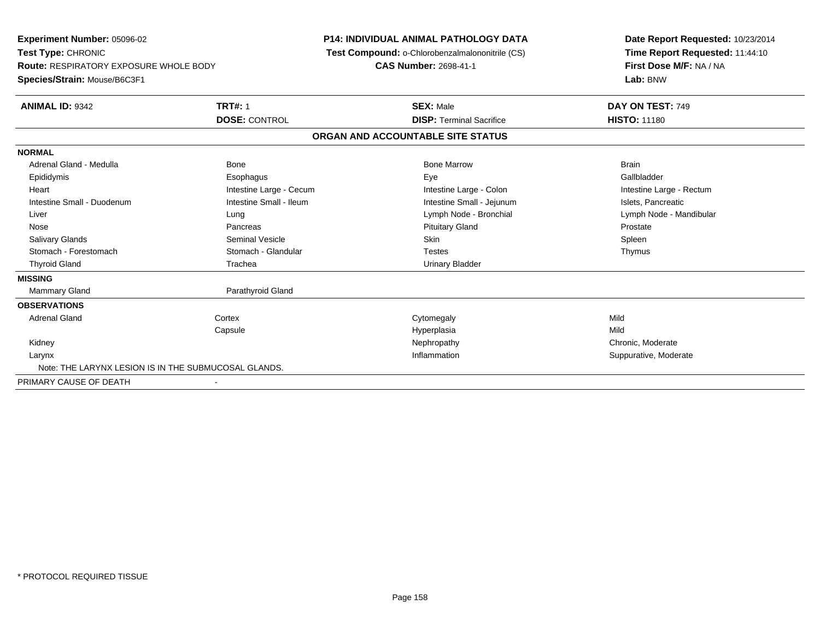**Experiment Number:** 05096-02**Test Type:** CHRONIC **Route:** RESPIRATORY EXPOSURE WHOLE BODY**Species/Strain:** Mouse/B6C3F1**P14: INDIVIDUAL ANIMAL PATHOLOGY DATA Test Compound:** o-Chlorobenzalmalononitrile (CS)**CAS Number:** 2698-41-1**Date Report Requested:** 10/23/2014**Time Report Requested:** 11:44:10**First Dose M/F:** NA / NA**Lab:** BNW**ANIMAL ID:** 9342**TRT#:** 1 **SEX:** Male **DAY ON TEST:** 749 **DOSE:** CONTROL**DISP:** Terminal Sacrifice **HISTO:** 11180 **ORGAN AND ACCOUNTABLE SITE STATUSNORMAL**Adrenal Gland - Medulla Bone Bone Bone Marrow Bone Marrow Brain Brain Brain Brain Gallbladder Epididymis Esophagus Eye GallbladderHeart **Intestine Large - Cecum** Intestine Large - Cecum Intestine Large - Colon Intestine Large - Rectum Intestine Small - Duodenum **Intestine Small - Ileum** Intestine Small - Ileum Intestine Small - Jejunum Intestine Small - Jejunum Islets, Pancreatic Liver Lung Lymph Node - Bronchial Lymph Node - Mandibular Nose Pancreas Pituitary Gland ProstateSpleen Salivary Glands Seminal Vesicle Skin SpleenThymus Stomach - Forestomach **Stomach - Glandular** Testes Testes Testes Testes Testes The Testes The Testes The Testes The Testes The Testes The Testes The Testes Testes The Testes Testes Testes Testes Testes Testes Testes Testes Thyroid Gland **Trachea** Trachea **Trachea** Trachea Urinary Bladder **MISSINGMammary Gland** Parathyroid Gland **OBSERVATIONS** Adrenal Glandd cortex Cortex Cortex Cytomegaly Cytomegaly **Capsule**  Hyperplasia Mild Kidneyy the chronic, Moderate and September 2011 of the Chronic Moderate and September 2012 of the Chronic, Moderate n Suppurative, Moderate Larynx**x** and the control of the control of the control of the control of the control of the control of the control of the control of the control of the control of the control of the control of the control of the control of the Note: THE LARYNX LESION IS IN THE SUBMUCOSAL GLANDS.PRIMARY CAUSE OF DEATH-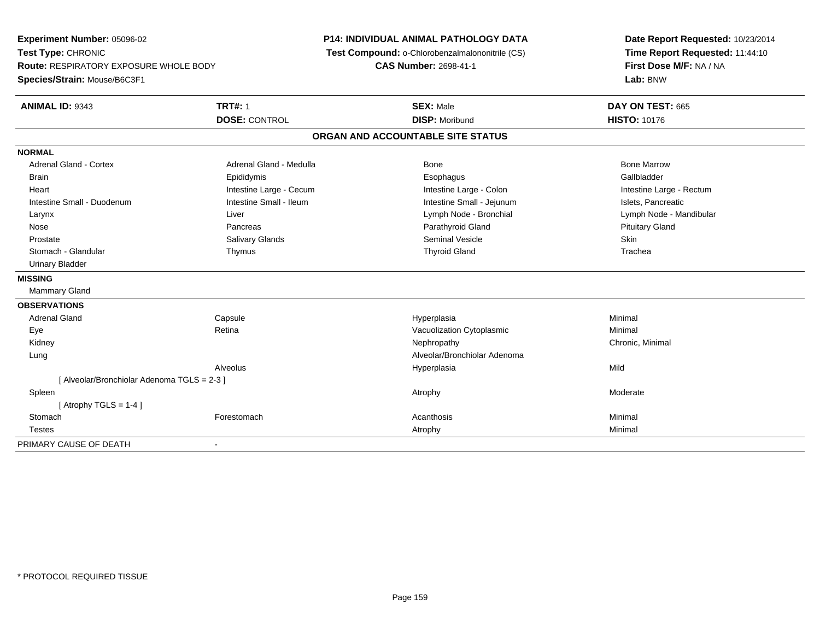**Experiment Number:** 05096-02**Test Type:** CHRONIC **Route:** RESPIRATORY EXPOSURE WHOLE BODY**Species/Strain:** Mouse/B6C3F1**P14: INDIVIDUAL ANIMAL PATHOLOGY DATA Test Compound:** o-Chlorobenzalmalononitrile (CS)**CAS Number:** 2698-41-1**Date Report Requested:** 10/23/2014**Time Report Requested:** 11:44:10**First Dose M/F:** NA / NA**Lab:** BNW**ANIMAL ID:** 9343**TRT#:** 1 **SEX:** Male **DAY ON TEST:** 665 **DOSE:** CONTROL **DISP:** Moribund **HISTO:** <sup>10176</sup> **ORGAN AND ACCOUNTABLE SITE STATUSNORMALAdrenal Gland - Cortex** Adrenal Gland - Medulla **Bone Adrenal Gland - Cortex Adrenal Gland - Cortex Adrenal Gland - Medulla** Bone Marrow Gallbladder Brain Epididymis Epididymis and the Brook of the Brook of the Brook of the Brook of the Gallbladder of the Gallbladder Heart **Intestine Large - Cecum** Intestine Large - Cecum Intestine Large - Colon Intestine Large - Rectum Intestine Small - Duodenum **Intestine Small - Ileum** Intestine Small - Ileum Intestine Small - Jejunum Intestine Small - Jejunum Islets, Pancreatic Larynx Liver Lymph Node - Bronchial Lymph Node - Mandibular Nose Pancreas Parathyroid Gland Pituitary Gland Prostate Salivary Glands Seminal Vesicle SkinTrachea Stomach - Glandular Thymus Thyroid Gland Trachea Urinary Bladder**MISSING** Mammary Gland**OBSERVATIONS** Adrenal Gland Capsule Hyperplasia Minimal EyeRetina **Retina** Chronic Controller Macuolization Cytoplasmic<br>
Nephropathy Mephropathy **Network Chronic Minimal** Chronic Minimal Kidneyy the controller the controller of the controller of the controller of the controller of the controller of the controller of the controller of the controller of the controller of the controller of the controller of the con Lung Alveolar/Bronchiolar Adenoma Alveolus Hyperplasiaa Mild [ Alveolar/Bronchiolar Adenoma TGLS = 2-3 ] Spleenn and the control of the control of the control of the control of the control of the control of the control of  $\lambda$  $[$  Atrophy TGLS = 1-4  $]$ **Stomach** h anns an t-India anns an t-India anns an t-India anns an t-India anns an t-India anns an t-India anns an Minimal an Minimal anns an Minimal anns an Minimal anns an Minimal anns an t-India anns an t-India anns an t-India a **Testes** s and the control of the control of the control of the control of the control of the control of the control of the control of the control of the control of the control of the control of the control of the control of the co PRIMARY CAUSE OF DEATH-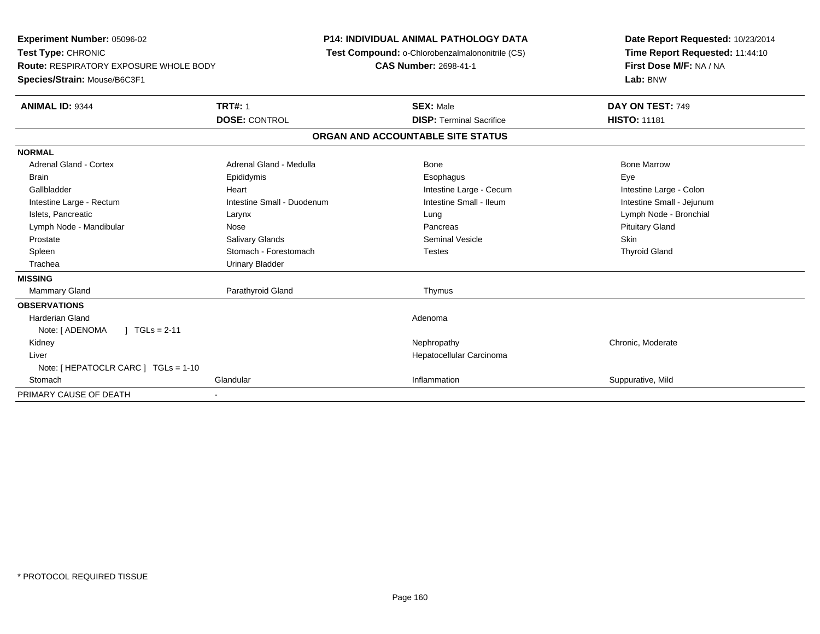**Experiment Number:** 05096-02**Test Type:** CHRONIC **Route:** RESPIRATORY EXPOSURE WHOLE BODY**Species/Strain:** Mouse/B6C3F1**P14: INDIVIDUAL ANIMAL PATHOLOGY DATA Test Compound:** o-Chlorobenzalmalononitrile (CS)**CAS Number:** 2698-41-1**Date Report Requested:** 10/23/2014**Time Report Requested:** 11:44:10**First Dose M/F:** NA / NA**Lab:** BNW**ANIMAL ID:** 9344**TRT#:** 1 **SEX:** Male **DAY ON TEST:** 749 **DOSE:** CONTROL**DISP:** Terminal Sacrifice **HISTO:** 11181 **ORGAN AND ACCOUNTABLE SITE STATUSNORMALAdrenal Gland - Cortex** Adrenal Gland - Medulla **Adrenal Gland - Medulla** Bone Bone Bone Bone Bone Marrow Brain Exercicles and the Exercise Epididymis Communications of the Exercise Exercise Exercise Exercise Exe Intestine Large - Colon Gallbladder **Gallbladder Heart** Intestine Large - Cecum Intestine Large - Cecum Intestine Large - Cecum Intestine Small - Jejunum Intestine Large - Rectum **Intestine Small - Duodenum** Intestine Small - Ileum Intestine Small - Ileum Islets, Pancreatic Larynx Lung Lymph Node - BronchialLymph Node - Mandibular **Nose** Nose **Pancreas** Pancreas Pancreas Pancreas Pancreas Prituitary Gland Prostate Salivary Glands Seminal Vesicle Skin**Thyroid Gland** Spleen Stomach - Forestomach Communication Testes Testes Trachea Urinary Bladder**MISSINGMammary Gland** Parathyroid Gland Thymus **OBSERVATIONS** Harderian Glandd and the contract of the contract of the contract of the contract of the contract of the contract of the contract of the contract of the contract of the contract of the contract of the contract of the contract of the cont Note: [ADENOMA ] TGLs = 2-11 Kidneyy the chronic, Moderate and September 2011 of the Chronic Moderate and September 2012 of the Chronic, Moderate Liver Hepatocellular CarcinomaNote: [ HEPATOCLR CARC ] TGLs = 1-10**Stomach** h and the Glandular Community Construction of the Inflammation of the Suppurative, Mild and Suppurative, Mild and Suppurative, Mild and Suppurative, Mild and Suppurative, Mild and Suppurative, Mild and Suppurative, Mild an PRIMARY CAUSE OF DEATH-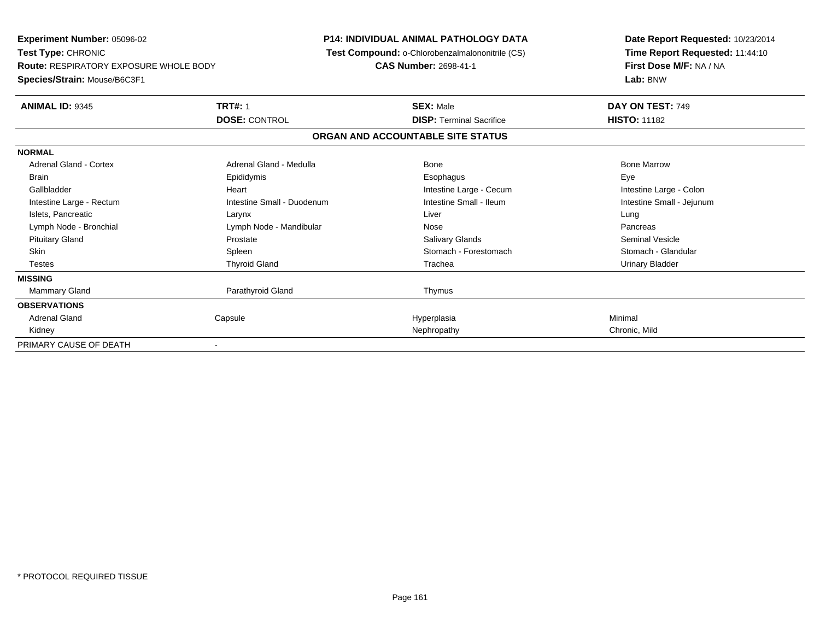**Experiment Number:** 05096-02**Test Type:** CHRONIC **Route:** RESPIRATORY EXPOSURE WHOLE BODY**Species/Strain:** Mouse/B6C3F1**P14: INDIVIDUAL ANIMAL PATHOLOGY DATA Test Compound:** o-Chlorobenzalmalononitrile (CS)**CAS Number:** 2698-41-1**Date Report Requested:** 10/23/2014**Time Report Requested:** 11:44:10**First Dose M/F:** NA / NA**Lab:** BNW**ANIMAL ID:** 9345**TRT#:** 1 **SEX:** Male **DAY ON TEST:** 749 **DOSE:** CONTROL**DISP:** Terminal Sacrifice **HISTO:** 11182 **ORGAN AND ACCOUNTABLE SITE STATUSNORMALAdrenal Gland - Cortex**  Adrenal Gland - Cortex Adrenal Gland - Medulla Bone Bone MarrowBrain Exercicles and the Exercise Epididymis Communications of the Exercise Exercise Exercise Exercise Exe Intestine Large - Colon Gallbladder **Gallbladder Heart** Intestine Large - Cecum Intestine Large - Cecum Intestine Large - Cecum Intestine Large - Rectum Intestine Small - Duodenum Intestine Small - Ileum Intestine Small - Jejunum Islets, Pancreatic Larynx Liver LungPancreas Lymph Node - Bronchial and Communication Communication Communication Communication Communication Communication Seminal Vesicle Pituitary Gland Prostate Salivary Glands Seminal VesicleStomach - Glandular Skin Stomach - Forestomach Spleen Stomach - Forestomach - Stomach - Forestomach - Stomach - Forestomach - Glandular Testes Thyroid Gland Trachea Urinary Bladder**MISSINGMammary Gland** Parathyroid Gland Thymus **OBSERVATIONS** Adrenal Gland Capsule Hyperplasia Minimal Kidneyy the control of the control of the control of the control of the control of the control of the control of the chronic, Mild PRIMARY CAUSE OF DEATH-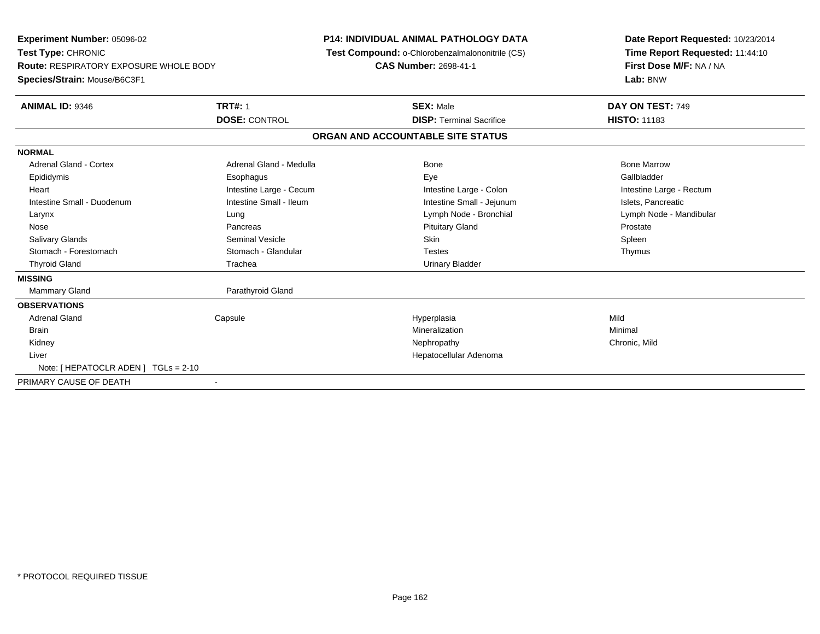**Experiment Number:** 05096-02**Test Type:** CHRONIC **Route:** RESPIRATORY EXPOSURE WHOLE BODY**Species/Strain:** Mouse/B6C3F1**P14: INDIVIDUAL ANIMAL PATHOLOGY DATA Test Compound:** o-Chlorobenzalmalononitrile (CS)**CAS Number:** 2698-41-1**Date Report Requested:** 10/23/2014**Time Report Requested:** 11:44:10**First Dose M/F:** NA / NA**Lab:** BNW**ANIMAL ID:** 9346**6 DAY ON TEST:** 749 **DOSE:** CONTROL**DISP:** Terminal Sacrifice **HISTO:** 11183 **ORGAN AND ACCOUNTABLE SITE STATUSNORMALAdrenal Gland - Cortex** Adrenal Gland - Medulla **Adrenal Gland - Medulla** Bone Bone Bone Bone Bone Marrow Gallbladder Epididymis Esophagus Eye GallbladderHeart **Intestine Large - Cecum** Intestine Large - Cecum Intestine Large - Colon Intestine Large - Rectum Intestine Small - Duodenum **Intestine Small - Ileum** Intestine Small - Ileum Intestine Small - Jejunum Intestine Small - Jejunum Islets, Pancreatic Larynx Lung Lymph Node - Bronchial Lymph Node - Mandibular Nose Pancreas Pituitary Gland ProstateSpleen Salivary Glands Seminal Vesicle Skin SpleenThymus Stomach - Forestomach **Stomach - Glandular** Testes Testes Testes Testes Testes The Testes The Testes The Testes The Testes The Testes The Testes The Testes Testes The Testes Testes Testes Testes Testes Testes Testes Testes Thyroid Gland **Trachea** Trachea **Trachea** Trachea Urinary Bladder **MISSINGMammary Gland** Parathyroid Gland **OBSERVATIONS** Adrenal Gland Capsule Hyperplasia Mild Brainn and the controller of the controller of the controller of the Minimal Minimal and the controller of the controller of the controller of the controller of the controller of the controller of the controller of the controll Kidneyy the controller of the controller of the controller of the controller of the controller of the chronic, Mild Liver Hepatocellular AdenomaNote: [ HEPATOCLR ADEN ] TGLs = 2-10PRIMARY CAUSE OF DEATH-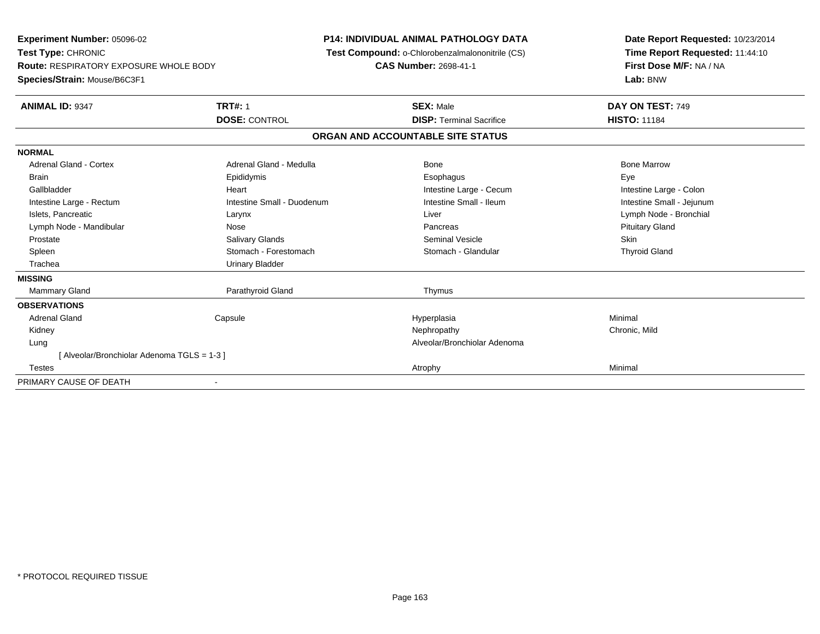**Experiment Number:** 05096-02**Test Type:** CHRONIC **Route:** RESPIRATORY EXPOSURE WHOLE BODY**Species/Strain:** Mouse/B6C3F1**P14: INDIVIDUAL ANIMAL PATHOLOGY DATA Test Compound:** o-Chlorobenzalmalononitrile (CS)**CAS Number:** 2698-41-1**Date Report Requested:** 10/23/2014**Time Report Requested:** 11:44:10**First Dose M/F:** NA / NA**Lab:** BNW**ANIMAL ID:** 9347**TRT#:** 1 **SEX:** Male **DAY ON TEST:** 749 **DOSE:** CONTROL**DISP:** Terminal Sacrifice **HISTO:** 11184 **ORGAN AND ACCOUNTABLE SITE STATUSNORMALAdrenal Gland - Cortex** Adrenal Gland - Medulla **Adrenal Gland - Medulla** Bone Bone Bone Bone Bone Marrow Brain Exercicles and the Exercise Epididymis Communications of the Exercise Exercise Exercise Exercise Exe Intestine Large - Colon Gallbladder **Gallbladder Heart** Intestine Large - Cecum Intestine Large - Cecum Intestine Large - Cecum Intestine Small - Jejunum Intestine Large - Rectum **Intestine Small - Duodenum** Intestine Small - Ileum Intestine Small - Ileum Islets, Pancreatic Larynx Liver Lymph Node - BronchialLymph Node - Mandibular **Nose** Nose **Pancreas** Pancreas Pancreas Pancreas Pancreas Prituitary Gland Prostate Salivary Glands Seminal Vesicle Skin**Thyroid Gland** Spleen Stomach - Forestomach Stomach - Stomach Stomach Stomach Stomach Stomach Stomach Stomach Stomach Stomach Stomach Stomach Stomach Stomach Stomach Stomach Stomach Stomach Stomach Stomach Stomach Stomach Stomach Stomach Trachea Urinary Bladder**MISSINGMammary Gland** Parathyroid Gland Thymus **OBSERVATIONS** Adrenal Gland Capsule Hyperplasia Minimal Kidneyy the controller of the controller of the controller of the controller of the controller of the chronic, Mild Lung Alveolar/Bronchiolar Adenoma [ Alveolar/Bronchiolar Adenoma TGLS = 1-3 ] Testess and the control of the control of the control of the control of the control of the control of the control of the control of the control of the control of the control of the control of the control of the control of the co PRIMARY CAUSE OF DEATH-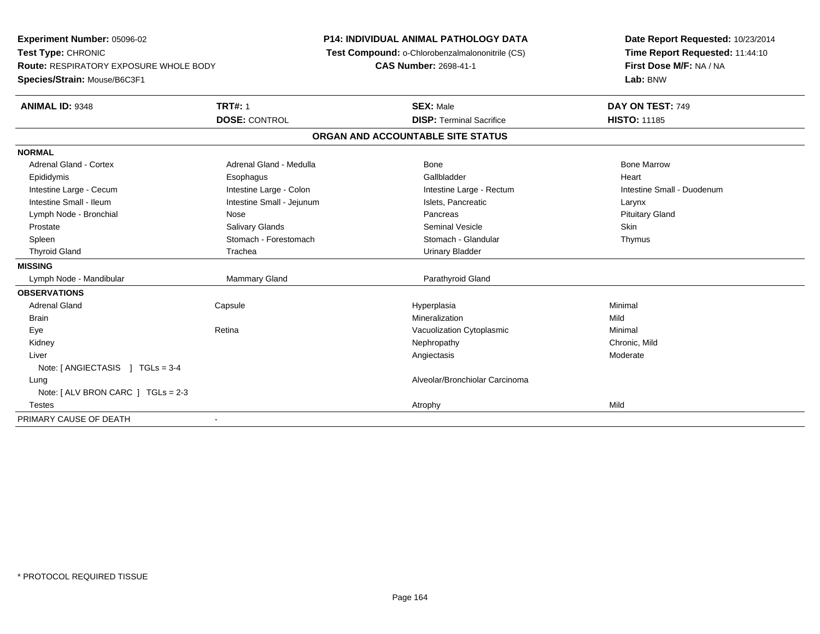**Experiment Number:** 05096-02**Test Type:** CHRONIC **Route:** RESPIRATORY EXPOSURE WHOLE BODY**Species/Strain:** Mouse/B6C3F1**P14: INDIVIDUAL ANIMAL PATHOLOGY DATA Test Compound:** o-Chlorobenzalmalononitrile (CS)**CAS Number:** 2698-41-1**Date Report Requested:** 10/23/2014**Time Report Requested:** 11:44:10**First Dose M/F:** NA / NA**Lab:** BNW**ANIMAL ID:** 9348**TRT#:** 1 **SEX:** Male **DAY ON TEST:** 749 **DOSE:** CONTROL**DISP:** Terminal Sacrifice **HISTO:** 11185 **ORGAN AND ACCOUNTABLE SITE STATUSNORMALAdrenal Gland - Cortex** Adrenal Gland - Medulla **Bone Adrenal Gland - Cortex Adrenal Gland - Cortex Adrenal Gland - Medulla** Bone Marrow Epididymis Esophagus Gallbladder HeartIntestine Large - Cecum **Intestine Large - Colon** Intestine Large - Colon Intestine Large - Rectum Intestine Large - Rectum Intestine Small - Duodenum Intestine Small - Ileum Larynx Intestine Small - Jejunum Intestine Small - Jejunum Islets, Pancreatic Larynx **Pituitary Gland** Lymph Node - Bronchial Nose Pancreas Pancreas Pancreas Pancreas Pancreas Pancreas Pancreas Pancreas Pancreas P Prostate Salivary Glands Seminal Vesicle SkinThymus Spleen Stomach - Stomach - Forestomach - Stomach - Stomach - Glandular Thymus - Stomach - Glandular Thyroid Gland **Trachea** Trachea **Trachea** Trachea Urinary Bladder **MISSING** Lymph Node - Mandibular Mammary Gland Parathyroid Gland**OBSERVATIONS** Adrenal Gland Capsule Hyperplasia Minimal Brainn and the control of the control of the control of the control of the control of the control of the control of the control of the control of the control of the control of the control of the control of the control of the co EyeRetina **Retina** Cytoplasmic Cytoplasmic Minimal Mechanic Minimal Mechanic Minimal Minimal Minimal Minimal Minimal Minimal Minimal Minimal Minimal Minimal Minimal Minimal Minimal Minimal Minimal Minimal Minimal Minimal Mini Kidneyy the controller of the controller of the controller of the controller of the controller of the chronic, Mild Liverr and the contract of the contract of the contract of the contract of the contract of the contract of the contract of the contract of the contract of the contract of the contract of the contract of the contract of the cont Angiectasis Moderate Note: [ ANGIECTASIS ] TGLs = 3-4 Lung Alveolar/Bronchiolar Carcinoma Note: [ ALV BRON CARC ] TGLs = 2-3 Testess and the contract of the contract of the contract of the contract of the contract of the contract of the contract of the contract of the contract of the contract of the contract of the contract of the contract of the cont PRIMARY CAUSE OF DEATH-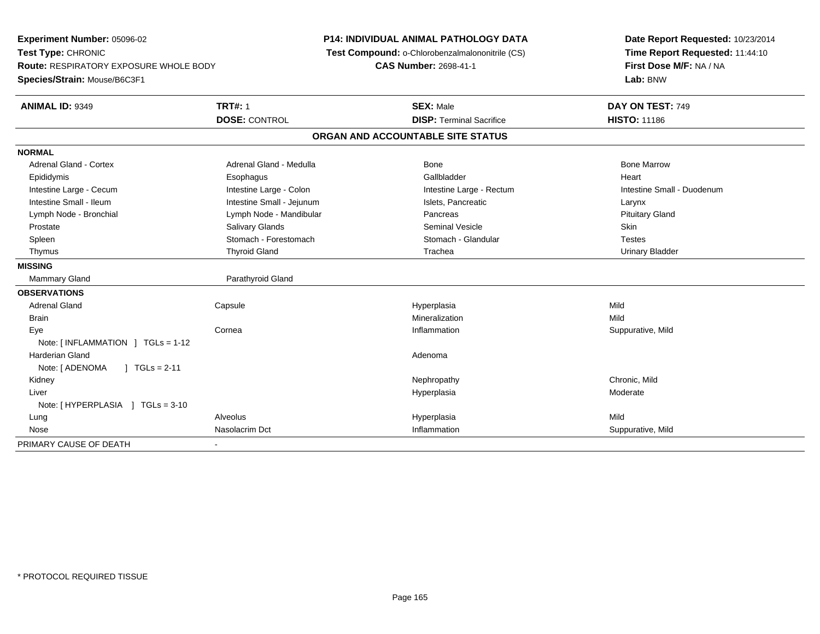**Experiment Number:** 05096-02**Test Type:** CHRONIC **Route:** RESPIRATORY EXPOSURE WHOLE BODY**Species/Strain:** Mouse/B6C3F1**P14: INDIVIDUAL ANIMAL PATHOLOGY DATA Test Compound:** o-Chlorobenzalmalononitrile (CS)**CAS Number:** 2698-41-1**Date Report Requested:** 10/23/2014**Time Report Requested:** 11:44:10**First Dose M/F:** NA / NA**Lab:** BNW**ANIMAL ID:** 9349**TRT#:** 1 **SEX:** Male **DAY ON TEST:** 749 **DOSE:** CONTROL**DISP:** Terminal Sacrifice **HISTO:** 11186 **ORGAN AND ACCOUNTABLE SITE STATUSNORMALAdrenal Gland - Cortex** Adrenal Gland - Medulla **Bone Adrenal Gland - Cortex Adrenal Gland - Cortex Adrenal Gland - Medulla** Bone Marrow Epididymis Esophagus Gallbladder HeartIntestine Large - Cecum **Intestine Large - Colon** Intestine Large - Colon Intestine Large - Rectum Intestine Large - Rectum Intestine Small - Duodenum Intestine Small - Ileum Larynx Intestine Small - Jejunum Intestine Small - Jejunum Islets, Pancreatic Larynx **Pituitary Gland** Lymph Node - Bronchial **Lymph Node - Mandibular Pancreas Pancreas** Pancreas Prostate Salivary Glands Seminal Vesicle Skin**Testes** Spleen Stomach - Stomach - Forestomach - Stomach - Stomach - Glandular Testes in the Stomach - Glandular **Urinary Bladder**  Thymus Thyroid Gland Trachea Urinary Bladder**MISSINGMammary Gland** Parathyroid Gland **OBSERVATIONS** Adrenal Gland Capsule Hyperplasia Mild Brainn and the control of the control of the control of the control of the control of the control of the control of the control of the control of the control of the control of the control of the control of the control of the co Eyee the cornea intervention of the cornea inflammation the corneal of the corneal of the corneal of the corneal of the corneal of the corneal of the corneal of the corneal of the corneal of the corneal of the corneal of the Note: [ INFLAMMATION ] TGLs = 1-12 Harderian Glandd and a state of the control of the control of the control of the control of the control of the control of the control of the control of the control of the control of the control of the control of the control of the contro Note: [ ADENOMA ] TGLs = 2-11 Kidneyy the controller of the controller of the controller of the controller of the controller of the chronic, Mild Liverr and the control of the control of the control of the control of the control of the control of the control of the control of the control of the control of the control of the control of the control of the control of the co Hyperplasia eta alderate eta alderate eta alderate eta alderate eta alderate eta alderate eta alderate Note: [ HYPERPLASIA ] TGLs = 3-10 Lung Alveolus Hyperplasia Mild Nosee and the United Suppurative, Mild and Suppurative, Mild and Suppurative, Mild and Suppurative, Mild and Suppurative, Mild and Suppurative, Mild and Suppurative, Mild and Suppurative, Mild and Suppurative, Mild and Suppura PRIMARY CAUSE OF DEATH-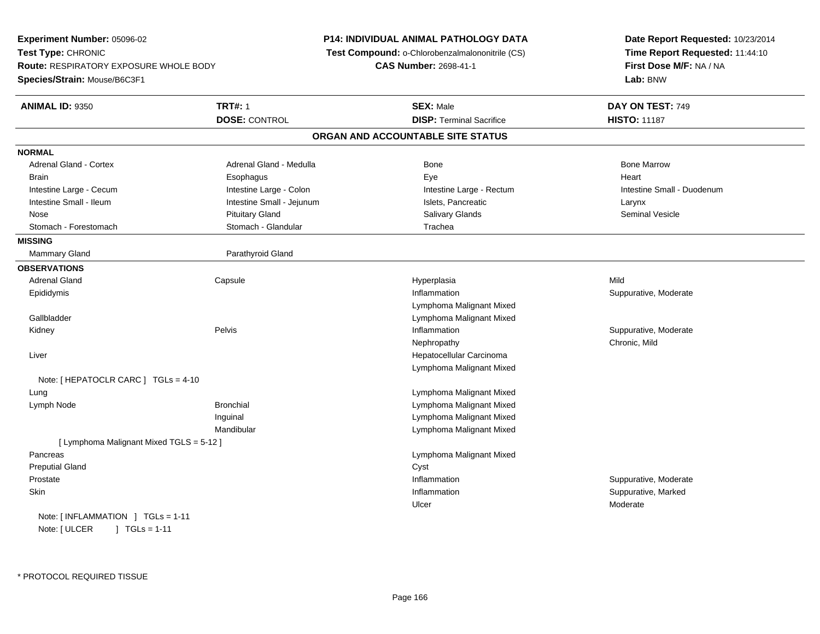**Experiment Number:** 05096-02**Test Type:** CHRONIC **Route:** RESPIRATORY EXPOSURE WHOLE BODY**Species/Strain:** Mouse/B6C3F1**P14: INDIVIDUAL ANIMAL PATHOLOGY DATA Test Compound:** o-Chlorobenzalmalononitrile (CS)**CAS Number:** 2698-41-1**Date Report Requested:** 10/23/2014**Time Report Requested:** 11:44:10**First Dose M/F:** NA / NA**Lab:** BNW**ANIMAL ID:** 9350**TRT#:** 1 **SEX:** Male **DAY ON TEST:** 749 **DOSE:** CONTROL **DISP:** Terminal Sacrifice **HISTO:** <sup>11187</sup> **ORGAN AND ACCOUNTABLE SITE STATUSNORMALAdrenal Gland - Cortex** Adrenal Gland - Medulla **Bone Adrenal Gland - Cortex Adrenal Gland - Cortex Adrenal Gland - Medulla** Bone Marrow Brain Esophagus Esophagus Esophagus Executive Eye Executive Executive Executive Executive Heart Intestine Large - Cecum **Intestine Large - Colon** Intestine Large - Colon Intestine Large - Rectum Intestine Large - Rectum Intestine Small - Duodenum Intestine Small - Ileum Larynx Intestine Small - Jejunum Intestine Small - Jejunum Islets, Pancreatic Larynx **Seminal Vesicle**  Nose Pituitary Gland Salivary Glands Seminal VesicleStomach - Forestomach **Stomach - Stomach - Glandular** Trachea **MISSINGMammary Gland** Parathyroid Gland **OBSERVATIONS** Adrenal Gland Capsule Hyperplasia Mild Epididymiss and the contract of the contract of the contract of the contract of the contract of the contract of the contract of the contract of the contract of the contract of the contract of the contract of the contract of the cont Inflammation **Suppurative, Moderate** Lymphoma Malignant Mixed Lymphoma Malignant Mixed Gallbladder Kidneyy the control of the Pelvis of the Pelvis and the control of the control of the control of the person of the control of the control of the control of the control of the control of the control of the control of the control Inflammation **Suppurative, Moderate** Nephropathy Chronic, Mild Liver Hepatocellular Carcinoma Lymphoma Malignant MixedNote: [ HEPATOCLR CARC ] TGLs = 4-10 Lung Lymphoma Malignant Mixed Lymph NodeLymphoma Malignant Mixed Inguinal Lymphoma Malignant Mixed**Lymphoma Malignant Mixed** Mandibular[ Lymphoma Malignant Mixed TGLS = 5-12 ] Pancreas Lymphoma Malignant Mixed Preputial Glandd Cyst Prostatee inflammation inflammation and the suppurative, Moderate expansion of the suppurative, Moderate expansion in the suppurative, Moderate  $\epsilon$ **Skin** n and the suppurative, Marked Suppurative, Marked Suppurative, Marked Suppurative, Marked Suppurative, Marked Suppurative, Marked Suppurative, Marked Suppurative, Marked Suppurative, Marked Suppurative, Marked Suppurative, Ulcer ModerateNote: [ INFLAMMATION ] TGLs = 1-11Note: [ ULCER ] TGLs = 1-11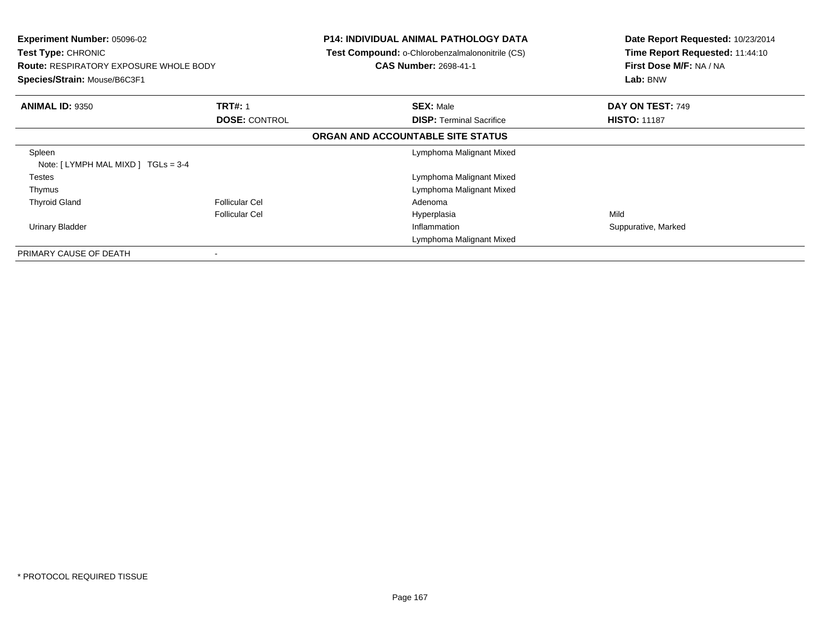| <b>Experiment Number: 05096-02</b><br><b>Test Type: CHRONIC</b><br><b>Route: RESPIRATORY EXPOSURE WHOLE BODY</b><br>Species/Strain: Mouse/B6C3F1 |                          | <b>P14: INDIVIDUAL ANIMAL PATHOLOGY DATA</b><br>Test Compound: o-Chlorobenzalmalononitrile (CS)<br><b>CAS Number: 2698-41-1</b> | Date Report Requested: 10/23/2014<br>Time Report Requested: 11:44:10<br>First Dose M/F: NA / NA<br>Lab: BNW |
|--------------------------------------------------------------------------------------------------------------------------------------------------|--------------------------|---------------------------------------------------------------------------------------------------------------------------------|-------------------------------------------------------------------------------------------------------------|
| <b>ANIMAL ID: 9350</b>                                                                                                                           | <b>TRT#: 1</b>           | <b>SEX: Male</b>                                                                                                                | DAY ON TEST: 749                                                                                            |
|                                                                                                                                                  | <b>DOSE: CONTROL</b>     | <b>DISP:</b> Terminal Sacrifice<br>ORGAN AND ACCOUNTABLE SITE STATUS                                                            | <b>HISTO: 11187</b>                                                                                         |
| Spleen<br>Note: $[LYMPH MAL MIXD] TGLs = 3-4$                                                                                                    |                          | Lymphoma Malignant Mixed                                                                                                        |                                                                                                             |
| Testes                                                                                                                                           |                          | Lymphoma Malignant Mixed                                                                                                        |                                                                                                             |
| Thymus                                                                                                                                           |                          | Lymphoma Malignant Mixed                                                                                                        |                                                                                                             |
| <b>Thyroid Gland</b>                                                                                                                             | <b>Follicular Cel</b>    | Adenoma                                                                                                                         |                                                                                                             |
|                                                                                                                                                  | <b>Follicular Cel</b>    | Hyperplasia                                                                                                                     | Mild                                                                                                        |
| Urinary Bladder                                                                                                                                  |                          | Inflammation                                                                                                                    | Suppurative, Marked                                                                                         |
|                                                                                                                                                  |                          | Lymphoma Malignant Mixed                                                                                                        |                                                                                                             |
| PRIMARY CAUSE OF DEATH                                                                                                                           | $\overline{\phantom{a}}$ |                                                                                                                                 |                                                                                                             |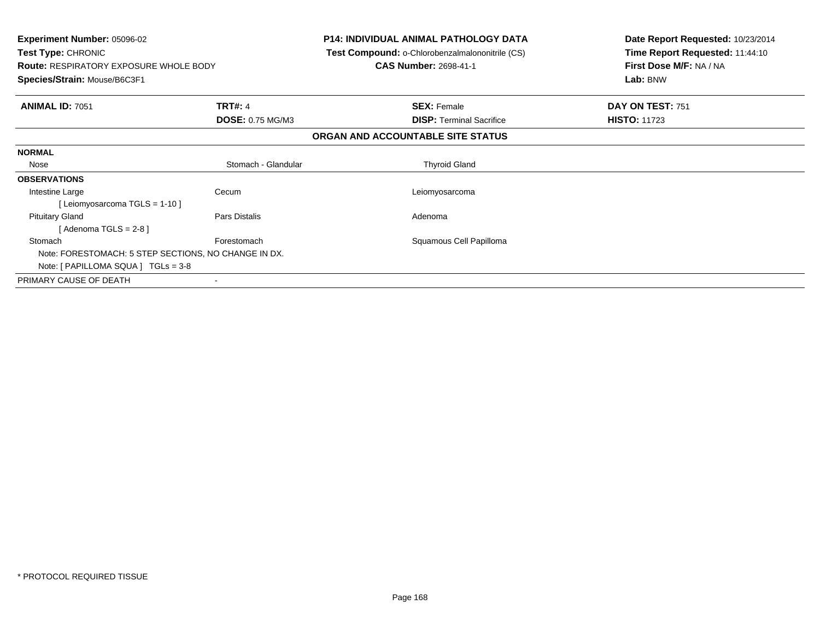| <b>Experiment Number: 05096-02</b><br><b>Test Type: CHRONIC</b><br><b>Route: RESPIRATORY EXPOSURE WHOLE BODY</b><br>Species/Strain: Mouse/B6C3F1 |                         | <b>P14: INDIVIDUAL ANIMAL PATHOLOGY DATA</b><br>Test Compound: o-Chlorobenzalmalononitrile (CS)<br><b>CAS Number: 2698-41-1</b> | Date Report Requested: 10/23/2014<br>Time Report Requested: 11:44:10<br>First Dose M/F: NA / NA<br>Lab: BNW |
|--------------------------------------------------------------------------------------------------------------------------------------------------|-------------------------|---------------------------------------------------------------------------------------------------------------------------------|-------------------------------------------------------------------------------------------------------------|
|                                                                                                                                                  |                         |                                                                                                                                 |                                                                                                             |
| <b>ANIMAL ID: 7051</b>                                                                                                                           | <b>TRT#: 4</b>          | <b>SEX: Female</b>                                                                                                              | DAY ON TEST: 751<br><b>HISTO: 11723</b>                                                                     |
|                                                                                                                                                  | <b>DOSE: 0.75 MG/M3</b> | <b>DISP:</b> Terminal Sacrifice                                                                                                 |                                                                                                             |
|                                                                                                                                                  |                         | ORGAN AND ACCOUNTABLE SITE STATUS                                                                                               |                                                                                                             |
| <b>NORMAL</b>                                                                                                                                    |                         |                                                                                                                                 |                                                                                                             |
| Nose                                                                                                                                             | Stomach - Glandular     | <b>Thyroid Gland</b>                                                                                                            |                                                                                                             |
| <b>OBSERVATIONS</b>                                                                                                                              |                         |                                                                                                                                 |                                                                                                             |
| Intestine Large                                                                                                                                  | Cecum                   | Leiomyosarcoma                                                                                                                  |                                                                                                             |
| [Leiomyosarcoma TGLS = 1-10]                                                                                                                     |                         |                                                                                                                                 |                                                                                                             |
| <b>Pituitary Gland</b>                                                                                                                           | Pars Distalis           | Adenoma                                                                                                                         |                                                                                                             |
| [Adenoma TGLS = $2-8$ ]                                                                                                                          |                         |                                                                                                                                 |                                                                                                             |
| Stomach                                                                                                                                          | Forestomach             | Squamous Cell Papilloma                                                                                                         |                                                                                                             |
| Note: FORESTOMACH: 5 STEP SECTIONS, NO CHANGE IN DX.                                                                                             |                         |                                                                                                                                 |                                                                                                             |
| Note: $[ PAPILLOMA SQUARE]  TGLS = 3-8 $                                                                                                         |                         |                                                                                                                                 |                                                                                                             |
| PRIMARY CAUSE OF DEATH                                                                                                                           |                         |                                                                                                                                 |                                                                                                             |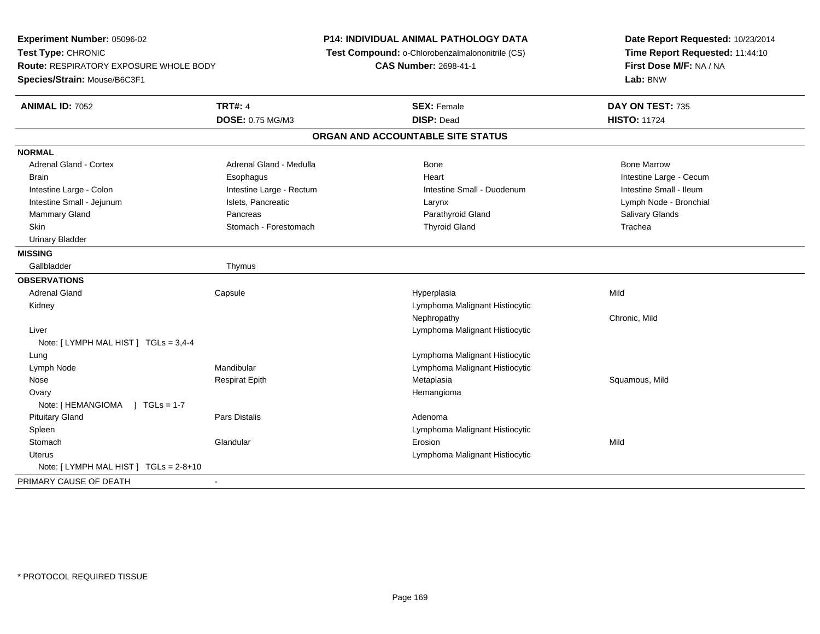**Experiment Number:** 05096-02**Test Type:** CHRONIC **Route:** RESPIRATORY EXPOSURE WHOLE BODY**Species/Strain:** Mouse/B6C3F1**P14: INDIVIDUAL ANIMAL PATHOLOGY DATA Test Compound:** o-Chlorobenzalmalononitrile (CS)**CAS Number:** 2698-41-1**Date Report Requested:** 10/23/2014**Time Report Requested:** 11:44:10**First Dose M/F:** NA / NA**Lab:** BNW**ANIMAL ID:** 7052**TRT#:** 4 **SEX:** Female **DAY ON TEST:** 735 **DOSE:** 0.75 MG/M3 **DISP:** Dead **HISTO:** <sup>11724</sup> **ORGAN AND ACCOUNTABLE SITE STATUSNORMALAdrenal Gland - Cortex** Adrenal Gland - Medulla **Bone Adrenal Gland - Cortex Adrenal Gland - Cortex Adrenal Gland - Medulla** Bone Marrow Brain Esophagus Brain Esophagus Ann an t-ach ann an t-ach ann an t-ach ann an t-ach ann an t-ach ann an t-ach a Intestine Small - Ileum Intestine Large - Colon **Intestine Large - Rectum** Intestine Small - Duodenum Intestine Small - Duodenum Lymph Node - Bronchial Intestine Small - Jejunum **Islets, Pancreatic Larynx** Larynx Larynx Larynx Larynx Larynx Larynx Larynx Larynx Larynx Mammary Gland Salivary Glands Pancreas Pancreas And Salivary Gland Parathyroid Gland Salivary Glands Salivary Glands Skin Stomach - Forestomach Trachea Thyroid Gland Trachea Trachea Trachea Trachea Urinary Bladder**MISSING**Gallbladder **Thymus OBSERVATIONS** Adrenal Gland Capsule Hyperplasia Mild Kidney Lymphoma Malignant Histiocytic Nephropathy Chronic, Mild Liver Lymphoma Malignant HistiocyticNote: [ LYMPH MAL HIST ] TGLs = 3,4-4 LungLymphoma Malignant Histiocytic<br>Lymphoma Malignant Histiocytic<br>Lymphoma Malignant Histiocytic Lymph NodeMandibular **Mandibular** Lymphoma Malignant Histiocytic<br>Respirat Epith **Mandialism Communisty Communisty** Metaplasia Nose Respirat Epith Metaplasia Squamous, Mild **Ovary** y the control of the control of the control of the control of the control of the control of the control of the control of the control of the control of the control of the control of the control of the control of the contro Note: [ HEMANGIOMA ] TGLs = 1-7 Pituitary Glandd and the set of the Pars Distalis and the Second Adenomal Adenomal Second Second Pars Distaller and Adenomal S SpleenLymphoma Malignant Histiocytic<br>
Erosion<br>
Erosion **Stomach** h ann an Glandular Changes ann an t-Iomraid ann an t-Iomraid ann an t-Iomraid ann an Mild an Mild an Mild an M Uterus Lymphoma Malignant Histiocytic Note: [ LYMPH MAL HIST ] TGLs = 2-8+10PRIMARY CAUSE OF DEATH-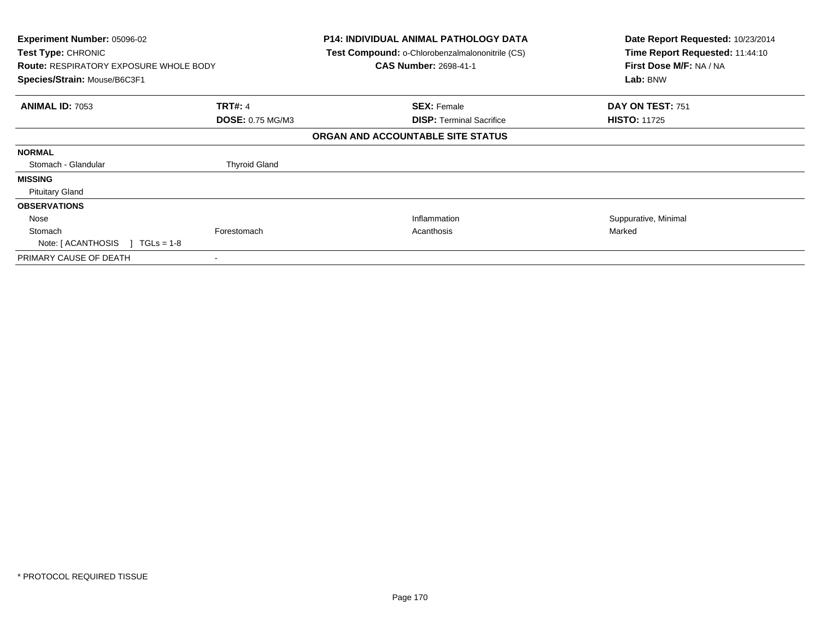| Experiment Number: 05096-02<br>Test Type: CHRONIC<br><b>Route: RESPIRATORY EXPOSURE WHOLE BODY</b><br>Species/Strain: Mouse/B6C3F1 |                         | <b>P14: INDIVIDUAL ANIMAL PATHOLOGY DATA</b><br>Test Compound: o-Chlorobenzalmalononitrile (CS)<br><b>CAS Number: 2698-41-1</b> | Date Report Requested: 10/23/2014<br>Time Report Requested: 11:44:10<br>First Dose M/F: NA / NA<br>Lab: BNW |
|------------------------------------------------------------------------------------------------------------------------------------|-------------------------|---------------------------------------------------------------------------------------------------------------------------------|-------------------------------------------------------------------------------------------------------------|
| <b>ANIMAL ID: 7053</b>                                                                                                             | <b>TRT#: 4</b>          | <b>SEX: Female</b>                                                                                                              | DAY ON TEST: 751                                                                                            |
|                                                                                                                                    | <b>DOSE: 0.75 MG/M3</b> | <b>DISP: Terminal Sacrifice</b>                                                                                                 | <b>HISTO: 11725</b>                                                                                         |
|                                                                                                                                    |                         | ORGAN AND ACCOUNTABLE SITE STATUS                                                                                               |                                                                                                             |
| <b>NORMAL</b>                                                                                                                      |                         |                                                                                                                                 |                                                                                                             |
| Stomach - Glandular                                                                                                                | <b>Thyroid Gland</b>    |                                                                                                                                 |                                                                                                             |
| <b>MISSING</b>                                                                                                                     |                         |                                                                                                                                 |                                                                                                             |
| <b>Pituitary Gland</b>                                                                                                             |                         |                                                                                                                                 |                                                                                                             |
| <b>OBSERVATIONS</b>                                                                                                                |                         |                                                                                                                                 |                                                                                                             |
| Nose                                                                                                                               |                         | Inflammation                                                                                                                    | Suppurative, Minimal                                                                                        |
| Stomach                                                                                                                            | Forestomach             | Acanthosis                                                                                                                      | Marked                                                                                                      |
| Note: [ ACANTHOSIS<br>$TGLs = 1-8$                                                                                                 |                         |                                                                                                                                 |                                                                                                             |
| PRIMARY CAUSE OF DEATH                                                                                                             | $\blacksquare$          |                                                                                                                                 |                                                                                                             |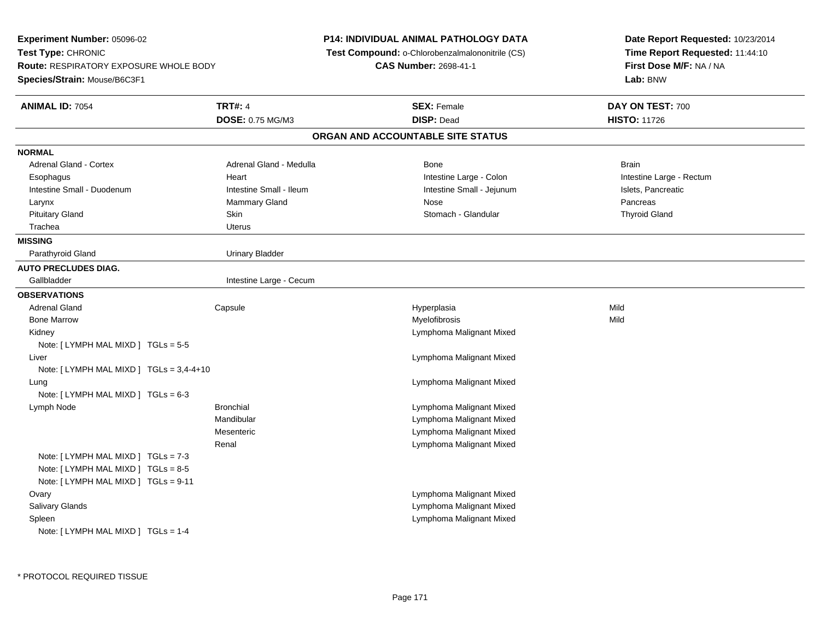**Experiment Number:** 05096-02**Test Type:** CHRONIC **Route:** RESPIRATORY EXPOSURE WHOLE BODY**Species/Strain:** Mouse/B6C3F1**P14: INDIVIDUAL ANIMAL PATHOLOGY DATA Test Compound:** o-Chlorobenzalmalononitrile (CS)**CAS Number:** 2698-41-1**Date Report Requested:** 10/23/2014**Time Report Requested:** 11:44:10**First Dose M/F:** NA / NA**Lab:** BNW**ANIMAL ID:** 7054**TRT#:** 4 **SEX:** Female **DAY ON TEST:** 700 **DOSE:** 0.75 MG/M3 **DISP:** Dead **HISTO:** <sup>11726</sup> **ORGAN AND ACCOUNTABLE SITE STATUSNORMALAdrenal Gland - Cortex** Adrenal Gland - Medulla **Bone** Bone Bone Brain Brain Brain Brain Esophagus Heart Intestine Large - Colon Intestine Large - RectumIntestine Small - Duodenum **Intestine Small - Ileum** Intestine Small - Ileum Intestine Small - Jejunum Intestine Small - Jejunum Islets, Pancreatic Larynx Mammary Gland Nose Pancreas**Thyroid Gland** Pituitary Gland Skin Shin Shin Shin Shin Stomach - Glandular Stomach - Glandular Stomach - Glandular Thyroid Gland Trachea Uterus**MISSING**Parathyroid Gland Urinary Bladder **AUTO PRECLUDES DIAG.**Gallbladder **Intestine Large - Cecum OBSERVATIONS** Adrenal Gland Capsule Hyperplasia Mild Bone Marroww which is a matter of the Myelofibrosis and the Myelofibrosis and the Mild of the Mild of the Mild of the Mild of the Mild of the Mild of the Mild of the Mild of the Mild of the Mild of the Mild of the Mild of the Mild of Kidney Lymphoma Malignant MixedNote: [ LYMPH MAL MIXD ] TGLs = 5-5 Liver Lymphoma Malignant MixedNote: [ LYMPH MAL MIXD ] TGLs = 3,4-4+10 Lung Lymphoma Malignant Mixed Note: [ LYMPH MAL MIXD ] TGLs = 6-3 Lymph Node Bronchial Lymphoma Malignant Mixed Mandibular Lymphoma Malignant Mixed Lymphoma Malignant MixedMesenteric Lymphoma Malignant MixedRenalNote: [ LYMPH MAL MIXD ] TGLs = 7-3 Note: [ LYMPH MAL MIXD ] TGLs = 8-5 Note: [ LYMPH MAL MIXD ] TGLs = 9-11**Ovary**  Lymphoma Malignant Mixed Lymphoma Malignant Mixed Salivary Glands Lymphoma Malignant Mixed SpleenNote: [ LYMPH MAL MIXD ] TGLs = 1-4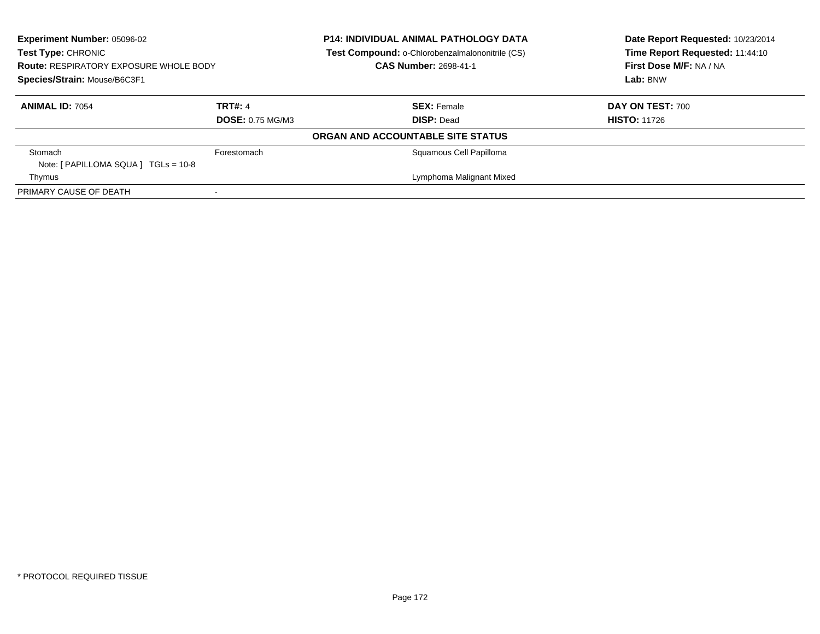| <b>Experiment Number: 05096-02</b><br>Test Type: CHRONIC<br><b>Route: RESPIRATORY EXPOSURE WHOLE BODY</b><br>Species/Strain: Mouse/B6C3F1 |                         | <b>P14: INDIVIDUAL ANIMAL PATHOLOGY DATA</b><br>Test Compound: o-Chlorobenzalmalononitrile (CS)<br><b>CAS Number: 2698-41-1</b> | Date Report Requested: 10/23/2014<br>Time Report Requested: 11:44:10<br>First Dose M/F: NA / NA<br>Lab: BNW |
|-------------------------------------------------------------------------------------------------------------------------------------------|-------------------------|---------------------------------------------------------------------------------------------------------------------------------|-------------------------------------------------------------------------------------------------------------|
| <b>ANIMAL ID: 7054</b>                                                                                                                    | <b>TRT#: 4</b>          | <b>SEX: Female</b>                                                                                                              | <b>DAY ON TEST: 700</b>                                                                                     |
|                                                                                                                                           | <b>DOSE: 0.75 MG/M3</b> | <b>DISP: Dead</b>                                                                                                               | <b>HISTO: 11726</b>                                                                                         |
|                                                                                                                                           |                         | ORGAN AND ACCOUNTABLE SITE STATUS                                                                                               |                                                                                                             |
| Stomach<br>Note: $[ PAPILLOMA SQUARE]  TGLS = 10-8 $                                                                                      | Forestomach             | Squamous Cell Papilloma                                                                                                         |                                                                                                             |
| Thymus                                                                                                                                    |                         | Lymphoma Malignant Mixed                                                                                                        |                                                                                                             |
| PRIMARY CAUSE OF DEATH                                                                                                                    |                         |                                                                                                                                 |                                                                                                             |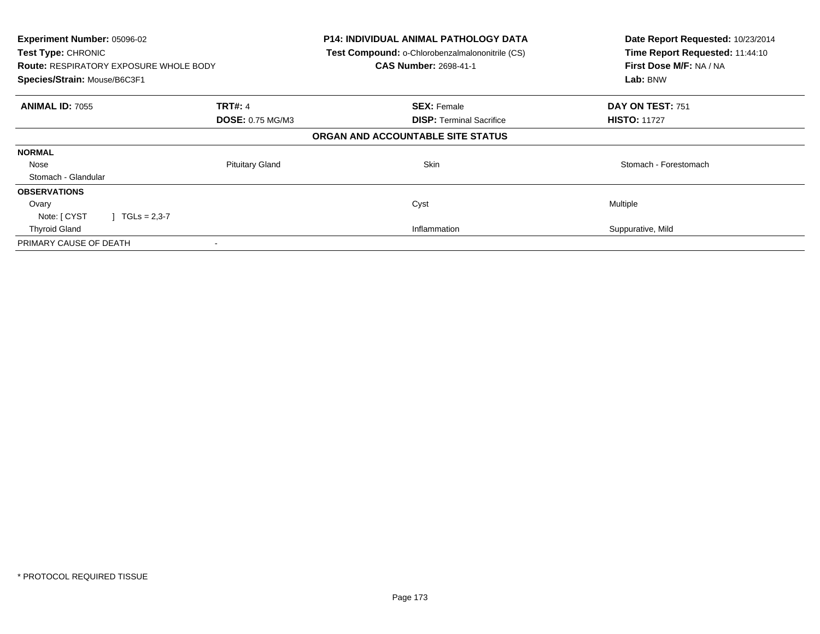| Experiment Number: 05096-02<br>Test Type: CHRONIC<br><b>Route: RESPIRATORY EXPOSURE WHOLE BODY</b><br>Species/Strain: Mouse/B6C3F1 |                         | <b>P14: INDIVIDUAL ANIMAL PATHOLOGY DATA</b><br>Test Compound: o-Chlorobenzalmalononitrile (CS)<br><b>CAS Number: 2698-41-1</b> | Date Report Requested: 10/23/2014<br>Time Report Requested: 11:44:10<br>First Dose M/F: NA / NA<br>Lab: BNW |
|------------------------------------------------------------------------------------------------------------------------------------|-------------------------|---------------------------------------------------------------------------------------------------------------------------------|-------------------------------------------------------------------------------------------------------------|
| <b>ANIMAL ID: 7055</b>                                                                                                             | <b>TRT#: 4</b>          | <b>SEX: Female</b>                                                                                                              | DAY ON TEST: 751                                                                                            |
|                                                                                                                                    | <b>DOSE: 0.75 MG/M3</b> | <b>DISP:</b> Terminal Sacrifice                                                                                                 | <b>HISTO: 11727</b>                                                                                         |
|                                                                                                                                    |                         | ORGAN AND ACCOUNTABLE SITE STATUS                                                                                               |                                                                                                             |
| <b>NORMAL</b>                                                                                                                      |                         |                                                                                                                                 |                                                                                                             |
| Nose                                                                                                                               | <b>Pituitary Gland</b>  | Skin                                                                                                                            | Stomach - Forestomach                                                                                       |
| Stomach - Glandular                                                                                                                |                         |                                                                                                                                 |                                                                                                             |
| <b>OBSERVATIONS</b>                                                                                                                |                         |                                                                                                                                 |                                                                                                             |
| Ovary                                                                                                                              |                         | Cyst                                                                                                                            | Multiple                                                                                                    |
| Note: [ CYST<br>$J \cdot TGLs = 2,3-7$                                                                                             |                         |                                                                                                                                 |                                                                                                             |
| <b>Thyroid Gland</b>                                                                                                               |                         | Inflammation                                                                                                                    | Suppurative, Mild                                                                                           |
| PRIMARY CAUSE OF DEATH                                                                                                             |                         |                                                                                                                                 |                                                                                                             |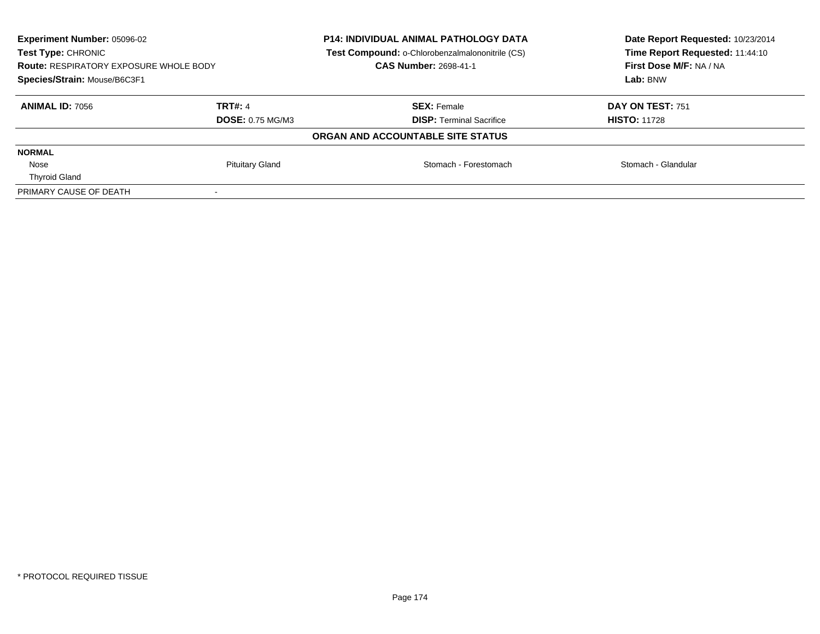|                        | <b>CAS Number: 2698-41-1</b>                                             | Date Report Requested: 10/23/2014<br>Time Report Requested: 11:44:10<br>First Dose M/F: NA / NA<br>Lab: BNW                                                             |
|------------------------|--------------------------------------------------------------------------|-------------------------------------------------------------------------------------------------------------------------------------------------------------------------|
| TRT#: 4                | <b>SEX: Female</b>                                                       | DAY ON TEST: 751                                                                                                                                                        |
|                        |                                                                          | <b>HISTO: 11728</b>                                                                                                                                                     |
|                        |                                                                          |                                                                                                                                                                         |
|                        |                                                                          |                                                                                                                                                                         |
| <b>Pituitary Gland</b> | Stomach - Forestomach                                                    | Stomach - Glandular                                                                                                                                                     |
|                        |                                                                          |                                                                                                                                                                         |
|                        |                                                                          |                                                                                                                                                                         |
|                        | <b>Route: RESPIRATORY EXPOSURE WHOLE BODY</b><br><b>DOSE: 0.75 MG/M3</b> | <b>P14: INDIVIDUAL ANIMAL PATHOLOGY DATA</b><br>Test Compound: o-Chlorobenzalmalononitrile (CS)<br><b>DISP: Terminal Sacrifice</b><br>ORGAN AND ACCOUNTABLE SITE STATUS |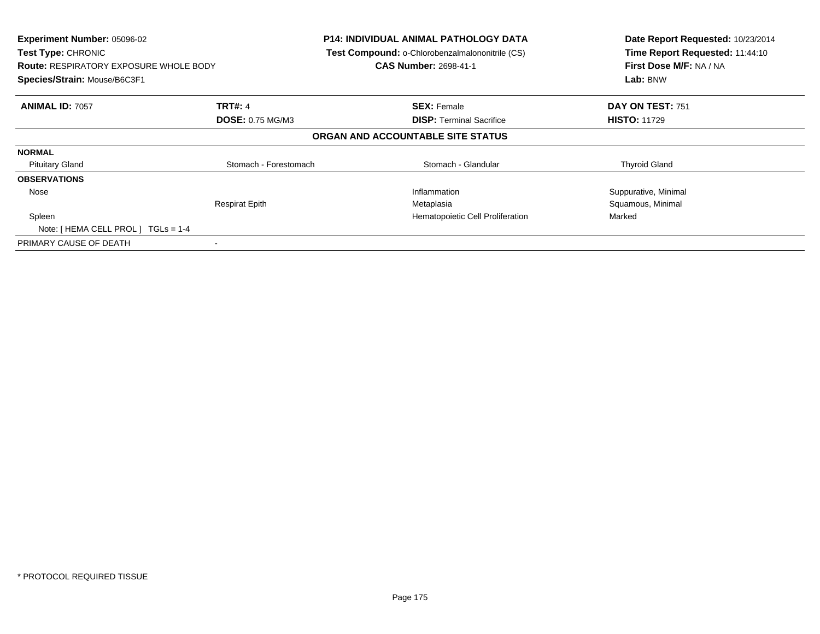| Experiment Number: 05096-02<br>Test Type: CHRONIC<br><b>Route: RESPIRATORY EXPOSURE WHOLE BODY</b><br>Species/Strain: Mouse/B6C3F1 |                         | P14: INDIVIDUAL ANIMAL PATHOLOGY DATA<br>Test Compound: o-Chlorobenzalmalononitrile (CS)<br><b>CAS Number: 2698-41-1</b> | Date Report Requested: 10/23/2014<br>Time Report Requested: 11:44:10<br>First Dose M/F: NA / NA<br>Lab: BNW |
|------------------------------------------------------------------------------------------------------------------------------------|-------------------------|--------------------------------------------------------------------------------------------------------------------------|-------------------------------------------------------------------------------------------------------------|
| <b>ANIMAL ID: 7057</b>                                                                                                             | <b>TRT#: 4</b>          | <b>SEX: Female</b>                                                                                                       | DAY ON TEST: 751                                                                                            |
|                                                                                                                                    | <b>DOSE: 0.75 MG/M3</b> | <b>DISP: Terminal Sacrifice</b>                                                                                          | <b>HISTO: 11729</b>                                                                                         |
|                                                                                                                                    |                         | ORGAN AND ACCOUNTABLE SITE STATUS                                                                                        |                                                                                                             |
| <b>NORMAL</b>                                                                                                                      |                         |                                                                                                                          |                                                                                                             |
| <b>Pituitary Gland</b>                                                                                                             | Stomach - Forestomach   | Stomach - Glandular                                                                                                      | <b>Thyroid Gland</b>                                                                                        |
| <b>OBSERVATIONS</b>                                                                                                                |                         |                                                                                                                          |                                                                                                             |
| Nose                                                                                                                               |                         | Inflammation                                                                                                             | Suppurative, Minimal                                                                                        |
|                                                                                                                                    | <b>Respirat Epith</b>   | Metaplasia                                                                                                               | Squamous, Minimal                                                                                           |
| Spleen                                                                                                                             |                         | Hematopoietic Cell Proliferation                                                                                         | Marked                                                                                                      |
| Note: $[HEMA CELL PROL] TGLS = 1-4$                                                                                                |                         |                                                                                                                          |                                                                                                             |
| PRIMARY CAUSE OF DEATH                                                                                                             |                         |                                                                                                                          |                                                                                                             |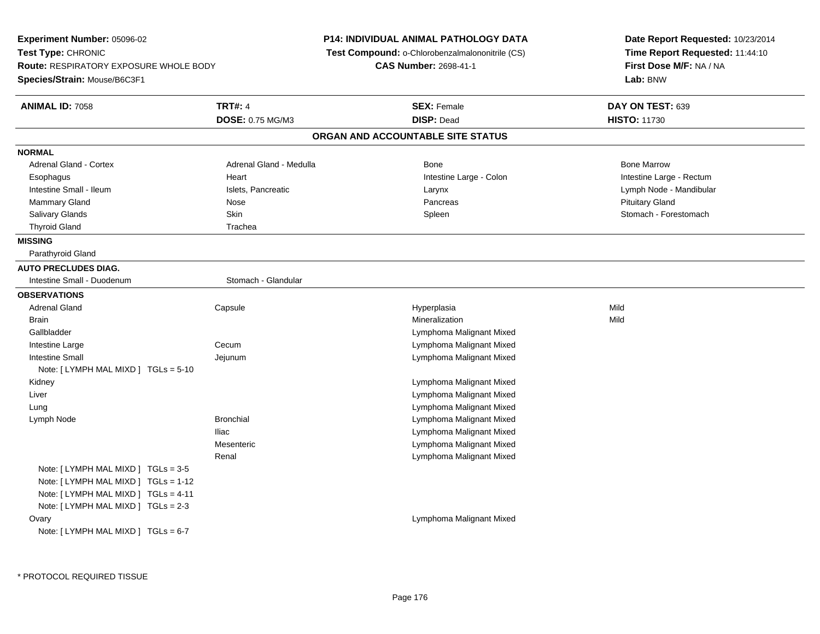**Experiment Number:** 05096-02**Test Type:** CHRONIC **Route:** RESPIRATORY EXPOSURE WHOLE BODY**Species/Strain:** Mouse/B6C3F1**P14: INDIVIDUAL ANIMAL PATHOLOGY DATA Test Compound:** o-Chlorobenzalmalononitrile (CS)**CAS Number:** 2698-41-1**Date Report Requested:** 10/23/2014**Time Report Requested:** 11:44:10**First Dose M/F:** NA / NA**Lab:** BNW**ANIMAL ID:** 7058**TRT#:** 4 **SEX:** Female **DAY ON TEST:** 639 **DOSE:** 0.75 MG/M3 **DISP:** Dead **HISTO:** <sup>11730</sup> **ORGAN AND ACCOUNTABLE SITE STATUSNORMALAdrenal Gland - Cortex** Adrenal Gland - Medulla **Bone Adrenal Gland - Cortex Adrenal Gland - Cortex Adrenal Gland - Medulla** Bone Marrow Esophagus Heart Intestine Large - Colon Intestine Large - RectumIntestine Small - Ileum Node - Mandibular Islets, Pancreatic Larynx Larynx Larynx Lymph Node - Mandibular Lymph Node - Mandibular Mammary Gland Nose Nose Research Communication of the Pancreas Pancreas Pancreas Pituitary Gland Pituitary Gland Stomach - Forestomach Salivary Glands Summach - Skin Shin Shin Shin Shines Spleen Shines Stomach - Forestomach - Stomach - Forestomach - Stomach - Stomach - Stomach - Stomach - Stomach - Stomach - Stomach - Stomach - Stomach - Stomach - Stomach Thyroid Gland Trachea **MISSING** Parathyroid Gland**AUTO PRECLUDES DIAG.**Intestine Small - Duodenum Stomach - Glandular **OBSERVATIONS** Adrenal Gland Capsule Hyperplasia Mild Brainn and the control of the control of the control of the control of the control of the control of the control of the control of the control of the control of the control of the control of the control of the control of the co Gallbladder Lymphoma Malignant Mixed Lymphoma Malignant Mixed Intestine Largee Cecum Intestine Small Jejunum Lymphoma Malignant Mixed Note: [ LYMPH MAL MIXD ] TGLs = 5-10 Kidney Lymphoma Malignant Mixed Lymphoma Malignant Mixed Liver Lymphoma Malignant Mixed Lung Lymph NodeBronchial **Bronchial** Lymphoma Malignant Mixed Iliac Lymphoma Malignant Mixed Lymphoma Malignant MixedMesenteric Lymphoma Malignant MixedRenalNote: [ LYMPH MAL MIXD ] TGLs = 3-5 Note: [ LYMPH MAL MIXD ] TGLs = 1-12 Note: [ LYMPH MAL MIXD ] TGLs = 4-11 Note: [ LYMPH MAL MIXD ] TGLs = 2-3**Ovary**  Lymphoma Malignant MixedNote: [ LYMPH MAL MIXD ] TGLs = 6-7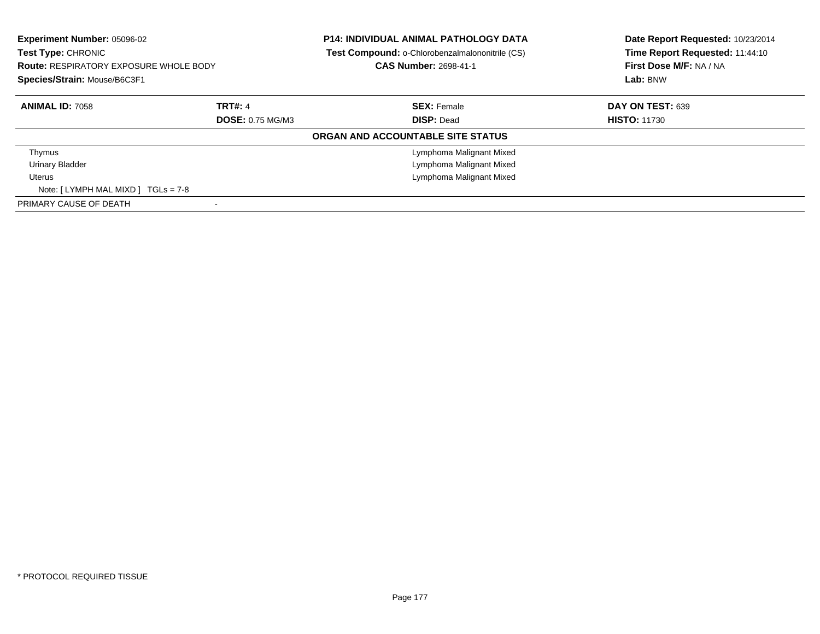| <b>Experiment Number: 05096-02</b><br><b>Test Type: CHRONIC</b><br><b>Route: RESPIRATORY EXPOSURE WHOLE BODY</b><br>Species/Strain: Mouse/B6C3F1 |                         | <b>P14: INDIVIDUAL ANIMAL PATHOLOGY DATA</b><br><b>Test Compound: o-Chlorobenzalmalononitrile (CS)</b><br><b>CAS Number: 2698-41-1</b> | Date Report Requested: 10/23/2014<br>Time Report Requested: 11:44:10<br>First Dose M/F: NA / NA<br>Lab: BNW |
|--------------------------------------------------------------------------------------------------------------------------------------------------|-------------------------|----------------------------------------------------------------------------------------------------------------------------------------|-------------------------------------------------------------------------------------------------------------|
| <b>ANIMAL ID: 7058</b>                                                                                                                           | <b>TRT#: 4</b>          | <b>SEX: Female</b>                                                                                                                     | DAY ON TEST: 639                                                                                            |
|                                                                                                                                                  | <b>DOSE: 0.75 MG/M3</b> | <b>DISP: Dead</b>                                                                                                                      | <b>HISTO: 11730</b>                                                                                         |
|                                                                                                                                                  |                         | ORGAN AND ACCOUNTABLE SITE STATUS                                                                                                      |                                                                                                             |
| Thymus                                                                                                                                           |                         | Lymphoma Malignant Mixed                                                                                                               |                                                                                                             |
| <b>Urinary Bladder</b>                                                                                                                           |                         | Lymphoma Malignant Mixed                                                                                                               |                                                                                                             |
| Uterus                                                                                                                                           |                         | Lymphoma Malignant Mixed                                                                                                               |                                                                                                             |
| Note: $[LYMPH MAL MIXD] TGLs = 7-8$                                                                                                              |                         |                                                                                                                                        |                                                                                                             |
| PRIMARY CAUSE OF DEATH                                                                                                                           |                         |                                                                                                                                        |                                                                                                             |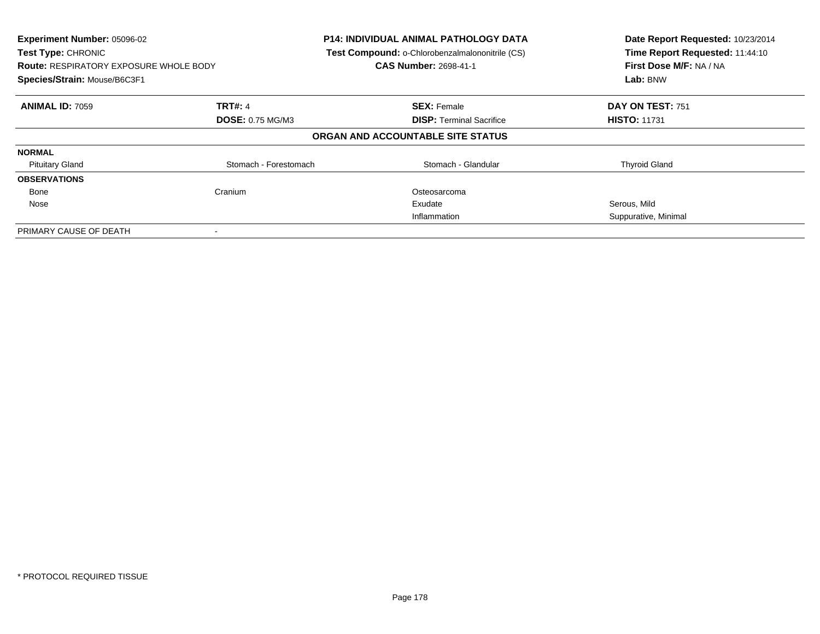| Experiment Number: 05096-02<br>Test Type: CHRONIC<br><b>Route: RESPIRATORY EXPOSURE WHOLE BODY</b><br>Species/Strain: Mouse/B6C3F1 |                         | <b>P14: INDIVIDUAL ANIMAL PATHOLOGY DATA</b><br>Test Compound: o-Chlorobenzalmalononitrile (CS)<br><b>CAS Number: 2698-41-1</b> | Date Report Requested: 10/23/2014<br>Time Report Requested: 11:44:10<br>First Dose M/F: NA / NA<br>Lab: BNW |
|------------------------------------------------------------------------------------------------------------------------------------|-------------------------|---------------------------------------------------------------------------------------------------------------------------------|-------------------------------------------------------------------------------------------------------------|
| <b>ANIMAL ID: 7059</b>                                                                                                             | <b>TRT#: 4</b>          | <b>SEX: Female</b>                                                                                                              | DAY ON TEST: 751                                                                                            |
|                                                                                                                                    | <b>DOSE: 0.75 MG/M3</b> | <b>DISP:</b> Terminal Sacrifice                                                                                                 | <b>HISTO: 11731</b>                                                                                         |
|                                                                                                                                    |                         | ORGAN AND ACCOUNTABLE SITE STATUS                                                                                               |                                                                                                             |
| <b>NORMAL</b>                                                                                                                      |                         |                                                                                                                                 |                                                                                                             |
| <b>Pituitary Gland</b>                                                                                                             | Stomach - Forestomach   | Stomach - Glandular                                                                                                             | <b>Thyroid Gland</b>                                                                                        |
| <b>OBSERVATIONS</b>                                                                                                                |                         |                                                                                                                                 |                                                                                                             |
| Bone                                                                                                                               | Cranium                 | Osteosarcoma                                                                                                                    |                                                                                                             |
| Nose                                                                                                                               |                         | Exudate                                                                                                                         | Serous, Mild                                                                                                |
|                                                                                                                                    |                         | Inflammation                                                                                                                    | Suppurative, Minimal                                                                                        |
| PRIMARY CAUSE OF DEATH                                                                                                             |                         |                                                                                                                                 |                                                                                                             |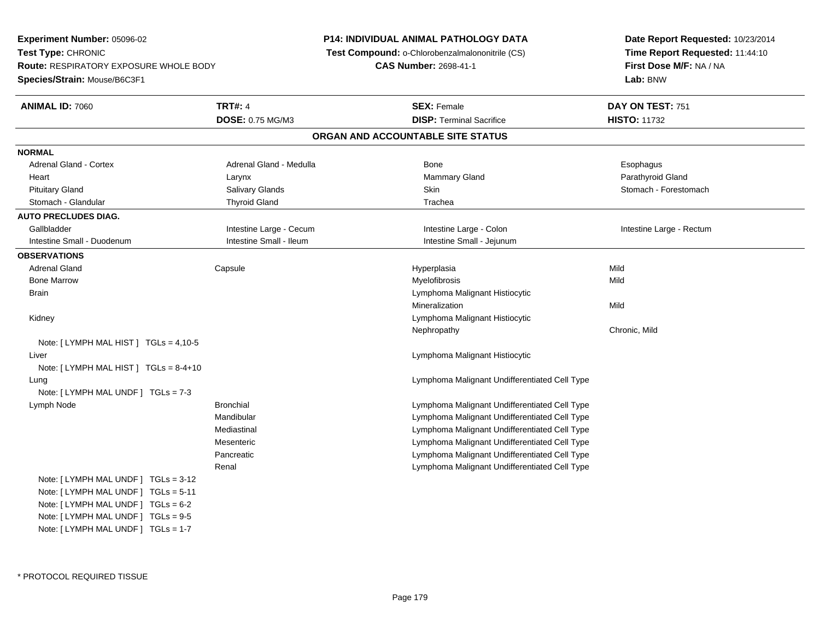**Experiment Number:** 05096-02**Test Type:** CHRONIC **Route:** RESPIRATORY EXPOSURE WHOLE BODY**Species/Strain:** Mouse/B6C3F1**P14: INDIVIDUAL ANIMAL PATHOLOGY DATA Test Compound:** o-Chlorobenzalmalononitrile (CS)**CAS Number:** 2698-41-1**Date Report Requested:** 10/23/2014**Time Report Requested:** 11:44:10**First Dose M/F:** NA / NA**Lab:** BNW**ANIMAL ID:** 7060**C TRT#:** 4 **SEX:** Female **SEX: Female DAY ON TEST:** 751 **DOSE:** 0.75 MG/M3**DISP:** Terminal Sacrifice **HISTO:** 11732 **ORGAN AND ACCOUNTABLE SITE STATUSNORMALAdrenal Gland - Cortex** Adrenal Gland - Medulla **Adrenal Gland - Medulla Bone** Bone **Bone** Esophagus Esophagus Parathyroid Gland Heart Larynx Mammary Gland Parathyroid GlandStomach - Forestomach Pituitary Gland Sulting School of Salivary Glands School Stomach - Forestomach - Stomach - Forestomach - Stomach - Stomach - Stomach - Stomach - Stomach - Stomach - Stomach - Stomach - Stomach - Stomach - Stomach - Stomach Stomach - Glandular Thyroid Gland Trachea Trachea Trachea **AUTO PRECLUDES DIAG.**Gallbladder **Intestine Large - Cecum** Intestine Large - Cecum Intestine Large - Colon Intestine Large - Rectum Intestine Small - Duodenum **Intestine Small - Intestine Small - Ileum** Intestine Small - Iejunum **OBSERVATIONS** Adrenal Gland Capsule Hyperplasia Mild Bone Marroww which is a matter of the Myelofibrosis and the Myelofibrosis and the Mild of the Mild of the Mild of the Mild of the Mild of the Mild of the Mild of the Mild of the Mild of the Mild of the Mild of the Mild of the Mild of **Brain**  Lymphoma Malignant Histiocytic Mineralizationn Mild Kidney Lymphoma Malignant Histiocytic Nephropathy Chronic, MildNote: [ LYMPH MAL HIST ] TGLs = 4,10-5 Liver Lymphoma Malignant HistiocyticNote: [ LYMPH MAL HIST ] TGLs = 8-4+10 Lung Lymphoma Malignant Undifferentiated Cell Type Note: [ LYMPH MAL UNDF ] TGLs = 7-3 Lymph Node Bronchial Lymphoma Malignant Undifferentiated Cell Type Mandibular Lymphoma Malignant Undifferentiated Cell Type Lymphoma Malignant Undifferentiated Cell TypeMediastinal Lymphoma Malignant Undifferentiated Cell Type**Mesenteric**  Lymphoma Malignant Undifferentiated Cell TypePancreatic Lymphoma Malignant Undifferentiated Cell TypeRenalNote: [ LYMPH MAL UNDF ] TGLs = 3-12 Note: [ LYMPH MAL UNDF ] TGLs = 5-11 Note: [ LYMPH MAL UNDF ] TGLs = 6-2 Note: [ LYMPH MAL UNDF ] TGLs = 9-5Note: [ LYMPH MAL UNDF ] TGLs = 1-7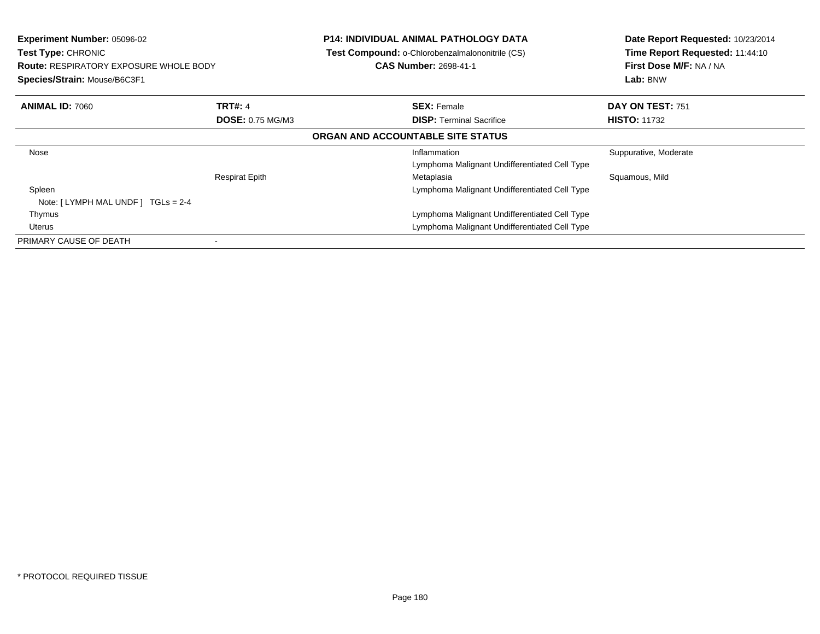| <b>Experiment Number: 05096-02</b><br><b>Test Type: CHRONIC</b><br><b>Route: RESPIRATORY EXPOSURE WHOLE BODY</b><br>Species/Strain: Mouse/B6C3F1 |                         | <b>P14: INDIVIDUAL ANIMAL PATHOLOGY DATA</b><br>Test Compound: o-Chlorobenzalmalononitrile (CS)<br><b>CAS Number: 2698-41-1</b> | Date Report Requested: 10/23/2014<br>Time Report Requested: 11:44:10<br>First Dose M/F: NA / NA<br>Lab: BNW |
|--------------------------------------------------------------------------------------------------------------------------------------------------|-------------------------|---------------------------------------------------------------------------------------------------------------------------------|-------------------------------------------------------------------------------------------------------------|
| <b>ANIMAL ID: 7060</b>                                                                                                                           | <b>TRT#: 4</b>          | <b>SEX: Female</b>                                                                                                              | DAY ON TEST: 751                                                                                            |
|                                                                                                                                                  | <b>DOSE: 0.75 MG/M3</b> | <b>DISP:</b> Terminal Sacrifice                                                                                                 | <b>HISTO: 11732</b>                                                                                         |
|                                                                                                                                                  |                         | ORGAN AND ACCOUNTABLE SITE STATUS                                                                                               |                                                                                                             |
| Nose                                                                                                                                             |                         | Inflammation<br>Lymphoma Malignant Undifferentiated Cell Type                                                                   | Suppurative, Moderate                                                                                       |
|                                                                                                                                                  | <b>Respirat Epith</b>   | Metaplasia                                                                                                                      | Squamous, Mild                                                                                              |
| Spleen<br>Note: $[LYMPH MAL UNDER] TGLs = 2-4$                                                                                                   |                         | Lymphoma Malignant Undifferentiated Cell Type                                                                                   |                                                                                                             |
| Thymus                                                                                                                                           |                         | Lymphoma Malignant Undifferentiated Cell Type                                                                                   |                                                                                                             |
| Uterus                                                                                                                                           |                         | Lymphoma Malignant Undifferentiated Cell Type                                                                                   |                                                                                                             |
| PRIMARY CAUSE OF DEATH                                                                                                                           |                         |                                                                                                                                 |                                                                                                             |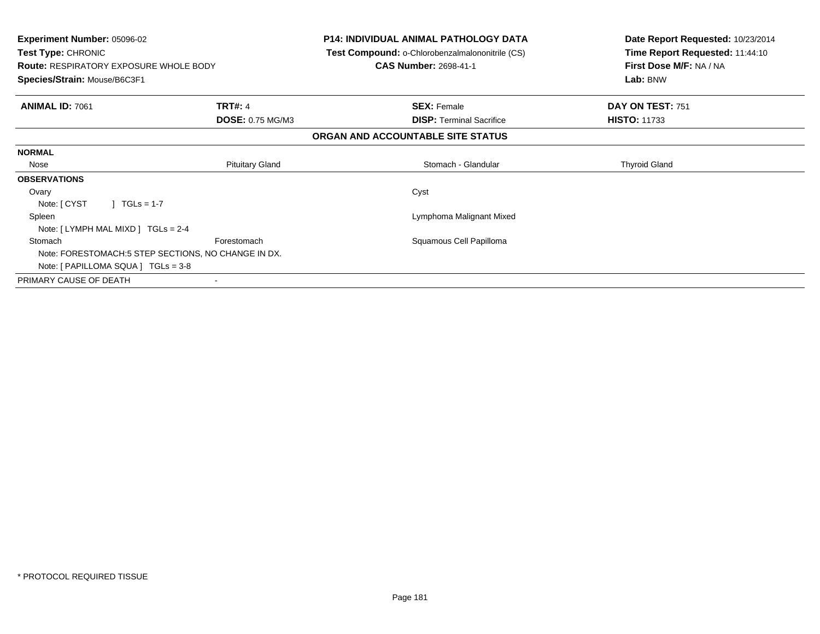| <b>Experiment Number: 05096-02</b><br><b>Test Type: CHRONIC</b><br><b>Route: RESPIRATORY EXPOSURE WHOLE BODY</b><br>Species/Strain: Mouse/B6C3F1 |                         | <b>P14: INDIVIDUAL ANIMAL PATHOLOGY DATA</b><br>Test Compound: o-Chlorobenzalmalononitrile (CS)<br><b>CAS Number: 2698-41-1</b> | Date Report Requested: 10/23/2014<br>Time Report Requested: 11:44:10<br>First Dose M/F: NA / NA<br>Lab: BNW |
|--------------------------------------------------------------------------------------------------------------------------------------------------|-------------------------|---------------------------------------------------------------------------------------------------------------------------------|-------------------------------------------------------------------------------------------------------------|
| <b>ANIMAL ID: 7061</b>                                                                                                                           | <b>TRT#: 4</b>          | <b>SEX: Female</b>                                                                                                              | DAY ON TEST: 751                                                                                            |
|                                                                                                                                                  | <b>DOSE: 0.75 MG/M3</b> | <b>DISP:</b> Terminal Sacrifice                                                                                                 | <b>HISTO: 11733</b>                                                                                         |
|                                                                                                                                                  |                         | ORGAN AND ACCOUNTABLE SITE STATUS                                                                                               |                                                                                                             |
| <b>NORMAL</b>                                                                                                                                    |                         |                                                                                                                                 |                                                                                                             |
| Nose                                                                                                                                             | <b>Pituitary Gland</b>  | Stomach - Glandular                                                                                                             | <b>Thyroid Gland</b>                                                                                        |
| <b>OBSERVATIONS</b>                                                                                                                              |                         |                                                                                                                                 |                                                                                                             |
| Ovary                                                                                                                                            |                         | Cyst                                                                                                                            |                                                                                                             |
| $1 TGLs = 1-7$<br>Note: [ CYST                                                                                                                   |                         |                                                                                                                                 |                                                                                                             |
| Spleen                                                                                                                                           |                         | Lymphoma Malignant Mixed                                                                                                        |                                                                                                             |
| Note: $[LYMPH MAL MIXD] TGLs = 2-4$                                                                                                              |                         |                                                                                                                                 |                                                                                                             |
| Stomach                                                                                                                                          | Forestomach             | Squamous Cell Papilloma                                                                                                         |                                                                                                             |
| Note: FORESTOMACH:5 STEP SECTIONS, NO CHANGE IN DX.                                                                                              |                         |                                                                                                                                 |                                                                                                             |
| Note: $[ PAPILLOMA SQUARE]  TGLS = 3-8 $                                                                                                         |                         |                                                                                                                                 |                                                                                                             |
| PRIMARY CAUSE OF DEATH                                                                                                                           |                         |                                                                                                                                 |                                                                                                             |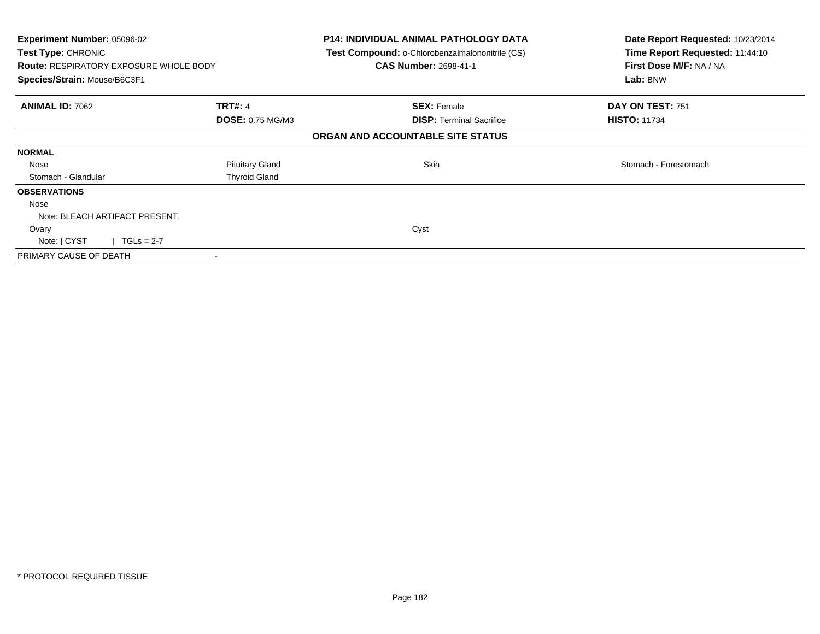| <b>Experiment Number: 05096-02</b><br>Test Type: CHRONIC |                        | P14: INDIVIDUAL ANIMAL PATHOLOGY DATA<br>Test Compound: o-Chlorobenzalmalononitrile (CS) | Date Report Requested: 10/23/2014<br>Time Report Requested: 11:44:10 |
|----------------------------------------------------------|------------------------|------------------------------------------------------------------------------------------|----------------------------------------------------------------------|
| <b>Route: RESPIRATORY EXPOSURE WHOLE BODY</b>            |                        | <b>CAS Number: 2698-41-1</b>                                                             | First Dose M/F: NA / NA                                              |
| Species/Strain: Mouse/B6C3F1                             |                        |                                                                                          | Lab: BNW                                                             |
| <b>ANIMAL ID: 7062</b>                                   | <b>TRT#: 4</b>         | <b>SEX: Female</b>                                                                       | DAY ON TEST: 751                                                     |
|                                                          | DOSE: 0.75 MG/M3       | <b>DISP: Terminal Sacrifice</b>                                                          | <b>HISTO: 11734</b>                                                  |
|                                                          |                        | ORGAN AND ACCOUNTABLE SITE STATUS                                                        |                                                                      |
| <b>NORMAL</b>                                            |                        |                                                                                          |                                                                      |
| Nose                                                     | <b>Pituitary Gland</b> | Skin                                                                                     | Stomach - Forestomach                                                |
| Stomach - Glandular                                      | <b>Thyroid Gland</b>   |                                                                                          |                                                                      |
| <b>OBSERVATIONS</b>                                      |                        |                                                                                          |                                                                      |
| Nose                                                     |                        |                                                                                          |                                                                      |
| Note: BLEACH ARTIFACT PRESENT.                           |                        |                                                                                          |                                                                      |
| Ovary                                                    |                        | Cyst                                                                                     |                                                                      |
| $1 TGLs = 2-7$<br>Note: [ CYST                           |                        |                                                                                          |                                                                      |
| PRIMARY CAUSE OF DEATH                                   |                        |                                                                                          |                                                                      |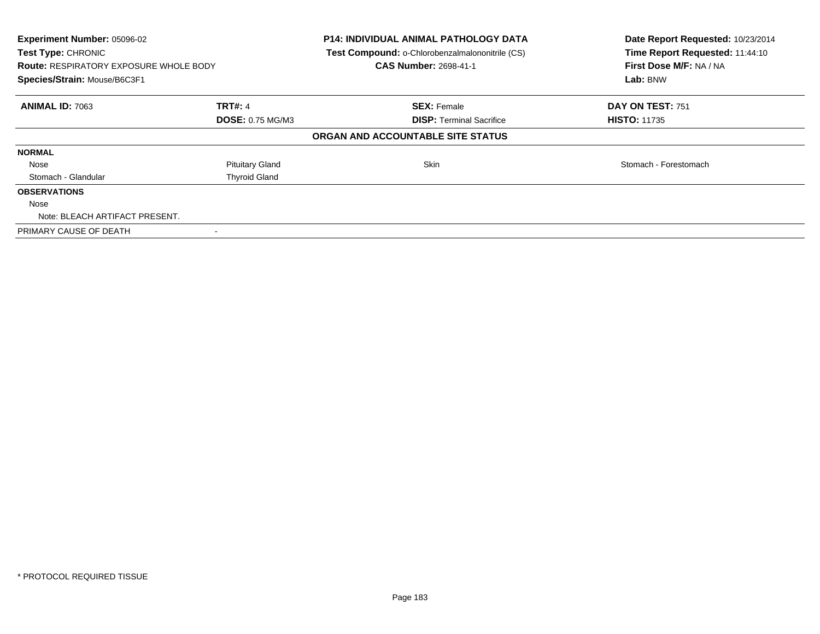| Experiment Number: 05096-02<br>Test Type: CHRONIC<br><b>Route: RESPIRATORY EXPOSURE WHOLE BODY</b><br>Species/Strain: Mouse/B6C3F1 |                         | <b>P14: INDIVIDUAL ANIMAL PATHOLOGY DATA</b><br>Test Compound: o-Chlorobenzalmalononitrile (CS)<br><b>CAS Number: 2698-41-1</b> | Date Report Requested: 10/23/2014<br>Time Report Requested: 11:44:10<br>First Dose M/F: NA / NA<br>Lab: BNW |
|------------------------------------------------------------------------------------------------------------------------------------|-------------------------|---------------------------------------------------------------------------------------------------------------------------------|-------------------------------------------------------------------------------------------------------------|
| <b>ANIMAL ID: 7063</b>                                                                                                             | <b>TRT#: 4</b>          | <b>SEX: Female</b>                                                                                                              | DAY ON TEST: 751                                                                                            |
|                                                                                                                                    | <b>DOSE: 0.75 MG/M3</b> | <b>DISP:</b> Terminal Sacrifice                                                                                                 | <b>HISTO: 11735</b>                                                                                         |
|                                                                                                                                    |                         | ORGAN AND ACCOUNTABLE SITE STATUS                                                                                               |                                                                                                             |
| <b>NORMAL</b>                                                                                                                      |                         |                                                                                                                                 |                                                                                                             |
| Nose                                                                                                                               | <b>Pituitary Gland</b>  | <b>Skin</b>                                                                                                                     | Stomach - Forestomach                                                                                       |
| Stomach - Glandular                                                                                                                | <b>Thyroid Gland</b>    |                                                                                                                                 |                                                                                                             |
| <b>OBSERVATIONS</b>                                                                                                                |                         |                                                                                                                                 |                                                                                                             |
| Nose                                                                                                                               |                         |                                                                                                                                 |                                                                                                             |
| Note: BLEACH ARTIFACT PRESENT.                                                                                                     |                         |                                                                                                                                 |                                                                                                             |
| PRIMARY CAUSE OF DEATH                                                                                                             |                         |                                                                                                                                 |                                                                                                             |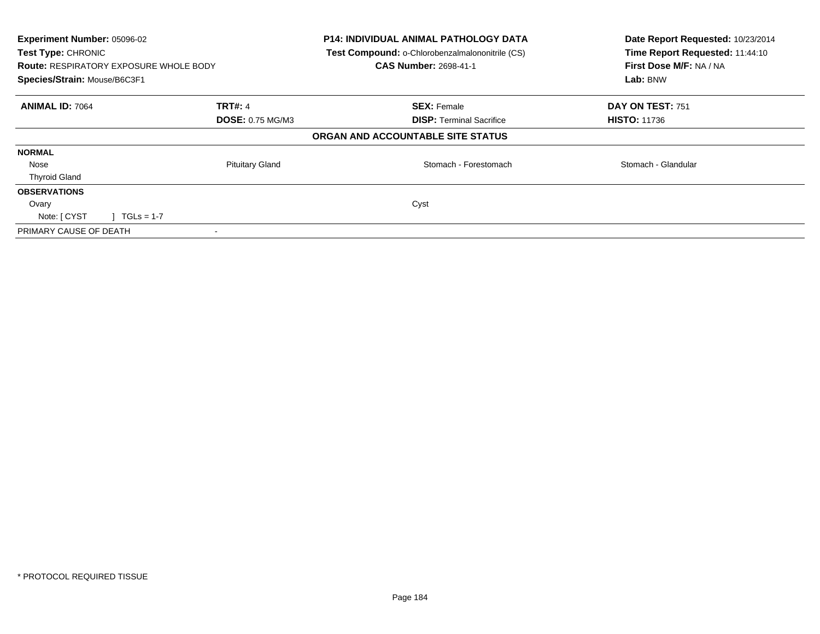| Experiment Number: 05096-02<br>Test Type: CHRONIC<br><b>Route: RESPIRATORY EXPOSURE WHOLE BODY</b><br>Species/Strain: Mouse/B6C3F1 |                         | <b>P14: INDIVIDUAL ANIMAL PATHOLOGY DATA</b><br>Test Compound: o-Chlorobenzalmalononitrile (CS)<br><b>CAS Number: 2698-41-1</b> | Date Report Requested: 10/23/2014<br>Time Report Requested: 11:44:10<br>First Dose M/F: NA / NA<br>Lab: BNW |
|------------------------------------------------------------------------------------------------------------------------------------|-------------------------|---------------------------------------------------------------------------------------------------------------------------------|-------------------------------------------------------------------------------------------------------------|
| <b>ANIMAL ID: 7064</b>                                                                                                             | <b>TRT#: 4</b>          | <b>SEX: Female</b>                                                                                                              | DAY ON TEST: 751                                                                                            |
|                                                                                                                                    | <b>DOSE: 0.75 MG/M3</b> | <b>DISP:</b> Terminal Sacrifice                                                                                                 | <b>HISTO: 11736</b>                                                                                         |
|                                                                                                                                    |                         | ORGAN AND ACCOUNTABLE SITE STATUS                                                                                               |                                                                                                             |
| <b>NORMAL</b>                                                                                                                      |                         |                                                                                                                                 |                                                                                                             |
| Nose                                                                                                                               | <b>Pituitary Gland</b>  | Stomach - Forestomach                                                                                                           | Stomach - Glandular                                                                                         |
| <b>Thyroid Gland</b>                                                                                                               |                         |                                                                                                                                 |                                                                                                             |
| <b>OBSERVATIONS</b>                                                                                                                |                         |                                                                                                                                 |                                                                                                             |
| Ovary                                                                                                                              |                         | Cyst                                                                                                                            |                                                                                                             |
| Note: [ CYST<br>$\sqrt{11}$ TGLs = 1-7                                                                                             |                         |                                                                                                                                 |                                                                                                             |
| PRIMARY CAUSE OF DEATH                                                                                                             |                         |                                                                                                                                 |                                                                                                             |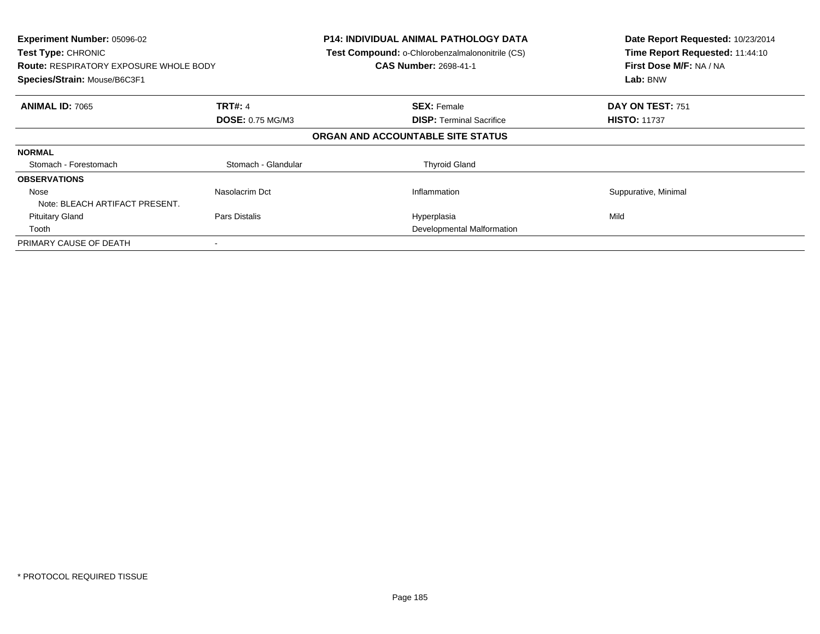| <b>Experiment Number: 05096-02</b><br>Test Type: CHRONIC<br><b>Route: RESPIRATORY EXPOSURE WHOLE BODY</b><br>Species/Strain: Mouse/B6C3F1 |                         | <b>P14: INDIVIDUAL ANIMAL PATHOLOGY DATA</b><br>Test Compound: o-Chlorobenzalmalononitrile (CS)<br><b>CAS Number: 2698-41-1</b> | Date Report Requested: 10/23/2014<br>Time Report Requested: 11:44:10<br>First Dose M/F: NA / NA<br>Lab: BNW |
|-------------------------------------------------------------------------------------------------------------------------------------------|-------------------------|---------------------------------------------------------------------------------------------------------------------------------|-------------------------------------------------------------------------------------------------------------|
| <b>ANIMAL ID: 7065</b>                                                                                                                    | <b>TRT#: 4</b>          | <b>SEX: Female</b>                                                                                                              | <b>DAY ON TEST: 751</b>                                                                                     |
|                                                                                                                                           | <b>DOSE: 0.75 MG/M3</b> | <b>DISP:</b> Terminal Sacrifice                                                                                                 | <b>HISTO: 11737</b>                                                                                         |
|                                                                                                                                           |                         | ORGAN AND ACCOUNTABLE SITE STATUS                                                                                               |                                                                                                             |
| <b>NORMAL</b>                                                                                                                             |                         |                                                                                                                                 |                                                                                                             |
| Stomach - Forestomach                                                                                                                     | Stomach - Glandular     | <b>Thyroid Gland</b>                                                                                                            |                                                                                                             |
| <b>OBSERVATIONS</b>                                                                                                                       |                         |                                                                                                                                 |                                                                                                             |
| Nose                                                                                                                                      | Nasolacrim Dct          | Inflammation                                                                                                                    | Suppurative, Minimal                                                                                        |
| Note: BLEACH ARTIFACT PRESENT.                                                                                                            |                         |                                                                                                                                 |                                                                                                             |
| <b>Pituitary Gland</b>                                                                                                                    | Pars Distalis           | Hyperplasia                                                                                                                     | Mild                                                                                                        |
| Tooth                                                                                                                                     |                         | Developmental Malformation                                                                                                      |                                                                                                             |
| PRIMARY CAUSE OF DEATH                                                                                                                    |                         |                                                                                                                                 |                                                                                                             |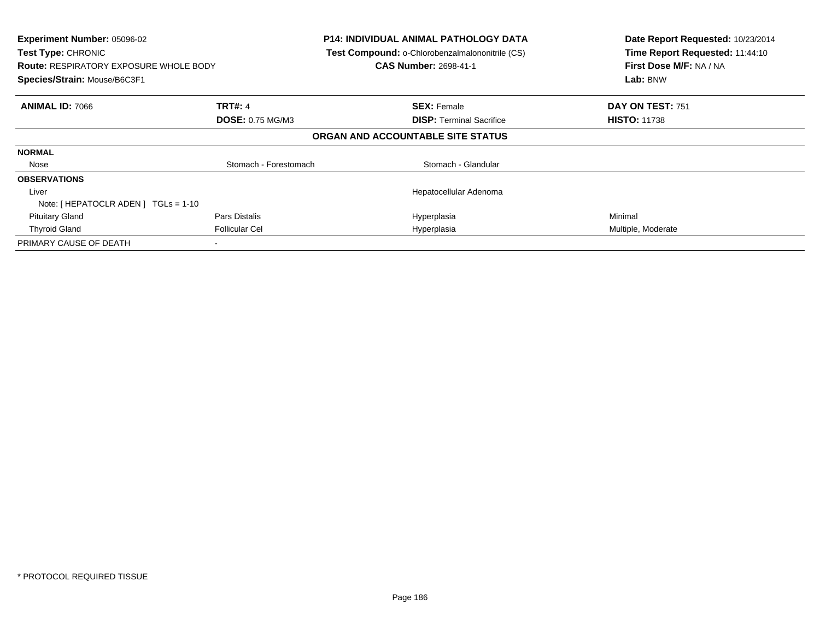| Experiment Number: 05096-02<br>Test Type: CHRONIC<br><b>Route: RESPIRATORY EXPOSURE WHOLE BODY</b><br>Species/Strain: Mouse/B6C3F1 |                         | <b>P14: INDIVIDUAL ANIMAL PATHOLOGY DATA</b><br>Test Compound: o-Chlorobenzalmalononitrile (CS)<br><b>CAS Number: 2698-41-1</b> | Date Report Requested: 10/23/2014<br>Time Report Requested: 11:44:10<br>First Dose M/F: NA / NA<br>Lab: BNW |
|------------------------------------------------------------------------------------------------------------------------------------|-------------------------|---------------------------------------------------------------------------------------------------------------------------------|-------------------------------------------------------------------------------------------------------------|
| <b>ANIMAL ID: 7066</b>                                                                                                             | <b>TRT#: 4</b>          | <b>SEX: Female</b>                                                                                                              | DAY ON TEST: 751                                                                                            |
|                                                                                                                                    | <b>DOSE: 0.75 MG/M3</b> | <b>DISP:</b> Terminal Sacrifice                                                                                                 | <b>HISTO: 11738</b>                                                                                         |
|                                                                                                                                    |                         | ORGAN AND ACCOUNTABLE SITE STATUS                                                                                               |                                                                                                             |
| <b>NORMAL</b>                                                                                                                      |                         |                                                                                                                                 |                                                                                                             |
| Nose                                                                                                                               | Stomach - Forestomach   | Stomach - Glandular                                                                                                             |                                                                                                             |
| <b>OBSERVATIONS</b>                                                                                                                |                         |                                                                                                                                 |                                                                                                             |
| Liver                                                                                                                              |                         | Hepatocellular Adenoma                                                                                                          |                                                                                                             |
| Note: $[$ HEPATOCLR ADEN $]$ TGLs = 1-10                                                                                           |                         |                                                                                                                                 |                                                                                                             |
| <b>Pituitary Gland</b>                                                                                                             | Pars Distalis           | Hyperplasia                                                                                                                     | Minimal                                                                                                     |
| <b>Thyroid Gland</b>                                                                                                               | <b>Follicular Cel</b>   | Hyperplasia                                                                                                                     | Multiple, Moderate                                                                                          |
| PRIMARY CAUSE OF DEATH                                                                                                             |                         |                                                                                                                                 |                                                                                                             |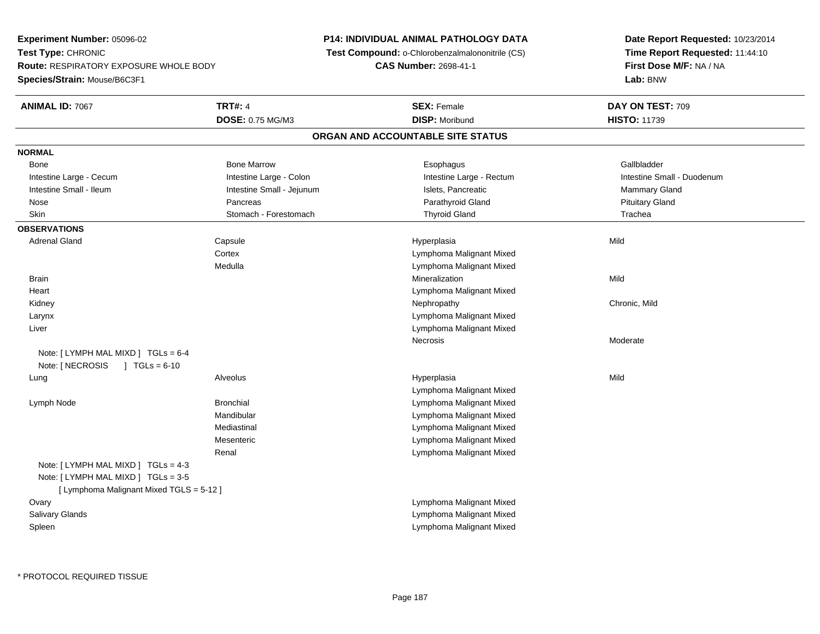**Experiment Number:** 05096-02**Test Type:** CHRONIC **Route:** RESPIRATORY EXPOSURE WHOLE BODY**Species/Strain:** Mouse/B6C3F1

## **P14: INDIVIDUAL ANIMAL PATHOLOGY DATA**

**Test Compound:** o-Chlorobenzalmalononitrile (CS)

**CAS Number:** 2698-41-1

**Date Report Requested:** 10/23/2014**Time Report Requested:** 11:44:10**First Dose M/F:** NA / NA**Lab:** BNW

| <b>ANIMAL ID: 7067</b>                                                          | <b>TRT#: 4</b>            | <b>SEX: Female</b>                | DAY ON TEST: 709           |
|---------------------------------------------------------------------------------|---------------------------|-----------------------------------|----------------------------|
|                                                                                 | DOSE: 0.75 MG/M3          | <b>DISP: Moribund</b>             | <b>HISTO: 11739</b>        |
|                                                                                 |                           | ORGAN AND ACCOUNTABLE SITE STATUS |                            |
| <b>NORMAL</b>                                                                   |                           |                                   |                            |
| Bone                                                                            | <b>Bone Marrow</b>        | Esophagus                         | Gallbladder                |
| Intestine Large - Cecum                                                         | Intestine Large - Colon   | Intestine Large - Rectum          | Intestine Small - Duodenum |
| Intestine Small - Ileum                                                         | Intestine Small - Jejunum | Islets, Pancreatic                | Mammary Gland              |
| Nose                                                                            | Pancreas                  | Parathyroid Gland                 | <b>Pituitary Gland</b>     |
| <b>Skin</b>                                                                     | Stomach - Forestomach     | <b>Thyroid Gland</b>              | Trachea                    |
| <b>OBSERVATIONS</b>                                                             |                           |                                   |                            |
| <b>Adrenal Gland</b>                                                            | Capsule                   | Hyperplasia                       | Mild                       |
|                                                                                 | Cortex                    | Lymphoma Malignant Mixed          |                            |
|                                                                                 | Medulla                   | Lymphoma Malignant Mixed          |                            |
| <b>Brain</b>                                                                    |                           | Mineralization                    | Mild                       |
| Heart                                                                           |                           | Lymphoma Malignant Mixed          |                            |
| Kidney                                                                          |                           | Nephropathy                       | Chronic, Mild              |
| Larynx                                                                          |                           | Lymphoma Malignant Mixed          |                            |
| Liver                                                                           |                           | Lymphoma Malignant Mixed          |                            |
|                                                                                 |                           | Necrosis                          | Moderate                   |
| Note: $[LYMPH MAL MIXD] TGLs = 6-4$                                             |                           |                                   |                            |
| Note: [ NECROSIS<br>$J \cdot TGLS = 6-10$                                       |                           |                                   |                            |
| Lung                                                                            | Alveolus                  | Hyperplasia                       | Mild                       |
|                                                                                 |                           | Lymphoma Malignant Mixed          |                            |
| Lymph Node                                                                      | <b>Bronchial</b>          | Lymphoma Malignant Mixed          |                            |
|                                                                                 | Mandibular                | Lymphoma Malignant Mixed          |                            |
|                                                                                 | Mediastinal               | Lymphoma Malignant Mixed          |                            |
|                                                                                 | Mesenteric                | Lymphoma Malignant Mixed          |                            |
|                                                                                 | Renal                     | Lymphoma Malignant Mixed          |                            |
| Note: [ LYMPH MAL MIXD ] TGLs = 4-3                                             |                           |                                   |                            |
| Note: [ LYMPH MAL MIXD ] TGLs = 3-5<br>[ Lymphoma Malignant Mixed TGLS = 5-12 ] |                           |                                   |                            |
| Ovary                                                                           |                           | Lymphoma Malignant Mixed          |                            |
| Salivary Glands                                                                 |                           | Lymphoma Malignant Mixed          |                            |
| Spleen                                                                          |                           | Lymphoma Malignant Mixed          |                            |
|                                                                                 |                           |                                   |                            |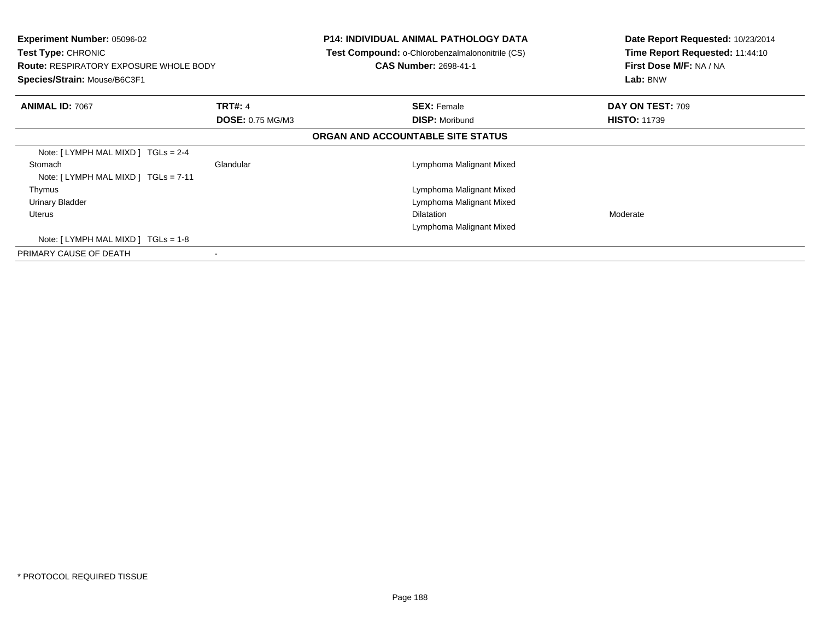| <b>Experiment Number: 05096-02</b><br>Test Type: CHRONIC<br><b>Route: RESPIRATORY EXPOSURE WHOLE BODY</b><br>Species/Strain: Mouse/B6C3F1 |                         | <b>P14: INDIVIDUAL ANIMAL PATHOLOGY DATA</b><br>Test Compound: o-Chlorobenzalmalononitrile (CS)<br><b>CAS Number: 2698-41-1</b> | Date Report Requested: 10/23/2014<br>Time Report Requested: 11:44:10<br>First Dose M/F: NA / NA<br>Lab: BNW |
|-------------------------------------------------------------------------------------------------------------------------------------------|-------------------------|---------------------------------------------------------------------------------------------------------------------------------|-------------------------------------------------------------------------------------------------------------|
| <b>ANIMAL ID: 7067</b>                                                                                                                    | <b>TRT#: 4</b>          | <b>SEX: Female</b>                                                                                                              | DAY ON TEST: 709                                                                                            |
|                                                                                                                                           | <b>DOSE: 0.75 MG/M3</b> | <b>DISP: Moribund</b>                                                                                                           | <b>HISTO: 11739</b>                                                                                         |
|                                                                                                                                           |                         | ORGAN AND ACCOUNTABLE SITE STATUS                                                                                               |                                                                                                             |
| Note: $[LYMPH MAL MIXD] TGLs = 2-4$                                                                                                       |                         |                                                                                                                                 |                                                                                                             |
| Stomach                                                                                                                                   | Glandular               | Lymphoma Malignant Mixed                                                                                                        |                                                                                                             |
| Note: $[LYMPH MAL MIXD] TGLs = 7-11$                                                                                                      |                         |                                                                                                                                 |                                                                                                             |
| Thymus                                                                                                                                    |                         | Lymphoma Malignant Mixed                                                                                                        |                                                                                                             |
| <b>Urinary Bladder</b>                                                                                                                    |                         | Lymphoma Malignant Mixed                                                                                                        |                                                                                                             |
| <b>Uterus</b>                                                                                                                             |                         | <b>Dilatation</b>                                                                                                               | Moderate                                                                                                    |
|                                                                                                                                           |                         | Lymphoma Malignant Mixed                                                                                                        |                                                                                                             |
| Note: $[LYMPH MAL MIXD] TGLs = 1-8$                                                                                                       |                         |                                                                                                                                 |                                                                                                             |
| PRIMARY CAUSE OF DEATH                                                                                                                    |                         |                                                                                                                                 |                                                                                                             |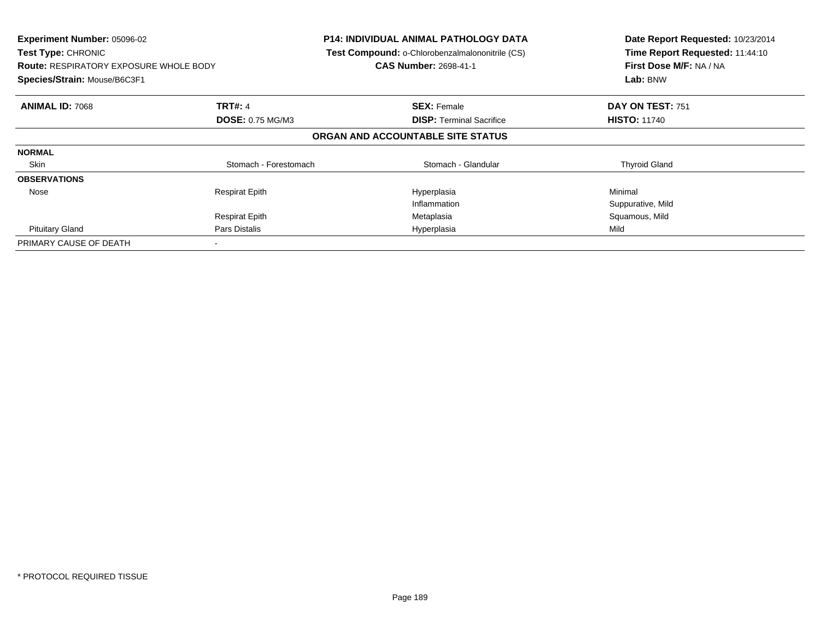| Experiment Number: 05096-02<br>Test Type: CHRONIC<br><b>Route: RESPIRATORY EXPOSURE WHOLE BODY</b><br>Species/Strain: Mouse/B6C3F1 |                         | <b>P14: INDIVIDUAL ANIMAL PATHOLOGY DATA</b><br>Test Compound: o-Chlorobenzalmalononitrile (CS)<br><b>CAS Number: 2698-41-1</b> | Date Report Requested: 10/23/2014<br>Time Report Requested: 11:44:10<br>First Dose M/F: NA / NA<br>Lab: BNW |
|------------------------------------------------------------------------------------------------------------------------------------|-------------------------|---------------------------------------------------------------------------------------------------------------------------------|-------------------------------------------------------------------------------------------------------------|
|                                                                                                                                    |                         |                                                                                                                                 |                                                                                                             |
| <b>ANIMAL ID: 7068</b>                                                                                                             | <b>TRT#: 4</b>          | <b>SEX: Female</b>                                                                                                              | DAY ON TEST: 751                                                                                            |
|                                                                                                                                    | <b>DOSE: 0.75 MG/M3</b> | <b>DISP:</b> Terminal Sacrifice                                                                                                 | <b>HISTO: 11740</b>                                                                                         |
|                                                                                                                                    |                         | ORGAN AND ACCOUNTABLE SITE STATUS                                                                                               |                                                                                                             |
| <b>NORMAL</b>                                                                                                                      |                         |                                                                                                                                 |                                                                                                             |
| Skin                                                                                                                               | Stomach - Forestomach   | Stomach - Glandular                                                                                                             | <b>Thyroid Gland</b>                                                                                        |
| <b>OBSERVATIONS</b>                                                                                                                |                         |                                                                                                                                 |                                                                                                             |
| Nose                                                                                                                               | <b>Respirat Epith</b>   | Hyperplasia                                                                                                                     | Minimal                                                                                                     |
|                                                                                                                                    |                         | Inflammation                                                                                                                    | Suppurative, Mild                                                                                           |
|                                                                                                                                    | <b>Respirat Epith</b>   | Metaplasia                                                                                                                      | Squamous, Mild                                                                                              |
| <b>Pituitary Gland</b>                                                                                                             | Pars Distalis           | Hyperplasia                                                                                                                     | Mild                                                                                                        |
| PRIMARY CAUSE OF DEATH                                                                                                             |                         |                                                                                                                                 |                                                                                                             |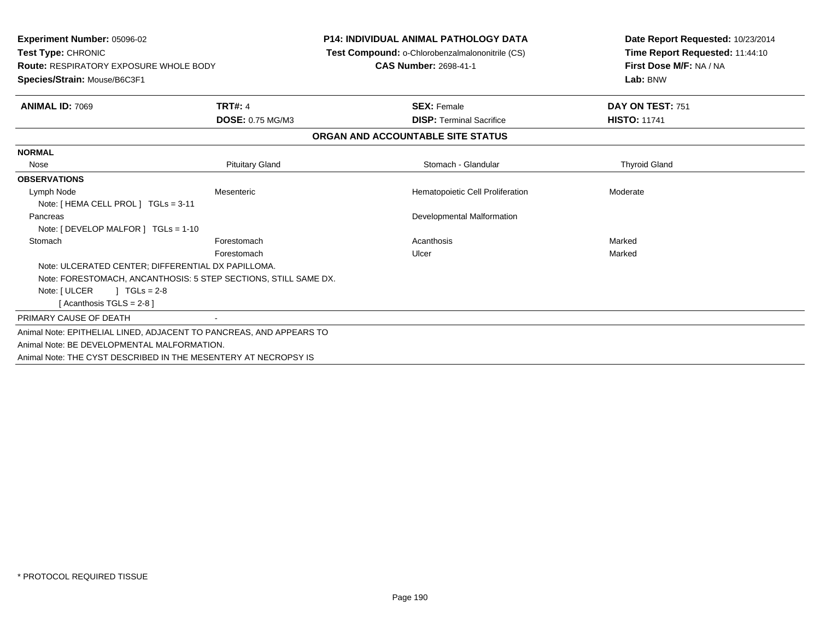| <b>Experiment Number: 05096-02</b><br>Test Type: CHRONIC<br><b>Route: RESPIRATORY EXPOSURE WHOLE BODY</b><br>Species/Strain: Mouse/B6C3F1 |                         | <b>P14: INDIVIDUAL ANIMAL PATHOLOGY DATA</b><br>Test Compound: o-Chlorobenzalmalononitrile (CS)<br><b>CAS Number: 2698-41-1</b> | Date Report Requested: 10/23/2014<br>Time Report Requested: 11:44:10<br>First Dose M/F: NA / NA<br>Lab: BNW |
|-------------------------------------------------------------------------------------------------------------------------------------------|-------------------------|---------------------------------------------------------------------------------------------------------------------------------|-------------------------------------------------------------------------------------------------------------|
| <b>ANIMAL ID: 7069</b>                                                                                                                    | <b>TRT#: 4</b>          | <b>SEX: Female</b>                                                                                                              | DAY ON TEST: 751                                                                                            |
|                                                                                                                                           | <b>DOSE: 0.75 MG/M3</b> | <b>DISP: Terminal Sacrifice</b>                                                                                                 | <b>HISTO: 11741</b>                                                                                         |
|                                                                                                                                           |                         | ORGAN AND ACCOUNTABLE SITE STATUS                                                                                               |                                                                                                             |
| <b>NORMAL</b>                                                                                                                             |                         |                                                                                                                                 |                                                                                                             |
| Nose                                                                                                                                      | <b>Pituitary Gland</b>  | Stomach - Glandular                                                                                                             | <b>Thyroid Gland</b>                                                                                        |
| <b>OBSERVATIONS</b>                                                                                                                       |                         |                                                                                                                                 |                                                                                                             |
| Lymph Node                                                                                                                                | Mesenteric              | Hematopoietic Cell Proliferation                                                                                                | Moderate                                                                                                    |
| Note: [ HEMA CELL PROL ] TGLs = 3-11                                                                                                      |                         |                                                                                                                                 |                                                                                                             |
| Pancreas                                                                                                                                  |                         | Developmental Malformation                                                                                                      |                                                                                                             |
| Note: [ DEVELOP MALFOR ] TGLs = 1-10                                                                                                      |                         |                                                                                                                                 |                                                                                                             |
| Stomach                                                                                                                                   | Forestomach             | Acanthosis                                                                                                                      | Marked                                                                                                      |
|                                                                                                                                           | Forestomach             | Ulcer                                                                                                                           | Marked                                                                                                      |
| Note: ULCERATED CENTER; DIFFERENTIAL DX PAPILLOMA.                                                                                        |                         |                                                                                                                                 |                                                                                                             |
| Note: FORESTOMACH, ANCANTHOSIS: 5 STEP SECTIONS, STILL SAME DX.                                                                           |                         |                                                                                                                                 |                                                                                                             |
| $1 TGLs = 2-8$<br>Note: [ ULCER                                                                                                           |                         |                                                                                                                                 |                                                                                                             |
| [ Acanthosis TGLS = $2-8$ ]                                                                                                               |                         |                                                                                                                                 |                                                                                                             |
| PRIMARY CAUSE OF DEATH                                                                                                                    |                         |                                                                                                                                 |                                                                                                             |
| Animal Note: EPITHELIAL LINED, ADJACENT TO PANCREAS, AND APPEARS TO                                                                       |                         |                                                                                                                                 |                                                                                                             |
| Animal Note: BE DEVELOPMENTAL MALFORMATION.                                                                                               |                         |                                                                                                                                 |                                                                                                             |
| Animal Note: THE CYST DESCRIBED IN THE MESENTERY AT NECROPSY IS                                                                           |                         |                                                                                                                                 |                                                                                                             |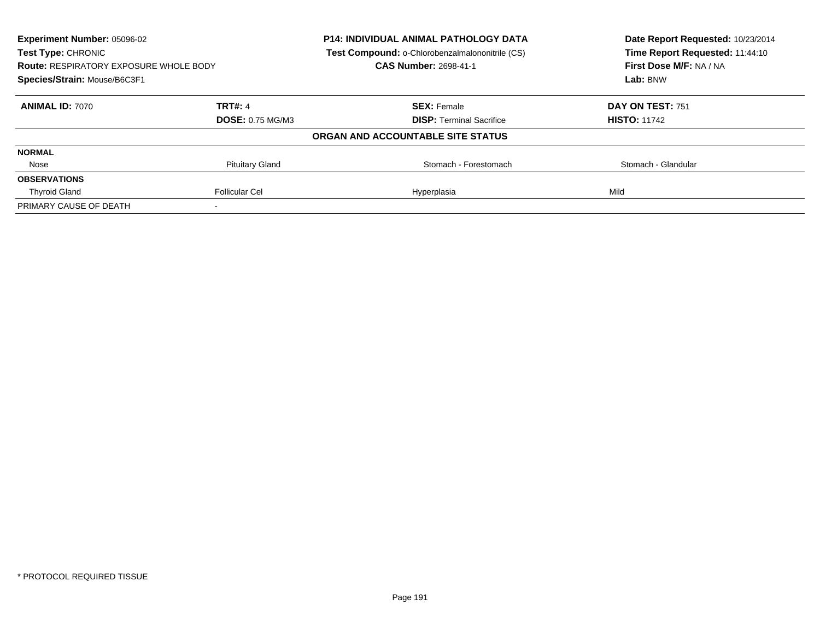| Experiment Number: 05096-02<br>Test Type: CHRONIC<br><b>Route: RESPIRATORY EXPOSURE WHOLE BODY</b><br>Species/Strain: Mouse/B6C3F1 |                         | <b>P14: INDIVIDUAL ANIMAL PATHOLOGY DATA</b>    | Date Report Requested: 10/23/2014<br>Time Report Requested: 11:44:10 |
|------------------------------------------------------------------------------------------------------------------------------------|-------------------------|-------------------------------------------------|----------------------------------------------------------------------|
|                                                                                                                                    |                         | Test Compound: o-Chlorobenzalmalononitrile (CS) |                                                                      |
|                                                                                                                                    |                         | <b>CAS Number: 2698-41-1</b>                    | First Dose M/F: NA / NA                                              |
|                                                                                                                                    |                         |                                                 | Lab: BNW                                                             |
| <b>ANIMAL ID: 7070</b>                                                                                                             | <b>TRT#: 4</b>          | <b>SEX: Female</b>                              | DAY ON TEST: 751                                                     |
|                                                                                                                                    | <b>DOSE: 0.75 MG/M3</b> | <b>DISP:</b> Terminal Sacrifice                 | <b>HISTO: 11742</b>                                                  |
|                                                                                                                                    |                         | ORGAN AND ACCOUNTABLE SITE STATUS               |                                                                      |
| <b>NORMAL</b>                                                                                                                      |                         |                                                 |                                                                      |
| Nose                                                                                                                               | <b>Pituitary Gland</b>  | Stomach - Forestomach                           | Stomach - Glandular                                                  |
| <b>OBSERVATIONS</b>                                                                                                                |                         |                                                 |                                                                      |
| <b>Thyroid Gland</b>                                                                                                               | <b>Follicular Cel</b>   | Hyperplasia                                     | Mild                                                                 |
| PRIMARY CAUSE OF DEATH                                                                                                             |                         |                                                 |                                                                      |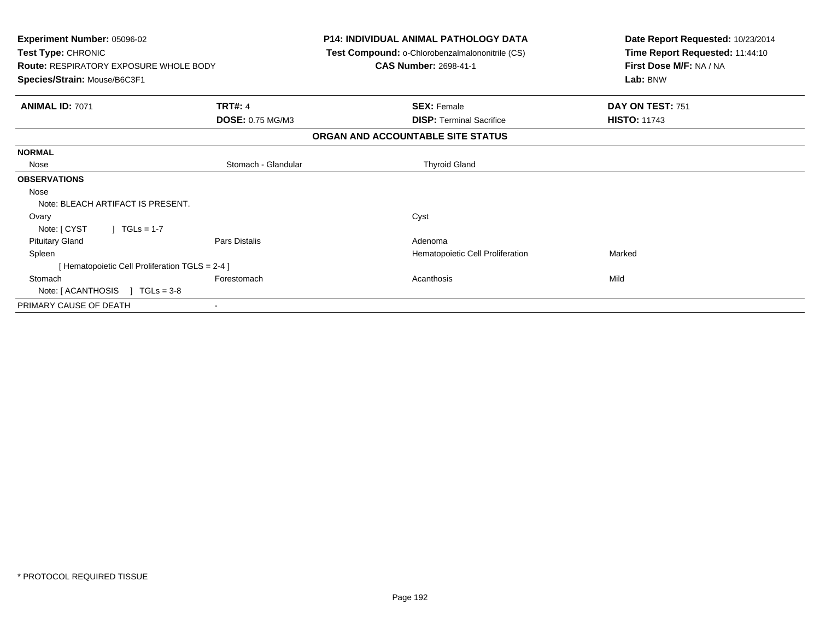| Experiment Number: 05096-02<br>Test Type: CHRONIC<br><b>Route: RESPIRATORY EXPOSURE WHOLE BODY</b><br>Species/Strain: Mouse/B6C3F1 |                      | <b>P14: INDIVIDUAL ANIMAL PATHOLOGY DATA</b><br>Test Compound: o-Chlorobenzalmalononitrile (CS)<br><b>CAS Number: 2698-41-1</b> |                                  | Date Report Requested: 10/23/2014<br>Time Report Requested: 11:44:10<br>First Dose M/F: NA / NA<br>Lab: BNW |
|------------------------------------------------------------------------------------------------------------------------------------|----------------------|---------------------------------------------------------------------------------------------------------------------------------|----------------------------------|-------------------------------------------------------------------------------------------------------------|
| <b>ANIMAL ID: 7071</b>                                                                                                             | <b>TRT#: 4</b>       | <b>SEX: Female</b>                                                                                                              |                                  | DAY ON TEST: 751                                                                                            |
|                                                                                                                                    | DOSE: 0.75 MG/M3     |                                                                                                                                 | <b>DISP:</b> Terminal Sacrifice  | <b>HISTO: 11743</b>                                                                                         |
|                                                                                                                                    |                      | ORGAN AND ACCOUNTABLE SITE STATUS                                                                                               |                                  |                                                                                                             |
| <b>NORMAL</b>                                                                                                                      |                      |                                                                                                                                 |                                  |                                                                                                             |
| Nose                                                                                                                               | Stomach - Glandular  | <b>Thyroid Gland</b>                                                                                                            |                                  |                                                                                                             |
| <b>OBSERVATIONS</b>                                                                                                                |                      |                                                                                                                                 |                                  |                                                                                                             |
| Nose                                                                                                                               |                      |                                                                                                                                 |                                  |                                                                                                             |
| Note: BLEACH ARTIFACT IS PRESENT.                                                                                                  |                      |                                                                                                                                 |                                  |                                                                                                             |
| Ovary                                                                                                                              |                      | Cyst                                                                                                                            |                                  |                                                                                                             |
| Note: [ CYST<br>$1 \text{ TGLs} = 1-7$                                                                                             |                      |                                                                                                                                 |                                  |                                                                                                             |
| <b>Pituitary Gland</b>                                                                                                             | <b>Pars Distalis</b> | Adenoma                                                                                                                         |                                  |                                                                                                             |
| Spleen                                                                                                                             |                      |                                                                                                                                 | Hematopoietic Cell Proliferation | Marked                                                                                                      |
| [ Hematopoietic Cell Proliferation TGLS = 2-4 ]                                                                                    |                      |                                                                                                                                 |                                  |                                                                                                             |
| Stomach                                                                                                                            | Forestomach          | Acanthosis                                                                                                                      |                                  | Mild                                                                                                        |
| Note: $[ACANTHOSIS] TGLs = 3-8$                                                                                                    |                      |                                                                                                                                 |                                  |                                                                                                             |
| PRIMARY CAUSE OF DEATH                                                                                                             |                      |                                                                                                                                 |                                  |                                                                                                             |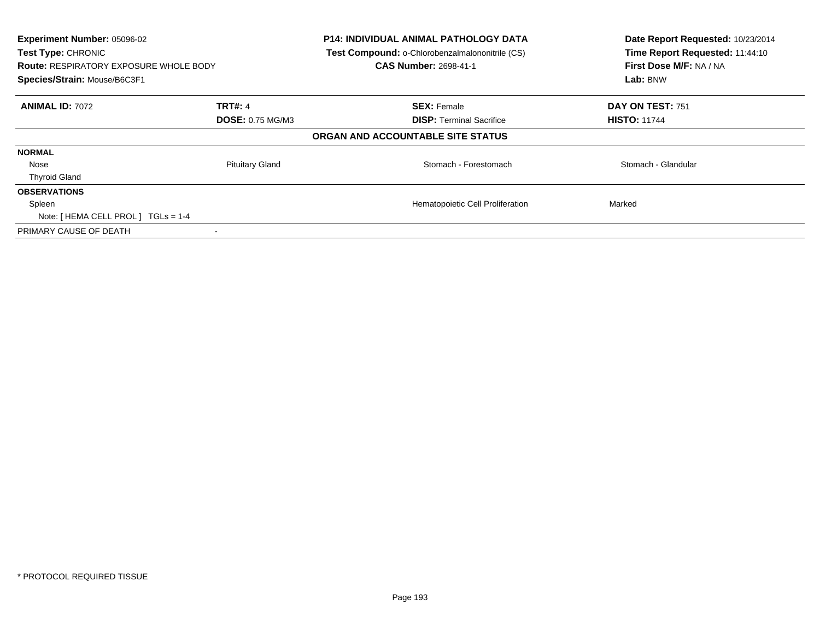| Experiment Number: 05096-02<br>Test Type: CHRONIC<br><b>Route: RESPIRATORY EXPOSURE WHOLE BODY</b><br>Species/Strain: Mouse/B6C3F1 |                         | <b>P14: INDIVIDUAL ANIMAL PATHOLOGY DATA</b><br>Test Compound: o-Chlorobenzalmalononitrile (CS)<br><b>CAS Number: 2698-41-1</b> | Date Report Requested: 10/23/2014<br>Time Report Requested: 11:44:10<br>First Dose M/F: NA / NA<br>Lab: BNW |
|------------------------------------------------------------------------------------------------------------------------------------|-------------------------|---------------------------------------------------------------------------------------------------------------------------------|-------------------------------------------------------------------------------------------------------------|
| <b>ANIMAL ID: 7072</b>                                                                                                             | <b>TRT#: 4</b>          | <b>SEX: Female</b>                                                                                                              | DAY ON TEST: 751                                                                                            |
|                                                                                                                                    | <b>DOSE: 0.75 MG/M3</b> | <b>DISP:</b> Terminal Sacrifice                                                                                                 | <b>HISTO: 11744</b>                                                                                         |
|                                                                                                                                    |                         | ORGAN AND ACCOUNTABLE SITE STATUS                                                                                               |                                                                                                             |
| <b>NORMAL</b>                                                                                                                      |                         |                                                                                                                                 |                                                                                                             |
| Nose                                                                                                                               | <b>Pituitary Gland</b>  | Stomach - Forestomach                                                                                                           | Stomach - Glandular                                                                                         |
| <b>Thyroid Gland</b>                                                                                                               |                         |                                                                                                                                 |                                                                                                             |
| <b>OBSERVATIONS</b>                                                                                                                |                         |                                                                                                                                 |                                                                                                             |
| Spleen                                                                                                                             |                         | Hematopoietic Cell Proliferation                                                                                                | Marked                                                                                                      |
| Note: [ HEMA CELL PROL ] TGLs = 1-4                                                                                                |                         |                                                                                                                                 |                                                                                                             |
| PRIMARY CAUSE OF DEATH                                                                                                             |                         |                                                                                                                                 |                                                                                                             |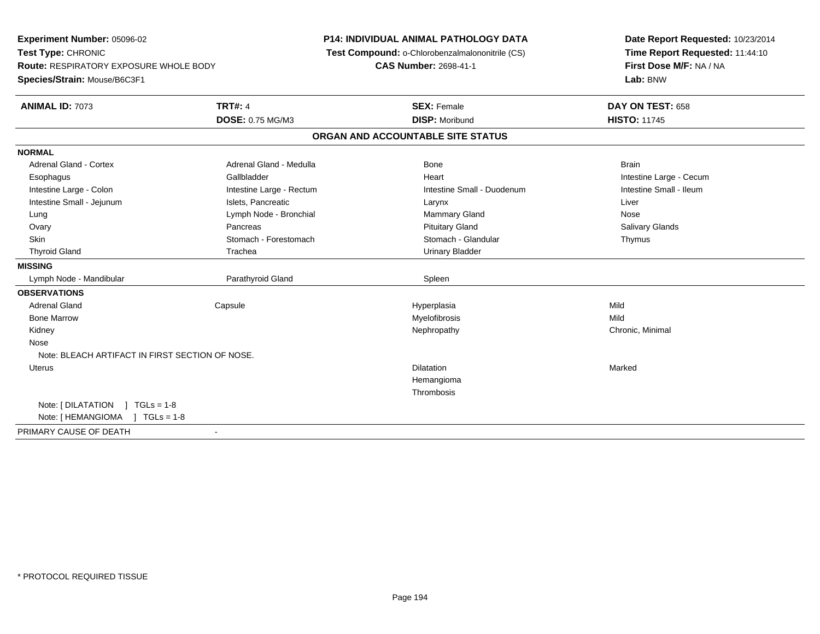**Experiment Number:** 05096-02**Test Type:** CHRONIC **Route:** RESPIRATORY EXPOSURE WHOLE BODY**Species/Strain:** Mouse/B6C3F1**P14: INDIVIDUAL ANIMAL PATHOLOGY DATA Test Compound:** o-Chlorobenzalmalononitrile (CS)**CAS Number:** 2698-41-1**Date Report Requested:** 10/23/2014**Time Report Requested:** 11:44:10**First Dose M/F:** NA / NA**Lab:** BNW**ANIMAL ID:** 7073**TRT#:** 4 **SEX:** Female **DAY ON TEST:** 658 **DOSE:** 0.75 MG/M3**DISP:** Moribund **HISTO:** 11745 **ORGAN AND ACCOUNTABLE SITE STATUSNORMALAdrenal Gland - Cortex** Adrenal Gland - Medulla **Bone** Bone Brain Brain Brain Brain Brain Esophagus **Example 20 Team Callbladder** Callbladder **Heart Intestine Large - Cecum** Callbladder Communication of the example of the example of the example of the example of the example of the example of the example of the Intestine Small - Ileum Intestine Large - Colon **Intestine Large - Rectum** Intestine Small - Duodenum Intestine Small - Duodenum Intestine Small - Jejunum **Intestine Small - Jejunum** Islets, Pancreatic **National Communist Communist Communist Communist Communist Communist Communist Communist Communist Communist Communist Communist Communist Communist** Lung **Lymph Node - Bronchial Mammary Gland Mammary Gland** Nose **Salivary Glands** Ovary Pancreas Pancreas Pancreas Pancreas Putuitary Gland Salivary Glands Salivary Glands Salivary Glands Salivary Glands Salivary Glands Salivary Glands Salivary Glands Salivary Glands Salivary Glands Salivary Glands Sali Skin Stomach - Forestomach Stomach Stomach Stomach Stomach Stomach Stomach - Glandular Thymus Thyroid Gland Trachea Urinary Bladder**MISSING** Lymph Node - Mandibular Parathyroid Gland Spleen**OBSERVATIONS** Adrenal Gland Capsule Hyperplasia Mild Bone Marroww which is a matter of the Myelofibrosis and the Myelofibrosis and the Mild of the Mild of the Mild of the Mild of the Mild of the Mild of the Mild of the Mild of the Mild of the Mild of the Mild of the Mild of the Mild of Kidneyy the controller the controller of the controller of the controller of the controller of the controller of the controller of the controller of the controller of the controller of the controller of the controller of the con Nose Note: BLEACH ARTIFACT IN FIRST SECTION OF NOSE. Uteruss and the contract of the contract of the contract of the contract of the contract of the contract of the contract of the contract of the contract of the contract of the contract of the contract of the contract of the cont n Marked **Marked** HemangiomaThrombosisNote: [ DILATATION ] TGLs = 1-8 Note: [ HEMANGIOMA ] TGLs = 1-8PRIMARY CAUSE OF DEATH-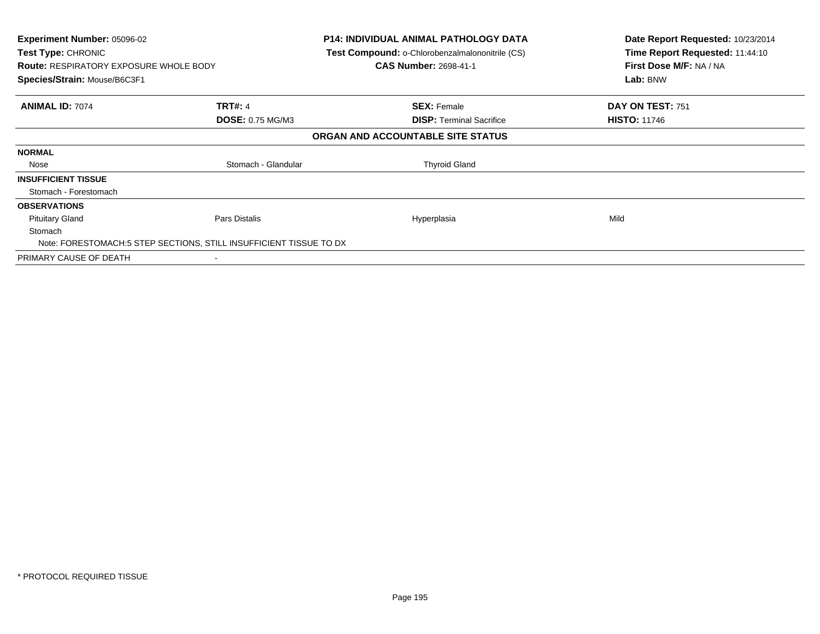| <b>Experiment Number: 05096-02</b><br><b>Test Type: CHRONIC</b><br><b>Route: RESPIRATORY EXPOSURE WHOLE BODY</b><br>Species/Strain: Mouse/B6C3F1 |                         | <b>P14: INDIVIDUAL ANIMAL PATHOLOGY DATA</b><br>Test Compound: o-Chlorobenzalmalononitrile (CS)<br><b>CAS Number: 2698-41-1</b> | Date Report Requested: 10/23/2014<br>Time Report Requested: 11:44:10<br>First Dose M/F: NA / NA<br>Lab: BNW |
|--------------------------------------------------------------------------------------------------------------------------------------------------|-------------------------|---------------------------------------------------------------------------------------------------------------------------------|-------------------------------------------------------------------------------------------------------------|
| <b>ANIMAL ID: 7074</b>                                                                                                                           | <b>TRT#: 4</b>          | <b>SEX: Female</b>                                                                                                              | DAY ON TEST: 751                                                                                            |
|                                                                                                                                                  | <b>DOSE: 0.75 MG/M3</b> | <b>DISP: Terminal Sacrifice</b>                                                                                                 | <b>HISTO: 11746</b>                                                                                         |
|                                                                                                                                                  |                         | ORGAN AND ACCOUNTABLE SITE STATUS                                                                                               |                                                                                                             |
| <b>NORMAL</b>                                                                                                                                    |                         |                                                                                                                                 |                                                                                                             |
| Nose                                                                                                                                             | Stomach - Glandular     | <b>Thyroid Gland</b>                                                                                                            |                                                                                                             |
| <b>INSUFFICIENT TISSUE</b>                                                                                                                       |                         |                                                                                                                                 |                                                                                                             |
| Stomach - Forestomach                                                                                                                            |                         |                                                                                                                                 |                                                                                                             |
| <b>OBSERVATIONS</b>                                                                                                                              |                         |                                                                                                                                 |                                                                                                             |
| <b>Pituitary Gland</b>                                                                                                                           | Pars Distalis           | Hyperplasia                                                                                                                     | Mild                                                                                                        |
| Stomach                                                                                                                                          |                         |                                                                                                                                 |                                                                                                             |
| Note: FORESTOMACH:5 STEP SECTIONS, STILL INSUFFICIENT TISSUE TO DX                                                                               |                         |                                                                                                                                 |                                                                                                             |
| PRIMARY CAUSE OF DEATH                                                                                                                           |                         |                                                                                                                                 |                                                                                                             |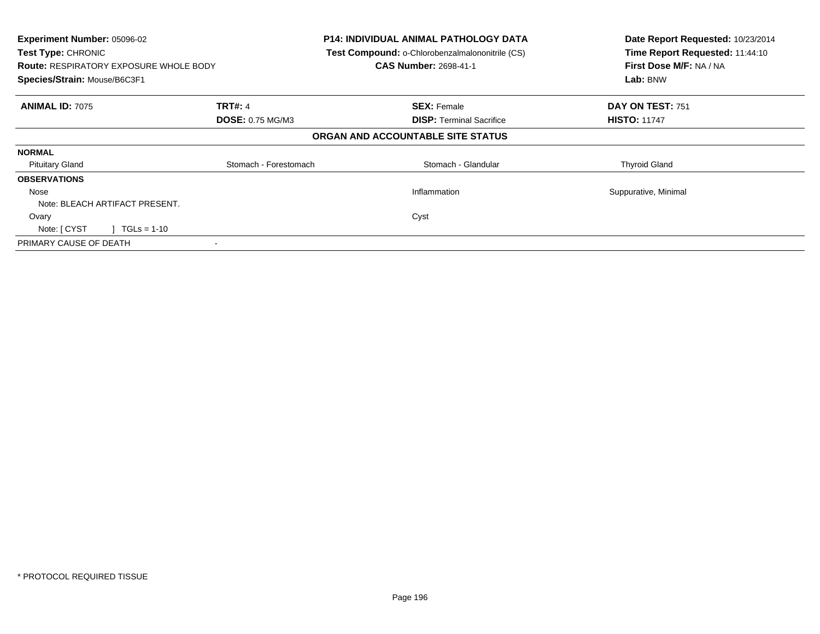| Experiment Number: 05096-02<br><b>Test Type: CHRONIC</b><br><b>Route: RESPIRATORY EXPOSURE WHOLE BODY</b> |                         | <b>P14: INDIVIDUAL ANIMAL PATHOLOGY DATA</b><br>Test Compound: o-Chlorobenzalmalononitrile (CS)<br><b>CAS Number: 2698-41-1</b> | Date Report Requested: 10/23/2014<br>Time Report Requested: 11:44:10<br>First Dose M/F: NA / NA |
|-----------------------------------------------------------------------------------------------------------|-------------------------|---------------------------------------------------------------------------------------------------------------------------------|-------------------------------------------------------------------------------------------------|
| Species/Strain: Mouse/B6C3F1                                                                              |                         |                                                                                                                                 | Lab: BNW                                                                                        |
| <b>ANIMAL ID: 7075</b>                                                                                    | <b>TRT#: 4</b>          | <b>SEX: Female</b>                                                                                                              | DAY ON TEST: 751                                                                                |
|                                                                                                           | <b>DOSE: 0.75 MG/M3</b> | <b>DISP:</b> Terminal Sacrifice                                                                                                 | <b>HISTO: 11747</b>                                                                             |
|                                                                                                           |                         | ORGAN AND ACCOUNTABLE SITE STATUS                                                                                               |                                                                                                 |
| <b>NORMAL</b>                                                                                             |                         |                                                                                                                                 |                                                                                                 |
| <b>Pituitary Gland</b>                                                                                    | Stomach - Forestomach   | Stomach - Glandular                                                                                                             | <b>Thyroid Gland</b>                                                                            |
| <b>OBSERVATIONS</b>                                                                                       |                         |                                                                                                                                 |                                                                                                 |
| Nose                                                                                                      |                         | Inflammation                                                                                                                    | Suppurative, Minimal                                                                            |
| Note: BLEACH ARTIFACT PRESENT.                                                                            |                         |                                                                                                                                 |                                                                                                 |
| Ovary                                                                                                     |                         | Cyst                                                                                                                            |                                                                                                 |
| $1 TGLs = 1-10$<br>Note: [ CYST                                                                           |                         |                                                                                                                                 |                                                                                                 |
| PRIMARY CAUSE OF DEATH                                                                                    |                         |                                                                                                                                 |                                                                                                 |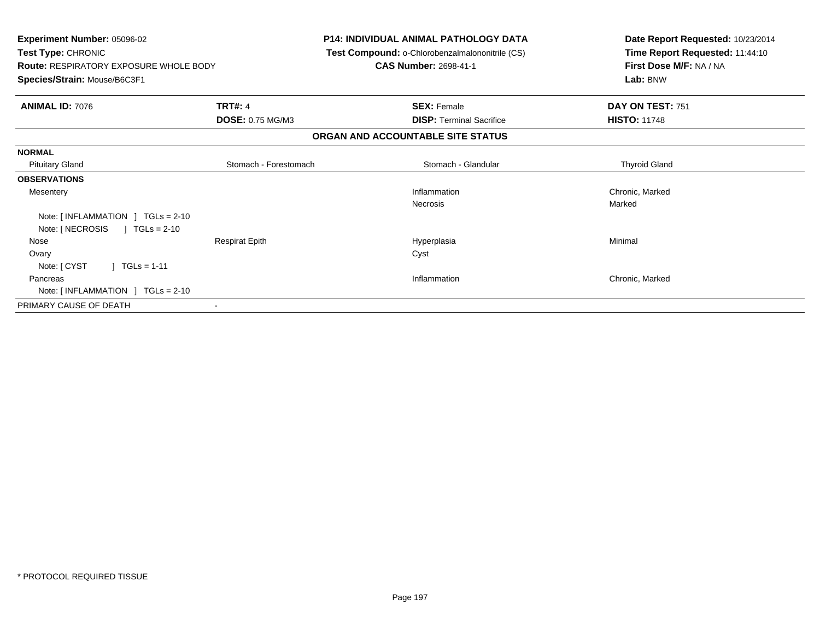| <b>Experiment Number: 05096-02</b><br>Test Type: CHRONIC<br><b>Route: RESPIRATORY EXPOSURE WHOLE BODY</b><br>Species/Strain: Mouse/B6C3F1 |                       | <b>P14: INDIVIDUAL ANIMAL PATHOLOGY DATA</b><br>Test Compound: o-Chlorobenzalmalononitrile (CS)<br><b>CAS Number: 2698-41-1</b> | Date Report Requested: 10/23/2014<br>Time Report Requested: 11:44:10<br>First Dose M/F: NA / NA<br>Lab: BNW |
|-------------------------------------------------------------------------------------------------------------------------------------------|-----------------------|---------------------------------------------------------------------------------------------------------------------------------|-------------------------------------------------------------------------------------------------------------|
| <b>ANIMAL ID: 7076</b>                                                                                                                    | <b>TRT#: 4</b>        | <b>SEX: Female</b>                                                                                                              | DAY ON TEST: 751                                                                                            |
|                                                                                                                                           | DOSE: 0.75 MG/M3      | <b>DISP:</b> Terminal Sacrifice                                                                                                 | <b>HISTO: 11748</b>                                                                                         |
|                                                                                                                                           |                       | ORGAN AND ACCOUNTABLE SITE STATUS                                                                                               |                                                                                                             |
| <b>NORMAL</b>                                                                                                                             |                       |                                                                                                                                 |                                                                                                             |
| <b>Pituitary Gland</b>                                                                                                                    | Stomach - Forestomach | Stomach - Glandular                                                                                                             | <b>Thyroid Gland</b>                                                                                        |
| <b>OBSERVATIONS</b>                                                                                                                       |                       |                                                                                                                                 |                                                                                                             |
| Mesentery                                                                                                                                 |                       | Inflammation                                                                                                                    | Chronic, Marked                                                                                             |
|                                                                                                                                           |                       | <b>Necrosis</b>                                                                                                                 | Marked                                                                                                      |
| Note: $\lceil$ INFLAMMATION $\lceil$ TGLs = 2-10                                                                                          |                       |                                                                                                                                 |                                                                                                             |
| Note: [ NECROSIS<br>$\sqrt{1}$ TGLs = 2-10                                                                                                |                       |                                                                                                                                 |                                                                                                             |
| Nose                                                                                                                                      | <b>Respirat Epith</b> | Hyperplasia                                                                                                                     | Minimal                                                                                                     |
| Ovary                                                                                                                                     |                       | Cyst                                                                                                                            |                                                                                                             |
| $] TGLs = 1-11$<br>Note: [ CYST                                                                                                           |                       |                                                                                                                                 |                                                                                                             |
| Pancreas                                                                                                                                  |                       | Inflammation                                                                                                                    | Chronic, Marked                                                                                             |
| Note: $[INFLAMMATION ] TGLs = 2-10$                                                                                                       |                       |                                                                                                                                 |                                                                                                             |
| PRIMARY CAUSE OF DEATH                                                                                                                    |                       |                                                                                                                                 |                                                                                                             |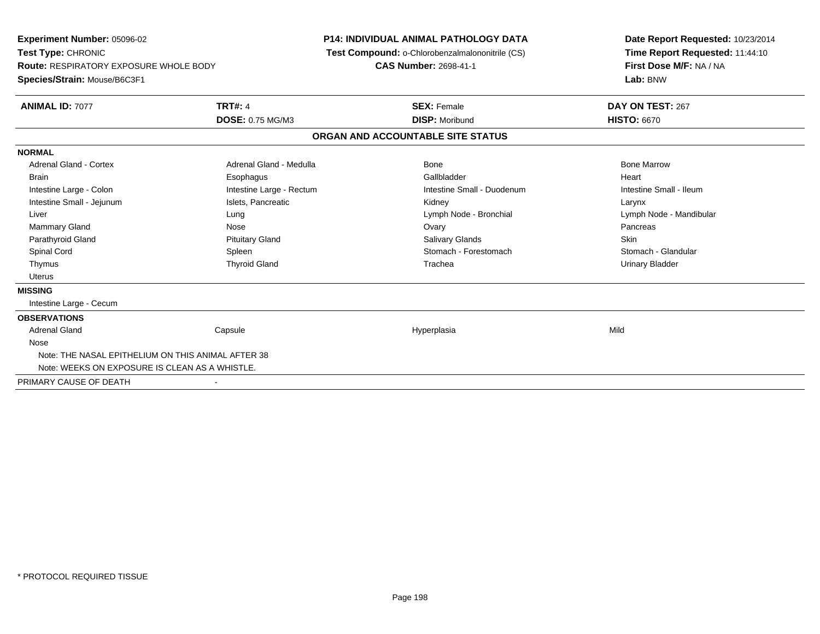**Experiment Number:** 05096-02**Test Type:** CHRONIC **Route:** RESPIRATORY EXPOSURE WHOLE BODY**Species/Strain:** Mouse/B6C3F1**P14: INDIVIDUAL ANIMAL PATHOLOGY DATA Test Compound:** o-Chlorobenzalmalononitrile (CS)**CAS Number:** 2698-41-1**Date Report Requested:** 10/23/2014**Time Report Requested:** 11:44:10**First Dose M/F:** NA / NA**Lab:** BNW**ANIMAL ID:** 7077**TRT#:** 4 **SEX:** Female **DAY ON TEST:** 267 **DOSE:** 0.75 MG/M3 **DISP:** Moribund **HISTO:** <sup>6670</sup> **ORGAN AND ACCOUNTABLE SITE STATUSNORMALAdrenal Gland - Cortex** Adrenal Gland - Medulla **Adrenal Gland - Medulla** Bone Bone Bone Bone Bone Marrow Brain Esophagus Esophagus Gallbladder Gallbladder Gallbladder Heart Intestine Large - Colon **Intestine Large - Rectum** Intestine Small - Duodenum Intestine Small - Ileum Intestine Small - Ileum Intestine Small - Jejunum **Intestine Small - Jejunum** Islets, Pancreatic **Network Constructs** Kidney Larynx Larynx Liver Lung Lymph Node - Bronchial Lymph Node - MandibularMammary Gland Nose Ovary Pancreas Parathyroid Gland Phillip Communication of Pituitary Gland Pitus School Salivary Glands Skin Skin Skin Skin Skin Stomach - Glandular Spinal Cord **Spinal Cord Spleen** Spleen Stomach - Forestomach - Stomach - Forestomach - Stomach - Glandular Stomach - Glandular Stomach - Glandular Stomach - Glandular Stomach - Glandular Stomach - Glandular Stomach - Glan Thymus Thyroid Gland Trachea Urinary Bladder Uterus**MISSING** Intestine Large - Cecum**OBSERVATIONS** Adrenal Gland Capsule Hyperplasia Mild Nose Note: THE NASAL EPITHELIUM ON THIS ANIMAL AFTER 38Note: WEEKS ON EXPOSURE IS CLEAN AS A WHISTLE.PRIMARY CAUSE OF DEATH-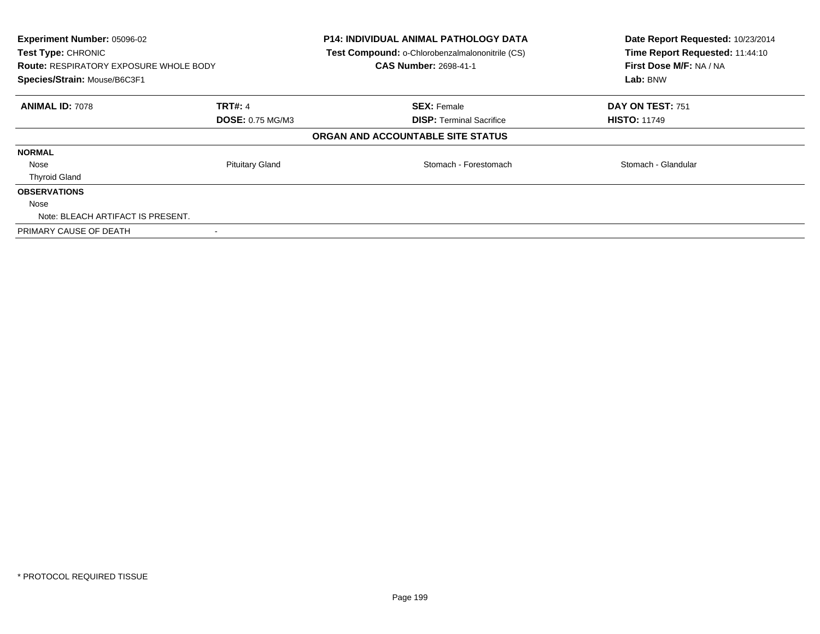| Experiment Number: 05096-02<br>Test Type: CHRONIC<br><b>Route: RESPIRATORY EXPOSURE WHOLE BODY</b><br>Species/Strain: Mouse/B6C3F1 |                         | <b>P14: INDIVIDUAL ANIMAL PATHOLOGY DATA</b><br>Test Compound: o-Chlorobenzalmalononitrile (CS)<br><b>CAS Number: 2698-41-1</b> | Date Report Requested: 10/23/2014<br>Time Report Requested: 11:44:10<br>First Dose M/F: NA / NA<br>Lab: BNW |  |
|------------------------------------------------------------------------------------------------------------------------------------|-------------------------|---------------------------------------------------------------------------------------------------------------------------------|-------------------------------------------------------------------------------------------------------------|--|
| <b>ANIMAL ID: 7078</b>                                                                                                             | <b>TRT#: 4</b>          | <b>SEX: Female</b>                                                                                                              | DAY ON TEST: 751                                                                                            |  |
|                                                                                                                                    | <b>DOSE: 0.75 MG/M3</b> | <b>DISP:</b> Terminal Sacrifice                                                                                                 | <b>HISTO: 11749</b>                                                                                         |  |
|                                                                                                                                    |                         | ORGAN AND ACCOUNTABLE SITE STATUS                                                                                               |                                                                                                             |  |
| <b>NORMAL</b>                                                                                                                      |                         |                                                                                                                                 |                                                                                                             |  |
| Nose                                                                                                                               | <b>Pituitary Gland</b>  | Stomach - Forestomach                                                                                                           | Stomach - Glandular                                                                                         |  |
| <b>Thyroid Gland</b>                                                                                                               |                         |                                                                                                                                 |                                                                                                             |  |
| <b>OBSERVATIONS</b>                                                                                                                |                         |                                                                                                                                 |                                                                                                             |  |
| Nose                                                                                                                               |                         |                                                                                                                                 |                                                                                                             |  |
| Note: BLEACH ARTIFACT IS PRESENT.                                                                                                  |                         |                                                                                                                                 |                                                                                                             |  |
| PRIMARY CAUSE OF DEATH                                                                                                             |                         |                                                                                                                                 |                                                                                                             |  |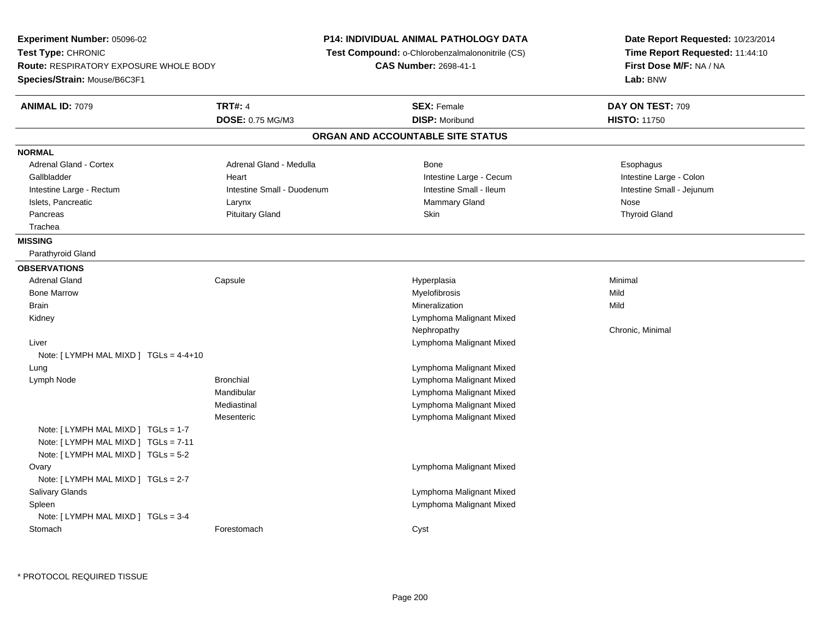**Experiment Number:** 05096-02**Test Type:** CHRONIC **Route:** RESPIRATORY EXPOSURE WHOLE BODY**Species/Strain:** Mouse/B6C3F1**P14: INDIVIDUAL ANIMAL PATHOLOGY DATA Test Compound:** o-Chlorobenzalmalononitrile (CS)**CAS Number:** 2698-41-1**Date Report Requested:** 10/23/2014**Time Report Requested:** 11:44:10**First Dose M/F:** NA / NA**Lab:** BNW**ANIMAL ID:** 7079**TRT#:** 4 **SEX:** Female **DAY ON TEST:** 709 **DOSE:** 0.75 MG/M3**DISP:** Moribund **HISTO:** 11750 **ORGAN AND ACCOUNTABLE SITE STATUSNORMALAdrenal Gland - Cortex** Adrenal Gland - Medulla **Bone** Bone **Bone** Esophagus Esophagus Intestine Large - Colon Gallbladder **East Community Community** Heart Heart Intestine Large - Cecum Intestine Large - Cecum Intestine Small - Jejunum Intestine Large - Rectum **Intestine Small - Duodenum** Intestine Small - Ileum Intestine Small - Ileum Islets, Pancreatic **Community Community Community Community Community Community Community Community Community Community Community Community Community Community Community Community Community Community Community Community Co Thyroid Gland**  Pancreas Pituitary Gland Skin Thyroid Gland Trachea**MISSING** Parathyroid Gland**OBSERVATIONS** Adrenal Gland Capsule Hyperplasia Minimal Bone Marroww which is a matter of the Myelofibrosis and the Myelofibrosis and the Mild of the Mild of the Mild of the Mild of the Mild of the Mild of the Mild of the Mild of the Mild of the Mild of the Mild of the Mild of the Mild of Brainn and the control of the control of the control of the control of the control of the control of the control of the control of the control of the control of the control of the control of the control of the control of the co Kidney Lymphoma Malignant MixedNephropathy Chronic, Minimal Liver Lymphoma Malignant MixedNote: [ LYMPH MAL MIXD ] TGLs = 4-4+10 Lung Lymphoma Malignant Mixed Lymph NodeLymphoma Malignant Mixed Mandibular Lymphoma Malignant Mixed Lymphoma Malignant MixedMediastinal Lymphoma Malignant Mixed**Mesenteric** Note: [ LYMPH MAL MIXD ] TGLs = 1-7 Note: [ LYMPH MAL MIXD ] TGLs = 7-11 Note: [ LYMPH MAL MIXD ] TGLs = 5-2**Ovary**  Lymphoma Malignant MixedNote: [ LYMPH MAL MIXD ] TGLs = 2-7 Salivary Glands Lymphoma Malignant Mixed Lymphoma Malignant Mixed SpleenNote: [ LYMPH MAL MIXD ] TGLs = 3-4 Stomachh compared to the Forestomach compared to the Cyst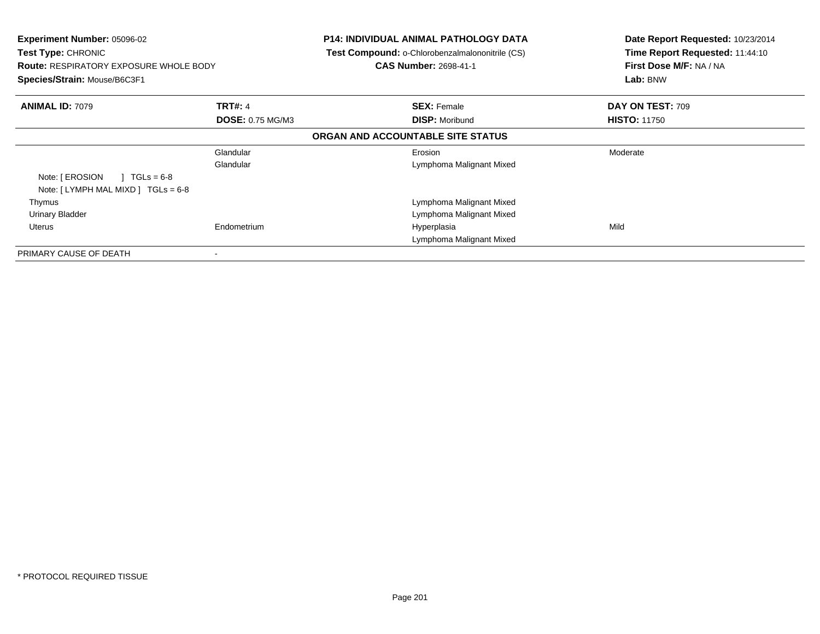| <b>Experiment Number: 05096-02</b><br><b>Test Type: CHRONIC</b><br><b>Route: RESPIRATORY EXPOSURE WHOLE BODY</b><br>Species/Strain: Mouse/B6C3F1 |                         | <b>P14: INDIVIDUAL ANIMAL PATHOLOGY DATA</b><br>Test Compound: o-Chlorobenzalmalononitrile (CS)<br><b>CAS Number: 2698-41-1</b> | Date Report Requested: 10/23/2014<br>Time Report Requested: 11:44:10<br>First Dose M/F: NA / NA<br>Lab: BNW |
|--------------------------------------------------------------------------------------------------------------------------------------------------|-------------------------|---------------------------------------------------------------------------------------------------------------------------------|-------------------------------------------------------------------------------------------------------------|
| <b>ANIMAL ID: 7079</b>                                                                                                                           | <b>TRT#: 4</b>          | <b>SEX: Female</b>                                                                                                              | DAY ON TEST: 709                                                                                            |
|                                                                                                                                                  | <b>DOSE: 0.75 MG/M3</b> | <b>DISP: Moribund</b>                                                                                                           | <b>HISTO: 11750</b>                                                                                         |
|                                                                                                                                                  |                         | ORGAN AND ACCOUNTABLE SITE STATUS                                                                                               |                                                                                                             |
|                                                                                                                                                  | Glandular               | Erosion                                                                                                                         | Moderate                                                                                                    |
|                                                                                                                                                  | Glandular               | Lymphoma Malignant Mixed                                                                                                        |                                                                                                             |
| Note: [ EROSION<br>$1 \text{ TGLs} = 6-8$                                                                                                        |                         |                                                                                                                                 |                                                                                                             |
| Note: $[LYMPH MAL MIXD] TGLs = 6-8$                                                                                                              |                         |                                                                                                                                 |                                                                                                             |
| Thymus                                                                                                                                           |                         | Lymphoma Malignant Mixed                                                                                                        |                                                                                                             |
| <b>Urinary Bladder</b>                                                                                                                           |                         | Lymphoma Malignant Mixed                                                                                                        |                                                                                                             |
| Uterus                                                                                                                                           | Endometrium             | Hyperplasia                                                                                                                     | Mild                                                                                                        |
|                                                                                                                                                  |                         | Lymphoma Malignant Mixed                                                                                                        |                                                                                                             |
| PRIMARY CAUSE OF DEATH                                                                                                                           |                         |                                                                                                                                 |                                                                                                             |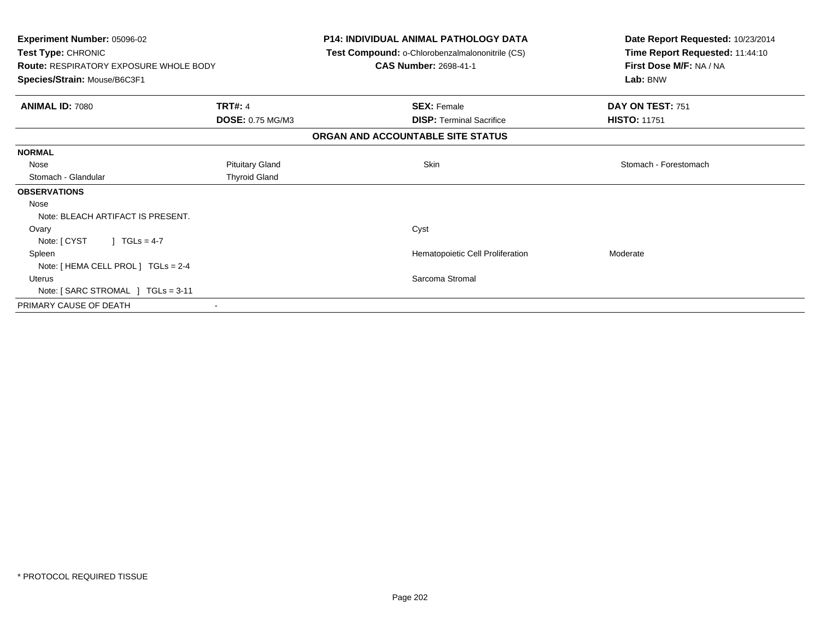| <b>Experiment Number: 05096-02</b><br>Test Type: CHRONIC<br><b>Route: RESPIRATORY EXPOSURE WHOLE BODY</b><br>Species/Strain: Mouse/B6C3F1 |                        | <b>P14: INDIVIDUAL ANIMAL PATHOLOGY DATA</b><br>Test Compound: o-Chlorobenzalmalononitrile (CS)<br><b>CAS Number: 2698-41-1</b> |                                  | Date Report Requested: 10/23/2014<br>Time Report Requested: 11:44:10<br>First Dose M/F: NA / NA<br>Lab: BNW |
|-------------------------------------------------------------------------------------------------------------------------------------------|------------------------|---------------------------------------------------------------------------------------------------------------------------------|----------------------------------|-------------------------------------------------------------------------------------------------------------|
| <b>ANIMAL ID: 7080</b>                                                                                                                    | <b>TRT#: 4</b>         | <b>SEX: Female</b>                                                                                                              |                                  | DAY ON TEST: 751                                                                                            |
|                                                                                                                                           | DOSE: 0.75 MG/M3       |                                                                                                                                 | <b>DISP: Terminal Sacrifice</b>  | <b>HISTO: 11751</b>                                                                                         |
|                                                                                                                                           |                        | ORGAN AND ACCOUNTABLE SITE STATUS                                                                                               |                                  |                                                                                                             |
| <b>NORMAL</b>                                                                                                                             |                        |                                                                                                                                 |                                  |                                                                                                             |
| Nose                                                                                                                                      | <b>Pituitary Gland</b> | <b>Skin</b>                                                                                                                     |                                  | Stomach - Forestomach                                                                                       |
| Stomach - Glandular                                                                                                                       | <b>Thyroid Gland</b>   |                                                                                                                                 |                                  |                                                                                                             |
| <b>OBSERVATIONS</b>                                                                                                                       |                        |                                                                                                                                 |                                  |                                                                                                             |
| Nose                                                                                                                                      |                        |                                                                                                                                 |                                  |                                                                                                             |
| Note: BLEACH ARTIFACT IS PRESENT.                                                                                                         |                        |                                                                                                                                 |                                  |                                                                                                             |
| Ovary                                                                                                                                     |                        | Cyst                                                                                                                            |                                  |                                                                                                             |
| Note: [ CYST<br>$1 \text{ TGLs} = 4-7$                                                                                                    |                        |                                                                                                                                 |                                  |                                                                                                             |
| Spleen                                                                                                                                    |                        |                                                                                                                                 | Hematopoietic Cell Proliferation | Moderate                                                                                                    |
| Note: [ HEMA CELL PROL ] TGLs = 2-4                                                                                                       |                        |                                                                                                                                 |                                  |                                                                                                             |
| <b>Uterus</b>                                                                                                                             |                        | Sarcoma Stromal                                                                                                                 |                                  |                                                                                                             |
| Note: [ SARC STROMAL ] TGLs = 3-11                                                                                                        |                        |                                                                                                                                 |                                  |                                                                                                             |
| PRIMARY CAUSE OF DEATH                                                                                                                    |                        |                                                                                                                                 |                                  |                                                                                                             |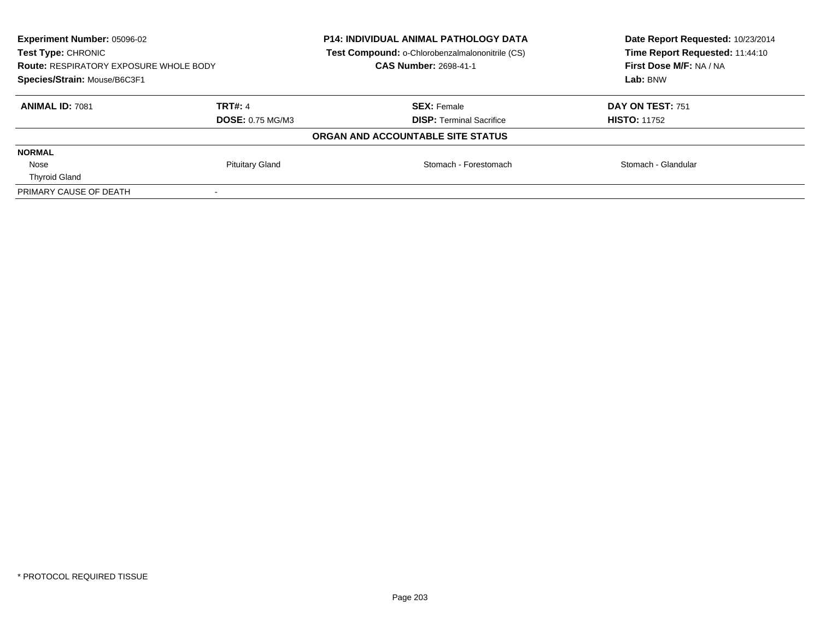| <b>Experiment Number: 05096-02</b><br>Test Type: CHRONIC<br><b>Route: RESPIRATORY EXPOSURE WHOLE BODY</b><br>Species/Strain: Mouse/B6C3F1 |                         | <b>P14: INDIVIDUAL ANIMAL PATHOLOGY DATA</b><br>Test Compound: o-Chlorobenzalmalononitrile (CS)<br><b>CAS Number: 2698-41-1</b> | Date Report Requested: 10/23/2014<br>Time Report Requested: 11:44:10<br>First Dose M/F: NA / NA |
|-------------------------------------------------------------------------------------------------------------------------------------------|-------------------------|---------------------------------------------------------------------------------------------------------------------------------|-------------------------------------------------------------------------------------------------|
|                                                                                                                                           |                         |                                                                                                                                 | Lab: BNW                                                                                        |
| <b>ANIMAL ID: 7081</b>                                                                                                                    | <b>TRT#: 4</b>          | <b>SEX: Female</b>                                                                                                              | DAY ON TEST: 751                                                                                |
|                                                                                                                                           | <b>DOSE: 0.75 MG/M3</b> | <b>DISP:</b> Terminal Sacrifice                                                                                                 | <b>HISTO: 11752</b>                                                                             |
|                                                                                                                                           |                         | ORGAN AND ACCOUNTABLE SITE STATUS                                                                                               |                                                                                                 |
| <b>NORMAL</b>                                                                                                                             |                         |                                                                                                                                 |                                                                                                 |
| Nose                                                                                                                                      | <b>Pituitary Gland</b>  | Stomach - Forestomach                                                                                                           | Stomach - Glandular                                                                             |
| <b>Thyroid Gland</b>                                                                                                                      |                         |                                                                                                                                 |                                                                                                 |
| PRIMARY CAUSE OF DEATH                                                                                                                    |                         |                                                                                                                                 |                                                                                                 |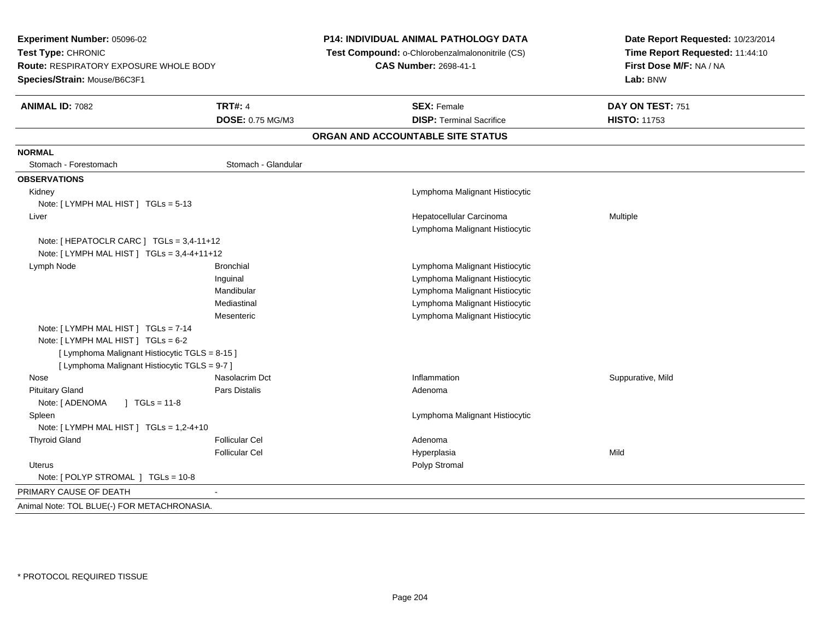| Experiment Number: 05096-02<br>Test Type: CHRONIC<br><b>Route: RESPIRATORY EXPOSURE WHOLE BODY</b><br>Species/Strain: Mouse/B6C3F1 |                                    | P14: INDIVIDUAL ANIMAL PATHOLOGY DATA<br>Test Compound: o-Chlorobenzalmalononitrile (CS)<br><b>CAS Number: 2698-41-1</b> |                                                            | Date Report Requested: 10/23/2014<br>Time Report Requested: 11:44:10<br>First Dose M/F: NA / NA<br>Lab: BNW |
|------------------------------------------------------------------------------------------------------------------------------------|------------------------------------|--------------------------------------------------------------------------------------------------------------------------|------------------------------------------------------------|-------------------------------------------------------------------------------------------------------------|
| <b>ANIMAL ID: 7082</b>                                                                                                             | <b>TRT#: 4</b><br>DOSE: 0.75 MG/M3 |                                                                                                                          | <b>SEX: Female</b><br><b>DISP: Terminal Sacrifice</b>      | DAY ON TEST: 751                                                                                            |
|                                                                                                                                    |                                    |                                                                                                                          |                                                            | <b>HISTO: 11753</b>                                                                                         |
|                                                                                                                                    |                                    |                                                                                                                          | ORGAN AND ACCOUNTABLE SITE STATUS                          |                                                                                                             |
| <b>NORMAL</b>                                                                                                                      |                                    |                                                                                                                          |                                                            |                                                                                                             |
| Stomach - Forestomach                                                                                                              | Stomach - Glandular                |                                                                                                                          |                                                            |                                                                                                             |
| <b>OBSERVATIONS</b>                                                                                                                |                                    |                                                                                                                          |                                                            |                                                                                                             |
| Kidney                                                                                                                             |                                    |                                                                                                                          | Lymphoma Malignant Histiocytic                             |                                                                                                             |
| Note: [LYMPH MAL HIST ] TGLs = 5-13                                                                                                |                                    |                                                                                                                          |                                                            |                                                                                                             |
| Liver                                                                                                                              |                                    |                                                                                                                          | Hepatocellular Carcinoma<br>Lymphoma Malignant Histiocytic | Multiple                                                                                                    |
| Note: [HEPATOCLR CARC ] $TGLs = 3,4-11+12$<br>Note: [ LYMPH MAL HIST ] TGLs = 3,4-4+11+12                                          |                                    |                                                                                                                          |                                                            |                                                                                                             |
| Lymph Node                                                                                                                         | <b>Bronchial</b>                   |                                                                                                                          | Lymphoma Malignant Histiocytic                             |                                                                                                             |
|                                                                                                                                    | Inguinal                           |                                                                                                                          | Lymphoma Malignant Histiocytic                             |                                                                                                             |
|                                                                                                                                    | Mandibular                         |                                                                                                                          | Lymphoma Malignant Histiocytic                             |                                                                                                             |
|                                                                                                                                    | Mediastinal                        |                                                                                                                          | Lymphoma Malignant Histiocytic                             |                                                                                                             |
|                                                                                                                                    | Mesenteric                         |                                                                                                                          | Lymphoma Malignant Histiocytic                             |                                                                                                             |
| Note: [ LYMPH MAL HIST ] TGLs = 7-14<br>Note: [ LYMPH MAL HIST ] TGLs = 6-2                                                        |                                    |                                                                                                                          |                                                            |                                                                                                             |
| [ Lymphoma Malignant Histiocytic TGLS = 8-15 ]<br>[ Lymphoma Malignant Histiocytic TGLS = 9-7 ]                                    |                                    |                                                                                                                          |                                                            |                                                                                                             |
| Nose                                                                                                                               | Nasolacrim Dct                     |                                                                                                                          | Inflammation                                               | Suppurative, Mild                                                                                           |
| <b>Pituitary Gland</b>                                                                                                             | Pars Distalis                      |                                                                                                                          | Adenoma                                                    |                                                                                                             |
| Note: [ ADENOMA<br>$] TGLs = 11-8$                                                                                                 |                                    |                                                                                                                          |                                                            |                                                                                                             |
| Spleen                                                                                                                             |                                    |                                                                                                                          | Lymphoma Malignant Histiocytic                             |                                                                                                             |
| Note: [ LYMPH MAL HIST ] TGLs = 1,2-4+10                                                                                           |                                    |                                                                                                                          |                                                            |                                                                                                             |
| <b>Thyroid Gland</b>                                                                                                               | <b>Follicular Cel</b>              |                                                                                                                          | Adenoma                                                    |                                                                                                             |
|                                                                                                                                    | <b>Follicular Cel</b>              |                                                                                                                          | Hyperplasia                                                | Mild                                                                                                        |
| <b>Uterus</b>                                                                                                                      |                                    |                                                                                                                          | Polyp Stromal                                              |                                                                                                             |
| Note: [ POLYP STROMAL ] TGLs = 10-8                                                                                                |                                    |                                                                                                                          |                                                            |                                                                                                             |
| PRIMARY CAUSE OF DEATH                                                                                                             | $\blacksquare$                     |                                                                                                                          |                                                            |                                                                                                             |
| Animal Note: TOL BLUE(-) FOR METACHRONASIA.                                                                                        |                                    |                                                                                                                          |                                                            |                                                                                                             |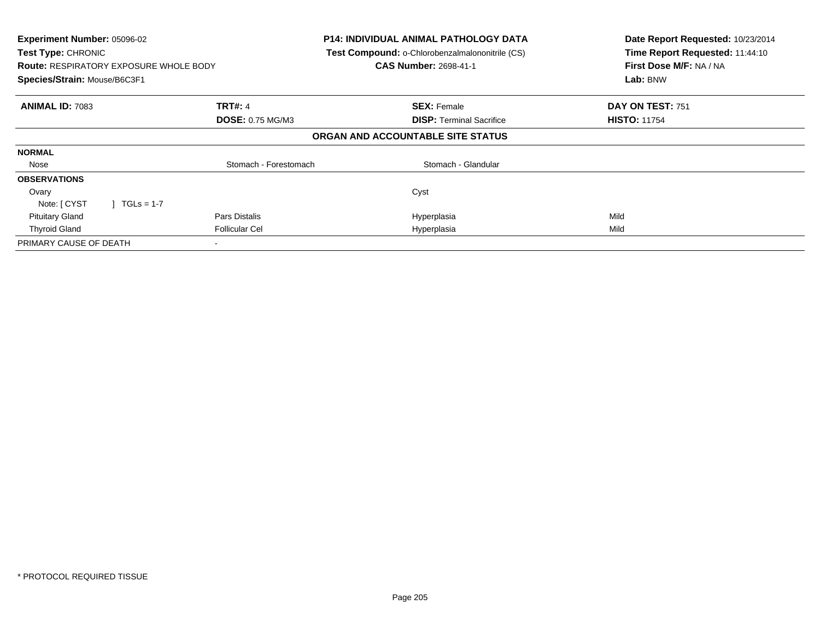| Experiment Number: 05096-02<br>Test Type: CHRONIC<br><b>Route: RESPIRATORY EXPOSURE WHOLE BODY</b><br>Species/Strain: Mouse/B6C3F1 |                         | <b>P14: INDIVIDUAL ANIMAL PATHOLOGY DATA</b><br>Test Compound: o-Chlorobenzalmalononitrile (CS)<br><b>CAS Number: 2698-41-1</b> | Date Report Requested: 10/23/2014<br>Time Report Requested: 11:44:10<br>First Dose M/F: NA / NA<br>Lab: BNW |
|------------------------------------------------------------------------------------------------------------------------------------|-------------------------|---------------------------------------------------------------------------------------------------------------------------------|-------------------------------------------------------------------------------------------------------------|
| <b>ANIMAL ID: 7083</b>                                                                                                             | <b>TRT#: 4</b>          | <b>SEX: Female</b>                                                                                                              | DAY ON TEST: 751                                                                                            |
|                                                                                                                                    | <b>DOSE: 0.75 MG/M3</b> | <b>DISP:</b> Terminal Sacrifice                                                                                                 | <b>HISTO: 11754</b>                                                                                         |
|                                                                                                                                    |                         | ORGAN AND ACCOUNTABLE SITE STATUS                                                                                               |                                                                                                             |
| <b>NORMAL</b>                                                                                                                      |                         |                                                                                                                                 |                                                                                                             |
| Nose                                                                                                                               | Stomach - Forestomach   | Stomach - Glandular                                                                                                             |                                                                                                             |
| <b>OBSERVATIONS</b>                                                                                                                |                         |                                                                                                                                 |                                                                                                             |
| Ovary                                                                                                                              |                         | Cyst                                                                                                                            |                                                                                                             |
| Note: [ CYST<br>$\sqrt{1}$ TGLs = 1-7                                                                                              |                         |                                                                                                                                 |                                                                                                             |
| <b>Pituitary Gland</b>                                                                                                             | Pars Distalis           | Hyperplasia                                                                                                                     | Mild                                                                                                        |
| <b>Thyroid Gland</b>                                                                                                               | <b>Follicular Cel</b>   | Hyperplasia                                                                                                                     | Mild                                                                                                        |
| PRIMARY CAUSE OF DEATH                                                                                                             |                         |                                                                                                                                 |                                                                                                             |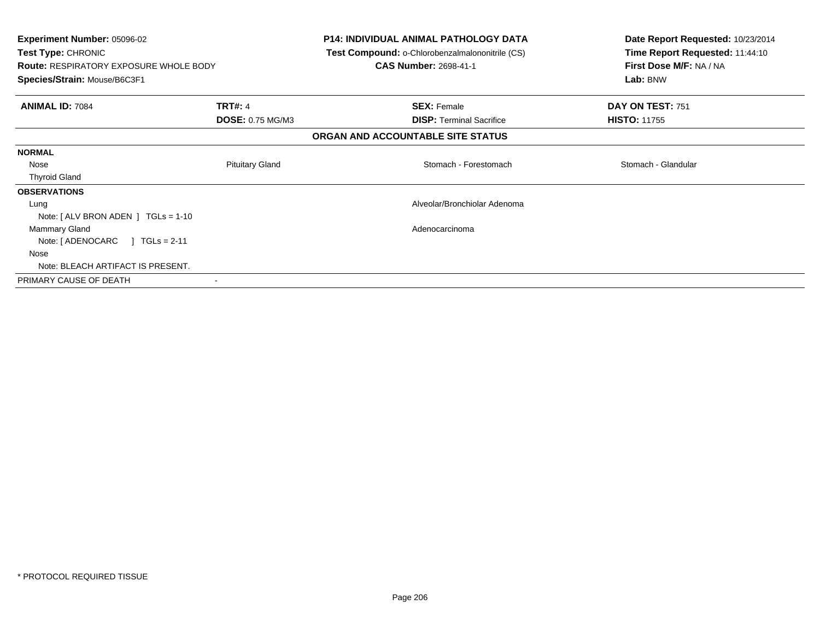| <b>Experiment Number: 05096-02</b><br>Test Type: CHRONIC<br><b>Route: RESPIRATORY EXPOSURE WHOLE BODY</b> |                         | <b>P14: INDIVIDUAL ANIMAL PATHOLOGY DATA</b><br>Test Compound: o-Chlorobenzalmalononitrile (CS)<br><b>CAS Number: 2698-41-1</b> | Date Report Requested: 10/23/2014<br>Time Report Requested: 11:44:10<br>First Dose M/F: NA / NA |
|-----------------------------------------------------------------------------------------------------------|-------------------------|---------------------------------------------------------------------------------------------------------------------------------|-------------------------------------------------------------------------------------------------|
| Species/Strain: Mouse/B6C3F1                                                                              |                         |                                                                                                                                 | Lab: BNW                                                                                        |
| <b>ANIMAL ID: 7084</b>                                                                                    | <b>TRT#: 4</b>          | <b>SEX: Female</b>                                                                                                              | DAY ON TEST: 751                                                                                |
|                                                                                                           | <b>DOSE: 0.75 MG/M3</b> | <b>DISP:</b> Terminal Sacrifice                                                                                                 | <b>HISTO: 11755</b>                                                                             |
|                                                                                                           |                         | ORGAN AND ACCOUNTABLE SITE STATUS                                                                                               |                                                                                                 |
| <b>NORMAL</b>                                                                                             |                         |                                                                                                                                 |                                                                                                 |
| Nose                                                                                                      | <b>Pituitary Gland</b>  | Stomach - Forestomach                                                                                                           | Stomach - Glandular                                                                             |
| <b>Thyroid Gland</b>                                                                                      |                         |                                                                                                                                 |                                                                                                 |
| <b>OBSERVATIONS</b>                                                                                       |                         |                                                                                                                                 |                                                                                                 |
| Lung                                                                                                      |                         | Alveolar/Bronchiolar Adenoma                                                                                                    |                                                                                                 |
| Note: $[ALV$ BRON ADEN $]$ TGLs = 1-10                                                                    |                         |                                                                                                                                 |                                                                                                 |
| Mammary Gland                                                                                             |                         | Adenocarcinoma                                                                                                                  |                                                                                                 |
| $\sqrt{1}$ TGLs = 2-11<br>Note: [ ADENOCARC                                                               |                         |                                                                                                                                 |                                                                                                 |
| Nose                                                                                                      |                         |                                                                                                                                 |                                                                                                 |
| Note: BLEACH ARTIFACT IS PRESENT.                                                                         |                         |                                                                                                                                 |                                                                                                 |
| PRIMARY CAUSE OF DEATH                                                                                    | $\,$ $\,$               |                                                                                                                                 |                                                                                                 |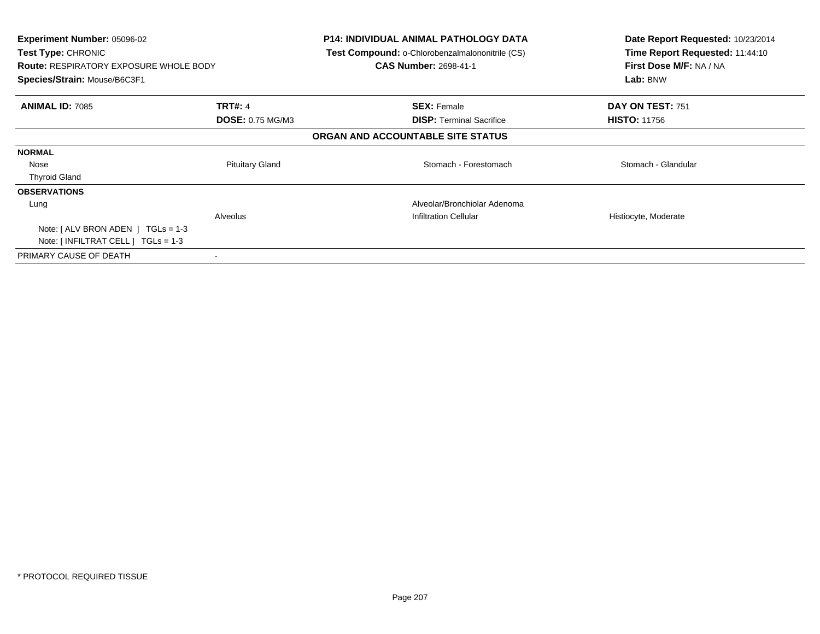| <b>Experiment Number: 05096-02</b><br><b>Test Type: CHRONIC</b><br><b>Route: RESPIRATORY EXPOSURE WHOLE BODY</b><br>Species/Strain: Mouse/B6C3F1 |                         | <b>P14: INDIVIDUAL ANIMAL PATHOLOGY DATA</b><br><b>Test Compound: o-Chlorobenzalmalononitrile (CS)</b><br><b>CAS Number: 2698-41-1</b> | Date Report Requested: 10/23/2014<br>Time Report Requested: 11:44:10<br>First Dose M/F: NA / NA<br>Lab: BNW |
|--------------------------------------------------------------------------------------------------------------------------------------------------|-------------------------|----------------------------------------------------------------------------------------------------------------------------------------|-------------------------------------------------------------------------------------------------------------|
| <b>ANIMAL ID: 7085</b>                                                                                                                           | <b>TRT#: 4</b>          | <b>SEX: Female</b>                                                                                                                     | DAY ON TEST: 751                                                                                            |
|                                                                                                                                                  | <b>DOSE: 0.75 MG/M3</b> | <b>DISP:</b> Terminal Sacrifice                                                                                                        | <b>HISTO: 11756</b>                                                                                         |
|                                                                                                                                                  |                         | ORGAN AND ACCOUNTABLE SITE STATUS                                                                                                      |                                                                                                             |
| <b>NORMAL</b>                                                                                                                                    |                         |                                                                                                                                        |                                                                                                             |
| Nose                                                                                                                                             | <b>Pituitary Gland</b>  | Stomach - Forestomach                                                                                                                  | Stomach - Glandular                                                                                         |
| <b>Thyroid Gland</b>                                                                                                                             |                         |                                                                                                                                        |                                                                                                             |
| <b>OBSERVATIONS</b>                                                                                                                              |                         |                                                                                                                                        |                                                                                                             |
| Lung                                                                                                                                             |                         | Alveolar/Bronchiolar Adenoma                                                                                                           |                                                                                                             |
|                                                                                                                                                  | Alveolus                | <b>Infiltration Cellular</b>                                                                                                           | Histiocyte, Moderate                                                                                        |
| Note: $\lceil$ ALV BRON ADEN $\lceil$ TGLs = 1-3                                                                                                 |                         |                                                                                                                                        |                                                                                                             |
| Note: $\lceil$ INFILTRAT CELL $\rceil$ TGLs = 1-3                                                                                                |                         |                                                                                                                                        |                                                                                                             |
| PRIMARY CAUSE OF DEATH                                                                                                                           |                         |                                                                                                                                        |                                                                                                             |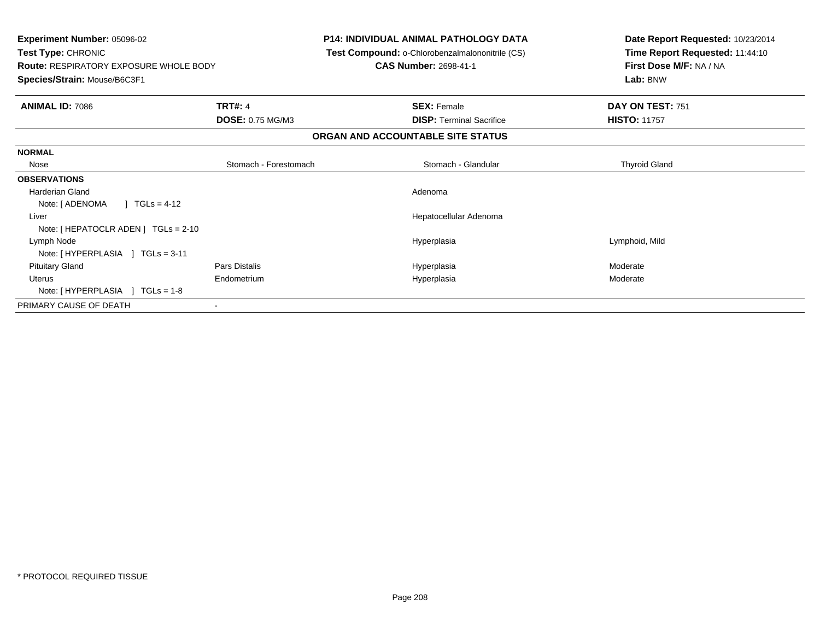| <b>Experiment Number: 05096-02</b><br>Test Type: CHRONIC<br><b>Route: RESPIRATORY EXPOSURE WHOLE BODY</b><br>Species/Strain: Mouse/B6C3F1 |                         | <b>P14: INDIVIDUAL ANIMAL PATHOLOGY DATA</b><br>Test Compound: o-Chlorobenzalmalononitrile (CS)<br><b>CAS Number: 2698-41-1</b> | Date Report Requested: 10/23/2014<br>Time Report Requested: 11:44:10<br>First Dose M/F: NA / NA<br>Lab: BNW |
|-------------------------------------------------------------------------------------------------------------------------------------------|-------------------------|---------------------------------------------------------------------------------------------------------------------------------|-------------------------------------------------------------------------------------------------------------|
| <b>ANIMAL ID: 7086</b>                                                                                                                    | <b>TRT#: 4</b>          | <b>SEX: Female</b>                                                                                                              | DAY ON TEST: 751                                                                                            |
|                                                                                                                                           | <b>DOSE: 0.75 MG/M3</b> | <b>DISP: Terminal Sacrifice</b>                                                                                                 | <b>HISTO: 11757</b>                                                                                         |
|                                                                                                                                           |                         | ORGAN AND ACCOUNTABLE SITE STATUS                                                                                               |                                                                                                             |
| <b>NORMAL</b>                                                                                                                             |                         |                                                                                                                                 |                                                                                                             |
| Nose                                                                                                                                      | Stomach - Forestomach   | Stomach - Glandular                                                                                                             | <b>Thyroid Gland</b>                                                                                        |
| <b>OBSERVATIONS</b>                                                                                                                       |                         |                                                                                                                                 |                                                                                                             |
| <b>Harderian Gland</b>                                                                                                                    |                         | Adenoma                                                                                                                         |                                                                                                             |
| $1 TGLs = 4-12$<br>Note: [ ADENOMA                                                                                                        |                         |                                                                                                                                 |                                                                                                             |
| Liver                                                                                                                                     |                         | Hepatocellular Adenoma                                                                                                          |                                                                                                             |
| Note: [ HEPATOCLR ADEN ] TGLs = 2-10                                                                                                      |                         |                                                                                                                                 |                                                                                                             |
| Lymph Node                                                                                                                                |                         | Hyperplasia                                                                                                                     | Lymphoid, Mild                                                                                              |
| Note: [HYPERPLASIA ] TGLs = 3-11                                                                                                          |                         |                                                                                                                                 |                                                                                                             |
| <b>Pituitary Gland</b>                                                                                                                    | Pars Distalis           | Hyperplasia                                                                                                                     | Moderate                                                                                                    |
| Uterus                                                                                                                                    | Endometrium             | Hyperplasia                                                                                                                     | Moderate                                                                                                    |
| Note: $[HYPERPLASIA] TGLs = 1-8$                                                                                                          |                         |                                                                                                                                 |                                                                                                             |
| PRIMARY CAUSE OF DEATH                                                                                                                    |                         |                                                                                                                                 |                                                                                                             |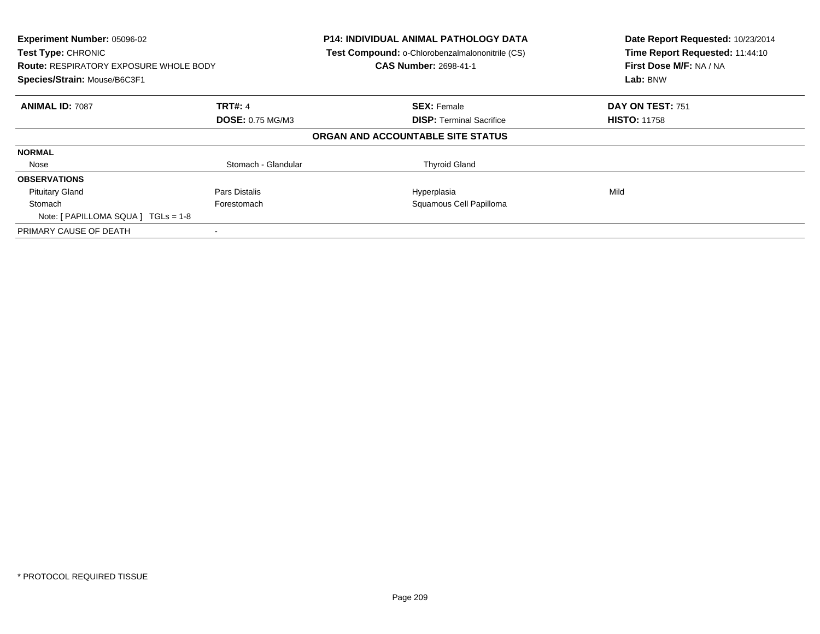| Experiment Number: 05096-02<br>Test Type: CHRONIC<br><b>Route: RESPIRATORY EXPOSURE WHOLE BODY</b><br>Species/Strain: Mouse/B6C3F1 |                         | <b>P14: INDIVIDUAL ANIMAL PATHOLOGY DATA</b><br>Test Compound: o-Chlorobenzalmalononitrile (CS)<br><b>CAS Number: 2698-41-1</b> | Date Report Requested: 10/23/2014<br>Time Report Requested: 11:44:10<br>First Dose M/F: NA / NA<br>Lab: BNW |
|------------------------------------------------------------------------------------------------------------------------------------|-------------------------|---------------------------------------------------------------------------------------------------------------------------------|-------------------------------------------------------------------------------------------------------------|
| <b>ANIMAL ID: 7087</b>                                                                                                             | <b>TRT#: 4</b>          | <b>SEX: Female</b>                                                                                                              | DAY ON TEST: 751                                                                                            |
|                                                                                                                                    | <b>DOSE: 0.75 MG/M3</b> | <b>DISP:</b> Terminal Sacrifice                                                                                                 | <b>HISTO: 11758</b>                                                                                         |
|                                                                                                                                    |                         | ORGAN AND ACCOUNTABLE SITE STATUS                                                                                               |                                                                                                             |
| <b>NORMAL</b>                                                                                                                      |                         |                                                                                                                                 |                                                                                                             |
| Nose                                                                                                                               | Stomach - Glandular     | <b>Thyroid Gland</b>                                                                                                            |                                                                                                             |
| <b>OBSERVATIONS</b>                                                                                                                |                         |                                                                                                                                 |                                                                                                             |
| <b>Pituitary Gland</b>                                                                                                             | Pars Distalis           | Hyperplasia                                                                                                                     | Mild                                                                                                        |
| Stomach                                                                                                                            | Forestomach             | Squamous Cell Papilloma                                                                                                         |                                                                                                             |
| Note: $[ PAPILLOMA SQUARE]  TGLS = 1-8 $                                                                                           |                         |                                                                                                                                 |                                                                                                             |
| PRIMARY CAUSE OF DEATH                                                                                                             |                         |                                                                                                                                 |                                                                                                             |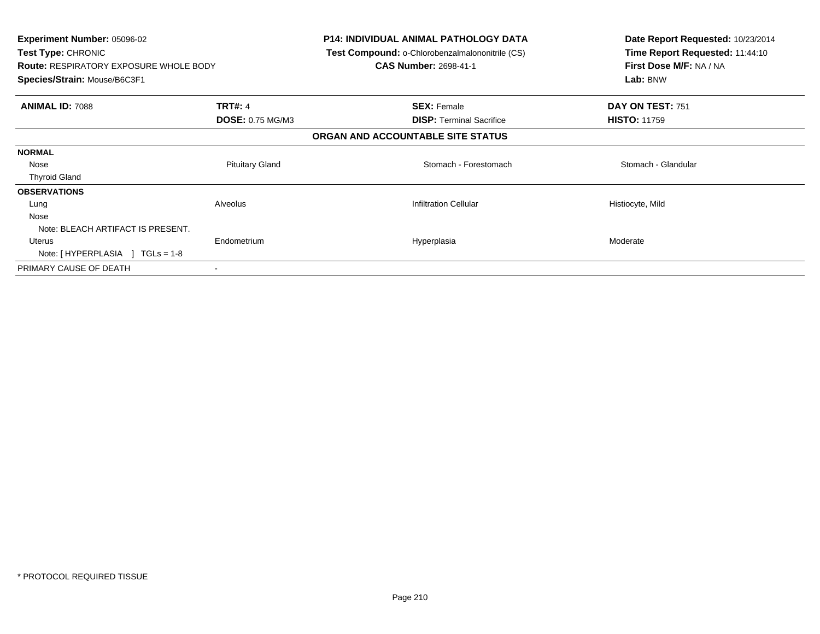| Experiment Number: 05096-02<br>Test Type: CHRONIC<br><b>Route: RESPIRATORY EXPOSURE WHOLE BODY</b><br>Species/Strain: Mouse/B6C3F1 |                         | <b>P14: INDIVIDUAL ANIMAL PATHOLOGY DATA</b><br><b>Test Compound: o-Chlorobenzalmalononitrile (CS)</b><br><b>CAS Number: 2698-41-1</b> | Date Report Requested: 10/23/2014<br>Time Report Requested: 11:44:10<br>First Dose M/F: NA / NA<br>Lab: BNW |
|------------------------------------------------------------------------------------------------------------------------------------|-------------------------|----------------------------------------------------------------------------------------------------------------------------------------|-------------------------------------------------------------------------------------------------------------|
| <b>ANIMAL ID: 7088</b>                                                                                                             | <b>TRT#: 4</b>          | <b>SEX: Female</b>                                                                                                                     | DAY ON TEST: 751                                                                                            |
|                                                                                                                                    | <b>DOSE: 0.75 MG/M3</b> | <b>DISP:</b> Terminal Sacrifice                                                                                                        | <b>HISTO: 11759</b>                                                                                         |
|                                                                                                                                    |                         | ORGAN AND ACCOUNTABLE SITE STATUS                                                                                                      |                                                                                                             |
| <b>NORMAL</b>                                                                                                                      |                         |                                                                                                                                        |                                                                                                             |
| Nose                                                                                                                               | <b>Pituitary Gland</b>  | Stomach - Forestomach                                                                                                                  | Stomach - Glandular                                                                                         |
| <b>Thyroid Gland</b>                                                                                                               |                         |                                                                                                                                        |                                                                                                             |
| <b>OBSERVATIONS</b>                                                                                                                |                         |                                                                                                                                        |                                                                                                             |
| Lung                                                                                                                               | Alveolus                | <b>Infiltration Cellular</b>                                                                                                           | Histiocyte, Mild                                                                                            |
| Nose                                                                                                                               |                         |                                                                                                                                        |                                                                                                             |
| Note: BLEACH ARTIFACT IS PRESENT.                                                                                                  |                         |                                                                                                                                        |                                                                                                             |
| Uterus                                                                                                                             | Endometrium             | Hyperplasia                                                                                                                            | Moderate                                                                                                    |
| Note: $[HYPERPLASIA] TGLs = 1-8$                                                                                                   |                         |                                                                                                                                        |                                                                                                             |
| PRIMARY CAUSE OF DEATH                                                                                                             |                         |                                                                                                                                        |                                                                                                             |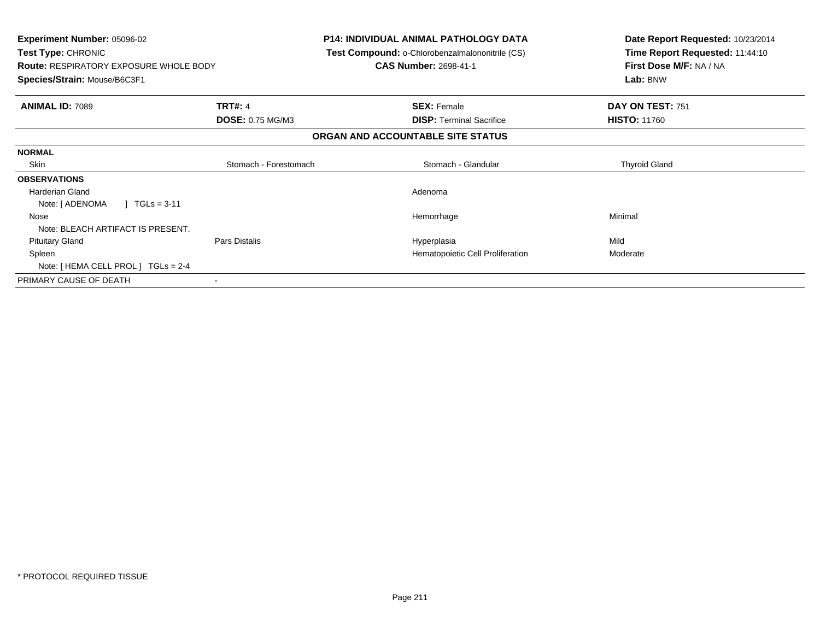| Experiment Number: 05096-02<br>Test Type: CHRONIC<br><b>Route: RESPIRATORY EXPOSURE WHOLE BODY</b><br>Species/Strain: Mouse/B6C3F1 |                         | <b>P14: INDIVIDUAL ANIMAL PATHOLOGY DATA</b><br><b>Test Compound: o-Chlorobenzalmalononitrile (CS)</b><br><b>CAS Number: 2698-41-1</b> | Date Report Requested: 10/23/2014<br>Time Report Requested: 11:44:10<br>First Dose M/F: NA / NA<br>Lab: BNW |
|------------------------------------------------------------------------------------------------------------------------------------|-------------------------|----------------------------------------------------------------------------------------------------------------------------------------|-------------------------------------------------------------------------------------------------------------|
| <b>ANIMAL ID: 7089</b>                                                                                                             | <b>TRT#: 4</b>          | <b>SEX: Female</b>                                                                                                                     | DAY ON TEST: 751                                                                                            |
|                                                                                                                                    | <b>DOSE: 0.75 MG/M3</b> | <b>DISP:</b> Terminal Sacrifice                                                                                                        | <b>HISTO: 11760</b>                                                                                         |
|                                                                                                                                    |                         | ORGAN AND ACCOUNTABLE SITE STATUS                                                                                                      |                                                                                                             |
| <b>NORMAL</b>                                                                                                                      |                         |                                                                                                                                        |                                                                                                             |
| Skin                                                                                                                               | Stomach - Forestomach   | Stomach - Glandular                                                                                                                    | <b>Thyroid Gland</b>                                                                                        |
| <b>OBSERVATIONS</b>                                                                                                                |                         |                                                                                                                                        |                                                                                                             |
| <b>Harderian Gland</b>                                                                                                             |                         | Adenoma                                                                                                                                |                                                                                                             |
| $TGLS = 3-11$<br>Note: [ ADENOMA                                                                                                   |                         |                                                                                                                                        |                                                                                                             |
| Nose                                                                                                                               |                         | Hemorrhage                                                                                                                             | Minimal                                                                                                     |
| Note: BLEACH ARTIFACT IS PRESENT.                                                                                                  |                         |                                                                                                                                        |                                                                                                             |
| <b>Pituitary Gland</b>                                                                                                             | Pars Distalis           | Hyperplasia                                                                                                                            | Mild                                                                                                        |
| Spleen                                                                                                                             |                         | Hematopoietic Cell Proliferation                                                                                                       | Moderate                                                                                                    |
| Note: [ HEMA CELL PROL ] TGLs = 2-4                                                                                                |                         |                                                                                                                                        |                                                                                                             |
| PRIMARY CAUSE OF DEATH                                                                                                             |                         |                                                                                                                                        |                                                                                                             |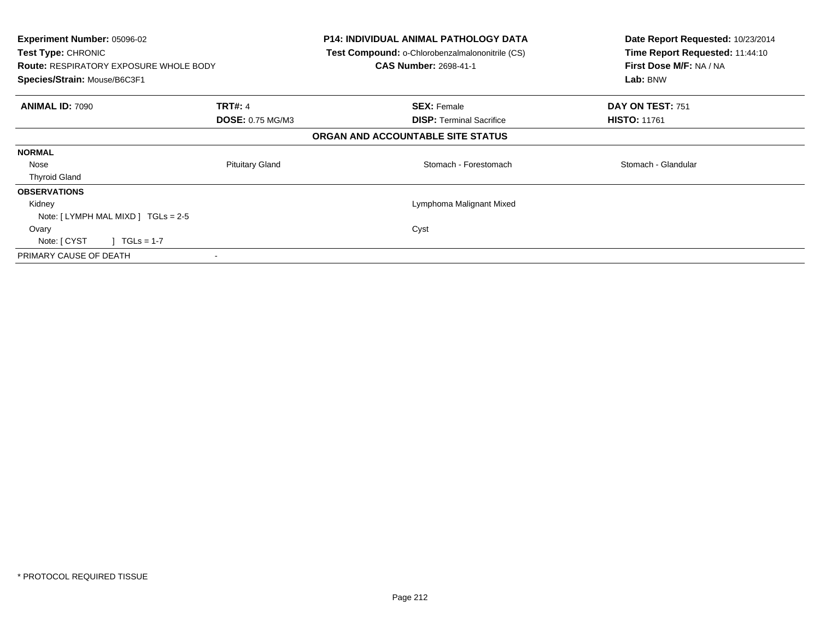| <b>Experiment Number: 05096-02</b><br><b>Test Type: CHRONIC</b><br><b>Route: RESPIRATORY EXPOSURE WHOLE BODY</b><br>Species/Strain: Mouse/B6C3F1 |                                    | <b>P14: INDIVIDUAL ANIMAL PATHOLOGY DATA</b><br>Test Compound: o-Chlorobenzalmalononitrile (CS)<br><b>CAS Number: 2698-41-1</b> | Date Report Requested: 10/23/2014<br>Time Report Requested: 11:44:10<br>First Dose M/F: NA / NA<br>Lab: BNW |
|--------------------------------------------------------------------------------------------------------------------------------------------------|------------------------------------|---------------------------------------------------------------------------------------------------------------------------------|-------------------------------------------------------------------------------------------------------------|
| <b>ANIMAL ID: 7090</b>                                                                                                                           | <b>TRT#: 4</b><br>DOSE: 0.75 MG/M3 | <b>SEX: Female</b><br><b>DISP: Terminal Sacrifice</b>                                                                           | DAY ON TEST: 751<br><b>HISTO: 11761</b>                                                                     |
|                                                                                                                                                  |                                    | ORGAN AND ACCOUNTABLE SITE STATUS                                                                                               |                                                                                                             |
| <b>NORMAL</b>                                                                                                                                    |                                    |                                                                                                                                 |                                                                                                             |
| Nose                                                                                                                                             | <b>Pituitary Gland</b>             | Stomach - Forestomach                                                                                                           | Stomach - Glandular                                                                                         |
| <b>Thyroid Gland</b>                                                                                                                             |                                    |                                                                                                                                 |                                                                                                             |
| <b>OBSERVATIONS</b>                                                                                                                              |                                    |                                                                                                                                 |                                                                                                             |
| Kidney                                                                                                                                           |                                    | Lymphoma Malignant Mixed                                                                                                        |                                                                                                             |
| Note: $[LYMPH MAL MIXD] TGLs = 2-5$                                                                                                              |                                    |                                                                                                                                 |                                                                                                             |
| Ovary                                                                                                                                            |                                    | Cyst                                                                                                                            |                                                                                                             |
| $\sqrt{1}$ TGLs = 1-7<br>Note: [ CYST                                                                                                            |                                    |                                                                                                                                 |                                                                                                             |
| PRIMARY CAUSE OF DEATH                                                                                                                           |                                    |                                                                                                                                 |                                                                                                             |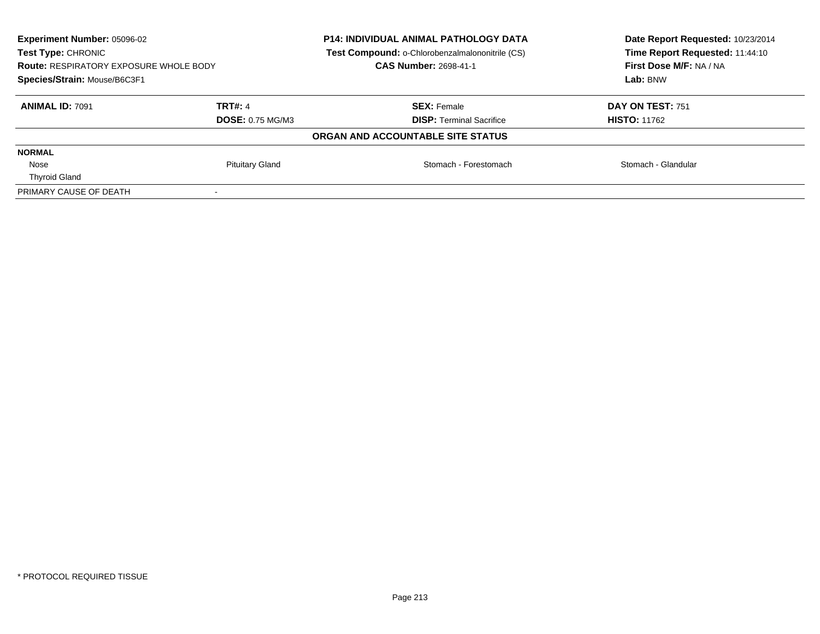| <b>Experiment Number: 05096-02</b><br>Test Type: CHRONIC<br><b>Route: RESPIRATORY EXPOSURE WHOLE BODY</b><br>Species/Strain: Mouse/B6C3F1 |                                           | <b>P14: INDIVIDUAL ANIMAL PATHOLOGY DATA</b><br>Test Compound: o-Chlorobenzalmalononitrile (CS)<br><b>CAS Number: 2698-41-1</b> | Date Report Requested: 10/23/2014<br>Time Report Requested: 11:44:10<br>First Dose M/F: NA / NA<br>Lab: BNW |
|-------------------------------------------------------------------------------------------------------------------------------------------|-------------------------------------------|---------------------------------------------------------------------------------------------------------------------------------|-------------------------------------------------------------------------------------------------------------|
| <b>ANIMAL ID: 7091</b>                                                                                                                    | <b>TRT#: 4</b><br><b>DOSE: 0.75 MG/M3</b> | <b>SEX: Female</b><br><b>DISP:</b> Terminal Sacrifice                                                                           | DAY ON TEST: 751<br><b>HISTO: 11762</b>                                                                     |
|                                                                                                                                           |                                           | ORGAN AND ACCOUNTABLE SITE STATUS                                                                                               |                                                                                                             |
| <b>NORMAL</b>                                                                                                                             |                                           |                                                                                                                                 |                                                                                                             |
| Nose<br><b>Thyroid Gland</b>                                                                                                              | <b>Pituitary Gland</b>                    | Stomach - Forestomach                                                                                                           | Stomach - Glandular                                                                                         |
| PRIMARY CAUSE OF DEATH                                                                                                                    |                                           |                                                                                                                                 |                                                                                                             |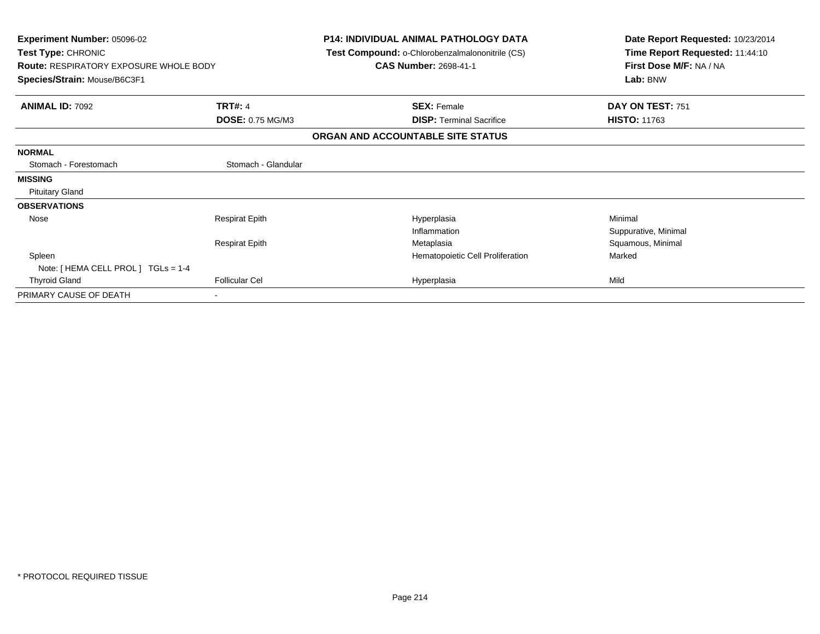| <b>Experiment Number: 05096-02</b><br>Test Type: CHRONIC |                         | <b>P14: INDIVIDUAL ANIMAL PATHOLOGY DATA</b><br>Test Compound: o-Chlorobenzalmalononitrile (CS) | Date Report Requested: 10/23/2014<br>Time Report Requested: 11:44:10 |
|----------------------------------------------------------|-------------------------|-------------------------------------------------------------------------------------------------|----------------------------------------------------------------------|
| <b>Route: RESPIRATORY EXPOSURE WHOLE BODY</b>            |                         | <b>CAS Number: 2698-41-1</b>                                                                    | First Dose M/F: NA / NA                                              |
| Species/Strain: Mouse/B6C3F1                             |                         |                                                                                                 | Lab: BNW                                                             |
| <b>ANIMAL ID: 7092</b>                                   | <b>TRT#: 4</b>          | <b>SEX: Female</b>                                                                              | DAY ON TEST: 751                                                     |
|                                                          | <b>DOSE: 0.75 MG/M3</b> | <b>DISP:</b> Terminal Sacrifice                                                                 | <b>HISTO: 11763</b>                                                  |
|                                                          |                         | ORGAN AND ACCOUNTABLE SITE STATUS                                                               |                                                                      |
| <b>NORMAL</b>                                            |                         |                                                                                                 |                                                                      |
| Stomach - Forestomach                                    | Stomach - Glandular     |                                                                                                 |                                                                      |
| <b>MISSING</b>                                           |                         |                                                                                                 |                                                                      |
| <b>Pituitary Gland</b>                                   |                         |                                                                                                 |                                                                      |
| <b>OBSERVATIONS</b>                                      |                         |                                                                                                 |                                                                      |
| Nose                                                     | <b>Respirat Epith</b>   | Hyperplasia                                                                                     | Minimal                                                              |
|                                                          |                         | Inflammation                                                                                    | Suppurative, Minimal                                                 |
|                                                          | <b>Respirat Epith</b>   | Metaplasia                                                                                      | Squamous, Minimal                                                    |
| Spleen                                                   |                         | Hematopoietic Cell Proliferation                                                                | Marked                                                               |
| Note: [ HEMA CELL PROL ] TGLs = 1-4                      |                         |                                                                                                 |                                                                      |
| <b>Thyroid Gland</b>                                     | <b>Follicular Cel</b>   | Hyperplasia                                                                                     | Mild                                                                 |
| PRIMARY CAUSE OF DEATH                                   |                         |                                                                                                 |                                                                      |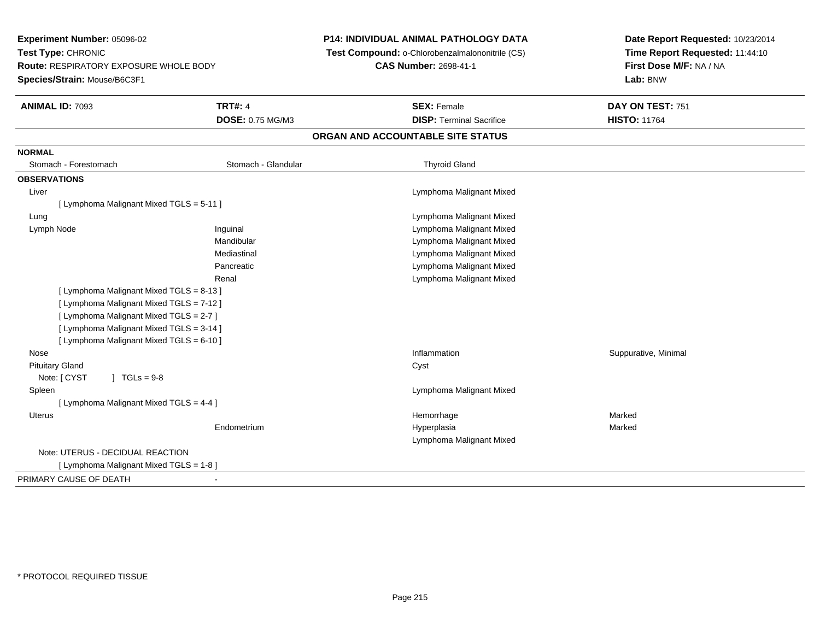| Experiment Number: 05096-02<br>Test Type: CHRONIC<br><b>Route: RESPIRATORY EXPOSURE WHOLE BODY</b> |                     | <b>P14: INDIVIDUAL ANIMAL PATHOLOGY DATA</b>    | Date Report Requested: 10/23/2014<br>Time Report Requested: 11:44:10<br>First Dose M/F: NA / NA |  |
|----------------------------------------------------------------------------------------------------|---------------------|-------------------------------------------------|-------------------------------------------------------------------------------------------------|--|
|                                                                                                    |                     | Test Compound: o-Chlorobenzalmalononitrile (CS) |                                                                                                 |  |
|                                                                                                    |                     | <b>CAS Number: 2698-41-1</b>                    |                                                                                                 |  |
| Species/Strain: Mouse/B6C3F1                                                                       |                     |                                                 | Lab: BNW                                                                                        |  |
| <b>ANIMAL ID: 7093</b>                                                                             | <b>TRT#: 4</b>      | <b>SEX: Female</b>                              | DAY ON TEST: 751                                                                                |  |
|                                                                                                    | DOSE: 0.75 MG/M3    | <b>DISP: Terminal Sacrifice</b>                 | <b>HISTO: 11764</b>                                                                             |  |
|                                                                                                    |                     | ORGAN AND ACCOUNTABLE SITE STATUS               |                                                                                                 |  |
| <b>NORMAL</b>                                                                                      |                     |                                                 |                                                                                                 |  |
| Stomach - Forestomach                                                                              | Stomach - Glandular | <b>Thyroid Gland</b>                            |                                                                                                 |  |
| <b>OBSERVATIONS</b>                                                                                |                     |                                                 |                                                                                                 |  |
| Liver                                                                                              |                     | Lymphoma Malignant Mixed                        |                                                                                                 |  |
| [ Lymphoma Malignant Mixed TGLS = 5-11 ]                                                           |                     |                                                 |                                                                                                 |  |
| Lung                                                                                               |                     | Lymphoma Malignant Mixed                        |                                                                                                 |  |
| Lymph Node                                                                                         | Inguinal            | Lymphoma Malignant Mixed                        |                                                                                                 |  |
|                                                                                                    | Mandibular          | Lymphoma Malignant Mixed                        |                                                                                                 |  |
|                                                                                                    | Mediastinal         | Lymphoma Malignant Mixed                        |                                                                                                 |  |
|                                                                                                    | Pancreatic          | Lymphoma Malignant Mixed                        |                                                                                                 |  |
|                                                                                                    | Renal               | Lymphoma Malignant Mixed                        |                                                                                                 |  |
| [ Lymphoma Malignant Mixed TGLS = 8-13 ]                                                           |                     |                                                 |                                                                                                 |  |
| [ Lymphoma Malignant Mixed TGLS = 7-12 ]                                                           |                     |                                                 |                                                                                                 |  |
| [ Lymphoma Malignant Mixed TGLS = 2-7 ]                                                            |                     |                                                 |                                                                                                 |  |
| [ Lymphoma Malignant Mixed TGLS = 3-14 ]                                                           |                     |                                                 |                                                                                                 |  |
| [ Lymphoma Malignant Mixed TGLS = 6-10 ]                                                           |                     |                                                 |                                                                                                 |  |
| Nose                                                                                               |                     | Inflammation                                    | Suppurative, Minimal                                                                            |  |
| <b>Pituitary Gland</b>                                                                             |                     | Cyst                                            |                                                                                                 |  |
| Note: [ CYST<br>$J \cdot TGLS = 9-8$                                                               |                     |                                                 |                                                                                                 |  |
| Spleen                                                                                             |                     | Lymphoma Malignant Mixed                        |                                                                                                 |  |
| [ Lymphoma Malignant Mixed TGLS = 4-4 ]                                                            |                     |                                                 |                                                                                                 |  |
| Uterus                                                                                             |                     | Hemorrhage                                      | Marked                                                                                          |  |
|                                                                                                    | Endometrium         | Hyperplasia                                     | Marked                                                                                          |  |
|                                                                                                    |                     | Lymphoma Malignant Mixed                        |                                                                                                 |  |
| Note: UTERUS - DECIDUAL REACTION                                                                   |                     |                                                 |                                                                                                 |  |
| [ Lymphoma Malignant Mixed TGLS = 1-8 ]                                                            |                     |                                                 |                                                                                                 |  |
| PRIMARY CAUSE OF DEATH                                                                             | $\blacksquare$      |                                                 |                                                                                                 |  |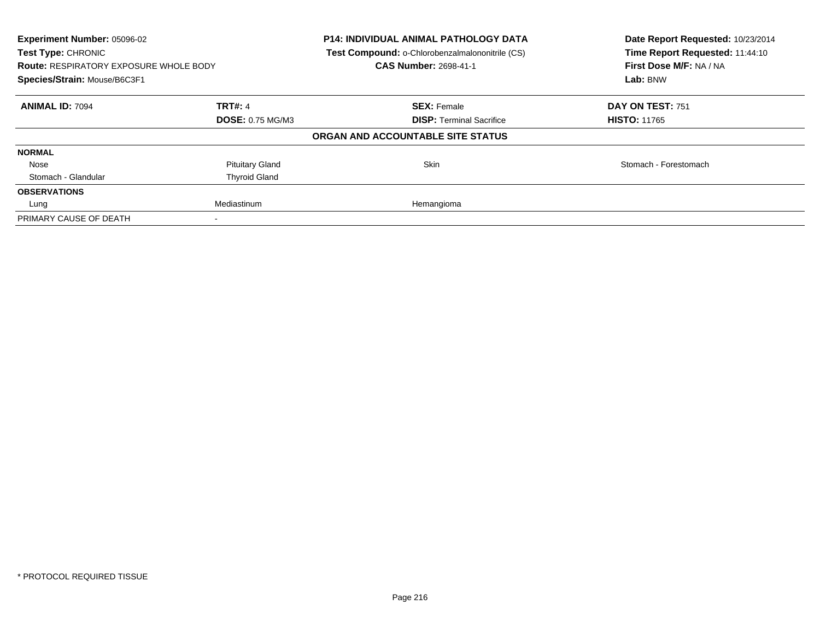| Experiment Number: 05096-02<br>Test Type: CHRONIC<br><b>Route: RESPIRATORY EXPOSURE WHOLE BODY</b><br>Species/Strain: Mouse/B6C3F1 |                         | <b>P14: INDIVIDUAL ANIMAL PATHOLOGY DATA</b><br>Test Compound: o-Chlorobenzalmalononitrile (CS)<br><b>CAS Number: 2698-41-1</b> | Date Report Requested: 10/23/2014<br>Time Report Requested: 11:44:10<br>First Dose M/F: NA / NA<br>Lab: BNW |
|------------------------------------------------------------------------------------------------------------------------------------|-------------------------|---------------------------------------------------------------------------------------------------------------------------------|-------------------------------------------------------------------------------------------------------------|
| <b>ANIMAL ID: 7094</b>                                                                                                             | <b>TRT#: 4</b>          | <b>SEX: Female</b>                                                                                                              | DAY ON TEST: 751                                                                                            |
|                                                                                                                                    | <b>DOSE: 0.75 MG/M3</b> | <b>DISP: Terminal Sacrifice</b>                                                                                                 | <b>HISTO: 11765</b>                                                                                         |
|                                                                                                                                    |                         | ORGAN AND ACCOUNTABLE SITE STATUS                                                                                               |                                                                                                             |
| <b>NORMAL</b>                                                                                                                      |                         |                                                                                                                                 |                                                                                                             |
| Nose                                                                                                                               | <b>Pituitary Gland</b>  | Skin                                                                                                                            | Stomach - Forestomach                                                                                       |
| Stomach - Glandular                                                                                                                | <b>Thyroid Gland</b>    |                                                                                                                                 |                                                                                                             |
| <b>OBSERVATIONS</b>                                                                                                                |                         |                                                                                                                                 |                                                                                                             |
| Lung                                                                                                                               | Mediastinum             | Hemangioma                                                                                                                      |                                                                                                             |
| PRIMARY CAUSE OF DEATH                                                                                                             |                         |                                                                                                                                 |                                                                                                             |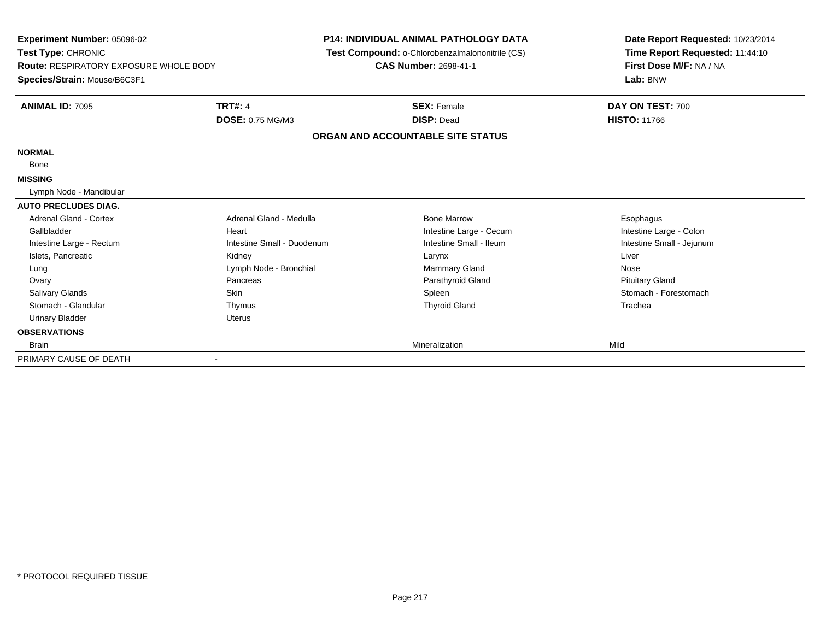| Experiment Number: 05096-02<br>Test Type: CHRONIC<br><b>Route: RESPIRATORY EXPOSURE WHOLE BODY</b><br>Species/Strain: Mouse/B6C3F1 |                            | <b>P14: INDIVIDUAL ANIMAL PATHOLOGY DATA</b><br>Test Compound: o-Chlorobenzalmalononitrile (CS)<br><b>CAS Number: 2698-41-1</b> | Date Report Requested: 10/23/2014<br>Time Report Requested: 11:44:10<br>First Dose M/F: NA / NA<br>Lab: BNW |
|------------------------------------------------------------------------------------------------------------------------------------|----------------------------|---------------------------------------------------------------------------------------------------------------------------------|-------------------------------------------------------------------------------------------------------------|
| <b>ANIMAL ID: 7095</b>                                                                                                             | <b>TRT#: 4</b>             | <b>SEX: Female</b>                                                                                                              | DAY ON TEST: 700                                                                                            |
|                                                                                                                                    | <b>DOSE: 0.75 MG/M3</b>    | <b>DISP: Dead</b>                                                                                                               | <b>HISTO: 11766</b>                                                                                         |
|                                                                                                                                    |                            | ORGAN AND ACCOUNTABLE SITE STATUS                                                                                               |                                                                                                             |
| <b>NORMAL</b>                                                                                                                      |                            |                                                                                                                                 |                                                                                                             |
| Bone                                                                                                                               |                            |                                                                                                                                 |                                                                                                             |
| <b>MISSING</b>                                                                                                                     |                            |                                                                                                                                 |                                                                                                             |
| Lymph Node - Mandibular                                                                                                            |                            |                                                                                                                                 |                                                                                                             |
| <b>AUTO PRECLUDES DIAG.</b>                                                                                                        |                            |                                                                                                                                 |                                                                                                             |
| Adrenal Gland - Cortex                                                                                                             | Adrenal Gland - Medulla    | <b>Bone Marrow</b>                                                                                                              | Esophagus                                                                                                   |
| Gallbladder                                                                                                                        | Heart                      | Intestine Large - Cecum                                                                                                         | Intestine Large - Colon                                                                                     |
| Intestine Large - Rectum                                                                                                           | Intestine Small - Duodenum | Intestine Small - Ileum                                                                                                         | Intestine Small - Jejunum                                                                                   |
| Islets, Pancreatic                                                                                                                 | Kidney                     | Larynx                                                                                                                          | Liver                                                                                                       |
| Lung                                                                                                                               | Lymph Node - Bronchial     | <b>Mammary Gland</b>                                                                                                            | Nose                                                                                                        |
| Ovary                                                                                                                              | Pancreas                   | Parathyroid Gland                                                                                                               | <b>Pituitary Gland</b>                                                                                      |
| <b>Salivary Glands</b>                                                                                                             | <b>Skin</b>                | Spleen                                                                                                                          | Stomach - Forestomach                                                                                       |
| Stomach - Glandular                                                                                                                | Thymus                     | <b>Thyroid Gland</b>                                                                                                            | Trachea                                                                                                     |
| <b>Urinary Bladder</b>                                                                                                             | Uterus                     |                                                                                                                                 |                                                                                                             |
| <b>OBSERVATIONS</b>                                                                                                                |                            |                                                                                                                                 |                                                                                                             |
| <b>Brain</b>                                                                                                                       |                            | Mineralization                                                                                                                  | Mild                                                                                                        |
| PRIMARY CAUSE OF DEATH                                                                                                             | $\overline{\phantom{a}}$   |                                                                                                                                 |                                                                                                             |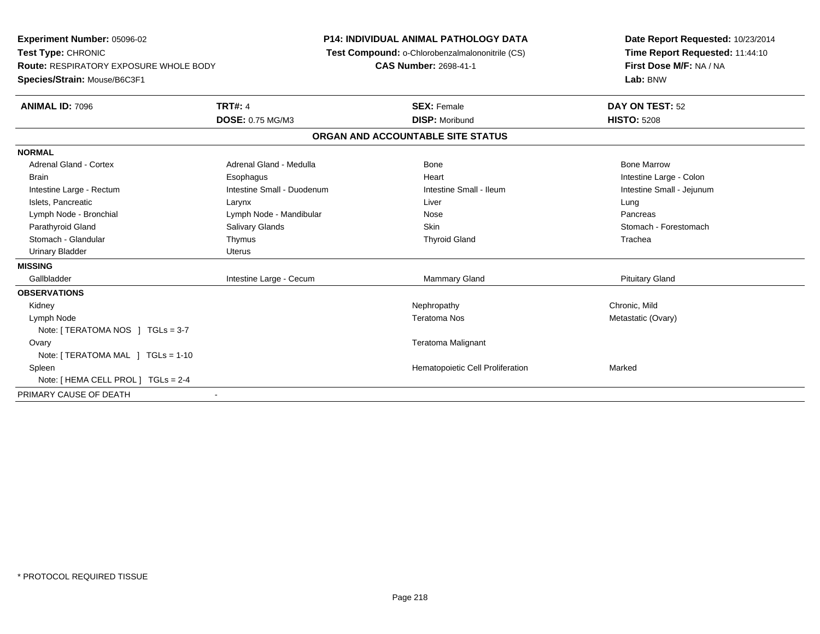**Experiment Number:** 05096-02**Test Type:** CHRONIC **Route:** RESPIRATORY EXPOSURE WHOLE BODY**Species/Strain:** Mouse/B6C3F1**P14: INDIVIDUAL ANIMAL PATHOLOGY DATA Test Compound:** o-Chlorobenzalmalononitrile (CS)**CAS Number:** 2698-41-1**Date Report Requested:** 10/23/2014**Time Report Requested:** 11:44:10**First Dose M/F:** NA / NA**Lab:** BNW**ANIMAL ID:** 7096**TRT#:** 4 **SEX:** Female **DAY ON TEST:** 52 **DOSE:** 0.75 MG/M3 **DISP:** Moribund **HISTO:** <sup>5208</sup> **ORGAN AND ACCOUNTABLE SITE STATUSNORMALAdrenal Gland - Cortex**  Adrenal Gland - Cortex Adrenal Gland - Medulla Bone Bone MarrowBrain Esophagus And Esophagus And Heart Intestine Large - Colon Large - Colon Large - Colon Large - Colon Large - Colon Intestine Small - Jejunum Intestine Large - Rectum **Intestine Small - Duodenum** Intestine Small - Ileum Intestine Small - Ileum Islets, Pancreatic Larynx Liver LungPancreas Lymph Node - Bronchial and Communication Cymph Node - Mandibular and Communication Communication Nose Stomach - Forestomach Parathyroid Gland Salivary Glands Salivary Glands Summach Skin Skin Stomach - Forestomach - Stomach - Stomach Stomach - Glandular Thymus Thyroid Gland TracheaUrinary Bladder **Uterus MISSING**Gallbladder Intestine Large - Cecum **Example 20** Mammary Gland Pituitary Gland Pituitary Gland **OBSERVATIONS** Kidneyy the controller that the controller the controller that the controller the controller that  $\mathsf{N}\mathsf{H}$   $\mathsf{N}\mathsf{H}$   $\mathsf{C}\mathsf{H}$   $\mathsf{R}\mathsf{H}$   $\mathsf{C}\mathsf{H}$   $\mathsf{R}\mathsf{H}$   $\mathsf{H}$   $\mathsf{H}$   $\mathsf{H}$   $\mathsf{H}$   $\mathsf{H}$  Metastatic (Ovary) Lymph Nodee the contractor of the contractor of the contractor of the contractor of the contractor of the contractor of the contractor of the contractor of the contractor of the contractor of the contractor of the contractor of the Note: [ TERATOMA NOS ] TGLs = 3-7**Ovary**  Teratoma Malignant Note: [ TERATOMA MAL ] TGLs = 1-10 SpleenHematopoietic Cell Proliferation Marked Note: [ HEMA CELL PROL ] TGLs = 2-4PRIMARY CAUSE OF DEATH-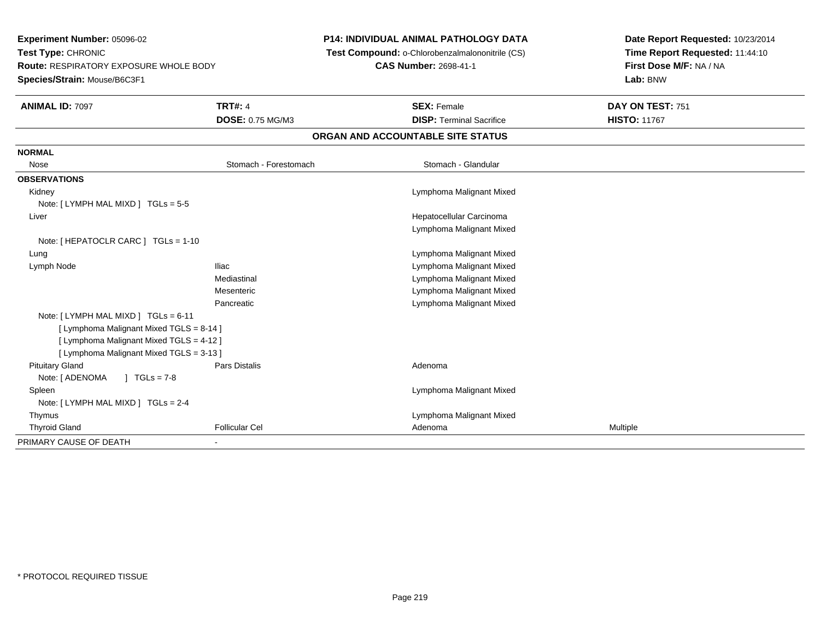**Experiment Number:** 05096-02**Test Type:** CHRONIC **Route:** RESPIRATORY EXPOSURE WHOLE BODY**Species/Strain:** Mouse/B6C3F1**P14: INDIVIDUAL ANIMAL PATHOLOGY DATA Test Compound:** o-Chlorobenzalmalononitrile (CS)**CAS Number:** 2698-41-1**Date Report Requested:** 10/23/2014**Time Report Requested:** 11:44:10**First Dose M/F:** NA / NA**Lab:** BNW**ANIMAL ID:** 7097 **TRT#:** <sup>4</sup> **SEX:** Female **DAY ON TEST:** <sup>751</sup> **DOSE:** 0.75 MG/M3**DISP:** Terminal Sacrifice **HISTO:** 11767 **ORGAN AND ACCOUNTABLE SITE STATUSNORMAL**Nose Stomach - Forestomach **November 2018** Stomach - Glandular **OBSERVATIONS** Kidney Lymphoma Malignant MixedNote: [ LYMPH MAL MIXD ] TGLs = 5-5 Liver Hepatocellular Carcinoma Lymphoma Malignant MixedNote: [ HEPATOCLR CARC ] TGLs = 1-10 Lung Lymphoma Malignant Mixed Lymph NodeIliac **Iliac** Lymphoma Malignant Mixed Mediastinal Lymphoma Malignant Mixed Lymphoma Malignant MixedMesenteric Lymphoma Malignant MixedPancreaticNote: [ LYMPH MAL MIXD ] TGLs = 6-11 [ Lymphoma Malignant Mixed TGLS = 8-14 ][ Lymphoma Malignant Mixed TGLS = 4-12 ][ Lymphoma Malignant Mixed TGLS = 3-13 ] Pituitary Glandd and the contract of Pars Distalis and the contract of Adenoma and Adenoma and the Adenoma and the Adenoma and  $\lambda$ Note: [ ADENOMA ] TGLs = 7-8 Spleen Lymphoma Malignant Mixed Note: [ LYMPH MAL MIXD ] TGLs = 2-4 Thymus Lymphoma Malignant Mixed Thyroid Gland Follicular Cel Adenoma Multiple PRIMARY CAUSE OF DEATH-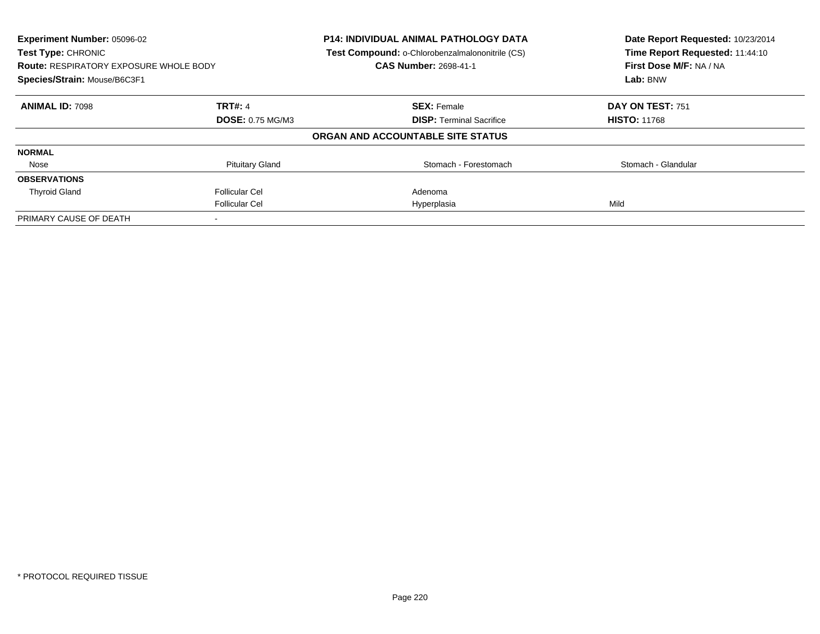| Experiment Number: 05096-02<br>Test Type: CHRONIC |                         | <b>P14: INDIVIDUAL ANIMAL PATHOLOGY DATA</b><br>Test Compound: o-Chlorobenzalmalononitrile (CS) | Date Report Requested: 10/23/2014<br>Time Report Requested: 11:44:10 |
|---------------------------------------------------|-------------------------|-------------------------------------------------------------------------------------------------|----------------------------------------------------------------------|
| <b>Route: RESPIRATORY EXPOSURE WHOLE BODY</b>     |                         | CAS Number: 2698-41-1                                                                           | First Dose M/F: NA / NA                                              |
| Species/Strain: Mouse/B6C3F1                      |                         |                                                                                                 | Lab: BNW                                                             |
| <b>ANIMAL ID: 7098</b>                            | <b>TRT#: 4</b>          | <b>SEX: Female</b>                                                                              | DAY ON TEST: 751                                                     |
|                                                   | <b>DOSE: 0.75 MG/M3</b> | <b>DISP:</b> Terminal Sacrifice                                                                 | <b>HISTO: 11768</b>                                                  |
|                                                   |                         | ORGAN AND ACCOUNTABLE SITE STATUS                                                               |                                                                      |
| <b>NORMAL</b>                                     |                         |                                                                                                 |                                                                      |
| Nose                                              | <b>Pituitary Gland</b>  | Stomach - Forestomach                                                                           | Stomach - Glandular                                                  |
| <b>OBSERVATIONS</b>                               |                         |                                                                                                 |                                                                      |
| <b>Thyroid Gland</b>                              | <b>Follicular Cel</b>   | Adenoma                                                                                         |                                                                      |
|                                                   | <b>Follicular Cel</b>   | Hyperplasia                                                                                     | Mild                                                                 |
| PRIMARY CAUSE OF DEATH                            |                         |                                                                                                 |                                                                      |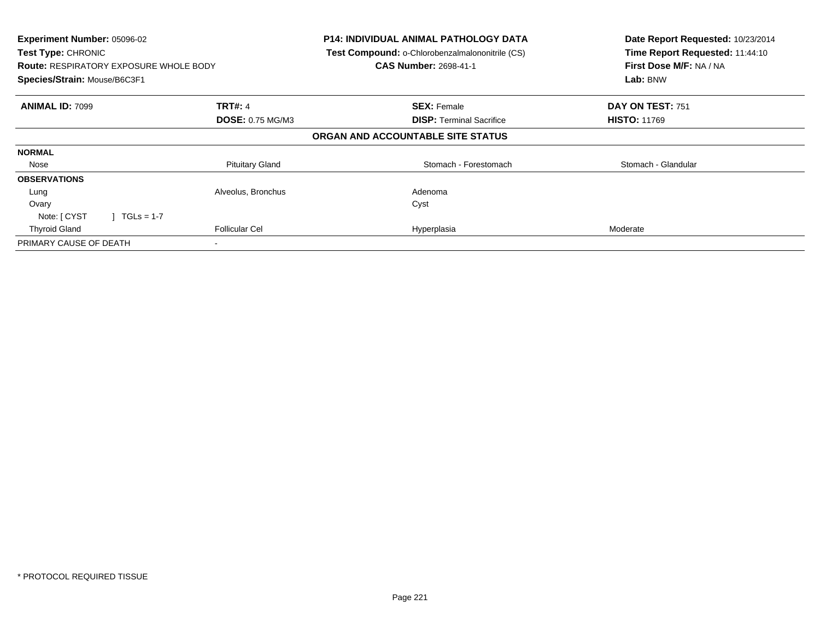| Experiment Number: 05096-02<br>Test Type: CHRONIC<br><b>Route: RESPIRATORY EXPOSURE WHOLE BODY</b><br>Species/Strain: Mouse/B6C3F1 |                         | <b>P14: INDIVIDUAL ANIMAL PATHOLOGY DATA</b><br>Test Compound: o-Chlorobenzalmalononitrile (CS)<br><b>CAS Number: 2698-41-1</b> | Date Report Requested: 10/23/2014<br>Time Report Requested: 11:44:10<br>First Dose M/F: NA / NA<br>Lab: BNW |
|------------------------------------------------------------------------------------------------------------------------------------|-------------------------|---------------------------------------------------------------------------------------------------------------------------------|-------------------------------------------------------------------------------------------------------------|
| <b>ANIMAL ID: 7099</b>                                                                                                             | <b>TRT#: 4</b>          | <b>SEX: Female</b>                                                                                                              | DAY ON TEST: 751                                                                                            |
|                                                                                                                                    | <b>DOSE: 0.75 MG/M3</b> | <b>DISP:</b> Terminal Sacrifice                                                                                                 | <b>HISTO: 11769</b>                                                                                         |
|                                                                                                                                    |                         | ORGAN AND ACCOUNTABLE SITE STATUS                                                                                               |                                                                                                             |
| <b>NORMAL</b>                                                                                                                      |                         |                                                                                                                                 |                                                                                                             |
| Nose                                                                                                                               | <b>Pituitary Gland</b>  | Stomach - Forestomach                                                                                                           | Stomach - Glandular                                                                                         |
| <b>OBSERVATIONS</b>                                                                                                                |                         |                                                                                                                                 |                                                                                                             |
| Lung                                                                                                                               | Alveolus, Bronchus      | Adenoma                                                                                                                         |                                                                                                             |
| Ovary                                                                                                                              |                         | Cyst                                                                                                                            |                                                                                                             |
| Note: [ CYST<br>$1 TGLs = 1-7$                                                                                                     |                         |                                                                                                                                 |                                                                                                             |
| <b>Thyroid Gland</b>                                                                                                               | <b>Follicular Cel</b>   | Hyperplasia                                                                                                                     | Moderate                                                                                                    |
| PRIMARY CAUSE OF DEATH                                                                                                             |                         |                                                                                                                                 |                                                                                                             |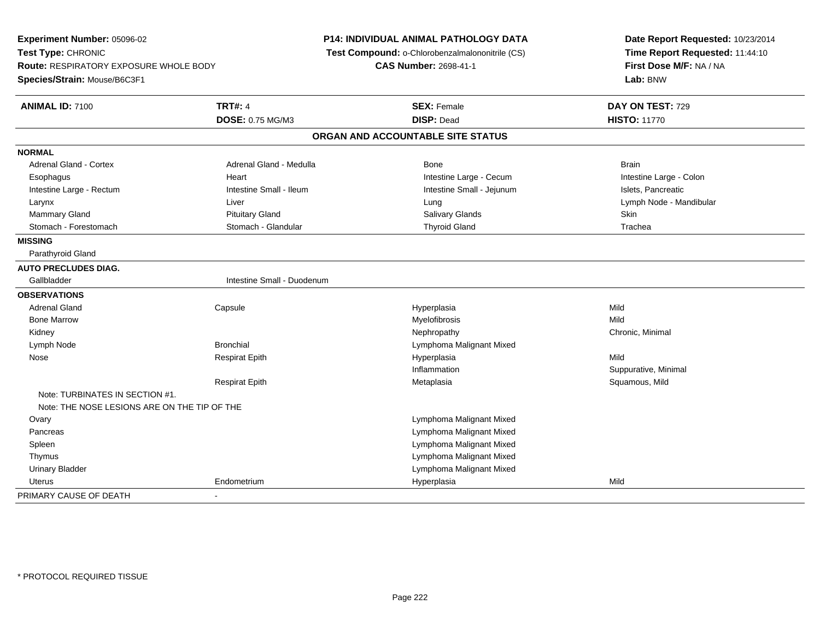**Experiment Number:** 05096-02**Test Type:** CHRONIC **Route:** RESPIRATORY EXPOSURE WHOLE BODY**Species/Strain:** Mouse/B6C3F1**P14: INDIVIDUAL ANIMAL PATHOLOGY DATA Test Compound:** o-Chlorobenzalmalononitrile (CS)**CAS Number:** 2698-41-1**Date Report Requested:** 10/23/2014**Time Report Requested:** 11:44:10**First Dose M/F:** NA / NA**Lab:** BNW**ANIMAL ID:** 7100**C TRT#:** 4 **SEX:** Female **DAY ON TEST:** 729 **DOSE:** 0.75 MG/M3 **DISP:** Dead **HISTO:** <sup>11770</sup> **ORGAN AND ACCOUNTABLE SITE STATUSNORMALAdrenal Gland - Cortex** Adrenal Gland - Medulla **Bone** Bone Brain Bone Brain Brain Brain Intestine Large - Colon Esophagus **Example 20** Heart Intestine Large - Cecum Intestine Large - Cecum Intestine Large - Rectum **Intestine Intestine Small - Ileum** Intestine Small - Intestine Small - Jejunum Intestine Small - Jejunum Islets, Pancreatic Larynx Liver Lung Lymph Node - Mandibular Mammary Gland Pituitary Gland Salivary Glands SkinTrachea Stomach - Forestomach **Stomach - Stomach - Glandular** Thyroid Gland Thyroid Gland Trachean Thyroid Gland Trachean **MISSING** Parathyroid Gland**AUTO PRECLUDES DIAG.**Gallbladder **Intestine Small - Duodenum OBSERVATIONS** Adrenal Gland Capsule Hyperplasia Mild Bone Marroww which is a matter of the Myelofibrosis and the Myelofibrosis and the Mild of the Mild of the Mild of the Mild of the Mild of the Mild of the Mild of the Mild of the Mild of the Mild of the Mild of the Mild of the Mild of Kidneyy the controller the controller of the controller of the controller of the controller of the controller of the controller of the controller of the controller of the controller of the controller of the controller of the con Lymph NodeBronchial **Bronchial** Lymphoma Malignant Mixed Nose Respirat Epith Hyperplasia Mild Inflammation Suppurative, Minimal Respirat Epith Metaplasia Squamous, Mild Note: TURBINATES IN SECTION #1.Note: THE NOSE LESIONS ARE ON THE TIP OF THE**Ovary**  Lymphoma Malignant Mixed Lymphoma Malignant Mixed Pancreas Lymphoma Malignant Mixed Spleen Thymus Lymphoma Malignant Mixed Lymphoma Malignant Mixed Urinary Bladder Uterus Endometrium Hyperplasia Mild PRIMARY CAUSE OF DEATH-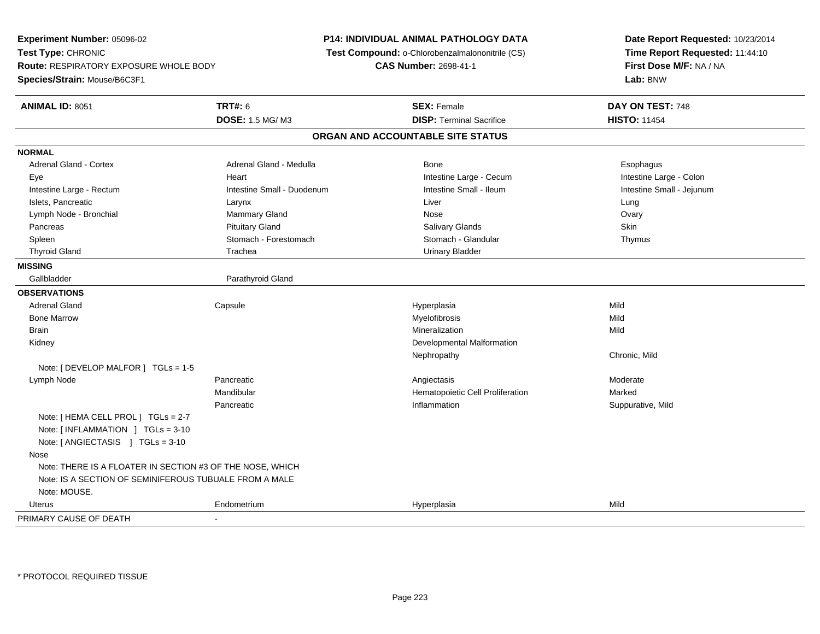**Experiment Number:** 05096-02**Test Type:** CHRONIC **Route:** RESPIRATORY EXPOSURE WHOLE BODY**Species/Strain:** Mouse/B6C3F1**P14: INDIVIDUAL ANIMAL PATHOLOGY DATA Test Compound:** o-Chlorobenzalmalononitrile (CS)**CAS Number:** 2698-41-1**Date Report Requested:** 10/23/2014**Time Report Requested:** 11:44:10**First Dose M/F:** NA / NA**Lab:** BNW**ANIMAL ID:** 8051**TRT#:** 6 **SEX:** Female **DAY ON TEST:** 748 **DOSE:** 1.5 MG/ M3**DISP:** Terminal Sacrifice **HISTO:** 11454 **ORGAN AND ACCOUNTABLE SITE STATUSNORMALAdrenal Gland - Cortex** Adrenal Gland - Medulla **Bone** Bone **Bone** Esophagus Esophagus Intestine Large - Colon Eye **Execution Contract Contract Intervention Contract Contract Contract Contract Contract Contract Contract Contract Contract Intestine Large - Cecum** Intestine Small - Jejunum Intestine Large - Rectum **Intestine Small - Duodenum** Intestine Small - Ileum Intestine Small - Ileum Islets, Pancreatic Larynx Liver LungOvary Lymph Node - Bronchial Mammary Gland Mammary Gland Nose Over Nose Pancreas Pituitary Gland Salivary Glands SkinThymus Spleen Stomach - Stomach - Forestomach Stomach - Stomach - Glandular Thymus - Stomach - Glandular Thyroid Gland **Trachea** Trachea **Trachea** Trachea Urinary Bladder **MISSING**Gallbladder Parathyroid Gland **OBSERVATIONS** Adrenal Gland Capsule Hyperplasia Mild Bone Marroww which is a matter of the Myelofibrosis and the Myelofibrosis and the Mild of the Mild of the Mild of the Mild of the Mild of the Mild of the Mild of the Mild of the Mild of the Mild of the Mild of the Mild of the Mild of Brainn and the control of the control of the control of the control of the control of the control of the control of the control of the control of the control of the control of the control of the control of the control of the co Kidney Developmental MalformationNephropathy Chronic, MildNote: [ DEVELOP MALFOR ] TGLs = 1-5 Lymph Node Pancreatic Angiectasis Moderate Mandibular Hematopoietic Cell Proliferation Marked Pancreatic Inflammation Suppurative, Mild Note: [ HEMA CELL PROL ] TGLs = 2-7 Note: [ INFLAMMATION ] TGLs = 3-10 Note: [ ANGIECTASIS ] TGLs = 3-10 Nose Note: THERE IS A FLOATER IN SECTION #3 OF THE NOSE, WHICH Note: IS A SECTION OF SEMINIFEROUS TUBUALE FROM A MALENote: MOUSE. Uterus Endometrium Hyperplasia Mild PRIMARY CAUSE OF DEATH-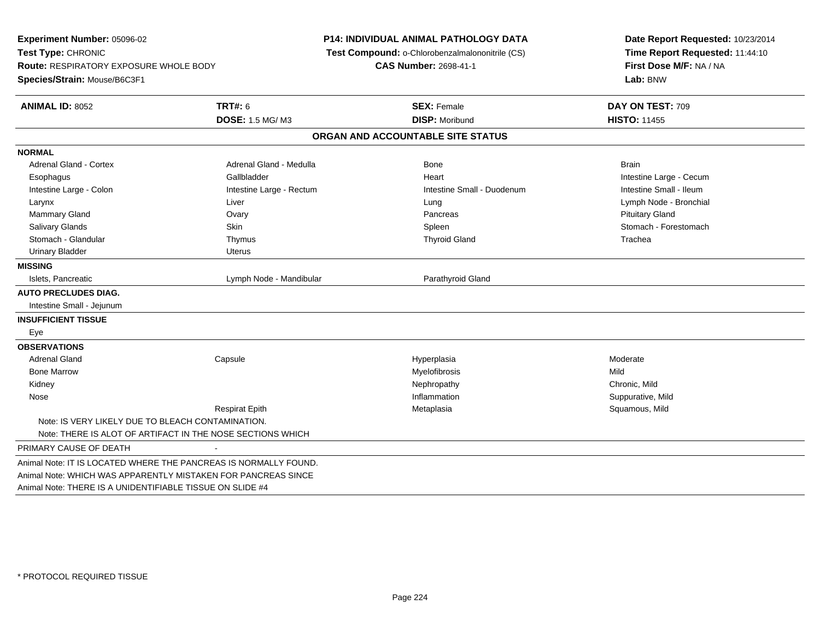**Experiment Number:** 05096-02**Test Type:** CHRONIC **Route:** RESPIRATORY EXPOSURE WHOLE BODY**Species/Strain:** Mouse/B6C3F1**P14: INDIVIDUAL ANIMAL PATHOLOGY DATA Test Compound:** o-Chlorobenzalmalononitrile (CS)**CAS Number:** 2698-41-1**Date Report Requested:** 10/23/2014**Time Report Requested:** 11:44:10**First Dose M/F:** NA / NA**Lab:** BNW**ANIMAL ID:** 8052 **TRT#:** <sup>6</sup> **SEX:** Female **DAY ON TEST:** <sup>709</sup> **DOSE:** 1.5 MG/ M3 **DISP:** Moribund **HISTO:** <sup>11455</sup> **ORGAN AND ACCOUNTABLE SITE STATUSNORMALAdrenal Gland - Cortex** Adrenal Gland - Medulla **Bone** Bone Bone Brain Brain Brain Brain Esophagus **Example 20 Team Callbladder** Callbladder **Heart Intestine Large - Cecum** Callbladder Communication of the example of the example of the example of the example of the example of the example of the example of the Intestine Small - Ileum Intestine Large - Colon **Intestine Large - Rectum** Intestine Large - Rectum Intestine Small - Duodenum Larynx Liver Lung Lymph Node - Bronchial Mammary Gland Ovary Pancreas Pituitary GlandSalivary Glands Salivary School School School School Spleen School Spleen Stomach - Forestomach - Stomach - Forestomach Stomach - Glandular Thymus Thyroid Gland TracheaUrinary Bladder **Version Communist Communist Communist Communist Communist Communist Communist Communist Communist Communist Communist Communist Communist Communist Communist Communist Communist Communist Communist Communi MISSING**Islets, Pancreatic Lymph Node - Mandibular **Parathyroid Gland AUTO PRECLUDES DIAG.** Intestine Small - Jejunum**INSUFFICIENT TISSUE** Eye**OBSERVATIONS** Adrenal Gland Capsule Hyperplasia Moderate Bone Marroww which is a matter of the Myelofibrosis and the Myelofibrosis and the Mild of the Mild of the Mild of the Mild of the Mild of the Mild of the Mild of the Mild of the Mild of the Mild of the Mild of the Mild of the Mild of Kidneyy the controller of the controller of the controller of the controller of the controller of the chronic, Mild Suppurative, Mild Nosee substitution of the substitution of the substitution of the substitution of the substitution of the Suppurative, Mild Respirat Epith Metaplasia Squamous, Mild Note: IS VERY LIKELY DUE TO BLEACH CONTAMINATION.Note: THERE IS ALOT OF ARTIFACT IN THE NOSE SECTIONS WHICHPRIMARY CAUSE OF DEATH - Animal Note: IT IS LOCATED WHERE THE PANCREAS IS NORMALLY FOUND.Animal Note: WHICH WAS APPARENTLY MISTAKEN FOR PANCREAS SINCEAnimal Note: THERE IS A UNIDENTIFIABLE TISSUE ON SLIDE #4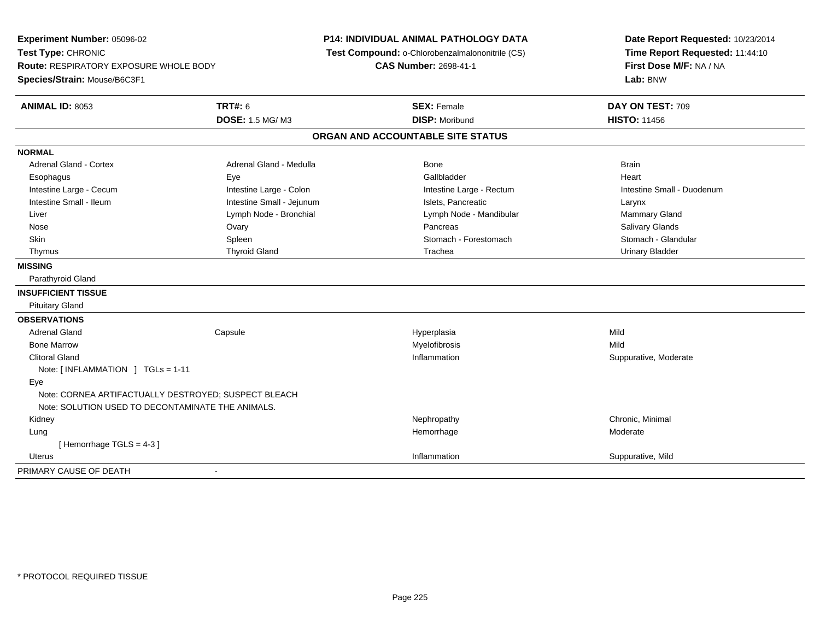**Experiment Number:** 05096-02**Test Type:** CHRONIC **Route:** RESPIRATORY EXPOSURE WHOLE BODY**Species/Strain:** Mouse/B6C3F1**P14: INDIVIDUAL ANIMAL PATHOLOGY DATA Test Compound:** o-Chlorobenzalmalononitrile (CS)**CAS Number:** 2698-41-1**Date Report Requested:** 10/23/2014**Time Report Requested:** 11:44:10**First Dose M/F:** NA / NA**Lab:** BNW**ANIMAL ID:** 8053**TRT#:** 6 **SEX:** Female **DAY ON TEST:** 709 **DOSE:** 1.5 MG/ M3 **DISP:** Moribund **HISTO:** <sup>11456</sup> **ORGAN AND ACCOUNTABLE SITE STATUSNORMALAdrenal Gland - Cortex** Adrenal Gland - Medulla **Bone** Bone Brain Brain Brain Brain Brain Heart Esophagus Eye Gallbladder HeartIntestine Large - Cecum **Intestine Large - Colon** Intestine Large - Colon Intestine Large - Rectum Intestine Large - Rectum Intestine Small - Duodenum Intestine Small - Ileum Larynx Intestine Small - Jejunum Intestine Small - Jejunum Islets, Pancreatic Larynx Mammary Gland Liver Liver Lymph Node - Bronchial Lymph Note - Mandibular Mammary Glands Lymph Node - Mandibular Mammary Glands Lymph Note - Mandibular Mammary Glands Lymph Note - Mammary Glands Lymph Note - Mammary Glands Lymph Note - M **Salivary Glands**  Nose Ovary Pancreas Salivary GlandsStomach - Glandular Skin Show Spleen Show Soleen Show Stomach - Forestomach - Stomach - Stomach Stomach Stomach Stomach Stomach - Stomach - Stomach Stomach Stomach Stomach Stomach - Stomach - Stomach - Stomach - Stomach - Stomach - Stomach - Thymus Thyroid Gland Trachea Urinary Bladder**MISSING** Parathyroid Gland**INSUFFICIENT TISSUE** Pituitary Gland**OBSERVATIONS** Adrenal Gland Capsule Hyperplasia Mild Bone Marroww which is a matter of the Myelofibrosis and the Myelofibrosis and the Mild of the Mild of the Mild of the Mild of the Mild of the Mild of the Mild of the Mild of the Mild of the Mild of the Mild of the Mild of the Mild of Clitoral Glandd inflammation in the suppurative, Moderate of the Suppurative, Moderate of the Suppurative, Moderate of the Suppurative, Moderate of the Suppurative, Moderate of the Suppurative, Moderate of the Suppurative, Moderate of t Note: [ INFLAMMATION ] TGLs = 1-11 Eye Note: CORNEA ARTIFACTUALLY DESTROYED; SUSPECT BLEACHNote: SOLUTION USED TO DECONTAMINATE THE ANIMALS. Kidneyy the controller the controller of the controller of the controller of the controller of the controller of the controller of the controller of the controller of the controller of the controller of the controller of the con Lungg and the state of the state of the state of the Moderate of the Moderate of the Moderate of the Moderate of the Moderate of the Moderate of the Moderate of the Moderate of the Moderate of the Moderate of the Moderate of t [ Hemorrhage TGLS = 4-3 ] Uteruss the control of the control of the control of the control of the control of the control of the control of the control of the control of the control of the control of the control of the control of the control of the contro Inflammation **Suppurative, Mild** PRIMARY CAUSE OF DEATH-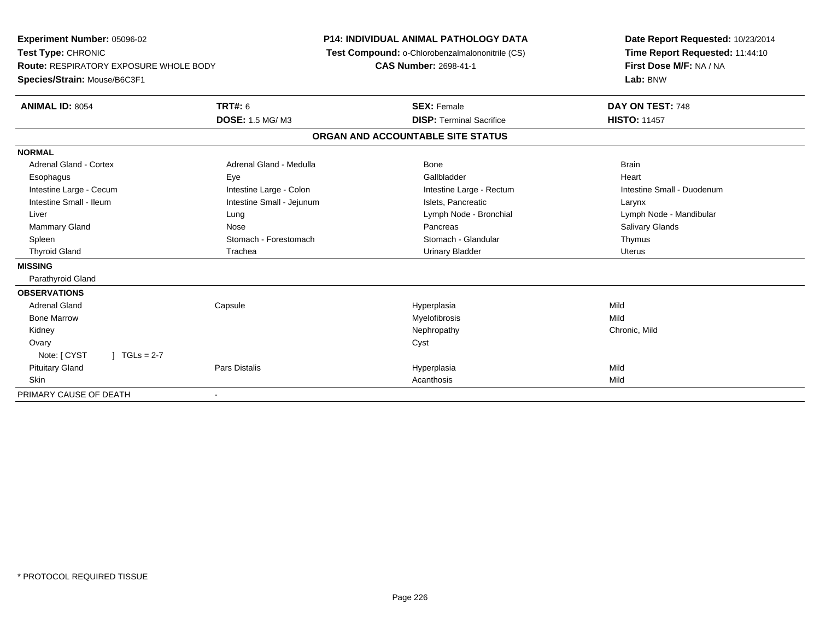| <b>Experiment Number: 05096-02</b><br>Test Type: CHRONIC |                           | <b>P14: INDIVIDUAL ANIMAL PATHOLOGY DATA</b><br>Test Compound: o-Chlorobenzalmalononitrile (CS) | Date Report Requested: 10/23/2014<br>Time Report Requested: 11:44:10 |  |
|----------------------------------------------------------|---------------------------|-------------------------------------------------------------------------------------------------|----------------------------------------------------------------------|--|
| Route: RESPIRATORY EXPOSURE WHOLE BODY                   |                           | <b>CAS Number: 2698-41-1</b>                                                                    | First Dose M/F: NA / NA                                              |  |
| Species/Strain: Mouse/B6C3F1                             |                           |                                                                                                 | Lab: BNW                                                             |  |
| <b>ANIMAL ID: 8054</b>                                   | <b>TRT#: 6</b>            | <b>SEX: Female</b>                                                                              | DAY ON TEST: 748                                                     |  |
|                                                          | DOSE: 1.5 MG/M3           | <b>DISP: Terminal Sacrifice</b>                                                                 | <b>HISTO: 11457</b>                                                  |  |
|                                                          |                           | ORGAN AND ACCOUNTABLE SITE STATUS                                                               |                                                                      |  |
| <b>NORMAL</b>                                            |                           |                                                                                                 |                                                                      |  |
| <b>Adrenal Gland - Cortex</b>                            | Adrenal Gland - Medulla   | Bone                                                                                            | <b>Brain</b>                                                         |  |
| Esophagus                                                | Eye                       | Gallbladder                                                                                     | Heart                                                                |  |
| Intestine Large - Cecum                                  | Intestine Large - Colon   | Intestine Large - Rectum                                                                        | Intestine Small - Duodenum                                           |  |
| Intestine Small - Ileum                                  | Intestine Small - Jejunum | Islets, Pancreatic                                                                              | Larynx                                                               |  |
| Liver                                                    | Lung                      | Lymph Node - Bronchial                                                                          | Lymph Node - Mandibular                                              |  |
| Mammary Gland                                            | Nose                      | Pancreas                                                                                        | Salivary Glands                                                      |  |
| Spleen                                                   | Stomach - Forestomach     | Stomach - Glandular                                                                             | Thymus                                                               |  |
| <b>Thyroid Gland</b>                                     | Trachea                   | <b>Urinary Bladder</b>                                                                          | <b>Uterus</b>                                                        |  |
| <b>MISSING</b>                                           |                           |                                                                                                 |                                                                      |  |
| Parathyroid Gland                                        |                           |                                                                                                 |                                                                      |  |
| <b>OBSERVATIONS</b>                                      |                           |                                                                                                 |                                                                      |  |
| <b>Adrenal Gland</b>                                     | Capsule                   | Hyperplasia                                                                                     | Mild                                                                 |  |
| <b>Bone Marrow</b>                                       |                           | Myelofibrosis                                                                                   | Mild                                                                 |  |
| Kidney                                                   |                           | Nephropathy                                                                                     | Chronic, Mild                                                        |  |
| Ovary                                                    |                           | Cyst                                                                                            |                                                                      |  |
| Note: [ CYST<br>$J \cdot TGLs = 2-7$                     |                           |                                                                                                 |                                                                      |  |
| <b>Pituitary Gland</b>                                   | Pars Distalis             | Hyperplasia                                                                                     | Mild                                                                 |  |
| <b>Skin</b>                                              |                           | Acanthosis                                                                                      | Mild                                                                 |  |
| PRIMARY CAUSE OF DEATH                                   | ٠                         |                                                                                                 |                                                                      |  |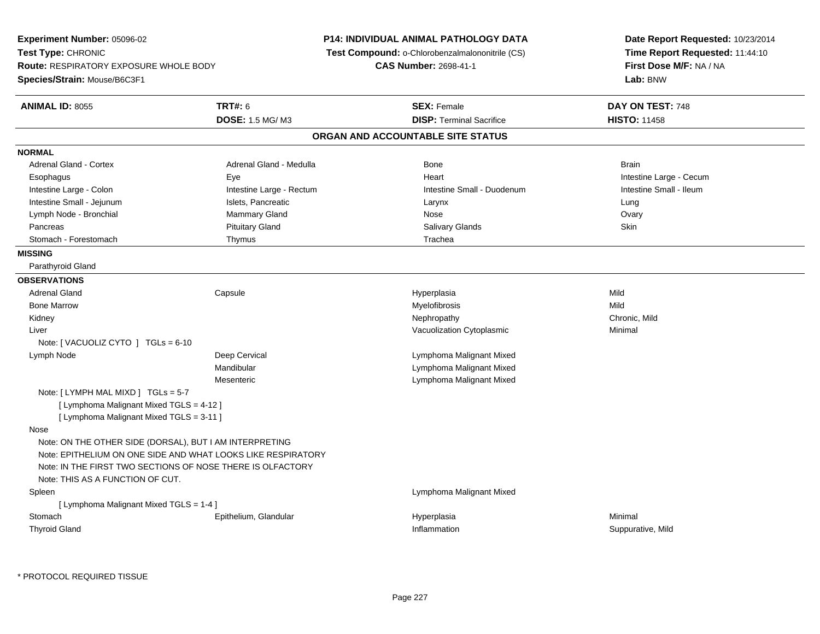**Experiment Number:** 05096-02**Test Type:** CHRONIC **Route:** RESPIRATORY EXPOSURE WHOLE BODY**Species/Strain:** Mouse/B6C3F1**P14: INDIVIDUAL ANIMAL PATHOLOGY DATA Test Compound:** o-Chlorobenzalmalononitrile (CS)**CAS Number:** 2698-41-1**Date Report Requested:** 10/23/2014**Time Report Requested:** 11:44:10**First Dose M/F:** NA / NA**Lab:** BNW**ANIMAL ID:** 8055 **TRT#:** <sup>6</sup> **SEX:** Female **DAY ON TEST:** <sup>748</sup> **DOSE:** 1.5 MG/ M3**DISP:** Terminal Sacrifice **HISTO:** 11458 **ORGAN AND ACCOUNTABLE SITE STATUSNORMALAdrenal Gland - Cortex** Adrenal Gland - Medulla **Bone** Brain Bone Brain Brain Brain Brain Brain Brain Brain Brain Brain Brain Brain Brain Esophagus Eye Heart Intestine Large - CecumIntestine Small - Ileum Intestine Large - Colon **Intestine Large - Rectum** Intestine Large - Rectum Intestine Small - Duodenum Intestine Small - Jejunum **Intestine Small - Jejunum** Islets, Pancreatic **Network Construction Construction** Larynx Lung Ovary Lymph Node - Bronchial Mammary Gland Mammary Gland Nose Over Nose Ovary Nose Ovary Nose Ovary Nose Ovary Nose Pancreas Pituitary Gland Salivary Glands SkinStomach - Forestomach **Thymus** Trachea **MISSING** Parathyroid Gland**OBSERVATIONS** Adrenal Gland Capsule Hyperplasia Mild Bone Marroww which is a matter of the Myelofibrosis and the Myelofibrosis and the Mild of the Mild of the Mild of the Mild of the Mild of the Mild of the Mild of the Mild of the Mild of the Mild of the Mild of the Mild of the Mild of Kidneyy the controller that the controller the controller that the controller the controller that  $\mathsf{N}\mathsf{H}$   $\mathsf{N}\mathsf{H}$   $\mathsf{C}\mathsf{H}$   $\mathsf{R}\mathsf{H}$   $\mathsf{C}\mathsf{H}$   $\mathsf{R}\mathsf{H}$   $\mathsf{H}$   $\mathsf{H}$   $\mathsf{H}$   $\mathsf{H}$   $\mathsf{H}$  Liver Vacuolization Cytoplasmic Minimal Note: [ VACUOLIZ CYTO ] TGLs = 6-10 Lymph NodeDeep Cervical **Lymphoma Malignant Mixed** Mandibular Lymphoma Malignant Mixed Lymphoma Malignant Mixed**Mesenteric** Note: [ LYMPH MAL MIXD ] TGLs = 5-7[ Lymphoma Malignant Mixed TGLS = 4-12 ] [ Lymphoma Malignant Mixed TGLS = 3-11 ] Nose Note: ON THE OTHER SIDE (DORSAL), BUT I AM INTERPRETING Note: EPITHELIUM ON ONE SIDE AND WHAT LOOKS LIKE RESPIRATORYNote: IN THE FIRST TWO SECTIONS OF NOSE THERE IS OLFACTORYNote: THIS AS A FUNCTION OF CUT. Spleen Lymphoma Malignant Mixed [ Lymphoma Malignant Mixed TGLS = 1-4 ] Stomachh e ann an Eisithelium, Glandular ann an Airport Meiriceánach an Airport ann an Airport Minimal an Minimal an A Thyroid Glandd inflammation in the suppurative, Mild and Suppurative, Mild and Suppurative, Mild and Suppurative, Mild and Suppurative, Mild and Suppurative, Mild and Suppurative, Mild and Suppurative, Mild and Suppurative, Mild and Su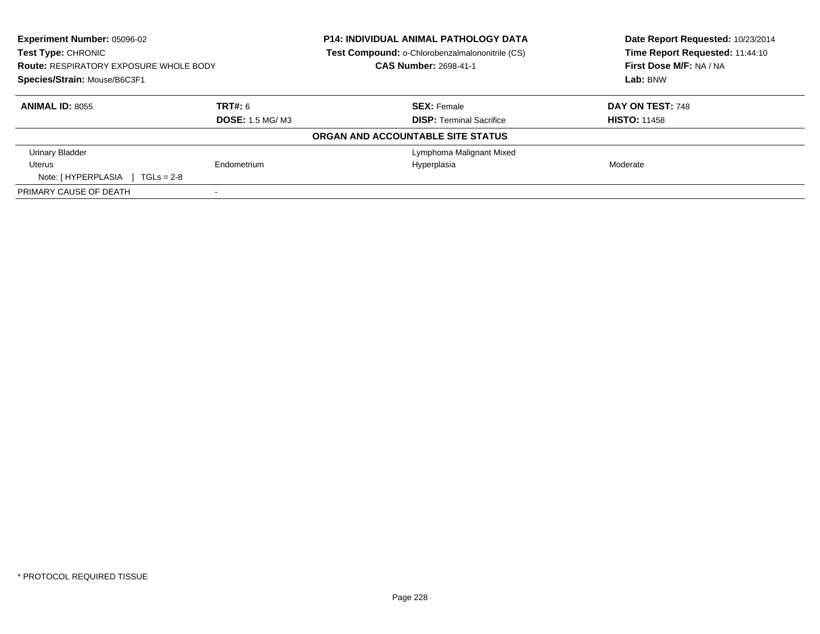| <b>Experiment Number: 05096-02</b><br><b>Test Type: CHRONIC</b><br><b>Route: RESPIRATORY EXPOSURE WHOLE BODY</b><br>Species/Strain: Mouse/B6C3F1 |                         | <b>P14: INDIVIDUAL ANIMAL PATHOLOGY DATA</b><br><b>Test Compound: o-Chlorobenzalmalononitrile (CS)</b><br>CAS Number: 2698-41-1 | Date Report Requested: 10/23/2014<br>Time Report Requested: 11:44:10<br>First Dose M/F: NA / NA<br>Lab: BNW |
|--------------------------------------------------------------------------------------------------------------------------------------------------|-------------------------|---------------------------------------------------------------------------------------------------------------------------------|-------------------------------------------------------------------------------------------------------------|
| <b>ANIMAL ID: 8055</b>                                                                                                                           | TRT#: 6                 | <b>SEX: Female</b>                                                                                                              | DAY ON TEST: 748                                                                                            |
|                                                                                                                                                  | <b>DOSE:</b> 1.5 MG/ M3 | <b>DISP:</b> Terminal Sacrifice                                                                                                 | <b>HISTO: 11458</b>                                                                                         |
|                                                                                                                                                  |                         | ORGAN AND ACCOUNTABLE SITE STATUS                                                                                               |                                                                                                             |
| <b>Urinary Bladder</b>                                                                                                                           |                         | Lymphoma Malignant Mixed                                                                                                        |                                                                                                             |
| Uterus                                                                                                                                           | Endometrium             | Hyperplasia                                                                                                                     | Moderate                                                                                                    |
| Note: $[HYPERPLASIA]$ TGLs = 2-8                                                                                                                 |                         |                                                                                                                                 |                                                                                                             |
| PRIMARY CAUSE OF DEATH                                                                                                                           |                         |                                                                                                                                 |                                                                                                             |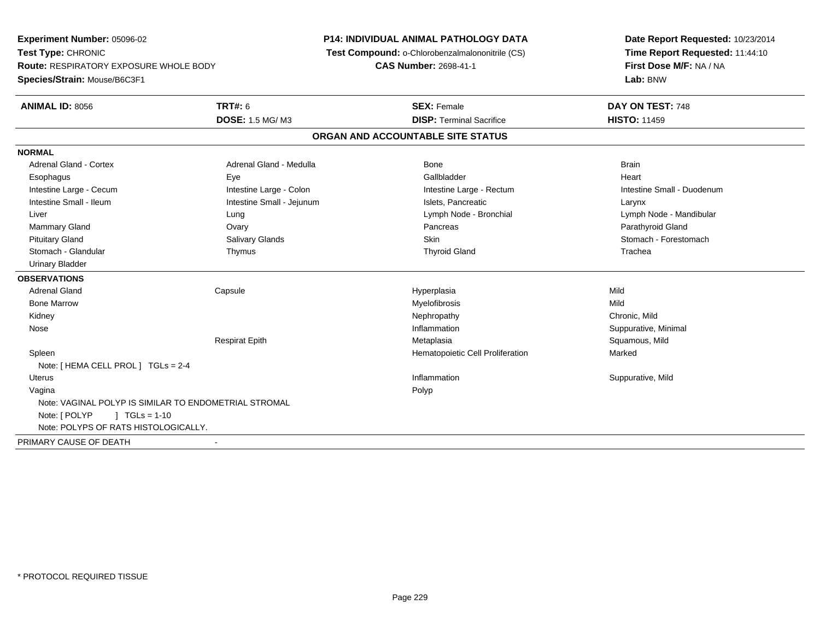**Experiment Number:** 05096-02**Test Type:** CHRONIC **Route:** RESPIRATORY EXPOSURE WHOLE BODY**Species/Strain:** Mouse/B6C3F1**P14: INDIVIDUAL ANIMAL PATHOLOGY DATA Test Compound:** o-Chlorobenzalmalononitrile (CS)**CAS Number:** 2698-41-1**Date Report Requested:** 10/23/2014**Time Report Requested:** 11:44:10**First Dose M/F:** NA / NA**Lab:** BNW**ANIMAL ID:** 8056 **TRT#:** <sup>6</sup> **SEX:** Female **DAY ON TEST:** <sup>748</sup> **DOSE:** 1.5 MG/ M3**DISP:** Terminal Sacrifice **HISTO:** 11459 **ORGAN AND ACCOUNTABLE SITE STATUSNORMALAdrenal Gland - Cortex** Adrenal Gland - Medulla **Bone** Bone Brain Bone Brain Brain Brain Heart Esophagus Eye Gallbladder HeartIntestine Large - Cecum **Intestine Large - Colon** Intestine Large - Colon Intestine Large - Rectum Intestine Large - Rectum Intestine Small - Duodenum Intestine Small - Ileum Larynx Intestine Small - Jejunum Intestine Small - Jejunum Islets, Pancreatic Larynx Liver Lung Lymph Node - Bronchial Lymph Node - Mandibular Mammary Gland Ovary Pancreas Parathyroid GlandStomach - Forestomach Pituitary Gland Sulting School of Salivary Glands School Stomach - Forestomach - Stomach - Forestomach - Stomach - Stomach - Stomach - Stomach - Stomach - Stomach - Stomach - Stomach - Stomach - Stomach - Stomach - Stomach Stomach - Glandular Thymus Thyroid Gland Trachea Urinary Bladder**OBSERVATIONS** Adrenal Gland Capsule Hyperplasia Mild Bone Marroww which is a matter of the Myelofibrosis and the Myelofibrosis and the Mild of the Mild of the Mild of the Mild of the Mild of the Mild of the Mild of the Mild of the Mild of the Mild of the Mild of the Mild of the Mild of Kidneyy the controller of the controller of the controller of the controller of the controller of the chronic, Mild Suppurative, Minimal Nosee suppurative, Minimal and Suppurative, Minimal and Suppurative, Minimal and Suppurative, Minimal and Suppurative, Minimal and Suppurative, Minimal and Suppurative, Minimal and Suppurative, Minimal and Suppurative, Minimal Respirat Epith Metaplasia Squamous, Mild SpleenHematopoietic Cell Proliferation Marked Note: [ HEMA CELL PROL ] TGLs = 2-4 Uteruss the control of the control of the control of the control of the control of the control of the control of the control of the control of the control of the control of the control of the control of the control of the contro Inflammation **Suppurative, Mild**  Vaginaa and the control of the control of the control of the control of the control of the control of the control of the control of the control of the control of the control of the control of the control of the control of the co Note: VAGINAL POLYP IS SIMILAR TO ENDOMETRIAL STROMALNote: [ POLYP ] TGLs = 1-10 Note: POLYPS OF RATS HISTOLOGICALLY.PRIMARY CAUSE OF DEATH-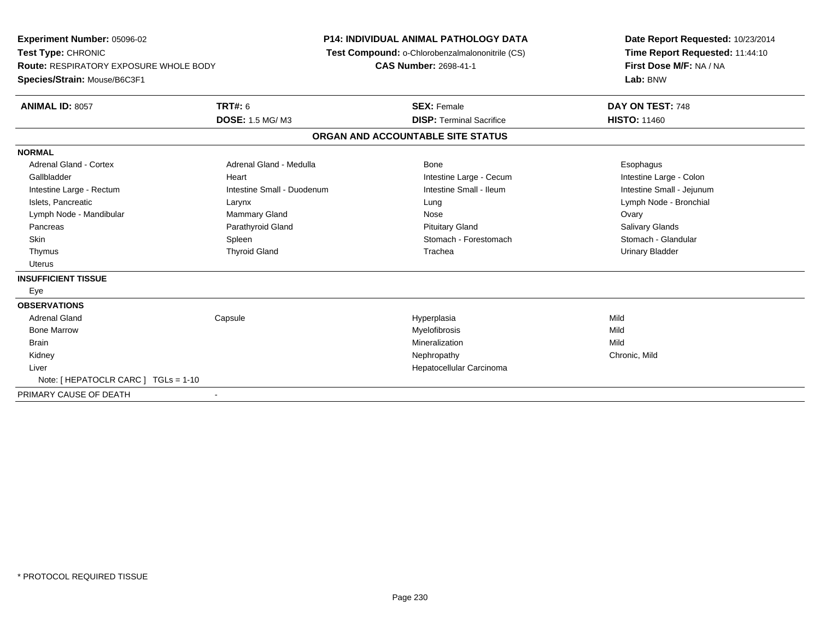**Experiment Number:** 05096-02**Test Type:** CHRONIC **Route:** RESPIRATORY EXPOSURE WHOLE BODY**Species/Strain:** Mouse/B6C3F1**P14: INDIVIDUAL ANIMAL PATHOLOGY DATA Test Compound:** o-Chlorobenzalmalononitrile (CS)**CAS Number:** 2698-41-1**Date Report Requested:** 10/23/2014**Time Report Requested:** 11:44:10**First Dose M/F:** NA / NA**Lab:** BNW**ANIMAL ID:** 8057**TRT#:** 6 **SEX:** Female **DAY ON TEST:** 748 **DOSE:** 1.5 MG/ M3**DISP:** Terminal Sacrifice **HISTO:** 11460 **ORGAN AND ACCOUNTABLE SITE STATUSNORMALAdrenal Gland - Cortex** Adrenal Gland - Medulla **Bone** Bone **Cortes Adrenal Gland - Cortes Adrenal Gland - Cortes Adrenal Adrenal Bone** Esophagus Intestine Large - Colon Gallbladder **East Community Community** Community Heart Intestine Large - Cecum Intestine Large - Cecum Intestine Small - Jejunum Intestine Large - Rectum **Intestine Small - Duodenum** Intestine Small - Ileum Intestine Small - Ileum Islets, Pancreatic Larynx Lung Lymph Node - BronchialLymph Node - Mandibular Nose Channel Covary Mammary Gland Nose Nose Nose Nose Ovary Ovary **Salivary Glands**  Pancreas Parathyroid Gland Pituitary Gland Salivary GlandsStomach - Glandular Skin Stomach - Forestomach Spleen Spleen Stomach - Forestomach - Stomach - Forestomach - Stomach - Glandular S Thymus Thyroid Gland Trachea Urinary Bladder Uterus**INSUFFICIENT TISSUE** Eye**OBSERVATIONS** Adrenal Gland Capsule Hyperplasia Mild Bone Marroww which is a matter of the Myelofibrosis and the Myelofibrosis and the Mild of the Mild of the Mild of the Mild of the Mild of the Mild of the Mild of the Mild of the Mild of the Mild of the Mild of the Mild of the Mild of **Brain** n and the control of the control of the control of the control of the control of the control of the control of the control of the control of the control of the control of the control of the control of the control of the co Kidneyy the controller that the controller the controller that the controller the controller that  $\mathsf{N}\mathsf{H}$   $\mathsf{N}\mathsf{H}$   $\mathsf{C}\mathsf{H}$   $\mathsf{R}\mathsf{H}$   $\mathsf{C}\mathsf{H}$   $\mathsf{R}\mathsf{H}$   $\mathsf{H}$   $\mathsf{H}$   $\mathsf{H}$   $\mathsf{H}$   $\mathsf{H}$  Liver Hepatocellular CarcinomaNote: [ HEPATOCLR CARC ] TGLs = 1-10PRIMARY CAUSE OF DEATH-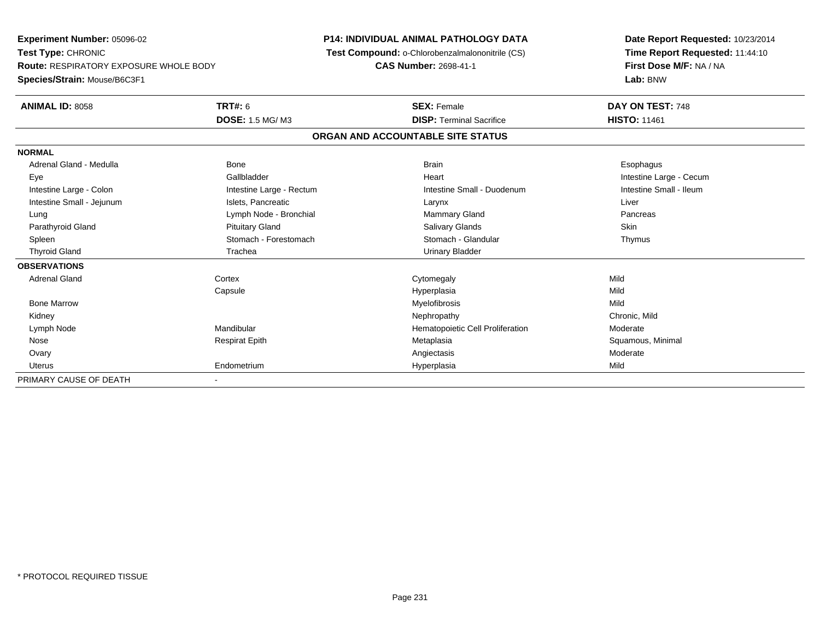**Experiment Number:** 05096-02**Test Type:** CHRONIC **Route:** RESPIRATORY EXPOSURE WHOLE BODY**Species/Strain:** Mouse/B6C3F1**P14: INDIVIDUAL ANIMAL PATHOLOGY DATA Test Compound:** o-Chlorobenzalmalononitrile (CS)**CAS Number:** 2698-41-1**Date Report Requested:** 10/23/2014**Time Report Requested:** 11:44:10**First Dose M/F:** NA / NA**Lab:** BNW**ANIMAL ID:** 8058**TRT#:** 6 **SEX:** Female **DAY ON TEST:** 748 **DOSE:** 1.5 MG/ M3**DISP:** Terminal Sacrifice **HISTO:** 11461 **ORGAN AND ACCOUNTABLE SITE STATUSNORMAL**Adrenal Gland - Medulla Newslett Communication of Bone Brain Brain Brain Brain Brain Esophagus Brain Esophagus Eye Gallbladder Heart Intestine Large - CecumIntestine Small - Ileum Intestine Large - Colon **Intestine Large - Rectum** Intestine Small - Duodenum Intestine Small - Duodenum Intestine Small - Jejunum **Intestine Small - Jejunum** Islets, Pancreatic **National Larynx Liver** Larynx Liver Lung **Lymph Node - Bronchial Mammary Gland Pancreas** Pancreas Pancreas Parathyroid Gland Phillip Communication of Pituitary Gland Pitus School Salivary Glands Skin Skin Skin Skin Skin Thymus Spleen Stomach - Stomach - Forestomach - Stomach - Stomach - Glandular Thymus - Stomach - Glandular Thyroid Gland Trachea Trachea Trachea Urinary Bladder **OBSERVATIONS** Adrenal Glandd cortex Cortex Cortex Cytomegaly Constants and Cortex Cortex Cortex Cortex Cortex Cortex Cortex Cortex Cortex Cortex Cortex Cortex Cortex Cortex Cortex Cortex Cortex Cortex Cortex Cortex Cortex Cortex Cortex Cortex Cortex Capsule Hyperplasia Mild Bone Marroww which is a matter of the Myelofibrosis and the Myelofibrosis and the Mild of the Mild of the Mild of the Mild of the Mild of the Mild of the Mild of the Mild of the Mild of the Mild of the Mild of the Mild of the Mild of Kidneyy the controller of the controller of the controller of the controller of the controller of the chronic, Mild Lymph NodeMandibular Moderate **Hematopoietic Cell Proliferation** Moderate Nose Respirat Epith Metaplasia Squamous, Minimal Ovaryy and the contract of the contract of the contract of the contract of the contract of the contract of the contract of the contract of the contract of the contract of the contract of the contract of the contract of the cont Uterus Endometrium Hyperplasia Mild PRIMARY CAUSE OF DEATH-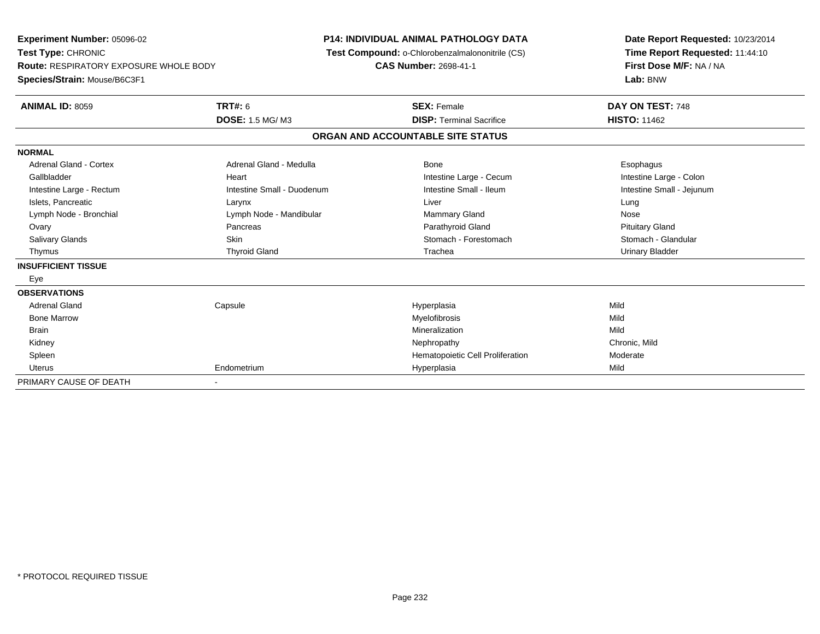**Experiment Number:** 05096-02**Test Type:** CHRONIC **Route:** RESPIRATORY EXPOSURE WHOLE BODY**Species/Strain:** Mouse/B6C3F1**P14: INDIVIDUAL ANIMAL PATHOLOGY DATA Test Compound:** o-Chlorobenzalmalononitrile (CS)**CAS Number:** 2698-41-1**Date Report Requested:** 10/23/2014**Time Report Requested:** 11:44:10**First Dose M/F:** NA / NA**Lab:** BNW**ANIMAL ID:** 8059 **TRT#:** <sup>6</sup> **SEX:** Female **DAY ON TEST:** <sup>748</sup> **DOSE:** 1.5 MG/ M3**DISP:** Terminal Sacrifice **HISTO:** 11462 **ORGAN AND ACCOUNTABLE SITE STATUSNORMALAdrenal Gland - Cortex** Adrenal Gland - Medulla **Bone** Bone **Cortes Adrenal Gland - Cortes Adrenal Gland - Cortes Adrenal Adrenal Bone** Esophagus Intestine Large - Colon Gallbladder **East Community Community** Heart Intestine Large - Cecum Intestine Large - Cecum Intestine Small - Jejunum Intestine Large - Rectum **Intestine Small - Duodenum** Intestine Small - Ileum Intestine Small - Ileum Islets, Pancreatic Larynx Liver LungNose Lymph Node - Bronchial **Lymph Node - Mandibular** Mammary Gland Nose - Mandibular Mammary Gland Nose - Mammary Gland **Pituitary Gland**  Ovary Pancreas Parathyroid Gland Pituitary GlandStomach - Glandular Salivary Glands **Skin** Skin Stomach - Forestomach - Stomach - Forestomach - Stomach - Forestomach - Stomach - Glandular - Stomach - Stomach - Stomach - Stomach - Stomach - Stomach - Stomach - Stomach - Stomach - Stomach - Thymus Thyroid Gland Trachea Urinary Bladder**INSUFFICIENT TISSUE** Eye**OBSERVATIONS** Adrenal Gland Capsule Hyperplasia Mild Bone Marroww which is a state of the Myelofibrosis and the Myelofibrosis and the Mild of the Mild of the Mild of the Mild of the Mild of the Mild of the Mild of the Mild of the Mild of the Mild of the Mild of the Mild of the Mild of Brainn and the control of the control of the control of the control of the control of the control of the control of the control of the control of the control of the control of the control of the control of the control of the co Kidneyy the controller that the controller the controller that the controller the controller that  $\mathsf{N}\mathsf{H}$   $\mathsf{N}\mathsf{H}$   $\mathsf{C}\mathsf{H}$   $\mathsf{R}\mathsf{H}$   $\mathsf{C}\mathsf{H}$   $\mathsf{R}\mathsf{H}$   $\mathsf{H}$   $\mathsf{H}$   $\mathsf{H}$   $\mathsf{H}$   $\mathsf{H}$  SpleenHematopoietic Cell Proliferation<br>
Hyperplasia Mild Mild Uterus Endometrium Hyperplasia Mild PRIMARY CAUSE OF DEATH-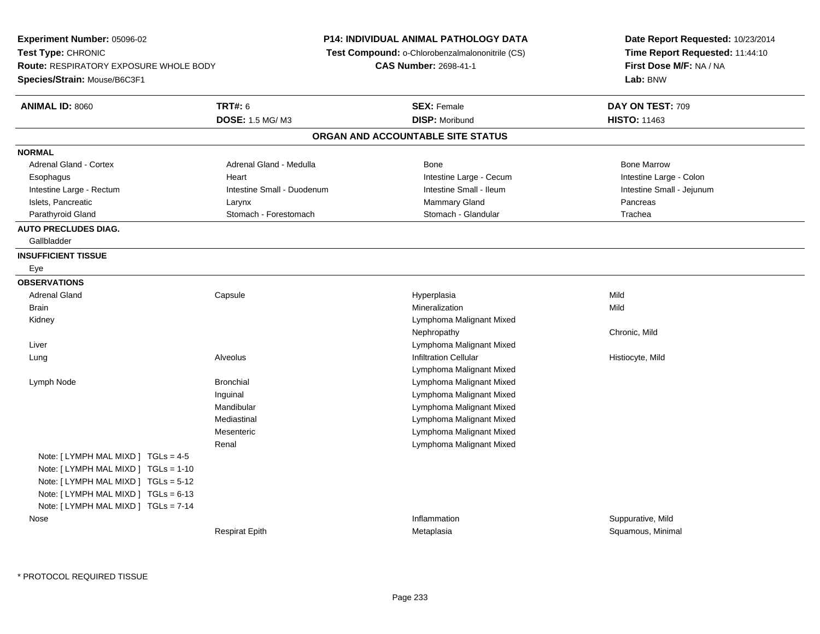**Experiment Number:** 05096-02**Test Type:** CHRONIC **Route:** RESPIRATORY EXPOSURE WHOLE BODY**Species/Strain:** Mouse/B6C3F1**P14: INDIVIDUAL ANIMAL PATHOLOGY DATA Test Compound:** o-Chlorobenzalmalononitrile (CS)**CAS Number:** 2698-41-1**Date Report Requested:** 10/23/2014**Time Report Requested:** 11:44:10**First Dose M/F:** NA / NA**Lab:** BNW**ANIMAL ID:** 8060**TRT#:** 6 **SEX:** Female **DAY ON TEST:** 709 **DOSE:** 1.5 MG/ M3 **DISP:** Moribund **HISTO:** <sup>11463</sup> **ORGAN AND ACCOUNTABLE SITE STATUSNORMALAdrenal Gland - Cortex** Adrenal Gland - Medulla **Adrenal Gland - Medulla** Bone Bone Bone Bone Bone Marrow Intestine Large - Colon Esophagus **Intestine Large - Cecum Intestine Large - Cecum** Intestine Large - Cecum Intestine Small - Jejunum Intestine Large - Rectum **Intestine Small - Duodenum** Intestine Small - Ileum Intestine Small - Ileum Islets, Pancreatic Larynx Mammary Gland PancreasTrachea Parathyroid Gland Stomach - Stomach - Forestomach - Stomach - Stomach - Glandular **AUTO PRECLUDES DIAG.** Gallbladder**INSUFFICIENT TISSUE** Eye**OBSERVATIONS** Adrenal Gland Capsule Hyperplasia Mild Brainn and the control of the control of the control of the control of the control of the control of the control of the control of the control of the control of the control of the control of the control of the control of the co Kidney Lymphoma Malignant MixedNephropathy Chronic, Mild Liver Lymphoma Malignant Mixed Lung Alveolus Infiltration Cellular Histiocyte, Mild Lymphoma Malignant Mixede and a subset of the Bronchial Control of the Bronchial Control of the Lymphoma Malignant Mixed Lymph NodeInguinal Lymphoma Malignant Mixed**Lymphoma Malignant Mixed** Mandibular Lymphoma Malignant MixedMediastinal Lymphoma Malignant MixedMesenteric Lymphoma Malignant MixedRenalNote: [ LYMPH MAL MIXD ] TGLs = 4-5 Note: [ LYMPH MAL MIXD ] TGLs = 1-10 Note: [ LYMPH MAL MIXD ] TGLs = 5-12 Note: [ LYMPH MAL MIXD ] TGLs = 6-13 Note: [ LYMPH MAL MIXD ] TGLs = 7-14 Nosee inflammation in the suppurative, Mild and Suppurative, Mild and Suppurative, Mild and Suppurative, Mild and Suppurative, Mild and Suppurative, Mild and Suppurative, Mild and Suppurative, Mild and Suppurative, Mild and Su Respirat EpithMetaplasia **Squamous, Minimal**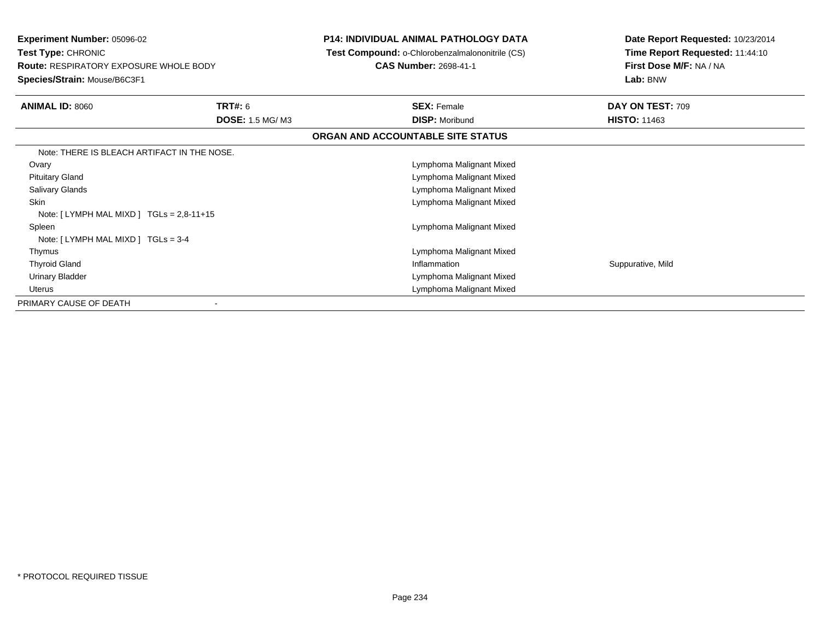| <b>Experiment Number: 05096-02</b><br><b>Test Type: CHRONIC</b><br><b>Route: RESPIRATORY EXPOSURE WHOLE BODY</b><br>Species/Strain: Mouse/B6C3F1 |                                   | <b>P14: INDIVIDUAL ANIMAL PATHOLOGY DATA</b><br><b>Test Compound: o-Chlorobenzalmalononitrile (CS)</b><br><b>CAS Number: 2698-41-1</b> | Date Report Requested: 10/23/2014<br>Time Report Requested: 11:44:10<br>First Dose M/F: NA / NA<br>Lab: BNW |
|--------------------------------------------------------------------------------------------------------------------------------------------------|-----------------------------------|----------------------------------------------------------------------------------------------------------------------------------------|-------------------------------------------------------------------------------------------------------------|
| <b>ANIMAL ID: 8060</b>                                                                                                                           | TRT#: 6<br><b>DOSE: 1.5 MG/M3</b> | <b>SEX: Female</b><br><b>DISP: Moribund</b>                                                                                            | DAY ON TEST: 709<br><b>HISTO: 11463</b>                                                                     |
|                                                                                                                                                  |                                   | ORGAN AND ACCOUNTABLE SITE STATUS                                                                                                      |                                                                                                             |
| Note: THERE IS BLEACH ARTIFACT IN THE NOSE.                                                                                                      |                                   |                                                                                                                                        |                                                                                                             |
| Ovary                                                                                                                                            |                                   | Lymphoma Malignant Mixed                                                                                                               |                                                                                                             |
| <b>Pituitary Gland</b>                                                                                                                           |                                   | Lymphoma Malignant Mixed                                                                                                               |                                                                                                             |
| <b>Salivary Glands</b>                                                                                                                           |                                   | Lymphoma Malignant Mixed                                                                                                               |                                                                                                             |
| <b>Skin</b>                                                                                                                                      |                                   | Lymphoma Malignant Mixed                                                                                                               |                                                                                                             |
| Note: $[LYMPH MAL MIXD] TGLs = 2.8-11+15$                                                                                                        |                                   |                                                                                                                                        |                                                                                                             |
| Spleen                                                                                                                                           |                                   | Lymphoma Malignant Mixed                                                                                                               |                                                                                                             |
| Note: $[LYMPH MAL MIXD] TGLs = 3-4$                                                                                                              |                                   |                                                                                                                                        |                                                                                                             |
| Thymus                                                                                                                                           |                                   | Lymphoma Malignant Mixed                                                                                                               |                                                                                                             |
| <b>Thyroid Gland</b>                                                                                                                             |                                   | Inflammation                                                                                                                           | Suppurative, Mild                                                                                           |
| Urinary Bladder                                                                                                                                  |                                   | Lymphoma Malignant Mixed                                                                                                               |                                                                                                             |
| <b>Uterus</b>                                                                                                                                    |                                   | Lymphoma Malignant Mixed                                                                                                               |                                                                                                             |
| PRIMARY CAUSE OF DEATH                                                                                                                           |                                   |                                                                                                                                        |                                                                                                             |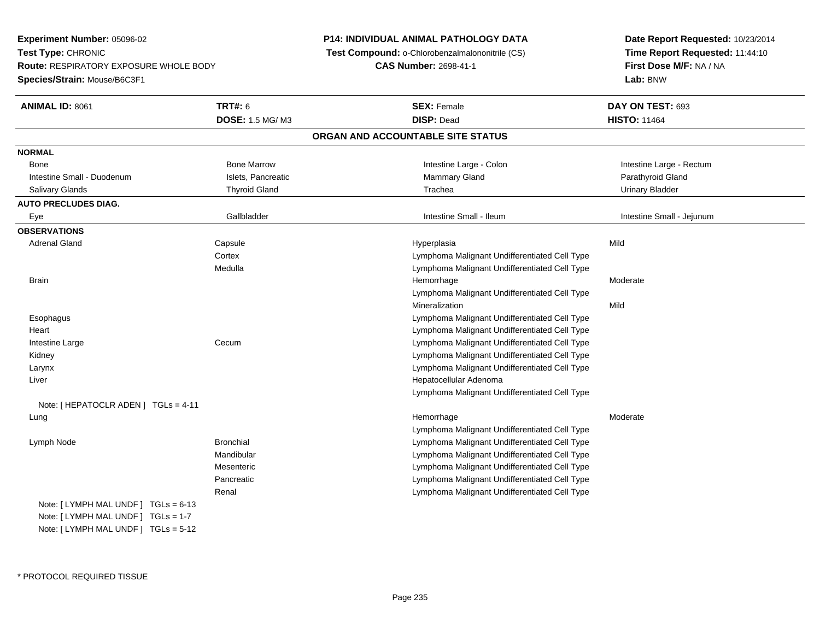**Experiment Number:** 05096-02**Test Type:** CHRONIC **Route:** RESPIRATORY EXPOSURE WHOLE BODY**Species/Strain:** Mouse/B6C3F1

## **P14: INDIVIDUAL ANIMAL PATHOLOGY DATA**

**Test Compound:** o-Chlorobenzalmalononitrile (CS)

**CAS Number:** 2698-41-1

**Date Report Requested:** 10/23/2014**Time Report Requested:** 11:44:10**First Dose M/F:** NA / NA**Lab:** BNW

| ANIMAL ID: 8061                      | <b>TRT#: 6</b>         | <b>SEX: Female</b>                            | DAY ON TEST: 693          |
|--------------------------------------|------------------------|-----------------------------------------------|---------------------------|
|                                      | <b>DOSE: 1.5 MG/M3</b> | <b>DISP: Dead</b>                             | <b>HISTO: 11464</b>       |
|                                      |                        | ORGAN AND ACCOUNTABLE SITE STATUS             |                           |
| <b>NORMAL</b>                        |                        |                                               |                           |
| <b>Bone</b>                          | <b>Bone Marrow</b>     | Intestine Large - Colon                       | Intestine Large - Rectum  |
| Intestine Small - Duodenum           | Islets, Pancreatic     | Mammary Gland                                 | Parathyroid Gland         |
| Salivary Glands                      | <b>Thyroid Gland</b>   | Trachea                                       | <b>Urinary Bladder</b>    |
| <b>AUTO PRECLUDES DIAG.</b>          |                        |                                               |                           |
| Eye                                  | Gallbladder            | Intestine Small - Ileum                       | Intestine Small - Jejunum |
| <b>OBSERVATIONS</b>                  |                        |                                               |                           |
| <b>Adrenal Gland</b>                 | Capsule                | Hyperplasia                                   | Mild                      |
|                                      | Cortex                 | Lymphoma Malignant Undifferentiated Cell Type |                           |
|                                      | Medulla                | Lymphoma Malignant Undifferentiated Cell Type |                           |
| <b>Brain</b>                         |                        | Hemorrhage                                    | Moderate                  |
|                                      |                        | Lymphoma Malignant Undifferentiated Cell Type |                           |
|                                      |                        | Mineralization                                | Mild                      |
| Esophagus                            |                        | Lymphoma Malignant Undifferentiated Cell Type |                           |
| Heart                                |                        | Lymphoma Malignant Undifferentiated Cell Type |                           |
| Intestine Large                      | Cecum                  | Lymphoma Malignant Undifferentiated Cell Type |                           |
| Kidney                               |                        | Lymphoma Malignant Undifferentiated Cell Type |                           |
| Larynx                               |                        | Lymphoma Malignant Undifferentiated Cell Type |                           |
| Liver                                |                        | Hepatocellular Adenoma                        |                           |
|                                      |                        | Lymphoma Malignant Undifferentiated Cell Type |                           |
| Note: [ HEPATOCLR ADEN ] TGLs = 4-11 |                        |                                               |                           |
| Lung                                 |                        | Hemorrhage                                    | Moderate                  |
|                                      |                        | Lymphoma Malignant Undifferentiated Cell Type |                           |
| Lymph Node                           | <b>Bronchial</b>       | Lymphoma Malignant Undifferentiated Cell Type |                           |
|                                      | Mandibular             | Lymphoma Malignant Undifferentiated Cell Type |                           |
|                                      | Mesenteric             | Lymphoma Malignant Undifferentiated Cell Type |                           |
|                                      | Pancreatic             | Lymphoma Malignant Undifferentiated Cell Type |                           |
|                                      | Renal                  | Lymphoma Malignant Undifferentiated Cell Type |                           |
| Note: [ LYMPH MAL UNDF ] TGLs = 6-13 |                        |                                               |                           |
| Note: [ LYMPH MAL UNDF ] TGLs = 1-7  |                        |                                               |                           |
| Note: [ LYMPH MAL UNDF ] TGLs = 5-12 |                        |                                               |                           |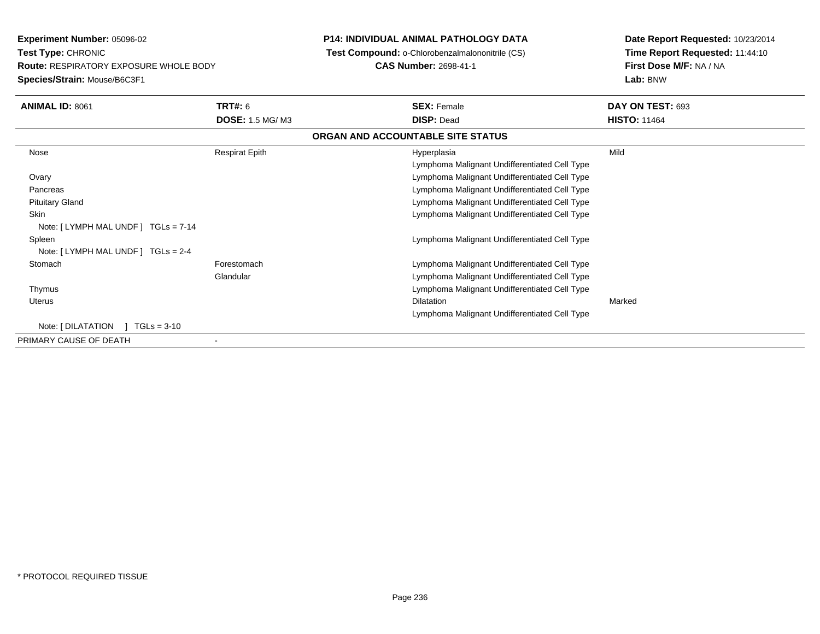**Experiment Number:** 05096-02**Test Type:** CHRONIC **Route:** RESPIRATORY EXPOSURE WHOLE BODY**Species/Strain:** Mouse/B6C3F1**P14: INDIVIDUAL ANIMAL PATHOLOGY DATA Test Compound:** o-Chlorobenzalmalononitrile (CS)**CAS Number:** 2698-41-1**Date Report Requested:** 10/23/2014**Time Report Requested:** 11:44:10**First Dose M/F:** NA / NA**Lab:** BNW**ANIMAL ID:** 8061**TRT#:** 6 **SEX:** Female **DAY ON TEST:** 693 **DOSE:** 1.5 MG/ M3 **DISP:** Dead **HISTO:** <sup>11464</sup> **ORGAN AND ACCOUNTABLE SITE STATUS** Nose Respirat Epith Hyperplasia Mild Lymphoma Malignant Undifferentiated Cell Type Lymphoma Malignant Undifferentiated Cell Type**Ovary**  Lymphoma Malignant Undifferentiated Cell Type Pancreas Lymphoma Malignant Undifferentiated Cell Type Pituitary Gland**Skin**  Lymphoma Malignant Undifferentiated Cell Type Note: [ LYMPH MAL UNDF ] TGLs = 7-14 Spleen Lymphoma Malignant Undifferentiated Cell Type Note: [ LYMPH MAL UNDF ] TGLs = 2-4**Stomach**  Forestomach Lymphoma Malignant Undifferentiated Cell Type Glandular Lymphoma Malignant Undifferentiated Cell Type Lymphoma Malignant Undifferentiated Cell Type Thymus Uteruss and the contract of the contract of the contract of the contract of the contract of the contract of the contract of the contract of the contract of the contract of the contract of the contract of the contract of the cont n Marked **Marked** Lymphoma Malignant Undifferentiated Cell TypeNote: [ DILATATION ] TGLs = 3-10 PRIMARY CAUSE OF DEATH-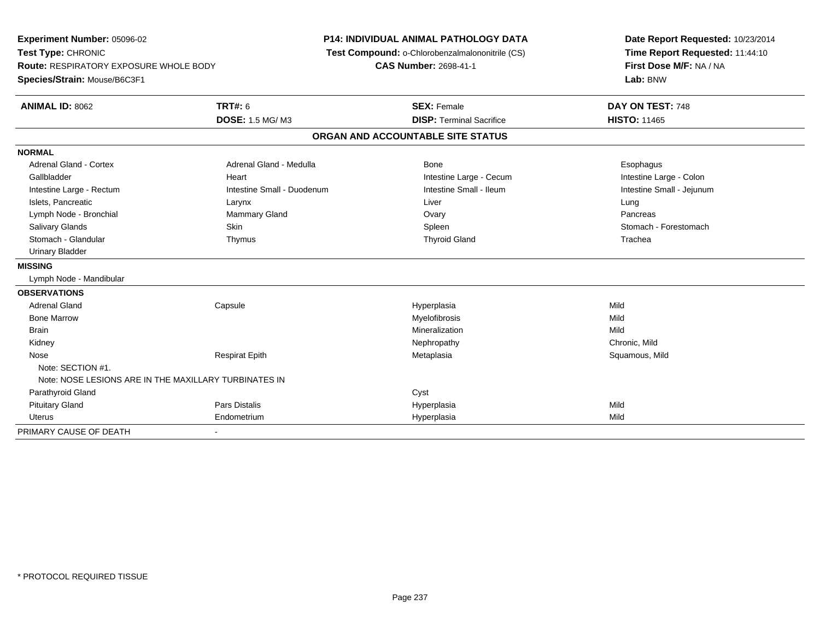**Experiment Number:** 05096-02**Test Type:** CHRONIC **Route:** RESPIRATORY EXPOSURE WHOLE BODY**Species/Strain:** Mouse/B6C3F1**P14: INDIVIDUAL ANIMAL PATHOLOGY DATA Test Compound:** o-Chlorobenzalmalononitrile (CS)**CAS Number:** 2698-41-1**Date Report Requested:** 10/23/2014**Time Report Requested:** 11:44:10**First Dose M/F:** NA / NA**Lab:** BNW**ANIMAL ID:** 8062 **TRT#:** <sup>6</sup> **SEX:** Female **DAY ON TEST:** <sup>748</sup> **DOSE:** 1.5 MG/ M3**DISP:** Terminal Sacrifice **HISTO:** 11465 **ORGAN AND ACCOUNTABLE SITE STATUSNORMALAdrenal Gland - Cortex** Adrenal Gland - Medulla **Bone** Bone **Cortes Adrenal Gland - Cortes Adrenal Gland - Cortes Adrenal Adrenal Bone** Esophagus Intestine Large - Colon Gallbladder **East Intestine Large - Cecum Intestine Large - Cecum Intestine Large - Cecum** Intestine Large - Cecum Intestine Small - Jejunum Intestine Large - Rectum **Intestine Small - Duodenum** Intestine Small - Ileum Intestine Small - Ileum Islets, Pancreatic Larynx Liver LungPancreas Lymph Node - Bronchial **Mammary Gland** Mammary Gland **Constanting Constanting Ovary Pancrease** Ovary Pancrease Pancrease Constanting Ovary Pancrease Pancrease Pancrease Pancrease Pancrease Pancrease Pancrease Pancrease Pan Stomach - Forestomach Salivary Glands Summach - Skin Shin Shin Shin Shines Spleen Shines Stomach - Forestomach - Stomach - Forestomach - Stomach - Stomach - Stomach - Stomach - Stomach - Stomach - Stomach - Stomach - Stomach - Stomach - Stomach Stomach - Glandular Thymus Thyroid Gland Trachea Urinary Bladder**MISSING** Lymph Node - Mandibular**OBSERVATIONS** Adrenal Gland Capsule Hyperplasia Mild Bone Marroww which is a state of the Myelofibrosis and the Myelofibrosis and the Mild of the Mild of the Mild of the Mild of the Mild of the Mild of the Mild of the Mild of the Mild of the Mild of the Mild of the Mild of the Mild of Brainn and the control of the control of the control of the control of the control of the control of the control of the control of the control of the control of the control of the control of the control of the control of the co Kidneyy the controller that the controller the controller that the controller the controller that  $\mathsf{N}\mathsf{H}$   $\mathsf{N}\mathsf{H}$   $\mathsf{C}\mathsf{H}$   $\mathsf{R}\mathsf{H}$   $\mathsf{C}\mathsf{H}$   $\mathsf{R}\mathsf{H}$   $\mathsf{H}$   $\mathsf{H}$   $\mathsf{H}$   $\mathsf{H}$   $\mathsf{H}$  Squamous, Mild Nose Respirat Epith Metaplasia Squamous, Mild Note: SECTION #1.Note: NOSE LESIONS ARE IN THE MAXILLARY TURBINATES IN Parathyroid Glandd Cyst Pituitary Gland Pars Distalis Hyperplasia Mild Uterus Endometrium Hyperplasia Mild PRIMARY CAUSE OF DEATH-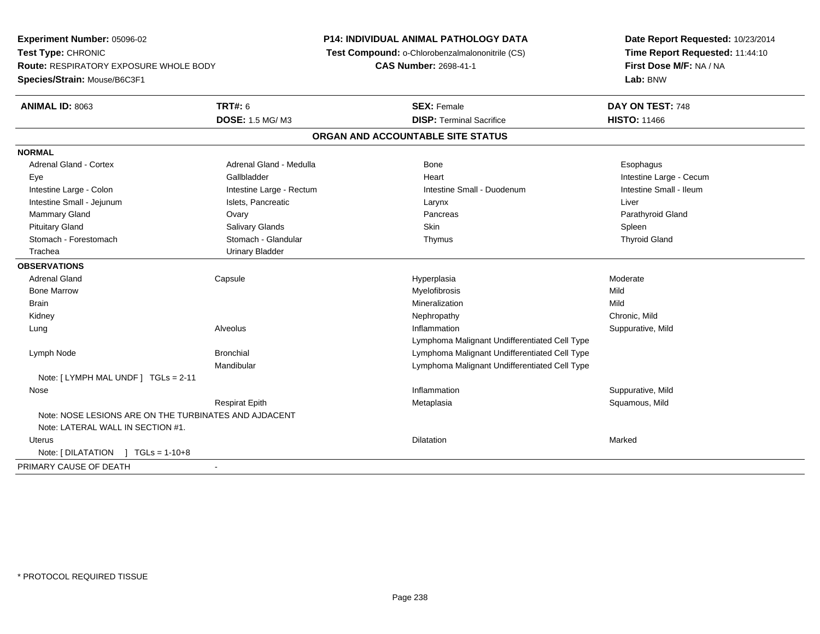**Experiment Number:** 05096-02**Test Type:** CHRONIC **Route:** RESPIRATORY EXPOSURE WHOLE BODY**Species/Strain:** Mouse/B6C3F1**P14: INDIVIDUAL ANIMAL PATHOLOGY DATA Test Compound:** o-Chlorobenzalmalononitrile (CS)**CAS Number:** 2698-41-1**Date Report Requested:** 10/23/2014**Time Report Requested:** 11:44:10**First Dose M/F:** NA / NA**Lab:** BNW**ANIMAL ID:** 8063**TRT#:** 6 **SEX:** Female **DAY ON TEST:** 748 **DOSE:** 1.5 MG/ M3**DISP:** Terminal Sacrifice **HISTO:** 11466 **ORGAN AND ACCOUNTABLE SITE STATUSNORMALAdrenal Gland - Cortex** Adrenal Gland - Medulla **Adrenal Gland - Medulla Bone** Bone **Bone** Esophagus Esophagus Eye Gallbladder Heart Intestine Large - CecumIntestine Small - Ileum Intestine Large - Colon **Intestine Large - Rectum** Intestine Small - Duodenum Intestine Small - Duodenum Intestine Small - Jejunum **Intestine Small - Jejunum** Islets, Pancreatic **National Larynx Liver** Larynx Liver Mammary Gland Ovary Pancreas Parathyroid GlandPituitary Gland Salivary Glands Salivary Glands School School School School State School Spleen Spleen Spleen **Thyroid Gland**  Stomach - Forestomach Stomach - Glandular Thymus Thyroid Gland Trachea Urinary Bladder**OBSERVATIONS** Adrenal Gland Capsule Hyperplasia Moderate Bone Marroww which is a state of the Myelofibrosis and the Myelofibrosis and the Mild of the Mild of the Mild of the Mild of the Mild of the Mild of the Mild of the Mild of the Mild of the Mild of the Mild of the Mild of the Mild of Brainn and the control of the control of the control of the Mineralization and the control of the Mild of the Mild o Kidneyy the controller of the controller of the controller of the controller of the controller of the chronic, Mild Suppurative, Mild Lung Alveolus Inflammation Suppurative, Mild Lymphoma Malignant Undifferentiated Cell Typee and a Bronchial Lymphoma Malignant Undifferentiated Cell Type Lymph NodeMandibular Lymphoma Malignant Undifferentiated Cell TypeNote: [ LYMPH MAL UNDF ] TGLs = 2-11 Nosee substitution of the substitution of the substitution of the substitution of the substitution of the Suppurative, Mild Respirat Epith Metaplasia Squamous, Mild Note: NOSE LESIONS ARE ON THE TURBINATES AND AJDACENTNote: LATERAL WALL IN SECTION #1. Uteruss and the contract of the contract of the contract of the contract of the contract of the contract of the contract of the contract of the contract of the contract of the contract of the contract of the contract of the cont n Marked Marked Structure of the Marked Marked Structure of the Marked Structure of the Marked Structure of th Note: [ DILATATION ] TGLs = 1-10+8PRIMARY CAUSE OF DEATH-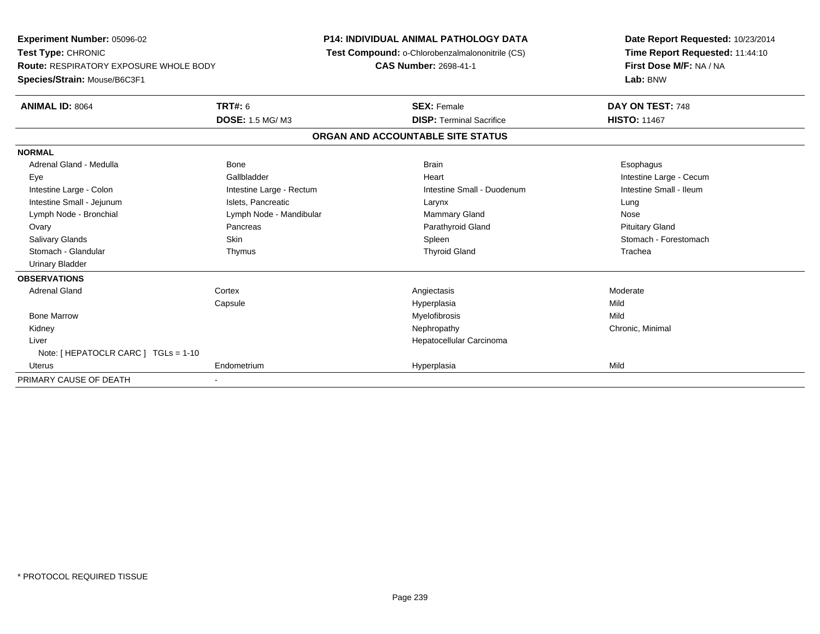**Experiment Number:** 05096-02**Test Type:** CHRONIC **Route:** RESPIRATORY EXPOSURE WHOLE BODY**Species/Strain:** Mouse/B6C3F1**P14: INDIVIDUAL ANIMAL PATHOLOGY DATA Test Compound:** o-Chlorobenzalmalononitrile (CS)**CAS Number:** 2698-41-1**Date Report Requested:** 10/23/2014**Time Report Requested:** 11:44:10**First Dose M/F:** NA / NA**Lab:** BNW**ANIMAL ID:** 8064**TRT#:** 6 **SEX:** Female **DAY ON TEST:** 748 **DOSE:** 1.5 MG/ M3**DISP:** Terminal Sacrifice **HISTO:** 11467 **ORGAN AND ACCOUNTABLE SITE STATUSNORMAL**Adrenal Gland - Medulla Newslett Communication of Bone Brain Brain Brain Brain Brain Esophagus Brain Esophagus Eye Gallbladder Heart Intestine Large - CecumIntestine Small - Ileum Intestine Large - Colon **Intestine Large - Rectum** Intestine Small - Duodenum Intestine Small - Duodenum Intestine Small - Jejunum **Intestine Small - Jejunum** Islets, Pancreatic **Network Construction Career Construction** Nose Lymph Node - Bronchial **Lymph Node - Mandibular** Mammary Gland Nose - Mammary Gland Nose - Mammary Gland Nose - Mammary Gland Nose - Mammary Gland Nose - Mammary Gland Nose - Mammary Gland Nose - Mammary Gland Nose - Mamma **Pituitary Gland**  Ovary Pancreas Parathyroid Gland Pituitary GlandSalivary Glands Salivary School School School School Spleen School Spleen Stomach - Forestomach - Stomach - Forestomach Stomach - Glandular Thymus Thyroid Gland Trachea Urinary Bladder**OBSERVATIONS** Adrenal Glandd and the cortex context of the context of the context of the context of the context of the context of the context of the context of the context of the context of the context of the context of the context of the context of Capsule Hyperplasia Mild Bone Marroww which is a state of the Myelofibrosis and the Myelofibrosis and the Mild of the Mild of the Mild of the Mild of the Mild of the Mild of the Mild of the Mild of the Mild of the Mild of the Mild of the Mild of the Mild of Kidneyy the controller the controller of the controller of the controller of the controller of the controller of the controller of the controller of the controller of the controller of the controller of the controller of the con Liver Hepatocellular CarcinomaNote: [ HEPATOCLR CARC ] TGLs = 1-10 Uterus Endometrium Hyperplasia Mild PRIMARY CAUSE OF DEATH-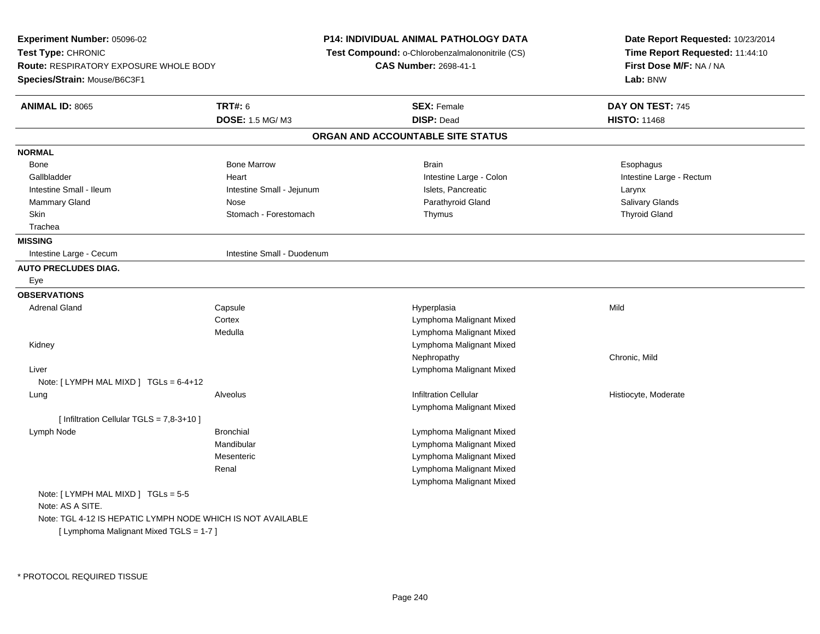**Experiment Number:** 05096-02**Test Type:** CHRONIC **Route:** RESPIRATORY EXPOSURE WHOLE BODY**Species/Strain:** Mouse/B6C3F1**P14: INDIVIDUAL ANIMAL PATHOLOGY DATA Test Compound:** o-Chlorobenzalmalononitrile (CS)**CAS Number:** 2698-41-1**Date Report Requested:** 10/23/2014**Time Report Requested:** 11:44:10**First Dose M/F:** NA / NA**Lab:** BNW**ANIMAL ID:** 8065 **TRT#:** <sup>6</sup> **SEX:** Female **DAY ON TEST:** <sup>745</sup> **DOSE:** 1.5 MG/ M3 **DISP:** Dead **HISTO:** <sup>11468</sup> **ORGAN AND ACCOUNTABLE SITE STATUSNORMAL**Bone Bone Bone Marrow Bone Marrow Brain Brain Brain Brain Brain Brain Brain Brain Brain Brain Brain Brain Brain Brain Gallbladder **Eart** Heart Heart Heart Heart Intestine Large - Colon Intestine Large - Rectum Intestine Small - Ileum Larynx **Intestine Small - Jejunum Intestine Small** - Islets, Pancreatic Larynx **Salivary Glands** Mammary Gland Nose Nose Nose Research Communication of Parathyroid Gland Salivary Glands Salivary Glands Nose Skin Stomach - Forestomach Thymus Thymus Stomach Thymus Thymus Thyroid Gland Trachea**MISSING**Intestine Large - Cecum **Intestine Small - Duodenum AUTO PRECLUDES DIAG.** Eye**OBSERVATIONS** Adrenal Gland Capsule Hyperplasia Mild **Cortex**  Lymphoma Malignant Mixed Lymphoma Malignant Mixed Medulla Kidney Lymphoma Malignant MixedNephropathy Chronic, Mild Liver Lymphoma Malignant MixedNote: [ LYMPH MAL MIXD ] TGLs = 6-4+12 Lung Alveolus Infiltration Cellular Histiocyte, Moderate Lymphoma Malignant Mixed[ Infiltration Cellular TGLS = 7,8-3+10 ] Lymph Node Bronchial Lymphoma Malignant Mixed Mandibular Lymphoma Malignant Mixed Lymphoma Malignant MixedMesenteric Lymphoma Malignant MixedRenal Lymphoma Malignant MixedNote: [ LYMPH MAL MIXD ] TGLs = 5-5Note: AS A SITE.Note: TGL 4-12 IS HEPATIC LYMPH NODE WHICH IS NOT AVAILABLE[ Lymphoma Malignant Mixed TGLS = 1-7 ]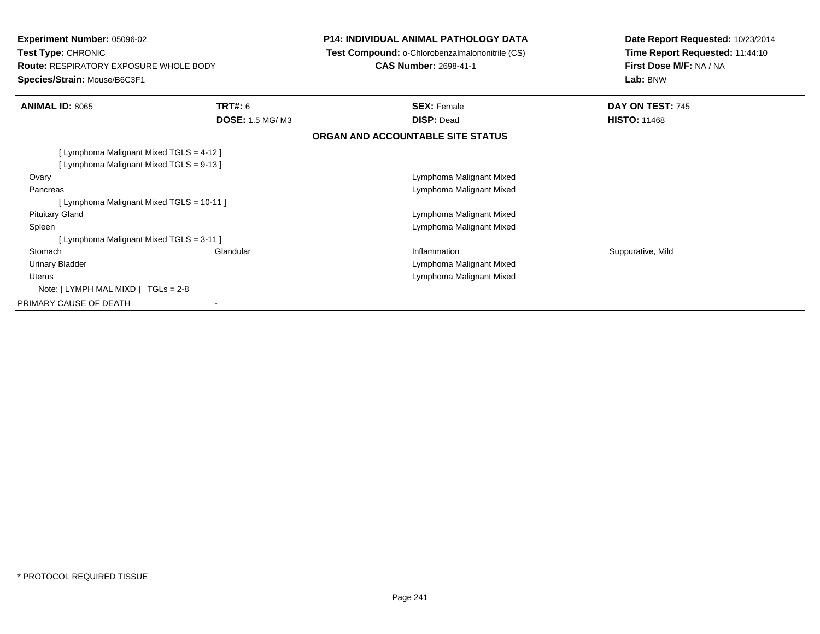| <b>Experiment Number: 05096-02</b><br><b>Test Type: CHRONIC</b><br><b>Route: RESPIRATORY EXPOSURE WHOLE BODY</b><br>Species/Strain: Mouse/B6C3F1                                                                                       |                                   | <b>P14: INDIVIDUAL ANIMAL PATHOLOGY DATA</b><br>Test Compound: o-Chlorobenzalmalononitrile (CS)<br><b>CAS Number: 2698-41-1</b> | Date Report Requested: 10/23/2014<br>Time Report Requested: 11:44:10<br>First Dose M/F: NA / NA<br>Lab: BNW |
|----------------------------------------------------------------------------------------------------------------------------------------------------------------------------------------------------------------------------------------|-----------------------------------|---------------------------------------------------------------------------------------------------------------------------------|-------------------------------------------------------------------------------------------------------------|
| <b>ANIMAL ID: 8065</b>                                                                                                                                                                                                                 | TRT#: 6<br><b>DOSE: 1.5 MG/M3</b> | <b>SEX: Female</b><br><b>DISP: Dead</b>                                                                                         | DAY ON TEST: 745<br><b>HISTO: 11468</b>                                                                     |
|                                                                                                                                                                                                                                        |                                   | ORGAN AND ACCOUNTABLE SITE STATUS                                                                                               |                                                                                                             |
| [ Lymphoma Malignant Mixed TGLS = 4-12 ]<br>[ Lymphoma Malignant Mixed TGLS = 9-13 ]<br>Ovary<br>Pancreas<br>[ Lymphoma Malignant Mixed TGLS = 10-11 ]<br><b>Pituitary Gland</b><br>Spleen<br>[ Lymphoma Malignant Mixed TGLS = 3-11 ] |                                   | Lymphoma Malignant Mixed<br>Lymphoma Malignant Mixed<br>Lymphoma Malignant Mixed<br>Lymphoma Malignant Mixed                    |                                                                                                             |
| Stomach<br>Urinary Bladder<br><b>Uterus</b><br>Note: $[LYMPH MAL MIXD] TGLs = 2-8$                                                                                                                                                     | Glandular                         | Inflammation<br>Lymphoma Malignant Mixed<br>Lymphoma Malignant Mixed                                                            | Suppurative, Mild                                                                                           |
| PRIMARY CAUSE OF DEATH                                                                                                                                                                                                                 | $\blacksquare$                    |                                                                                                                                 |                                                                                                             |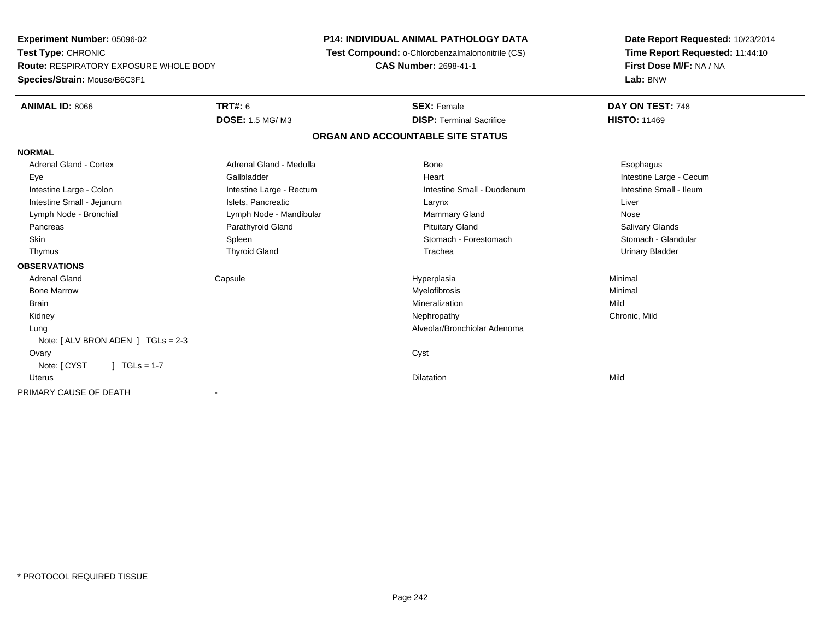**Experiment Number:** 05096-02**Test Type:** CHRONIC **Route:** RESPIRATORY EXPOSURE WHOLE BODY**Species/Strain:** Mouse/B6C3F1**P14: INDIVIDUAL ANIMAL PATHOLOGY DATA Test Compound:** o-Chlorobenzalmalononitrile (CS)**CAS Number:** 2698-41-1**Date Report Requested:** 10/23/2014**Time Report Requested:** 11:44:10**First Dose M/F:** NA / NA**Lab:** BNW**ANIMAL ID:** 8066 **TRT#:** <sup>6</sup> **SEX:** Female **DAY ON TEST:** <sup>748</sup> **DOSE:** 1.5 MG/ M3**DISP:** Terminal Sacrifice **HISTO:** 11469 **ORGAN AND ACCOUNTABLE SITE STATUSNORMALAdrenal Gland - Cortex** Adrenal Gland - Medulla **Bone** Bone **Cortes Adrenal Gland - Cortes Adrenal Gland - Cortes Adrenal Adrenal Bone** Esophagus Eye Gallbladder Heart Intestine Large - CecumIntestine Small - Ileum Intestine Large - Colon **Intestine Large - Rectum** Intestine Small - Duodenum Intestine Small - Duodenum Intestine Small - Jejunum **Intestine Small - Jejunum** Islets, Pancreatic **National Communist Communist Communist Communist Communist Communist Communist Communist Communist Communist Communist Communist Communist Communist** Lymph Node - Bronchial Nose Communication Communication Communication Communication Communication Communication Nose **Salivary Glands**  Pancreas Parathyroid Gland Pituitary Gland Salivary GlandsStomach - Glandular Skin Stomach - Forestomach Spleen Spleen Stomach - Forestomach - Stomach - Forestomach - Stomach - Glandular Stomach - Glandular Stomach - Glandular Stomach - Glandular Stomach - Stomach - Stomach - Stomach - Stomach - Sto Thymus Thyroid Gland Trachea Urinary Bladder**OBSERVATIONS** Adrenal Gland Capsule Hyperplasia Minimal Bone Marroww which is a controller to the Myelofibrosis and the Minimal method of the Minimal method of the Minimal method of  $M$  Brainn and the control of the control of the control of the Mineralization and the control of the Mild of the Mild o Kidneyy the controller of the controller of the controller of the controller of the controller of the chronic, Mild Lung Alveolar/Bronchiolar Adenoma Note: [ ALV BRON ADEN ] TGLs = 2-3 Ovaryy cystem in the control of the control of the control of the control of the control of the control of the control of the control of the control of the control of the control of the control of the control of the control of Note: [ CYST ] TGLs = 1-7 Uteruss and the contract of the contract of the contract of the contract of the contract of the contract of the contract of the contract of the contract of the contract of the contract of the contract of the contract of the cont n Mild PRIMARY CAUSE OF DEATH-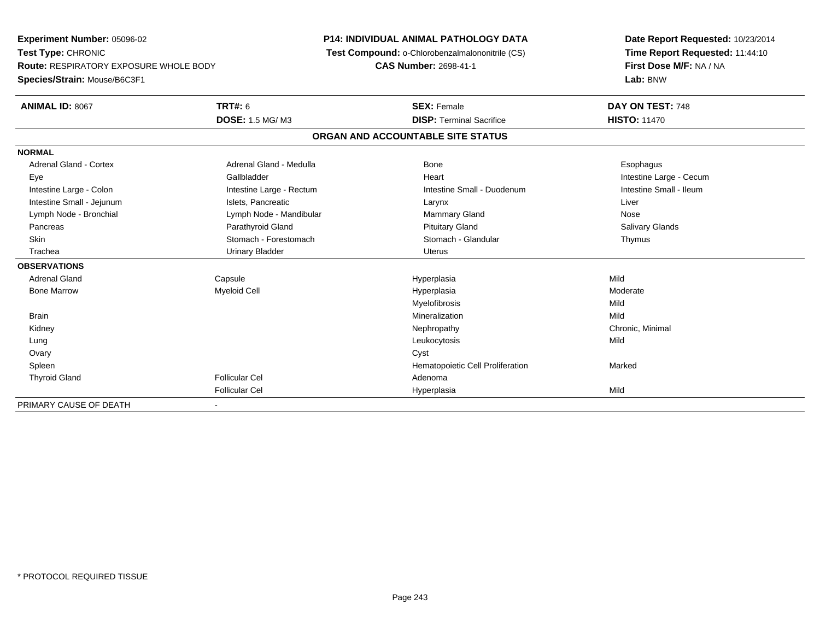**Experiment Number:** 05096-02**Test Type:** CHRONIC **Route:** RESPIRATORY EXPOSURE WHOLE BODY**Species/Strain:** Mouse/B6C3F1**P14: INDIVIDUAL ANIMAL PATHOLOGY DATA Test Compound:** o-Chlorobenzalmalononitrile (CS)**CAS Number:** 2698-41-1**Date Report Requested:** 10/23/2014**Time Report Requested:** 11:44:10**First Dose M/F:** NA / NA**Lab:** BNW**ANIMAL ID:** 8067**TRT#:** 6 **SEX:** Female **DAY ON TEST:** 748 **DOSE:** 1.5 MG/ M3**DISP:** Terminal Sacrifice **HISTO:** 11470 **ORGAN AND ACCOUNTABLE SITE STATUSNORMALAdrenal Gland - Cortex** Adrenal Gland - Medulla **Bone** Bone **Cortes Adrenal Gland - Cortes Adrenal Gland - Cortes Adrenal Adrenal Bone** Esophagus Eye Gallbladder Heart Intestine Large - CecumIntestine Small - Ileum Intestine Large - Colon **Intestine Large - Rectum** Intestine Small - Duodenum Intestine Small - Duodenum Intestine Small - Jejunum **Intestine Small - Jejunum** Islets, Pancreatic **National Communist Communist Communist Communist Communist Communist Communist Communist Communist Communist Communist Communist Communist Communist** Lymph Node - Bronchial Nose Communication Communication Communication Communication Communication Communication Nose **Salivary Glands**  Pancreas Parathyroid Gland Pituitary Gland Salivary GlandsSkin Stomach - Forestomach Stomach Stomach Stomach Stomach Stomach Stomach - Glandular Thymus Trachea Urinary Bladder Uterus**OBSERVATIONS** Adrenal Gland Capsule Hyperplasia Mild Bone Marroww the control of the Myeloid Cell the control of the Hyperplasia the control of the Moderate Moderate of the Moderate of the Moderate of the Moderate of the Moderate of the Moderate of the Moderate of the Moderate of the M Myelofibrosiss Mild Mild Brainn and the control of the control of the control of the Mineralization and the control of the Mild of the Mild o Kidneyy the controller the controller of the controller of the controller of the controller of the controller of the controller of the controller of the controller of the controller of the controller of the controller of the con Lung Leukocytosis Mild Ovaryy cystem in the control of the control of the control of the control of the control of the control of the control of the control of the control of the control of the control of the control of the control of the control of SpleenHematopoietic Cell Proliferation Marked Thyroid Glandd and the set of the Follicular Cel the set of the Second Adenomal Adenomal Second Second Second Second Second Second Second Second Second Second Second Second Second Second Second Second Second Second Second Second Second Follicular Cel Hyperplasiaa Mild PRIMARY CAUSE OF DEATH-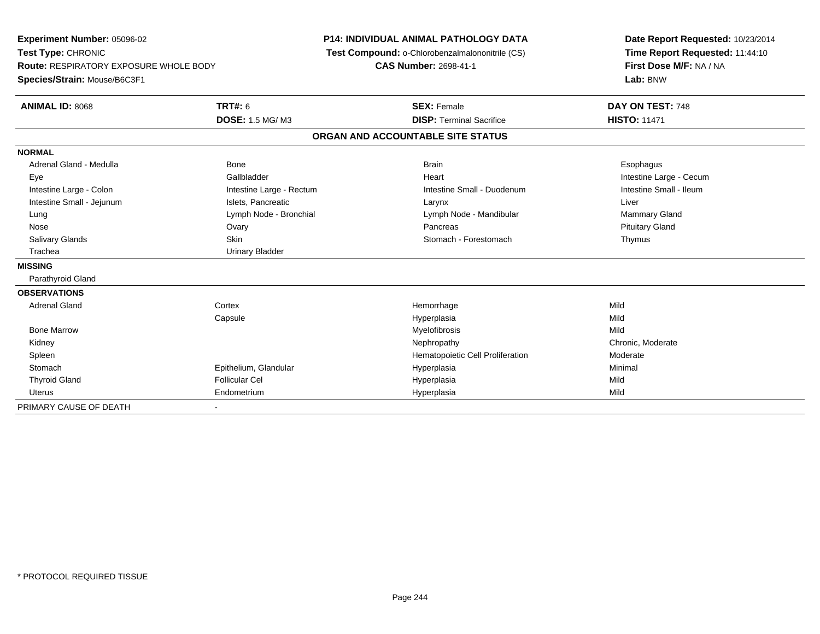| Experiment Number: 05096-02<br>Test Type: CHRONIC<br><b>Route: RESPIRATORY EXPOSURE WHOLE BODY</b> |                          | <b>P14: INDIVIDUAL ANIMAL PATHOLOGY DATA</b>    | Date Report Requested: 10/23/2014<br>Time Report Requested: 11:44:10 |  |
|----------------------------------------------------------------------------------------------------|--------------------------|-------------------------------------------------|----------------------------------------------------------------------|--|
|                                                                                                    |                          | Test Compound: o-Chlorobenzalmalononitrile (CS) |                                                                      |  |
|                                                                                                    |                          | <b>CAS Number: 2698-41-1</b>                    | First Dose M/F: NA / NA                                              |  |
| Species/Strain: Mouse/B6C3F1                                                                       |                          |                                                 | Lab: BNW                                                             |  |
| <b>ANIMAL ID: 8068</b>                                                                             | <b>TRT#: 6</b>           | <b>SEX: Female</b>                              | DAY ON TEST: 748                                                     |  |
|                                                                                                    | <b>DOSE: 1.5 MG/M3</b>   | <b>DISP: Terminal Sacrifice</b>                 | <b>HISTO: 11471</b>                                                  |  |
|                                                                                                    |                          | ORGAN AND ACCOUNTABLE SITE STATUS               |                                                                      |  |
| <b>NORMAL</b>                                                                                      |                          |                                                 |                                                                      |  |
| Adrenal Gland - Medulla                                                                            | Bone                     | <b>Brain</b>                                    | Esophagus                                                            |  |
| Eye                                                                                                | Gallbladder              | Heart                                           | Intestine Large - Cecum                                              |  |
| Intestine Large - Colon                                                                            | Intestine Large - Rectum | Intestine Small - Duodenum                      | Intestine Small - Ileum                                              |  |
| Intestine Small - Jejunum                                                                          | Islets, Pancreatic       | Larynx                                          | Liver                                                                |  |
| Lung                                                                                               | Lymph Node - Bronchial   | Lymph Node - Mandibular                         | <b>Mammary Gland</b>                                                 |  |
| Nose                                                                                               | Ovary                    | Pancreas                                        | <b>Pituitary Gland</b>                                               |  |
| Salivary Glands                                                                                    | Skin                     | Stomach - Forestomach                           | Thymus                                                               |  |
| Trachea                                                                                            | <b>Urinary Bladder</b>   |                                                 |                                                                      |  |
| <b>MISSING</b>                                                                                     |                          |                                                 |                                                                      |  |
| Parathyroid Gland                                                                                  |                          |                                                 |                                                                      |  |
| <b>OBSERVATIONS</b>                                                                                |                          |                                                 |                                                                      |  |
| <b>Adrenal Gland</b>                                                                               | Cortex                   | Hemorrhage                                      | Mild                                                                 |  |
|                                                                                                    | Capsule                  | Hyperplasia                                     | Mild                                                                 |  |
| <b>Bone Marrow</b>                                                                                 |                          | Myelofibrosis                                   | Mild                                                                 |  |
| Kidney                                                                                             |                          | Nephropathy                                     | Chronic, Moderate                                                    |  |
| Spleen                                                                                             |                          | Hematopoietic Cell Proliferation                | Moderate                                                             |  |
| Stomach                                                                                            | Epithelium, Glandular    | Hyperplasia                                     | Minimal                                                              |  |
| <b>Thyroid Gland</b>                                                                               | <b>Follicular Cel</b>    | Hyperplasia                                     | Mild                                                                 |  |
| <b>Uterus</b>                                                                                      | Endometrium              | Hyperplasia                                     | Mild                                                                 |  |
| PRIMARY CAUSE OF DEATH                                                                             |                          |                                                 |                                                                      |  |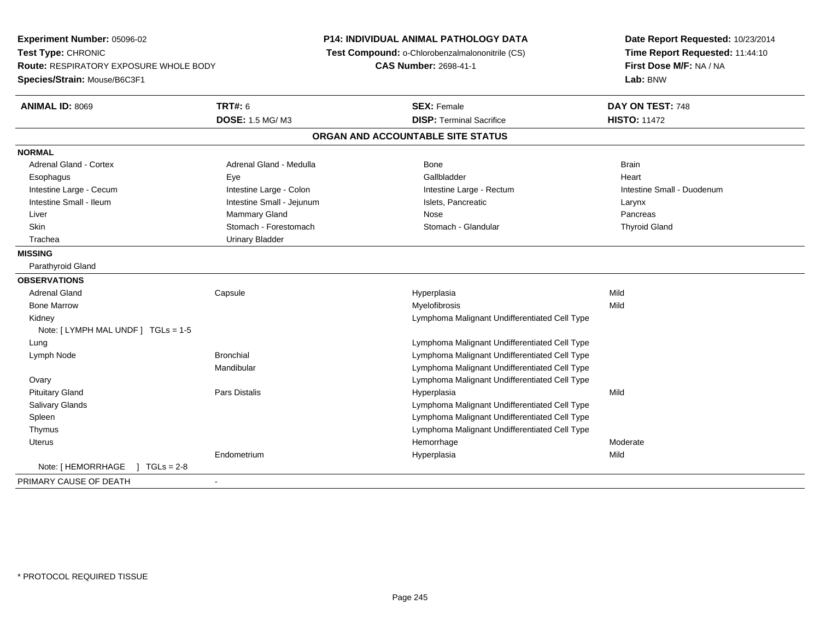| Experiment Number: 05096-02<br>Test Type: CHRONIC<br>Route: RESPIRATORY EXPOSURE WHOLE BODY<br>Species/Strain: Mouse/B6C3F1 |                           | P14: INDIVIDUAL ANIMAL PATHOLOGY DATA<br>Test Compound: o-Chlorobenzalmalononitrile (CS)<br><b>CAS Number: 2698-41-1</b> | Date Report Requested: 10/23/2014<br>Time Report Requested: 11:44:10<br>First Dose M/F: NA / NA<br>Lab: BNW |
|-----------------------------------------------------------------------------------------------------------------------------|---------------------------|--------------------------------------------------------------------------------------------------------------------------|-------------------------------------------------------------------------------------------------------------|
| <b>ANIMAL ID: 8069</b>                                                                                                      | <b>TRT#: 6</b>            | <b>SEX: Female</b>                                                                                                       | DAY ON TEST: 748                                                                                            |
|                                                                                                                             | <b>DOSE: 1.5 MG/M3</b>    | <b>DISP: Terminal Sacrifice</b>                                                                                          | <b>HISTO: 11472</b>                                                                                         |
|                                                                                                                             |                           | ORGAN AND ACCOUNTABLE SITE STATUS                                                                                        |                                                                                                             |
| <b>NORMAL</b>                                                                                                               |                           |                                                                                                                          |                                                                                                             |
| <b>Adrenal Gland - Cortex</b>                                                                                               | Adrenal Gland - Medulla   | Bone                                                                                                                     | <b>Brain</b>                                                                                                |
| Esophagus                                                                                                                   | Eye                       | Gallbladder                                                                                                              | Heart                                                                                                       |
| Intestine Large - Cecum                                                                                                     | Intestine Large - Colon   | Intestine Large - Rectum                                                                                                 | Intestine Small - Duodenum                                                                                  |
| Intestine Small - Ileum                                                                                                     | Intestine Small - Jejunum | Islets, Pancreatic                                                                                                       | Larynx                                                                                                      |
| Liver                                                                                                                       | Mammary Gland             | Nose                                                                                                                     | Pancreas                                                                                                    |
| <b>Skin</b>                                                                                                                 | Stomach - Forestomach     | Stomach - Glandular                                                                                                      | <b>Thyroid Gland</b>                                                                                        |
| Trachea                                                                                                                     | <b>Urinary Bladder</b>    |                                                                                                                          |                                                                                                             |
| <b>MISSING</b>                                                                                                              |                           |                                                                                                                          |                                                                                                             |
| Parathyroid Gland                                                                                                           |                           |                                                                                                                          |                                                                                                             |
| <b>OBSERVATIONS</b>                                                                                                         |                           |                                                                                                                          |                                                                                                             |
| <b>Adrenal Gland</b>                                                                                                        | Capsule                   | Hyperplasia                                                                                                              | Mild                                                                                                        |
| <b>Bone Marrow</b>                                                                                                          |                           | Myelofibrosis                                                                                                            | Mild                                                                                                        |
| Kidney                                                                                                                      |                           | Lymphoma Malignant Undifferentiated Cell Type                                                                            |                                                                                                             |
| Note: [ LYMPH MAL UNDF ] TGLs = 1-5                                                                                         |                           |                                                                                                                          |                                                                                                             |
| Lung                                                                                                                        |                           | Lymphoma Malignant Undifferentiated Cell Type                                                                            |                                                                                                             |
| Lymph Node                                                                                                                  | <b>Bronchial</b>          | Lymphoma Malignant Undifferentiated Cell Type                                                                            |                                                                                                             |
|                                                                                                                             | Mandibular                | Lymphoma Malignant Undifferentiated Cell Type                                                                            |                                                                                                             |
| Ovary                                                                                                                       |                           | Lymphoma Malignant Undifferentiated Cell Type                                                                            |                                                                                                             |
| <b>Pituitary Gland</b>                                                                                                      | Pars Distalis             | Hyperplasia                                                                                                              | Mild                                                                                                        |
| <b>Salivary Glands</b>                                                                                                      |                           | Lymphoma Malignant Undifferentiated Cell Type                                                                            |                                                                                                             |
| Spleen                                                                                                                      |                           | Lymphoma Malignant Undifferentiated Cell Type                                                                            |                                                                                                             |
| Thymus                                                                                                                      |                           | Lymphoma Malignant Undifferentiated Cell Type                                                                            |                                                                                                             |
| <b>Uterus</b>                                                                                                               |                           | Hemorrhage                                                                                                               | Moderate                                                                                                    |
|                                                                                                                             | Endometrium               | Hyperplasia                                                                                                              | Mild                                                                                                        |
| $1 TGLs = 2-8$<br>Note: [ HEMORRHAGE                                                                                        |                           |                                                                                                                          |                                                                                                             |
| PRIMARY CAUSE OF DEATH                                                                                                      |                           |                                                                                                                          |                                                                                                             |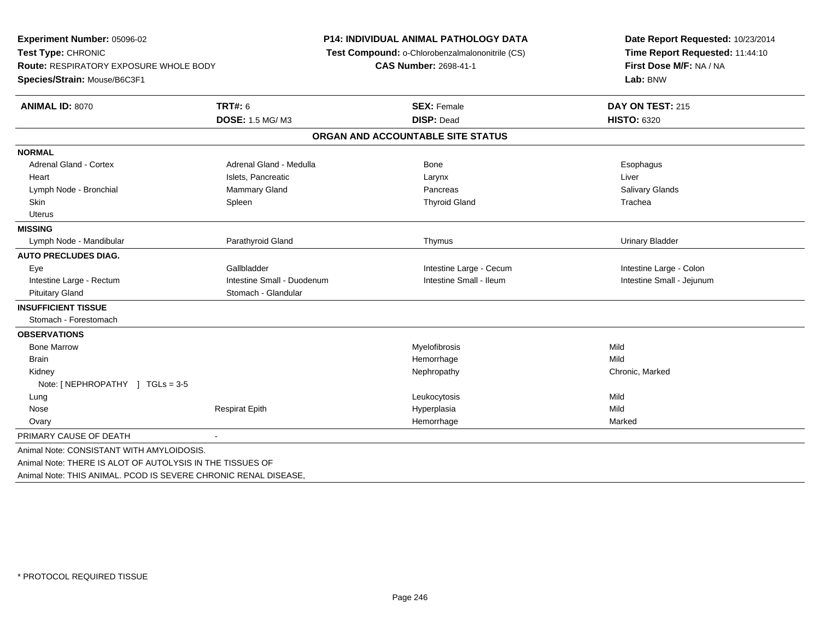| Experiment Number: 05096-02                               |                            | <b>P14: INDIVIDUAL ANIMAL PATHOLOGY DATA</b>    | Date Report Requested: 10/23/2014<br>Time Report Requested: 11:44:10 |  |
|-----------------------------------------------------------|----------------------------|-------------------------------------------------|----------------------------------------------------------------------|--|
| Test Type: CHRONIC                                        |                            | Test Compound: o-Chlorobenzalmalononitrile (CS) |                                                                      |  |
| <b>Route: RESPIRATORY EXPOSURE WHOLE BODY</b>             |                            | <b>CAS Number: 2698-41-1</b>                    | First Dose M/F: NA / NA                                              |  |
| Species/Strain: Mouse/B6C3F1                              |                            |                                                 | Lab: BNW                                                             |  |
| <b>ANIMAL ID: 8070</b>                                    | <b>TRT#: 6</b>             | <b>SEX: Female</b>                              | DAY ON TEST: 215                                                     |  |
|                                                           | <b>DOSE: 1.5 MG/M3</b>     | <b>DISP: Dead</b>                               | <b>HISTO: 6320</b>                                                   |  |
|                                                           |                            | ORGAN AND ACCOUNTABLE SITE STATUS               |                                                                      |  |
| <b>NORMAL</b>                                             |                            |                                                 |                                                                      |  |
| <b>Adrenal Gland - Cortex</b>                             | Adrenal Gland - Medulla    | <b>Bone</b>                                     | Esophagus                                                            |  |
| Heart                                                     | Islets, Pancreatic         | Larynx                                          | Liver                                                                |  |
| Lymph Node - Bronchial                                    | <b>Mammary Gland</b>       | Pancreas                                        | Salivary Glands                                                      |  |
| Skin                                                      | Spleen                     | <b>Thyroid Gland</b>                            | Trachea                                                              |  |
| Uterus                                                    |                            |                                                 |                                                                      |  |
| <b>MISSING</b>                                            |                            |                                                 |                                                                      |  |
| Lymph Node - Mandibular                                   | Parathyroid Gland          | Thymus                                          | <b>Urinary Bladder</b>                                               |  |
| <b>AUTO PRECLUDES DIAG.</b>                               |                            |                                                 |                                                                      |  |
| Eye                                                       | Gallbladder                | Intestine Large - Cecum                         | Intestine Large - Colon                                              |  |
| Intestine Large - Rectum                                  | Intestine Small - Duodenum | Intestine Small - Ileum                         | Intestine Small - Jejunum                                            |  |
| <b>Pituitary Gland</b>                                    | Stomach - Glandular        |                                                 |                                                                      |  |
| <b>INSUFFICIENT TISSUE</b>                                |                            |                                                 |                                                                      |  |
| Stomach - Forestomach                                     |                            |                                                 |                                                                      |  |
| <b>OBSERVATIONS</b>                                       |                            |                                                 |                                                                      |  |
| <b>Bone Marrow</b>                                        |                            | Myelofibrosis                                   | Mild                                                                 |  |
| <b>Brain</b>                                              |                            | Hemorrhage                                      | Mild                                                                 |  |
| Kidney                                                    |                            | Nephropathy                                     | Chronic, Marked                                                      |  |
| Note: [NEPHROPATHY ] TGLs = 3-5                           |                            |                                                 |                                                                      |  |
| Lung                                                      |                            | Leukocytosis                                    | Mild                                                                 |  |
| Nose                                                      | <b>Respirat Epith</b>      | Hyperplasia                                     | Mild                                                                 |  |
| Ovary                                                     |                            | Hemorrhage                                      | Marked                                                               |  |
| PRIMARY CAUSE OF DEATH                                    | $\blacksquare$             |                                                 |                                                                      |  |
| Animal Note: CONSISTANT WITH AMYLOIDOSIS.                 |                            |                                                 |                                                                      |  |
| Animal Note: THERE IS ALOT OF AUTOLYSIS IN THE TISSUES OF |                            |                                                 |                                                                      |  |

Animal Note: THIS ANIMAL. PCOD IS SEVERE CHRONIC RENAL DISEASE,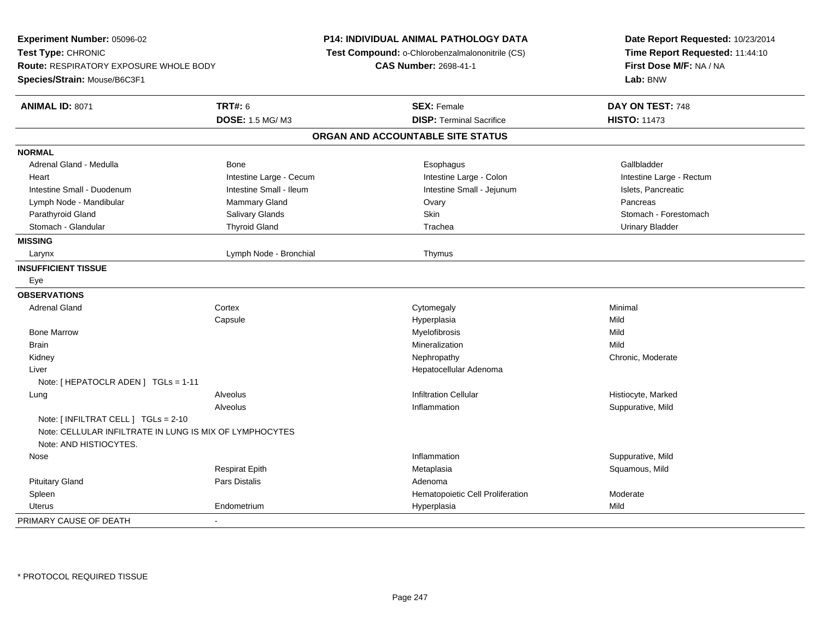| Experiment Number: 05096-02<br>Test Type: CHRONIC<br><b>Route: RESPIRATORY EXPOSURE WHOLE BODY</b><br>Species/Strain: Mouse/B6C3F1 |                         | <b>P14: INDIVIDUAL ANIMAL PATHOLOGY DATA</b><br>Test Compound: o-Chlorobenzalmalononitrile (CS)<br><b>CAS Number: 2698-41-1</b> | Date Report Requested: 10/23/2014<br>Time Report Requested: 11:44:10<br>First Dose M/F: NA / NA<br>Lab: BNW |
|------------------------------------------------------------------------------------------------------------------------------------|-------------------------|---------------------------------------------------------------------------------------------------------------------------------|-------------------------------------------------------------------------------------------------------------|
| <b>ANIMAL ID: 8071</b>                                                                                                             | <b>TRT#: 6</b>          | <b>SEX: Female</b>                                                                                                              | DAY ON TEST: 748                                                                                            |
|                                                                                                                                    | <b>DOSE: 1.5 MG/ M3</b> | <b>DISP: Terminal Sacrifice</b>                                                                                                 | <b>HISTO: 11473</b>                                                                                         |
|                                                                                                                                    |                         | ORGAN AND ACCOUNTABLE SITE STATUS                                                                                               |                                                                                                             |
| <b>NORMAL</b>                                                                                                                      |                         |                                                                                                                                 |                                                                                                             |
| Adrenal Gland - Medulla                                                                                                            | Bone                    | Esophagus                                                                                                                       | Gallbladder                                                                                                 |
| Heart                                                                                                                              | Intestine Large - Cecum | Intestine Large - Colon                                                                                                         | Intestine Large - Rectum                                                                                    |
| Intestine Small - Duodenum                                                                                                         | Intestine Small - Ileum | Intestine Small - Jejunum                                                                                                       | Islets, Pancreatic                                                                                          |
| Lymph Node - Mandibular                                                                                                            | Mammary Gland           | Ovary                                                                                                                           | Pancreas                                                                                                    |
| Parathyroid Gland                                                                                                                  | <b>Salivary Glands</b>  | Skin                                                                                                                            | Stomach - Forestomach                                                                                       |
| Stomach - Glandular                                                                                                                | <b>Thyroid Gland</b>    | Trachea                                                                                                                         | <b>Urinary Bladder</b>                                                                                      |
| <b>MISSING</b>                                                                                                                     |                         |                                                                                                                                 |                                                                                                             |
| Larynx                                                                                                                             | Lymph Node - Bronchial  | Thymus                                                                                                                          |                                                                                                             |
| <b>INSUFFICIENT TISSUE</b>                                                                                                         |                         |                                                                                                                                 |                                                                                                             |
| Eye                                                                                                                                |                         |                                                                                                                                 |                                                                                                             |
| <b>OBSERVATIONS</b>                                                                                                                |                         |                                                                                                                                 |                                                                                                             |
| Adrenal Gland                                                                                                                      | Cortex                  | Cytomegaly                                                                                                                      | Minimal                                                                                                     |
|                                                                                                                                    | Capsule                 | Hyperplasia                                                                                                                     | Mild                                                                                                        |
| <b>Bone Marrow</b>                                                                                                                 |                         | Myelofibrosis                                                                                                                   | Mild                                                                                                        |
| <b>Brain</b>                                                                                                                       |                         | Mineralization                                                                                                                  | Mild                                                                                                        |
| Kidney                                                                                                                             |                         | Nephropathy                                                                                                                     | Chronic, Moderate                                                                                           |
| Liver                                                                                                                              |                         | Hepatocellular Adenoma                                                                                                          |                                                                                                             |
| Note: [ HEPATOCLR ADEN ] TGLs = 1-11                                                                                               |                         |                                                                                                                                 |                                                                                                             |
| Lung                                                                                                                               | Alveolus                | <b>Infiltration Cellular</b>                                                                                                    | Histiocyte, Marked                                                                                          |
|                                                                                                                                    | Alveolus                | Inflammation                                                                                                                    | Suppurative, Mild                                                                                           |
| Note: [ INFILTRAT CELL ] TGLs = 2-10<br>Note: CELLULAR INFILTRATE IN LUNG IS MIX OF LYMPHOCYTES<br>Note: AND HISTIOCYTES.          |                         |                                                                                                                                 |                                                                                                             |
| Nose                                                                                                                               |                         | Inflammation                                                                                                                    | Suppurative, Mild                                                                                           |
|                                                                                                                                    | <b>Respirat Epith</b>   | Metaplasia                                                                                                                      | Squamous, Mild                                                                                              |
| <b>Pituitary Gland</b>                                                                                                             | Pars Distalis           | Adenoma                                                                                                                         |                                                                                                             |
| Spleen                                                                                                                             |                         | Hematopoietic Cell Proliferation                                                                                                | Moderate                                                                                                    |
| <b>Uterus</b>                                                                                                                      | Endometrium             | Hyperplasia                                                                                                                     | Mild                                                                                                        |
| PRIMARY CAUSE OF DEATH                                                                                                             | ä,                      |                                                                                                                                 |                                                                                                             |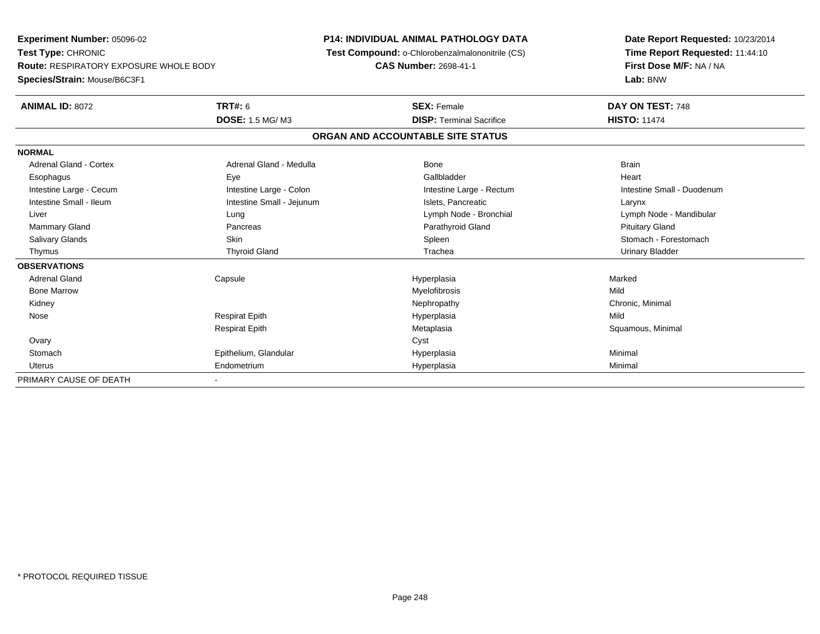**Experiment Number:** 05096-02**Test Type:** CHRONIC **Route:** RESPIRATORY EXPOSURE WHOLE BODY**Species/Strain:** Mouse/B6C3F1**P14: INDIVIDUAL ANIMAL PATHOLOGY DATA Test Compound:** o-Chlorobenzalmalononitrile (CS)**CAS Number:** 2698-41-1**Date Report Requested:** 10/23/2014**Time Report Requested:** 11:44:10**First Dose M/F:** NA / NA**Lab:** BNW**ANIMAL ID:** 8072 **TRT#:** <sup>6</sup> **SEX:** Female **DAY ON TEST:** <sup>748</sup> **DOSE:** 1.5 MG/ M3**DISP:** Terminal Sacrifice **HISTO:** 11474 **ORGAN AND ACCOUNTABLE SITE STATUSNORMALAdrenal Gland - Cortex** Adrenal Gland - Medulla **Bone** Bone Bone Brain Brain Heart Esophagus Eye Gallbladder HeartIntestine Large - Cecum **Intestine Large - Colon** Intestine Large - Colon Intestine Large - Rectum Intestine Large - Rectum Intestine Small - Duodenum Intestine Small - Ileum Larynx Intestine Small - Jejunum Intestine Small - Jejunum Islets, Pancreatic Larynx Liver Lung Lymph Node - Bronchial Lymph Node - Mandibular Mammary Gland Pancreas Parathyroid Gland Pituitary GlandSalivary Glands Salivary School School School School Spleen School Spleen Stomach - Forestomach - Stomach - Forestomach Thymus Thyroid Gland Trachea Urinary Bladder**OBSERVATIONS** Adrenal Gland Capsule Hyperplasia Marked Bone Marroww which is a state of the Myelofibrosis and the Myelofibrosis and the Mild of the Mild of the Mild of the Mild of the Mild of the Mild of the Mild of the Mild of the Mild of the Mild of the Mild of the Mild of the Mild of Kidneyy the controller the controller of the controller of the controller of the controller of the controller of the controller of the controller of the controller of the controller of the controller of the controller of the con Nose Respirat Epith Hyperplasia Mild Respirat EpithMetaplasia **Squamous, Minimal**  Ovaryy cystem in the control of the control of the control of the control of the control of the control of the control of the control of the control of the control of the control of the control of the control of the control of **Stomach**  Epithelium, Glandular Hyperplasia Minimal Uterus Endometrium Hyperplasia Minimal PRIMARY CAUSE OF DEATH-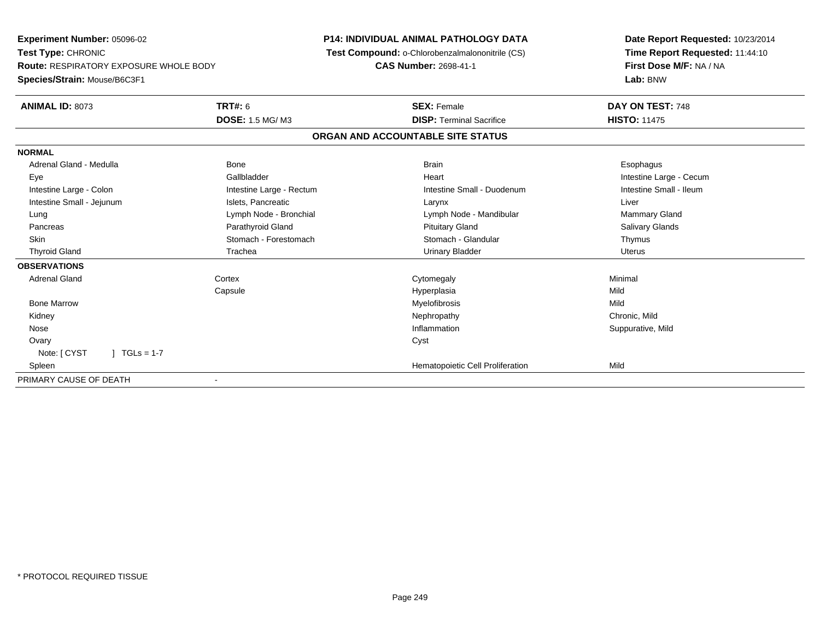| <b>Experiment Number: 05096-02</b><br>Test Type: CHRONIC<br><b>Route: RESPIRATORY EXPOSURE WHOLE BODY</b><br>Species/Strain: Mouse/B6C3F1 |                          | <b>P14: INDIVIDUAL ANIMAL PATHOLOGY DATA</b><br>Test Compound: o-Chlorobenzalmalononitrile (CS)<br><b>CAS Number: 2698-41-1</b> | Date Report Requested: 10/23/2014<br>Time Report Requested: 11:44:10<br>First Dose M/F: NA / NA<br>Lab: BNW |
|-------------------------------------------------------------------------------------------------------------------------------------------|--------------------------|---------------------------------------------------------------------------------------------------------------------------------|-------------------------------------------------------------------------------------------------------------|
|                                                                                                                                           |                          |                                                                                                                                 |                                                                                                             |
| <b>ANIMAL ID: 8073</b>                                                                                                                    | <b>TRT#: 6</b>           | <b>SEX: Female</b>                                                                                                              | DAY ON TEST: 748                                                                                            |
|                                                                                                                                           | <b>DOSE: 1.5 MG/M3</b>   | <b>DISP: Terminal Sacrifice</b>                                                                                                 | <b>HISTO: 11475</b>                                                                                         |
|                                                                                                                                           |                          | ORGAN AND ACCOUNTABLE SITE STATUS                                                                                               |                                                                                                             |
| <b>NORMAL</b>                                                                                                                             |                          |                                                                                                                                 |                                                                                                             |
| Adrenal Gland - Medulla                                                                                                                   | Bone                     | <b>Brain</b>                                                                                                                    | Esophagus                                                                                                   |
| Eye                                                                                                                                       | Gallbladder              | Heart                                                                                                                           | Intestine Large - Cecum                                                                                     |
| Intestine Large - Colon                                                                                                                   | Intestine Large - Rectum | Intestine Small - Duodenum                                                                                                      | Intestine Small - Ileum                                                                                     |
| Intestine Small - Jejunum                                                                                                                 | Islets, Pancreatic       | Larynx                                                                                                                          | Liver                                                                                                       |
| Lung                                                                                                                                      | Lymph Node - Bronchial   | Lymph Node - Mandibular                                                                                                         | <b>Mammary Gland</b>                                                                                        |
| Pancreas                                                                                                                                  | Parathyroid Gland        | <b>Pituitary Gland</b>                                                                                                          | Salivary Glands                                                                                             |
| Skin                                                                                                                                      | Stomach - Forestomach    | Stomach - Glandular                                                                                                             | Thymus                                                                                                      |
| <b>Thyroid Gland</b>                                                                                                                      | Trachea                  | <b>Urinary Bladder</b>                                                                                                          | Uterus                                                                                                      |
| <b>OBSERVATIONS</b>                                                                                                                       |                          |                                                                                                                                 |                                                                                                             |
| <b>Adrenal Gland</b>                                                                                                                      | Cortex                   | Cytomegaly                                                                                                                      | Minimal                                                                                                     |
|                                                                                                                                           | Capsule                  | Hyperplasia                                                                                                                     | Mild                                                                                                        |
| <b>Bone Marrow</b>                                                                                                                        |                          | Myelofibrosis                                                                                                                   | Mild                                                                                                        |
| Kidney                                                                                                                                    |                          | Nephropathy                                                                                                                     | Chronic, Mild                                                                                               |
| Nose                                                                                                                                      |                          | Inflammation                                                                                                                    | Suppurative, Mild                                                                                           |
| Ovary                                                                                                                                     |                          | Cyst                                                                                                                            |                                                                                                             |
| Note: [ CYST<br>$1 TGLs = 1-7$                                                                                                            |                          |                                                                                                                                 |                                                                                                             |
| Spleen                                                                                                                                    |                          | Hematopoietic Cell Proliferation                                                                                                | Mild                                                                                                        |
| PRIMARY CAUSE OF DEATH                                                                                                                    |                          |                                                                                                                                 |                                                                                                             |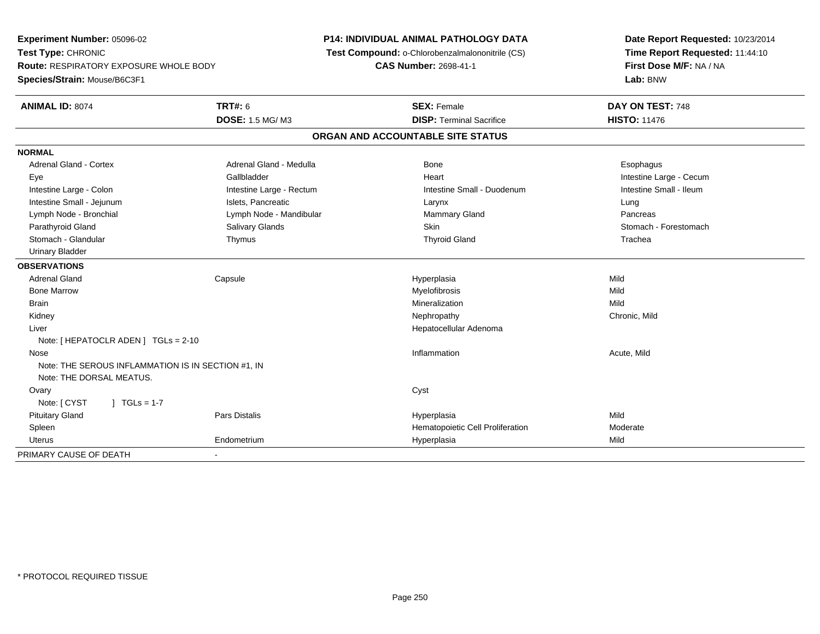**Experiment Number:** 05096-02**Test Type:** CHRONIC **Route:** RESPIRATORY EXPOSURE WHOLE BODY**Species/Strain:** Mouse/B6C3F1**P14: INDIVIDUAL ANIMAL PATHOLOGY DATA Test Compound:** o-Chlorobenzalmalononitrile (CS)**CAS Number:** 2698-41-1**Date Report Requested:** 10/23/2014**Time Report Requested:** 11:44:10**First Dose M/F:** NA / NA**Lab:** BNW**ANIMAL ID:** 8074**TRT#:** 6 **SEX:** Female **DAY ON TEST:** 748 **DOSE:** 1.5 MG/ M3**DISP:** Terminal Sacrifice **HISTO:** 11476 **ORGAN AND ACCOUNTABLE SITE STATUSNORMALAdrenal Gland - Cortex** Adrenal Gland - Medulla **Adrenal Gland - Medulla Bone** Bone **Bone** Esophagus Esophagus Eye Gallbladder Heart Intestine Large - CecumIntestine Small - Ileum Intestine Large - Colon **Intestine Large - Rectum** Intestine Small - Duodenum Intestine Small - Duodenum Intestine Small - Jejunum **Intestine Small - Jejunum** Islets, Pancreatic **Network Construction Career Construction** Pancreas Lymph Node - Bronchial **Lymph Node - Mandibular** Mammary Gland Pancrease Cland Pancrease Control Pancrease Pancrease Pancrease Mammary Gland Pancrease Pancrease Pancrease Pancrease Pancrease Pancrease Pancrease Pancrease P Stomach - Forestomach Parathyroid Gland Salivary Glands Salivary Glands Summach Skin Skin Stomach - Forestomach - Stomach - Stomach Stomach - Glandular Thymus Thyroid Gland Trachea Urinary Bladder**OBSERVATIONS** Adrenal Gland Capsule Hyperplasia Mild Bone Marroww which is a state of the Myelofibrosis and the Myelofibrosis and the Mild of the Mild of the Mild of the Mild of the Mild of the Mild of the Mild of the Mild of the Mild of the Mild of the Mild of the Mild of the Mild of Brainn and the control of the control of the control of the Mineralization and the control of the Mild of the Mild o Kidneyy the controller of the controller of the controller of the controller of the controller of the chronic, Mild Liver Hepatocellular AdenomaNote: [ HEPATOCLR ADEN ] TGLs = 2-10 Nosee the contraction of the contraction of the contraction of the contraction of the contraction of the contraction  $\mathsf{Acute},\mathsf{Mild}$ Note: THE SEROUS INFLAMMATION IS IN SECTION #1, INNote: THE DORSAL MEATUS.**Ovary** y cystem in the control of the control of the control of the control of the control of the control of the control of the control of the control of the control of the control of the control of the control of the control of Note: [ CYST ] TGLs = 1-7 Pituitary Gland Pars Distalis Hyperplasia Mild SpleenHematopoietic Cell Proliferation<br>
Hyperplasia Mild Mild Uterus Endometrium Hyperplasia Mild PRIMARY CAUSE OF DEATH-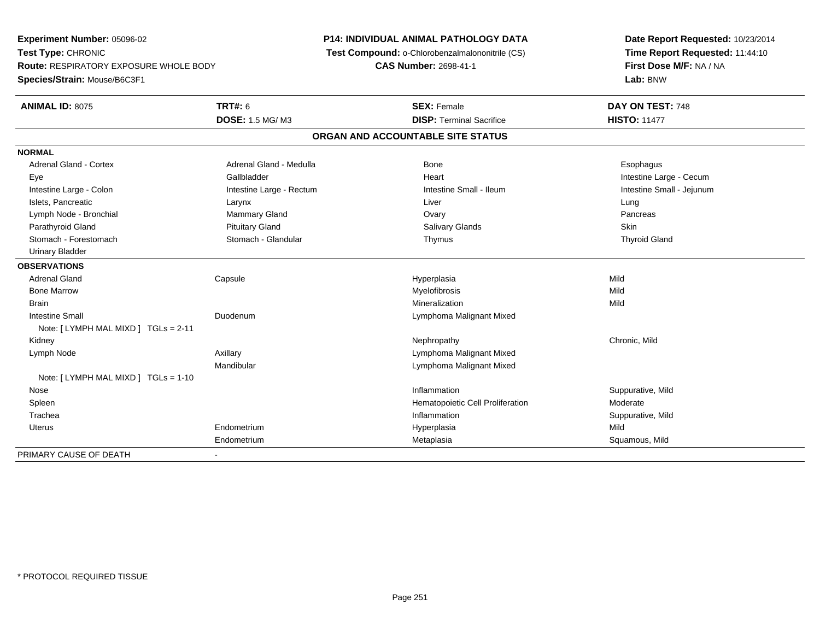**Experiment Number:** 05096-02**Test Type:** CHRONIC **Route:** RESPIRATORY EXPOSURE WHOLE BODY**Species/Strain:** Mouse/B6C3F1**P14: INDIVIDUAL ANIMAL PATHOLOGY DATA Test Compound:** o-Chlorobenzalmalononitrile (CS)**CAS Number:** 2698-41-1**Date Report Requested:** 10/23/2014**Time Report Requested:** 11:44:10**First Dose M/F:** NA / NA**Lab:** BNW**ANIMAL ID:** 8075 **TRT#:** <sup>6</sup> **SEX:** Female **DAY ON TEST:** <sup>748</sup> **DOSE:** 1.5 MG/ M3**DISP:** Terminal Sacrifice **HISTO:** 11477 **ORGAN AND ACCOUNTABLE SITE STATUSNORMALAdrenal Gland - Cortex** Adrenal Gland - Medulla **Bone** Bone **Bone** Esophagus Esophagus Eye Gallbladder Heart Intestine Large - CecumIntestine Small - Jejunum Intestine Large - Colon **Intestine Large - Rectum** Intestine Small - Ileum Intestine Small - Ileum Islets, Pancreatic Larynx Liver LungPancreas Lymph Node - Bronchial **Mammary Gland** Mammary Gland **Constanting Constanting Ovary Pancrease** Ovary Pancrease Pancrease Pancrease Pancrease Pancrease Pancrease Pancrease Pancrease Pancrease Pancrease Pancrease Pancrease P Parathyroid Gland Phillip Communication of Pituitary Gland Pitus School Salivary Glands Skin Skin Skin Skin Skin **Thyroid Gland**  Stomach - Forestomach Stomach - Glandular Thymus Thyroid Gland Urinary Bladder**OBSERVATIONS** Adrenal Gland Capsule Hyperplasia Mild Bone Marroww which is a state of the Myelofibrosis and the Myelofibrosis and the Mild of the Mild of the Mild of the Mild of the Mild of the Mild of the Mild of the Mild of the Mild of the Mild of the Mild of the Mild of the Mild of Brainn and the control of the control of the control of the Mineralization and the control of the Mild of the Mild o Intestine Small Duodenum Lymphoma Malignant Mixed Note: [ LYMPH MAL MIXD ] TGLs = 2-11 Kidneyy the controller of the controller of the controller of the controller of the controller of the chronic, Mild Lymph NodeAxillary **Axillary Axillary Lymphoma Malignant Mixed** Mandibular Lymphoma Malignant MixedNote: [ LYMPH MAL MIXD ] TGLs = 1-10 Nosee substitution of the substitution of the substitution of the substitution of the substitution of the Suppurative, Mild SpleenHematopoietic Cell Proliferation Moderate Tracheaa suppurative, Mild and Suppurative, Mild and Suppurative, Mild and Suppurative, Mild and Suppurative, Mild and Suppurative, Mild and Suppurative, Mild and Suppurative, Mild and Suppurative, Mild and Suppurative, Mild and Uterus Endometrium Hyperplasia Mild Endometrium Metaplasia Squamous, Mild PRIMARY CAUSE OF DEATH-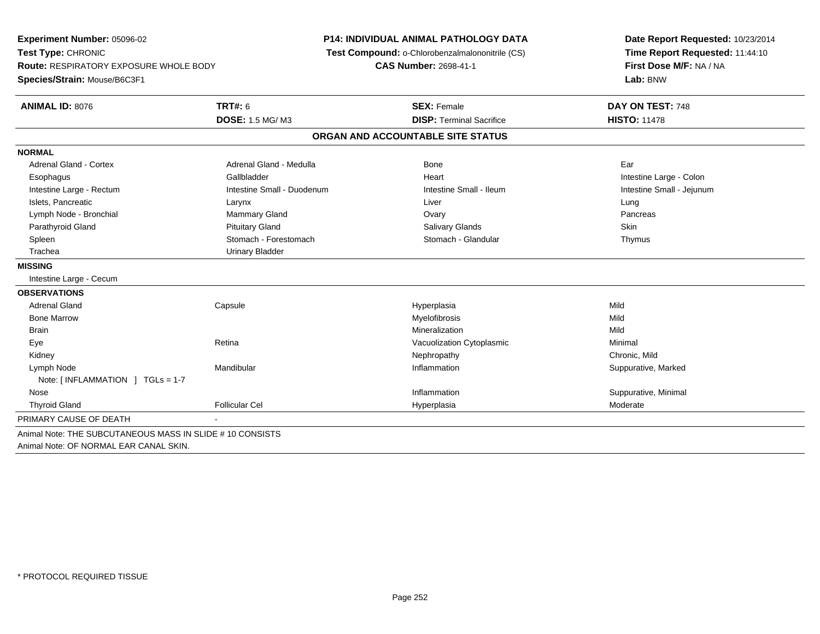| <b>Experiment Number: 05096-02</b><br>Test Type: CHRONIC |                            | <b>P14: INDIVIDUAL ANIMAL PATHOLOGY DATA</b>    | Date Report Requested: 10/23/2014<br>Time Report Requested: 11:44:10 |
|----------------------------------------------------------|----------------------------|-------------------------------------------------|----------------------------------------------------------------------|
|                                                          |                            | Test Compound: o-Chlorobenzalmalononitrile (CS) |                                                                      |
| <b>Route: RESPIRATORY EXPOSURE WHOLE BODY</b>            |                            | <b>CAS Number: 2698-41-1</b>                    | First Dose M/F: NA / NA<br>Lab: BNW                                  |
| Species/Strain: Mouse/B6C3F1                             |                            |                                                 |                                                                      |
| ANIMAL ID: 8076                                          | <b>TRT#: 6</b>             | <b>SEX: Female</b>                              | DAY ON TEST: 748                                                     |
|                                                          | <b>DOSE: 1.5 MG/M3</b>     | <b>DISP: Terminal Sacrifice</b>                 | <b>HISTO: 11478</b>                                                  |
|                                                          |                            | ORGAN AND ACCOUNTABLE SITE STATUS               |                                                                      |
| <b>NORMAL</b>                                            |                            |                                                 |                                                                      |
| <b>Adrenal Gland - Cortex</b>                            | Adrenal Gland - Medulla    | <b>Bone</b>                                     | Ear                                                                  |
| Esophagus                                                | Gallbladder                | Heart                                           | Intestine Large - Colon                                              |
| Intestine Large - Rectum                                 | Intestine Small - Duodenum | Intestine Small - Ileum                         | Intestine Small - Jejunum                                            |
| Islets, Pancreatic                                       | Larynx                     | Liver                                           | Lung                                                                 |
| Lymph Node - Bronchial                                   | Mammary Gland              | Ovary                                           | Pancreas                                                             |
| Parathyroid Gland                                        | <b>Pituitary Gland</b>     | <b>Salivary Glands</b>                          | Skin                                                                 |
| Spleen                                                   | Stomach - Forestomach      | Stomach - Glandular                             | Thymus                                                               |
| Trachea                                                  | <b>Urinary Bladder</b>     |                                                 |                                                                      |
| <b>MISSING</b>                                           |                            |                                                 |                                                                      |
| Intestine Large - Cecum                                  |                            |                                                 |                                                                      |
| <b>OBSERVATIONS</b>                                      |                            |                                                 |                                                                      |
| <b>Adrenal Gland</b>                                     | Capsule                    | Hyperplasia                                     | Mild                                                                 |
| <b>Bone Marrow</b>                                       |                            | Myelofibrosis                                   | Mild                                                                 |
| <b>Brain</b>                                             |                            | Mineralization                                  | Mild                                                                 |
| Eye                                                      | Retina                     | Vacuolization Cytoplasmic                       | Minimal                                                              |
| Kidney                                                   |                            | Nephropathy                                     | Chronic, Mild                                                        |
| Lymph Node                                               | Mandibular                 | Inflammation                                    | Suppurative, Marked                                                  |
| Note: [INFLAMMATION ] TGLs = 1-7                         |                            |                                                 |                                                                      |
| Nose                                                     |                            | Inflammation                                    | Suppurative, Minimal                                                 |
| <b>Thyroid Gland</b>                                     | <b>Follicular Cel</b>      | Hyperplasia                                     | Moderate                                                             |
| PRIMARY CAUSE OF DEATH                                   |                            |                                                 |                                                                      |
| Animal Note: THE SUBCUTANEOUS MASS IN SLIDE #10 CONSISTS |                            |                                                 |                                                                      |
| Animal Note: OF NORMAL EAR CANAL SKIN.                   |                            |                                                 |                                                                      |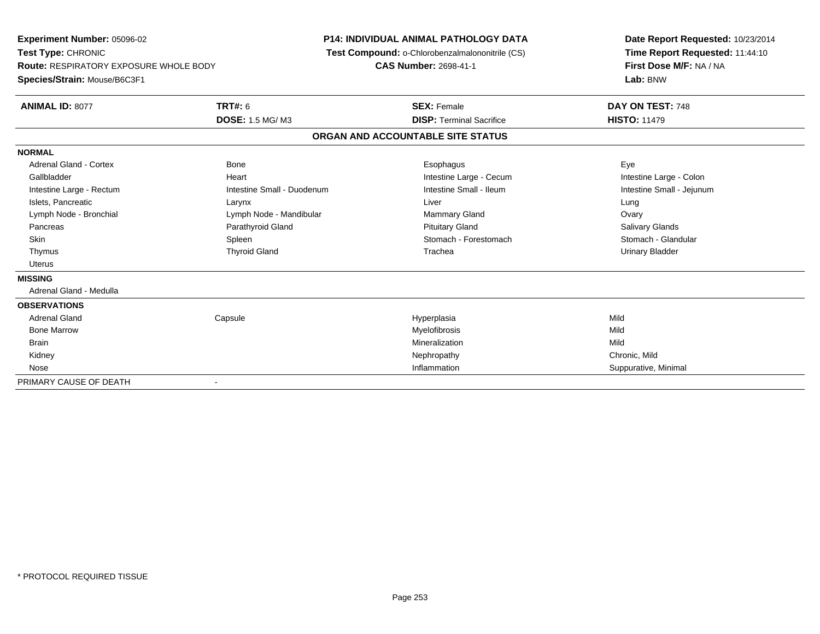**Experiment Number:** 05096-02**Test Type:** CHRONIC **Route:** RESPIRATORY EXPOSURE WHOLE BODY**Species/Strain:** Mouse/B6C3F1**P14: INDIVIDUAL ANIMAL PATHOLOGY DATA Test Compound:** o-Chlorobenzalmalononitrile (CS)**CAS Number:** 2698-41-1**Date Report Requested:** 10/23/2014**Time Report Requested:** 11:44:10**First Dose M/F:** NA / NA**Lab:** BNW**ANIMAL ID:** 8077**TRT#:** 6 **SEX:** Female **DAY ON TEST:** 748 **DOSE:** 1.5 MG/ M3**DISP:** Terminal Sacrifice **HISTO:** 11479 **ORGAN AND ACCOUNTABLE SITE STATUSNORMAL** Adrenal Gland - Cortex Bone Esophagus EyeIntestine Large - Colon Gallbladder **East Community Community** Heart Intestine Large - Cecum Intestine Large - Cecum Intestine Small - Jejunum Intestine Large - Rectum **Intestine Small - Duodenum** Intestine Small - Ileum Intestine Small - Ileum Islets, Pancreatic Larynx Liver LungOvary Lymph Node - Bronchial **Lymph Node - Mandibular** Mammary Gland Ovary Andrew Lymph Node - Mandibular Mammary Gland **Salivary Glands**  Pancreas Parathyroid Gland Pituitary Gland Salivary GlandsStomach - Glandular Skin Stomach - Forestomach Spleen Spleen Stomach - Forestomach - Stomach - Forestomach - Stomach - Glandular S Thymus Thyroid Gland Trachea Urinary Bladder Uterus**MISSING** Adrenal Gland - Medulla**OBSERVATIONS** Adrenal Gland Capsule Hyperplasia Mild Bone Marroww which is a matter of the Myelofibrosis and the Myelofibrosis and the Mild of the Mild of the Mild of the Mild of the Mild of the Mild of the Mild of the Mild of the Mild of the Mild of the Mild of the Mild of the Mild of Brainn and the control of the control of the control of the control of the control of the control of the control of the control of the control of the control of the control of the control of the control of the control of the co Kidneyy the controller of the controller of the controller of the controller of the controller of the chronic, Mild Suppurative, Minimal Nosee and the suppurative, Minimal and the suppurative of the suppurative of the suppurative of  $\sim$  Suppurative, Minimal and the suppurative of  $\sim$  Suppurative, Minimal and the suppurative of the suppurative of  $\sim$  Suppurat PRIMARY CAUSE OF DEATH-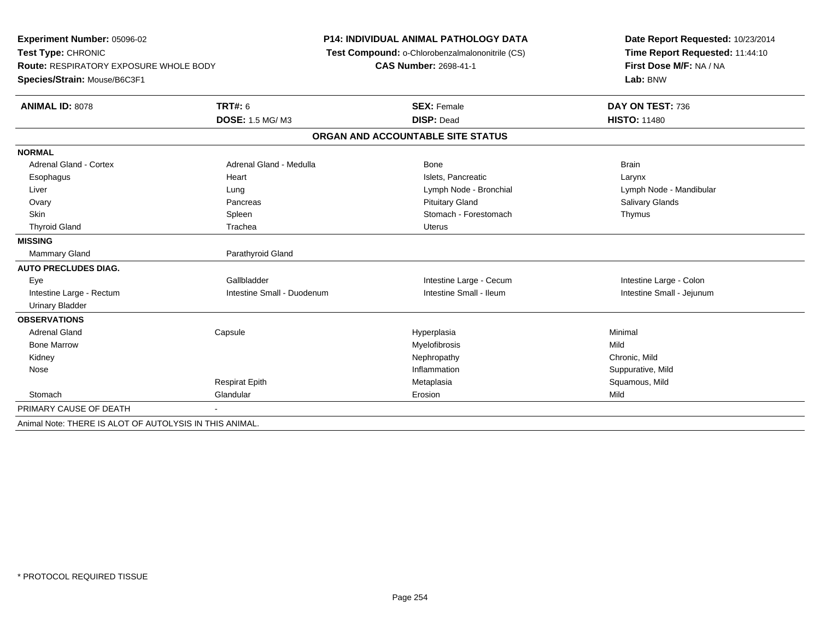| Experiment Number: 05096-02                             |                            | <b>P14: INDIVIDUAL ANIMAL PATHOLOGY DATA</b>    | Date Report Requested: 10/23/2014 |  |
|---------------------------------------------------------|----------------------------|-------------------------------------------------|-----------------------------------|--|
| Test Type: CHRONIC                                      |                            | Test Compound: o-Chlorobenzalmalononitrile (CS) | Time Report Requested: 11:44:10   |  |
| <b>Route: RESPIRATORY EXPOSURE WHOLE BODY</b>           |                            | <b>CAS Number: 2698-41-1</b>                    | First Dose M/F: NA / NA           |  |
| Species/Strain: Mouse/B6C3F1                            |                            |                                                 | Lab: BNW                          |  |
| <b>ANIMAL ID: 8078</b>                                  | <b>TRT#: 6</b>             | <b>SEX: Female</b>                              | DAY ON TEST: 736                  |  |
|                                                         | DOSE: 1.5 MG/M3            | <b>DISP: Dead</b>                               | <b>HISTO: 11480</b>               |  |
|                                                         |                            | ORGAN AND ACCOUNTABLE SITE STATUS               |                                   |  |
| <b>NORMAL</b>                                           |                            |                                                 |                                   |  |
| Adrenal Gland - Cortex                                  | Adrenal Gland - Medulla    | <b>Bone</b>                                     | <b>Brain</b>                      |  |
| Esophagus                                               | Heart                      | Islets. Pancreatic                              | Larynx                            |  |
| Liver                                                   | Lung                       | Lymph Node - Bronchial                          | Lymph Node - Mandibular           |  |
| Ovary                                                   | Pancreas                   | <b>Pituitary Gland</b>                          | Salivary Glands                   |  |
| <b>Skin</b>                                             | Spleen                     | Stomach - Forestomach                           | Thymus                            |  |
| <b>Thyroid Gland</b>                                    | Trachea                    | <b>Uterus</b>                                   |                                   |  |
| <b>MISSING</b>                                          |                            |                                                 |                                   |  |
| Mammary Gland                                           | Parathyroid Gland          |                                                 |                                   |  |
| <b>AUTO PRECLUDES DIAG.</b>                             |                            |                                                 |                                   |  |
| Eye                                                     | Gallbladder                | Intestine Large - Cecum                         | Intestine Large - Colon           |  |
| Intestine Large - Rectum                                | Intestine Small - Duodenum | Intestine Small - Ileum                         | Intestine Small - Jejunum         |  |
| <b>Urinary Bladder</b>                                  |                            |                                                 |                                   |  |
| <b>OBSERVATIONS</b>                                     |                            |                                                 |                                   |  |
| <b>Adrenal Gland</b>                                    | Capsule                    | Hyperplasia                                     | Minimal                           |  |
| <b>Bone Marrow</b>                                      |                            | Myelofibrosis                                   | Mild                              |  |
| Kidney                                                  |                            | Nephropathy                                     | Chronic, Mild                     |  |
| Nose                                                    |                            | Inflammation                                    | Suppurative, Mild                 |  |
|                                                         | <b>Respirat Epith</b>      | Metaplasia                                      | Squamous, Mild                    |  |
| Stomach                                                 | Glandular                  | Erosion                                         | Mild                              |  |
| PRIMARY CAUSE OF DEATH                                  |                            |                                                 |                                   |  |
| Animal Note: THERE IS ALOT OF AUTOLYSIS IN THIS ANIMAL. |                            |                                                 |                                   |  |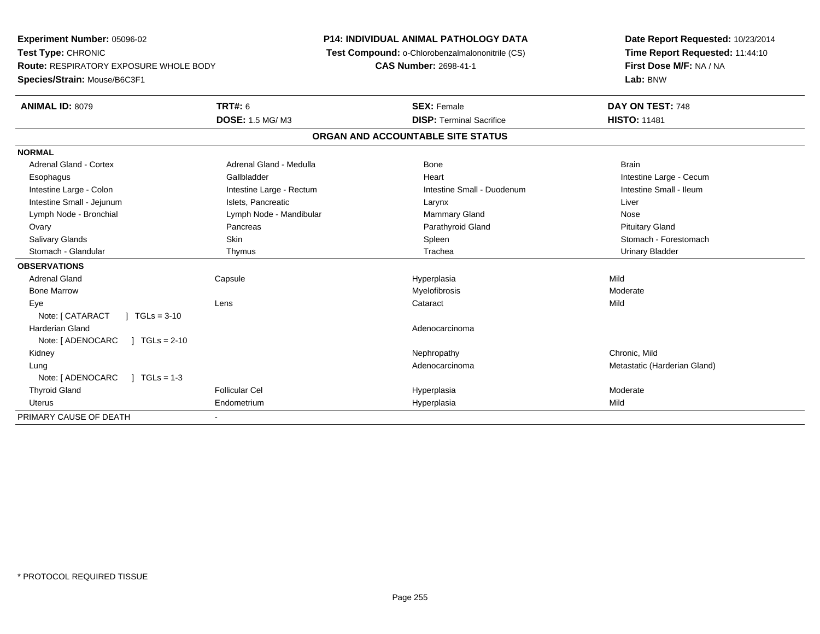**Experiment Number:** 05096-02**Test Type:** CHRONIC **Route:** RESPIRATORY EXPOSURE WHOLE BODY**Species/Strain:** Mouse/B6C3F1**P14: INDIVIDUAL ANIMAL PATHOLOGY DATA Test Compound:** o-Chlorobenzalmalononitrile (CS)**CAS Number:** 2698-41-1**Date Report Requested:** 10/23/2014**Time Report Requested:** 11:44:10**First Dose M/F:** NA / NA**Lab:** BNW**ANIMAL ID:** 8079 **TRT#:** <sup>6</sup> **SEX:** Female **DAY ON TEST:** <sup>748</sup> **DOSE:** 1.5 MG/ M3**DISP:** Terminal Sacrifice **HISTO:** 11481 **ORGAN AND ACCOUNTABLE SITE STATUSNORMALAdrenal Gland - Cortex** Adrenal Gland - Medulla **Bone** Bone Bone Brain Brain Brain Brain Esophagus **Example 20 Team Callbladder** Callbladder **Heart Intestine Large - Cecum** Callbladder Communication of the example of the example of the example of the example of the example of the example of the example of the Intestine Small - Ileum Intestine Large - Colon **Intestine Large - Rectum** Intestine Small - Duodenum Intestine Small - Duodenum Intestine Small - Jejunum **Intestine Small - Jejunum** Islets, Pancreatic **National Communist Communist Communist Communist Communist Communist Communist Communist Communist Communist Communist Communist Communist Communist** Lymph Node - Bronchial Nose Communication Communication Communication Communication Communication Communication Nose **Pituitary Gland**  Ovary Pancreas Parathyroid Gland Pituitary GlandStomach - Forestomach Salivary Glands Summach - Skin Shin Shin Shin Shines Spleen Shines Stomach - Forestomach - Stomach - Forestomach - Stomach - Stomach - Stomach - Stomach - Stomach - Stomach - Stomach - Stomach - Stomach - Stomach - Stomach Stomach - Glandular Thymus Trachea Urinary Bladder**OBSERVATIONS** Adrenal Gland Capsule Hyperplasia Mild Bone Marroww Myelofibrosis and the Moderate Moderate Museum of the Moderate Moderate of the Moderate Moderate  $\sim$  Moderate  $\sim$  Eyee the contract of the contract of the contract of the contract of the contract of the contract of the contract  $\mathsf{Mild}$ Note: [ CATARACT ] TGLs = 3-10 Harderian Glandd and the control of the control of the control of the control of the control of the control of the control of the control of the control of the control of the control of the control of the control of the control of the co Note: [ADENOCARC ] TGLs = 2-10 Kidneyy the controller of the controller of the controller of the controller of the controller of the chronic, Mild entity and a matter and the Adenocarcinoma and the Metastatic (Harderian Gland) and Metastatic (Harderian Gland) LungNote: [ADENOCARC ] TGLs = 1-3 Thyroid Gland Follicular Cel Hyperplasia Moderate Uterus Endometrium Hyperplasia Mild PRIMARY CAUSE OF DEATH-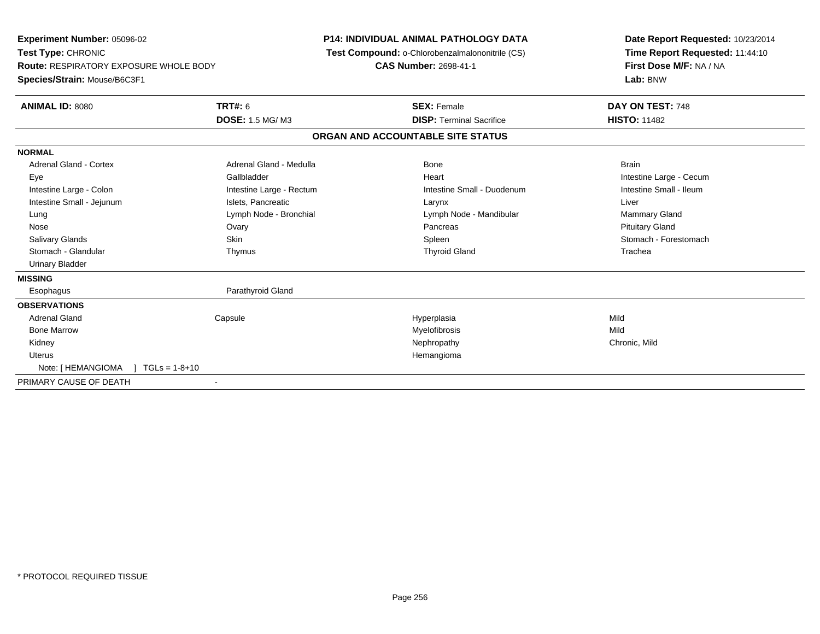| Experiment Number: 05096-02<br>Test Type: CHRONIC<br>Route: RESPIRATORY EXPOSURE WHOLE BODY<br>Species/Strain: Mouse/B6C3F1<br>ANIMAL ID: 8080                                             | <b>TRT#: 6</b><br><b>DOSE: 1.5 MG/M3</b>                                                                                                             | <b>P14: INDIVIDUAL ANIMAL PATHOLOGY DATA</b><br>Test Compound: o-Chlorobenzalmalononitrile (CS)<br><b>CAS Number: 2698-41-1</b><br><b>SEX: Female</b><br><b>DISP: Terminal Sacrifice</b> | Date Report Requested: 10/23/2014<br>Time Report Requested: 11:44:10<br>First Dose M/F: NA / NA<br>Lab: BNW<br>DAY ON TEST: 748<br><b>HISTO: 11482</b>     |
|--------------------------------------------------------------------------------------------------------------------------------------------------------------------------------------------|------------------------------------------------------------------------------------------------------------------------------------------------------|------------------------------------------------------------------------------------------------------------------------------------------------------------------------------------------|------------------------------------------------------------------------------------------------------------------------------------------------------------|
|                                                                                                                                                                                            |                                                                                                                                                      | ORGAN AND ACCOUNTABLE SITE STATUS                                                                                                                                                        |                                                                                                                                                            |
| <b>NORMAL</b><br>Adrenal Gland - Cortex<br>Eye<br>Intestine Large - Colon<br>Intestine Small - Jejunum<br>Lung<br>Nose<br>Salivary Glands<br>Stomach - Glandular<br><b>Urinary Bladder</b> | Adrenal Gland - Medulla<br>Gallbladder<br>Intestine Large - Rectum<br>Islets, Pancreatic<br>Lymph Node - Bronchial<br>Ovary<br><b>Skin</b><br>Thymus | Bone<br>Heart<br>Intestine Small - Duodenum<br>Larynx<br>Lymph Node - Mandibular<br>Pancreas<br>Spleen<br><b>Thyroid Gland</b>                                                           | <b>Brain</b><br>Intestine Large - Cecum<br>Intestine Small - Ileum<br>Liver<br>Mammary Gland<br><b>Pituitary Gland</b><br>Stomach - Forestomach<br>Trachea |
| <b>MISSING</b>                                                                                                                                                                             |                                                                                                                                                      |                                                                                                                                                                                          |                                                                                                                                                            |
| Esophagus                                                                                                                                                                                  | Parathyroid Gland                                                                                                                                    |                                                                                                                                                                                          |                                                                                                                                                            |
| <b>OBSERVATIONS</b><br><b>Adrenal Gland</b><br><b>Bone Marrow</b><br>Kidney<br><b>Uterus</b><br>Note: [ HEMANGIOMA<br>$1 \text{ TGLs} = 1-8+10$                                            | Capsule                                                                                                                                              | Hyperplasia<br>Myelofibrosis<br>Nephropathy<br>Hemangioma                                                                                                                                | Mild<br>Mild<br>Chronic, Mild                                                                                                                              |
| PRIMARY CAUSE OF DEATH                                                                                                                                                                     |                                                                                                                                                      |                                                                                                                                                                                          |                                                                                                                                                            |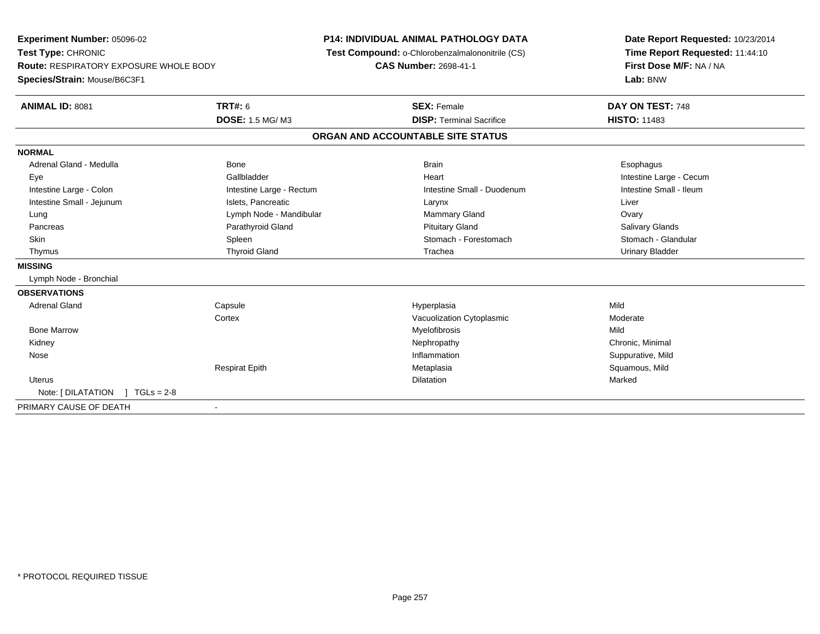**Experiment Number:** 05096-02**Test Type:** CHRONIC **Route:** RESPIRATORY EXPOSURE WHOLE BODY**Species/Strain:** Mouse/B6C3F1**P14: INDIVIDUAL ANIMAL PATHOLOGY DATA Test Compound:** o-Chlorobenzalmalononitrile (CS)**CAS Number:** 2698-41-1**Date Report Requested:** 10/23/2014**Time Report Requested:** 11:44:10**First Dose M/F:** NA / NA**Lab:** BNW**ANIMAL ID:** 8081**TRT#:** 6 **SEX:** Female **DAY ON TEST:** 748 **DOSE:** 1.5 MG/ M3**DISP:** Terminal Sacrifice **HISTO:** 11483 **ORGAN AND ACCOUNTABLE SITE STATUSNORMAL**Adrenal Gland - Medulla Newsternal Bone Bone Brain Brain Brain Brain Brain Brain Bone Brain Brain Brain Brain Esophagus Eye Gallbladder Heart Intestine Large - CecumIntestine Small - Ileum Intestine Large - Colon **Intestine Large - Rectum** Intestine Small - Duodenum Intestine Small - Duodenum Intestine Small - Jejunum **Intestine Small - Jejunum** Islets, Pancreatic **Larynx** Larynx Liver Lung **Lymph Node - Mandibular Mammary Gland Mammary Gland Covary** Ovary **Salivary Glands**  Pancreas Parathyroid Gland Pituitary Gland Salivary GlandsStomach - Glandular Skin Stomach - Forestomach Spleen Spleen Stomach - Forestomach - Stomach - Forestomach - Stomach - Glandular Stomach - Glandular Stomach - Glandular Stomach - Glandular Stomach - Stomach - Stomach - Stomach - Stomach - Sto Thymus Thyroid Gland Trachea Urinary Bladder**MISSING** Lymph Node - Bronchial**OBSERVATIONS** Adrenal Gland Capsule Hyperplasia Mild **Cortex** Vacuolization Cytoplasmic **Moderate** Moderate Bone Marroww which is a matter of the Myelofibrosis and the Myelofibrosis and the Mild of the Mild of the Mild of the Mild of the Mild of the Mild of the Mild of the Mild of the Mild of the Mild of the Mild of the Mild of the Mild of Kidneyy the controller the controller of the controller of the controller of the controller of the controller of the controller of the controller of the controller of the controller of the controller of the controller of the con Nosee the suppurative, Mild and the support of the support of the support of the support of the support of the support of  $\mathbf S$ uppurative, Mild and the support of the support of the support of the support of the support of th Respirat Epith Metaplasia Squamous, Mild Uteruss and the contract of the contract of the contract of the contract of the contract of the contract of the contract of the contract of the contract of the contract of the contract of the contract of the contract of the cont n Marked **Marked** Note: [ DILATATION ] TGLs = 2-8 PRIMARY CAUSE OF DEATH-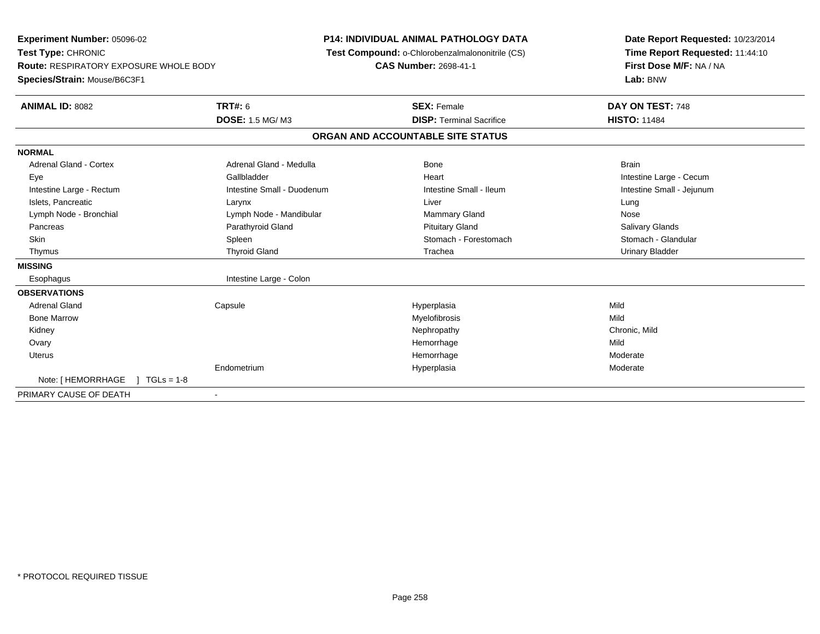**Experiment Number:** 05096-02**Test Type:** CHRONIC **Route:** RESPIRATORY EXPOSURE WHOLE BODY**Species/Strain:** Mouse/B6C3F1**P14: INDIVIDUAL ANIMAL PATHOLOGY DATA Test Compound:** o-Chlorobenzalmalononitrile (CS)**CAS Number:** 2698-41-1**Date Report Requested:** 10/23/2014**Time Report Requested:** 11:44:10**First Dose M/F:** NA / NA**Lab:** BNW**ANIMAL ID:** 8082 **TRT#:** <sup>6</sup> **SEX:** Female **DAY ON TEST:** <sup>748</sup> **DOSE:** 1.5 MG/ M3**DISP:** Terminal Sacrifice **HISTO:** 11484 **ORGAN AND ACCOUNTABLE SITE STATUSNORMALAdrenal Gland - Cortex** Adrenal Gland - Medulla **Bone** Bone Brain Brain Brain Brain Brain Eye Gallbladder Heart Intestine Large - CecumIntestine Small - Jejunum Intestine Large - Rectum **Intestine Small - Duodenum** Intestine Small - Ileum Intestine Small - Ileum Islets, Pancreatic Larynx Liver LungNose Lymph Node - Bronchial **Lymph Node - Mandibular Mammary Gland Nose** - Mammary Gland Nose **Salivary Glands**  Pancreas Parathyroid Gland Pituitary Gland Salivary GlandsStomach - Glandular Skin Stomach - Forestomach Spleen Spleen Stomach - Forestomach - Stomach - Forestomach - Stomach - Glandular Stomach - Glandular Stomach - Glandular Stomach - Glandular Stomach - Stomach - Stomach - Stomach - Stomach - Sto Thymus Thyroid Gland Trachea Urinary Bladder**MISSING**Esophagus Intestine Large - Colon **OBSERVATIONS** Adrenal Gland Capsule Hyperplasia Mild Bone Marroww which is a matter of the Myelofibrosis and the Myelofibrosis and the Mild of the Mild of the Mild of the Mild of the Mild of the Mild of the Mild of the Mild of the Mild of the Mild of the Mild of the Mild of the Mild of Kidneyy the controller of the controller of the controller of the controller of the controller of the chronic, Mild **Ovary** y the control of the control of the control of the control of the control of the control of the control of the control of the control of the control of the control of the control of the control of the control of the contro e Mild Uteruss and the control of the control of the control of the control of the control of the control of the control of the control of the control of the control of the control of the control of the control of the control of the co Hemorrhage Executive Contract Moderate<br>
Moderate Hyperplasia Endometriumm and the Hyperplasia measurement of the Hyperplasia measurement of the Moderate Note: [HEMORRHAGE ] TGLs = 1-8 PRIMARY CAUSE OF DEATH-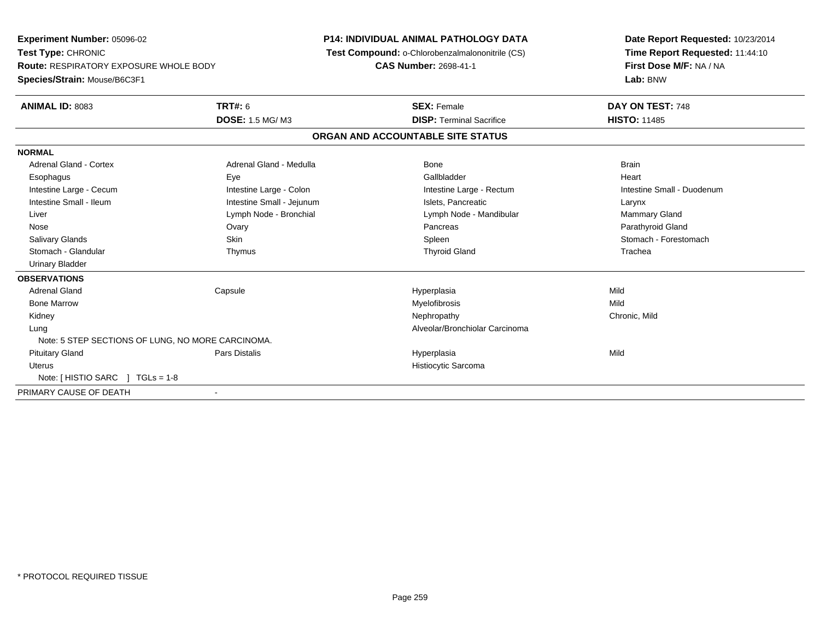**Experiment Number:** 05096-02**Test Type:** CHRONIC **Route:** RESPIRATORY EXPOSURE WHOLE BODY**Species/Strain:** Mouse/B6C3F1**P14: INDIVIDUAL ANIMAL PATHOLOGY DATA Test Compound:** o-Chlorobenzalmalononitrile (CS)**CAS Number:** 2698-41-1**Date Report Requested:** 10/23/2014**Time Report Requested:** 11:44:10**First Dose M/F:** NA / NA**Lab:** BNW**ANIMAL ID:** 8083**TRT#:** 6 **SEX:** Female **DAY ON TEST:** 748 **DOSE:** 1.5 MG/ M3**DISP:** Terminal Sacrifice **HISTO:** 11485 **ORGAN AND ACCOUNTABLE SITE STATUSNORMALAdrenal Gland - Cortex** Adrenal Gland - Medulla **Bone** Bone Brain Bone Brain Brain Brain Heart Esophagus Eye Gallbladder HeartIntestine Large - Cecum **Intestine Large - Colon** Intestine Large - Colon Intestine Large - Rectum Intestine Large - Rectum Intestine Small - Duodenum Intestine Small - Ileum Larynx **Intestine Small - Jejunum Intestine Small** - Islets, Pancreatic Larynx Mammary Gland Liver Liver Lymph Node - Bronchial Lymph Note - Mandibular Mammary Gland Lymph Node - Mandibular Mammary Gland Parathyroid Gland Nose Ovary Pancreas Parathyroid GlandStomach - Forestomach Salivary Glands Summach - Skin Shin Shin Shin Shines Spleen Shines Stomach - Forestomach - Stomach - Forestomach - Stomach - Stomach - Stomach - Stomach - Stomach - Stomach - Stomach - Stomach - Stomach - Stomach - Stomach Stomach - Glandular Thymus Thyroid Gland Trachea Urinary Bladder**OBSERVATIONS** Adrenal Gland Capsule Hyperplasia Mild Bone Marroww which is a matter of the Myelofibrosis and the Myelofibrosis and the Mild of the Mild of the Mild of the Mild of the Mild of the Mild of the Mild of the Mild of the Mild of the Mild of the Mild of the Mild of the Mild of Kidneyy the controller of the controller of the controller of the controller of the controller of the chronic, Mild Lung Alveolar/Bronchiolar Carcinoma Note: 5 STEP SECTIONS OF LUNG, NO MORE CARCINOMA. Pituitary Gland Pars Distalis Hyperplasia Mild Uterus Histiocytic SarcomaNote: [ HISTIO SARC ] TGLs = 1-8PRIMARY CAUSE OF DEATH-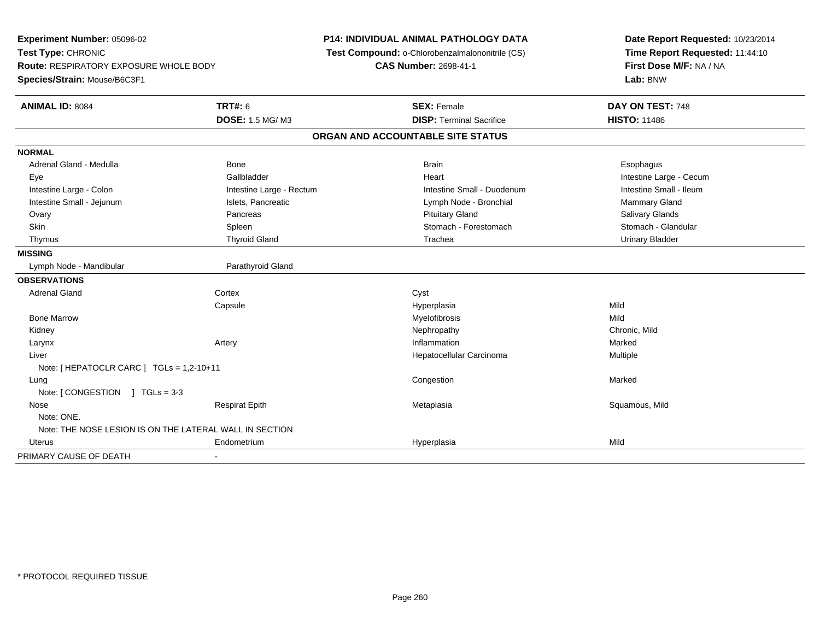| Experiment Number: 05096-02<br>Test Type: CHRONIC<br><b>Route: RESPIRATORY EXPOSURE WHOLE BODY</b><br>Species/Strain: Mouse/B6C3F1 |                                          | P14: INDIVIDUAL ANIMAL PATHOLOGY DATA<br>Test Compound: o-Chlorobenzalmalononitrile (CS)<br><b>CAS Number: 2698-41-1</b> | Date Report Requested: 10/23/2014<br>Time Report Requested: 11:44:10<br>First Dose M/F: NA / NA<br>Lab: BNW |
|------------------------------------------------------------------------------------------------------------------------------------|------------------------------------------|--------------------------------------------------------------------------------------------------------------------------|-------------------------------------------------------------------------------------------------------------|
| <b>ANIMAL ID: 8084</b>                                                                                                             | <b>TRT#: 6</b><br><b>DOSE: 1.5 MG/M3</b> | <b>SEX: Female</b><br><b>DISP: Terminal Sacrifice</b>                                                                    | DAY ON TEST: 748<br><b>HISTO: 11486</b>                                                                     |
|                                                                                                                                    |                                          |                                                                                                                          |                                                                                                             |
|                                                                                                                                    |                                          | ORGAN AND ACCOUNTABLE SITE STATUS                                                                                        |                                                                                                             |
| <b>NORMAL</b>                                                                                                                      |                                          |                                                                                                                          |                                                                                                             |
| Adrenal Gland - Medulla                                                                                                            | <b>Bone</b>                              | <b>Brain</b>                                                                                                             | Esophagus                                                                                                   |
| Eye                                                                                                                                | Gallbladder                              | Heart                                                                                                                    | Intestine Large - Cecum                                                                                     |
| Intestine Large - Colon                                                                                                            | Intestine Large - Rectum                 | Intestine Small - Duodenum                                                                                               | Intestine Small - Ileum                                                                                     |
| Intestine Small - Jejunum                                                                                                          | Islets, Pancreatic                       | Lymph Node - Bronchial                                                                                                   | Mammary Gland                                                                                               |
| Ovary                                                                                                                              | Pancreas                                 | <b>Pituitary Gland</b>                                                                                                   | Salivary Glands                                                                                             |
| <b>Skin</b>                                                                                                                        | Spleen                                   | Stomach - Forestomach                                                                                                    | Stomach - Glandular                                                                                         |
| Thymus                                                                                                                             | <b>Thyroid Gland</b>                     | Trachea                                                                                                                  | <b>Urinary Bladder</b>                                                                                      |
| <b>MISSING</b>                                                                                                                     |                                          |                                                                                                                          |                                                                                                             |
| Lymph Node - Mandibular                                                                                                            | Parathyroid Gland                        |                                                                                                                          |                                                                                                             |
| <b>OBSERVATIONS</b>                                                                                                                |                                          |                                                                                                                          |                                                                                                             |
| Adrenal Gland                                                                                                                      | Cortex                                   | Cyst                                                                                                                     |                                                                                                             |
|                                                                                                                                    | Capsule                                  | Hyperplasia                                                                                                              | Mild                                                                                                        |
| <b>Bone Marrow</b>                                                                                                                 |                                          | Myelofibrosis                                                                                                            | Mild                                                                                                        |
| Kidney                                                                                                                             |                                          | Nephropathy                                                                                                              | Chronic, Mild                                                                                               |
| Larynx                                                                                                                             | Artery                                   | Inflammation                                                                                                             | Marked                                                                                                      |
| Liver                                                                                                                              |                                          | Hepatocellular Carcinoma                                                                                                 | <b>Multiple</b>                                                                                             |
| Note: [HEPATOCLR CARC ] TGLs = 1,2-10+11                                                                                           |                                          |                                                                                                                          |                                                                                                             |
| Lung                                                                                                                               |                                          | Congestion                                                                                                               | Marked                                                                                                      |
| Note: $\lceil$ CONGESTION $\lceil$ TGLs = 3-3                                                                                      |                                          |                                                                                                                          |                                                                                                             |
| Nose                                                                                                                               | <b>Respirat Epith</b>                    | Metaplasia                                                                                                               | Squamous, Mild                                                                                              |
| Note: ONE.                                                                                                                         |                                          |                                                                                                                          |                                                                                                             |
| Note: THE NOSE LESION IS ON THE LATERAL WALL IN SECTION                                                                            |                                          |                                                                                                                          |                                                                                                             |
| Uterus                                                                                                                             | Endometrium                              | Hyperplasia                                                                                                              | Mild                                                                                                        |
| PRIMARY CAUSE OF DEATH                                                                                                             |                                          |                                                                                                                          |                                                                                                             |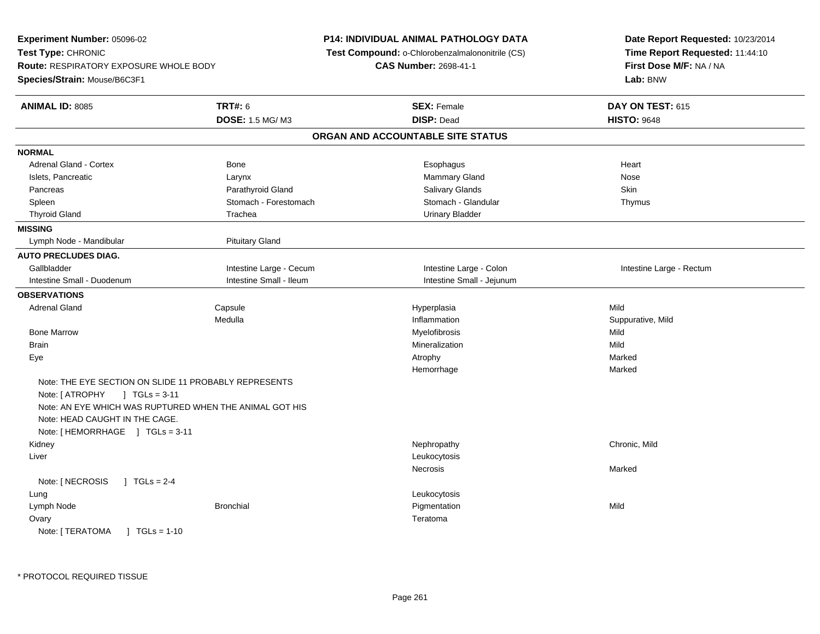| Experiment Number: 05096-02                             |                         | <b>P14: INDIVIDUAL ANIMAL PATHOLOGY DATA</b>           | Date Report Requested: 10/23/2014 |  |
|---------------------------------------------------------|-------------------------|--------------------------------------------------------|-----------------------------------|--|
| Test Type: CHRONIC                                      |                         | <b>Test Compound: o-Chlorobenzalmalononitrile (CS)</b> | Time Report Requested: 11:44:10   |  |
| Route: RESPIRATORY EXPOSURE WHOLE BODY                  |                         | <b>CAS Number: 2698-41-1</b>                           | First Dose M/F: NA / NA           |  |
| Species/Strain: Mouse/B6C3F1                            |                         |                                                        | Lab: BNW                          |  |
| <b>ANIMAL ID: 8085</b>                                  | <b>TRT#: 6</b>          | <b>SEX: Female</b>                                     | DAY ON TEST: 615                  |  |
|                                                         | DOSE: 1.5 MG/M3         | <b>DISP: Dead</b>                                      | <b>HISTO: 9648</b>                |  |
|                                                         |                         | ORGAN AND ACCOUNTABLE SITE STATUS                      |                                   |  |
| <b>NORMAL</b>                                           |                         |                                                        |                                   |  |
| Adrenal Gland - Cortex                                  | Bone                    | Esophagus                                              | Heart                             |  |
| Islets, Pancreatic                                      | Larynx                  | Mammary Gland                                          | Nose                              |  |
| Pancreas                                                | Parathyroid Gland       | Salivary Glands                                        | Skin                              |  |
| Spleen                                                  | Stomach - Forestomach   | Stomach - Glandular                                    | Thymus                            |  |
| <b>Thyroid Gland</b>                                    | Trachea                 | <b>Urinary Bladder</b>                                 |                                   |  |
| <b>MISSING</b>                                          |                         |                                                        |                                   |  |
| Lymph Node - Mandibular                                 | <b>Pituitary Gland</b>  |                                                        |                                   |  |
| <b>AUTO PRECLUDES DIAG.</b>                             |                         |                                                        |                                   |  |
| Gallbladder                                             | Intestine Large - Cecum | Intestine Large - Colon                                | Intestine Large - Rectum          |  |
| Intestine Small - Duodenum                              | Intestine Small - Ileum | Intestine Small - Jejunum                              |                                   |  |
| <b>OBSERVATIONS</b>                                     |                         |                                                        |                                   |  |
| <b>Adrenal Gland</b>                                    | Capsule                 | Hyperplasia                                            | Mild                              |  |
|                                                         | Medulla                 | Inflammation                                           | Suppurative, Mild                 |  |
| <b>Bone Marrow</b>                                      |                         | Myelofibrosis                                          | Mild                              |  |
| <b>Brain</b>                                            |                         | Mineralization                                         | Mild                              |  |
| Eye                                                     |                         | Atrophy                                                | Marked                            |  |
|                                                         |                         | Hemorrhage                                             | Marked                            |  |
| Note: THE EYE SECTION ON SLIDE 11 PROBABLY REPRESENTS   |                         |                                                        |                                   |  |
| Note: [ ATROPHY<br>$\sqrt{1} \text{ TGLs} = 3.11$       |                         |                                                        |                                   |  |
| Note: AN EYE WHICH WAS RUPTURED WHEN THE ANIMAL GOT HIS |                         |                                                        |                                   |  |
| Note: HEAD CAUGHT IN THE CAGE.                          |                         |                                                        |                                   |  |
| Note: [HEMORRHAGE ] TGLs = 3-11                         |                         |                                                        |                                   |  |
| Kidney                                                  |                         | Nephropathy                                            | Chronic, Mild                     |  |
| Liver                                                   |                         | Leukocytosis                                           |                                   |  |
|                                                         |                         | Necrosis                                               | Marked                            |  |
| Note: [ NECROSIS<br>$1 TGLs = 2-4$                      |                         |                                                        |                                   |  |
| Lung                                                    |                         | Leukocytosis                                           |                                   |  |
| Lymph Node                                              | <b>Bronchial</b>        | Pigmentation                                           | Mild                              |  |
| Ovary                                                   |                         | Teratoma                                               |                                   |  |
| Note: [ TERATOMA<br>$\sqrt{1}$ TGLs = 1-10              |                         |                                                        |                                   |  |
|                                                         |                         |                                                        |                                   |  |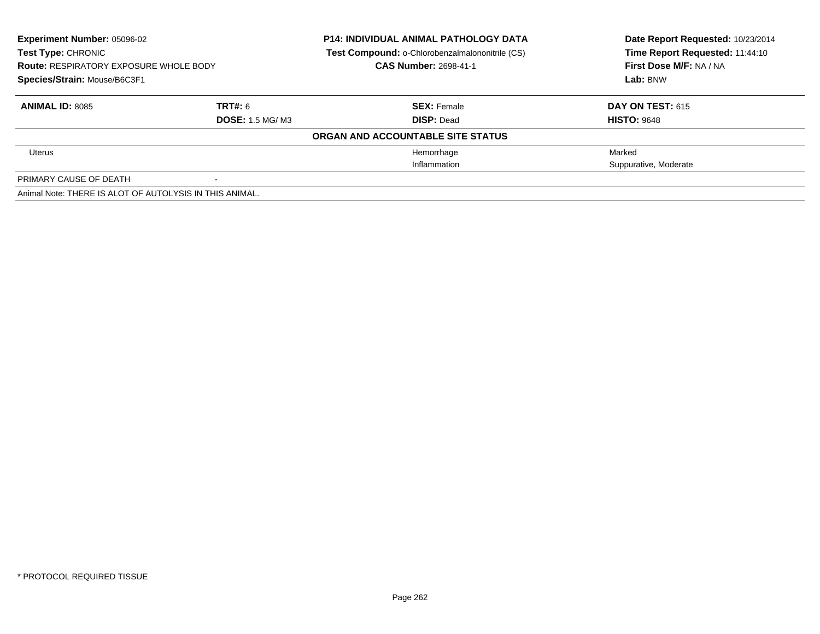| <b>Experiment Number: 05096-02</b><br><b>Test Type: CHRONIC</b><br><b>Route: RESPIRATORY EXPOSURE WHOLE BODY</b> |                         | <b>P14: INDIVIDUAL ANIMAL PATHOLOGY DATA</b><br>Test Compound: o-Chlorobenzalmalononitrile (CS)<br><b>CAS Number: 2698-41-1</b> | Date Report Requested: 10/23/2014<br>Time Report Requested: 11:44:10<br>First Dose M/F: NA / NA |
|------------------------------------------------------------------------------------------------------------------|-------------------------|---------------------------------------------------------------------------------------------------------------------------------|-------------------------------------------------------------------------------------------------|
| Species/Strain: Mouse/B6C3F1                                                                                     |                         |                                                                                                                                 | Lab: BNW                                                                                        |
| <b>ANIMAL ID: 8085</b>                                                                                           | <b>TRT#: 6</b>          | <b>SEX: Female</b>                                                                                                              | <b>DAY ON TEST: 615</b>                                                                         |
|                                                                                                                  | <b>DOSE: 1.5 MG/ M3</b> | <b>DISP: Dead</b>                                                                                                               | <b>HISTO: 9648</b>                                                                              |
|                                                                                                                  |                         | ORGAN AND ACCOUNTABLE SITE STATUS                                                                                               |                                                                                                 |
| Uterus                                                                                                           |                         | Hemorrhage                                                                                                                      | Marked                                                                                          |
|                                                                                                                  |                         | Inflammation                                                                                                                    | Suppurative, Moderate                                                                           |
| PRIMARY CAUSE OF DEATH                                                                                           |                         |                                                                                                                                 |                                                                                                 |
| Animal Note: THERE IS ALOT OF AUTOLYSIS IN THIS ANIMAL.                                                          |                         |                                                                                                                                 |                                                                                                 |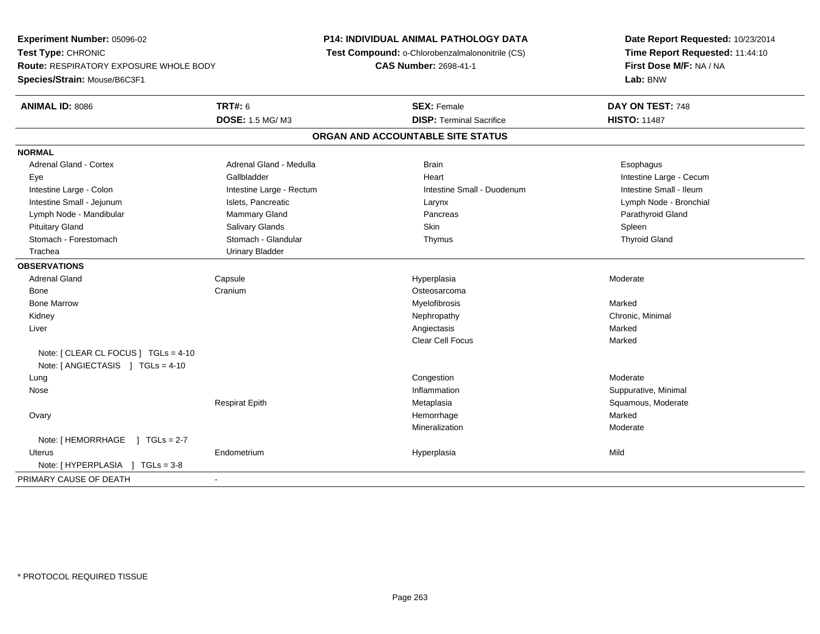**Experiment Number:** 05096-02**Test Type:** CHRONIC **Route:** RESPIRATORY EXPOSURE WHOLE BODY**Species/Strain:** Mouse/B6C3F1**P14: INDIVIDUAL ANIMAL PATHOLOGY DATA Test Compound:** o-Chlorobenzalmalononitrile (CS)**CAS Number:** 2698-41-1**Date Report Requested:** 10/23/2014**Time Report Requested:** 11:44:10**First Dose M/F:** NA / NA**Lab:** BNW**ANIMAL ID:** 8086 **TRT#:** <sup>6</sup> **SEX:** Female **DAY ON TEST:** <sup>748</sup> **DOSE:** 1.5 MG/ M3**DISP:** Terminal Sacrifice **HISTO:** 11487 **ORGAN AND ACCOUNTABLE SITE STATUSNORMALAdrenal Gland - Cortex** Adrenal Gland - Medulla **Adrenal Cland - Cortex Adrenal Gland - Cortex Adrenal Gland - Medulla Brain** Brain Esophagus Eye Gallbladder Heart Intestine Large - CecumIntestine Small - Ileum Intestine Large - Colon **Intestine Large - Rectum** Intestine Small - Duodenum Intestine Small - Duodenum Lymph Node - Bronchial Intestine Small - Jejunum **Islets, Pancreatic Larynx** Larynx Larynx Larynx Larynx Larynx Larynx Larynx Larynx Lymph Node - Mandibular **Mammary Gland** Mammary Gland Pancreas Pancreas Parathyroid Gland Pituitary Gland Salivary Glands Salivary Glands School School School School State School Spleen Spleen Spleen **Thyroid Gland**  Stomach - Forestomach Stomach - Glandular Thymus Thyroid Gland Trachea Urinary Bladder**OBSERVATIONS** Adrenal Gland Capsule Hyperplasia Moderate Bonee Cranium Cranium Cranium Costeosarcoma<br>
Myelofibrosis Bone Marroww which is a state of the Myelofibrosis and the Myelofibrosis and the Marked Marked Street and the Marked Street and the Marked Street and the Marked Street and the Marked Street and the Marked Street and the Marked Street Kidneyy the controller the controller of the controller of the controller of the controller of the controller of the controller of the controller of the controller of the controller of the controller of the controller of the con Liverr and the contract of the contract of the contract of the contract of the contract of the contract of the contract of the contract of the contract of the contract of the contract of the contract of the contract of the cont s and the contract of the Marked Marked Clear Cell Focuss Marked Note: [ CLEAR CL FOCUS ] TGLs = 4-10Note: [ ANGIECTASIS ] TGLs = 4-10 Lungg and the congression of the congression of the congression of the congression of the congression of the congression  $\mathbf{M}$  and  $\mathbf{M}$  Nosee suppurative, Minimal and Suppurative, Minimal and Suppurative, Minimal and Suppurative, Minimal and Suppurative, Minimal and Suppurative, Minimal and Suppurative, Minimal and Suppurative, Minimal and Suppurative, Minimal Respirat EpithMetaplasia **Squamous, Moderate**  Ovaryy the control of the control of the control of the control of the control of the control of the control of the control of the control of the control of the control of the control of the control of the control of the contro e Marked Mineralization Moderate Note: [HEMORRHAGE ] TGLs = 2-7 Uterus Endometrium Hyperplasia Mild Note: [ HYPERPLASIA ] TGLs = 3-8PRIMARY CAUSE OF DEATH-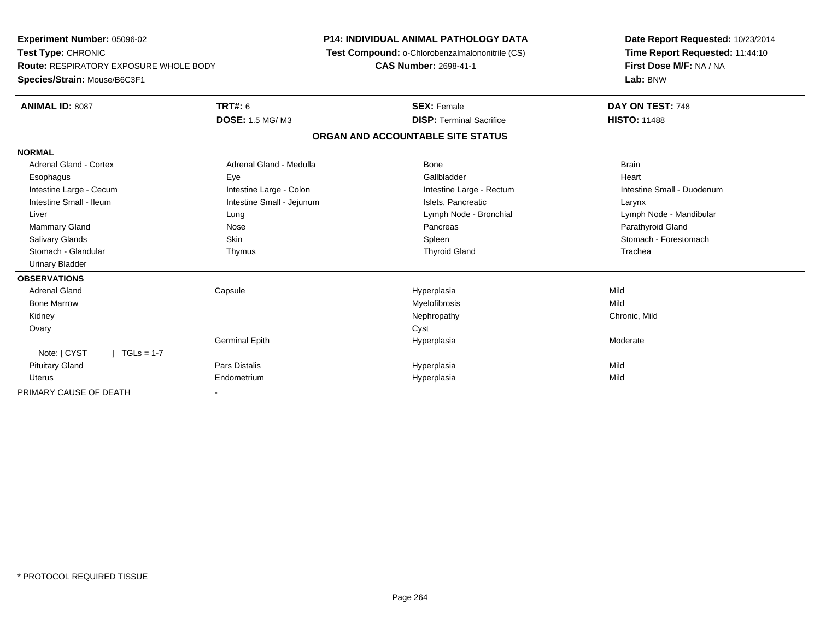**Experiment Number:** 05096-02**Test Type:** CHRONIC **Route:** RESPIRATORY EXPOSURE WHOLE BODY**Species/Strain:** Mouse/B6C3F1**P14: INDIVIDUAL ANIMAL PATHOLOGY DATA Test Compound:** o-Chlorobenzalmalononitrile (CS)**CAS Number:** 2698-41-1**Date Report Requested:** 10/23/2014**Time Report Requested:** 11:44:10**First Dose M/F:** NA / NA**Lab:** BNW**ANIMAL ID:** 8087**TRT#:** 6 **SEX:** Female **DAY ON TEST:** 748 **DOSE:** 1.5 MG/ M3**DISP:** Terminal Sacrifice **HISTO:** 11488 **ORGAN AND ACCOUNTABLE SITE STATUSNORMALAdrenal Gland - Cortex** Adrenal Gland - Medulla **Bone** Bone Bone Brain Brain Heart Esophagus Eye Gallbladder HeartIntestine Large - Cecum **Intestine Large - Colon** Intestine Large - Colon Intestine Large - Rectum Intestine Large - Rectum Intestine Small - Duodenum Intestine Small - Ileum Larynx **Intestine Small - Jejunum Intestine Small** - Islets, Pancreatic Larynx Liver Lung Lymph Node - Bronchial Lymph Node - MandibularMammary Gland Nose Nose Records and December 2012 (Nose Pancreas Parathyroid Gland Parathyroid Gland Parathyroid Gland Parathyroid Gland Parathyroid Gland Parathyroid Gland Parathyroid Gland Parathyroid Gland Parathyroid G Salivary Glands Salivary School School School School Spleen School Spleen Stomach - Forestomach - Stomach - Forestomach Stomach - Glandular Thymus Thyroid Gland Trachea Urinary Bladder**OBSERVATIONS** Adrenal Gland Capsule Hyperplasia Mild Bone Marroww which is a matter of the Myelofibrosis and the Myelofibrosis and the Mild of the Mild of the Mild of the Mild of the Mild of the Mild of the Mild of the Mild of the Mild of the Mild of the Mild of the Mild of the Mild of Kidneyy the controller of the controller of the controller of the controller of the controller of the chronic, Mild Ovaryy cystem in the control of the control of the control of the control of the control of the control of the control of the control of the control of the control of the control of the control of the control of the control of Germinal Epithh ann an t-India ann an t-India ann an t-India ann an t-India ann an t-India ann an t-India ann an t-India ann an t-Note: [ CYST ] TGLs = 1-7 Pituitary Gland Pars Distalis Hyperplasia Mild Uterus Endometrium Hyperplasia Mild PRIMARY CAUSE OF DEATH-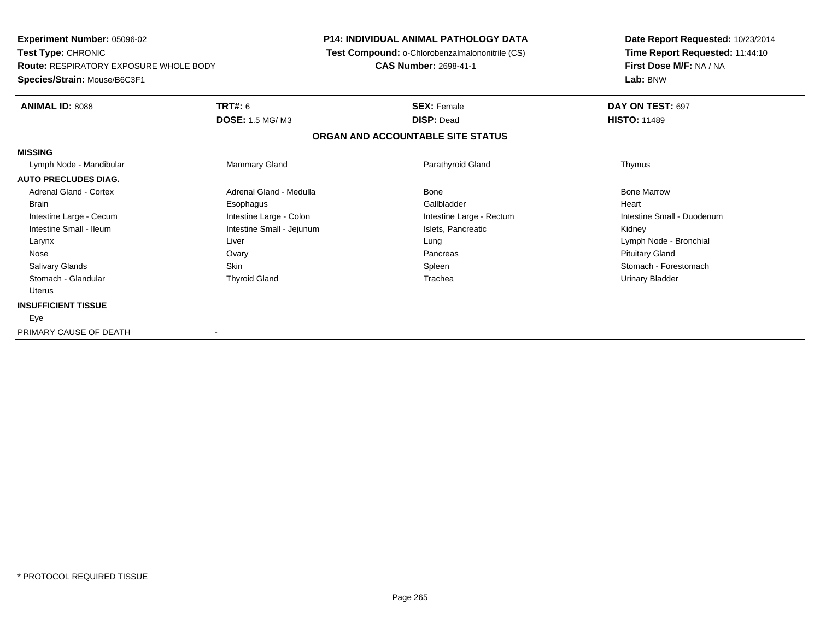**Experiment Number:** 05096-02**Test Type:** CHRONIC **Route:** RESPIRATORY EXPOSURE WHOLE BODY**Species/Strain:** Mouse/B6C3F1**P14: INDIVIDUAL ANIMAL PATHOLOGY DATA Test Compound:** o-Chlorobenzalmalononitrile (CS)**CAS Number:** 2698-41-1**Date Report Requested:** 10/23/2014**Time Report Requested:** 11:44:10**First Dose M/F:** NA / NA**Lab:** BNW**ANIMAL ID:** 8088**TRT#:** 6 **SEX:** Female **DAY ON TEST:** 697 **DOSE:** 1.5 MG/ M3 **DISP:** Dead **HISTO:** <sup>11489</sup> **ORGAN AND ACCOUNTABLE SITE STATUSMISSING**Lymph Node - Mandibular Mammary Gland Parathyroid Gland Thymus **AUTO PRECLUDES DIAG.**Adrenal Gland - Cortex **Adrenal Gland - Medulla** Bone Bone Bone Bone Bone Bone Bone Marrow Brain Esophagus Esophagus Gallbladder Gallbladder Gallbladder (Gallbladder Heart Intestine Large - Cecum and Intestine Large - Colon Intestine Large - Colon Intestine Large - Rectum Intestine Large - Cecum Intestine Small - Duodenum Intestine Small - Ileum **Intestine Small - Intestine Small - Jejunum** Intestine Small - Islets, Pancreatic **Kidney**  Larynx Liver Lung Lymph Node - Bronchial Nose Ovary Pancreas Pituitary GlandSalivary Glands Salivary School School School School Spleen School Spleen Stomach - Forestomach - Stomach - Forestomach Stomach - Glandular Thyroid Gland Trachea Urinary Bladder Uterus**INSUFFICIENT TISSUE** EyePRIMARY CAUSE OF DEATH-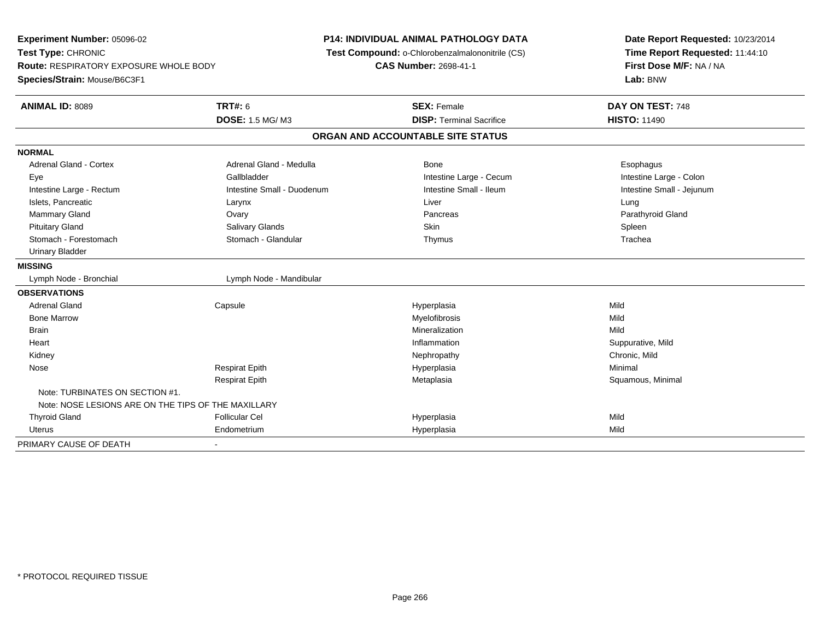**Experiment Number:** 05096-02**Test Type:** CHRONIC **Route:** RESPIRATORY EXPOSURE WHOLE BODY**Species/Strain:** Mouse/B6C3F1**P14: INDIVIDUAL ANIMAL PATHOLOGY DATA Test Compound:** o-Chlorobenzalmalononitrile (CS)**CAS Number:** 2698-41-1**Date Report Requested:** 10/23/2014**Time Report Requested:** 11:44:10**First Dose M/F:** NA / NA**Lab:** BNW**ANIMAL ID:** 8089 **TRT#:** <sup>6</sup> **SEX:** Female **DAY ON TEST:** <sup>748</sup> **DOSE:** 1.5 MG/ M3**DISP:** Terminal Sacrifice **HISTO:** 11490 **ORGAN AND ACCOUNTABLE SITE STATUSNORMALAdrenal Gland - Cortex** Adrenal Gland - Medulla **Bone** Bone **Cortes Adrenal Gland - Cortes Adrenal Gland - Cortes Adrenal Adrenal Bone** Esophagus Intestine Large - Colon Eye Gallbladder Gallbladder Controller Controller Cecum Intestine Large - Cecum Intestine Small - Jejunum Intestine Large - Rectum **Intestine Small - Duodenum** Intestine Small - Ileum Intestine Small - Ileum Islets, Pancreatic Larynx Liver LungParathyroid Gland Mammary Gland Ovary Pancreas Parathyroid GlandPituitary Gland Salivary Glands Salivary Glands School School School School State School Spleen Spleen Spleen Trachea Stomach - Forestomach **Stomach - Stomach - Glandular** Thymus Thymus Thymus Thymus The The The Thymus Thymus The Th Urinary Bladder**MISSING**Lymph Node - Bronchial Lymph Node - Mandibular **OBSERVATIONS** Adrenal Gland Capsule Hyperplasia Mild Bone Marroww which is a matter of the Myelofibrosis and the Myelofibrosis and the Mild of the Mild of the Mild of the Mild of the Mild of the Mild of the Mild of the Mild of the Mild of the Mild of the Mild of the Mild of the Mild of Brainn and the control of the control of the control of the control of the control of the control of the control of the control of the control of the control of the control of the control of the control of the control of the co **Heart** t the contract of the contract of the contract of the contract of the contract of the contract of the contract of the contract of the contract of the contract of the contract of the contract of the contract of the contract Inflammation Suppurative, Mild<br>
Nephropathy Chronic, Mild Kidneyy the controller of the controller of the controller of the controller of the controller of the chronic, Mild Nose Respirat Epith Hyperplasia Minimal Respirat EpithMetaplasia **Squamous, Minimal** Note: TURBINATES ON SECTION #1.Note: NOSE LESIONS ARE ON THE TIPS OF THE MAXILLARY Thyroid Gland Follicular Cel Hyperplasia Mild Uterus Endometrium Hyperplasia Mild PRIMARY CAUSE OF DEATH-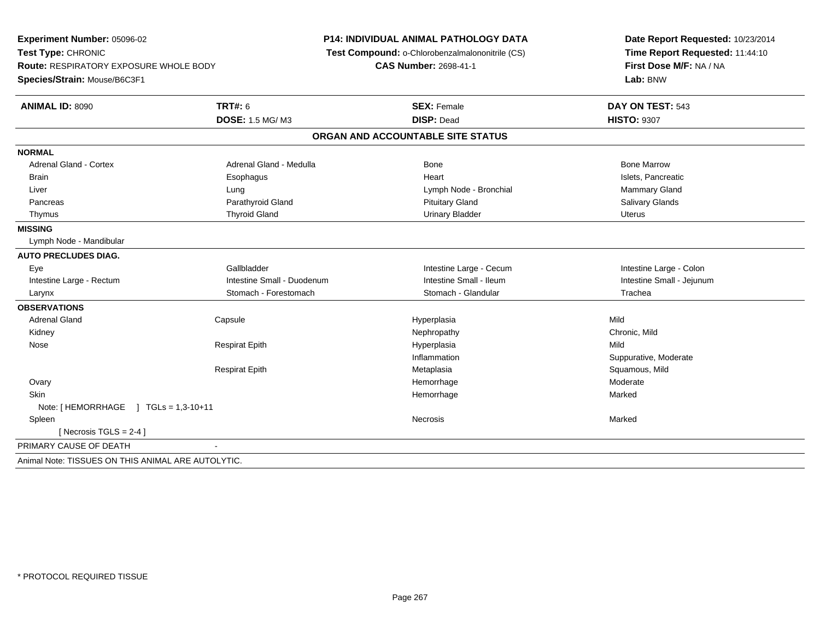**Experiment Number:** 05096-02**Test Type:** CHRONIC **Route:** RESPIRATORY EXPOSURE WHOLE BODY**Species/Strain:** Mouse/B6C3F1**P14: INDIVIDUAL ANIMAL PATHOLOGY DATA Test Compound:** o-Chlorobenzalmalononitrile (CS)**CAS Number:** 2698-41-1**Date Report Requested:** 10/23/2014**Time Report Requested:** 11:44:10**First Dose M/F:** NA / NA**Lab:** BNW**ANIMAL ID:** 8090**C TRT#:** 6 **SEX:** Female **DAY ON TEST:** 543 **DOSE:** 1.5 MG/ M3 **DISP:** Dead **HISTO:** <sup>9307</sup> **ORGAN AND ACCOUNTABLE SITE STATUSNORMALAdrenal Gland - Cortex** Adrenal Gland - Medulla **Adrenal Gland - Medulla** Bone Bone Bone Bone Bone Marrow Islets. Pancreatic Brain Esophagus Heart Islets, Pancreatic Islets, Pancreatic Islets, Pancreatic Islets, Pancreatic Mammary Gland Liver **Latter Lung Lung Lymph Node - Bronchial** Mammary Gland Mammary Gland Mammary Gland Mammary Gland Mammary G **Salivary Glands**  Pancreas Parathyroid Gland Pituitary Gland Salivary GlandsThymus and the Charles Community Thyroid Gland Charles Community Urinary Bladder Charles Community Urinary Bladder Uterus Urinary Bladder Urinary Bladder Urinary Bladder Urinary Bladder **MISSING** Lymph Node - Mandibular**AUTO PRECLUDES DIAG.** Eye Gallbladder Intestine Large - Cecum Intestine Large - ColonIntestine Small - Jejunum Intestine Large - Rectum **Intestine Small - Duodenum** Intestine Small - Ileum Intestine Small - Ileum Larynx Stomach - Forestomach Stomach - Glandular Trachea**OBSERVATIONS** Adrenal Gland Capsule Hyperplasia Mild Kidneyy the controller of the controller of the controller of the controller of the controller of the chronic, Mild Nose Respirat Epith Hyperplasia Mild Inflammation Suppurative, Moderate Respirat EpithMetaplasia **Squamous, Mild Execute Squamous, Mild Hemorrhage** Squamous, Mild Benedict Squamous, Mild Benedict St **Ovary** y the control of the control of the control of the control of the control of the control of the control of the control of the control of the control of the control of the control of the control of the control of the contro Moderate **Skin** n and the state of the state of the state of the state of the Marked Marked of the Marked State of the Marked State of the Marked State of the State of the Marked State of the State of the State of the State of the State o Note: [HEMORRHAGE ] TGLs = 1,3-10+11 Spleenn and the control of the control of the control of the control of the control of the control of the control of the control of the control of the control of the control of the control of the control of the control of the co  $[$  Necrosis TGLS = 2-4  $]$ PRIMARY CAUSE OF DEATH - Animal Note: TISSUES ON THIS ANIMAL ARE AUTOLYTIC.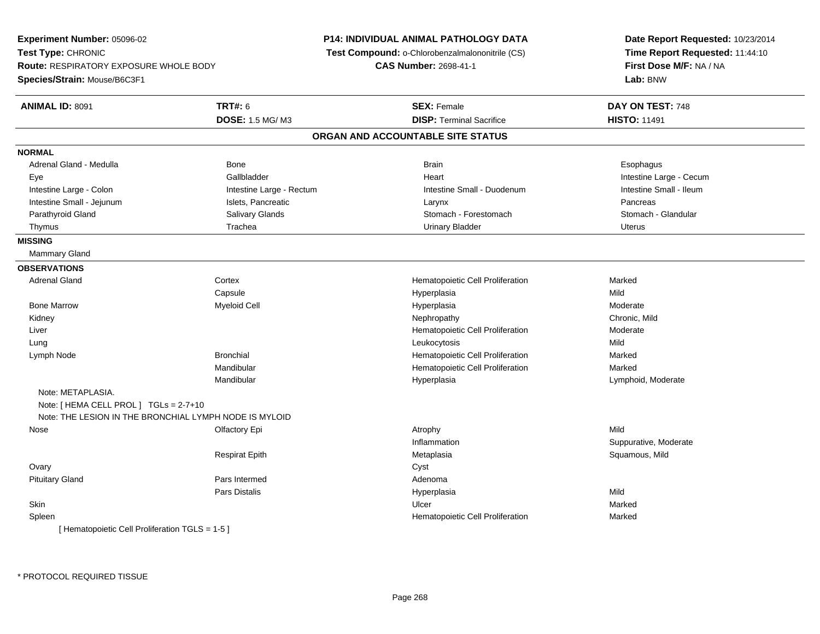**Experiment Number:** 05096-02**Test Type:** CHRONIC **Route:** RESPIRATORY EXPOSURE WHOLE BODY**Species/Strain:** Mouse/B6C3F1**P14: INDIVIDUAL ANIMAL PATHOLOGY DATA Test Compound:** o-Chlorobenzalmalononitrile (CS)**CAS Number:** 2698-41-1**Date Report Requested:** 10/23/2014**Time Report Requested:** 11:44:10**First Dose M/F:** NA / NA**Lab:** BNW**ANIMAL ID:** 8091**TRT#:** 6 **SEX:** Female **DAY ON TEST:** 748 **DOSE:** 1.5 MG/ M3**DISP:** Terminal Sacrifice **HISTO:** 11491 **ORGAN AND ACCOUNTABLE SITE STATUSNORMAL**Adrenal Gland - Medulla Newsternal Bone Bone Brain Brain Brain Brain Brain Brain Bone Brain Brain Brain Brain Esophagus Eye Gallbladder Heart Intestine Large - CecumIntestine Small - Ileum Intestine Large - Colon **Intestine Large - Rectum** Intestine Large - Rectum Intestine Small - Duodenum Intestine Small - Jejunum **Islets, Pancreatic** Chronic Larynx **Chronic Larynx** Pancreas Pancreas Stomach - Glandular Parathyroid Gland Salivary Glands Stomach - Forestomach - Stomach - Forestomach - Stomach - Stomach - Glandular Thymus and the Urinary School of Trachea Urinary Bladder Urinary Bladder Chronicle Urinary Bladder Urinary Bladder **MISSING** Mammary Gland**OBSERVATIONS** Adrenal Gland Cortex Hematopoietic Cell Proliferation Marked **Capsule**  Hyperplasia Mild Bone Marroww the control of the Myeloid Cell the control of the Hyperplasia the Hyperplasia method of the Moderate Moderate  $\sim$  Kidneyy the controller of the controller of the controller of the controller of the controller of the chronic, Mild Liver Hematopoietic Cell ProliferationModerate<br>Mild Lung Leukocytosis Mild Lymph NodeBronchial **Hematopoietic Cell Proliferation** Marked Mandibular Hematopoietic Cell Proliferation Marked Mandibular Hyperplasia Lymphoid, Moderate Note: METAPLASIA.Note: [ HEMA CELL PROL ] TGLs = 2-7+10 Note: THE LESION IN THE BRONCHIAL LYMPH NODE IS MYLOID Nosee the settlement of the Clifactory Epi the Settlement of the Atrophy Atrophy and the Mild Mild of the Mild Settlement of the Mild Settlement of the Mild Settlement of the Mild Settlement of the Settlement of the Settlement InflammationSuppurative, Moderate<br>Squamous, Mild Respirat Epith Metaplasia Squamous, Mild **Ovary** y cystem in the control of the control of the control of the control of the control of the control of the control of the control of the control of the control of the control of the control of the control of the control of Pituitary Glandd and a state of Pars Intermed and the extension of Adenoma Pars Distalis Hyperplasiaa Mild **Skin** n and the control of the control of the control of the control of the control of the control of the control of the control of the control of the control of the control of the control of the control of the control of the co SpleenHematopoietic Cell Proliferation Marked [ Hematopoietic Cell Proliferation TGLS = 1-5 ]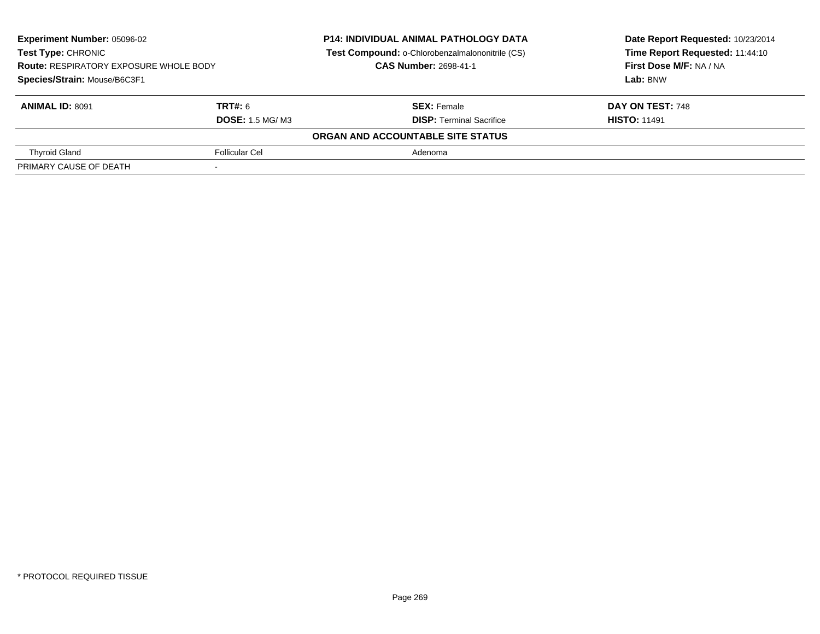| <b>Experiment Number: 05096-02</b>                                                                         |                         | <b>P14: INDIVIDUAL ANIMAL PATHOLOGY DATA</b>    | Date Report Requested: 10/23/2014 |
|------------------------------------------------------------------------------------------------------------|-------------------------|-------------------------------------------------|-----------------------------------|
| <b>Test Type: CHRONIC</b><br><b>Route: RESPIRATORY EXPOSURE WHOLE BODY</b><br>Species/Strain: Mouse/B6C3F1 |                         | Test Compound: o-Chlorobenzalmalononitrile (CS) | Time Report Requested: 11:44:10   |
|                                                                                                            |                         | <b>CAS Number: 2698-41-1</b>                    | First Dose M/F: NA / NA           |
|                                                                                                            |                         |                                                 | Lab: BNW                          |
| <b>ANIMAL ID: 8091</b>                                                                                     | TRT#: 6                 | <b>SEX: Female</b>                              | DAY ON TEST: 748                  |
|                                                                                                            | <b>DOSE: 1.5 MG/ M3</b> | <b>DISP: Terminal Sacrifice</b>                 | <b>HISTO: 11491</b>               |
|                                                                                                            |                         | ORGAN AND ACCOUNTABLE SITE STATUS               |                                   |
| <b>Thyroid Gland</b>                                                                                       | Follicular Cel          | Adenoma                                         |                                   |
| PRIMARY CAUSE OF DEATH                                                                                     |                         |                                                 |                                   |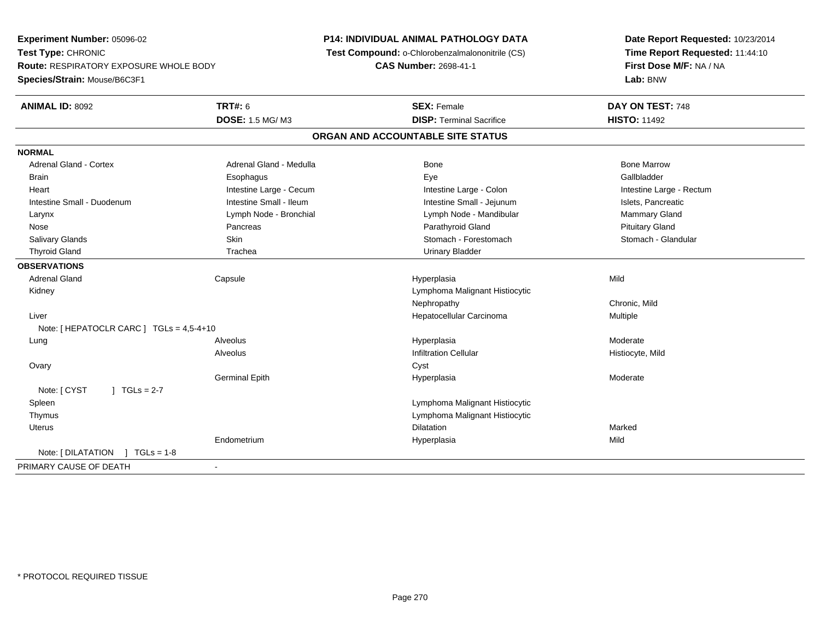**Experiment Number:** 05096-02**Test Type:** CHRONIC **Route:** RESPIRATORY EXPOSURE WHOLE BODY**Species/Strain:** Mouse/B6C3F1**P14: INDIVIDUAL ANIMAL PATHOLOGY DATA Test Compound:** o-Chlorobenzalmalononitrile (CS)**CAS Number:** 2698-41-1**Date Report Requested:** 10/23/2014**Time Report Requested:** 11:44:10**First Dose M/F:** NA / NA**Lab:** BNW**ANIMAL ID:** 8092 **TRT#:** <sup>6</sup> **SEX:** Female **DAY ON TEST:** <sup>748</sup> **DOSE:** 1.5 MG/ M3**DISP:** Terminal Sacrifice **HISTO:** 11492 **ORGAN AND ACCOUNTABLE SITE STATUSNORMALAdrenal Gland - Cortex** Adrenal Gland - Medulla **Bone Adrenal Gland - Cortex Adrenal Gland - Cortex Adrenal Gland - Medulla** Bone Marrow Gallbladder Brain Esophagus Esophagus Esophagus Esophagus Exercicle Exercises et al. Exercises et al. et al. et al. et al. Heart **Intestine Large - Cecum** Intestine Large - Cecum Intestine Large - Colon Intestine Large - Rectum Intestine Small - Duodenum **Intestine Small - Ileum** Intestine Small - Ileum Intestine Small - Jejunum Intestine Small - Islets, Pancreatic Mammary Gland Larynx **Lymph Node - Bronchial Lymph Note** - Mandibular Mammary Gland Mammary Gland Lymph Node - Mandibular Nose Pancreas Parathyroid Gland Pituitary GlandStomach - Glandular Salivary Glands **Skin Stomach - Forestomach - Skin** Skin Stomach - Forestomach - Stomach - Forestomach - Stomach - Glandular Stomach - Stomach - Stomach - Stomach - Stomach - Stomach - Stomach - Stomach - Stomach - Stomach Thyroid Gland Trachea Trachea Communication Chinary Bladder **OBSERVATIONS** Adrenal Gland Capsule Hyperplasia Mild Kidney Lymphoma Malignant Histiocytic Nephropathy Chronic, Mild Liver Hepatocellular Carcinoma Multiple Note: [ HEPATOCLR CARC ] TGLs = 4,5-4+10 Lungg en and the subset of the set of the set of the set of the set of the set of the set of the set of the set of the set of the set of the set of the set of the set of the set of the set of the set of the set of the set of t AlveolusInfiltration Cellular **Histiocyte**, Mild **Ovary** y cystem in the control of the control of the control of the control of the control of the control of the control of the control of the control of the control of the control of the control of the control of the control of Germinal Epithh ann an t-India ann an t-India ann an t-India ann an t-India ann an t-India ann an t-India ann an t-India ann an t-Note:  $[CYST \t 1 TGLs = 2-7$  Spleen Lymphoma Malignant Histiocytic Thymus Lymphoma Malignant Histiocytic Uteruss and the contract of the contract of the contract of the contract of the contract of the contract of the contract of the contract of the contract of the contract of the contract of the contract of the contract of the cont n Marked Marked Structure of the Marked Marked Structure of the Marked Structure of the Marked Structure of th Endometrium Hyperplasia Mild Note: [ DILATATION ] TGLs = 1-8 PRIMARY CAUSE OF DEATH-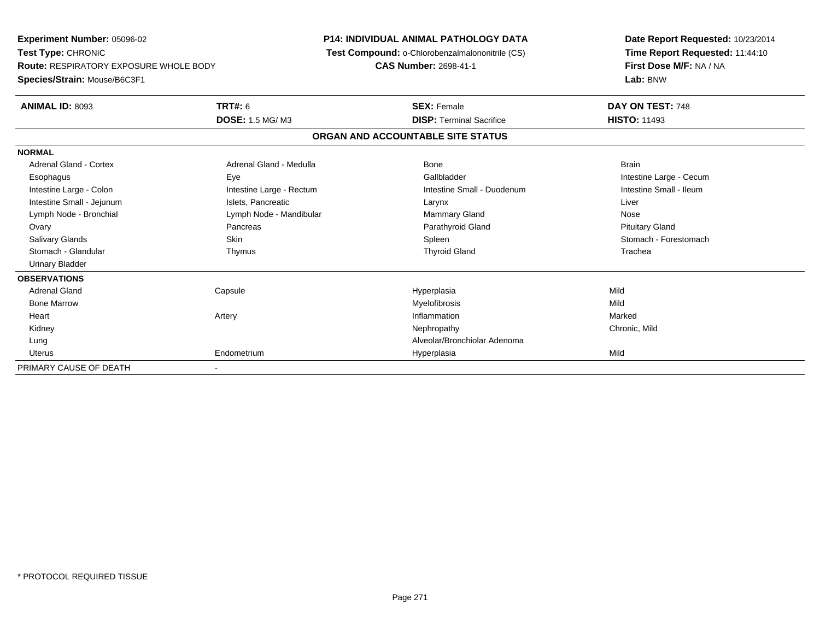**Experiment Number:** 05096-02**Test Type:** CHRONIC **Route:** RESPIRATORY EXPOSURE WHOLE BODY**Species/Strain:** Mouse/B6C3F1**P14: INDIVIDUAL ANIMAL PATHOLOGY DATA Test Compound:** o-Chlorobenzalmalononitrile (CS)**CAS Number:** 2698-41-1**Date Report Requested:** 10/23/2014**Time Report Requested:** 11:44:10**First Dose M/F:** NA / NA**Lab:** BNW**ANIMAL ID:** 8093**TRT#:** 6 **SEX:** Female **DAY ON TEST:** 748 **DOSE:** 1.5 MG/ M3**DISP:** Terminal Sacrifice **HISTO:** 11493 **ORGAN AND ACCOUNTABLE SITE STATUSNORMALAdrenal Gland - Cortex** Adrenal Gland - Medulla **Bone** Bone Bone Brain Brain Esophagus Eye Gallbladder Intestine Large - CecumIntestine Small - Ileum Intestine Large - Colon **Intestine Large - Rectum** Intestine Small - Duodenum Intestine Small - Duodenum Intestine Small - Jejunum **Intestine Small - Jejunum** Islets, Pancreatic **National Communist Communist Communist Communist Communist Communist Communist Communist Communist Communist Communist Communist Communist Communist** Lymph Node - Bronchial Nose Communication Communication Communication Communication Communication Communication Nose **Pituitary Gland**  Ovary Pancreas Parathyroid Gland Pituitary GlandSalivary Glands Salivary School School School School Spleen School Spleen Stomach - Forestomach - Stomach - Forestomach Stomach - Glandular Thymus Thyroid Gland Trachea Urinary Bladder**OBSERVATIONS** Adrenal Gland Capsule Hyperplasia Mild Bone Marroww which is a matter of the Myelofibrosis and the Myelofibrosis and the Mild of the Mild of the Mild of the Mild of the Mild of the Mild of the Mild of the Mild of the Mild of the Mild of the Mild of the Mild of the Mild of Heart Artery Inflammationn Marked Kidneyy the controller of the controller of the controller of the controller of the controller of the chronic, Mild Lung Alveolar/Bronchiolar Adenoma Uterus Endometrium Hyperplasia Mild PRIMARY CAUSE OF DEATH-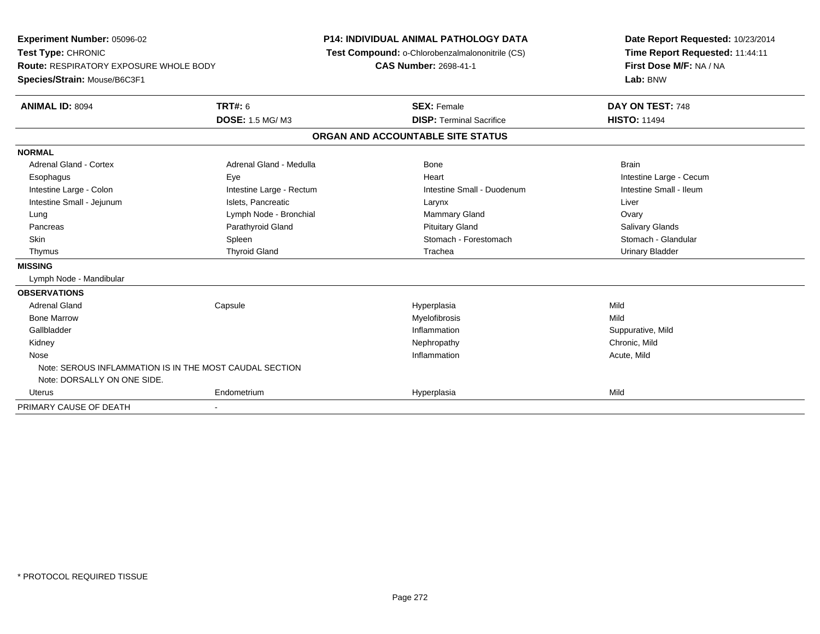| <b>Experiment Number: 05096-02</b>                                  |                          | <b>P14: INDIVIDUAL ANIMAL PATHOLOGY DATA</b>    |  | Date Report Requested: 10/23/2014 |
|---------------------------------------------------------------------|--------------------------|-------------------------------------------------|--|-----------------------------------|
| Test Type: CHRONIC<br><b>Route: RESPIRATORY EXPOSURE WHOLE BODY</b> |                          | Test Compound: o-Chlorobenzalmalononitrile (CS) |  | Time Report Requested: 11:44:11   |
|                                                                     |                          | CAS Number: 2698-41-1                           |  | First Dose M/F: NA / NA           |
| Species/Strain: Mouse/B6C3F1                                        |                          |                                                 |  | Lab: BNW                          |
| <b>ANIMAL ID: 8094</b>                                              | <b>TRT#: 6</b>           | <b>SEX: Female</b>                              |  | DAY ON TEST: 748                  |
|                                                                     | <b>DOSE: 1.5 MG/M3</b>   | <b>DISP: Terminal Sacrifice</b>                 |  | <b>HISTO: 11494</b>               |
|                                                                     |                          | ORGAN AND ACCOUNTABLE SITE STATUS               |  |                                   |
| <b>NORMAL</b>                                                       |                          |                                                 |  |                                   |
| <b>Adrenal Gland - Cortex</b>                                       | Adrenal Gland - Medulla  | <b>Bone</b>                                     |  | <b>Brain</b>                      |
| Esophagus                                                           | Eye                      | Heart                                           |  | Intestine Large - Cecum           |
| Intestine Large - Colon                                             | Intestine Large - Rectum | Intestine Small - Duodenum                      |  | Intestine Small - Ileum           |
| Intestine Small - Jejunum                                           | Islets. Pancreatic       | Larynx                                          |  | Liver                             |
| Lung                                                                | Lymph Node - Bronchial   | Mammary Gland                                   |  | Ovary                             |
| Pancreas                                                            | Parathyroid Gland        | <b>Pituitary Gland</b>                          |  | <b>Salivary Glands</b>            |
| <b>Skin</b>                                                         | Spleen                   | Stomach - Forestomach                           |  | Stomach - Glandular               |
| Thymus                                                              | <b>Thyroid Gland</b>     | Trachea                                         |  | <b>Urinary Bladder</b>            |
| <b>MISSING</b>                                                      |                          |                                                 |  |                                   |
| Lymph Node - Mandibular                                             |                          |                                                 |  |                                   |
| <b>OBSERVATIONS</b>                                                 |                          |                                                 |  |                                   |
| <b>Adrenal Gland</b>                                                | Capsule                  | Hyperplasia                                     |  | Mild                              |
| <b>Bone Marrow</b>                                                  |                          | Myelofibrosis                                   |  | Mild                              |
| Gallbladder                                                         |                          | Inflammation                                    |  | Suppurative, Mild                 |
| Kidney                                                              |                          | Nephropathy                                     |  | Chronic, Mild                     |
| Nose                                                                |                          | Inflammation                                    |  | Acute, Mild                       |
| Note: SEROUS INFLAMMATION IS IN THE MOST CAUDAL SECTION             |                          |                                                 |  |                                   |
| Note: DORSALLY ON ONE SIDE.                                         |                          |                                                 |  |                                   |
| <b>Uterus</b>                                                       | Endometrium              | Hyperplasia                                     |  | Mild                              |
| PRIMARY CAUSE OF DEATH                                              |                          |                                                 |  |                                   |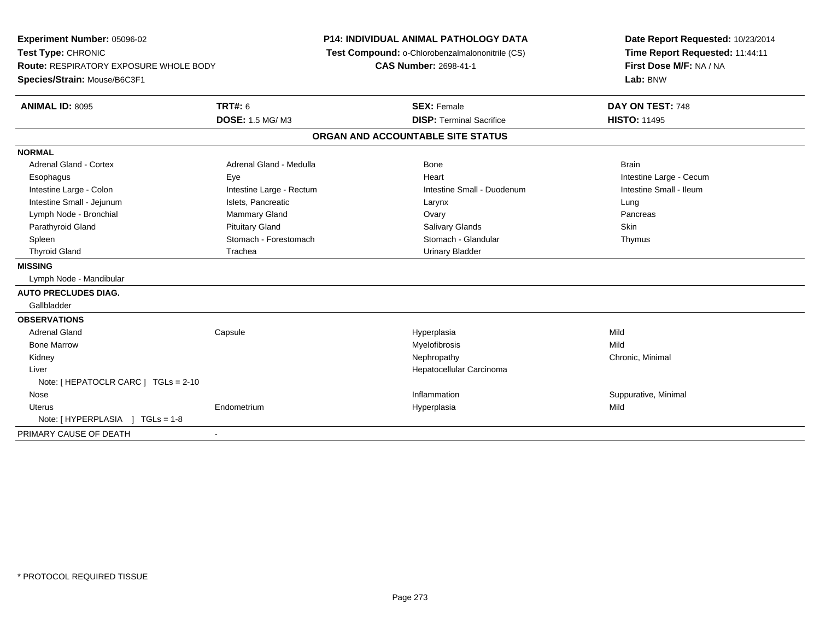| Experiment Number: 05096-02<br>Test Type: CHRONIC<br><b>Route: RESPIRATORY EXPOSURE WHOLE BODY</b><br>Species/Strain: Mouse/B6C3F1 |                                          | P14: INDIVIDUAL ANIMAL PATHOLOGY DATA<br>Test Compound: o-Chlorobenzalmalononitrile (CS)<br>CAS Number: 2698-41-1 | Date Report Requested: 10/23/2014<br>Time Report Requested: 11:44:11<br>First Dose M/F: NA / NA<br>Lab: BNW |
|------------------------------------------------------------------------------------------------------------------------------------|------------------------------------------|-------------------------------------------------------------------------------------------------------------------|-------------------------------------------------------------------------------------------------------------|
| <b>ANIMAL ID: 8095</b>                                                                                                             | <b>TRT#: 6</b><br><b>DOSE: 1.5 MG/M3</b> | <b>SEX: Female</b><br><b>DISP: Terminal Sacrifice</b>                                                             | DAY ON TEST: 748<br><b>HISTO: 11495</b>                                                                     |
|                                                                                                                                    |                                          | ORGAN AND ACCOUNTABLE SITE STATUS                                                                                 |                                                                                                             |
| <b>NORMAL</b>                                                                                                                      |                                          |                                                                                                                   |                                                                                                             |
| <b>Adrenal Gland - Cortex</b>                                                                                                      | Adrenal Gland - Medulla                  | Bone                                                                                                              | <b>Brain</b>                                                                                                |
| Esophagus                                                                                                                          | Eye                                      | Heart                                                                                                             | Intestine Large - Cecum                                                                                     |
| Intestine Large - Colon                                                                                                            | Intestine Large - Rectum                 | Intestine Small - Duodenum                                                                                        | Intestine Small - Ileum                                                                                     |
| Intestine Small - Jejunum                                                                                                          | Islets, Pancreatic                       | Larynx                                                                                                            | Lung                                                                                                        |
| Lymph Node - Bronchial                                                                                                             | Mammary Gland                            | Ovary                                                                                                             | Pancreas                                                                                                    |
| Parathyroid Gland                                                                                                                  | <b>Pituitary Gland</b>                   | Salivary Glands                                                                                                   | Skin                                                                                                        |
| Spleen                                                                                                                             | Stomach - Forestomach                    | Stomach - Glandular                                                                                               | Thymus                                                                                                      |
| <b>Thyroid Gland</b>                                                                                                               | Trachea                                  | <b>Urinary Bladder</b>                                                                                            |                                                                                                             |
| <b>MISSING</b>                                                                                                                     |                                          |                                                                                                                   |                                                                                                             |
| Lymph Node - Mandibular                                                                                                            |                                          |                                                                                                                   |                                                                                                             |
| <b>AUTO PRECLUDES DIAG.</b>                                                                                                        |                                          |                                                                                                                   |                                                                                                             |
| Gallbladder                                                                                                                        |                                          |                                                                                                                   |                                                                                                             |
| <b>OBSERVATIONS</b>                                                                                                                |                                          |                                                                                                                   |                                                                                                             |
| <b>Adrenal Gland</b>                                                                                                               | Capsule                                  | Hyperplasia                                                                                                       | Mild                                                                                                        |
| <b>Bone Marrow</b>                                                                                                                 |                                          | Myelofibrosis                                                                                                     | Mild                                                                                                        |
| Kidney                                                                                                                             |                                          | Nephropathy                                                                                                       | Chronic, Minimal                                                                                            |
| Liver                                                                                                                              |                                          | Hepatocellular Carcinoma                                                                                          |                                                                                                             |
| Note: [ HEPATOCLR CARC ] TGLs = 2-10                                                                                               |                                          |                                                                                                                   |                                                                                                             |
| Nose                                                                                                                               |                                          | Inflammation                                                                                                      | Suppurative, Minimal                                                                                        |
| <b>Uterus</b>                                                                                                                      | Endometrium                              | Hyperplasia                                                                                                       | Mild                                                                                                        |
| Note: [HYPERPLASIA ] TGLs = 1-8                                                                                                    |                                          |                                                                                                                   |                                                                                                             |
| PRIMARY CAUSE OF DEATH                                                                                                             | $\blacksquare$                           |                                                                                                                   |                                                                                                             |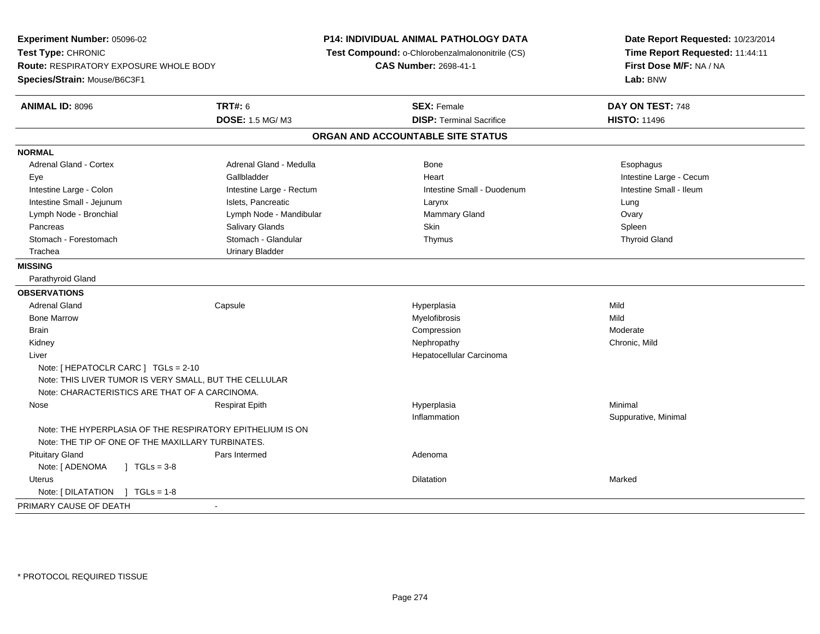**Experiment Number:** 05096-02**Test Type:** CHRONIC **Route:** RESPIRATORY EXPOSURE WHOLE BODY**Species/Strain:** Mouse/B6C3F1**P14: INDIVIDUAL ANIMAL PATHOLOGY DATA Test Compound:** o-Chlorobenzalmalononitrile (CS)**CAS Number:** 2698-41-1**Date Report Requested:** 10/23/2014**Time Report Requested:** 11:44:11**First Dose M/F:** NA / NA**Lab:** BNW**ANIMAL ID:** 8096 **TRT#:** <sup>6</sup> **SEX:** Female **DAY ON TEST:** <sup>748</sup> **DOSE:** 1.5 MG/ M3**DISP:** Terminal Sacrifice **HISTO:** 11496 **ORGAN AND ACCOUNTABLE SITE STATUSNORMALAdrenal Gland - Cortex** Adrenal Gland - Medulla **Adrenal Gland - Medulla Bone** Bone **Bone** Esophagus Esophagus Eye Gallbladder Heart Intestine Large - CecumIntestine Small - Ileum Intestine Large - Colon **Intestine Large - Rectum** Intestine Colon Intestine Small - Duodenum Intestine Small - Jejunum **Intestine Small - Jejunum** Islets, Pancreatic **Network Construction Career Construction** Ovary Lymph Node - Bronchial **Lymph Node - Mandibular** Mammary Gland Ovary Cland Commary Gland Commary Gland Ovary Cland Spleen Pancreas Salivary Glands Skin Spleen**Thyroid Gland**  Stomach - Forestomach Stomach - Glandular Thymus Thyroid Gland Trachea Urinary Bladder**MISSING** Parathyroid Gland**OBSERVATIONS** Adrenal Gland Capsule Hyperplasia Mild Bone Marroww which is a matter of the Myelofibrosis and the Myelofibrosis and the Mild of the Mild of the Mild of the Mild of the Mild of the Mild of the Mild of the Mild of the Mild of the Mild of the Mild of the Mild of the Mild of Brainn and the compression of the compression of the compression of the compression of the compression of the compression Kidneyy the controller of the controller of the controller of the controller of the controller of the chronic, Mild Liver Hepatocellular CarcinomaNote: [ HEPATOCLR CARC ] TGLs = 2-10 Note: THIS LIVER TUMOR IS VERY SMALL, BUT THE CELLULARNote: CHARACTERISTICS ARE THAT OF A CARCINOMA. Nose Respirat Epith Hyperplasia Minimal Inflammation Suppurative, Minimal Note: THE HYPERPLASIA OF THE RESPIRATORY EPITHELIUM IS ONNote: THE TIP OF ONE OF THE MAXILLARY TURBINATES. Pituitary Glandd and a state of Pars Intermed and the extension of Adenoma Note:  $[ADENOMA \t] TGLS = 3-8$  Uteruss and the contract of the contract of the contract of the contract of the contract of the contract of the contract of the contract of the contract of the contract of the contract of the contract of the contract of the cont n Marked **Marked** Note: [ DILATATION ] TGLs = 1-8 PRIMARY CAUSE OF DEATH-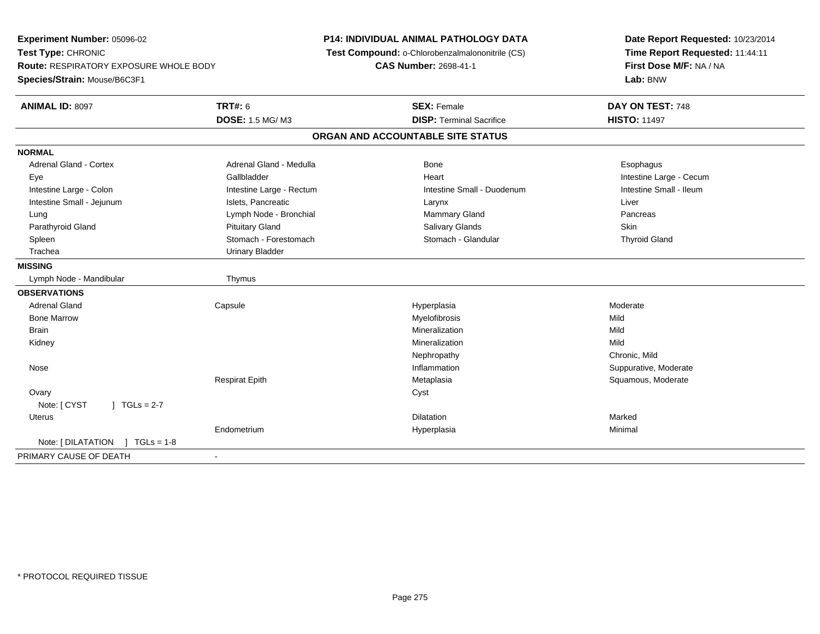**Experiment Number:** 05096-02**Test Type:** CHRONIC **Route:** RESPIRATORY EXPOSURE WHOLE BODY**Species/Strain:** Mouse/B6C3F1**P14: INDIVIDUAL ANIMAL PATHOLOGY DATA Test Compound:** o-Chlorobenzalmalononitrile (CS)**CAS Number:** 2698-41-1**Date Report Requested:** 10/23/2014**Time Report Requested:** 11:44:11**First Dose M/F:** NA / NA**Lab:** BNW**ANIMAL ID:** 8097**TRT#:** 6 **SEX:** Female **DAY ON TEST:** 748 **DOSE:** 1.5 MG/ M3**DISP:** Terminal Sacrifice **HISTO:** 11497 **ORGAN AND ACCOUNTABLE SITE STATUSNORMALAdrenal Gland - Cortex** Adrenal Gland - Medulla **Adrenal Gland - Medulla Bone** Bone **Bone** Esophagus Esophagus Eye Gallbladder Heart Intestine Large - CecumIntestine Small - Ileum Intestine Large - Colon **Intestine Large - Rectum** Intestine Small - Duodenum Intestine Small - Duodenum Intestine Small - Jejunum **Intestine Small - Jejunum** Islets, Pancreatic **Larynx** Larynx Liver Lung **Lymph Node - Bronchial Mammary Gland Pancreas** Pancreas Pancreas Parathyroid Gland Phillip Communication of Pituitary Gland Pitus School Salivary Glands Skin Skin Skin Skin Skin **Thyroid Gland** Spleen Stomach - Stomach - Forestomach - Stomach - Glandular Thyroid Glandular Thyroid Glandular Thyroid Glandular Trachea Urinary Bladder**MISSING**Lymph Node - Mandibular Thymus **OBSERVATIONS** Adrenal Gland Capsule Hyperplasia Moderate Bone Marroww which is a matter of the Myelofibrosis and the Myelofibrosis and the Mild of the Mild of the Mild of the Mild of the Mild of the Mild of the Mild of the Mild of the Mild of the Mild of the Mild of the Mild of the Mild of Brainn and the control of the control of the control of the control of the control of the control of the control of the control of the control of the control of the control of the control of the control of the control of the co Kidneyy the control of the control of the control of the control of the control of the control of the control of the control of the control of the control of the control of the control of the control of the control of the contro n Mild NephropathyNephropathy Chronic, Mild<br>
Inflammation Suppurative. Suppurative, Moderate Nosee the contractive of the contraction of the contraction of the contraction of the contraction of the contraction of  $\mathbf S$ uppurative, Moderate Respirat Epith Metaplasia Squamous, Moderate **Ovary** y cystem in the control of the control of the control of the control of the control of the control of the control of the control of the control of the control of the control of the control of the control of the control of Note:  $[CYST \t 1 TGLs = 2-7$  Uteruss and the contract of the contract of the contract of the contract of the contract of the contract of the contract of the contract of the contract of the contract of the contract of the contract of the contract of the cont n Marked **Marked** Endometrium Hyperplasia Minimal Note: [ DILATATION ] TGLs = 1-8PRIMARY CAUSE OF DEATH-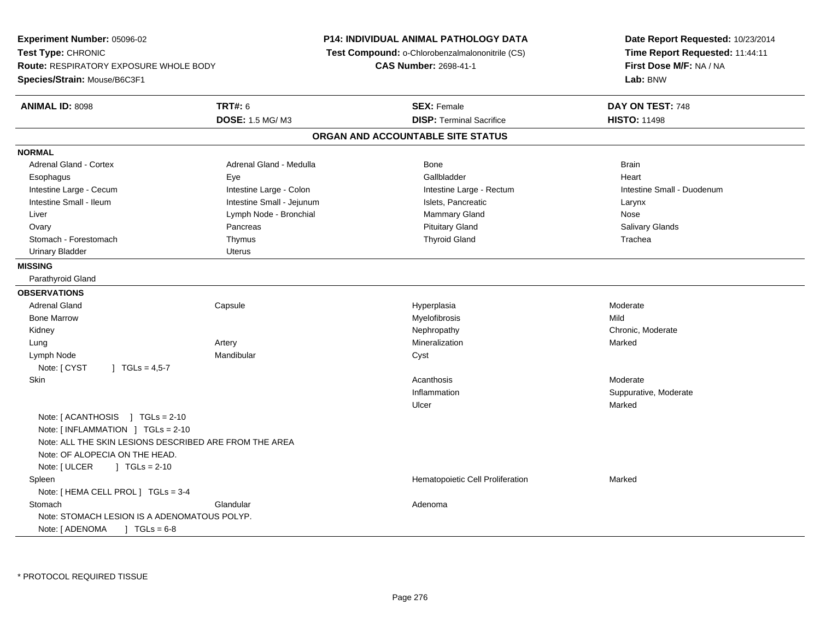**Experiment Number:** 05096-02**Test Type:** CHRONIC **Route:** RESPIRATORY EXPOSURE WHOLE BODY**Species/Strain:** Mouse/B6C3F1**P14: INDIVIDUAL ANIMAL PATHOLOGY DATA Test Compound:** o-Chlorobenzalmalononitrile (CS)**CAS Number:** 2698-41-1**Date Report Requested:** 10/23/2014**Time Report Requested:** 11:44:11**First Dose M/F:** NA / NA**Lab:** BNW**ANIMAL ID:** 8098**TRT#:** 6 **SEX:** Female **DAY ON TEST:** 748 **DOSE:** 1.5 MG/ M3**DISP:** Terminal Sacrifice **HISTO:** 11498 **ORGAN AND ACCOUNTABLE SITE STATUSNORMALAdrenal Gland - Cortex** Adrenal Gland - Medulla **Bone** Bone Brain Bone Brain Brain Brain Heart Esophagus Eye Gallbladder HeartIntestine Large - Cecum **Intestine Large - Colon** Intestine Large - Colon Intestine Large - Rectum Intestine Large - Rectum Intestine Small - Duodenum Intestine Small - Ileum Larynx Intestine Small - Jejunum Intestine Small - Jejunum Islets, Pancreatic Larynx Nose Liver **Liver Lymph Node - Bronchial Mammary Gland Mammary Gland Nose Agency** Company Company Company Company Company Company Company Company Company Company Company Company Company Company Company Company Company Company **Salivary Glands** Ovary Pancreas Pancreas Pancreas Pancreas Putuitary Gland Salivary Glands Salivary Glands Salivary Glands Salivary Glands Salivary Glands Salivary Glands Salivary Glands Salivary Glands Salivary Glands Salivary Glands Sali Stomach - Forestomach Thymus Thyroid Gland TracheaUrinary Bladder **Uterus MISSING** Parathyroid Gland**OBSERVATIONS** Adrenal Gland Capsule Hyperplasia Moderate Bone Marroww which is a matter of the Myelofibrosis and the Myelofibrosis and the Mild of the Mild of the Mild of the Mild of the Mild of the Mild of the Mild of the Mild of the Mild of the Mild of the Mild of the Mild of the Mild of Kidneyy the chronic, Moderate and September 2011 of the Chronic Moderate and September 2012 of the Chronic, Moderate Lung Artery Mineralization Marked Lymph Nodee **Executive Structure Mandibular** Cyst Cyst Note: [ CYST | TGLs = 4,5-7 Skinn and the control of the control of the control of the control of the control of the control of the control of the control of the control of the control of the control of the control of the control of the control of the co InflammationSuppurative, Moderate<br>Marked Ulcerr **Marked** Note: [ ACANTHOSIS ] TGLs = 2-10 Note: [ INFLAMMATION ] TGLs = 2-10 Note: ALL THE SKIN LESIONS DESCRIBED ARE FROM THE AREANote: OF ALOPECIA ON THE HEAD.Note: [ ULCER ] TGLs = 2-10 SpleenHematopoietic Cell Proliferation Marked Note: [ HEMA CELL PROL ] TGLs = 3-4**Stomach** h anns an Glandular anns an Glandular anns an Adenoma Note: STOMACH LESION IS A ADENOMATOUS POLYP.Note: [ ADENOMA ] TGLs = 6-8

\* PROTOCOL REQUIRED TISSUE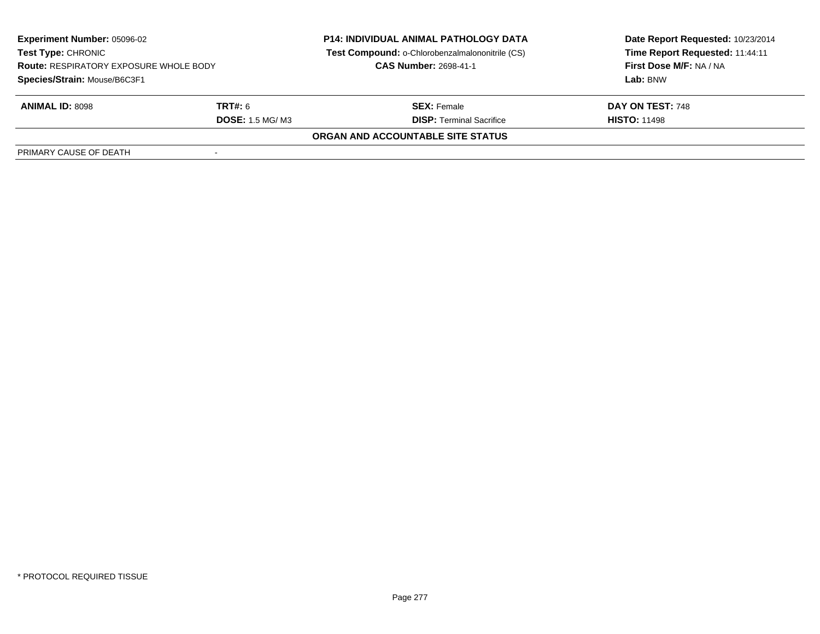| <b>Experiment Number: 05096-02</b><br><b>Test Type: CHRONIC</b><br><b>Route: RESPIRATORY EXPOSURE WHOLE BODY</b><br>Species/Strain: Mouse/B6C3F1 |                                   | <b>P14: INDIVIDUAL ANIMAL PATHOLOGY DATA</b><br>Test Compound: o-Chlorobenzalmalononitrile (CS)<br><b>CAS Number: 2698-41-1</b> | Date Report Requested: 10/23/2014<br>Time Report Requested: 11:44:11<br>First Dose M/F: NA / NA<br>Lab: BNW |
|--------------------------------------------------------------------------------------------------------------------------------------------------|-----------------------------------|---------------------------------------------------------------------------------------------------------------------------------|-------------------------------------------------------------------------------------------------------------|
| <b>ANIMAL ID: 8098</b>                                                                                                                           | TRT#: 6<br><b>DOSE: 1.5 MG/M3</b> | <b>SEX: Female</b><br><b>DISP: Terminal Sacrifice</b>                                                                           | DAY ON TEST: 748<br><b>HISTO: 11498</b>                                                                     |
|                                                                                                                                                  |                                   | ORGAN AND ACCOUNTABLE SITE STATUS                                                                                               |                                                                                                             |
| PRIMARY CAUSE OF DEATH                                                                                                                           |                                   |                                                                                                                                 |                                                                                                             |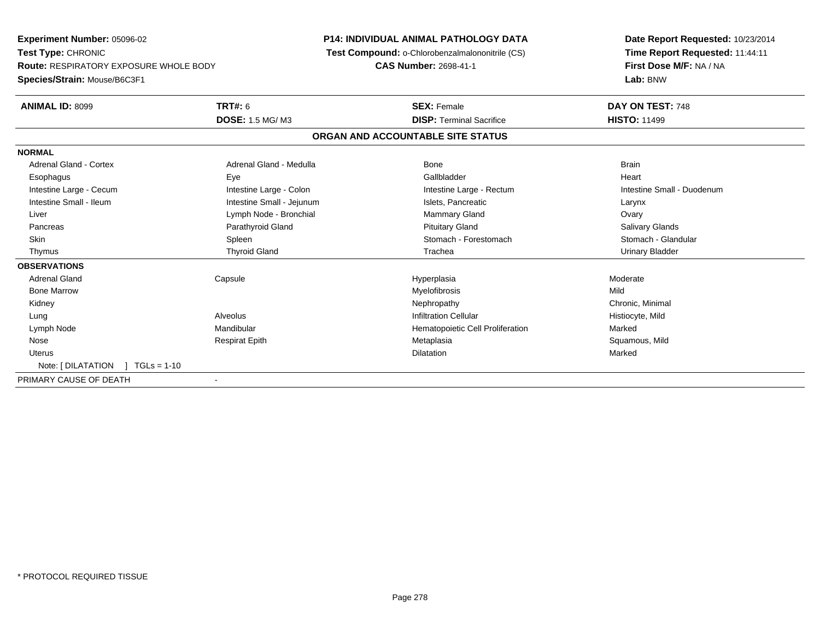**Experiment Number:** 05096-02**Test Type:** CHRONIC **Route:** RESPIRATORY EXPOSURE WHOLE BODY**Species/Strain:** Mouse/B6C3F1**P14: INDIVIDUAL ANIMAL PATHOLOGY DATA Test Compound:** o-Chlorobenzalmalononitrile (CS)**CAS Number:** 2698-41-1**Date Report Requested:** 10/23/2014**Time Report Requested:** 11:44:11**First Dose M/F:** NA / NA**Lab:** BNW**ANIMAL ID:** 8099 **TRT#:** <sup>6</sup> **SEX:** Female **DAY ON TEST:** <sup>748</sup> **DOSE:** 1.5 MG/ M3**DISP:** Terminal Sacrifice **HISTO:** 11499 **ORGAN AND ACCOUNTABLE SITE STATUSNORMALAdrenal Gland - Cortex** Adrenal Gland - Medulla **Bone** Bone Bone Brain Brain Heart Esophagus Eye Gallbladder HeartIntestine Large - Cecum **Intestine Large - Colon** Intestine Large - Colon Intestine Large - Rectum Intestine Large - Rectum Intestine Small - Duodenum Intestine Small - Ileum Larynx **Intestine Small - Jejunum Intestine Small** - Islets, Pancreatic Larynx Ovary Liver **Liver** Class Communication of Lymph Node - Bronchial Class Communication of Mammary Gland **Salivary Glands**  Pancreas Parathyroid Gland Pituitary Gland Salivary GlandsStomach - Glandular Skin Stomach - Forestomach Spleen Spleen Stomach - Forestomach - Stomach - Forestomach - Stomach - Glandular Stomach - Glandular Stomach - Glandular Stomach - Glandular Stomach - Stomach - Stomach - Stomach - Stomach - Sto Thymus Thyroid Gland Trachea Urinary Bladder**OBSERVATIONS** Adrenal Gland Capsule Hyperplasia Moderate Bone Marroww which is a matter of the Myelofibrosis and the Myelofibrosis and the Mild of the Mild of the Mild of the Mild of the Mild of the Mild of the Mild of the Mild of the Mild of the Mild of the Mild of the Mild of the Mild of Kidneyy the controller the controller of the controller of the controller of the controller of the controller of the controller of the controller of the controller of the controller of the controller of the controller of the con Lung Alveolus Infiltration Cellular Histiocyte, Mild Lymph NodeMandibular Mandibular (Mandibular Hematopoietic Cell Proliferation Marked Marked Marked Respirat Epith Marked Marked Marked Marked Marked Squamous, Mild Nose Respirat Epith Metaplasia Squamous, Mild Uteruss and the contract of the contract of the contract of the contract of the contract of the contract of the contract of the contract of the contract of the contract of the contract of the contract of the contract of the cont n Marked Marked Structure of the Marked Marked Structure of the Marked Structure of the Marked Structure of th Note: [ DILATATION ] TGLs = 1-10PRIMARY CAUSE OF DEATH-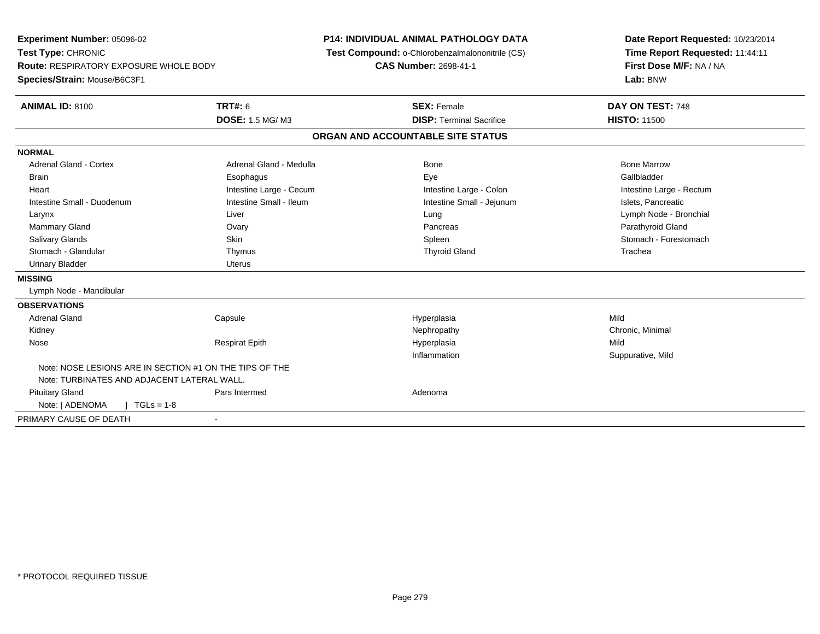**Experiment Number:** 05096-02**Test Type:** CHRONIC **Route:** RESPIRATORY EXPOSURE WHOLE BODY**Species/Strain:** Mouse/B6C3F1**P14: INDIVIDUAL ANIMAL PATHOLOGY DATA Test Compound:** o-Chlorobenzalmalononitrile (CS)**CAS Number:** 2698-41-1**Date Report Requested:** 10/23/2014**Time Report Requested:** 11:44:11**First Dose M/F:** NA / NA**Lab:** BNW**ANIMAL ID:** 8100**C TRT#:** 6 **SEX:** Female **DAY ON TEST:** 748 **DOSE:** 1.5 MG/ M3**DISP:** Terminal Sacrifice **HISTO:** 11500 **ORGAN AND ACCOUNTABLE SITE STATUSNORMALAdrenal Gland - Cortex** Adrenal Gland - Medulla **Adrenal Gland - Medulla** Bone Bone Bone Bone Bone Marrow Gallbladder Brain Esophagus Esophagus Esophagus Esophagus Exercicle Exercises et al. Exercises et al. et al. et al. et al. Heart **Intestine Large - Cecum** Intestine Large - Cecum Intestine Large - Colon Intestine Large - Rectum Intestine Small - Duodenum **Intestine Small - Ileum** Intestine Small - Ileum Intestine Small - Jejunum Intestine Small - Jejunum Islets, Pancreatic Larynx Liver Lung Lymph Node - Bronchial Mammary Gland Ovary Pancreas Parathyroid GlandStomach - Forestomach Salivary Glands Summach - Skin Shin Shin Shin Shines Spleen Shines Stomach - Forestomach - Stomach - Forestomach - Stomach - Stomach - Stomach - Stomach - Stomach - Stomach - Stomach - Stomach - Stomach - Stomach - Stomach Stomach - Glandular Thymus Thyroid Gland TracheaUrinary Bladder **Urinary Bladder** Uterus **MISSING** Lymph Node - Mandibular**OBSERVATIONS** Adrenal Gland Capsule Hyperplasia Mild Kidneyy the controller the controller of the controller of the controller of the controller of the controller of the controller of the controller of the controller of the controller of the controller of the controller of the con Nose Respirat Epith Hyperplasia Mild Inflammation Suppurative, Mild Note: NOSE LESIONS ARE IN SECTION #1 ON THE TIPS OF THENote: TURBINATES AND ADJACENT LATERAL WALL. Pituitary Glandd and a state of Pars Intermed and the extension of Adenoma Note:  $[ADENOMA \t ] TGLS = 1-8$ PRIMARY CAUSE OF DEATH-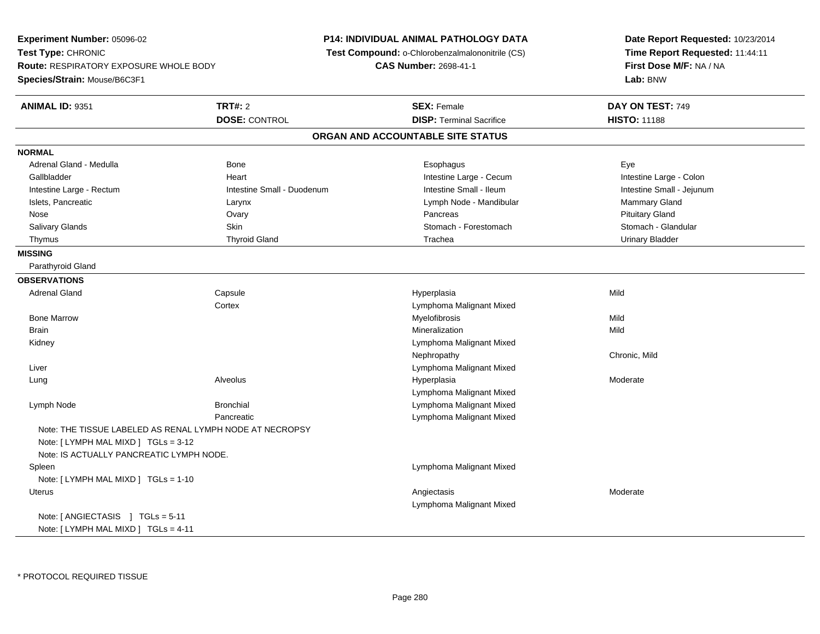**Experiment Number:** 05096-02**Test Type:** CHRONIC **Route:** RESPIRATORY EXPOSURE WHOLE BODY**Species/Strain:** Mouse/B6C3F1**P14: INDIVIDUAL ANIMAL PATHOLOGY DATA Test Compound:** o-Chlorobenzalmalononitrile (CS)**CAS Number:** 2698-41-1**Date Report Requested:** 10/23/2014**Time Report Requested:** 11:44:11**First Dose M/F:** NA / NA**Lab:** BNW**ANIMAL ID:** 9351**TRT#:** 2 **SEX:** Female **DAY ON TEST:** 749 **DOSE:** CONTROL**DISP:** Terminal Sacrifice **HISTO:** 11188 **ORGAN AND ACCOUNTABLE SITE STATUSNORMAL** Adrenal Gland - Medulla Bone Esophagus EyeIntestine Large - Colon Gallbladder **East Community Community** Community Heart Heart Intestine Large - Cecum Intestine Large - Cecum Intestine Small - Jejunum Intestine Large - Rectum **Intestine Small - Duodenum** Intestine Small - Ileum Intestine Small - Ileum Islets, Pancreatic **Commary Gland** Larynx Larynx Clarynx Lymph Node - Mandibular Mammary Gland Mammary Gland Nose Ovary Pancreas Pituitary GlandStomach - Glandular Salivary Glands Summach - Skin Shin Shin Stomach - Forestomach - Stomach - Stomach - Stomach Stomach Stomach - Stomach - Stomach - Stomach - Stomach - Stomach - Stomach - Stomach - Stomach - Stomach - Stomach - Stomach - S Thymus Thyroid Gland Trachea Urinary Bladder**MISSING** Parathyroid Gland**OBSERVATIONS** Adrenal Gland Capsule Hyperplasia Mild **Cortex**  Lymphoma Malignant Mixed Bone Marroww which is a matter of the Myelofibrosis and the Myelofibrosis and the Mild of the Mild of the Mild of the Mild of the Mild of the Mild of the Mild of the Mild of the Mild of the Mild of the Mild of the Mild of the Mild of Brainn and the control of the control of the control of the control of the control of the control of the control of the control of the control of the control of the control of the control of the control of the control of the co Kidney Lymphoma Malignant MixedNephropathy Chronic, Mild Liver Lymphoma Malignant Mixed Lungg en and the subset of the set of the set of the set of the set of the set of the set of the set of the set of the set of the set of the set of the set of the set of the set of the set of the set of the set of the set of t Lymphoma Malignant Mixede and a subset of the Bronchial Control of the Bronchial Control of the Lymphoma Malignant Mixed Lymph NodePancreatic Lymphoma Malignant MixedNote: THE TISSUE LABELED AS RENAL LYMPH NODE AT NECROPSYNote: [ LYMPH MAL MIXD ] TGLs = 3-12 Note: IS ACTUALLY PANCREATIC LYMPH NODE. Spleen Lymphoma Malignant Mixed Note: [ LYMPH MAL MIXD ] TGLs = 1-10 Uteruss and the contract of the contract of the contract of the contract of the contract of the contract of the contract of  $\lambda$ Lymphoma Malignant MixedNote: [ ANGIECTASIS ] TGLs = 5-11Note: [ LYMPH MAL MIXD ] TGLs = 4-11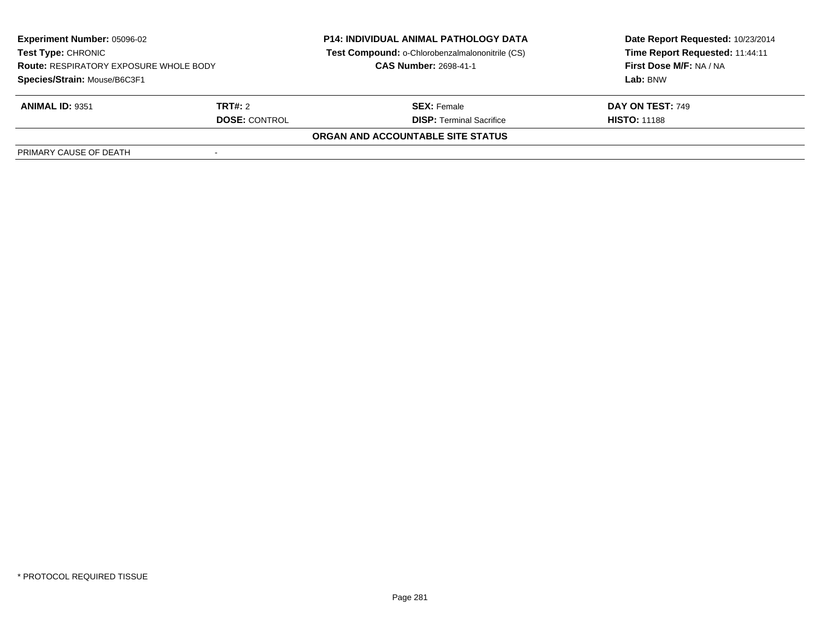| <b>Experiment Number: 05096-02</b><br><b>Test Type: CHRONIC</b><br><b>Route: RESPIRATORY EXPOSURE WHOLE BODY</b><br>Species/Strain: Mouse/B6C3F1 |                                 | <b>P14: INDIVIDUAL ANIMAL PATHOLOGY DATA</b><br>Test Compound: o-Chlorobenzalmalononitrile (CS)<br><b>CAS Number: 2698-41-1</b> | Date Report Requested: 10/23/2014<br>Time Report Requested: 11:44:11<br>First Dose M/F: NA / NA<br>Lab: BNW |
|--------------------------------------------------------------------------------------------------------------------------------------------------|---------------------------------|---------------------------------------------------------------------------------------------------------------------------------|-------------------------------------------------------------------------------------------------------------|
| <b>ANIMAL ID: 9351</b>                                                                                                                           | TRT#: 2<br><b>DOSE: CONTROL</b> | <b>SEX: Female</b><br><b>DISP: Terminal Sacrifice</b>                                                                           | <b>DAY ON TEST: 749</b><br><b>HISTO: 11188</b>                                                              |
|                                                                                                                                                  |                                 | ORGAN AND ACCOUNTABLE SITE STATUS                                                                                               |                                                                                                             |
| PRIMARY CAUSE OF DEATH                                                                                                                           |                                 |                                                                                                                                 |                                                                                                             |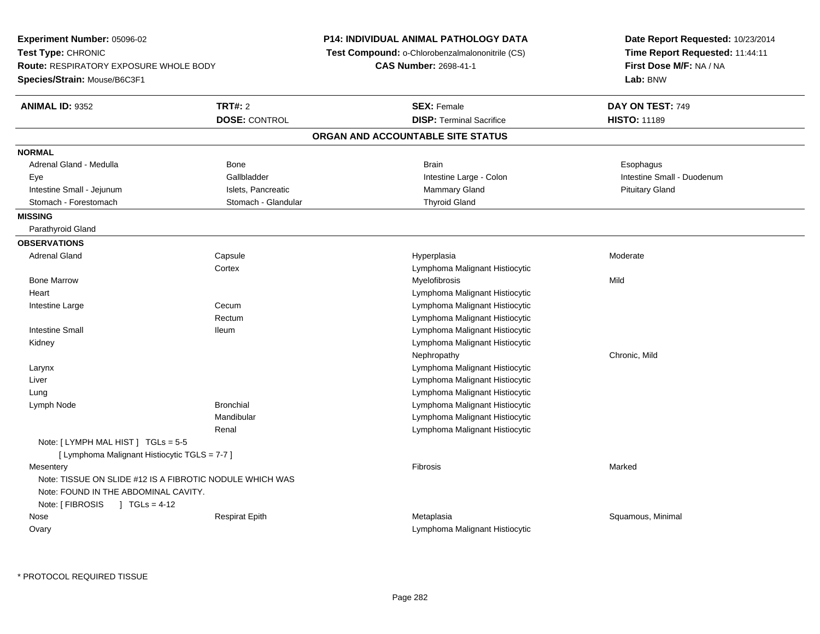**Experiment Number:** 05096-02**Test Type:** CHRONIC **Route:** RESPIRATORY EXPOSURE WHOLE BODY**Species/Strain:** Mouse/B6C3F1**P14: INDIVIDUAL ANIMAL PATHOLOGY DATA Test Compound:** o-Chlorobenzalmalononitrile (CS)**CAS Number:** 2698-41-1**Date Report Requested:** 10/23/2014**Time Report Requested:** 11:44:11**First Dose M/F:** NA / NA**Lab:** BNW**ANIMAL ID:** 9352**TRT#:** 2 **SEX:** Female **DAY ON TEST:** 749 **DOSE:** CONTROL**DISP:** Terminal Sacrifice **HISTO:** 11189 **ORGAN AND ACCOUNTABLE SITE STATUSNORMAL**Adrenal Gland - Medulla Newsternal Bone Bone Brain Brain Brain Brain Brain Brain Bone Brain Brain Brain Brain Esophagus Eye Gallbladder Intestine Large - Colon Intestine Small - DuodenumIntestine Small - Jejunum **Islets, Pancreatic** School and Mammary Gland Pituitary Gland Pituitary Gland Pituitary Gland Stomach - Forestomach **Stomach - Glandular** Stomach - Glandular Thyroid Gland **MISSING** Parathyroid Gland**OBSERVATIONS** Adrenal Gland Capsule Hyperplasia Moderate **Cortex**  Lymphoma Malignant Histiocytic Bone Marroww which is a matter of the Myelofibrosis and the Myelofibrosis and the Mild of the Mild of the Mild of the Mild of the Mild of the Mild of the Mild of the Mild of the Mild of the Mild of the Mild of the Mild of the Mild of **Heart**  Lymphoma Malignant Histiocytic Lymphoma Malignant Histiocytic Intestine Largee Cecum Rectum Lymphoma Malignant Histiocytic Intestine Small Ileum Lymphoma Malignant Histiocytic Kidney Lymphoma Malignant Histiocytic Nephropathy Chronic, Mild Larynx Lymphoma Malignant Histiocytic Liver Lymphoma Malignant Histiocytic Lymphoma Malignant Histiocytic Lung Lymph Node Bronchial Lymphoma Malignant Histiocytic Mandibular Lymphoma Malignant Histiocytic Lymphoma Malignant HistiocyticRenalNote: [ LYMPH MAL HIST ] TGLs = 5-5 [ Lymphoma Malignant Histiocytic TGLS = 7-7 ]**Mesentery** y the control of the control of the control of the control of the control of the control of the control of the control of the control of the control of the control of the control of the control of the control of the contro Note: TISSUE ON SLIDE #12 IS A FIBROTIC NODULE WHICH WASNote: FOUND IN THE ABDOMINAL CAVITY.Note: [ FIBROSIS ] TGLs = 4-12 Nose Respirat Epith Metaplasia Squamous, Minimal **Ovary** Lymphoma Malignant Histiocytic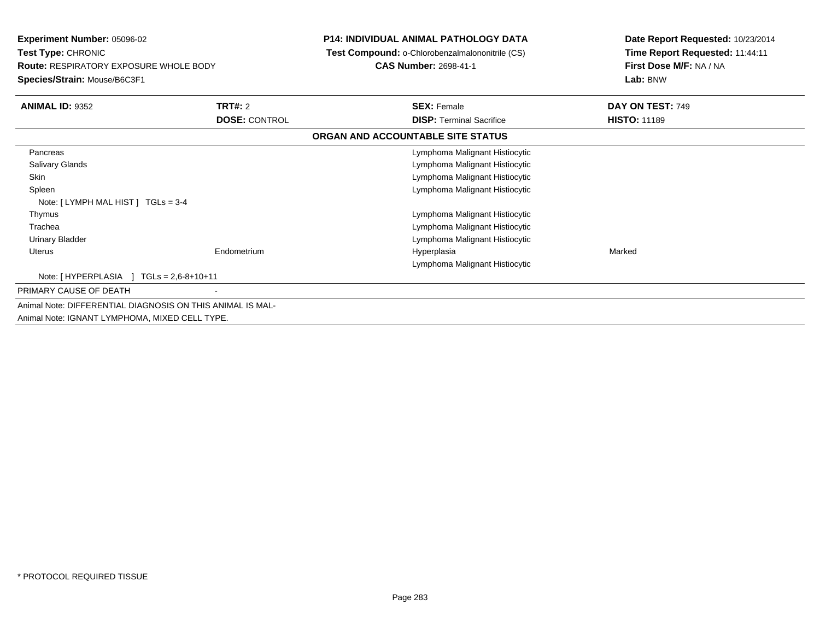| <b>Experiment Number: 05096-02</b><br>Test Type: CHRONIC<br><b>Route: RESPIRATORY EXPOSURE WHOLE BODY</b><br>Species/Strain: Mouse/B6C3F1 |                            | <b>P14: INDIVIDUAL ANIMAL PATHOLOGY DATA</b><br>Test Compound: o-Chlorobenzalmalononitrile (CS)<br><b>CAS Number: 2698-41-1</b> | Date Report Requested: 10/23/2014<br>Time Report Requested: 11:44:11<br>First Dose M/F: NA / NA<br>Lab: BNW |
|-------------------------------------------------------------------------------------------------------------------------------------------|----------------------------|---------------------------------------------------------------------------------------------------------------------------------|-------------------------------------------------------------------------------------------------------------|
| <b>ANIMAL ID: 9352</b>                                                                                                                    | TRT#: 2                    | <b>SEX: Female</b>                                                                                                              | DAY ON TEST: 749                                                                                            |
|                                                                                                                                           | <b>DOSE: CONTROL</b>       | <b>DISP:</b> Terminal Sacrifice                                                                                                 | <b>HISTO: 11189</b>                                                                                         |
|                                                                                                                                           |                            | ORGAN AND ACCOUNTABLE SITE STATUS                                                                                               |                                                                                                             |
| Pancreas                                                                                                                                  |                            | Lymphoma Malignant Histiocytic                                                                                                  |                                                                                                             |
| Salivary Glands                                                                                                                           |                            | Lymphoma Malignant Histiocytic                                                                                                  |                                                                                                             |
| <b>Skin</b>                                                                                                                               |                            | Lymphoma Malignant Histiocytic                                                                                                  |                                                                                                             |
| Spleen                                                                                                                                    |                            | Lymphoma Malignant Histiocytic                                                                                                  |                                                                                                             |
| Note: [LYMPH MAL HIST ] TGLs = 3-4                                                                                                        |                            |                                                                                                                                 |                                                                                                             |
| Thymus                                                                                                                                    |                            | Lymphoma Malignant Histiocytic                                                                                                  |                                                                                                             |
| Trachea                                                                                                                                   |                            | Lymphoma Malignant Histiocytic                                                                                                  |                                                                                                             |
| Urinary Bladder                                                                                                                           |                            | Lymphoma Malignant Histiocytic                                                                                                  |                                                                                                             |
| <b>Uterus</b>                                                                                                                             | Endometrium                | Hyperplasia                                                                                                                     | Marked                                                                                                      |
|                                                                                                                                           |                            | Lymphoma Malignant Histiocytic                                                                                                  |                                                                                                             |
| Note: [HYPERPLASIA ]                                                                                                                      | $TGLs = 2.6 - 8 + 10 + 11$ |                                                                                                                                 |                                                                                                             |
| PRIMARY CAUSE OF DEATH                                                                                                                    |                            |                                                                                                                                 |                                                                                                             |
| Animal Note: DIFFERENTIAL DIAGNOSIS ON THIS ANIMAL IS MAL-                                                                                |                            |                                                                                                                                 |                                                                                                             |
| Animal Note: IGNANT LYMPHOMA, MIXED CELL TYPE.                                                                                            |                            |                                                                                                                                 |                                                                                                             |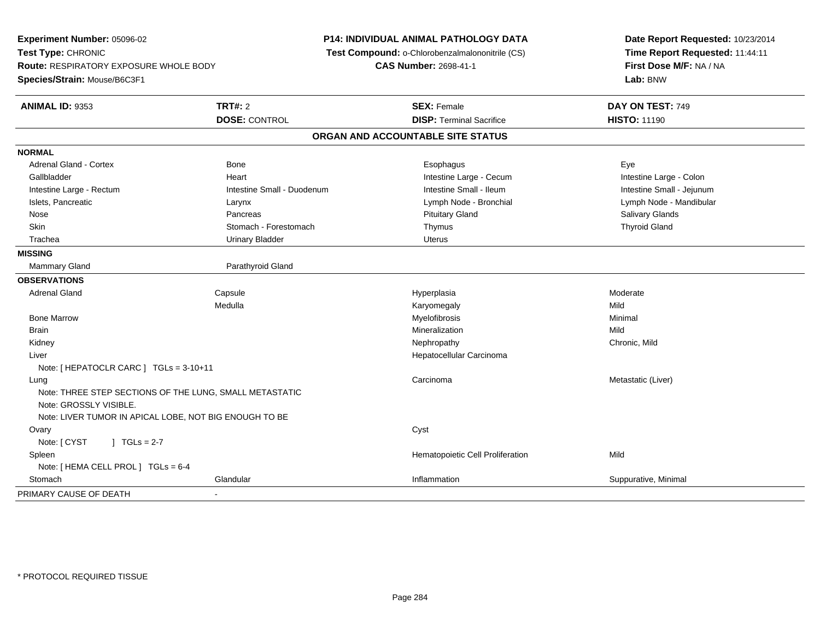**Experiment Number:** 05096-02**Test Type:** CHRONIC **Route:** RESPIRATORY EXPOSURE WHOLE BODY**Species/Strain:** Mouse/B6C3F1**P14: INDIVIDUAL ANIMAL PATHOLOGY DATA Test Compound:** o-Chlorobenzalmalononitrile (CS)**CAS Number:** 2698-41-1**Date Report Requested:** 10/23/2014**Time Report Requested:** 11:44:11**First Dose M/F:** NA / NA**Lab:** BNW**ANIMAL ID:** 9353**TRT#:** 2 **SEX:** Female **DAY ON TEST:** 749 **DOSE:** CONTROL**DISP:** Terminal Sacrifice **HISTO:** 11190 **ORGAN AND ACCOUNTABLE SITE STATUSNORMAL** Adrenal Gland - Cortex Bone Esophagus EyeIntestine Large - Colon Gallbladder **East Intestine Large - Cecum Intestine Large - Cecum** Intestine Large - Cecum Intestine Small - Jejunum Intestine Large - Rectum **Intestine Small - Duodenum** Intestine Small - Ileum Intestine Small - Ileum Islets, Pancreatic Larynx Lymph Node - Bronchial Lymph Node - Mandibular Nose Pancreas Pituitary Gland Salivary GlandsSkin Stomach - Forestomach Stomach Thymus Thymus Thymus Thymus Thyroid Gland Thyroid Gland **Trachea** Urinary Bladder **Network Channel Urinary Bladder Uterus** Uterus **MISSINGMammary Gland** Parathyroid Gland **OBSERVATIONS** Adrenal Gland Capsule Hyperplasia Moderate Medulla Karyomegaly Mild Bone Marroww Myelofibrosis **Myelofibrosis** Monthly and Muslim Minimal Metal of Minimal Minimal Minimal Service of Minimal Service of Minimal Service of Minimal Service of Minimal Service of Minimal Service of Minimal Service of Minim Brainn and the control of the control of the control of the control of the control of the control of the control of the control of the control of the control of the control of the control of the control of the control of the co Kidneyy the controller of the controller of the controller of the controller of the controller of the chronic, Mild Liver Hepatocellular CarcinomaNote: [ HEPATOCLR CARC ] TGLs = 3-10+11 Lungg and the controller of the controller of the controller of the controller of the controller of the controller  $C$  controller  $C$  . Carcinoma  $C$  . Metastatic (Liver) Note: THREE STEP SECTIONS OF THE LUNG, SMALL METASTATICNote: GROSSLY VISIBLE.Note: LIVER TUMOR IN APICAL LOBE, NOT BIG ENOUGH TO BE**Ovary** y cystem in the control of the control of the control of the control of the control of the control of the control of the control of the control of the control of the control of the control of the control of the control of  $Note: [CYST \t 1 TGLs = 2-7]$  SpleenHematopoietic Cell Proliferation Mild Note: [ HEMA CELL PROL ] TGLs = 6-4**Stomach** h and the Glandular Changes of the Glandular Changes of the Suppuration of the Suppurative, Minimal of the Suppurative, Minimal of the Suppurative, Minimal of the Suppurative, Minimal of the Suppurative of the Suppurative, PRIMARY CAUSE OF DEATH-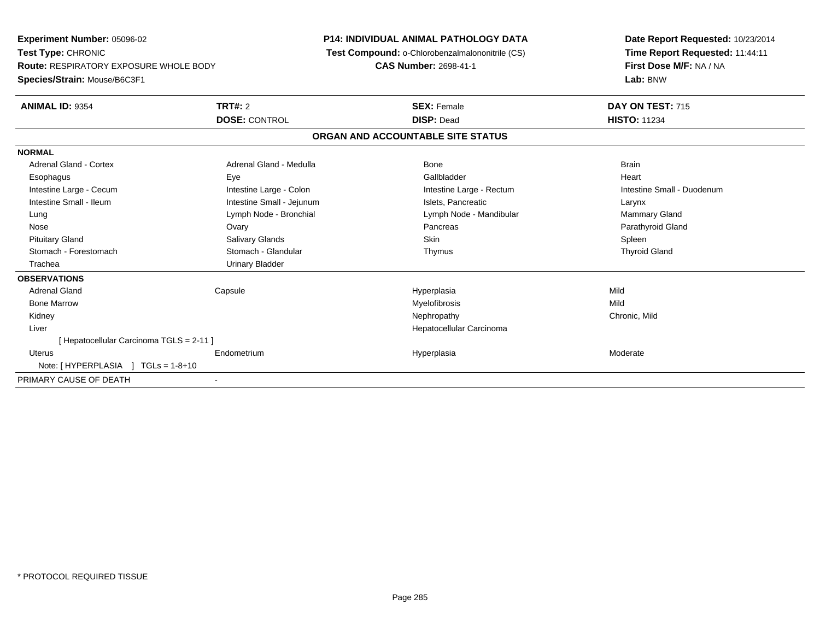**Experiment Number:** 05096-02**Test Type:** CHRONIC **Route:** RESPIRATORY EXPOSURE WHOLE BODY**Species/Strain:** Mouse/B6C3F1**P14: INDIVIDUAL ANIMAL PATHOLOGY DATA Test Compound:** o-Chlorobenzalmalononitrile (CS)**CAS Number:** 2698-41-1**Date Report Requested:** 10/23/2014**Time Report Requested:** 11:44:11**First Dose M/F:** NA / NA**Lab:** BNW**ANIMAL ID:** 9354**TRT#:** 2 **SEX:** Female **DAY ON TEST:** 715 **DOSE:** CONTROL **DISP:** Dead **HISTO:** <sup>11234</sup> **ORGAN AND ACCOUNTABLE SITE STATUSNORMALAdrenal Gland - Cortex** Adrenal Gland - Medulla **Bone** Bone Bone Brain Brain Heart Esophagus Eye Gallbladder HeartIntestine Large - Cecum **Intestine Large - Colon** Intestine Large - Colon Intestine Large - Rectum Intestine Large - Rectum Intestine Small - Duodenum Intestine Small - Ileum Larynx Intestine Small - Jejunum Intestine Small - Jejunum Islets, Pancreatic Larynx Mammary Gland Lung Lymph Node - Bronchial Lymph Node - Mandibular Mammary Gland Lymph Node - Mandibular Mammary Gland Mammary G Parathyroid Gland Nose Ovary Pancreas Parathyroid GlandPituitary Gland Salivary Glands Salivary Glands School School School School State School Spleen Spleen Spleen **Thyroid Gland**  Stomach - Forestomach Stomach - Glandular Thymus Thyroid Gland Trachea Urinary Bladder**OBSERVATIONS** Adrenal Gland Capsule Hyperplasia Mild Bone Marroww which is a matter of the Myelofibrosis and the Myelofibrosis and the Mild of the Mild of the Mild of the Mild of the Mild of the Mild of the Mild of the Mild of the Mild of the Mild of the Mild of the Mild of the Mild of Kidneyy the controller of the controller of the controller of the controller of the controller of the chronic, Mild Liver Hepatocellular Carcinoma[ Hepatocellular Carcinoma TGLS = 2-11 ] Uterus Endometriumm and the Hyperplasia measurement of the Hyperplasia measurement of the Moderate Moderate of the Moderate of the Moderate of the Moderate of the Moderate of the Moderate of the Moderate of the Moderate of the Moderate of t Note: [ HYPERPLASIA ] TGLs = 1-8+10PRIMARY CAUSE OF DEATH-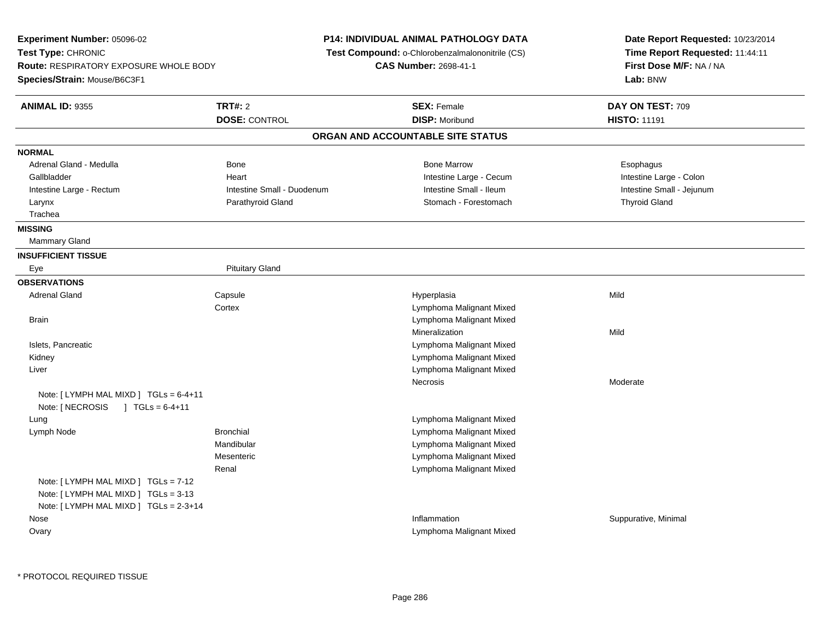**Experiment Number:** 05096-02**Test Type:** CHRONIC **Route:** RESPIRATORY EXPOSURE WHOLE BODY**Species/Strain:** Mouse/B6C3F1**P14: INDIVIDUAL ANIMAL PATHOLOGY DATA Test Compound:** o-Chlorobenzalmalononitrile (CS)**CAS Number:** 2698-41-1**Date Report Requested:** 10/23/2014**Time Report Requested:** 11:44:11**First Dose M/F:** NA / NA**Lab:** BNW**ANIMAL ID:** 9355 **TRT#:** <sup>2</sup> **SEX:** Female **DAY ON TEST:** <sup>709</sup> **DOSE:** CONTROL**DISP:** Moribund **HISTO:** 11191 **ORGAN AND ACCOUNTABLE SITE STATUSNORMAL**Adrenal Gland - Medulla Newslett Adventurer Bone National Bone Marrow Bone Marrow National Bone Marrow Esophagus Intestine Large - Colon Gallbladder **East Community Community** Heart Heart Intestine Large - Cecum Intestine Large - Cecum Intestine Large - Rectum Intestine Small - Duodenum Intestine Small - Ileum Intestine Small - Jejunum Larynx Parathyroid Gland Stomach - Forestomach Thyroid Gland Trachea**MISSING** Mammary Gland**INSUFFICIENT TISSUE**Eye **Pituitary Gland OBSERVATIONS** Adrenal Gland Capsule Hyperplasia Mild **Cortex**  Lymphoma Malignant Mixed Lymphoma Malignant Mixed **Brain** Mineralizationn Mild Islets, Pancreatic Lymphoma Malignant Mixed Lymphoma Malignant Mixed Kidney Lymphoma Malignant Mixed LiverNecrosis ModerateNote: [ LYMPH MAL MIXD ] TGLs = 6-4+11Note: [ NECROSIS ] TGLs = 6-4+11 LungLymphoma Malignant Mixed<br>I vmphoma Malignant Mixed<br>I vmphoma Malignant Mixed Lymph NodeLymphoma Malignant Mixed Mandibular Lymphoma Malignant Mixed Lymphoma Malignant MixedMesenteric Lymphoma Malignant MixedRenalNote: [ LYMPH MAL MIXD ] TGLs = 7-12 Note: [ LYMPH MAL MIXD ] TGLs = 3-13 Note: [ LYMPH MAL MIXD ] TGLs = 2-3+14 Nosee suppurative, Minimal and Suppurative, Minimal and Suppurative, Minimal and Suppurative, Minimal and Suppurative, Minimal and Suppurative, Minimal and Suppurative, Minimal and Suppurative, Minimal and Suppurative, Minimal **Ovary** Lymphoma Malignant Mixed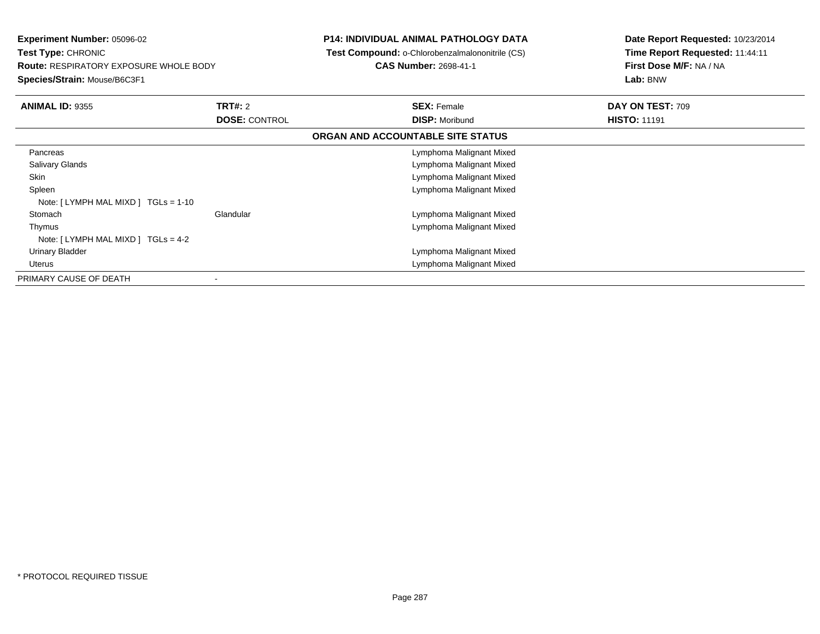**Experiment Number:** 05096-02**Test Type:** CHRONIC **Route:** RESPIRATORY EXPOSURE WHOLE BODY**Species/Strain:** Mouse/B6C3F1**P14: INDIVIDUAL ANIMAL PATHOLOGY DATA Test Compound:** o-Chlorobenzalmalononitrile (CS)**CAS Number:** 2698-41-1**Date Report Requested:** 10/23/2014**Time Report Requested:** 11:44:11**First Dose M/F:** NA / NA**Lab:** BNW**ANIMAL ID:** 9355 **TRT#:** <sup>2</sup> **SEX:** Female **DAY ON TEST:** <sup>709</sup> **DOSE:** CONTROL**DISP:** Moribund **HISTO:** 11191 **ORGAN AND ACCOUNTABLE SITE STATUSPancreas**  Lymphoma Malignant Mixed Lymphoma Malignant Mixed Salivary Glands Lymphoma Malignant Mixed Skin Spleen Lymphoma Malignant Mixed Note: [ LYMPH MAL MIXD ] TGLs = 1-10 Stomach Glandular Lymphoma Malignant Mixed Thymus Lymphoma Malignant MixedNote: [ LYMPH MAL MIXD ] TGLs = 4-2 Urinary Bladder Lymphoma Malignant Mixed Lymphoma Malignant Mixed UterusPRIMARY CAUSE OF DEATH-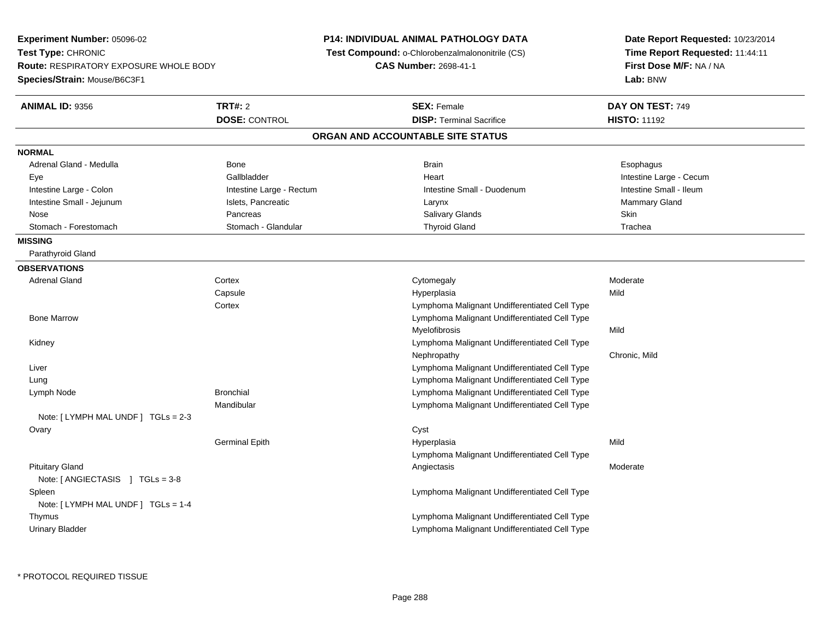**Experiment Number:** 05096-02**Test Type:** CHRONIC **Route:** RESPIRATORY EXPOSURE WHOLE BODY**Species/Strain:** Mouse/B6C3F1**P14: INDIVIDUAL ANIMAL PATHOLOGY DATA Test Compound:** o-Chlorobenzalmalononitrile (CS)**CAS Number:** 2698-41-1**Date Report Requested:** 10/23/2014**Time Report Requested:** 11:44:11**First Dose M/F:** NA / NA**Lab:** BNW**ANIMAL ID:** 9356**6 DAY ON TEST:** 749 **DOSE:** CONTROL**DISP:** Terminal Sacrifice **HISTO:** 11192 **ORGAN AND ACCOUNTABLE SITE STATUSNORMAL**Adrenal Gland - Medulla Newsternal Bone Bone Brain Brain Brain Brain Brain Brain Bone Brain Brain Brain Brain Esophagus Eye Gallbladder Heart Intestine Large - CecumIntestine Small - Ileum Intestine Large - Colon **Intestine Large - Rectum** Intestine Large - Rectum Intestine Small - Duodenum Intestine Small - Jejunum **Intestine Small - Jejunum** Islets, Pancreatic **National Community Community Community** Gland Nose Pancreas Salivary Glands SkinTrachea Stomach - Forestomach **Stomach - Stomach - Glandular** Thyroid Gland Thyroid Gland Trachean Thyroid Gland Trachean **MISSING** Parathyroid Gland**OBSERVATIONS** Adrenal Glandd external cortex corresponding to the cytomegaly control control of the control of the control of the control of the control of the control of the control of the control of the control of the control of the control of the **Capsule**  Hyperplasia Mild **Cortex**  Lymphoma Malignant Undifferentiated Cell Type Lymphoma Malignant Undifferentiated Cell Type Bone MarrowMyelofibrosiss Mild Kidney Lymphoma Malignant Undifferentiated Cell TypeNephropathy Chronic, Mild Liver Lymphoma Malignant Undifferentiated Cell Type Lymphoma Malignant Undifferentiated Cell Type Lung Lymph Node Bronchial Lymphoma Malignant Undifferentiated Cell Type Mandibular Lymphoma Malignant Undifferentiated Cell TypeNote: [ LYMPH MAL UNDF ] TGLs = 2-3**Ovary** y cystem in the control of the control of the control of the control of the control of the control of the control of the control of the control of the control of the control of the control of the control of the control of Germinal Epithh Mild and Hyperplasia and the Mild and Mild and Mild and Mild and Mild and Mild and Mild and Mild and Mild and M Lymphoma Malignant Undifferentiated Cell Type Pituitary Glandd and the controller of the controller of the controller of the controller of the controller of the controller of the controller of the controller of the controller of the controller of the controller of the controller of Note: [ ANGIECTASIS ] TGLs = 3-8 Spleen Lymphoma Malignant Undifferentiated Cell Type Note: [ LYMPH MAL UNDF ] TGLs = 1-4 Thymus Lymphoma Malignant Undifferentiated Cell Type Lymphoma Malignant Undifferentiated Cell TypeUrinary Bladder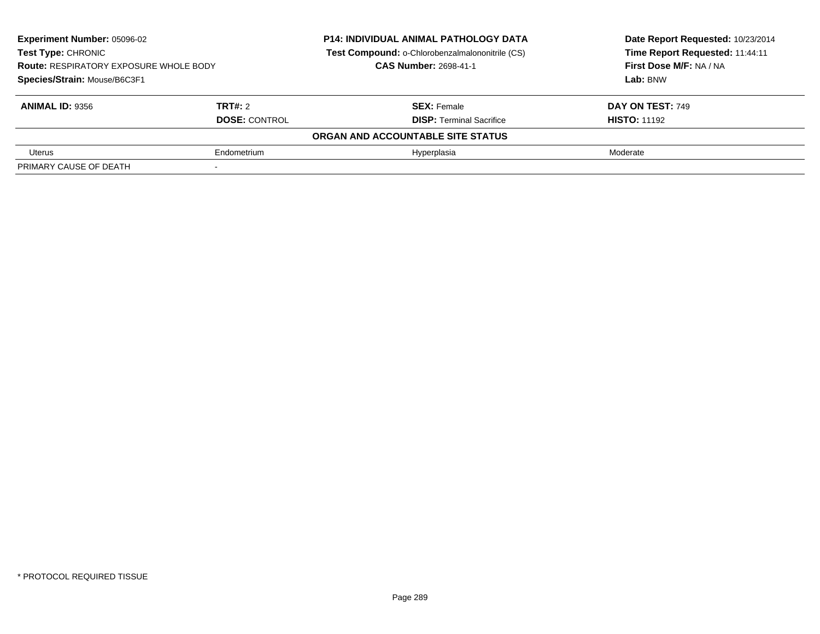| <b>Experiment Number: 05096-02</b><br>Test Type: CHRONIC<br><b>Route: RESPIRATORY EXPOSURE WHOLE BODY</b> |                      | <b>P14: INDIVIDUAL ANIMAL PATHOLOGY DATA</b>    | Date Report Requested: 10/23/2014 |
|-----------------------------------------------------------------------------------------------------------|----------------------|-------------------------------------------------|-----------------------------------|
|                                                                                                           |                      | Test Compound: o-Chlorobenzalmalononitrile (CS) | Time Report Requested: 11:44:11   |
|                                                                                                           |                      | <b>CAS Number: 2698-41-1</b>                    | First Dose M/F: NA / NA           |
| Species/Strain: Mouse/B6C3F1                                                                              |                      |                                                 | Lab: BNW                          |
| <b>ANIMAL ID: 9356</b>                                                                                    | TRT#: 2              | <b>SEX: Female</b>                              | DAY ON TEST: 749                  |
|                                                                                                           | <b>DOSE: CONTROL</b> | <b>DISP: Terminal Sacrifice</b>                 | <b>HISTO: 11192</b>               |
|                                                                                                           |                      | ORGAN AND ACCOUNTABLE SITE STATUS               |                                   |
| Uterus                                                                                                    | Endometrium          | Hyperplasia                                     | Moderate                          |
| PRIMARY CAUSE OF DEATH                                                                                    |                      |                                                 |                                   |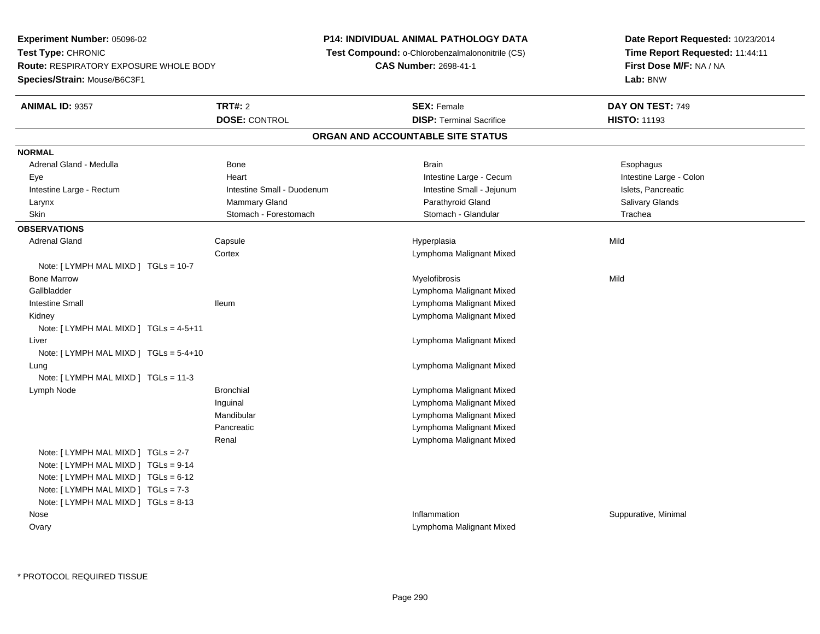**Experiment Number:** 05096-02**Test Type:** CHRONIC **Route:** RESPIRATORY EXPOSURE WHOLE BODY**Species/Strain:** Mouse/B6C3F1**P14: INDIVIDUAL ANIMAL PATHOLOGY DATA Test Compound:** o-Chlorobenzalmalononitrile (CS)**CAS Number:** 2698-41-1**Date Report Requested:** 10/23/2014**Time Report Requested:** 11:44:11**First Dose M/F:** NA / NA**Lab:** BNW**ANIMAL ID:** 9357**TRT#:** 2 **SEX:** Female **DAY ON TEST:** 749 **DOSE:** CONTROL**DISP:** Terminal Sacrifice **HISTO:** 11193 **ORGAN AND ACCOUNTABLE SITE STATUSNORMAL**Adrenal Gland - Medulla Newslett Communication of Bone Brain Brain Brain Brain Brain Esophagus Brain Esophagus Intestine Large - Colon Eye **Execution Contract Contract Intervention Contract Contract Contract Contract Contract Contract Contract Contract Contract Intestine Large - Cecum** Intestine Large - Rectum **Intestine Intestine Small - Duodenum** Intestine Small - Jejunum Intestine Small - Jejunum Islets, Pancreatic **Salivary Glands**  Larynx Mammary Gland Parathyroid Gland Salivary GlandsSkin Stomach - Forestomach Stomach Stomach Stomach Stomach Stomach - Glandular Stomach - Glandular Trachea **OBSERVATIONS** Adrenal Gland Capsule Hyperplasia Mild **Cortex**  Lymphoma Malignant MixedNote: [ LYMPH MAL MIXD ] TGLs = 10-7 Bone Marroww which is a matter of the Myelofibrosis and the Myelofibrosis and the Mild of the Mild of the Mild of the Mild of the Mild of the Mild of the Mild of the Mild of the Mild of the Mild of the Mild of the Mild of the Mild of Gallbladder Lymphoma Malignant Mixedm and the state of the state of the state of the state of the state of the state of the state of the state of the state of the state of the state of the state of the state of the state of the state of the state of the stat Intestine Small Ileum Kidney Lymphoma Malignant MixedNote: [ LYMPH MAL MIXD ] TGLs = 4-5+11 Liver Lymphoma Malignant MixedNote: [ LYMPH MAL MIXD ] TGLs = 5-4+10 Lung Lymphoma Malignant Mixed Note: [ LYMPH MAL MIXD ] TGLs = 11-3 Lymph Node Bronchial Lymphoma Malignant Mixed Inguinal Lymphoma Malignant Mixed Lymphoma Malignant MixedMandibular Lymphoma Malignant MixedPancreatic Lymphoma Malignant MixedRenalNote: [ LYMPH MAL MIXD ] TGLs = 2-7 Note: [ LYMPH MAL MIXD ] TGLs = 9-14 Note: [ LYMPH MAL MIXD ] TGLs = 6-12 Note: [ LYMPH MAL MIXD ] TGLs = 7-3 Note: [ LYMPH MAL MIXD ] TGLs = 8-13 Nosee suppurative, Minimal and Suppurative, Minimal and Suppurative, Minimal and Suppurative, Minimal and Suppurative, Minimal and Suppurative, Minimal and Suppurative, Minimal and Suppurative, Minimal and Suppurative, Minimal OvaryLymphoma Malignant Mixed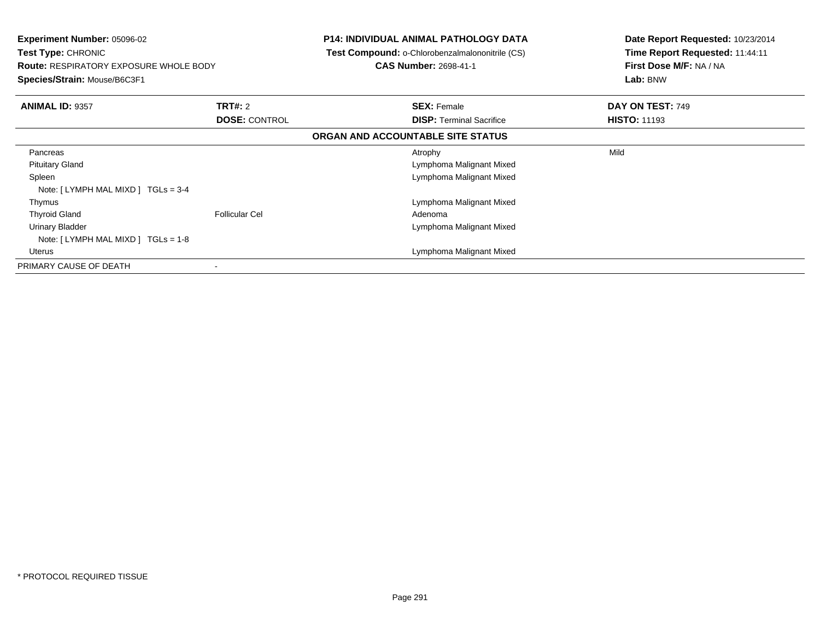| <b>Experiment Number: 05096-02</b><br>Test Type: CHRONIC<br><b>Route: RESPIRATORY EXPOSURE WHOLE BODY</b><br>Species/Strain: Mouse/B6C3F1 |                       | <b>P14: INDIVIDUAL ANIMAL PATHOLOGY DATA</b><br>Test Compound: o-Chlorobenzalmalononitrile (CS)<br><b>CAS Number: 2698-41-1</b> | Date Report Requested: 10/23/2014<br>Time Report Requested: 11:44:11<br>First Dose M/F: NA / NA<br>Lab: BNW |
|-------------------------------------------------------------------------------------------------------------------------------------------|-----------------------|---------------------------------------------------------------------------------------------------------------------------------|-------------------------------------------------------------------------------------------------------------|
| <b>ANIMAL ID: 9357</b>                                                                                                                    | <b>TRT#:</b> 2        | <b>SEX: Female</b>                                                                                                              | DAY ON TEST: 749                                                                                            |
|                                                                                                                                           | <b>DOSE: CONTROL</b>  | <b>DISP:</b> Terminal Sacrifice                                                                                                 | <b>HISTO: 11193</b>                                                                                         |
|                                                                                                                                           |                       | ORGAN AND ACCOUNTABLE SITE STATUS                                                                                               |                                                                                                             |
| Pancreas                                                                                                                                  |                       | Atrophy                                                                                                                         | Mild                                                                                                        |
| <b>Pituitary Gland</b>                                                                                                                    |                       | Lymphoma Malignant Mixed                                                                                                        |                                                                                                             |
| Spleen                                                                                                                                    |                       | Lymphoma Malignant Mixed                                                                                                        |                                                                                                             |
| Note: $[LYMPH MAL MIXD] TGLs = 3-4$                                                                                                       |                       |                                                                                                                                 |                                                                                                             |
| Thymus                                                                                                                                    |                       | Lymphoma Malignant Mixed                                                                                                        |                                                                                                             |
| <b>Thyroid Gland</b>                                                                                                                      | <b>Follicular Cel</b> | Adenoma                                                                                                                         |                                                                                                             |
| <b>Urinary Bladder</b><br>Note: $[LYMPH MAL MIXD] TGLs = 1-8$                                                                             |                       | Lymphoma Malignant Mixed                                                                                                        |                                                                                                             |
| Uterus                                                                                                                                    |                       | Lymphoma Malignant Mixed                                                                                                        |                                                                                                             |
| PRIMARY CAUSE OF DEATH                                                                                                                    |                       |                                                                                                                                 |                                                                                                             |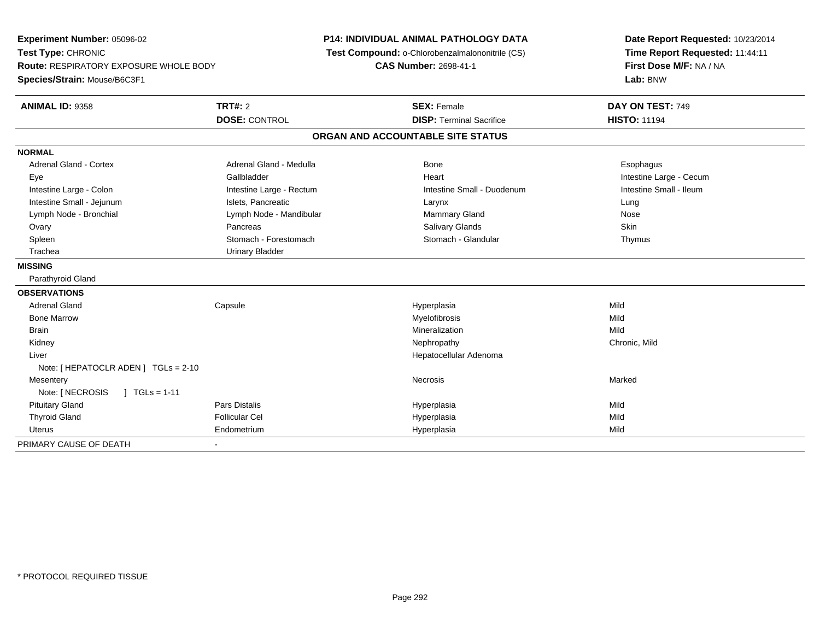**Experiment Number:** 05096-02**Test Type:** CHRONIC **Route:** RESPIRATORY EXPOSURE WHOLE BODY**Species/Strain:** Mouse/B6C3F1**P14: INDIVIDUAL ANIMAL PATHOLOGY DATA Test Compound:** o-Chlorobenzalmalononitrile (CS)**CAS Number:** 2698-41-1**Date Report Requested:** 10/23/2014**Time Report Requested:** 11:44:11**First Dose M/F:** NA / NA**Lab:** BNW**ANIMAL ID:** 9358**TRT#:** 2 **SEX:** Female **DAY ON TEST:** 749 **DOSE:** CONTROL**DISP:** Terminal Sacrifice **HISTO:** 11194 **ORGAN AND ACCOUNTABLE SITE STATUSNORMALAdrenal Gland - Cortex** Adrenal Gland - Medulla **Adrenal Gland - Medulla Bone** Bone **Bone** Esophagus Esophagus Eye Gallbladder Heart Intestine Large - CecumIntestine Small - Ileum Intestine Large - Colon **Intestine Large - Rectum** Intestine Small - Duodenum Intestine Small - Duodenum Intestine Small - Jejunum **Intestine Small - Jejunum** Islets, Pancreatic **Network Construction Career Construction** Nose Lymph Node - Bronchial **Lymph Node - Mandibular** Mammary Gland Nose - Mammary Gland Nose - Mammary Gland Nose - Mammary Gland Nose - Mammary Gland Nose - Mammary Gland Nose - Mammary Gland Nose - Mammary Gland Nose - Mamma Skin Ovary Pancreas Salivary Glands Skin Thymus Spleen Stomach - Stomach - Forestomach - Stomach - Stomach - Glandular Thymus - Stomach - Glandular Trachea Urinary Bladder**MISSING** Parathyroid Gland**OBSERVATIONS** Adrenal Gland Capsule Hyperplasia Mild Bone Marroww which is a matter of the Myelofibrosis and the Myelofibrosis and the Mild of the Mild of the Mild of the Mild of the Mild of the Mild of the Mild of the Mild of the Mild of the Mild of the Mild of the Mild of the Mild of Brainn and the control of the control of the control of the control of the control of the control of the control of the control of the control of the control of the control of the control of the control of the control of the co Kidneyy the controller that the controller the controller that the controller the controller that  $\mathsf{N}\mathsf{H}$   $\mathsf{N}\mathsf{H}$   $\mathsf{C}\mathsf{H}$   $\mathsf{R}\mathsf{H}$   $\mathsf{C}\mathsf{H}$   $\mathsf{R}\mathsf{H}$   $\mathsf{H}$   $\mathsf{H}$   $\mathsf{H}$   $\mathsf{H}$   $\mathsf{H}$  Liver Hepatocellular AdenomaNote: [ HEPATOCLR ADEN ] TGLs = 2-10**Mesentery** y the control of the control of the control of the control of the control of the control of the control of the control of the control of the control of the control of the control of the control of the control of the contro Note: [ NECROSIS ] TGLs = 1-11 Pituitary Gland Pars Distalis Hyperplasia Mild Thyroid Gland Follicular Cel Hyperplasia Mild Uterus Endometrium Hyperplasia Mild PRIMARY CAUSE OF DEATH-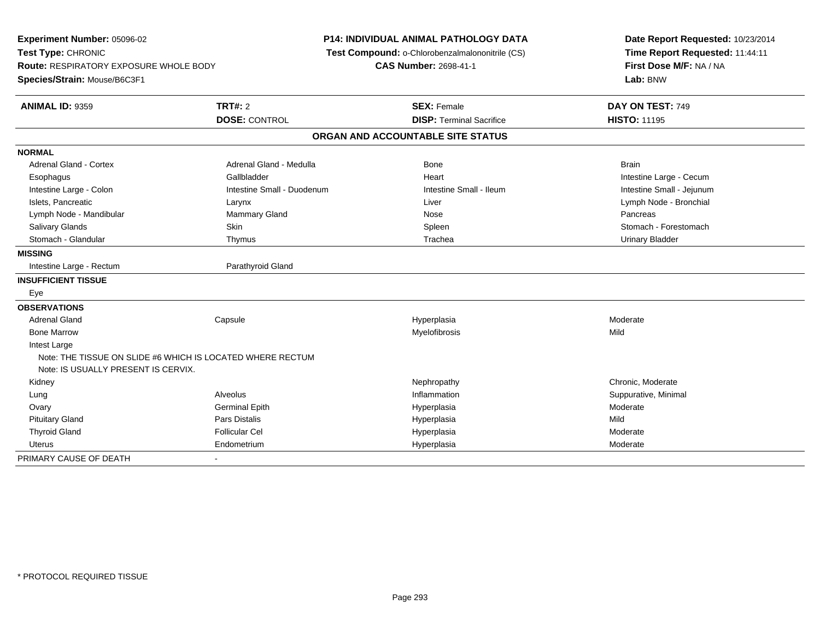| Experiment Number: 05096-02<br>Test Type: CHRONIC<br>Route: RESPIRATORY EXPOSURE WHOLE BODY<br>Species/Strain: Mouse/B6C3F1 |                            | <b>P14: INDIVIDUAL ANIMAL PATHOLOGY DATA</b><br>Test Compound: o-Chlorobenzalmalononitrile (CS)<br><b>CAS Number: 2698-41-1</b> | Date Report Requested: 10/23/2014<br>Time Report Requested: 11:44:11<br>First Dose M/F: NA / NA<br>Lab: BNW |
|-----------------------------------------------------------------------------------------------------------------------------|----------------------------|---------------------------------------------------------------------------------------------------------------------------------|-------------------------------------------------------------------------------------------------------------|
| <b>ANIMAL ID: 9359</b>                                                                                                      | TRT#: 2                    | <b>SEX: Female</b>                                                                                                              | DAY ON TEST: 749                                                                                            |
|                                                                                                                             | <b>DOSE: CONTROL</b>       | <b>DISP: Terminal Sacrifice</b>                                                                                                 | <b>HISTO: 11195</b>                                                                                         |
|                                                                                                                             |                            | ORGAN AND ACCOUNTABLE SITE STATUS                                                                                               |                                                                                                             |
| <b>NORMAL</b>                                                                                                               |                            |                                                                                                                                 |                                                                                                             |
| <b>Adrenal Gland - Cortex</b>                                                                                               | Adrenal Gland - Medulla    | <b>Bone</b>                                                                                                                     | <b>Brain</b>                                                                                                |
| Esophagus                                                                                                                   | Gallbladder                | Heart                                                                                                                           | Intestine Large - Cecum                                                                                     |
| Intestine Large - Colon                                                                                                     | Intestine Small - Duodenum | Intestine Small - Ileum                                                                                                         | Intestine Small - Jejunum                                                                                   |
| Islets, Pancreatic                                                                                                          | Larynx                     | Liver                                                                                                                           | Lymph Node - Bronchial                                                                                      |
| Lymph Node - Mandibular                                                                                                     | Mammary Gland              | Nose                                                                                                                            | Pancreas                                                                                                    |
| Salivary Glands                                                                                                             | Skin                       | Spleen                                                                                                                          | Stomach - Forestomach                                                                                       |
| Stomach - Glandular                                                                                                         | Thymus                     | Trachea                                                                                                                         | <b>Urinary Bladder</b>                                                                                      |
| <b>MISSING</b>                                                                                                              |                            |                                                                                                                                 |                                                                                                             |
| Intestine Large - Rectum                                                                                                    | Parathyroid Gland          |                                                                                                                                 |                                                                                                             |
| <b>INSUFFICIENT TISSUE</b>                                                                                                  |                            |                                                                                                                                 |                                                                                                             |
| Eye                                                                                                                         |                            |                                                                                                                                 |                                                                                                             |
| <b>OBSERVATIONS</b>                                                                                                         |                            |                                                                                                                                 |                                                                                                             |
| Adrenal Gland                                                                                                               | Capsule                    | Hyperplasia                                                                                                                     | Moderate                                                                                                    |
| <b>Bone Marrow</b>                                                                                                          |                            | Myelofibrosis                                                                                                                   | Mild                                                                                                        |
| Intest Large                                                                                                                |                            |                                                                                                                                 |                                                                                                             |
| Note: THE TISSUE ON SLIDE #6 WHICH IS LOCATED WHERE RECTUM                                                                  |                            |                                                                                                                                 |                                                                                                             |
| Note: IS USUALLY PRESENT IS CERVIX.                                                                                         |                            |                                                                                                                                 |                                                                                                             |
| Kidney                                                                                                                      |                            | Nephropathy                                                                                                                     | Chronic, Moderate                                                                                           |
| Lung                                                                                                                        | Alveolus                   | Inflammation                                                                                                                    | Suppurative, Minimal                                                                                        |
| Ovary                                                                                                                       | <b>Germinal Epith</b>      | Hyperplasia                                                                                                                     | Moderate                                                                                                    |
| <b>Pituitary Gland</b>                                                                                                      | <b>Pars Distalis</b>       | Hyperplasia                                                                                                                     | Mild                                                                                                        |
| <b>Thyroid Gland</b>                                                                                                        | <b>Follicular Cel</b>      | Hyperplasia                                                                                                                     | Moderate                                                                                                    |
| Uterus                                                                                                                      | Endometrium                | Hyperplasia                                                                                                                     | Moderate                                                                                                    |
| PRIMARY CAUSE OF DEATH                                                                                                      |                            |                                                                                                                                 |                                                                                                             |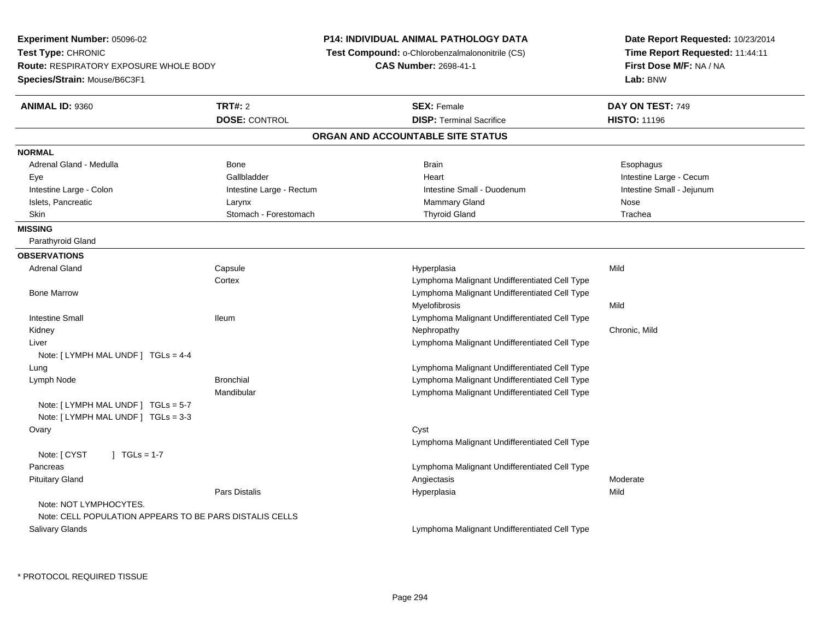**Experiment Number:** 05096-02**Test Type:** CHRONIC **Route:** RESPIRATORY EXPOSURE WHOLE BODY**Species/Strain:** Mouse/B6C3F1**P14: INDIVIDUAL ANIMAL PATHOLOGY DATA Test Compound:** o-Chlorobenzalmalononitrile (CS)**CAS Number:** 2698-41-1**Date Report Requested:** 10/23/2014**Time Report Requested:** 11:44:11**First Dose M/F:** NA / NA**Lab:** BNW**ANIMAL ID:** 9360**C TRT#:** 2 **SEX:** Female **DAY ON TEST:** 749 **DOSE:** CONTROL**DISP:** Terminal Sacrifice **HISTO:** 11196 **ORGAN AND ACCOUNTABLE SITE STATUSNORMAL**Adrenal Gland - Medulla Newslett Communication of Bone Brain Brain Brain Brain Brain Esophagus Brain Esophagus Eye Gallbladder Heart Intestine Large - CecumIntestine Small - Jejunum Intestine Large - Colon **Intestine Large - Rectum Intestine Small - Duodenum** Intestine Small - Duodenum Islets, Pancreatic Larynx Mammary Gland Nose Trachea Skin Stomach - Forestomach Thyroid Gland Thyroid Gland Theorem Control of the Stomach Thyroid Gland Thyroid Gland **MISSING** Parathyroid Gland**OBSERVATIONS** Adrenal Gland Capsule Hyperplasia Mild **Cortex**  Lymphoma Malignant Undifferentiated Cell Type Lymphoma Malignant Undifferentiated Cell Type Bone MarrowMyelofibrosiss Mild Intestine Small Ileum Lymphoma Malignant Undifferentiated Cell Type Kidneyy the controller that the controller the controller that the controller the controller that  $\mathsf{N}\mathsf{H}$   $\mathsf{N}\mathsf{H}$   $\mathsf{C}\mathsf{H}$   $\mathsf{R}\mathsf{H}$   $\mathsf{C}\mathsf{H}$   $\mathsf{R}\mathsf{H}$   $\mathsf{H}$   $\mathsf{H}$   $\mathsf{H}$   $\mathsf{H}$   $\mathsf{H}$  Liver Lymphoma Malignant Undifferentiated Cell TypeNote: [ LYMPH MAL UNDF ] TGLs = 4-4 LungLymphoma Malignant Undifferentiated Cell Type<br>Lymphoma Malignant Undifferentiated Cell Type Lymph NodeLymphoma Malignant Undifferentiated Cell Type Mandibular Lymphoma Malignant Undifferentiated Cell TypeNote: [ LYMPH MAL UNDF ] TGLs = 5-7 Note: [ LYMPH MAL UNDF ] TGLs = 3-3**Ovary** y cystem in the control of the control of the control of the control of the control of the control of the control of the control of the control of the control of the control of the control of the control of the control of Lymphoma Malignant Undifferentiated Cell TypeNote:  $[CYST \t 1 TGLs = 1-7$  Pancreas Lymphoma Malignant Undifferentiated Cell Type Pituitary Glandd and the controller of the controller of the controller of the controller of the controller of the controller of the controller of the controller of the controller of the controller of the controller of the controller of Pars Distalis Hyperplasiaa Mild Note: NOT LYMPHOCYTES.Note: CELL POPULATION APPEARS TO BE PARS DISTALIS CELLS Salivary GlandsLymphoma Malignant Undifferentiated Cell Type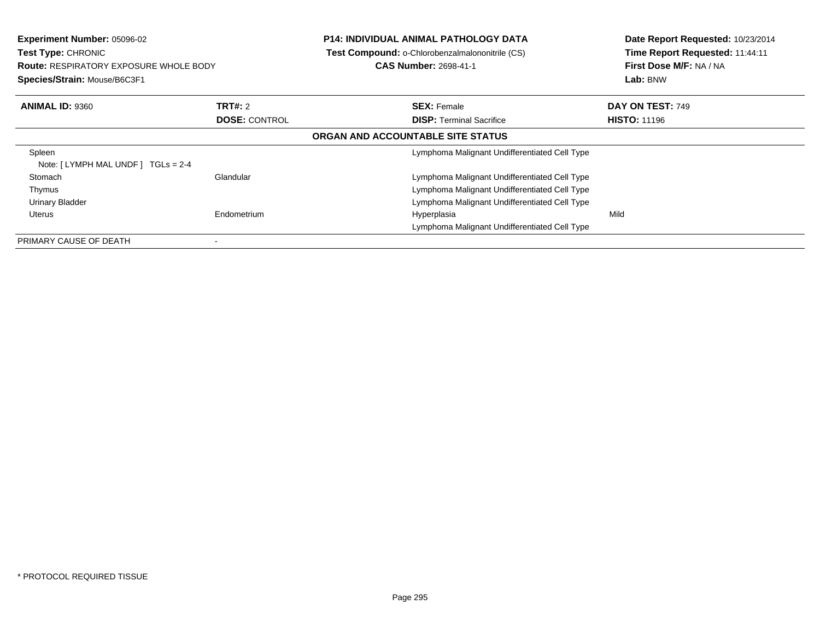| <b>Experiment Number: 05096-02</b><br>Test Type: CHRONIC<br><b>Route: RESPIRATORY EXPOSURE WHOLE BODY</b><br>Species/Strain: Mouse/B6C3F1 |                      | <b>P14: INDIVIDUAL ANIMAL PATHOLOGY DATA</b><br>Test Compound: o-Chlorobenzalmalononitrile (CS)<br><b>CAS Number: 2698-41-1</b> | Date Report Requested: 10/23/2014<br>Time Report Requested: 11:44:11<br>First Dose M/F: NA / NA<br>Lab: BNW |
|-------------------------------------------------------------------------------------------------------------------------------------------|----------------------|---------------------------------------------------------------------------------------------------------------------------------|-------------------------------------------------------------------------------------------------------------|
| <b>ANIMAL ID: 9360</b>                                                                                                                    | <b>TRT#: 2</b>       | <b>SEX: Female</b>                                                                                                              | DAY ON TEST: 749                                                                                            |
|                                                                                                                                           | <b>DOSE: CONTROL</b> | <b>DISP: Terminal Sacrifice</b>                                                                                                 | <b>HISTO: 11196</b>                                                                                         |
|                                                                                                                                           |                      | ORGAN AND ACCOUNTABLE SITE STATUS                                                                                               |                                                                                                             |
| Spleen<br>Note: $[LYMPH MAL UNDER] TGLS = 2-4$                                                                                            |                      | Lymphoma Malignant Undifferentiated Cell Type                                                                                   |                                                                                                             |
| Stomach                                                                                                                                   | Glandular            | Lymphoma Malignant Undifferentiated Cell Type                                                                                   |                                                                                                             |
| Thymus                                                                                                                                    |                      | Lymphoma Malignant Undifferentiated Cell Type                                                                                   |                                                                                                             |
| <b>Urinary Bladder</b>                                                                                                                    |                      | Lymphoma Malignant Undifferentiated Cell Type                                                                                   |                                                                                                             |
| Uterus                                                                                                                                    | Endometrium          | Hyperplasia                                                                                                                     | Mild                                                                                                        |
|                                                                                                                                           |                      | Lymphoma Malignant Undifferentiated Cell Type                                                                                   |                                                                                                             |
| PRIMARY CAUSE OF DEATH                                                                                                                    |                      |                                                                                                                                 |                                                                                                             |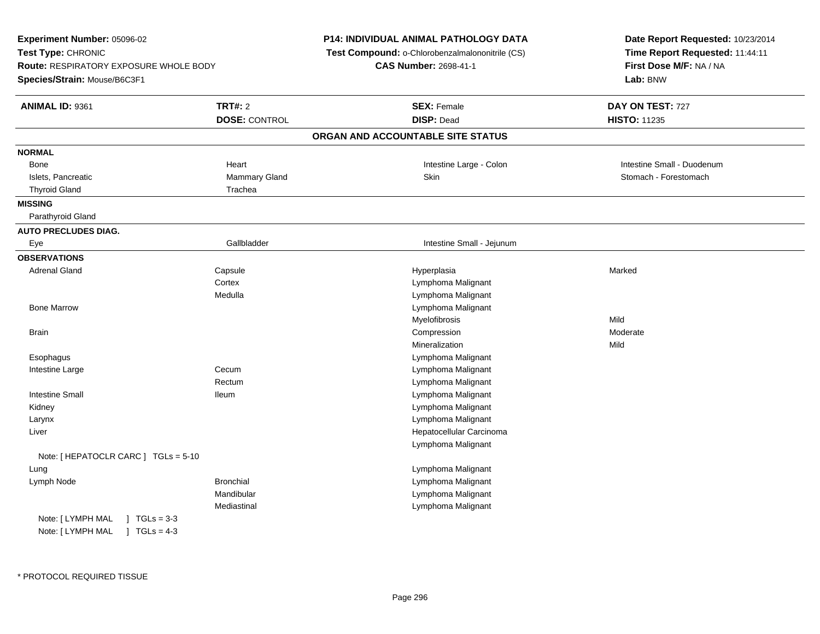| Experiment Number: 05096-02                                                                         |                      | P14: INDIVIDUAL ANIMAL PATHOLOGY DATA           | Date Report Requested: 10/23/2014                          |
|-----------------------------------------------------------------------------------------------------|----------------------|-------------------------------------------------|------------------------------------------------------------|
| Test Type: CHRONIC<br><b>Route: RESPIRATORY EXPOSURE WHOLE BODY</b><br>Species/Strain: Mouse/B6C3F1 |                      | Test Compound: o-Chlorobenzalmalononitrile (CS) | Time Report Requested: 11:44:11<br>First Dose M/F: NA / NA |
|                                                                                                     |                      | <b>CAS Number: 2698-41-1</b>                    |                                                            |
|                                                                                                     |                      |                                                 | Lab: BNW                                                   |
| ANIMAL ID: 9361                                                                                     | <b>TRT#: 2</b>       | <b>SEX: Female</b>                              | DAY ON TEST: 727                                           |
|                                                                                                     | <b>DOSE: CONTROL</b> | <b>DISP: Dead</b>                               | <b>HISTO: 11235</b>                                        |
|                                                                                                     |                      | ORGAN AND ACCOUNTABLE SITE STATUS               |                                                            |
| <b>NORMAL</b>                                                                                       |                      |                                                 |                                                            |
| Bone                                                                                                | Heart                | Intestine Large - Colon                         | Intestine Small - Duodenum                                 |
| Islets, Pancreatic                                                                                  | Mammary Gland        | Skin                                            | Stomach - Forestomach                                      |
| <b>Thyroid Gland</b>                                                                                | Trachea              |                                                 |                                                            |
| <b>MISSING</b>                                                                                      |                      |                                                 |                                                            |
| Parathyroid Gland                                                                                   |                      |                                                 |                                                            |
| <b>AUTO PRECLUDES DIAG.</b>                                                                         |                      |                                                 |                                                            |
| Eye                                                                                                 | Gallbladder          | Intestine Small - Jejunum                       |                                                            |
| <b>OBSERVATIONS</b>                                                                                 |                      |                                                 |                                                            |
| <b>Adrenal Gland</b>                                                                                | Capsule              | Hyperplasia                                     | Marked                                                     |
|                                                                                                     | Cortex               | Lymphoma Malignant                              |                                                            |
|                                                                                                     | Medulla              | Lymphoma Malignant                              |                                                            |
| <b>Bone Marrow</b>                                                                                  |                      | Lymphoma Malignant                              |                                                            |
|                                                                                                     |                      | Myelofibrosis                                   | Mild                                                       |
| <b>Brain</b>                                                                                        |                      | Compression                                     | Moderate                                                   |
|                                                                                                     |                      | Mineralization                                  | Mild                                                       |
| Esophagus                                                                                           |                      | Lymphoma Malignant                              |                                                            |
| Intestine Large                                                                                     | Cecum                | Lymphoma Malignant                              |                                                            |
|                                                                                                     | Rectum               | Lymphoma Malignant                              |                                                            |
| <b>Intestine Small</b>                                                                              | lleum                | Lymphoma Malignant                              |                                                            |
| Kidney                                                                                              |                      | Lymphoma Malignant                              |                                                            |
| Larynx                                                                                              |                      | Lymphoma Malignant                              |                                                            |
| Liver                                                                                               |                      | Hepatocellular Carcinoma                        |                                                            |
|                                                                                                     |                      | Lymphoma Malignant                              |                                                            |
| Note: [ HEPATOCLR CARC ] TGLs = 5-10                                                                |                      |                                                 |                                                            |
| Lung                                                                                                |                      | Lymphoma Malignant                              |                                                            |
| Lymph Node                                                                                          | <b>Bronchial</b>     | Lymphoma Malignant                              |                                                            |
|                                                                                                     | Mandibular           | Lymphoma Malignant                              |                                                            |
|                                                                                                     | Mediastinal          | Lymphoma Malignant                              |                                                            |
| Note: [ LYMPH MAL<br>$1 \text{ TGLs} = 3-3$                                                         |                      |                                                 |                                                            |
| Note: [ LYMPH MAL<br>$1 TGLs = 4-3$                                                                 |                      |                                                 |                                                            |
|                                                                                                     |                      |                                                 |                                                            |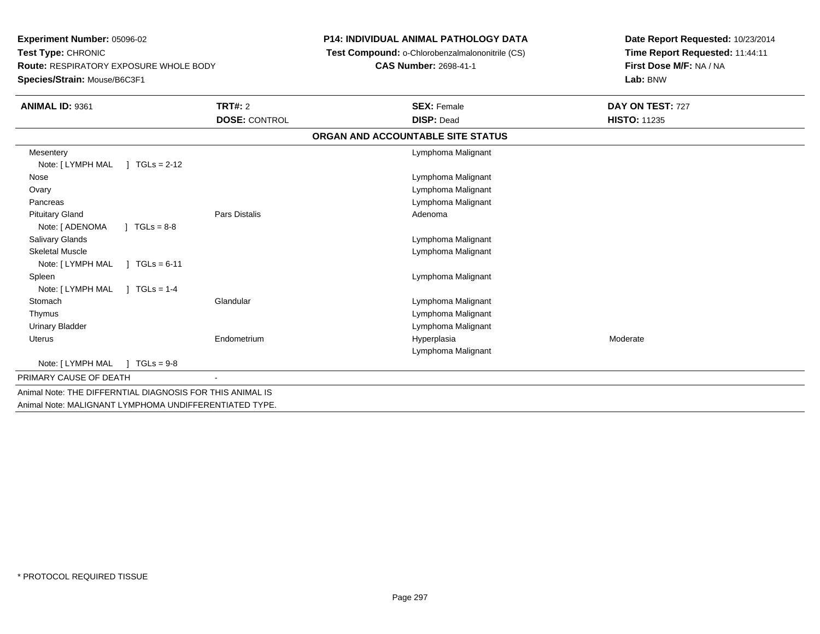**Experiment Number:** 05096-02**Test Type:** CHRONIC **Route:** RESPIRATORY EXPOSURE WHOLE BODY**Species/Strain:** Mouse/B6C3F1

## **P14: INDIVIDUAL ANIMAL PATHOLOGY DATA**

**Test Compound:** o-Chlorobenzalmalononitrile (CS)

**CAS Number:** 2698-41-1

**Date Report Requested:** 10/23/2014**Time Report Requested:** 11:44:11**First Dose M/F:** NA / NA**Lab:** BNW

| <b>ANIMAL ID: 9361</b>                                    | <b>TRT#: 2</b><br><b>DOSE: CONTROL</b> | <b>SEX: Female</b><br><b>DISP: Dead</b> | DAY ON TEST: 727<br><b>HISTO: 11235</b> |
|-----------------------------------------------------------|----------------------------------------|-----------------------------------------|-----------------------------------------|
|                                                           |                                        |                                         |                                         |
|                                                           |                                        | ORGAN AND ACCOUNTABLE SITE STATUS       |                                         |
| Mesentery                                                 |                                        | Lymphoma Malignant                      |                                         |
| $TGLs = 2-12$<br>Note: [ LYMPH MAL                        |                                        |                                         |                                         |
| Nose                                                      |                                        | Lymphoma Malignant                      |                                         |
| Ovary                                                     |                                        | Lymphoma Malignant                      |                                         |
| Pancreas                                                  |                                        | Lymphoma Malignant                      |                                         |
| <b>Pituitary Gland</b>                                    | <b>Pars Distalis</b>                   | Adenoma                                 |                                         |
| Note: [ ADENOMA<br>$J \cdot TGLS = 8-8$                   |                                        |                                         |                                         |
| Salivary Glands                                           |                                        | Lymphoma Malignant                      |                                         |
| <b>Skeletal Muscle</b>                                    |                                        | Lymphoma Malignant                      |                                         |
| Note: [ LYMPH MAL<br>$TGLs = 6-11$                        |                                        |                                         |                                         |
| Spleen                                                    |                                        | Lymphoma Malignant                      |                                         |
| $TGLs = 1-4$<br>Note: [ LYMPH MAL                         |                                        |                                         |                                         |
| Stomach                                                   | Glandular                              | Lymphoma Malignant                      |                                         |
| Thymus                                                    |                                        | Lymphoma Malignant                      |                                         |
| Urinary Bladder                                           |                                        | Lymphoma Malignant                      |                                         |
| <b>Uterus</b>                                             | Endometrium                            | Hyperplasia                             | Moderate                                |
|                                                           |                                        | Lymphoma Malignant                      |                                         |
| Note: [ LYMPH MAL<br>$1 TGLs = 9-8$                       |                                        |                                         |                                         |
| PRIMARY CAUSE OF DEATH                                    |                                        |                                         |                                         |
| Animal Note: THE DIFFERNTIAL DIAGNOSIS FOR THIS ANIMAL IS |                                        |                                         |                                         |
| Animal Note: MALIGNANT LYMPHOMA UNDIFFERENTIATED TYPE.    |                                        |                                         |                                         |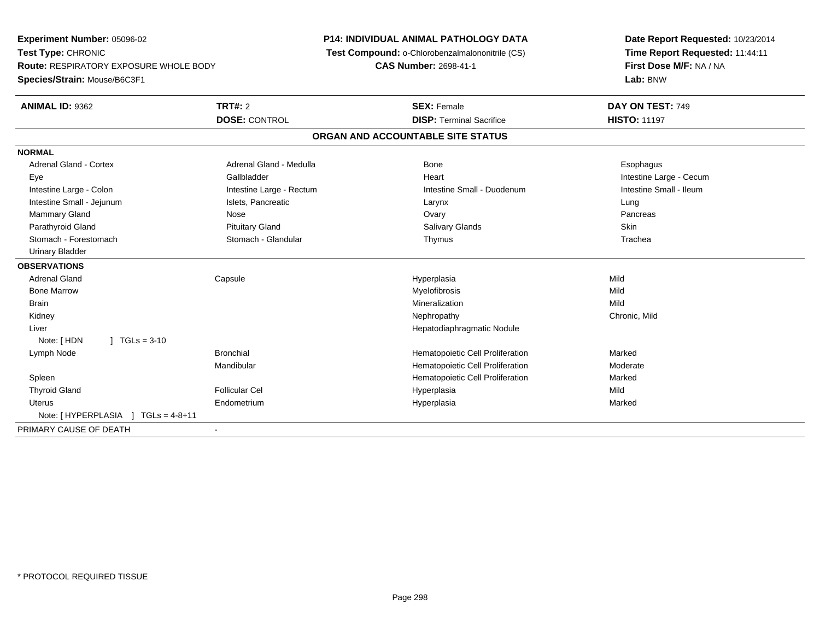**Experiment Number:** 05096-02**Test Type:** CHRONIC **Route:** RESPIRATORY EXPOSURE WHOLE BODY**Species/Strain:** Mouse/B6C3F1**P14: INDIVIDUAL ANIMAL PATHOLOGY DATA Test Compound:** o-Chlorobenzalmalononitrile (CS)**CAS Number:** 2698-41-1**Date Report Requested:** 10/23/2014**Time Report Requested:** 11:44:11**First Dose M/F:** NA / NA**Lab:** BNW**ANIMAL ID:** 9362**TRT#:** 2 **SEX:** Female **DAY ON TEST:** 749 **DOSE:** CONTROL**DISP:** Terminal Sacrifice **HISTO:** 11197 **ORGAN AND ACCOUNTABLE SITE STATUSNORMALAdrenal Gland - Cortex** Adrenal Gland - Medulla **Bone** Bone **Cortes Adrenal Gland - Cortes Adrenal Gland - Cortes Adrenal Adrenal Bone** Esophagus Eye Gallbladder Heart Intestine Large - CecumIntestine Small - Ileum Intestine Large - Colon **Intestine Large - Rectum** Intestine Small - Duodenum Intestine Small - Duodenum Intestine Small - Jejunum **Intestine Small - Jejunum** Islets, Pancreatic **Network Construction Construction** Larynx Lung Pancreas Mammary Gland Nose Ovary Pancreas Parathyroid Gland Phillip Communication of Pituitary Gland Pitus School Salivary Glands Skin Skin Skin Skin Skin Trachea Stomach - Forestomach **Stomach - Stomach - Glandular** Thymus Thymus Thymus The The The The The The The The The Th Urinary Bladder**OBSERVATIONS** Adrenal Gland Capsule Hyperplasia Mild Bone Marroww which is a matter of the Myelofibrosis and the Myelofibrosis and the Mild of the Mild of the Mild of the Mild of the Mild of the Mild of the Mild of the Mild of the Mild of the Mild of the Mild of the Mild of the Mild of Brainn and the control of the control of the control of the Mineralization and the control of the Mild of the Mild o Kidneyy the controller of the controller of the controller of the controller of the controller of the chronic, Mild Liver Hepatodiaphragmatic NoduleNote: [ HDN ] TGLs = 3-10 Lymph NodeBronchial **Hematopoietic Cell Proliferation** Marked Mandibular Hematopoietic Cell Proliferation Moderate Spleen Hematopoietic Cell Proliferation Marked Thyroid Gland Follicular Cel Hyperplasia Mild Uterus Endometrium Hyperplasia Marked Note: [ HYPERPLASIA ] TGLs = 4-8+11PRIMARY CAUSE OF DEATH-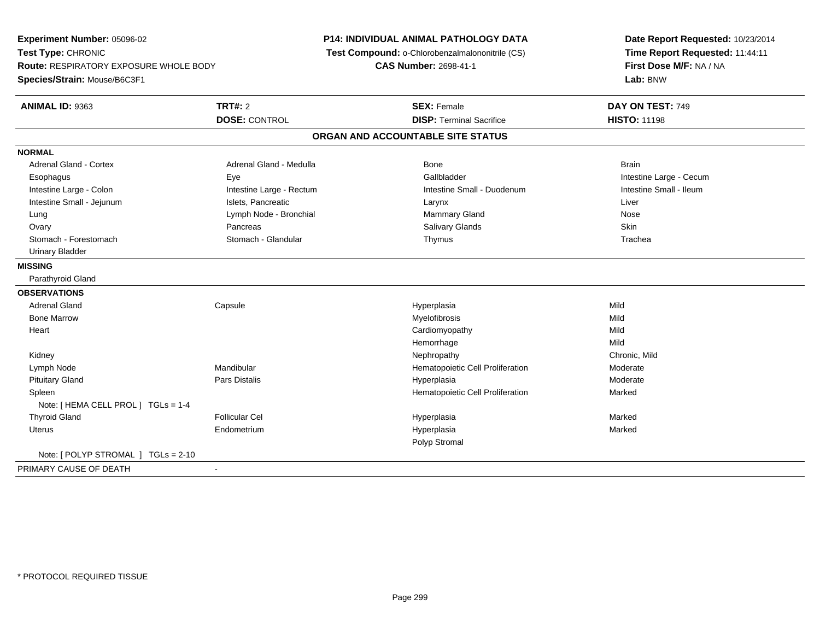**Experiment Number:** 05096-02**Test Type:** CHRONIC **Route:** RESPIRATORY EXPOSURE WHOLE BODY**Species/Strain:** Mouse/B6C3F1**P14: INDIVIDUAL ANIMAL PATHOLOGY DATA Test Compound:** o-Chlorobenzalmalononitrile (CS)**CAS Number:** 2698-41-1**Date Report Requested:** 10/23/2014**Time Report Requested:** 11:44:11**First Dose M/F:** NA / NA**Lab:** BNW**ANIMAL ID:** 9363**TRT#:** 2 **SEX:** Female **DAY ON TEST:** 749 **DOSE:** CONTROL**DISP:** Terminal Sacrifice **HISTO:** 11198 **ORGAN AND ACCOUNTABLE SITE STATUSNORMALAdrenal Gland - Cortex** Adrenal Gland - Medulla **Bone** Bone Brain Bone Brain Brain Brain Esophagus Eye Gallbladder Intestine Large - CecumIntestine Small - Ileum Intestine Large - Colon **Intestine Large - Rectum** Intestine Small - Duodenum Intestine Small - Duodenum Intestine Small - Jejunum **Intestine Small - Jejunum** Islets, Pancreatic **National Larynx Liver** Larynx Liver Lung Chang Channel Communication Channel Lymph Node - Bronchial Mammary Gland Mose Channel Channel Mose Skin Ovary Pancreas Salivary Glands Skin Trachea Stomach - Forestomach **Stomach - Stomach - Glandular** Thymus Thymus Thymus The The The The The The The The The Th Urinary Bladder**MISSING** Parathyroid Gland**OBSERVATIONS** Adrenal Gland Capsule Hyperplasia Mild Bone Marroww which is a matter of the Myelofibrosis and the Myelofibrosis and the Mild of the Mild of the Mild of the Mild of the Mild of the Mild of the Mild of the Mild of the Mild of the Mild of the Mild of the Mild of the Mild of **Heart**  Cardiomyopathyy Mild **Mild** Hemorrhagee Mild Kidneyy the controller that the controller the controller that the controller the controller that  $\mathsf{N}\mathsf{H}$   $\mathsf{N}\mathsf{H}$   $\mathsf{C}\mathsf{H}$   $\mathsf{R}\mathsf{H}$   $\mathsf{C}\mathsf{H}$   $\mathsf{R}\mathsf{H}$   $\mathsf{H}$   $\mathsf{H}$   $\mathsf{H}$   $\mathsf{H}$   $\mathsf{H}$  Lymph Node Mandibular Hematopoietic Cell Proliferation Moderate Pituitary Gland Pars Distalis Hyperplasia Moderate SpleenHematopoietic Cell Proliferation Marked Note: [ HEMA CELL PROL ] TGLs = 1-4 Thyroid Gland Follicular Cel Hyperplasia Marked Uterus Endometrium Hyperplasia Marked Polyp StromalNote: [ POLYP STROMAL ] TGLs = 2-10PRIMARY CAUSE OF DEATH-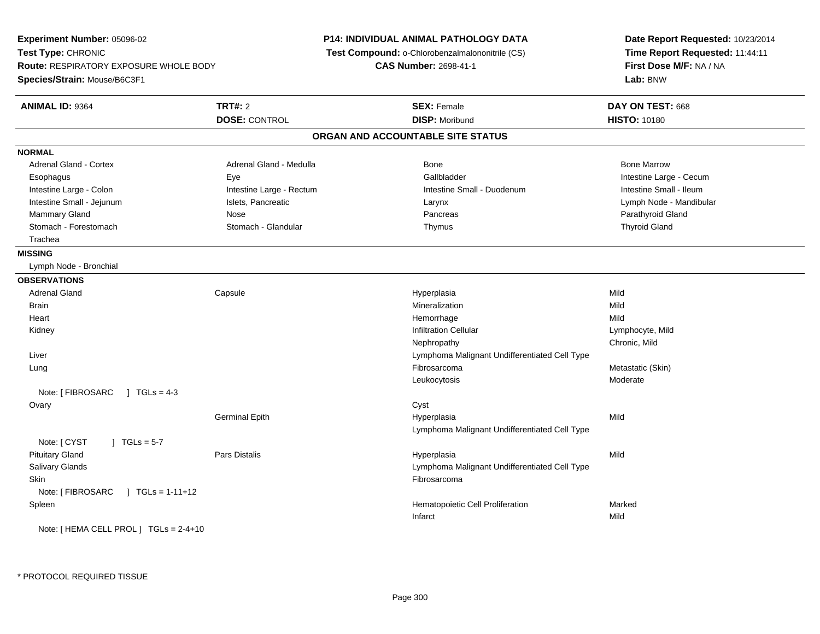**Experiment Number:** 05096-02**Test Type:** CHRONIC **Route:** RESPIRATORY EXPOSURE WHOLE BODY**Species/Strain:** Mouse/B6C3F1**P14: INDIVIDUAL ANIMAL PATHOLOGY DATA Test Compound:** o-Chlorobenzalmalononitrile (CS)**CAS Number:** 2698-41-1**Date Report Requested:** 10/23/2014**Time Report Requested:** 11:44:11**First Dose M/F:** NA / NA**Lab:** BNW**ANIMAL ID:** 9364 **TRT#:** <sup>2</sup> **SEX:** Female **DAY ON TEST:** <sup>668</sup> **DOSE:** CONTROL **DISP:** Moribund **HISTO:** <sup>10180</sup> **ORGAN AND ACCOUNTABLE SITE STATUSNORMALAdrenal Gland - Cortex** Adrenal Gland - Medulla **Adrenal Gland - Medulla** Bone Bone Bone Bone Bone Marrow Esophagus Eye Gallbladder Intestine Large - CecumIntestine Small - Ileum Intestine Large - Colon **Intestine Large - Rectum** Intestine Small - Duodenum Intestine Small - Duodenum Intestine Small - Jejunum Node - Mandibular Islets, Pancreatic Larynx Larynx Larynx Lymph Node - Mandibular Lymph Node - Mandibular Mammary Gland Nose Nose Records and December 2012 (Nose Pancreas Parathyroid Gland Parathyroid Gland Parathyroid Gland Parathyroid Gland Parathyroid Gland Parathyroid Gland Parathyroid Gland Parathyroid Gland Parathyroid G Stomach - Forestomach **Stomach - Stomach - Glandular** Stomach - Glandular Thymus Thymus Thyroid Gland Trachea**MISSING** Lymph Node - Bronchial**OBSERVATIONS** Adrenal Gland Capsule Hyperplasia Mild Brainn and the control of the control of the control of the control of the control of the control of the control of the control of the control of the control of the control of the control of the control of the control of the co **Heart** t de la communicación de la communicación de la communicación de la communicación de la communicación de la co e Mild Kidneyy with the contract of the contract of the contract of the contract of the contract of the contract of the contract of  $\mathsf{Lymphocyte}$ , Mild Nephropathy Chronic, Mild Liver Lymphoma Malignant Undifferentiated Cell Type Lungg and the state of the state of the state of the state of the state of the state of the state of the state of the state  $\mathsf{Skin}$ Leukocytosis ModerateNote: [ FIBROSARC ] TGLs = 4-3 **Ovary** y cystem in the control of the control of the control of the control of the control of the control of the control of the control of the control of the control of the control of the control of the control of the control of Germinal Epithh Mild and Hyperplasia and the Mild and Mild and Mild and Mild and Mild and Mild and Mild and Mild and Mild and M Lymphoma Malignant Undifferentiated Cell TypeNote:  $[CYST \t 1 TGLs = 5-7]$  Pituitary Gland Pars Distalis Hyperplasia Mild Salivary Glands Lymphoma Malignant Undifferentiated Cell Type**Skin** n and the control of the control of the control of the control of the control of the control of the control of the control of the control of the control of the control of the control of the control of the control of the co Note: [ FIBROSARC ] TGLs = 1-11+12 SpleenHematopoietic Cell Proliferation<br>
Infarct Mild Infarctt and the contract of the contract of the contract of the contract of the contract of the contract of the contract of the contract of the contract of the contract of the contract of the contract of the contract of the cont Note: [ HEMA CELL PROL ] TGLs = 2-4+10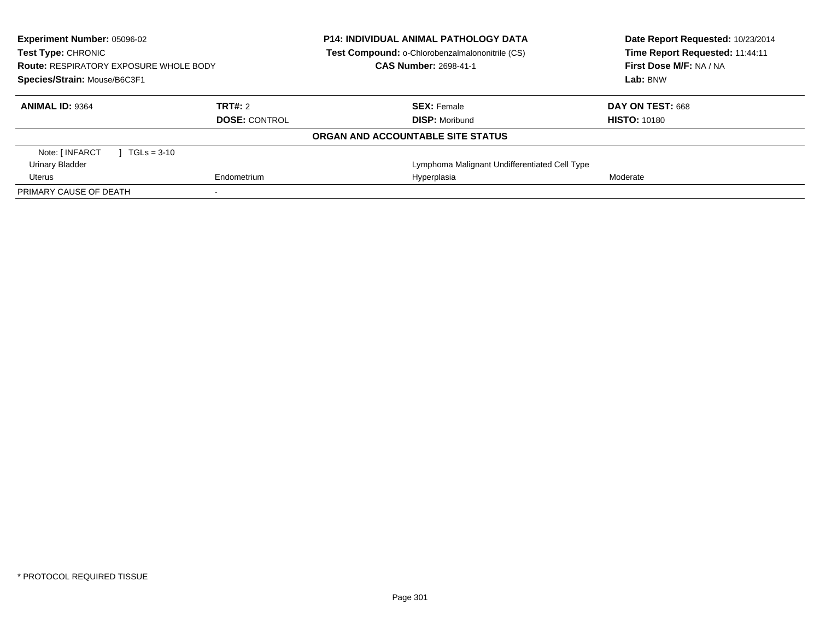| <b>Experiment Number: 05096-02</b><br>Test Type: CHRONIC<br><b>Route: RESPIRATORY EXPOSURE WHOLE BODY</b><br>Species/Strain: Mouse/B6C3F1 |               | <b>P14: INDIVIDUAL ANIMAL PATHOLOGY DATA</b><br>Test Compound: o-Chlorobenzalmalononitrile (CS)<br><b>CAS Number: 2698-41-1</b> | Date Report Requested: 10/23/2014<br>Time Report Requested: 11:44:11<br>First Dose M/F: NA / NA<br>Lab: BNW |                     |
|-------------------------------------------------------------------------------------------------------------------------------------------|---------------|---------------------------------------------------------------------------------------------------------------------------------|-------------------------------------------------------------------------------------------------------------|---------------------|
| <b>ANIMAL ID: 9364</b>                                                                                                                    |               | TRT#: 2                                                                                                                         | <b>SEX: Female</b>                                                                                          | DAY ON TEST: 668    |
|                                                                                                                                           |               | <b>DOSE: CONTROL</b>                                                                                                            | <b>DISP: Moribund</b>                                                                                       | <b>HISTO: 10180</b> |
|                                                                                                                                           |               |                                                                                                                                 | ORGAN AND ACCOUNTABLE SITE STATUS                                                                           |                     |
| Note: [ INFARCT                                                                                                                           | $TGLs = 3-10$ |                                                                                                                                 |                                                                                                             |                     |
| Urinary Bladder                                                                                                                           |               |                                                                                                                                 | Lymphoma Malignant Undifferentiated Cell Type                                                               |                     |
| Uterus                                                                                                                                    |               | Endometrium                                                                                                                     | Hyperplasia                                                                                                 | Moderate            |
| PRIMARY CAUSE OF DEATH                                                                                                                    |               |                                                                                                                                 |                                                                                                             |                     |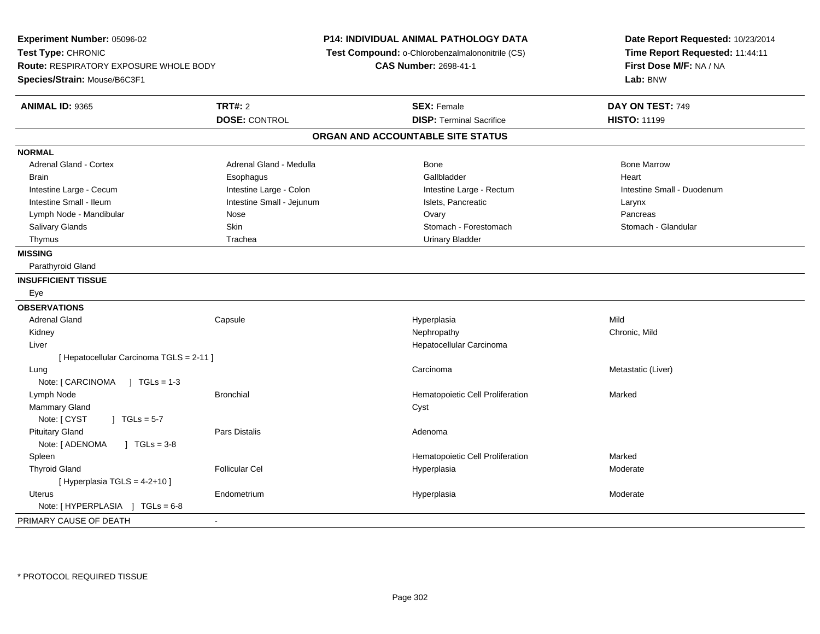| Experiment Number: 05096-02<br>Test Type: CHRONIC<br><b>Route: RESPIRATORY EXPOSURE WHOLE BODY</b><br>Species/Strain: Mouse/B6C3F1 |                           | <b>P14: INDIVIDUAL ANIMAL PATHOLOGY DATA</b><br>Test Compound: o-Chlorobenzalmalononitrile (CS)<br><b>CAS Number: 2698-41-1</b> | Date Report Requested: 10/23/2014<br>Time Report Requested: 11:44:11<br>First Dose M/F: NA / NA<br>Lab: BNW |
|------------------------------------------------------------------------------------------------------------------------------------|---------------------------|---------------------------------------------------------------------------------------------------------------------------------|-------------------------------------------------------------------------------------------------------------|
| <b>ANIMAL ID: 9365</b>                                                                                                             | <b>TRT#: 2</b>            | <b>SEX: Female</b>                                                                                                              | DAY ON TEST: 749                                                                                            |
|                                                                                                                                    | <b>DOSE: CONTROL</b>      | <b>DISP: Terminal Sacrifice</b>                                                                                                 | <b>HISTO: 11199</b>                                                                                         |
|                                                                                                                                    |                           | ORGAN AND ACCOUNTABLE SITE STATUS                                                                                               |                                                                                                             |
| <b>NORMAL</b>                                                                                                                      |                           |                                                                                                                                 |                                                                                                             |
| Adrenal Gland - Cortex                                                                                                             | Adrenal Gland - Medulla   | <b>Bone</b>                                                                                                                     | <b>Bone Marrow</b>                                                                                          |
| Brain                                                                                                                              | Esophagus                 | Gallbladder                                                                                                                     | Heart                                                                                                       |
| Intestine Large - Cecum                                                                                                            | Intestine Large - Colon   | Intestine Large - Rectum                                                                                                        | Intestine Small - Duodenum                                                                                  |
| Intestine Small - Ileum                                                                                                            | Intestine Small - Jejunum | Islets, Pancreatic                                                                                                              | Larynx                                                                                                      |
| Lymph Node - Mandibular                                                                                                            | Nose                      | Ovary                                                                                                                           | Pancreas                                                                                                    |
| Salivary Glands                                                                                                                    | Skin                      | Stomach - Forestomach                                                                                                           | Stomach - Glandular                                                                                         |
| Thymus                                                                                                                             | Trachea                   | <b>Urinary Bladder</b>                                                                                                          |                                                                                                             |
| <b>MISSING</b>                                                                                                                     |                           |                                                                                                                                 |                                                                                                             |
| Parathyroid Gland                                                                                                                  |                           |                                                                                                                                 |                                                                                                             |
| <b>INSUFFICIENT TISSUE</b>                                                                                                         |                           |                                                                                                                                 |                                                                                                             |
| Eye                                                                                                                                |                           |                                                                                                                                 |                                                                                                             |
| <b>OBSERVATIONS</b>                                                                                                                |                           |                                                                                                                                 |                                                                                                             |
| <b>Adrenal Gland</b>                                                                                                               | Capsule                   | Hyperplasia                                                                                                                     | Mild                                                                                                        |
| Kidney                                                                                                                             |                           | Nephropathy                                                                                                                     | Chronic, Mild                                                                                               |
| Liver                                                                                                                              |                           | Hepatocellular Carcinoma                                                                                                        |                                                                                                             |
| [ Hepatocellular Carcinoma TGLS = 2-11 ]                                                                                           |                           |                                                                                                                                 |                                                                                                             |
| Lung                                                                                                                               |                           | Carcinoma                                                                                                                       | Metastatic (Liver)                                                                                          |
| Note: $\lceil$ CARCINOMA $\rfloor$ TGLs = 1-3                                                                                      |                           |                                                                                                                                 |                                                                                                             |
| Lymph Node                                                                                                                         | <b>Bronchial</b>          | Hematopoietic Cell Proliferation                                                                                                | Marked                                                                                                      |
| <b>Mammary Gland</b>                                                                                                               |                           | Cyst                                                                                                                            |                                                                                                             |
| Note: [ CYST<br>$\mid$ TGLs = 5-7                                                                                                  |                           |                                                                                                                                 |                                                                                                             |
| <b>Pituitary Gland</b>                                                                                                             | Pars Distalis             | Adenoma                                                                                                                         |                                                                                                             |
| Note: [ ADENOMA<br>$\sqrt{ }$ TGLs = 3-8                                                                                           |                           |                                                                                                                                 |                                                                                                             |
| Spleen                                                                                                                             |                           | Hematopoietic Cell Proliferation                                                                                                | Marked                                                                                                      |
| <b>Thyroid Gland</b>                                                                                                               | <b>Follicular Cel</b>     | Hyperplasia                                                                                                                     | Moderate                                                                                                    |
| [ Hyperplasia $TGLS = 4-2+10$ ]                                                                                                    |                           |                                                                                                                                 |                                                                                                             |
| <b>Uterus</b>                                                                                                                      | Endometrium               | Hyperplasia                                                                                                                     | Moderate                                                                                                    |
| Note: [HYPERPLASIA ] TGLs = 6-8                                                                                                    |                           |                                                                                                                                 |                                                                                                             |
| PRIMARY CAUSE OF DEATH                                                                                                             | ä,                        |                                                                                                                                 |                                                                                                             |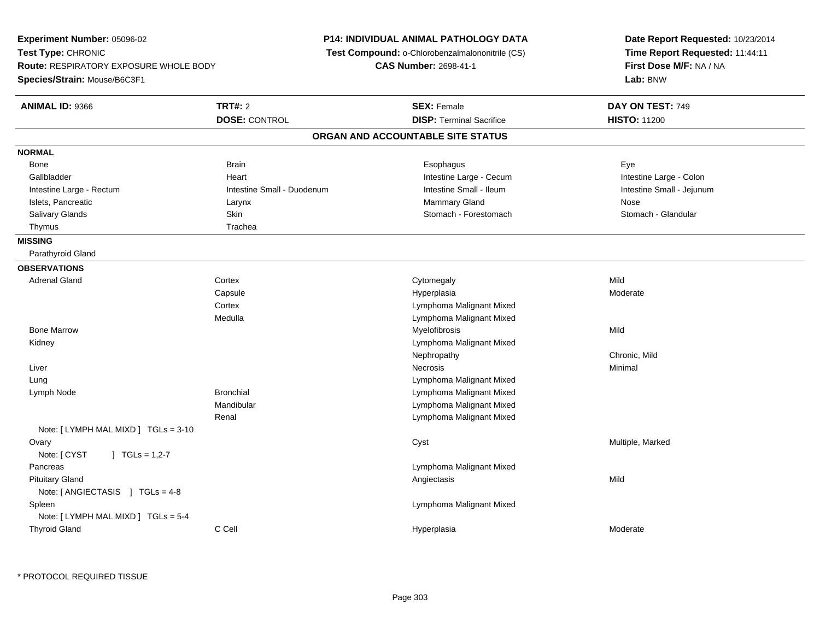**Experiment Number:** 05096-02**Test Type:** CHRONIC **Route:** RESPIRATORY EXPOSURE WHOLE BODY**Species/Strain:** Mouse/B6C3F1**P14: INDIVIDUAL ANIMAL PATHOLOGY DATA Test Compound:** o-Chlorobenzalmalononitrile (CS)**CAS Number:** 2698-41-1**Date Report Requested:** 10/23/2014**Time Report Requested:** 11:44:11**First Dose M/F:** NA / NA**Lab:** BNW**ANIMAL ID:** 9366**6 DAY ON TEST:** 749 **DOSE:** CONTROL**DISP:** Terminal Sacrifice **HISTO:** 11200 **ORGAN AND ACCOUNTABLE SITE STATUSNORMAL**Bone Bone Brain Brain Brain Brain Communications and the Brain Brain Brain Brain Brain Brain Brain Brain Brain Brai Intestine Large - Colon Gallbladder **East Community Community** Community Heart Heart Intestine Large - Cecum Intestine Large - Cecum Intestine Small - Jejunum Intestine Large - Rectum **Intestine Small - Duodenum** Intestine Small - Ileum Intestine Small - Ileum Islets, Pancreatic **Community Community Community Community Community Community Community Community Community Community Community Community Community Community Community Community Community Community Community Community Co** Stomach - Glandular Salivary Glands **Skin Stomach - Forestomach - Skin** Skin Stomach - Stomach - Forestomach - Stomach - Stomach - Gla Thymus Trachea **MISSING** Parathyroid Gland**OBSERVATIONS** Adrenal Glandd cortex Cortex Cortex Cytomegaly Cytomegaly **Capsule** e and the Hyperplasia Moderate Moderate and the Hyperplasia method of the Moderate Moderate  $\mathsf{M}$ **Cortex**  Lymphoma Malignant Mixed Lymphoma Malignant Mixed Medulla Bone Marroww which is a matter of the Myelofibrosis and the Myelofibrosis and the Mild of the Mild of the Mild of the Mild of the Mild of the Mild of the Mild of the Mild of the Mild of the Mild of the Mild of the Mild of the Mild of Kidney Lymphoma Malignant MixedNephropathy Chronic, Mild Liverr and the contract of the contract of the contract of the contract of the contract of the contract of the contract of the contract of the contract of the contract of the contract of the contract of the contract of the cont Minimal LungLymphoma Malignant Mixed<br>
Lymphoma Malignant Mixed<br>
Lymphoma Malignant Mixed Lymph NodeLymphoma Malignant Mixed Mandibular Lymphoma Malignant Mixed Lymphoma Malignant MixedRenalNote: [ LYMPH MAL MIXD ] TGLs = 3-10**Ovary**  Cyst Multiple, MarkedNote: [ CYST ] TGLs = 1,2-7 Pancreas Lymphoma Malignant Mixed Pituitary Glandd and the control of the control of the control of the control of the control of the control of the control of the control of the control of the control of the control of the control of the control of the control of the co Note: [ ANGIECTASIS ] TGLs = 4-8 Spleen Lymphoma Malignant Mixed Note: [ LYMPH MAL MIXD ] TGLs = 5-4 Thyroid Glandd and the CCell Constants of the CCell and the CCell and the Hyperplasia Moderate and the Moderate of the Moderate  $\sim$  Moderate  $\sim$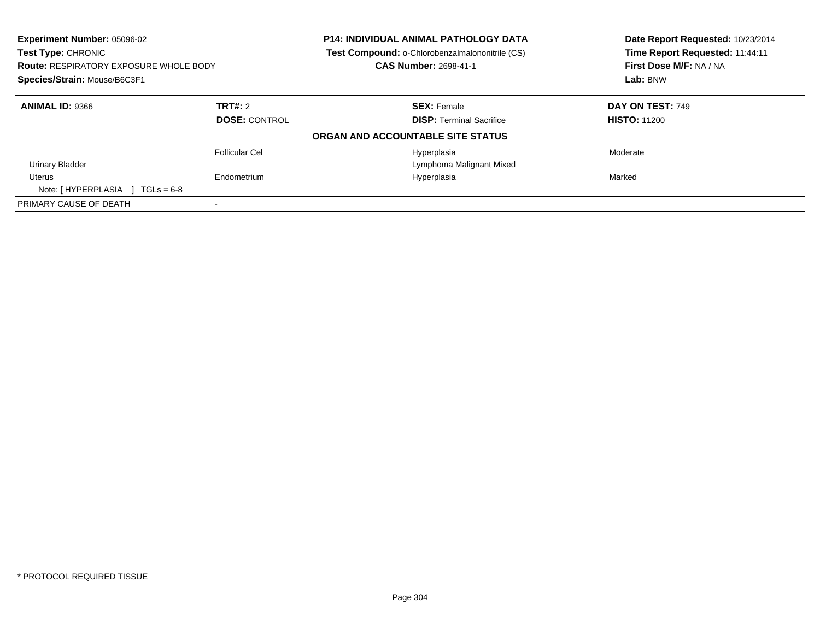| <b>Experiment Number: 05096-02</b><br>Test Type: CHRONIC |                      | <b>P14: INDIVIDUAL ANIMAL PATHOLOGY DATA</b><br>Test Compound: o-Chlorobenzalmalononitrile (CS) | Date Report Requested: 10/23/2014<br>Time Report Requested: 11:44:11 |
|----------------------------------------------------------|----------------------|-------------------------------------------------------------------------------------------------|----------------------------------------------------------------------|
| <b>Route: RESPIRATORY EXPOSURE WHOLE BODY</b>            |                      | <b>CAS Number: 2698-41-1</b>                                                                    | First Dose M/F: NA / NA                                              |
| Species/Strain: Mouse/B6C3F1                             |                      |                                                                                                 | Lab: BNW                                                             |
| <b>ANIMAL ID: 9366</b>                                   | TRT#: 2              | <b>SEX: Female</b>                                                                              | DAY ON TEST: 749                                                     |
|                                                          | <b>DOSE: CONTROL</b> | <b>DISP:</b> Terminal Sacrifice                                                                 | <b>HISTO: 11200</b>                                                  |
|                                                          |                      | ORGAN AND ACCOUNTABLE SITE STATUS                                                               |                                                                      |
|                                                          | Follicular Cel       | Hyperplasia                                                                                     | Moderate                                                             |
| <b>Urinary Bladder</b>                                   |                      | Lymphoma Malignant Mixed                                                                        |                                                                      |
| Uterus                                                   | Endometrium          | Hyperplasia                                                                                     | Marked                                                               |
| Note: [HYPERPLASIA ]<br>$TGLs = 6-8$                     |                      |                                                                                                 |                                                                      |
| PRIMARY CAUSE OF DEATH                                   |                      |                                                                                                 |                                                                      |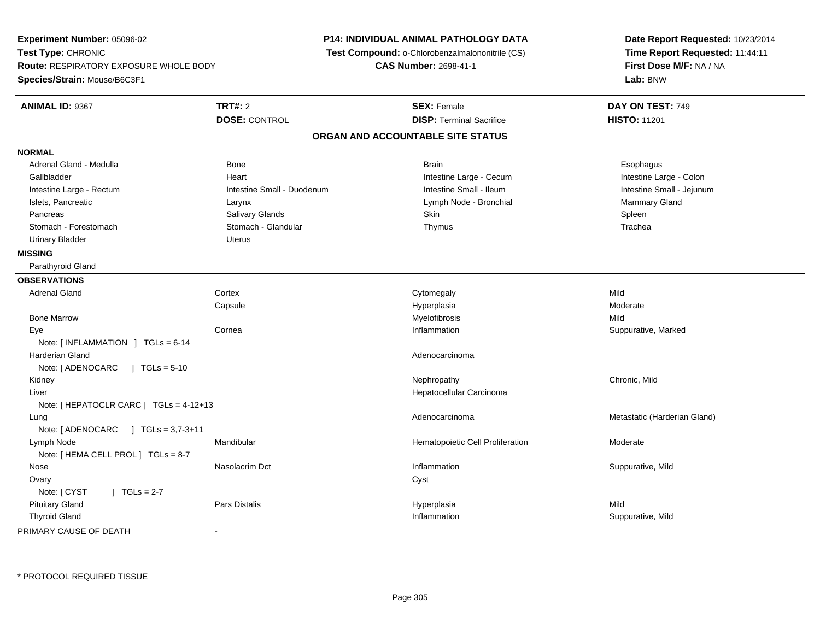**Experiment Number:** 05096-02**Test Type:** CHRONIC **Route:** RESPIRATORY EXPOSURE WHOLE BODY**Species/Strain:** Mouse/B6C3F1**P14: INDIVIDUAL ANIMAL PATHOLOGY DATA Test Compound:** o-Chlorobenzalmalononitrile (CS)**CAS Number:** 2698-41-1**Date Report Requested:** 10/23/2014**Time Report Requested:** 11:44:11**First Dose M/F:** NA / NA**Lab:** BNW**ANIMAL ID:** 9367**TRT#:** 2 **SEX:** Female **DAY ON TEST:** 749 **DOSE:** CONTROL**DISP:** Terminal Sacrifice **HISTO:** 11201 **ORGAN AND ACCOUNTABLE SITE STATUSNORMAL**Adrenal Gland - Medulla Newslett Communication of Bone Brain Brain Brain Brain Brain Esophagus Brain Esophagus Intestine Large - Colon Gallbladder **East Community Community** Community Heart Heart Intestine Large - Cecum Intestine Large - Cecum Intestine Large - Rectum Intestine Small - Duodenum Intestine Small - Ileum Intestine Small - JejunumIslets, Pancreatic **Community Clarynx** Clarynx Clarynx Larynx Lymph Node - Bronchial Clarynx Mammary Gland Pancreas Salivary Glands Skin SpleenTrachea Stomach - Forestomach **Stomach - Stomach - Glandular** Thymus Thymus Thymus Thymus The The The Thymus Thymus The Th Urinary Bladder **Urinary Bladder** Uterus **MISSING** Parathyroid Gland**OBSERVATIONS** Adrenal Glandd cortex Cortex Cortex Cytomegaly Cytomegaly **Capsule** e and the Hyperplasia Moderate Moderate and the Hyperplasia method of the Moderate Moderate  $\mathsf{M}$  Bone Marroww which is a matter of the Myelofibrosis and the Myelofibrosis and the Mild of the Mild of the Mild of the Mild of the Mild of the Mild of the Mild of the Mild of the Mild of the Mild of the Mild of the Mild of the Mild of Eyee the cornea that is compared to the corneal of the corneal inflammation the corneal of the Suppurative, Marked Note: [ INFLAMMATION ] TGLs = 6-14 Harderian Glandd and the control of the control of the control of the control of the control of the control of the control of the control of the control of the control of the control of the control of the control of the control of the co Note: [ ADENOCARC ] TGLs = 5-10 Kidneyy the controller that the controller the controller that the controller the controller that  $\mathsf{N}\mathsf{H}$   $\mathsf{N}\mathsf{H}$   $\mathsf{C}\mathsf{H}$   $\mathsf{R}\mathsf{H}$   $\mathsf{C}\mathsf{H}$   $\mathsf{R}\mathsf{H}$   $\mathsf{H}$   $\mathsf{H}$   $\mathsf{H}$   $\mathsf{H}$   $\mathsf{H}$  Liver Hepatocellular CarcinomaNote: [ HEPATOCLR CARC ] TGLs = 4-12+13 Lungg and the matter of the matter of the Metastatic (Harderian Gland) and Metastatic (Harderian Gland) and  $\alpha$ Note: [ ADENOCARC ] TGLs = 3,7-3+11 Lymph NodeMandibular Moderate **Hematopoietic Cell Proliferation** Moderate Note: [ HEMA CELL PROL ] TGLs = 8-7 Nose Nasolacrim Dct Inflammation Suppurative, Mild **Ovary** y cystem in the control of the control of the control of the control of the control of the control of the control of the control of the control of the control of the control of the control of the control of the control of Note:  $[CYST \t 1 TGLs = 2-7$  Pituitary Gland Pars Distalis Hyperplasia Mild Thyroid GlandInflammation Suppurative, Mild

PRIMARY CAUSE OF DEATH-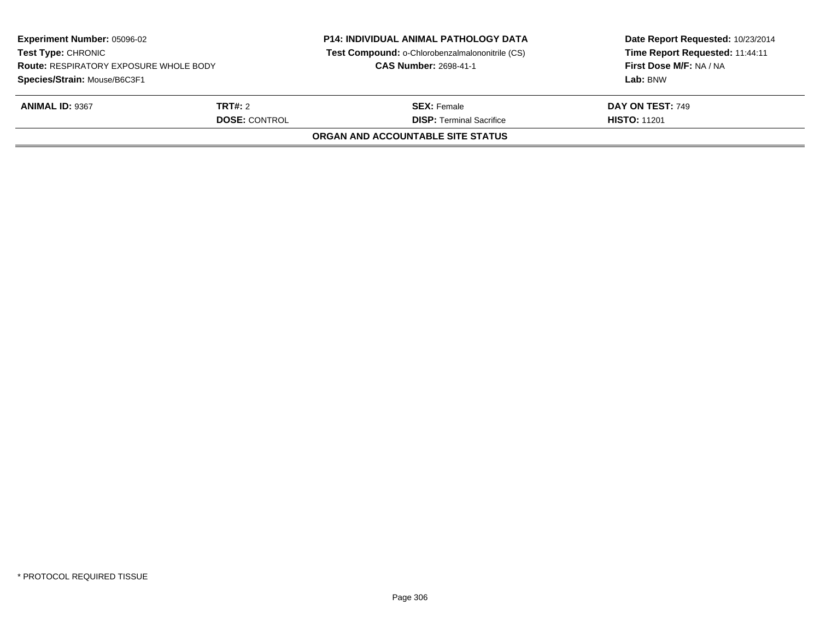| <b>Experiment Number: 05096-02</b><br><b>Test Type: CHRONIC</b><br><b>Route: RESPIRATORY EXPOSURE WHOLE BODY</b><br>Species/Strain: Mouse/B6C3F1 |                                        | <b>P14: INDIVIDUAL ANIMAL PATHOLOGY DATA</b><br>Test Compound: o-Chlorobenzalmalononitrile (CS)<br><b>CAS Number: 2698-41-1</b> | Date Report Requested: 10/23/2014<br>Time Report Requested: 11:44:11<br>First Dose M/F: NA / NA<br>Lab: BNW |
|--------------------------------------------------------------------------------------------------------------------------------------------------|----------------------------------------|---------------------------------------------------------------------------------------------------------------------------------|-------------------------------------------------------------------------------------------------------------|
| <b>ANIMAL ID: 9367</b>                                                                                                                           | <b>TRT#:</b> 2<br><b>DOSE: CONTROL</b> | <b>SEX: Female</b><br><b>DISP: Terminal Sacrifice</b>                                                                           | DAY ON TEST: 749<br><b>HISTO: 11201</b>                                                                     |
|                                                                                                                                                  |                                        | ORGAN AND ACCOUNTABLE SITE STATUS                                                                                               |                                                                                                             |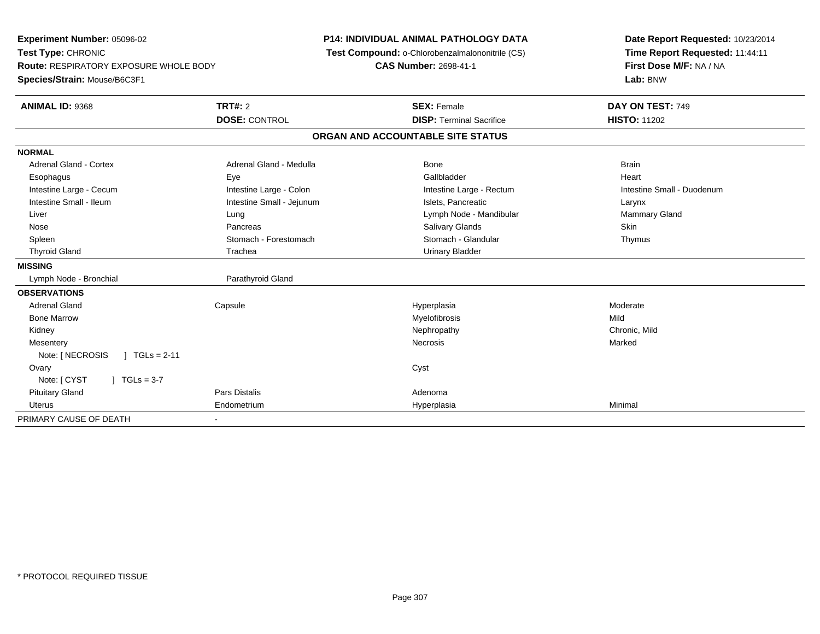| Experiment Number: 05096-02<br>Test Type: CHRONIC |                              | P14: INDIVIDUAL ANIMAL PATHOLOGY DATA           | Date Report Requested: 10/23/2014<br>Time Report Requested: 11:44:11 |
|---------------------------------------------------|------------------------------|-------------------------------------------------|----------------------------------------------------------------------|
|                                                   |                              | Test Compound: o-Chlorobenzalmalononitrile (CS) |                                                                      |
| Route: RESPIRATORY EXPOSURE WHOLE BODY            |                              | <b>CAS Number: 2698-41-1</b>                    | First Dose M/F: NA / NA                                              |
| Species/Strain: Mouse/B6C3F1                      |                              |                                                 | Lab: BNW                                                             |
| <b>ANIMAL ID: 9368</b>                            | <b>TRT#: 2</b>               | <b>SEX: Female</b>                              | DAY ON TEST: 749                                                     |
|                                                   | <b>DOSE: CONTROL</b>         | <b>DISP: Terminal Sacrifice</b>                 | <b>HISTO: 11202</b>                                                  |
|                                                   |                              | ORGAN AND ACCOUNTABLE SITE STATUS               |                                                                      |
| <b>NORMAL</b>                                     |                              |                                                 |                                                                      |
| <b>Adrenal Gland - Cortex</b>                     | Adrenal Gland - Medulla      | <b>Bone</b>                                     | <b>Brain</b>                                                         |
| Esophagus                                         | Eye                          | Gallbladder                                     | Heart                                                                |
| Intestine Large - Cecum                           | Intestine Large - Colon      | Intestine Large - Rectum                        | Intestine Small - Duodenum                                           |
| Intestine Small - Ileum                           | Intestine Small - Jejunum    | Islets, Pancreatic                              | Larynx                                                               |
| Liver                                             | Lung                         | Lymph Node - Mandibular                         | Mammary Gland                                                        |
| Nose                                              | Pancreas                     | <b>Salivary Glands</b>                          | Skin                                                                 |
| Spleen                                            | Stomach - Forestomach        | Stomach - Glandular                             | Thymus                                                               |
| <b>Thyroid Gland</b>                              | Trachea                      | <b>Urinary Bladder</b>                          |                                                                      |
| <b>MISSING</b>                                    |                              |                                                 |                                                                      |
| Lymph Node - Bronchial                            | Parathyroid Gland            |                                                 |                                                                      |
| <b>OBSERVATIONS</b>                               |                              |                                                 |                                                                      |
| <b>Adrenal Gland</b>                              | Capsule                      | Hyperplasia                                     | Moderate                                                             |
| <b>Bone Marrow</b>                                |                              | Myelofibrosis                                   | Mild                                                                 |
| Kidney                                            |                              | Nephropathy                                     | Chronic, Mild                                                        |
| Mesentery                                         |                              | Necrosis                                        | Marked                                                               |
| Note: [ NECROSIS<br>$1 TGLs = 2-11$               |                              |                                                 |                                                                      |
| Ovary                                             |                              | Cyst                                            |                                                                      |
| Note: [ CYST<br>$\sqrt{1}$ TGLs = 3-7             |                              |                                                 |                                                                      |
| <b>Pituitary Gland</b>                            | <b>Pars Distalis</b>         | Adenoma                                         |                                                                      |
| <b>Uterus</b>                                     | Endometrium                  | Hyperplasia                                     | Minimal                                                              |
| PRIMARY CAUSE OF DEATH                            | $\qquad \qquad \blacksquare$ |                                                 |                                                                      |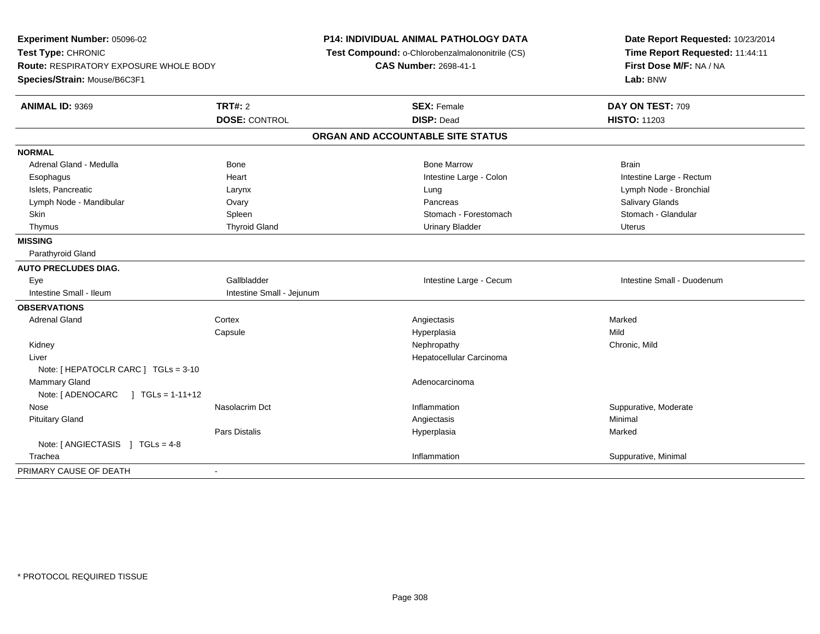**Experiment Number:** 05096-02**Test Type:** CHRONIC **Route:** RESPIRATORY EXPOSURE WHOLE BODY**Species/Strain:** Mouse/B6C3F1**P14: INDIVIDUAL ANIMAL PATHOLOGY DATA Test Compound:** o-Chlorobenzalmalononitrile (CS)**CAS Number:** 2698-41-1**Date Report Requested:** 10/23/2014**Time Report Requested:** 11:44:11**First Dose M/F:** NA / NA**Lab:** BNW**ANIMAL ID:** 9369 **TRT#:** <sup>2</sup> **SEX:** Female **DAY ON TEST:** <sup>709</sup> **DOSE:** CONTROL **DISP:** Dead **HISTO:** <sup>11203</sup> **ORGAN AND ACCOUNTABLE SITE STATUSNORMAL**Adrenal Gland - Medulla Bone Bone Bone Marrow Bone Marrow Brain Brain Brain Brain Esophagus Heart Intestine Large - Colon Intestine Large - Rectum Islets, Pancreatic Larynx Lung Lymph Node - BronchialLymph Node - Mandibular **Natural Covact Covact Covact Covact Covact Covact Covact Covact Covact Covact Covact Covact Covact Pancreas Covact Covact Pancreas Covact Covact Covact Covact Covact Covact Covact Covact Covact Cov** Stomach - Glandular Skin Stomach - Forestomach Spleen Stomach - Forestomach - Stomach - Forestomach - Stomach - Forestomach - Glandular Thymus and the Charles Community Thyroid Gland Charles Community Urinary Bladder Charles Community Urinary Bladder Uterus Urinary Bladder Urinary Bladder Urinary Bladder Urinary Bladder **MISSING** Parathyroid Gland**AUTO PRECLUDES DIAG.** Eye Gallbladder Intestine Large - Cecum Intestine Small - DuodenumIntestine Small - Ileum Intestine Small - Jejunum **OBSERVATIONS** Adrenal Glandd and the cortex contex and the context of the context of the context of the context of the context of the context of the context of the context of the context of the context of the context of the context of the context of **Capsule**  Hyperplasia Mild Kidneyy the controller that the controller temperature  $\mathsf{N}$  experimentally chronic, Mild  $\mathsf{N}$  experimentally  $\mathsf{N}$  experimentally  $\mathsf{N}$  experimentally  $\mathsf{N}$  experimentally  $\mathsf{N}$  experimentally  $\mathsf{N}$  . The Liver Hepatocellular CarcinomaNote: [ HEPATOCLR CARC ] TGLs = 3-10 Mammary Glandd and the control of the control of the control of the control of the control of the control of the control of the control of the control of the control of the control of the control of the control of the control of the co Note: [ ADENOCARC ] TGLs = 1-11+12 Nosee is a constructive of the Nasolacrim Dct inflammation inflammation in the Suppurative, Moderate Suppurative, Moderate is a constructive of the Nasolacrim Dct in the Suppurative of the Suppurative, Moderate is a structure Pituitary Glandd and the control of the control of the control of the control of the control of the control of the control of the control of the control of the control of the control of the control of the control of the control of the co Pars Distalis Hyperplasiaa **Marked** Note: [ ANGIECTASIS ] TGLs = 4-8 Tracheaa and the control of the control of the control of the control of the control of the control of the control of the control of the control of the control of the control of the control of the control of the control of the co PRIMARY CAUSE OF DEATH-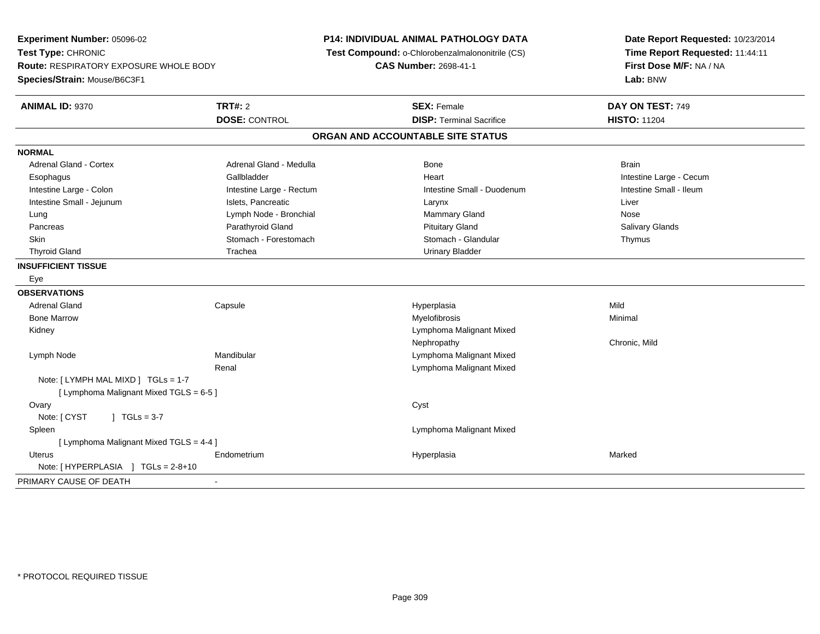**Experiment Number:** 05096-02**Test Type:** CHRONIC **Route:** RESPIRATORY EXPOSURE WHOLE BODY**Species/Strain:** Mouse/B6C3F1**P14: INDIVIDUAL ANIMAL PATHOLOGY DATA Test Compound:** o-Chlorobenzalmalononitrile (CS)**CAS Number:** 2698-41-1**Date Report Requested:** 10/23/2014**Time Report Requested:** 11:44:11**First Dose M/F:** NA / NA**Lab:** BNW**ANIMAL ID:** 9370**C TRT#:** 2 **SEX:** Female **DAY ON TEST:** 749 **DOSE:** CONTROL**DISP:** Terminal Sacrifice **HISTO:** 11204 **ORGAN AND ACCOUNTABLE SITE STATUSNORMALAdrenal Gland - Cortex** Adrenal Gland - Medulla **Bone** Bone Bone Brain Brain Brain Brain Esophagus **Example 20 Team Callbladder** Callbladder **Heart Intestine Large - Cecum** Callbladder Communication of the example of the example of the example of the example of the example of the example of the example of the Intestine Small - Ileum Intestine Large - Colon **Intestine Large - Rectum** Intestine Small - Duodenum Intestine Small - Duodenum Intestine Small - Jejunum **Intestine Small - Jejunum** Islets, Pancreatic **National Larynx Liver** Larynx Liver Lung Chang Channel Communication Channel Lymph Node - Bronchial Mammary Gland Mose Channel Channel Mose **Salivary Glands**  Pancreas Parathyroid Gland Pituitary Gland Salivary GlandsSkin Stomach - Forestomach Stomach Stomach Stomach Stomach Stomach Stomach - Glandular Thymus Thyroid Gland **Trachea** Trachea **Trachea** Trachea Urinary Bladder **INSUFFICIENT TISSUE** Eye**OBSERVATIONS** Adrenal Gland Capsule Hyperplasia Mild Bone Marroww Myelofibrosis **Myelofibrosis** Monthly and Muslim Minimal Metal of Minimal Minimal Minimal Service of Minimal Service of Minimal Service of Minimal Service of Minimal Service of Minimal Service of Minimal Service of Minim Kidney Lymphoma Malignant MixedNephropathy Chronic, Mild Lymph Node Mandibular Lymphoma Malignant Mixed Renal Lymphoma Malignant MixedNote: [ LYMPH MAL MIXD ] TGLs = 1-7[ Lymphoma Malignant Mixed TGLS = 6-5 ] **Ovary** y cystem in the control of the control of the control of the control of the control of the control of the control of the control of the control of the control of the control of the control of the control of the control of Note:  $[CYST \t 1 TGLs = 3-7$  Spleen Lymphoma Malignant Mixed [ Lymphoma Malignant Mixed TGLS = 4-4 ] Uterus Endometrium Hyperplasia Marked Note: [ HYPERPLASIA ] TGLs = 2-8+10 PRIMARY CAUSE OF DEATH-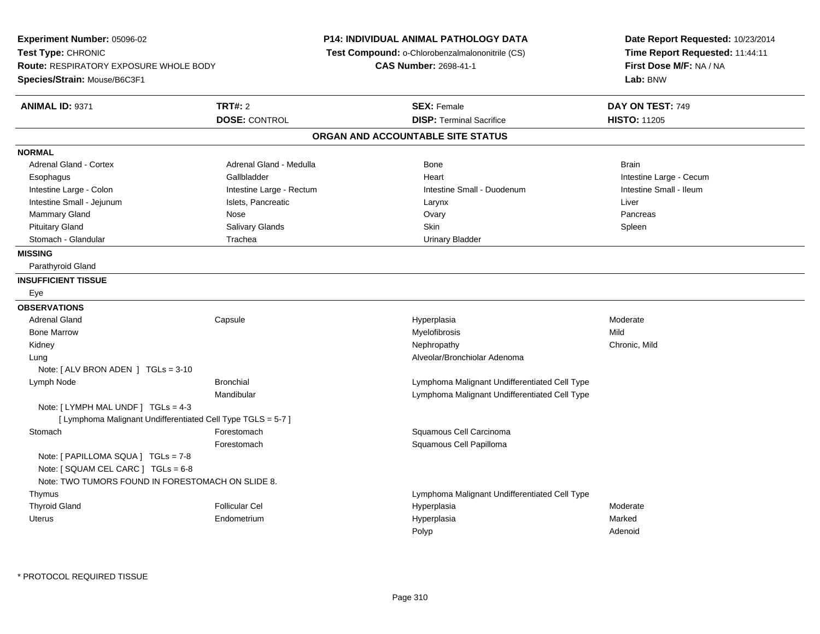| Experiment Number: 05096-02<br>Test Type: CHRONIC<br>Route: RESPIRATORY EXPOSURE WHOLE BODY<br>Species/Strain: Mouse/B6C3F1 |                          | P14: INDIVIDUAL ANIMAL PATHOLOGY DATA<br>Test Compound: o-Chlorobenzalmalononitrile (CS)<br><b>CAS Number: 2698-41-1</b> | Date Report Requested: 10/23/2014<br>Time Report Requested: 11:44:11<br>First Dose M/F: NA / NA<br>Lab: BNW |
|-----------------------------------------------------------------------------------------------------------------------------|--------------------------|--------------------------------------------------------------------------------------------------------------------------|-------------------------------------------------------------------------------------------------------------|
| <b>ANIMAL ID: 9371</b>                                                                                                      | <b>TRT#: 2</b>           | <b>SEX: Female</b>                                                                                                       | DAY ON TEST: 749                                                                                            |
|                                                                                                                             | <b>DOSE: CONTROL</b>     | <b>DISP: Terminal Sacrifice</b>                                                                                          | <b>HISTO: 11205</b>                                                                                         |
|                                                                                                                             |                          | ORGAN AND ACCOUNTABLE SITE STATUS                                                                                        |                                                                                                             |
| <b>NORMAL</b>                                                                                                               |                          |                                                                                                                          |                                                                                                             |
| <b>Adrenal Gland - Cortex</b>                                                                                               | Adrenal Gland - Medulla  | Bone                                                                                                                     | <b>Brain</b>                                                                                                |
| Esophagus                                                                                                                   | Gallbladder              | Heart                                                                                                                    | Intestine Large - Cecum                                                                                     |
| Intestine Large - Colon                                                                                                     | Intestine Large - Rectum | Intestine Small - Duodenum                                                                                               | Intestine Small - Ileum                                                                                     |
| Intestine Small - Jejunum                                                                                                   | Islets, Pancreatic       | Larynx                                                                                                                   | Liver                                                                                                       |
| Mammary Gland                                                                                                               | Nose                     | Ovary                                                                                                                    | Pancreas                                                                                                    |
| <b>Pituitary Gland</b>                                                                                                      | Salivary Glands          | Skin                                                                                                                     | Spleen                                                                                                      |
| Stomach - Glandular                                                                                                         | Trachea                  | <b>Urinary Bladder</b>                                                                                                   |                                                                                                             |
| <b>MISSING</b>                                                                                                              |                          |                                                                                                                          |                                                                                                             |
| Parathyroid Gland                                                                                                           |                          |                                                                                                                          |                                                                                                             |
| <b>INSUFFICIENT TISSUE</b>                                                                                                  |                          |                                                                                                                          |                                                                                                             |
| Eye                                                                                                                         |                          |                                                                                                                          |                                                                                                             |
| <b>OBSERVATIONS</b>                                                                                                         |                          |                                                                                                                          |                                                                                                             |
| <b>Adrenal Gland</b>                                                                                                        | Capsule                  | Hyperplasia                                                                                                              | Moderate                                                                                                    |
| <b>Bone Marrow</b>                                                                                                          |                          | Myelofibrosis                                                                                                            | Mild                                                                                                        |
| Kidney                                                                                                                      |                          | Nephropathy                                                                                                              | Chronic, Mild                                                                                               |
| Lung                                                                                                                        |                          | Alveolar/Bronchiolar Adenoma                                                                                             |                                                                                                             |
| Note: $\lceil$ ALV BRON ADEN $\lceil$ TGLs = 3-10                                                                           |                          |                                                                                                                          |                                                                                                             |
| Lymph Node                                                                                                                  | <b>Bronchial</b>         | Lymphoma Malignant Undifferentiated Cell Type                                                                            |                                                                                                             |
|                                                                                                                             | Mandibular               | Lymphoma Malignant Undifferentiated Cell Type                                                                            |                                                                                                             |
| Note: [LYMPH MAL UNDF] TGLs = 4-3<br>[ Lymphoma Malignant Undifferentiated Cell Type TGLS = 5-7 ]                           |                          |                                                                                                                          |                                                                                                             |
| Stomach                                                                                                                     | Forestomach              | Squamous Cell Carcinoma                                                                                                  |                                                                                                             |
|                                                                                                                             | Forestomach              | Squamous Cell Papilloma                                                                                                  |                                                                                                             |
| Note: [ PAPILLOMA SQUA ] TGLs = 7-8                                                                                         |                          |                                                                                                                          |                                                                                                             |
| Note: [ SQUAM CEL CARC ] TGLs = 6-8                                                                                         |                          |                                                                                                                          |                                                                                                             |
| Note: TWO TUMORS FOUND IN FORESTOMACH ON SLIDE 8.                                                                           |                          |                                                                                                                          |                                                                                                             |
| Thymus                                                                                                                      |                          | Lymphoma Malignant Undifferentiated Cell Type                                                                            |                                                                                                             |
| <b>Thyroid Gland</b>                                                                                                        | <b>Follicular Cel</b>    | Hyperplasia                                                                                                              | Moderate                                                                                                    |
| Uterus                                                                                                                      | Endometrium              | Hyperplasia                                                                                                              | Marked                                                                                                      |
|                                                                                                                             |                          | Polyp                                                                                                                    | Adenoid                                                                                                     |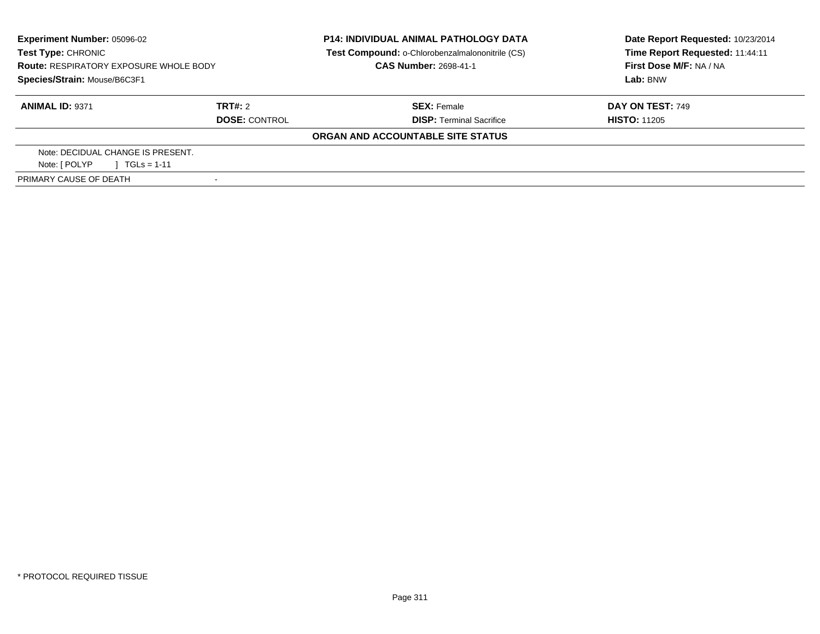| Experiment Number: 05096-02<br><b>Test Type: CHRONIC</b> |                      | <b>P14: INDIVIDUAL ANIMAL PATHOLOGY DATA</b><br>Test Compound: o-Chlorobenzalmalononitrile (CS) | Date Report Requested: 10/23/2014<br>Time Report Requested: 11:44:11<br>First Dose M/F: NA / NA |  |
|----------------------------------------------------------|----------------------|-------------------------------------------------------------------------------------------------|-------------------------------------------------------------------------------------------------|--|
| <b>Route: RESPIRATORY EXPOSURE WHOLE BODY</b>            |                      | <b>CAS Number: 2698-41-1</b>                                                                    |                                                                                                 |  |
| Species/Strain: Mouse/B6C3F1                             |                      |                                                                                                 | Lab: BNW                                                                                        |  |
| <b>ANIMAL ID: 9371</b>                                   | TRT#: 2              | <b>SEX: Female</b>                                                                              | <b>DAY ON TEST: 749</b>                                                                         |  |
|                                                          | <b>DOSE: CONTROL</b> | <b>DISP: Terminal Sacrifice</b>                                                                 | <b>HISTO: 11205</b>                                                                             |  |
|                                                          |                      | ORGAN AND ACCOUNTABLE SITE STATUS                                                               |                                                                                                 |  |
| Note: DECIDUAL CHANGE IS PRESENT.                        |                      |                                                                                                 |                                                                                                 |  |
| Note: [ POLYP<br>$TGLs = 1-11$                           |                      |                                                                                                 |                                                                                                 |  |
| PRIMARY CAUSE OF DEATH                                   |                      |                                                                                                 |                                                                                                 |  |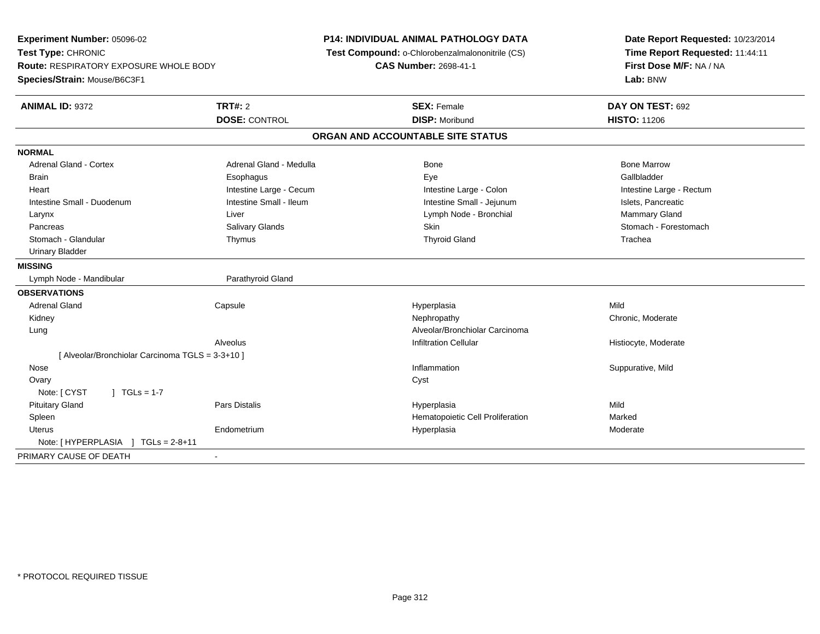**Experiment Number:** 05096-02**Test Type:** CHRONIC **Route:** RESPIRATORY EXPOSURE WHOLE BODY**Species/Strain:** Mouse/B6C3F1**P14: INDIVIDUAL ANIMAL PATHOLOGY DATA Test Compound:** o-Chlorobenzalmalononitrile (CS)**CAS Number:** 2698-41-1**Date Report Requested:** 10/23/2014**Time Report Requested:** 11:44:11**First Dose M/F:** NA / NA**Lab:** BNW**ANIMAL ID:** 9372 **TRT#:** <sup>2</sup> **SEX:** Female **DAY ON TEST:** <sup>692</sup> **DOSE:** CONTROL**DISP:** Moribund **HISTO:** 11206 **ORGAN AND ACCOUNTABLE SITE STATUSNORMALAdrenal Gland - Cortex** Adrenal Gland - Medulla **Bone Adrenal Gland - Cortex Adrenal Gland - Cortex Adrenal Gland - Medulla** Bone Marrow Gallbladder Brain Esophagus Esophagus Esophagus Esophagus Exercicle Exercises et al. Exercises et al. et al. et al. et al. Heart **Intestine Large - Cecum** Intestine Large - Cecum Intestine Large - Colon Intestine Large - Rectum Intestine Small - Duodenum **Intestine Small - Ileum** Intestine Small - Ileum Intestine Small - Jejunum Intestine Small - Jejunum Islets, Pancreatic **Mammary Gland** Larynx **Larynx** Charles Communication Charles Liver Charles Communication Charles Communication Charles Charles Charles Charles Charles Charles Charles Charles Charles Charles Charles Charles Charles Charles Charles Charle Pancreas **Salivary Glands** Salivary Glands School Stomach - Forestomach - Stomach - Stomach - Forestomach - Stomach - Forestomach Stomach - Glandular Thymus Thyroid Gland Trachea Urinary Bladder**MISSING**Lymph Node - Mandibular and a common and Parathyroid Gland **OBSERVATIONS** Adrenal Gland Capsule Hyperplasia Mild Kidneyy the chronic, Moderate and September 2011 of the Chronic Moderate and September 2012 of the Chronic, Moderate LungAlveolar/Bronchiolar Carcinoma<br>Infiltration Cellular AlveolusHistiocyte, Moderate [ Alveolar/Bronchiolar Carcinoma TGLS = 3-3+10 ] Nosee the suppurative, Mild and the support of the support of the support of the support of the support of the support of  $\mathbf S$ uppurative, Mild and the support of the support of the support of the support of the support of th **Ovary** y cystem in the control of the control of the control of the control of the control of the control of the control of the control of the control of the control of the control of the control of the control of the control of  $Note: [CYST \t 1 TGLs = 1-7$  Pituitary Gland Pars Distalis Hyperplasia Mild SpleenHematopoietic Cell Proliferation<br>
Hyperplasia Moderate Uterus Endometriumm and the Hyperplasia measurement of the Hyperplasia measurement of the Moderate Note: [HYPERPLASIA ] TGLs = 2-8+11 PRIMARY CAUSE OF DEATH-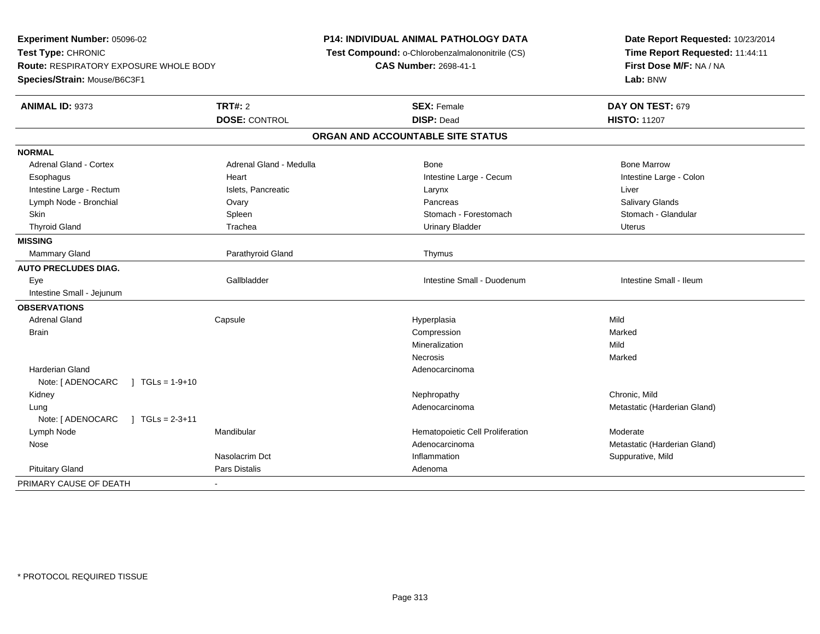**Experiment Number:** 05096-02**Test Type:** CHRONIC **Route:** RESPIRATORY EXPOSURE WHOLE BODY**Species/Strain:** Mouse/B6C3F1**P14: INDIVIDUAL ANIMAL PATHOLOGY DATA Test Compound:** o-Chlorobenzalmalononitrile (CS)**CAS Number:** 2698-41-1**Date Report Requested:** 10/23/2014**Time Report Requested:** 11:44:11**First Dose M/F:** NA / NA**Lab:** BNW**ANIMAL ID:** 9373**TRT#:** 2 **SEX:** Female **DAY ON TEST:** 679 **DOSE:** CONTROL **DISP:** Dead **HISTO:** <sup>11207</sup> **ORGAN AND ACCOUNTABLE SITE STATUSNORMALAdrenal Gland - Cortex** Adrenal Gland - Medulla **Adrenal Gland - Medulla** Bone Bone Bone Bone Bone Marrow Intestine Large - Colon Esophagus **Example 20** Heart Intestine Large - Cecum Intestine Large - Cecum Intestine Large - Rectum **Islets, Pancreatic** Christene Larynx Liver Larynx Liver Lymph Node - Bronchial **Contract Contract Contract Contract Contract Contract Contract Contract Contract Contract Contract Contract Contract Contract Contract Contract Contract Contract Contract Contract Contract Contract** Stomach - Glandular Skin Stomach - Forestomach Spleen Stomach - Forestomach - Stomach - Forestomach - Stomach - Forestomach - Glandular Thyroid Gland North Charles and Trachea Urinary Bladder Urinary Bladder North Charles Uterus Urinary Bladder Uterus **MISSING**Mammary Gland Parathyroid Gland Thymus **AUTO PRECLUDES DIAG.** Eye Gallbladder Intestine Small - Duodenum Intestine Small - Ileum Intestine Small - Jejunum**OBSERVATIONS** Adrenal Gland Capsule Hyperplasia Mild **Brain** n and the compression of the compression of the compression of the compression of the compression of the compression Mineralizationn Mild Necrosiss and the contract of the Marked Harderian Glandd and the control of the control of the control of the control of the control of the control of the control of the control of the control of the control of the control of the control of the control of the control of the co Note: [ ADENOCARC ] TGLs = 1-9+10 Kidneyy the controller that the controller temperature  $\mathsf{N}$  experimentally chronic, Mild  $\mathsf{N}$  experimentally  $\mathsf{N}$  experimentally  $\mathsf{N}$  experimentally  $\mathsf{N}$  experimentally  $\mathsf{N}$  experimentally  $\mathsf{N}$  . The entity and a matter and a matter of Adenocarcinoma and a matter of Metastatic (Harderian Gland) LungNote: [ ADENOCARC ] TGLs = 2-3+11 Lymph NodeMandibular Moderate **Hematopoietic Cell Proliferation** Moderate NoseAdenocarcinoma Metastatic (Harderian Gland) Nasolacrim Dct Inflammation Suppurative, Mild Pituitary Glandd **Exercise Service Service Service Service Service Service Service Service Service Service Service Service Service Service Service Service Service Service Service Service Service Service Service Service Service Service Se** PRIMARY CAUSE OF DEATH-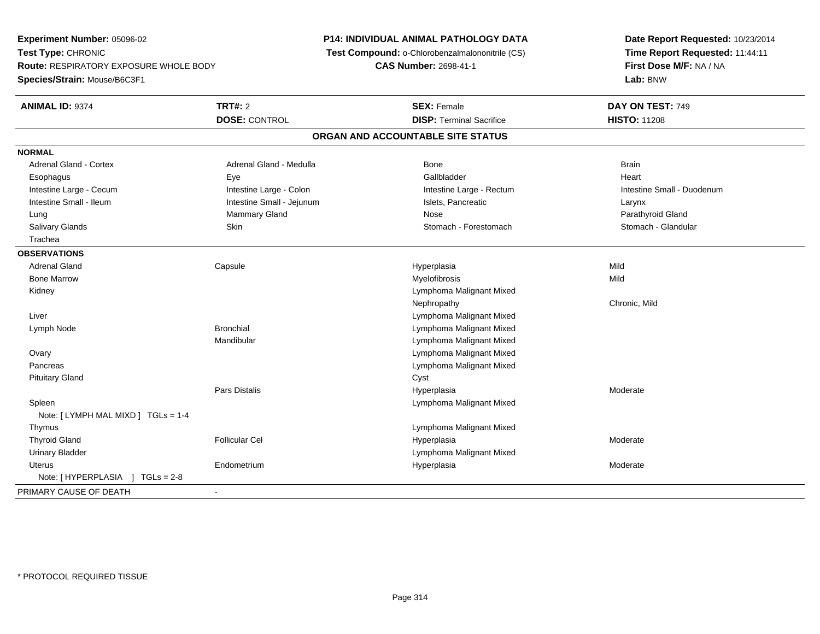**Experiment Number:** 05096-02**Test Type:** CHRONIC **Route:** RESPIRATORY EXPOSURE WHOLE BODY**Species/Strain:** Mouse/B6C3F1**P14: INDIVIDUAL ANIMAL PATHOLOGY DATA Test Compound:** o-Chlorobenzalmalononitrile (CS)**CAS Number:** 2698-41-1**Date Report Requested:** 10/23/2014**Time Report Requested:** 11:44:11**First Dose M/F:** NA / NA**Lab:** BNW**ANIMAL ID:** 9374**TRT#:** 2 **SEX:** Female **DAY ON TEST:** 749 **DOSE:** CONTROL**DISP:** Terminal Sacrifice **HISTO:** 11208 **ORGAN AND ACCOUNTABLE SITE STATUSNORMALAdrenal Gland - Cortex** Adrenal Gland - Medulla **Bone** Bone Brain Bone Brain Brain Brain Heart Esophagus Eye Gallbladder HeartIntestine Large - Cecum **Intestine Large - Colon** Intestine Large - Colon Intestine Large - Rectum Intestine Large - Rectum Intestine Small - Duodenum Intestine Small - Ileum Larynx Intestine Small - Jejunum Intestine Small - Jejunum Islets, Pancreatic Larynx Parathyroid Gland Lung Mammary Gland Nose Parathyroid GlandStomach - Glandular Salivary Glands **Skin** Skin Skin Stomach - Forestomach - Stomach - Stomach - Stomach - Stomach - Glandular Stomach - Glandular Stomach - Stomach - Stomach - Stomach - Stomach - Stomach - Stomach - Stomach - Stomach - Stoma Trachea**OBSERVATIONS** Adrenal Gland Capsule Hyperplasia Mild Bone Marroww which is a matter of the Myelofibrosis and the Myelofibrosis and the Mild of the Mild of the Mild of the Mild of the Mild of the Mild of the Mild of the Mild of the Mild of the Mild of the Mild of the Mild of the Mild of Kidney Lymphoma Malignant MixedNephropathy Chronic, Mild Liver Lymphoma Malignant Mixede and the Bronchial Channel Bronchial Channel Channel Component Malignant Mixed Lymph NodeMandibular Lymphoma Malignant Mixed Lymphoma Malignant Mixed Ovary Lymphoma Malignant Mixed Pancreas Pituitary Glandd Cyst Pars Distalis Hyperplasia Moderate Spleen Lymphoma Malignant Mixed Note: [ LYMPH MAL MIXD ] TGLs = 1-4 Thymus Lymphoma Malignant Mixed Thyroid Gland Follicular Cel Hyperplasia Moderate Urinary Bladder Lymphoma Malignant Mixed Uterus Endometriumm and the Hyperplasia measurement of the Hyperplasia measurement of the Moderate Moderate of the Moderate of the Moderate of the Moderate of the Moderate of the Moderate of the Moderate of the Moderate of the Moderate of t Note: [ HYPERPLASIA ] TGLs = 2-8PRIMARY CAUSE OF DEATH-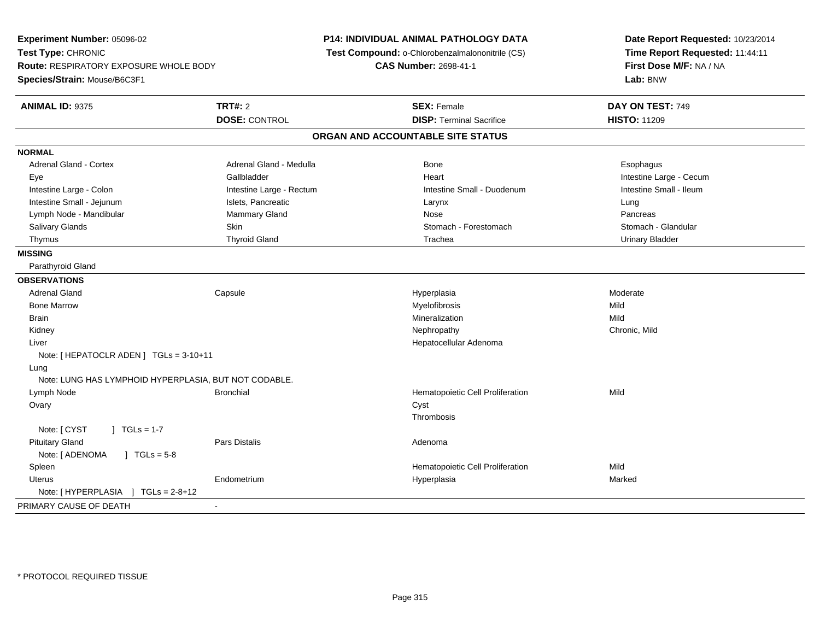| Experiment Number: 05096-02<br>Test Type: CHRONIC                      |                          | P14: INDIVIDUAL ANIMAL PATHOLOGY DATA<br>Test Compound: o-Chlorobenzalmalononitrile (CS) | Date Report Requested: 10/23/2014<br>Time Report Requested: 11:44:11 |  |  |
|------------------------------------------------------------------------|--------------------------|------------------------------------------------------------------------------------------|----------------------------------------------------------------------|--|--|
| Route: RESPIRATORY EXPOSURE WHOLE BODY<br>Species/Strain: Mouse/B6C3F1 |                          | CAS Number: 2698-41-1                                                                    | First Dose M/F: NA / NA<br>Lab: BNW                                  |  |  |
|                                                                        |                          |                                                                                          |                                                                      |  |  |
| <b>ANIMAL ID: 9375</b>                                                 | <b>TRT#: 2</b>           | <b>SEX: Female</b>                                                                       | DAY ON TEST: 749                                                     |  |  |
|                                                                        | <b>DOSE: CONTROL</b>     | <b>DISP: Terminal Sacrifice</b>                                                          | <b>HISTO: 11209</b>                                                  |  |  |
|                                                                        |                          | ORGAN AND ACCOUNTABLE SITE STATUS                                                        |                                                                      |  |  |
| <b>NORMAL</b>                                                          |                          |                                                                                          |                                                                      |  |  |
| Adrenal Gland - Cortex                                                 | Adrenal Gland - Medulla  | Bone                                                                                     | Esophagus                                                            |  |  |
| Eye                                                                    | Gallbladder              | Heart                                                                                    | Intestine Large - Cecum                                              |  |  |
| Intestine Large - Colon                                                | Intestine Large - Rectum | Intestine Small - Duodenum                                                               | Intestine Small - Ileum                                              |  |  |
| Intestine Small - Jejunum                                              | Islets, Pancreatic       | Larynx                                                                                   | Lung                                                                 |  |  |
| Lymph Node - Mandibular                                                | <b>Mammary Gland</b>     | Nose                                                                                     | Pancreas                                                             |  |  |
| Salivary Glands                                                        | Skin                     | Stomach - Forestomach                                                                    | Stomach - Glandular                                                  |  |  |
| Thymus                                                                 | <b>Thyroid Gland</b>     | Trachea                                                                                  | <b>Urinary Bladder</b>                                               |  |  |
| <b>MISSING</b>                                                         |                          |                                                                                          |                                                                      |  |  |
| Parathyroid Gland                                                      |                          |                                                                                          |                                                                      |  |  |
| <b>OBSERVATIONS</b>                                                    |                          |                                                                                          |                                                                      |  |  |
| <b>Adrenal Gland</b>                                                   | Capsule                  | Hyperplasia                                                                              | Moderate                                                             |  |  |
| <b>Bone Marrow</b>                                                     |                          | Myelofibrosis                                                                            | Mild                                                                 |  |  |
| <b>Brain</b>                                                           |                          | Mineralization                                                                           | Mild                                                                 |  |  |
| Kidney                                                                 |                          | Nephropathy                                                                              | Chronic, Mild                                                        |  |  |
| Liver                                                                  |                          | Hepatocellular Adenoma                                                                   |                                                                      |  |  |
| Note: [HEPATOCLR ADEN] TGLs = 3-10+11                                  |                          |                                                                                          |                                                                      |  |  |
| Lung                                                                   |                          |                                                                                          |                                                                      |  |  |
| Note: LUNG HAS LYMPHOID HYPERPLASIA, BUT NOT CODABLE.                  |                          |                                                                                          |                                                                      |  |  |
| Lymph Node                                                             | <b>Bronchial</b>         | Hematopoietic Cell Proliferation                                                         | Mild                                                                 |  |  |
| Ovary                                                                  |                          | Cyst                                                                                     |                                                                      |  |  |
|                                                                        |                          | Thrombosis                                                                               |                                                                      |  |  |
| Note: [ CYST<br>$] TGLs = 1-7$                                         |                          |                                                                                          |                                                                      |  |  |
| <b>Pituitary Gland</b>                                                 | <b>Pars Distalis</b>     | Adenoma                                                                                  |                                                                      |  |  |
| Note: [ ADENOMA<br>$1 TGLs = 5-8$                                      |                          |                                                                                          |                                                                      |  |  |
| Spleen                                                                 |                          | Hematopoietic Cell Proliferation                                                         | Mild                                                                 |  |  |
| <b>Uterus</b>                                                          | Endometrium              | Hyperplasia                                                                              | Marked                                                               |  |  |
| Note: [HYPERPLASIA ]<br>$TGLs = 2-8+12$                                |                          |                                                                                          |                                                                      |  |  |
| PRIMARY CAUSE OF DEATH                                                 | $\mathbf{r}$             |                                                                                          |                                                                      |  |  |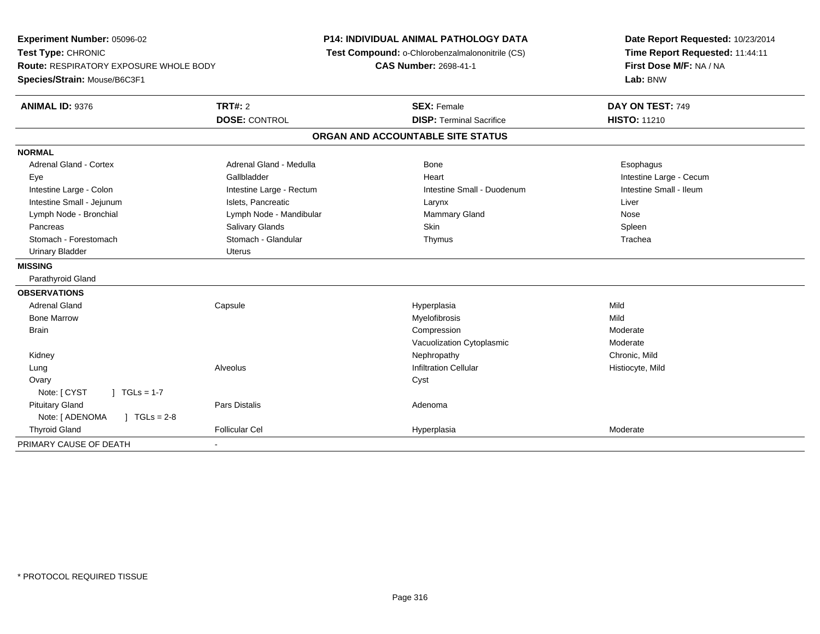| Experiment Number: 05096-02<br>Test Type: CHRONIC<br>Route: RESPIRATORY EXPOSURE WHOLE BODY<br>Species/Strain: Mouse/B6C3F1 |                          | <b>P14: INDIVIDUAL ANIMAL PATHOLOGY DATA</b><br>Test Compound: o-Chlorobenzalmalononitrile (CS)<br>CAS Number: 2698-41-1 | Date Report Requested: 10/23/2014<br>Time Report Requested: 11:44:11<br>First Dose M/F: NA / NA<br>Lab: BNW |  |
|-----------------------------------------------------------------------------------------------------------------------------|--------------------------|--------------------------------------------------------------------------------------------------------------------------|-------------------------------------------------------------------------------------------------------------|--|
| <b>ANIMAL ID: 9376</b>                                                                                                      | <b>TRT#: 2</b>           | <b>SEX: Female</b>                                                                                                       | DAY ON TEST: 749                                                                                            |  |
|                                                                                                                             | <b>DOSE: CONTROL</b>     | <b>DISP: Terminal Sacrifice</b>                                                                                          | <b>HISTO: 11210</b>                                                                                         |  |
|                                                                                                                             |                          | ORGAN AND ACCOUNTABLE SITE STATUS                                                                                        |                                                                                                             |  |
| <b>NORMAL</b>                                                                                                               |                          |                                                                                                                          |                                                                                                             |  |
| <b>Adrenal Gland - Cortex</b>                                                                                               | Adrenal Gland - Medulla  | Bone                                                                                                                     | Esophagus                                                                                                   |  |
| Eye                                                                                                                         | Gallbladder              | Heart                                                                                                                    | Intestine Large - Cecum                                                                                     |  |
| Intestine Large - Colon                                                                                                     | Intestine Large - Rectum | Intestine Small - Duodenum                                                                                               | Intestine Small - Ileum                                                                                     |  |
| Intestine Small - Jejunum                                                                                                   | Islets, Pancreatic       | Larynx                                                                                                                   | Liver                                                                                                       |  |
| Lymph Node - Bronchial                                                                                                      | Lymph Node - Mandibular  | Mammary Gland                                                                                                            | Nose                                                                                                        |  |
| Pancreas                                                                                                                    | Salivary Glands          | Skin                                                                                                                     | Spleen                                                                                                      |  |
| Stomach - Forestomach                                                                                                       | Stomach - Glandular      | Thymus                                                                                                                   | Trachea                                                                                                     |  |
| Urinary Bladder                                                                                                             | <b>Uterus</b>            |                                                                                                                          |                                                                                                             |  |
| <b>MISSING</b>                                                                                                              |                          |                                                                                                                          |                                                                                                             |  |
| Parathyroid Gland                                                                                                           |                          |                                                                                                                          |                                                                                                             |  |
| <b>OBSERVATIONS</b>                                                                                                         |                          |                                                                                                                          |                                                                                                             |  |
| Adrenal Gland                                                                                                               | Capsule                  | Hyperplasia                                                                                                              | Mild                                                                                                        |  |
| <b>Bone Marrow</b>                                                                                                          |                          | Myelofibrosis                                                                                                            | Mild                                                                                                        |  |
| <b>Brain</b>                                                                                                                |                          | Compression                                                                                                              | Moderate                                                                                                    |  |
|                                                                                                                             |                          | Vacuolization Cytoplasmic                                                                                                | Moderate                                                                                                    |  |
| Kidney                                                                                                                      |                          | Nephropathy                                                                                                              | Chronic, Mild                                                                                               |  |
| Lung                                                                                                                        | Alveolus                 | <b>Infiltration Cellular</b>                                                                                             | Histiocyte, Mild                                                                                            |  |
| Ovary                                                                                                                       |                          | Cyst                                                                                                                     |                                                                                                             |  |
| $1 TGLs = 1-7$<br>Note: [ CYST                                                                                              |                          |                                                                                                                          |                                                                                                             |  |
| <b>Pituitary Gland</b>                                                                                                      | <b>Pars Distalis</b>     | Adenoma                                                                                                                  |                                                                                                             |  |
| Note: [ ADENOMA<br>$J \cdot TGLS = 2-8$                                                                                     |                          |                                                                                                                          |                                                                                                             |  |
| <b>Thyroid Gland</b>                                                                                                        | <b>Follicular Cel</b>    | Hyperplasia                                                                                                              | Moderate                                                                                                    |  |
| PRIMARY CAUSE OF DEATH                                                                                                      |                          |                                                                                                                          |                                                                                                             |  |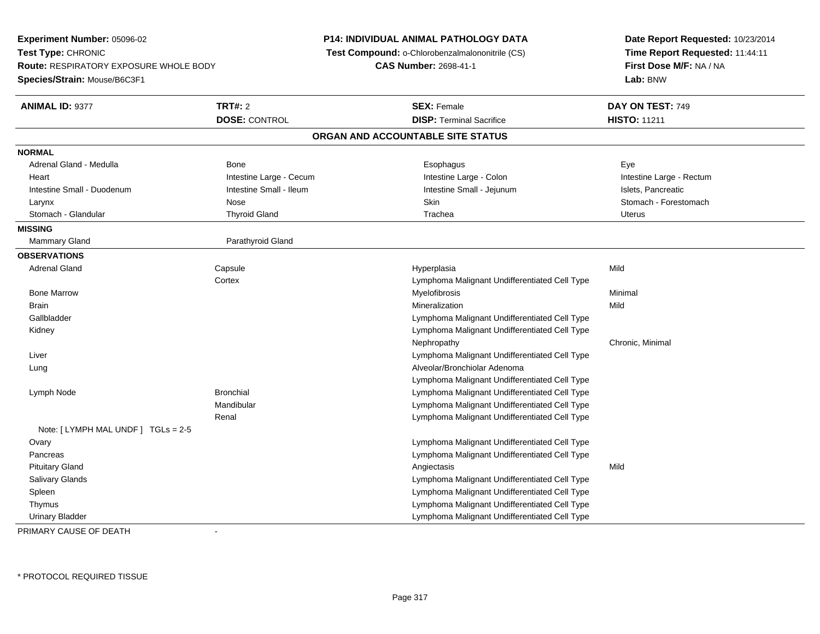**Experiment Number:** 05096-02**Test Type:** CHRONIC **Route:** RESPIRATORY EXPOSURE WHOLE BODY**Species/Strain:** Mouse/B6C3F1**P14: INDIVIDUAL ANIMAL PATHOLOGY DATA Test Compound:** o-Chlorobenzalmalononitrile (CS)**CAS Number:** 2698-41-1**Date Report Requested:** 10/23/2014**Time Report Requested:** 11:44:11**First Dose M/F:** NA / NA**Lab:** BNW**ANIMAL ID:** 9377**TRT#:** 2 **SEX:** Female **DAY ON TEST:** 749 **DOSE:** CONTROL**DISP:** Terminal Sacrifice **HISTO:** 11211 **ORGAN AND ACCOUNTABLE SITE STATUSNORMAL** Adrenal Gland - Medulla Bone Esophagus EyeHeart **Intestine Large - Cecum** Intestine Large - Cecum **Intestine Large - Colon** Intestine Large - Rectum Intestine Small - Duodenum **Intestine Small - Ileum** Intestine Small - Ileum Intestine Small - Jejunum Intestine Small - Islets, Pancreatic Stomach - Forestomach Larynx Nose Skin Stomach - Forestomach Stomach - Glandular Thyroid Gland Trachea Uterus**MISSING**Mammary Gland Parathyroid Gland **OBSERVATIONS** Adrenal Gland Capsule Hyperplasia Mild **Cortex**  Lymphoma Malignant Undifferentiated Cell Type Bone Marroww Myelofibrosis **Myelofibrosis** Monthly and Muslim Minimal Metal of Minimal Minimal Minimal Service of Minimal Service of Minimal Service of Minimal Service of Minimal Service of Minimal Service of Minimal Service of Minim Brainn and the control of the control of the control of the control of the control of the control of the control of the control of the control of the control of the control of the control of the control of the control of the co Gallbladder Lymphoma Malignant Undifferentiated Cell Type Lymphoma Malignant Undifferentiated Cell Type KidneyNephropathy Chronic, Minimal Liver Lymphoma Malignant Undifferentiated Cell Type Lung Alveolar/Bronchiolar Adenoma Lymphoma Malignant Undifferentiated Cell Typee and a subset of the Bronchial Cell Type and the Lymphoma Malignant Undifferentiated Cell Type Lymph NodeMandibular Lymphoma Malignant Undifferentiated Cell Type Lymphoma Malignant Undifferentiated Cell TypeRenalNote: [ LYMPH MAL UNDF ] TGLs = 2-5**Ovary**  Lymphoma Malignant Undifferentiated Cell Type Lymphoma Malignant Undifferentiated Cell Type Pancreas Pituitary Glandd and the control of the control of the control of the control of the control of the control of the control of the control of the control of the control of the control of the control of the control of the control of the co Salivary Glands Lymphoma Malignant Undifferentiated Cell Type Lymphoma Malignant Undifferentiated Cell Type Spleen Thymus Lymphoma Malignant Undifferentiated Cell Type Lymphoma Malignant Undifferentiated Cell TypeUrinary Bladder

PRIMARY CAUSE OF DEATH-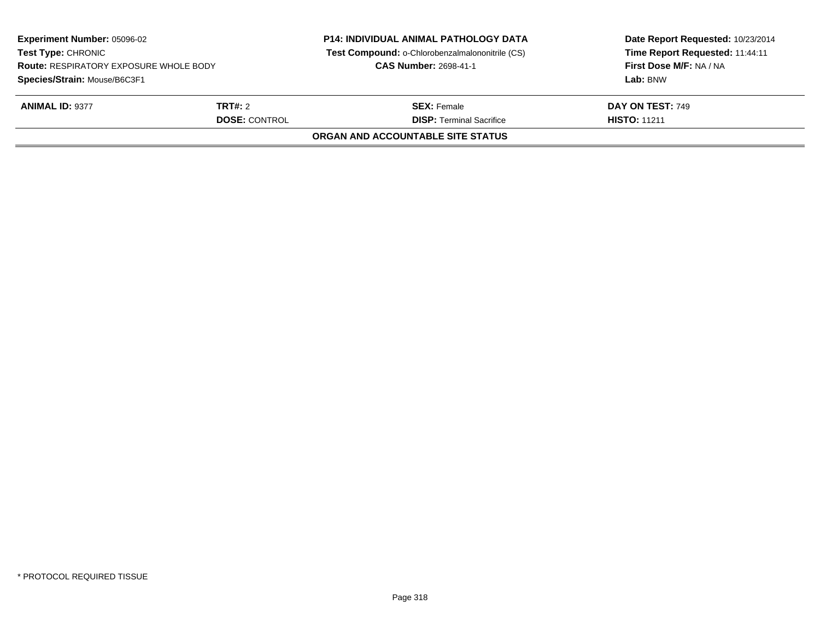| <b>Experiment Number: 05096-02</b><br><b>Test Type: CHRONIC</b><br><b>Route: RESPIRATORY EXPOSURE WHOLE BODY</b><br>Species/Strain: Mouse/B6C3F1 |  | <b>P14: INDIVIDUAL ANIMAL PATHOLOGY DATA</b><br>Test Compound: o-Chlorobenzalmalononitrile (CS)<br><b>CAS Number: 2698-41-1</b> | Date Report Requested: 10/23/2014<br>Time Report Requested: 11:44:11<br>First Dose M/F: NA / NA<br>Lab: BNW |  |
|--------------------------------------------------------------------------------------------------------------------------------------------------|--|---------------------------------------------------------------------------------------------------------------------------------|-------------------------------------------------------------------------------------------------------------|--|
| <b>ANIMAL ID: 9377</b><br><b>TRT#:</b> 2<br><b>DOSE: CONTROL</b>                                                                                 |  | <b>SEX: Female</b><br><b>DISP: Terminal Sacrifice</b>                                                                           | <b>DAY ON TEST: 749</b><br><b>HISTO: 11211</b>                                                              |  |
|                                                                                                                                                  |  | <b>ORGAN AND ACCOUNTABLE SITE STATUS</b>                                                                                        |                                                                                                             |  |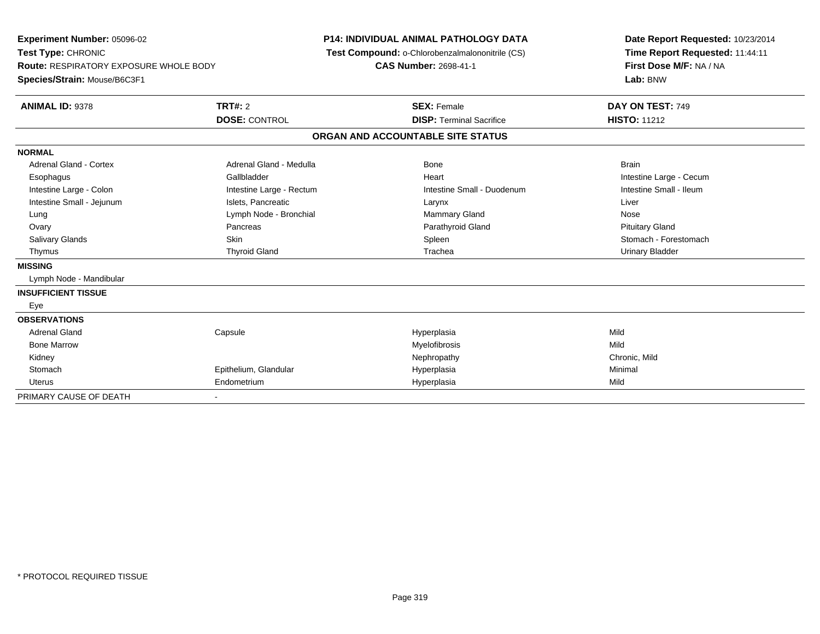| Experiment Number: 05096-02<br>Test Type: CHRONIC<br>Route: RESPIRATORY EXPOSURE WHOLE BODY<br>Species/Strain: Mouse/B6C3F1<br><b>ANIMAL ID: 9378</b>                                                          | <b>TRT#: 2</b><br><b>DOSE: CONTROL</b>                                                                                                                         | P14: INDIVIDUAL ANIMAL PATHOLOGY DATA<br>Test Compound: o-Chlorobenzalmalononitrile (CS)<br><b>CAS Number: 2698-41-1</b><br><b>SEX: Female</b><br><b>DISP: Terminal Sacrifice</b> |                                                                                                                  | Date Report Requested: 10/23/2014<br>Time Report Requested: 11:44:11<br>First Dose M/F: NA / NA<br>Lab: BNW<br>DAY ON TEST: 749<br><b>HISTO: 11212</b>           |
|----------------------------------------------------------------------------------------------------------------------------------------------------------------------------------------------------------------|----------------------------------------------------------------------------------------------------------------------------------------------------------------|-----------------------------------------------------------------------------------------------------------------------------------------------------------------------------------|------------------------------------------------------------------------------------------------------------------|------------------------------------------------------------------------------------------------------------------------------------------------------------------|
|                                                                                                                                                                                                                |                                                                                                                                                                |                                                                                                                                                                                   | ORGAN AND ACCOUNTABLE SITE STATUS                                                                                |                                                                                                                                                                  |
| <b>NORMAL</b><br>Adrenal Gland - Cortex<br>Esophagus<br>Intestine Large - Colon<br>Intestine Small - Jejunum<br>Lung<br>Ovary<br><b>Salivary Glands</b><br>Thymus<br><b>MISSING</b><br>Lymph Node - Mandibular | Adrenal Gland - Medulla<br>Gallbladder<br>Intestine Large - Rectum<br>Islets. Pancreatic<br>Lymph Node - Bronchial<br>Pancreas<br>Skin<br><b>Thyroid Gland</b> |                                                                                                                                                                                   | Bone<br>Heart<br>Intestine Small - Duodenum<br>Larynx<br>Mammary Gland<br>Parathyroid Gland<br>Spleen<br>Trachea | <b>Brain</b><br>Intestine Large - Cecum<br>Intestine Small - Ileum<br>Liver<br>Nose<br><b>Pituitary Gland</b><br>Stomach - Forestomach<br><b>Urinary Bladder</b> |
| <b>INSUFFICIENT TISSUE</b><br>Eye                                                                                                                                                                              |                                                                                                                                                                |                                                                                                                                                                                   |                                                                                                                  |                                                                                                                                                                  |
| <b>OBSERVATIONS</b><br><b>Adrenal Gland</b><br><b>Bone Marrow</b><br>Kidney<br>Stomach<br><b>Uterus</b>                                                                                                        | Capsule<br>Epithelium, Glandular<br>Endometrium                                                                                                                |                                                                                                                                                                                   | Hyperplasia<br>Myelofibrosis<br>Nephropathy<br>Hyperplasia<br>Hyperplasia                                        | Mild<br>Mild<br>Chronic, Mild<br>Minimal<br>Mild                                                                                                                 |
| PRIMARY CAUSE OF DEATH                                                                                                                                                                                         |                                                                                                                                                                |                                                                                                                                                                                   |                                                                                                                  |                                                                                                                                                                  |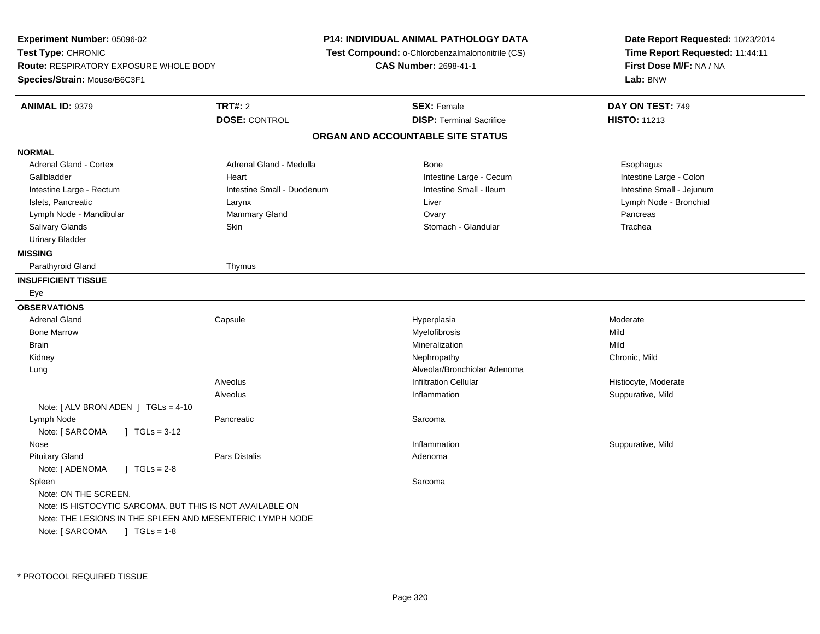| Experiment Number: 05096-02                               |                            | <b>P14: INDIVIDUAL ANIMAL PATHOLOGY DATA</b>    | Date Report Requested: 10/23/2014                                      |  |
|-----------------------------------------------------------|----------------------------|-------------------------------------------------|------------------------------------------------------------------------|--|
| Test Type: CHRONIC                                        |                            | Test Compound: o-Chlorobenzalmalononitrile (CS) | Time Report Requested: 11:44:11<br>First Dose M/F: NA / NA<br>Lab: BNW |  |
| <b>Route: RESPIRATORY EXPOSURE WHOLE BODY</b>             |                            | <b>CAS Number: 2698-41-1</b>                    |                                                                        |  |
| Species/Strain: Mouse/B6C3F1                              |                            |                                                 |                                                                        |  |
| <b>ANIMAL ID: 9379</b>                                    | <b>TRT#: 2</b>             | <b>SEX: Female</b>                              | DAY ON TEST: 749                                                       |  |
|                                                           | <b>DOSE: CONTROL</b>       | <b>DISP: Terminal Sacrifice</b>                 | <b>HISTO: 11213</b>                                                    |  |
|                                                           |                            | ORGAN AND ACCOUNTABLE SITE STATUS               |                                                                        |  |
| <b>NORMAL</b>                                             |                            |                                                 |                                                                        |  |
| Adrenal Gland - Cortex                                    | Adrenal Gland - Medulla    | <b>Bone</b>                                     | Esophagus                                                              |  |
| Gallbladder                                               | Heart                      | Intestine Large - Cecum                         | Intestine Large - Colon                                                |  |
| Intestine Large - Rectum                                  | Intestine Small - Duodenum | Intestine Small - Ileum                         | Intestine Small - Jejunum                                              |  |
| Islets, Pancreatic                                        | Larynx                     | Liver                                           | Lymph Node - Bronchial                                                 |  |
| Lymph Node - Mandibular                                   | Mammary Gland              | Ovary                                           | Pancreas                                                               |  |
| Salivary Glands                                           | Skin                       | Stomach - Glandular                             | Trachea                                                                |  |
| <b>Urinary Bladder</b>                                    |                            |                                                 |                                                                        |  |
| <b>MISSING</b>                                            |                            |                                                 |                                                                        |  |
| Parathyroid Gland                                         | Thymus                     |                                                 |                                                                        |  |
| <b>INSUFFICIENT TISSUE</b>                                |                            |                                                 |                                                                        |  |
| Eye                                                       |                            |                                                 |                                                                        |  |
| <b>OBSERVATIONS</b>                                       |                            |                                                 |                                                                        |  |
| <b>Adrenal Gland</b>                                      | Capsule                    | Hyperplasia                                     | Moderate                                                               |  |
| <b>Bone Marrow</b>                                        |                            | Myelofibrosis                                   | Mild                                                                   |  |
| <b>Brain</b>                                              |                            | Mineralization                                  | Mild                                                                   |  |
| Kidney                                                    |                            | Nephropathy                                     | Chronic, Mild                                                          |  |
| Lung                                                      |                            | Alveolar/Bronchiolar Adenoma                    |                                                                        |  |
|                                                           | Alveolus                   | <b>Infiltration Cellular</b>                    | Histiocyte, Moderate                                                   |  |
|                                                           | Alveolus                   | Inflammation                                    | Suppurative, Mild                                                      |  |
| Note: [ ALV BRON ADEN ] TGLs = 4-10                       |                            |                                                 |                                                                        |  |
| Lymph Node                                                | Pancreatic                 | Sarcoma                                         |                                                                        |  |
| Note: [ SARCOMA<br>$\sqrt{1}$ TGLs = 3-12                 |                            |                                                 |                                                                        |  |
| Nose                                                      |                            | Inflammation                                    | Suppurative, Mild                                                      |  |
| <b>Pituitary Gland</b>                                    | Pars Distalis              | Adenoma                                         |                                                                        |  |
| Note: [ ADENOMA<br>$1 TGLs = 2-8$                         |                            |                                                 |                                                                        |  |
| Spleen                                                    |                            | Sarcoma                                         |                                                                        |  |
| Note: ON THE SCREEN.                                      |                            |                                                 |                                                                        |  |
| Note: IS HISTOCYTIC SARCOMA, BUT THIS IS NOT AVAILABLE ON |                            |                                                 |                                                                        |  |
| Note: THE LESIONS IN THE SPLEEN AND MESENTERIC LYMPH NODE |                            |                                                 |                                                                        |  |
| Note: [ SARCOMA<br>$\sqrt{1 + 1}$ TGLs = 1-8              |                            |                                                 |                                                                        |  |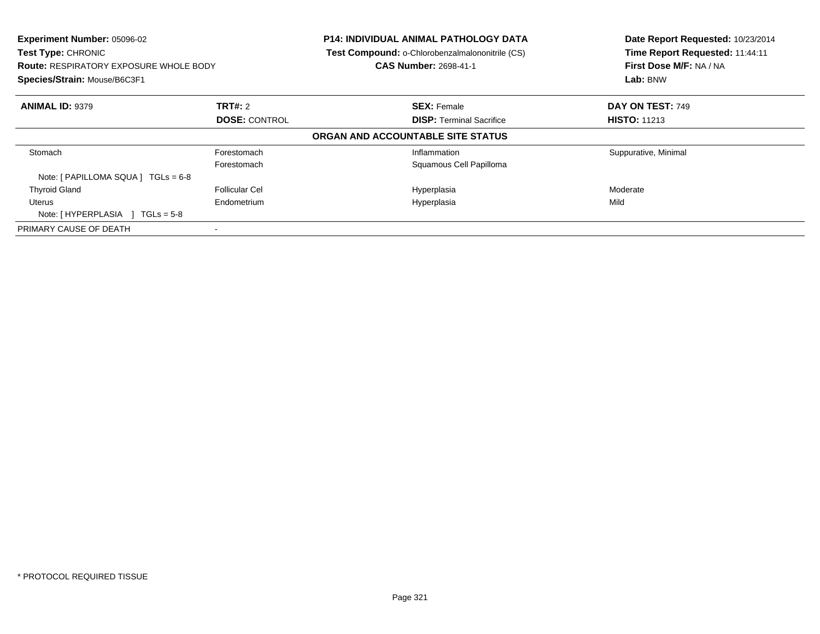| <b>Experiment Number: 05096-02</b><br><b>Test Type: CHRONIC</b><br><b>Route: RESPIRATORY EXPOSURE WHOLE BODY</b><br>Species/Strain: Mouse/B6C3F1 |                       | <b>P14: INDIVIDUAL ANIMAL PATHOLOGY DATA</b><br><b>Test Compound: o-Chlorobenzalmalononitrile (CS)</b><br><b>CAS Number: 2698-41-1</b> | Date Report Requested: 10/23/2014<br>Time Report Requested: 11:44:11<br>First Dose M/F: NA / NA<br>Lab: BNW |  |
|--------------------------------------------------------------------------------------------------------------------------------------------------|-----------------------|----------------------------------------------------------------------------------------------------------------------------------------|-------------------------------------------------------------------------------------------------------------|--|
| <b>ANIMAL ID: 9379</b>                                                                                                                           | <b>TRT#: 2</b>        | <b>SEX: Female</b>                                                                                                                     | DAY ON TEST: 749                                                                                            |  |
|                                                                                                                                                  | <b>DOSE: CONTROL</b>  | <b>DISP:</b> Terminal Sacrifice                                                                                                        | <b>HISTO: 11213</b>                                                                                         |  |
|                                                                                                                                                  |                       | ORGAN AND ACCOUNTABLE SITE STATUS                                                                                                      |                                                                                                             |  |
| Stomach                                                                                                                                          | Forestomach           | Inflammation                                                                                                                           | Suppurative, Minimal                                                                                        |  |
|                                                                                                                                                  | Forestomach           | Squamous Cell Papilloma                                                                                                                |                                                                                                             |  |
| Note: $[ PAPILLOMA SQUARE]  TGLS = 6-8$                                                                                                          |                       |                                                                                                                                        |                                                                                                             |  |
| <b>Thyroid Gland</b>                                                                                                                             | <b>Follicular Cel</b> | Hyperplasia                                                                                                                            | Moderate                                                                                                    |  |
| Uterus                                                                                                                                           | Endometrium           | Hyperplasia                                                                                                                            | Mild                                                                                                        |  |
| Note: [HYPERPLASIA ] TGLs = 5-8                                                                                                                  |                       |                                                                                                                                        |                                                                                                             |  |
| PRIMARY CAUSE OF DEATH                                                                                                                           |                       |                                                                                                                                        |                                                                                                             |  |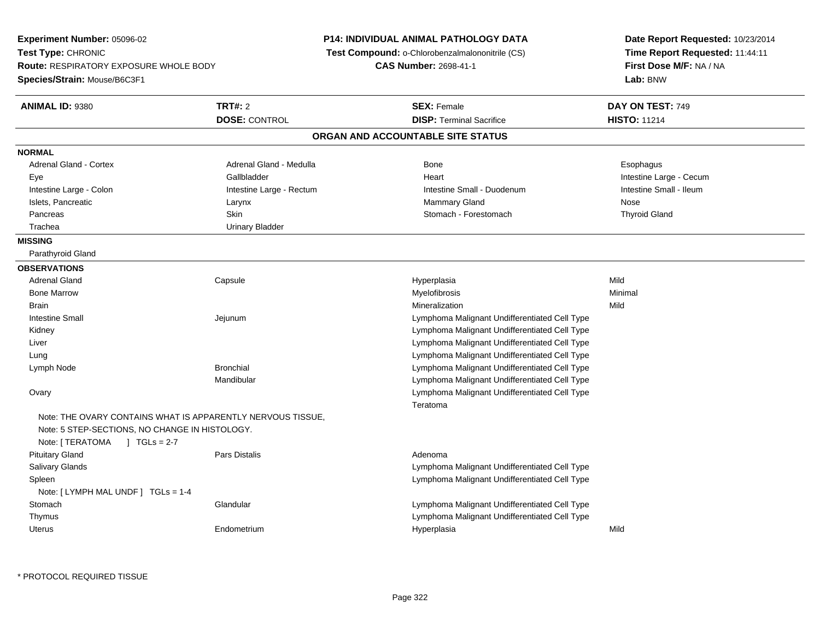| <b>Experiment Number: 05096-02</b>                                                          |                                                             | <b>P14: INDIVIDUAL ANIMAL PATHOLOGY DATA</b>    | Date Report Requested: 10/23/2014 |  |
|---------------------------------------------------------------------------------------------|-------------------------------------------------------------|-------------------------------------------------|-----------------------------------|--|
| Test Type: CHRONIC<br><b>Route: RESPIRATORY EXPOSURE WHOLE BODY</b>                         |                                                             | Test Compound: o-Chlorobenzalmalononitrile (CS) | Time Report Requested: 11:44:11   |  |
|                                                                                             |                                                             | <b>CAS Number: 2698-41-1</b>                    | First Dose M/F: NA / NA           |  |
| <b>Species/Strain: Mouse/B6C3F1</b>                                                         |                                                             |                                                 | Lab: BNW                          |  |
| <b>ANIMAL ID: 9380</b>                                                                      | <b>TRT#: 2</b>                                              | <b>SEX: Female</b>                              | DAY ON TEST: 749                  |  |
|                                                                                             | <b>DOSE: CONTROL</b>                                        | <b>DISP: Terminal Sacrifice</b>                 | <b>HISTO: 11214</b>               |  |
|                                                                                             |                                                             | ORGAN AND ACCOUNTABLE SITE STATUS               |                                   |  |
| <b>NORMAL</b>                                                                               |                                                             |                                                 |                                   |  |
| Adrenal Gland - Cortex                                                                      | Adrenal Gland - Medulla                                     | <b>Bone</b>                                     | Esophagus                         |  |
| Eye                                                                                         | Gallbladder                                                 | Heart                                           | Intestine Large - Cecum           |  |
| Intestine Large - Colon                                                                     | Intestine Large - Rectum                                    | Intestine Small - Duodenum                      | Intestine Small - Ileum           |  |
| Islets, Pancreatic                                                                          | Larynx                                                      | <b>Mammary Gland</b>                            | Nose                              |  |
| Pancreas                                                                                    | Skin                                                        | Stomach - Forestomach                           | <b>Thyroid Gland</b>              |  |
| Trachea                                                                                     | <b>Urinary Bladder</b>                                      |                                                 |                                   |  |
| <b>MISSING</b>                                                                              |                                                             |                                                 |                                   |  |
| Parathyroid Gland                                                                           |                                                             |                                                 |                                   |  |
| <b>OBSERVATIONS</b>                                                                         |                                                             |                                                 |                                   |  |
| <b>Adrenal Gland</b>                                                                        | Capsule                                                     | Hyperplasia                                     | Mild                              |  |
| <b>Bone Marrow</b>                                                                          |                                                             | <b>Myelofibrosis</b>                            | Minimal                           |  |
| Brain                                                                                       |                                                             | Mineralization                                  | Mild                              |  |
| <b>Intestine Small</b>                                                                      | Jejunum                                                     | Lymphoma Malignant Undifferentiated Cell Type   |                                   |  |
| Kidney                                                                                      |                                                             | Lymphoma Malignant Undifferentiated Cell Type   |                                   |  |
| Liver                                                                                       |                                                             | Lymphoma Malignant Undifferentiated Cell Type   |                                   |  |
| Lung                                                                                        |                                                             | Lymphoma Malignant Undifferentiated Cell Type   |                                   |  |
| Lymph Node                                                                                  | <b>Bronchial</b>                                            | Lymphoma Malignant Undifferentiated Cell Type   |                                   |  |
|                                                                                             | Mandibular                                                  | Lymphoma Malignant Undifferentiated Cell Type   |                                   |  |
| Ovary                                                                                       |                                                             | Lymphoma Malignant Undifferentiated Cell Type   |                                   |  |
| Note: 5 STEP-SECTIONS, NO CHANGE IN HISTOLOGY.<br>Note: [ TERATOMA<br>$\sqrt{1}$ TGLs = 2-7 | Note: THE OVARY CONTAINS WHAT IS APPARENTLY NERVOUS TISSUE, | Teratoma                                        |                                   |  |
| <b>Pituitary Gland</b>                                                                      | Pars Distalis                                               | Adenoma                                         |                                   |  |
| Salivary Glands                                                                             |                                                             | Lymphoma Malignant Undifferentiated Cell Type   |                                   |  |
| Spleen                                                                                      |                                                             | Lymphoma Malignant Undifferentiated Cell Type   |                                   |  |
| Note: [ LYMPH MAL UNDF ] TGLs = 1-4                                                         |                                                             |                                                 |                                   |  |
| Stomach                                                                                     | Glandular                                                   | Lymphoma Malignant Undifferentiated Cell Type   |                                   |  |
| Thymus                                                                                      |                                                             | Lymphoma Malignant Undifferentiated Cell Type   |                                   |  |
| Uterus                                                                                      | Endometrium                                                 | Hyperplasia                                     | Mild                              |  |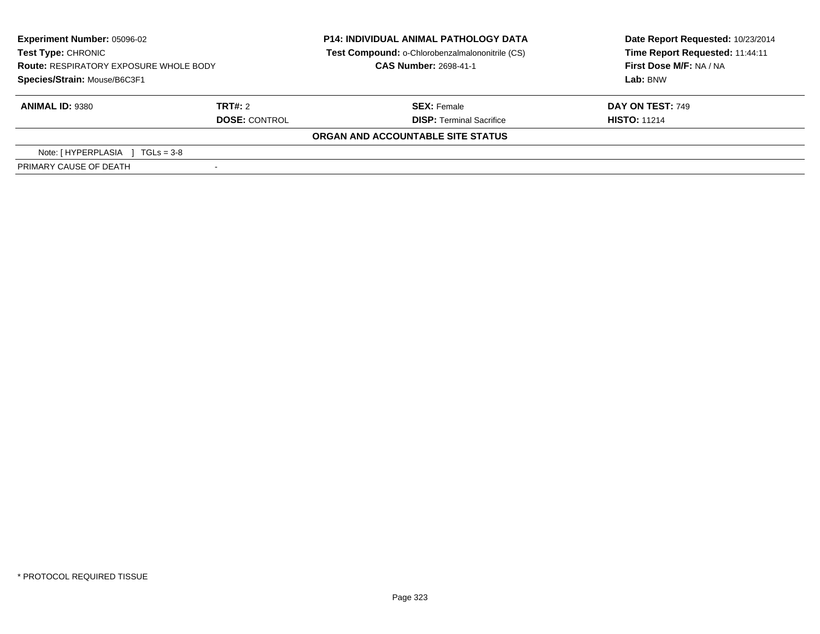| <b>Experiment Number: 05096-02</b><br><b>Test Type: CHRONIC</b><br><b>Route: RESPIRATORY EXPOSURE WHOLE BODY</b><br>Species/Strain: Mouse/B6C3F1 |                      | <b>P14: INDIVIDUAL ANIMAL PATHOLOGY DATA</b><br>Test Compound: o-Chlorobenzalmalononitrile (CS)<br><b>CAS Number: 2698-41-1</b> | Date Report Requested: 10/23/2014<br>Time Report Requested: 11:44:11<br>First Dose M/F: NA / NA |  |
|--------------------------------------------------------------------------------------------------------------------------------------------------|----------------------|---------------------------------------------------------------------------------------------------------------------------------|-------------------------------------------------------------------------------------------------|--|
|                                                                                                                                                  |                      |                                                                                                                                 | Lab: BNW                                                                                        |  |
| <b>ANIMAL ID: 9380</b>                                                                                                                           | TRT#: 2              | <b>SEX: Female</b>                                                                                                              | <b>DAY ON TEST: 749</b>                                                                         |  |
|                                                                                                                                                  | <b>DOSE: CONTROL</b> | <b>DISP: Terminal Sacrifice</b>                                                                                                 | <b>HISTO: 11214</b>                                                                             |  |
|                                                                                                                                                  |                      | ORGAN AND ACCOUNTABLE SITE STATUS                                                                                               |                                                                                                 |  |
| Note: [ HYPERPLASIA<br>$TGLs = 3-8$                                                                                                              |                      |                                                                                                                                 |                                                                                                 |  |
| PRIMARY CAUSE OF DEATH                                                                                                                           |                      |                                                                                                                                 |                                                                                                 |  |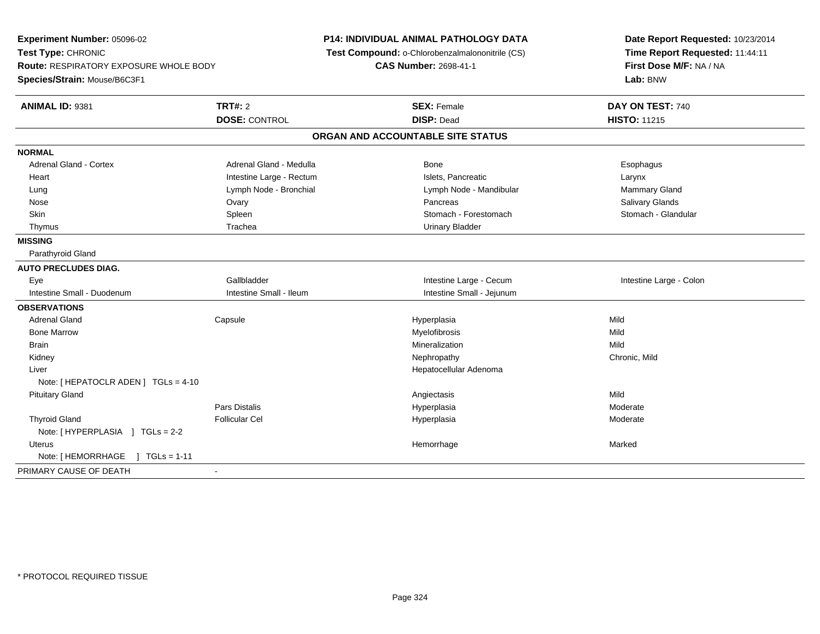| Experiment Number: 05096-02<br>Test Type: CHRONIC |                          | <b>P14: INDIVIDUAL ANIMAL PATHOLOGY DATA</b><br>Test Compound: o-Chlorobenzalmalononitrile (CS) |                                   | Date Report Requested: 10/23/2014<br>Time Report Requested: 11:44:11 |  |
|---------------------------------------------------|--------------------------|-------------------------------------------------------------------------------------------------|-----------------------------------|----------------------------------------------------------------------|--|
|                                                   |                          | <b>CAS Number: 2698-41-1</b>                                                                    |                                   | First Dose M/F: NA / NA                                              |  |
| <b>Route: RESPIRATORY EXPOSURE WHOLE BODY</b>     |                          |                                                                                                 |                                   | Lab: BNW                                                             |  |
| Species/Strain: Mouse/B6C3F1                      |                          |                                                                                                 |                                   |                                                                      |  |
| ANIMAL ID: 9381                                   | <b>TRT#: 2</b>           |                                                                                                 | <b>SEX: Female</b>                | DAY ON TEST: 740                                                     |  |
|                                                   | <b>DOSE: CONTROL</b>     |                                                                                                 | <b>DISP: Dead</b>                 | <b>HISTO: 11215</b>                                                  |  |
|                                                   |                          |                                                                                                 | ORGAN AND ACCOUNTABLE SITE STATUS |                                                                      |  |
| <b>NORMAL</b>                                     |                          |                                                                                                 |                                   |                                                                      |  |
| <b>Adrenal Gland - Cortex</b>                     | Adrenal Gland - Medulla  |                                                                                                 | Bone                              | Esophagus                                                            |  |
| Heart                                             | Intestine Large - Rectum |                                                                                                 | Islets, Pancreatic                | Larynx                                                               |  |
| Lung                                              | Lymph Node - Bronchial   |                                                                                                 | Lymph Node - Mandibular           | Mammary Gland                                                        |  |
| Nose                                              | Ovary                    |                                                                                                 | Pancreas                          | <b>Salivary Glands</b>                                               |  |
| Skin                                              | Spleen                   |                                                                                                 | Stomach - Forestomach             | Stomach - Glandular                                                  |  |
| Thymus                                            | Trachea                  |                                                                                                 | <b>Urinary Bladder</b>            |                                                                      |  |
| <b>MISSING</b>                                    |                          |                                                                                                 |                                   |                                                                      |  |
| Parathyroid Gland                                 |                          |                                                                                                 |                                   |                                                                      |  |
| <b>AUTO PRECLUDES DIAG.</b>                       |                          |                                                                                                 |                                   |                                                                      |  |
| Eye                                               | Gallbladder              |                                                                                                 | Intestine Large - Cecum           | Intestine Large - Colon                                              |  |
| Intestine Small - Duodenum                        | Intestine Small - Ileum  |                                                                                                 | Intestine Small - Jejunum         |                                                                      |  |
| <b>OBSERVATIONS</b>                               |                          |                                                                                                 |                                   |                                                                      |  |
| <b>Adrenal Gland</b>                              | Capsule                  |                                                                                                 | Hyperplasia                       | Mild                                                                 |  |
| <b>Bone Marrow</b>                                |                          |                                                                                                 | Myelofibrosis                     | Mild                                                                 |  |
| <b>Brain</b>                                      |                          |                                                                                                 | Mineralization                    | Mild                                                                 |  |
| Kidney                                            |                          |                                                                                                 | Nephropathy                       | Chronic, Mild                                                        |  |
| Liver                                             |                          |                                                                                                 | Hepatocellular Adenoma            |                                                                      |  |
| Note: [ HEPATOCLR ADEN ] TGLs = 4-10              |                          |                                                                                                 |                                   |                                                                      |  |
| <b>Pituitary Gland</b>                            |                          |                                                                                                 | Angiectasis                       | Mild                                                                 |  |
|                                                   | Pars Distalis            |                                                                                                 | Hyperplasia                       | Moderate                                                             |  |
| <b>Thyroid Gland</b>                              | <b>Follicular Cel</b>    |                                                                                                 | Hyperplasia                       | Moderate                                                             |  |
| Note: [HYPERPLASIA ] TGLs = 2-2                   |                          |                                                                                                 |                                   |                                                                      |  |
| Uterus                                            |                          |                                                                                                 | Hemorrhage                        | Marked                                                               |  |
| Note: [HEMORRHAGE ] TGLs = 1-11                   |                          |                                                                                                 |                                   |                                                                      |  |
| PRIMARY CAUSE OF DEATH                            | $\blacksquare$           |                                                                                                 |                                   |                                                                      |  |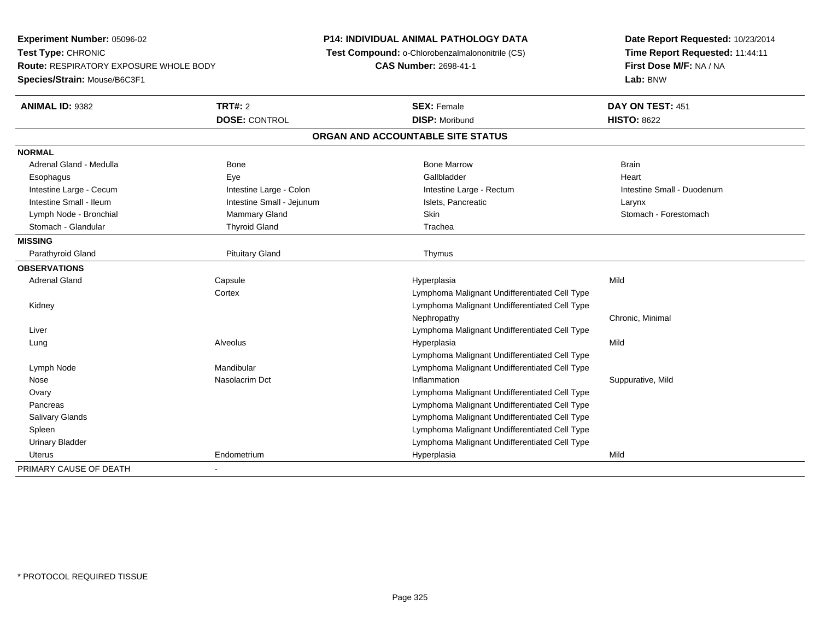**Experiment Number:** 05096-02**Test Type:** CHRONIC **Route:** RESPIRATORY EXPOSURE WHOLE BODY**Species/Strain:** Mouse/B6C3F1**P14: INDIVIDUAL ANIMAL PATHOLOGY DATA Test Compound:** o-Chlorobenzalmalononitrile (CS)**CAS Number:** 2698-41-1**Date Report Requested:** 10/23/2014**Time Report Requested:** 11:44:11**First Dose M/F:** NA / NA**Lab:** BNW**ANIMAL ID:** 9382 **TRT#:** <sup>2</sup> **SEX:** Female **DAY ON TEST:** <sup>451</sup> **DOSE:** CONTROL **DISP:** Moribund **HISTO:** <sup>8622</sup> **ORGAN AND ACCOUNTABLE SITE STATUSNORMAL**Adrenal Gland - Medulla Bone Bone Bone Marrow Bone Marrow Brain Brain Brain Brain Heart Esophagus Eye Gallbladder HeartIntestine Large - Cecum and Intestine Large - Colon Intestine Large - Colon Intestine Large - Rectum Intestine Large - Rectum Intestine Small - Duodenum Intestine Small - Ileum Larynx Intestine Small - Jejunum Intestine Small - Jejunum Islets, Pancreatic Larynx Stomach - Forestomach Lymph Node - Bronchial Mammary Gland - Forest Skin State - Skin Skin State - Forest Skin State - Forest Skin S Stomach - Glandular Thyroid Gland The Trachean Trachean Trachean Trachean Trachean Trachean Trachean Trachean **MISSING**Parathyroid Gland **Picklet Communist Communist Communist P**ituitary Gland The Pituitary Gland Thymus **OBSERVATIONS** Adrenal Gland Capsule Hyperplasia Mild **Cortex**  Lymphoma Malignant Undifferentiated Cell Type Lymphoma Malignant Undifferentiated Cell Type KidneyNephropathy Chronic, Minimal Liver Lymphoma Malignant Undifferentiated Cell Type Lung Alveolus Hyperplasia Mild Lymphoma Malignant Undifferentiated Cell Typee and the Mandibular metal of the Lymphoma Malignant Undifferentiated Cell Type Lymph Node Nose Nasolacrim Dct Inflammation Suppurative, Mild **Ovary**  Lymphoma Malignant Undifferentiated Cell Type Lymphoma Malignant Undifferentiated Cell Type**Pancreas**  Lymphoma Malignant Undifferentiated Cell Type Salivary Glands Lymphoma Malignant Undifferentiated Cell Type Spleen Urinary Bladder Lymphoma Malignant Undifferentiated Cell Type Uterus Endometrium Hyperplasia Mild PRIMARY CAUSE OF DEATH-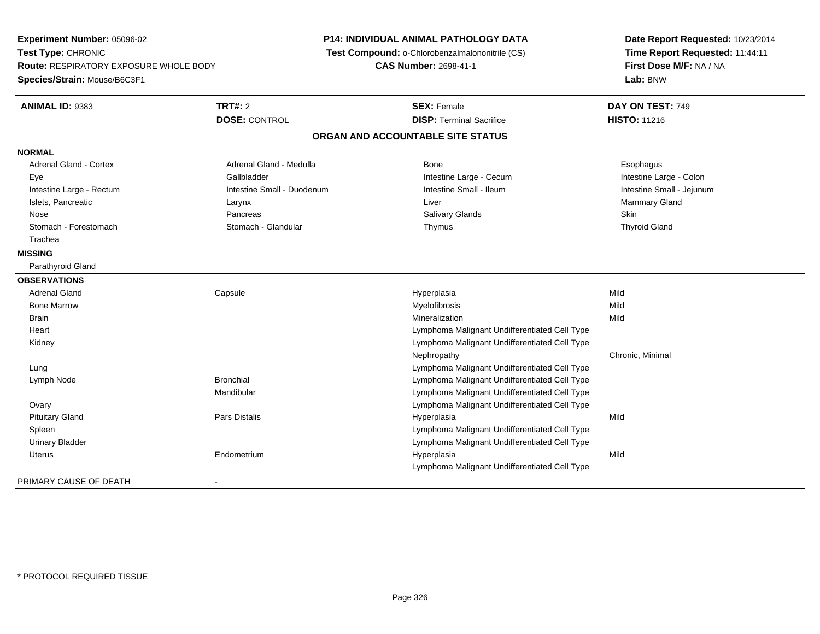**Experiment Number:** 05096-02**Test Type:** CHRONIC **Route:** RESPIRATORY EXPOSURE WHOLE BODY**Species/Strain:** Mouse/B6C3F1**P14: INDIVIDUAL ANIMAL PATHOLOGY DATA Test Compound:** o-Chlorobenzalmalononitrile (CS)**CAS Number:** 2698-41-1**Date Report Requested:** 10/23/2014**Time Report Requested:** 11:44:11**First Dose M/F:** NA / NA**Lab:** BNW**ANIMAL ID:** 9383**TRT#:** 2 **SEX:** Female **DAY ON TEST:** 749 **DOSE:** CONTROL**DISP:** Terminal Sacrifice **HISTO:** 11216 **ORGAN AND ACCOUNTABLE SITE STATUSNORMALAdrenal Gland - Cortex** Adrenal Gland - Medulla **Bone** Bone **Bone** Esophagus Esophagus Intestine Large - Colon Eye Gallbladder Gallbladder Controller Controller Cecum Intestine Large - Cecum Intestine Small - Jejunum Intestine Large - Rectum **Intestine Small - Duodenum** Intestine Small - Ileum Intestine Small - Ileum Islets, Pancreatic Larynx Liver Mammary Gland Nose Pancreas Salivary Glands Skin**Thyroid Gland** Stomach - Forestomach **Stomach - Stomach - Glandular** Thymus Thymus Thymus Thymus Thymus Thymus Thymus Thymus The Glandular Thymus Thymus Thymus Thymus Thymus Thymus The Glandular The Glandular Thymus Thymus Thymus Thymus **Trachea MISSING** Parathyroid Gland**OBSERVATIONS** Adrenal Gland Capsule Hyperplasia Mild Bone Marroww which is a matter of the Myelofibrosis and the Myelofibrosis and the Mild of the Mild of the Mild of the Mild of the Mild of the Mild of the Mild of the Mild of the Mild of the Mild of the Mild of the Mild of the Mild of **Brain** n and the control of the control of the control of the control of the control of the control of the control of the control of the control of the control of the control of the control of the control of the control of the co **Heart**  Lymphoma Malignant Undifferentiated Cell Type Lymphoma Malignant Undifferentiated Cell Type KidneyNephropathy Chronic, Minimal LungLymphoma Malignant Undifferentiated Cell Type<br>Lymphoma Malignant Undifferentiated Cell Type Lymph NodeLymphoma Malignant Undifferentiated Cell Type Mandibular Lymphoma Malignant Undifferentiated Cell Type Lymphoma Malignant Undifferentiated Cell Type**Ovary**  Pituitary Gland Pars Distalis Hyperplasia Mild Spleen Lymphoma Malignant Undifferentiated Cell Type Urinary Bladder Lymphoma Malignant Undifferentiated Cell Type Uterus Endometrium Hyperplasia Mild Lymphoma Malignant Undifferentiated Cell TypePRIMARY CAUSE OF DEATH-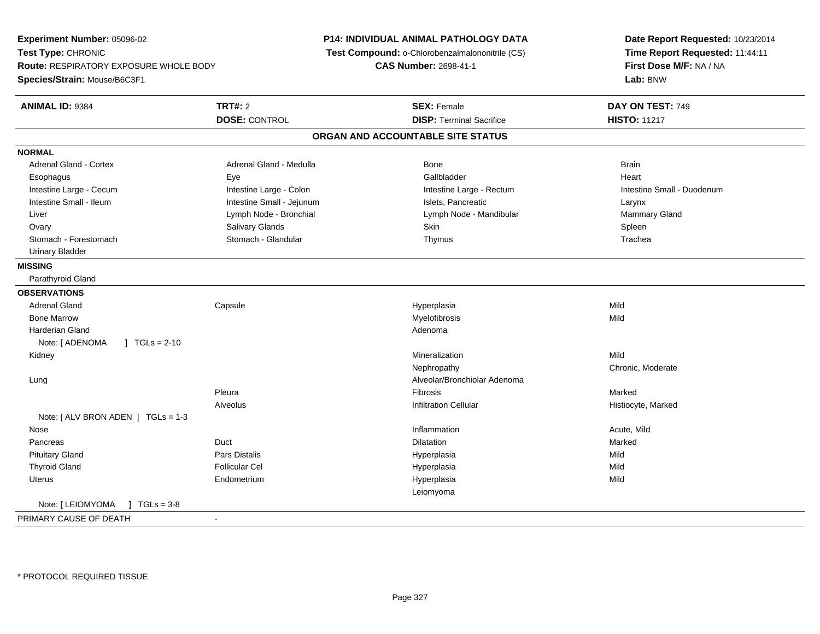**Experiment Number:** 05096-02**Test Type:** CHRONIC **Route:** RESPIRATORY EXPOSURE WHOLE BODY**Species/Strain:** Mouse/B6C3F1**P14: INDIVIDUAL ANIMAL PATHOLOGY DATA Test Compound:** o-Chlorobenzalmalononitrile (CS)**CAS Number:** 2698-41-1**Date Report Requested:** 10/23/2014**Time Report Requested:** 11:44:11**First Dose M/F:** NA / NA**Lab:** BNW**ANIMAL ID:** 9384**TRT#:** 2 **SEX:** Female **DAY ON TEST:** 749 **DOSE:** CONTROL**DISP:** Terminal Sacrifice **HISTO:** 11217 **ORGAN AND ACCOUNTABLE SITE STATUSNORMALAdrenal Gland - Cortex** Adrenal Gland - Medulla **Bone** Bone Brain Brain Brain Brain Brain Brain Brain Brain Brain Brain Brain Brain Brain Heart Esophagus Eye Gallbladder HeartIntestine Large - Cecum **Intestine Large - Colon** Intestine Large - Colon Intestine Large - Rectum Intestine Large - Rectum Intestine Small - Duodenum Intestine Small - Ileum Larynx Intestine Small - Jejunum Intestine Small - Jejunum Islets, Pancreatic Larynx Mammary Gland Liver Liver Lymph Node - Bronchial Lymph Note - Mandibular Mammary Glands Lymph Node - Mandibular Mammary Glands Lymph Note - Mandibular Mammary Glands Lymph Note - Mammary Glands Lymph Note - Mammary Glands Lymph Note - M Ovary Salivary Glands Skin SpleenTrachea Stomach - Forestomach Stomach - Glandular Thymus Trachea Urinary Bladder**MISSING** Parathyroid Gland**OBSERVATIONS** Adrenal Gland Capsule Hyperplasia Mild Bone Marroww which is a matter of the Myelofibrosis and the Myelofibrosis and the Mild of the Mild of the Mild of the Mild of the Mild of the Mild of the Mild of the Mild of the Mild of the Mild of the Mild of the Mild of the Mild of Harderian Glandd and a state of the control of the control of the control of the control of the control of the control of the control of the control of the control of the control of the control of the control of the control of the contro Note: [ ADENOMA ] TGLs = 2-10 Kidneyy with the control of the control of the control of the control of the control of the control of the control of the control of the control of the control of the control of the control of the control of the control of the c n Mild Nephropathy Chronic, Moderate Lung Alveolar/Bronchiolar Adenoma Pleura Fibrosis Marked AlveolusInfiltration Cellular **Historyte**, Marked Note: [ ALV BRON ADEN ] TGLs = 1-3 Nosee the contraction of the contraction of the contraction of the contraction of the contraction of the contraction  $\mathsf{Acute},\mathsf{Mild}$  Pancreas Duct Dilatationn Marked **Marked**  Pituitary Gland Pars Distalis Hyperplasia Mild Thyroid Gland Follicular Cel Hyperplasia Mild Uterus Endometrium Hyperplasia Mild LeiomyomaNote: [ LEIOMYOMA ] TGLs = 3-8 PRIMARY CAUSE OF DEATH-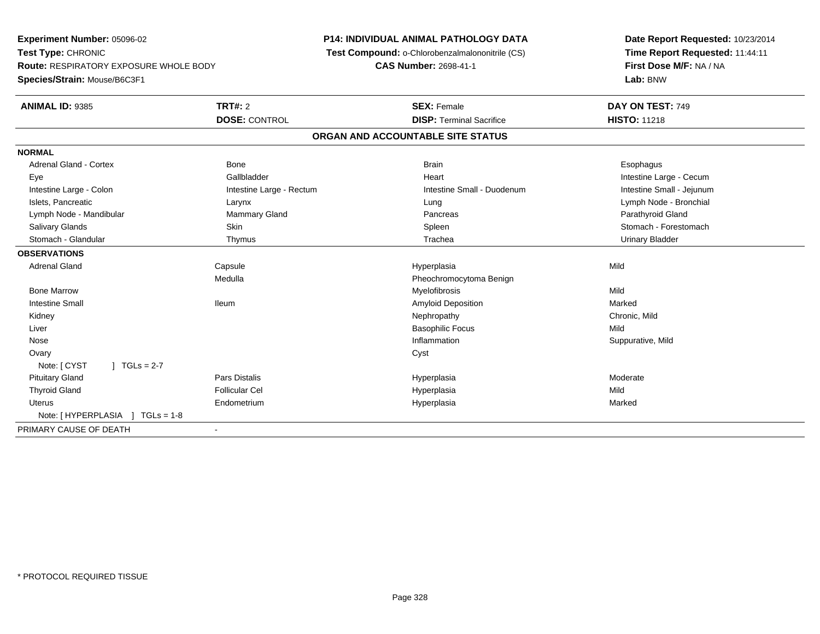**Experiment Number:** 05096-02**Test Type:** CHRONIC **Route:** RESPIRATORY EXPOSURE WHOLE BODY**Species/Strain:** Mouse/B6C3F1**P14: INDIVIDUAL ANIMAL PATHOLOGY DATA Test Compound:** o-Chlorobenzalmalononitrile (CS)**CAS Number:** 2698-41-1**Date Report Requested:** 10/23/2014**Time Report Requested:** 11:44:11**First Dose M/F:** NA / NA**Lab:** BNW**ANIMAL ID:** 9385**TRT#:** 2 **SEX:** Female **DAY ON TEST:** 749 **DOSE:** CONTROL**DISP:** Terminal Sacrifice **HISTO:** 11218 **ORGAN AND ACCOUNTABLE SITE STATUSNORMAL**Adrenal Gland - Cortex **Bone** Bone Bone Bone Brain Brain Brain Brain Brain Brain Brain Brain Brain Brain Brain Brain Brain Brain Brain Brain Brain Brain Brain Brain Brain Brain Brain Brain Brain Brain Brain Brain Brain Bra Eye Gallbladder Heart Intestine Large - CecumIntestine Small - Jejunum Intestine Large - Colon **Intestine Large - Rectum** Intestine Small - Duodenum Intestine Small - Duodenum Islets, Pancreatic Larynx Lung Lymph Node - BronchialLymph Node - Mandibular **Mammary Gland** Mammary Gland Pancreas Pancreas Parathyroid Gland Salivary Glands Salivary School School School School Spleen School Spleen Stomach - Forestomach - Stomach - Forestomach Stomach - Glandular Thymus Trachea Urinary Bladder**OBSERVATIONS** Adrenal Gland Capsule Hyperplasia Mild Medulla Pheochromocytoma Benign Bone Marroww which is a matter of the Myelofibrosis and the Myelofibrosis and the Mild of the Mild of the Mild of the Mild of the Mild of the Mild of the Mild of the Mild of the Mild of the Mild of the Mild of the Mild of the Mild of Intestine Small IleumAmyloid Deposition and the matter of the Marked Marked Nephropathy and Marked Marked Marked Marked Marked Marked Marked Marked Marked Marked Marked Marked Marked Marked Marked Marked Marked Marked Marked Marked Marked Mark Kidneyy the controller of the controller of the controller of the controller of the controller of the chronic, Mild Liver Basophilic Focuss Mild Suppurative, Mild Nosee substitution of the substitution of the substitution of the substitution of the substitution of the Suppurative, Mild Ovaryy cystem in the control of the control of the control of the control of the control of the control of the control of the control of the control of the control of the control of the control of the control of the control of Note: [ CYST ] TGLs = 2-7 Pituitary Gland Pars Distalis Hyperplasia Moderate Thyroid Gland Follicular Cel Hyperplasia Mild Uterus Endometrium Hyperplasia Marked Note: [ HYPERPLASIA ] TGLs = 1-8PRIMARY CAUSE OF DEATH-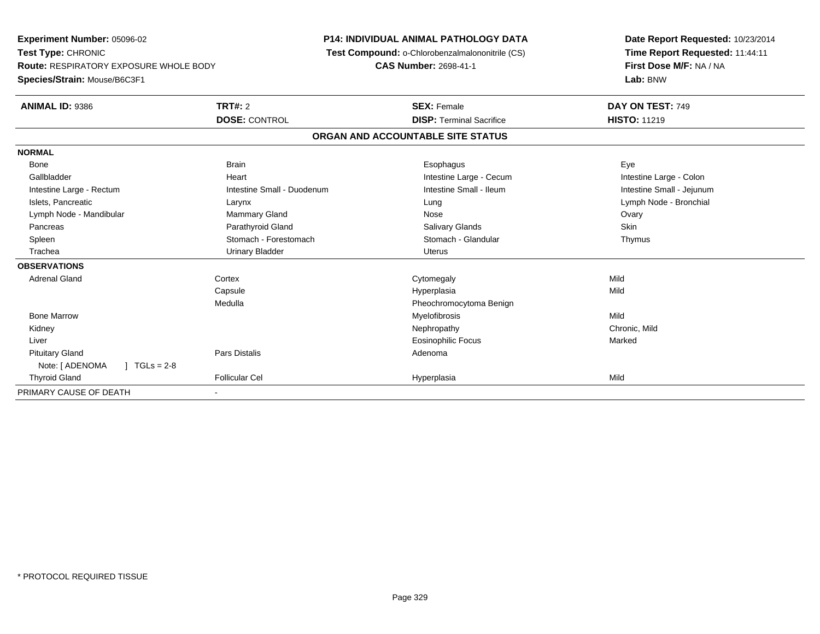**Experiment Number:** 05096-02**Test Type:** CHRONIC **Route:** RESPIRATORY EXPOSURE WHOLE BODY**Species/Strain:** Mouse/B6C3F1**P14: INDIVIDUAL ANIMAL PATHOLOGY DATA Test Compound:** o-Chlorobenzalmalononitrile (CS)**CAS Number:** 2698-41-1**Date Report Requested:** 10/23/2014**Time Report Requested:** 11:44:11**First Dose M/F:** NA / NA**Lab:** BNW**ANIMAL ID:** 9386**6 DAY ON TEST:** 749 **DOSE:** CONTROL**DISP:** Terminal Sacrifice **HISTO:** 11219 **ORGAN AND ACCOUNTABLE SITE STATUSNORMAL**Bone Bone Brain Brain Brain Brain Communications and the Brain Brain Brain Brain Brain Brain Brain Brain Brain Brai Intestine Large - Colon Gallbladder **East Community Community** Community Heart Heart Intestine Large - Cecum Intestine Large - Cecum Intestine Large - Rectum Intestine Small - Duodenum Intestine Small - Ileum Intestine Small - Jejunum Islets, Pancreatic Larynx Lung Lymph Node - BronchialLymph Node - Mandibular **Mammary Gland** Mammary Gland Nose Nose Nose Nose Ovary Skin Pancreas Parathyroid Gland Salivary Glands SkinThymus Spleen Stomach - Forestomach Stomach - Stomach Stomach Stomach Stomach Stomach Stomach Stomach Stomach Stomach Stomach Stomach Stomach Stomach Stomach Stomach Stomach Stomach Stomach Stomach Stomach Stomach Stomach Stomach Trachea Urinary Bladder Uterus**OBSERVATIONS** Adrenal Glandd cortex Cortex Cortex Cytomegaly Constants and Constants of Constants of Cortex Constants of Cortex Constants of Constants of Constants of Constants of Constants of Constants of Constants of Constants of Constants of Cons Capsule Hyperplasia Mild MedullaPheochromocytoma Benign<br>Myelofibrosis Bone Marroww which is a matter of the Myelofibrosis and the Myelofibrosis and the Mild of the Mild of the Mild of the Mild of the Mild of the Mild of the Mild of the Mild of the Mild of the Mild of the Mild of the Mild of the Mild of Kidneyy the controller of the controller of the controller of the controller of the controller of the chronic, Mild Liver Eosinophilic Focuss Marked Pituitary Glandd and the contract of Pars Distalis and the contract of Adenoma and Adenoma and the Adenoma and the Adenoma and  $\lambda$ Note: [ ADENOMA ] TGLs = 2-8 Thyroid Gland Follicular Cel Hyperplasia Mild PRIMARY CAUSE OF DEATH-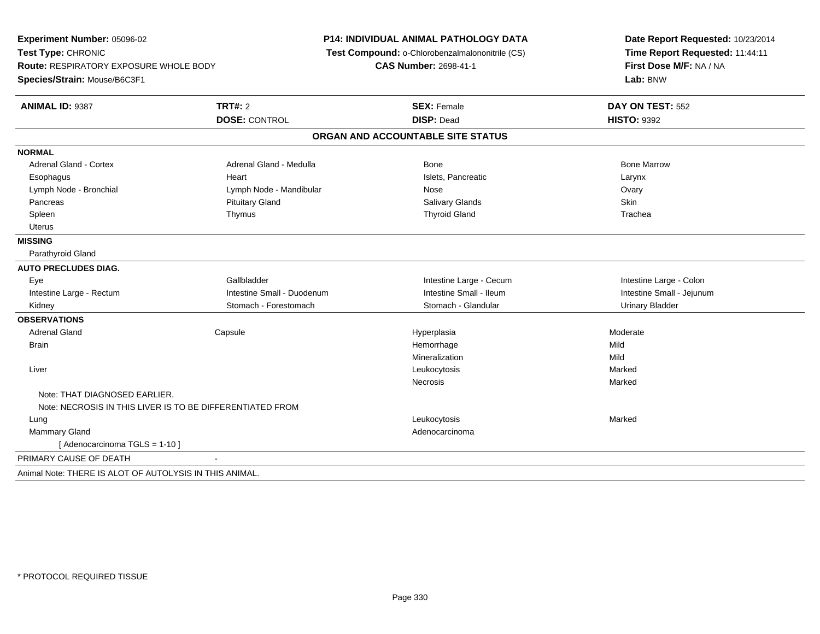| Experiment Number: 05096-02<br>Test Type: CHRONIC<br><b>Route: RESPIRATORY EXPOSURE WHOLE BODY</b><br>Species/Strain: Mouse/B6C3F1 |                            | <b>P14: INDIVIDUAL ANIMAL PATHOLOGY DATA</b><br>Test Compound: o-Chlorobenzalmalononitrile (CS)<br><b>CAS Number: 2698-41-1</b> | Date Report Requested: 10/23/2014<br>Time Report Requested: 11:44:11<br>First Dose M/F: NA / NA<br>Lab: BNW |  |
|------------------------------------------------------------------------------------------------------------------------------------|----------------------------|---------------------------------------------------------------------------------------------------------------------------------|-------------------------------------------------------------------------------------------------------------|--|
| ANIMAL ID: 9387                                                                                                                    | <b>TRT#: 2</b>             | <b>SEX: Female</b>                                                                                                              | DAY ON TEST: 552                                                                                            |  |
|                                                                                                                                    | <b>DOSE: CONTROL</b>       | <b>DISP: Dead</b>                                                                                                               | <b>HISTO: 9392</b>                                                                                          |  |
|                                                                                                                                    |                            | ORGAN AND ACCOUNTABLE SITE STATUS                                                                                               |                                                                                                             |  |
| <b>NORMAL</b>                                                                                                                      |                            |                                                                                                                                 |                                                                                                             |  |
| <b>Adrenal Gland - Cortex</b>                                                                                                      | Adrenal Gland - Medulla    | Bone                                                                                                                            | <b>Bone Marrow</b>                                                                                          |  |
| Esophagus                                                                                                                          | Heart                      | Islets, Pancreatic                                                                                                              | Larynx                                                                                                      |  |
| Lymph Node - Bronchial                                                                                                             | Lymph Node - Mandibular    | Nose                                                                                                                            | Ovary                                                                                                       |  |
| Pancreas                                                                                                                           | <b>Pituitary Gland</b>     | Salivary Glands                                                                                                                 | Skin                                                                                                        |  |
| Spleen                                                                                                                             | Thymus                     | <b>Thyroid Gland</b>                                                                                                            | Trachea                                                                                                     |  |
| <b>Uterus</b>                                                                                                                      |                            |                                                                                                                                 |                                                                                                             |  |
| <b>MISSING</b>                                                                                                                     |                            |                                                                                                                                 |                                                                                                             |  |
| Parathyroid Gland                                                                                                                  |                            |                                                                                                                                 |                                                                                                             |  |
| <b>AUTO PRECLUDES DIAG.</b>                                                                                                        |                            |                                                                                                                                 |                                                                                                             |  |
| Eye                                                                                                                                | Gallbladder                | Intestine Large - Cecum                                                                                                         | Intestine Large - Colon                                                                                     |  |
| Intestine Large - Rectum                                                                                                           | Intestine Small - Duodenum | Intestine Small - Ileum                                                                                                         | Intestine Small - Jejunum                                                                                   |  |
| Kidney                                                                                                                             | Stomach - Forestomach      | Stomach - Glandular                                                                                                             | <b>Urinary Bladder</b>                                                                                      |  |
| <b>OBSERVATIONS</b>                                                                                                                |                            |                                                                                                                                 |                                                                                                             |  |
| <b>Adrenal Gland</b>                                                                                                               | Capsule                    | Hyperplasia                                                                                                                     | Moderate                                                                                                    |  |
| <b>Brain</b>                                                                                                                       |                            | Hemorrhage                                                                                                                      | Mild                                                                                                        |  |
|                                                                                                                                    |                            | Mineralization                                                                                                                  | Mild                                                                                                        |  |
| Liver                                                                                                                              |                            | Leukocytosis                                                                                                                    | Marked                                                                                                      |  |
|                                                                                                                                    |                            | <b>Necrosis</b>                                                                                                                 | Marked                                                                                                      |  |
| Note: THAT DIAGNOSED EARLIER.<br>Note: NECROSIS IN THIS LIVER IS TO BE DIFFERENTIATED FROM                                         |                            |                                                                                                                                 |                                                                                                             |  |
| Lung                                                                                                                               |                            | Leukocytosis                                                                                                                    | Marked                                                                                                      |  |
| Mammary Gland                                                                                                                      |                            | Adenocarcinoma                                                                                                                  |                                                                                                             |  |
| [ Adenocarcinoma TGLS = 1-10 ]                                                                                                     |                            |                                                                                                                                 |                                                                                                             |  |
| PRIMARY CAUSE OF DEATH                                                                                                             |                            |                                                                                                                                 |                                                                                                             |  |
| Animal Note: THERE IS ALOT OF AUTOLYSIS IN THIS ANIMAL.                                                                            |                            |                                                                                                                                 |                                                                                                             |  |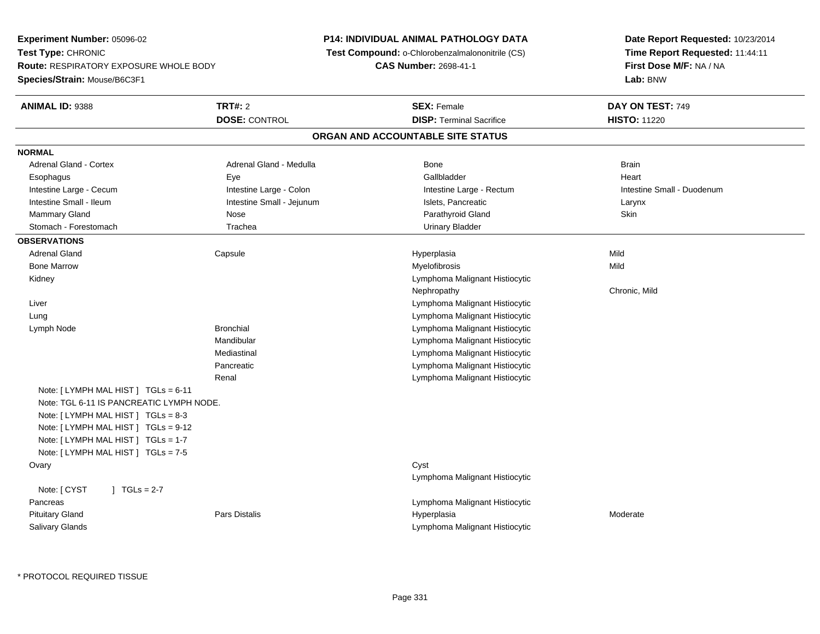**Experiment Number:** 05096-02**Test Type:** CHRONIC **Route:** RESPIRATORY EXPOSURE WHOLE BODY**Species/Strain:** Mouse/B6C3F1**P14: INDIVIDUAL ANIMAL PATHOLOGY DATA Test Compound:** o-Chlorobenzalmalononitrile (CS)**CAS Number:** 2698-41-1**Date Report Requested:** 10/23/2014**Time Report Requested:** 11:44:11**First Dose M/F:** NA / NA**Lab:** BNW**ANIMAL ID:** 9388**TRT#:** 2 **SEX:** Female **DAY ON TEST:** 749 **DOSE:** CONTROL**DISP:** Terminal Sacrifice **HISTO:** 11220 **ORGAN AND ACCOUNTABLE SITE STATUSNORMALAdrenal Gland - Cortex** Adrenal Gland - Medulla **Bone** Bone Brain Bone Brain Brain Brain Heart Esophagus Eye Gallbladder HeartIntestine Large - Cecum **Intestine Large - Colon** Intestine Large - Colon Intestine Large - Rectum Intestine Large - Rectum Intestine Small - Duodenum Intestine Small - Ileum Larynx **Intestine Small - Jejunum Intestine Small** - Jejunum Islets, Pancreatic Larynx Mammary Gland Nose Parathyroid Gland Skin Stomach - Forestomach Trachea Urinary Bladder**OBSERVATIONS** Adrenal Gland Capsule Hyperplasia Mild Bone Marroww which is a matter of the Myelofibrosis and the Myelofibrosis and the Mild of the Mild of the Mild of the Mild of the Mild of the Mild of the Mild of the Mild of the Mild of the Mild of the Mild of the Mild of the Mild of Kidney Lymphoma Malignant Histiocytic Nephropathy Chronic, Mild Liver Lymphoma Malignant Histiocytic Lymphoma Malignant Histiocytic Lung Lymph Node Bronchial Lymphoma Malignant Histiocytic Mandibular Lymphoma Malignant Histiocytic Lymphoma Malignant HistiocyticMediastinal Lymphoma Malignant Histiocytic PancreaticRenal Lymphoma Malignant HistiocyticNote: [ LYMPH MAL HIST ] TGLs = 6-11 Note: TGL 6-11 IS PANCREATIC LYMPH NODE.Note: [ LYMPH MAL HIST ] TGLs = 8-3 Note: [ LYMPH MAL HIST ] TGLs = 9-12 Note: [ LYMPH MAL HIST ] TGLs = 1-7 Note: [ LYMPH MAL HIST ] TGLs = 7-5**Ovary** y cystem in the control of the control of the control of the control of the control of the control of the control of the control of the control of the control of the control of the control of the control of the control of Lymphoma Malignant HistiocyticNote:  $[CYST \t 1 TGLs = 2-7$  Pancreas Lymphoma Malignant Histiocytic Pituitary Gland Pars Distalis Hyperplasia Moderate Salivary GlandsLymphoma Malignant Histiocytic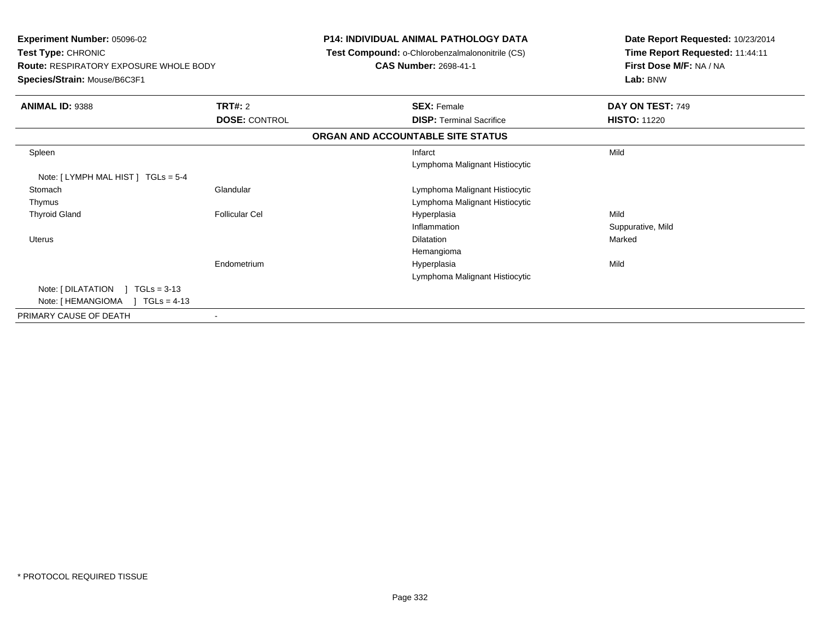| <b>Experiment Number: 05096-02</b><br>Test Type: CHRONIC<br><b>Route: RESPIRATORY EXPOSURE WHOLE BODY</b><br>Species/Strain: Mouse/B6C3F1 |                       | <b>P14: INDIVIDUAL ANIMAL PATHOLOGY DATA</b><br>Test Compound: o-Chlorobenzalmalononitrile (CS)<br><b>CAS Number: 2698-41-1</b> | Date Report Requested: 10/23/2014<br>Time Report Requested: 11:44:11<br>First Dose M/F: NA / NA<br>Lab: BNW |  |
|-------------------------------------------------------------------------------------------------------------------------------------------|-----------------------|---------------------------------------------------------------------------------------------------------------------------------|-------------------------------------------------------------------------------------------------------------|--|
| <b>ANIMAL ID: 9388</b>                                                                                                                    | TRT#: 2               | <b>SEX: Female</b>                                                                                                              | DAY ON TEST: 749                                                                                            |  |
|                                                                                                                                           | <b>DOSE: CONTROL</b>  | <b>DISP: Terminal Sacrifice</b>                                                                                                 | <b>HISTO: 11220</b>                                                                                         |  |
|                                                                                                                                           |                       | ORGAN AND ACCOUNTABLE SITE STATUS                                                                                               |                                                                                                             |  |
| Spleen                                                                                                                                    |                       | Infarct<br>Lymphoma Malignant Histiocytic                                                                                       | Mild                                                                                                        |  |
| Note: [LYMPH MAL HIST ] TGLs = 5-4                                                                                                        |                       |                                                                                                                                 |                                                                                                             |  |
| Stomach                                                                                                                                   | Glandular             | Lymphoma Malignant Histiocytic                                                                                                  |                                                                                                             |  |
| Thymus                                                                                                                                    |                       | Lymphoma Malignant Histiocytic                                                                                                  |                                                                                                             |  |
| <b>Thyroid Gland</b>                                                                                                                      | <b>Follicular Cel</b> | Hyperplasia                                                                                                                     | Mild                                                                                                        |  |
|                                                                                                                                           |                       | Inflammation                                                                                                                    | Suppurative, Mild                                                                                           |  |
| <b>Uterus</b>                                                                                                                             |                       | Dilatation                                                                                                                      | Marked                                                                                                      |  |
|                                                                                                                                           |                       | Hemangioma                                                                                                                      |                                                                                                             |  |
|                                                                                                                                           | Endometrium           | Hyperplasia                                                                                                                     | Mild                                                                                                        |  |
|                                                                                                                                           |                       | Lymphoma Malignant Histiocytic                                                                                                  |                                                                                                             |  |
| Note: [ DILATATION<br>$TGLs = 3-13$                                                                                                       |                       |                                                                                                                                 |                                                                                                             |  |
| Note: [ HEMANGIOMA<br>$TGLs = 4-13$                                                                                                       |                       |                                                                                                                                 |                                                                                                             |  |
| PRIMARY CAUSE OF DEATH                                                                                                                    | $\blacksquare$        |                                                                                                                                 |                                                                                                             |  |
|                                                                                                                                           |                       |                                                                                                                                 |                                                                                                             |  |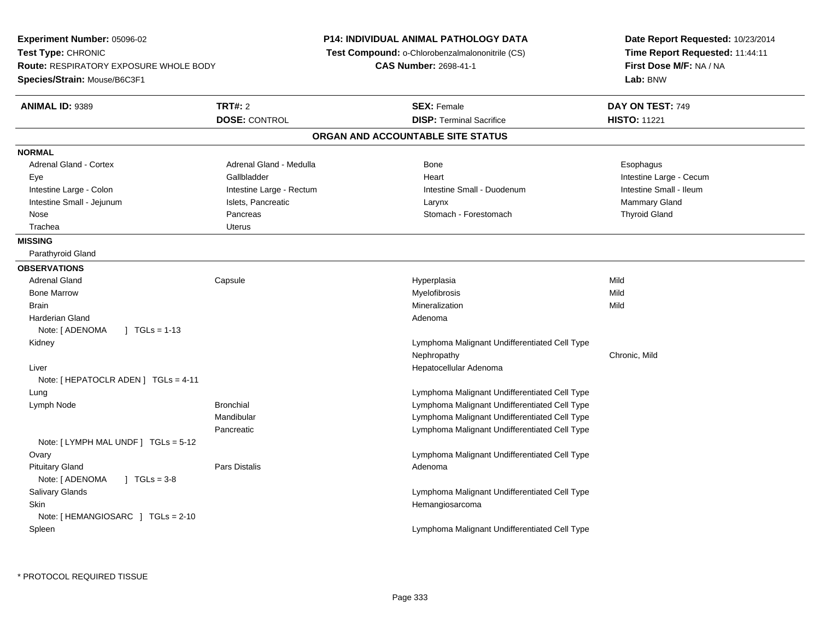| Experiment Number: 05096-02                                         |                          | <b>P14: INDIVIDUAL ANIMAL PATHOLOGY DATA</b>    | Date Report Requested: 10/23/2014                          |
|---------------------------------------------------------------------|--------------------------|-------------------------------------------------|------------------------------------------------------------|
| Test Type: CHRONIC<br><b>Route: RESPIRATORY EXPOSURE WHOLE BODY</b> |                          | Test Compound: o-Chlorobenzalmalononitrile (CS) | Time Report Requested: 11:44:11<br>First Dose M/F: NA / NA |
|                                                                     |                          | <b>CAS Number: 2698-41-1</b>                    |                                                            |
| Species/Strain: Mouse/B6C3F1                                        |                          |                                                 | Lab: BNW                                                   |
| ANIMAL ID: 9389                                                     | <b>TRT#: 2</b>           | <b>SEX: Female</b>                              | DAY ON TEST: 749                                           |
|                                                                     | <b>DOSE: CONTROL</b>     | <b>DISP: Terminal Sacrifice</b>                 | <b>HISTO: 11221</b>                                        |
|                                                                     |                          | ORGAN AND ACCOUNTABLE SITE STATUS               |                                                            |
| <b>NORMAL</b>                                                       |                          |                                                 |                                                            |
| <b>Adrenal Gland - Cortex</b>                                       | Adrenal Gland - Medulla  | Bone                                            | Esophagus                                                  |
| Eye                                                                 | Gallbladder              | Heart                                           | Intestine Large - Cecum                                    |
| Intestine Large - Colon                                             | Intestine Large - Rectum | Intestine Small - Duodenum                      | Intestine Small - Ileum                                    |
| Intestine Small - Jejunum                                           | Islets, Pancreatic       | Larynx                                          | Mammary Gland                                              |
| Nose                                                                | Pancreas                 | Stomach - Forestomach                           | <b>Thyroid Gland</b>                                       |
| Trachea                                                             | <b>Uterus</b>            |                                                 |                                                            |
| <b>MISSING</b>                                                      |                          |                                                 |                                                            |
| Parathyroid Gland                                                   |                          |                                                 |                                                            |
| <b>OBSERVATIONS</b>                                                 |                          |                                                 |                                                            |
| <b>Adrenal Gland</b>                                                | Capsule                  | Hyperplasia                                     | Mild                                                       |
| <b>Bone Marrow</b>                                                  |                          | Myelofibrosis                                   | Mild                                                       |
| Brain                                                               |                          | Mineralization                                  | Mild                                                       |
| Harderian Gland                                                     |                          | Adenoma                                         |                                                            |
| Note: [ ADENOMA<br>$1 \text{ TGLs} = 1-13$                          |                          |                                                 |                                                            |
| Kidney                                                              |                          | Lymphoma Malignant Undifferentiated Cell Type   |                                                            |
|                                                                     |                          | Nephropathy                                     | Chronic, Mild                                              |
| Liver                                                               |                          | Hepatocellular Adenoma                          |                                                            |
| Note: [ HEPATOCLR ADEN ] $TGLs = 4-11$                              |                          |                                                 |                                                            |
| Lung                                                                |                          | Lymphoma Malignant Undifferentiated Cell Type   |                                                            |
| Lymph Node                                                          | <b>Bronchial</b>         | Lymphoma Malignant Undifferentiated Cell Type   |                                                            |
|                                                                     | Mandibular               | Lymphoma Malignant Undifferentiated Cell Type   |                                                            |
|                                                                     | Pancreatic               | Lymphoma Malignant Undifferentiated Cell Type   |                                                            |
| Note: [LYMPH MAL UNDF] TGLs = 5-12                                  |                          | Lymphoma Malignant Undifferentiated Cell Type   |                                                            |
| Ovary<br><b>Pituitary Gland</b>                                     | <b>Pars Distalis</b>     | Adenoma                                         |                                                            |
| Note: [ ADENOMA<br>$\sqrt{1 + 1}$ TGLs = 3-8                        |                          |                                                 |                                                            |
| Salivary Glands                                                     |                          | Lymphoma Malignant Undifferentiated Cell Type   |                                                            |
| Skin                                                                |                          | Hemangiosarcoma                                 |                                                            |
| Note: [HEMANGIOSARC ] TGLs = 2-10                                   |                          |                                                 |                                                            |
| Spleen                                                              |                          | Lymphoma Malignant Undifferentiated Cell Type   |                                                            |
|                                                                     |                          |                                                 |                                                            |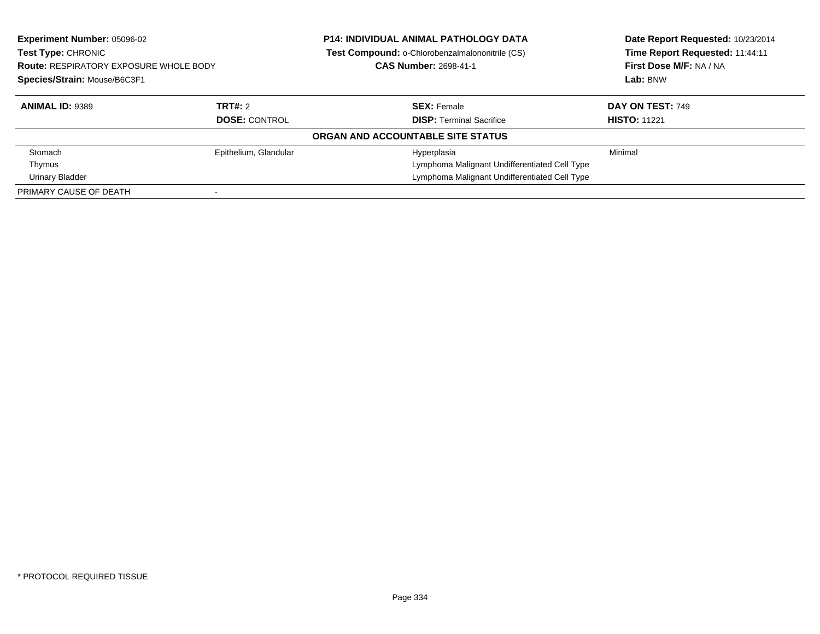| <b>Experiment Number: 05096-02</b><br>Test Type: CHRONIC<br><b>Route: RESPIRATORY EXPOSURE WHOLE BODY</b> |                       | <b>P14: INDIVIDUAL ANIMAL PATHOLOGY DATA</b><br>Test Compound: o-Chlorobenzalmalononitrile (CS)<br><b>CAS Number: 2698-41-1</b> | Date Report Requested: 10/23/2014<br>Time Report Requested: 11:44:11<br>First Dose M/F: NA / NA |
|-----------------------------------------------------------------------------------------------------------|-----------------------|---------------------------------------------------------------------------------------------------------------------------------|-------------------------------------------------------------------------------------------------|
| Species/Strain: Mouse/B6C3F1                                                                              |                       |                                                                                                                                 | Lab: BNW                                                                                        |
| <b>ANIMAL ID: 9389</b>                                                                                    | TRT#: 2               | <b>SEX: Female</b>                                                                                                              | <b>DAY ON TEST: 749</b>                                                                         |
|                                                                                                           | <b>DOSE: CONTROL</b>  | <b>DISP:</b> Terminal Sacrifice                                                                                                 | <b>HISTO: 11221</b>                                                                             |
|                                                                                                           |                       | ORGAN AND ACCOUNTABLE SITE STATUS                                                                                               |                                                                                                 |
| Stomach                                                                                                   | Epithelium, Glandular | Hyperplasia                                                                                                                     | Minimal                                                                                         |
| Thymus                                                                                                    |                       | Lymphoma Malignant Undifferentiated Cell Type                                                                                   |                                                                                                 |
| Urinary Bladder                                                                                           |                       | Lymphoma Malignant Undifferentiated Cell Type                                                                                   |                                                                                                 |
| PRIMARY CAUSE OF DEATH                                                                                    |                       |                                                                                                                                 |                                                                                                 |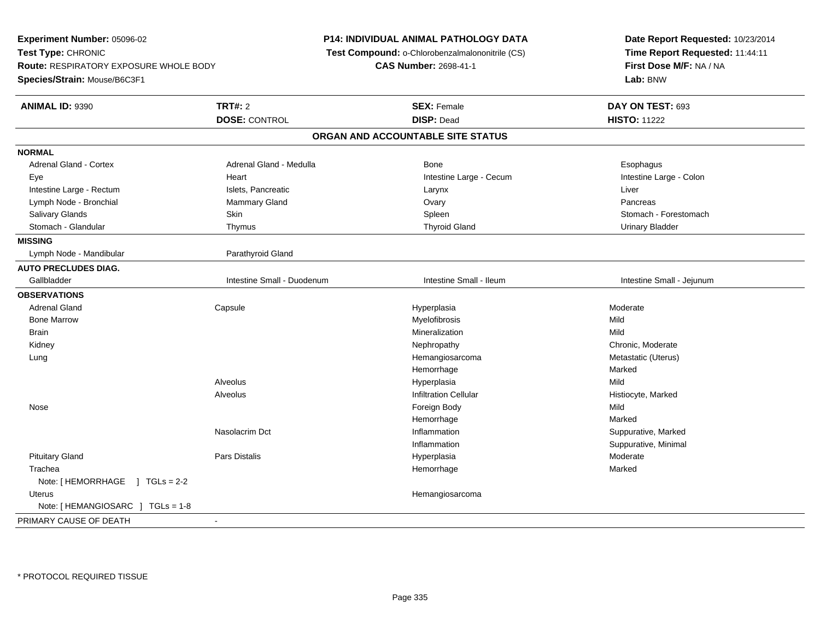**Experiment Number:** 05096-02**Test Type:** CHRONIC **Route:** RESPIRATORY EXPOSURE WHOLE BODY**Species/Strain:** Mouse/B6C3F1**P14: INDIVIDUAL ANIMAL PATHOLOGY DATA Test Compound:** o-Chlorobenzalmalononitrile (CS)**CAS Number:** 2698-41-1**Date Report Requested:** 10/23/2014**Time Report Requested:** 11:44:11**First Dose M/F:** NA / NA**Lab:** BNW**ANIMAL ID:** 9390**C TRT#:** 2 **SEX:** Female **DAY ON TEST:** 693 **DOSE:** CONTROL **DISP:** Dead **HISTO:** <sup>11222</sup> **ORGAN AND ACCOUNTABLE SITE STATUSNORMALAdrenal Gland - Cortex** Adrenal Gland - Medulla **Bone** Bone **Bone** Esophagus Esophagus Intestine Large - Colon Eye **Execution Contract Contract Intervention Contract Contract Contract Contract Contract Contract Contract Contract Contract Intestine Large - Cecum** Intestine Large - Rectum **Islets, Pancreatic** Christene Large - Rectum Liver Liver Lymph Node - Bronchial Mammary Gland Ovary PancreasSalivary Glands Salivary School School School School Spleen School Spleen Stomach - Forestomach - Stomach - Forestomach Stomach - Glandular **Thymus** Thymus Thymus Thyroid Gland Thyroid Gland Thyroid Gland Urinary Bladder **MISSING**Lymph Node - Mandibular and a common and Parathyroid Gland **AUTO PRECLUDES DIAG.**Gallbladder **Intestine Small - Duodenum** Intestine Small - Intestine Small - Ileum Intestine Small - Intestine Small - Jejunum **OBSERVATIONS** Adrenal Gland Capsule Hyperplasia Moderate Bone Marroww which is a matter of the Myelofibrosis and the Myelofibrosis and the Mild of the Mild of the Mild of the Mild of the Mild of the Mild of the Mild of the Mild of the Mild of the Mild of the Mild of the Mild of the Mild of **Brain** n and the control of the control of the control of the control of the control of the control of the control of the control of the control of the control of the control of the control of the control of the control of the co Kidneyy the chronic, Moderate and September 2011 of the Chronic Moderate and September 2012 of the Chronic, Moderate Metastatic (Uterus) Lungg is a constant of the construction of the construction of the construction of Hemangiosarcoma is a construction of Metastatic (Uterus) Hemorrhagee Marked Alveolus Hyperplasiaa Mild AlveolusInfiltration Cellular **Infiltration Cellular** (Fig. 2014)<br>
Foreign Body **History Control**<br>
Mild Nosee and the state of the state of the state of the state of the state of the state of the state of the state of the state of the state of the state of the state of the state of the state of the state of the state of the stat Hemorrhagee Marked Nasolacrim Dct Inflammation Suppurative, Marked Inflammation Suppurative, Minimal Pituitary Gland Pars Distalis Hyperplasia Moderate **Trachea** a and the state of the state of the state of the state of the Marked Marked of the State of the Marked of the Marked of the Marked of the State of the Marked of the Marked of the Marked of the Marked of the Marked of the M Note: [ HEMORRHAGE ] TGLs = 2-2 Uterus HemangiosarcomaNote: [ HEMANGIOSARC ] TGLs = 1-8PRIMARY CAUSE OF DEATH-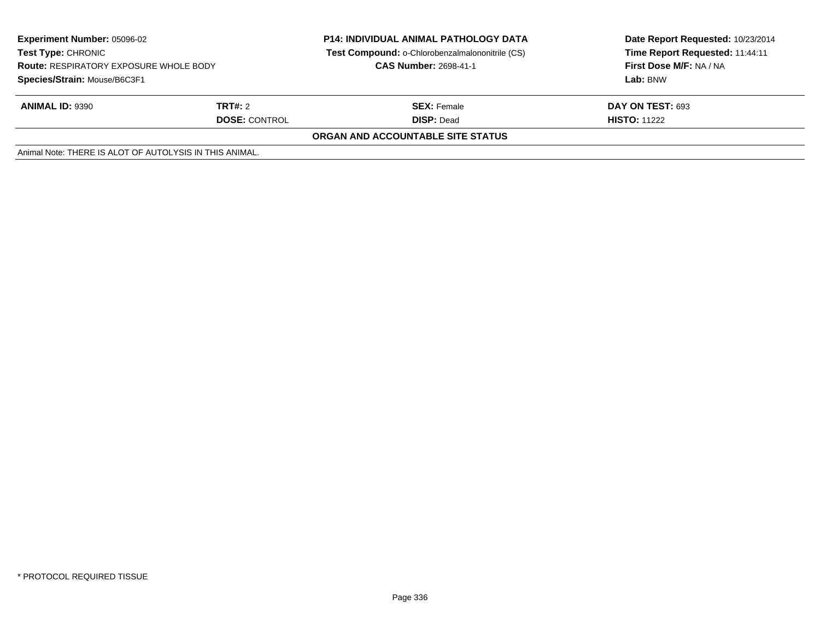| <b>Experiment Number: 05096-02</b><br><b>Test Type: CHRONIC</b><br><b>Route: RESPIRATORY EXPOSURE WHOLE BODY</b><br>Species/Strain: Mouse/B6C3F1 |                                        | <b>P14: INDIVIDUAL ANIMAL PATHOLOGY DATA</b><br>Test Compound: o-Chlorobenzalmalononitrile (CS)<br><b>CAS Number: 2698-41-1</b> | Date Report Requested: 10/23/2014<br>Time Report Requested: 11:44:11<br>First Dose M/F: NA / NA<br>Lab: BNW |
|--------------------------------------------------------------------------------------------------------------------------------------------------|----------------------------------------|---------------------------------------------------------------------------------------------------------------------------------|-------------------------------------------------------------------------------------------------------------|
| <b>ANIMAL ID: 9390</b>                                                                                                                           | <b>TRT#:</b> 2<br><b>DOSE: CONTROL</b> | <b>SEX: Female</b><br><b>DISP: Dead</b>                                                                                         | DAY ON TEST: 693<br><b>HISTO: 11222</b>                                                                     |
|                                                                                                                                                  |                                        | <b>ORGAN AND ACCOUNTABLE SITE STATUS</b>                                                                                        |                                                                                                             |
| Animal Note: THERE IS ALOT OF AUTOLYSIS IN THIS ANIMAL.                                                                                          |                                        |                                                                                                                                 |                                                                                                             |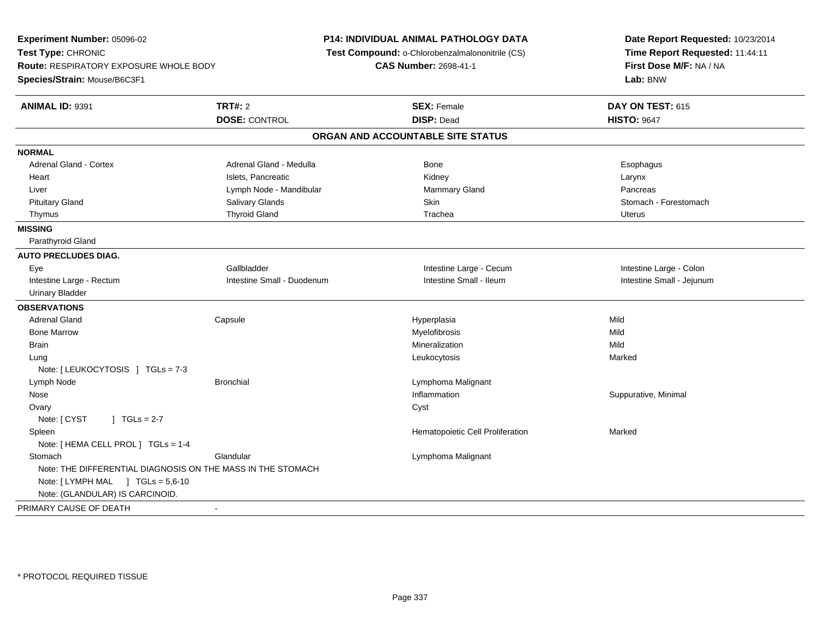**Experiment Number:** 05096-02**Test Type:** CHRONIC **Route:** RESPIRATORY EXPOSURE WHOLE BODY**Species/Strain:** Mouse/B6C3F1**P14: INDIVIDUAL ANIMAL PATHOLOGY DATA Test Compound:** o-Chlorobenzalmalononitrile (CS)**CAS Number:** 2698-41-1**Date Report Requested:** 10/23/2014**Time Report Requested:** 11:44:11**First Dose M/F:** NA / NA**Lab:** BNW**ANIMAL ID:** 9391**TRT#:** 2 **SEX:** Female **DAY ON TEST:** 615 **DOSE:** CONTROL **DISP:** Dead **HISTO:** <sup>9647</sup> **ORGAN AND ACCOUNTABLE SITE STATUSNORMALAdrenal Gland - Cortex** Adrenal Gland - Medulla **Bone** Bone **Bone** Esophagus Esophagus Heart Islets, Pancreatic Islets, Pancreatic Islets, Pancreatic Islamic Larynx (New York 2017), Larynx Pancreas Liver **Liver Lymph Node - Mandibular** Mammary Gland Pancrease in Lymph Node - Mandibular **Manufacturers** Mammary Gland Stomach - Forestomach Pituitary Gland Sulting School of Salivary Glands School Stomach - Forestomach - Stomach - Forestomach - Stomach - Stomach - Stomach - Stomach - Stomach - Stomach - Stomach - Stomach - Stomach - Stomach - Stomach - Stomach Thymus Thyroid Gland Trachea Uterus**MISSING** Parathyroid Gland**AUTO PRECLUDES DIAG.**Eye Callbladder Colon and Callbladder Colon Callbladder Colon Colon and Colon Colon Colon Colon Colon Colon Colon Intestine Large - Rectum Intestine Small - Duodenum Intestine Small - Ileum Intestine Small - Jejunum Urinary Bladder**OBSERVATIONS** Adrenal Gland Capsule Hyperplasia Mild Bone Marroww which is a matter of the Myelofibrosis and the Myelofibrosis and the Mild of the Mild of the Mild of the Mild of the Mild of the Mild of the Mild of the Mild of the Mild of the Mild of the Mild of the Mild of the Mild of **Brain** n and the control of the control of the control of the control of the control of the control of the control of the control of the control of the control of the control of the control of the control of the control of the co Lung Leukocytosis Marked Note: [ LEUKOCYTOSIS ] TGLs = 7-3 Lymph NodeBronchial Lymphoma Malignant Nosee suppurative, Minimal and Suppurative, Minimal and Suppurative, Minimal and Suppurative, Minimal and Suppurative, Minimal and Suppurative, Minimal and Suppurative, Minimal and Suppurative, Minimal and Suppurative, Minimal **Ovary** y cystem in the control of the control of the control of the control of the control of the control of the control of the control of the control of the control of the control of the control of the control of the control of Note:  $[CYST \t 1 TGLs = 2-7$  SpleenHematopoietic Cell Proliferation Marked Note: [ HEMA CELL PROL ] TGLs = 1-4**Stomach** Glandular **Contract Contract Contract Contract Contract Contract Contract Contract Contract Contract Contract Contract Contract Contract Contract Contract Contract Contract Contract Contract Contract Contract Contract Cont** Note: THE DIFFERENTIAL DIAGNOSIS ON THE MASS IN THE STOMACHNote: [ LYMPH MAL ] TGLs = 5,6-10 Note: (GLANDULAR) IS CARCINOID.PRIMARY CAUSE OF DEATH-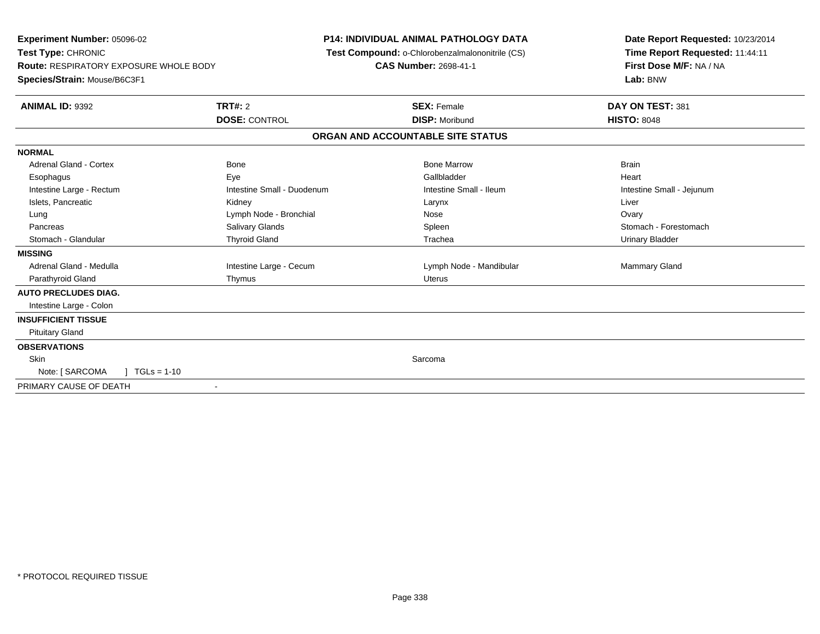| Experiment Number: 05096-02<br>Test Type: CHRONIC<br>Route: RESPIRATORY EXPOSURE WHOLE BODY<br>Species/Strain: Mouse/B6C3F1 |                            | <b>P14: INDIVIDUAL ANIMAL PATHOLOGY DATA</b><br>Test Compound: o-Chlorobenzalmalononitrile (CS)<br><b>CAS Number: 2698-41-1</b> | Date Report Requested: 10/23/2014<br>Time Report Requested: 11:44:11<br>First Dose M/F: NA / NA<br>Lab: BNW |
|-----------------------------------------------------------------------------------------------------------------------------|----------------------------|---------------------------------------------------------------------------------------------------------------------------------|-------------------------------------------------------------------------------------------------------------|
| <b>ANIMAL ID: 9392</b>                                                                                                      | TRT#: 2                    | <b>SEX: Female</b>                                                                                                              | DAY ON TEST: 381                                                                                            |
|                                                                                                                             | <b>DOSE: CONTROL</b>       | <b>DISP: Moribund</b>                                                                                                           | <b>HISTO: 8048</b>                                                                                          |
|                                                                                                                             |                            | ORGAN AND ACCOUNTABLE SITE STATUS                                                                                               |                                                                                                             |
| <b>NORMAL</b>                                                                                                               |                            |                                                                                                                                 |                                                                                                             |
| Adrenal Gland - Cortex                                                                                                      | <b>Bone</b>                | <b>Bone Marrow</b>                                                                                                              | <b>Brain</b>                                                                                                |
| Esophagus                                                                                                                   | Eye                        | Gallbladder                                                                                                                     | Heart                                                                                                       |
| Intestine Large - Rectum                                                                                                    | Intestine Small - Duodenum | Intestine Small - Ileum                                                                                                         | Intestine Small - Jejunum                                                                                   |
| Islets, Pancreatic                                                                                                          | Kidney                     | Larynx                                                                                                                          | Liver                                                                                                       |
| Lung                                                                                                                        | Lymph Node - Bronchial     | Nose                                                                                                                            | Ovary                                                                                                       |
| Pancreas                                                                                                                    | Salivary Glands            | Spleen                                                                                                                          | Stomach - Forestomach                                                                                       |
| Stomach - Glandular                                                                                                         | <b>Thyroid Gland</b>       | Trachea                                                                                                                         | <b>Urinary Bladder</b>                                                                                      |
| <b>MISSING</b>                                                                                                              |                            |                                                                                                                                 |                                                                                                             |
| Adrenal Gland - Medulla                                                                                                     | Intestine Large - Cecum    | Lymph Node - Mandibular                                                                                                         | Mammary Gland                                                                                               |
| Parathyroid Gland                                                                                                           | Thymus                     | Uterus                                                                                                                          |                                                                                                             |
| <b>AUTO PRECLUDES DIAG.</b>                                                                                                 |                            |                                                                                                                                 |                                                                                                             |
| Intestine Large - Colon                                                                                                     |                            |                                                                                                                                 |                                                                                                             |
| <b>INSUFFICIENT TISSUE</b>                                                                                                  |                            |                                                                                                                                 |                                                                                                             |
| <b>Pituitary Gland</b>                                                                                                      |                            |                                                                                                                                 |                                                                                                             |
| <b>OBSERVATIONS</b>                                                                                                         |                            |                                                                                                                                 |                                                                                                             |
| Skin                                                                                                                        |                            | Sarcoma                                                                                                                         |                                                                                                             |
| Note: [ SARCOMA<br>$TGLs = 1-10$                                                                                            |                            |                                                                                                                                 |                                                                                                             |
| PRIMARY CAUSE OF DEATH                                                                                                      |                            |                                                                                                                                 |                                                                                                             |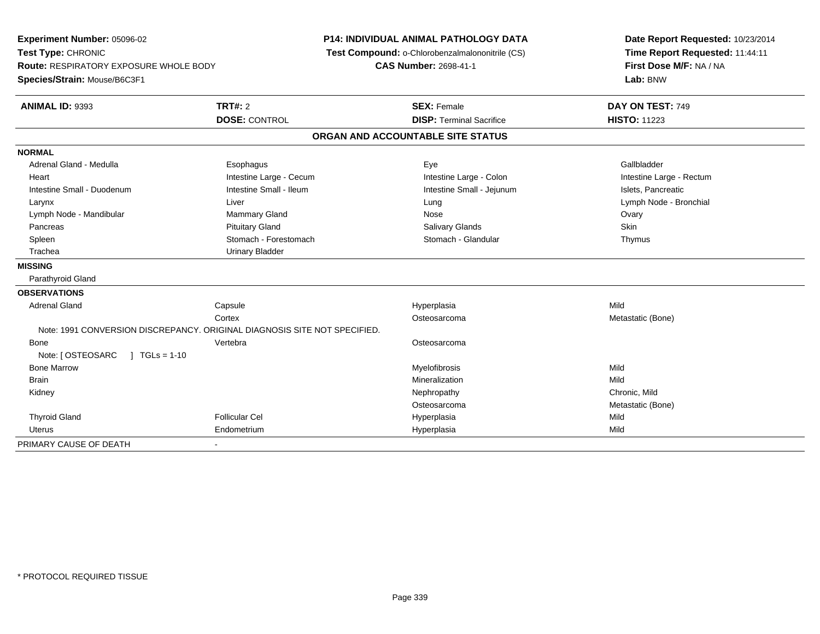| Experiment Number: 05096-02<br>Test Type: CHRONIC<br><b>Route: RESPIRATORY EXPOSURE WHOLE BODY</b><br>Species/Strain: Mouse/B6C3F1 |                         | <b>P14: INDIVIDUAL ANIMAL PATHOLOGY DATA</b><br>Test Compound: o-Chlorobenzalmalononitrile (CS)<br><b>CAS Number: 2698-41-1</b> | Date Report Requested: 10/23/2014<br>Time Report Requested: 11:44:11<br>First Dose M/F: NA / NA<br>Lab: BNW |  |
|------------------------------------------------------------------------------------------------------------------------------------|-------------------------|---------------------------------------------------------------------------------------------------------------------------------|-------------------------------------------------------------------------------------------------------------|--|
| ANIMAL ID: 9393                                                                                                                    | TRT#: 2                 | <b>SEX: Female</b>                                                                                                              | DAY ON TEST: 749                                                                                            |  |
|                                                                                                                                    | <b>DOSE: CONTROL</b>    | <b>DISP: Terminal Sacrifice</b>                                                                                                 | <b>HISTO: 11223</b>                                                                                         |  |
|                                                                                                                                    |                         | ORGAN AND ACCOUNTABLE SITE STATUS                                                                                               |                                                                                                             |  |
| <b>NORMAL</b>                                                                                                                      |                         |                                                                                                                                 |                                                                                                             |  |
| Adrenal Gland - Medulla                                                                                                            | Esophagus               | Eye                                                                                                                             | Gallbladder                                                                                                 |  |
| Heart                                                                                                                              | Intestine Large - Cecum | Intestine Large - Colon                                                                                                         | Intestine Large - Rectum                                                                                    |  |
| Intestine Small - Duodenum                                                                                                         | Intestine Small - Ileum | Intestine Small - Jejunum                                                                                                       | Islets, Pancreatic                                                                                          |  |
| Larynx                                                                                                                             | Liver                   | Lung                                                                                                                            | Lymph Node - Bronchial                                                                                      |  |
| Lymph Node - Mandibular                                                                                                            | Mammary Gland           | Nose                                                                                                                            | Ovary                                                                                                       |  |
| Pancreas                                                                                                                           | <b>Pituitary Gland</b>  | Salivary Glands                                                                                                                 | Skin                                                                                                        |  |
| Spleen                                                                                                                             | Stomach - Forestomach   | Stomach - Glandular                                                                                                             | Thymus                                                                                                      |  |
| Trachea                                                                                                                            | <b>Urinary Bladder</b>  |                                                                                                                                 |                                                                                                             |  |
| <b>MISSING</b>                                                                                                                     |                         |                                                                                                                                 |                                                                                                             |  |
| Parathyroid Gland                                                                                                                  |                         |                                                                                                                                 |                                                                                                             |  |
| <b>OBSERVATIONS</b>                                                                                                                |                         |                                                                                                                                 |                                                                                                             |  |
| <b>Adrenal Gland</b>                                                                                                               | Capsule                 | Hyperplasia                                                                                                                     | Mild                                                                                                        |  |
|                                                                                                                                    | Cortex                  | Osteosarcoma                                                                                                                    | Metastatic (Bone)                                                                                           |  |
| Note: 1991 CONVERSION DISCREPANCY, ORIGINAL DIAGNOSIS SITE NOT SPECIFIED.                                                          |                         |                                                                                                                                 |                                                                                                             |  |
| Bone                                                                                                                               | Vertebra                | Osteosarcoma                                                                                                                    |                                                                                                             |  |
| Note: [ OSTEOSARC<br>$1 TGLs = 1-10$                                                                                               |                         |                                                                                                                                 |                                                                                                             |  |
| <b>Bone Marrow</b>                                                                                                                 |                         | Myelofibrosis                                                                                                                   | Mild                                                                                                        |  |
| <b>Brain</b>                                                                                                                       |                         | Mineralization                                                                                                                  | Mild                                                                                                        |  |
| Kidney                                                                                                                             |                         | Nephropathy                                                                                                                     | Chronic, Mild                                                                                               |  |
|                                                                                                                                    |                         | Osteosarcoma                                                                                                                    | Metastatic (Bone)                                                                                           |  |
| <b>Thyroid Gland</b>                                                                                                               | <b>Follicular Cel</b>   | Hyperplasia                                                                                                                     | Mild                                                                                                        |  |
| Uterus                                                                                                                             | Endometrium             | Hyperplasia                                                                                                                     | Mild                                                                                                        |  |
| PRIMARY CAUSE OF DEATH                                                                                                             |                         |                                                                                                                                 |                                                                                                             |  |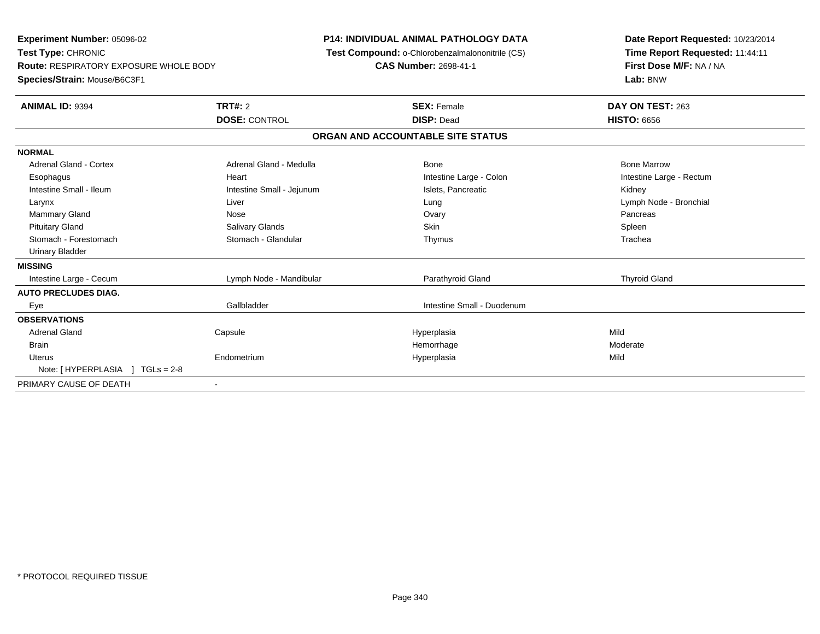**Experiment Number:** 05096-02**Test Type:** CHRONIC **Route:** RESPIRATORY EXPOSURE WHOLE BODY**Species/Strain:** Mouse/B6C3F1**P14: INDIVIDUAL ANIMAL PATHOLOGY DATA Test Compound:** o-Chlorobenzalmalononitrile (CS)**CAS Number:** 2698-41-1**Date Report Requested:** 10/23/2014**Time Report Requested:** 11:44:11**First Dose M/F:** NA / NA**Lab:** BNW**ANIMAL ID:** 9394 **TRT#:** <sup>2</sup> **SEX:** Female **DAY ON TEST:** <sup>263</sup> **DOSE:** CONTROL **DISP:** Dead **HISTO:** <sup>6656</sup> **ORGAN AND ACCOUNTABLE SITE STATUSNORMALAdrenal Gland - Cortex** Adrenal Gland - Medulla **Adrenal Gland - Medulla** Bone Bone Bone Bone Bone Marrow Esophagus Heart Intestine Large - Colon Intestine Large - RectumIntestine Small - Ileum **Intestine Small - Intestine Small - Jejunum** Intestine Islets, Pancreatic **Intestine Small - Islets**, Pancreatic Kidney Larynx Liver Lung Lymph Node - BronchialMammary Gland Nose Ovary Pancreas Pituitary Gland Salivary Glands Salivary Glands School School School School State School Spleen Spleen Spleen Trachea Stomach - Forestomach **Stomach - Stomach - Glandular** Thymus Thymus Thymus The The The The The The The The The Th Urinary Bladder**MISSING**Intestine Large - Cecum and the Lymph Node - Mandibular and the Carathyroid Gland Thyroid Gland Thyroid Gland **AUTO PRECLUDES DIAG.** Eye Gallbladder Intestine Small - Duodenum**OBSERVATIONS** Adrenal Gland Capsule Hyperplasia Mild Brainn and the most settled and the most settled and the most settled and the Moderate most settled and the Moderate **Uterus**  Endometrium Hyperplasia Mild Note: [ HYPERPLASIA ] TGLs = 2-8PRIMARY CAUSE OF DEATH-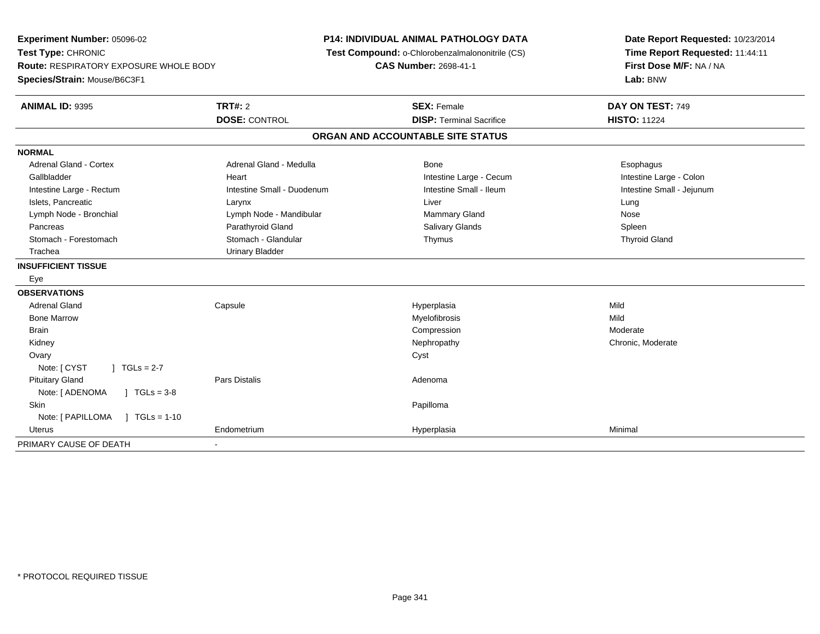**Experiment Number:** 05096-02**Test Type:** CHRONIC **Route:** RESPIRATORY EXPOSURE WHOLE BODY**Species/Strain:** Mouse/B6C3F1**P14: INDIVIDUAL ANIMAL PATHOLOGY DATA Test Compound:** o-Chlorobenzalmalononitrile (CS)**CAS Number:** 2698-41-1**Date Report Requested:** 10/23/2014**Time Report Requested:** 11:44:11**First Dose M/F:** NA / NA**Lab:** BNW**ANIMAL ID:** 9395**TRT#:** 2 **SEX:** Female **DAY ON TEST:** 749 **DOSE:** CONTROL**DISP:** Terminal Sacrifice **HISTO:** 11224 **ORGAN AND ACCOUNTABLE SITE STATUSNORMALAdrenal Gland - Cortex** Adrenal Gland - Medulla **Adrenal Gland - Medulla Bone** Bone **Bone** Esophagus Esophagus Intestine Large - Colon Gallbladder **East Intestine Large - Cecum Intestine Large - Cecum Intestine Large - Cecum** Intestine Large - Cecum Intestine Small - Jejunum Intestine Large - Rectum **Intestine Small - Duodenum** Intestine Small - Ileum Intestine Small - Ileum Islets, Pancreatic Larynx Liver LungNose Lymph Node - Bronchial **Lymph Node - Mandibular** Mammary Gland Nose - Mandibular Mammary Gland Nose - Mammary Gland Spleen Pancreas Parathyroid Gland Salivary Glands Spleen**Thyroid Gland** Stomach - Forestomach Stomach - Stomach - Glandular Thymus Thymus Thymus Thymus Thymus Thymus Thymus Thymus Thymus Thymus Thymus Thymus Thymus Thymus Thymus Thymus Thymus Thymus Thymus Thymus Thymus Thymus Thymus Thymus Th Trachea Urinary Bladder**INSUFFICIENT TISSUE** Eye**OBSERVATIONS** Adrenal Gland Capsule Hyperplasia Mild Bone Marroww which is a matter of the Myelofibrosis and the Myelofibrosis and the Mild of the Mild of the Mild of the Mild of the Mild of the Mild of the Mild of the Mild of the Mild of the Mild of the Mild of the Mild of the Mild of Brainn and the compression of the compression of the compression of the compression of the compression of the compression Kidneyy the chronic, Moderate and September 2011 of the Chronic Moderate and September 2012 of the Chronic, Moderate **Ovary** y cystem in the control of the control of the control of the control of the control of the control of the control of the control of the control of the control of the control of the control of the control of the control of Note: [ CYST ] TGLs = 2-7 Pituitary Glandd and the set of Pars Distalis and the Second Adenomal Adenomal Second Second Pars Distalls and Adenomal Second Second Second Second Second Second Second Second Second Second Second Second Second Second Second Second Secon Note:  $[ADENOMA \t] TGLS = 3-8$ **Skin** n and the control of the control of the control of the control of the control of the control of the control of the control of the control of the control of the control of the control of the control of the control of the co Note: [ PAPILLOMA ] TGLs = 1-10 Uterus Endometrium Hyperplasia Minimal PRIMARY CAUSE OF DEATH-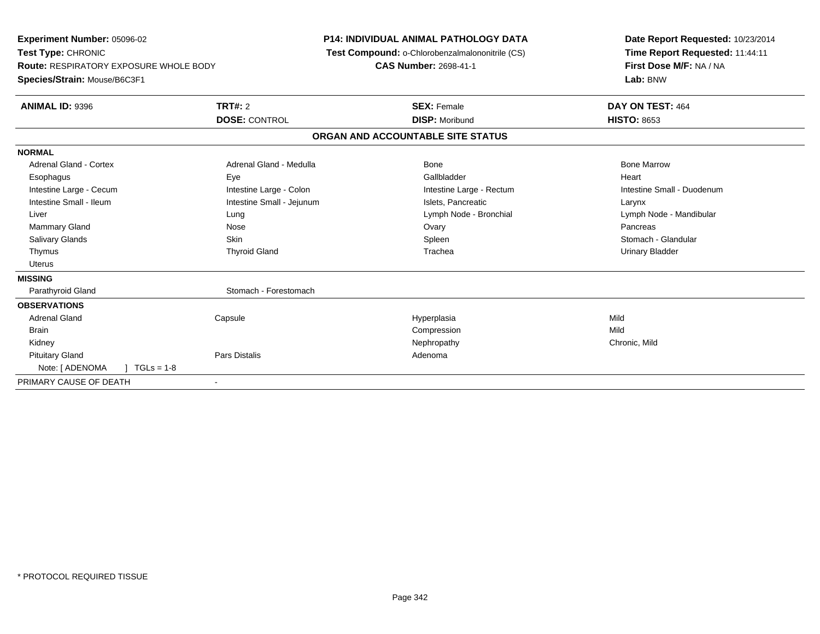**Experiment Number:** 05096-02**Test Type:** CHRONIC **Route:** RESPIRATORY EXPOSURE WHOLE BODY**Species/Strain:** Mouse/B6C3F1**P14: INDIVIDUAL ANIMAL PATHOLOGY DATA Test Compound:** o-Chlorobenzalmalononitrile (CS)**CAS Number:** 2698-41-1**Date Report Requested:** 10/23/2014**Time Report Requested:** 11:44:11**First Dose M/F:** NA / NA**Lab:** BNW**ANIMAL ID:** 9396**6 DAY ON TEST:** 464 **DOSE:** CONTROL **DISP:** Moribund **HISTO:** <sup>8653</sup> **ORGAN AND ACCOUNTABLE SITE STATUSNORMALAdrenal Gland - Cortex** Adrenal Gland - Medulla **Adrenal Gland - Medulla** Bone Bone Bone Bone Bone Marrow Esophagus Eye Gallbladder HeartIntestine Large - Cecum **Intestine Large - Colon** Intestine Large - Colon Intestine Large - Rectum Intestine Large - Rectum Intestine Small - Duodenum Intestine Small - Ileum Larynx Intestine Small - Jejunum Intestine Small - Jejunum Islets, Pancreatic Larynx Liver Lung Lymph Node - Bronchial Lymph Node - MandibularMammary Gland Nose Ovary Pancreas Stomach - Glandular Salivary Glands Summach - Skin Shahara Shahara Shahara Shahara Shahara Shahara Shahara Shahara Shahara Shahara Thymus Thyroid Gland Trachea Urinary Bladder Uterus**MISSING**Parathyroid Gland Stomach - Forestomach **OBSERVATIONS** Adrenal Gland Capsule Hyperplasia Mild **Brain** n and the compression of the compression of the compression of the compression of the compression of the compression Kidneyy the controller of the controller of the controller of the controller of the controller of the chronic, Mild Pituitary Glandd and the set of Pars Distalis and the Second Adenomal Adenomal Second Second Pars Distalls and Adenomal Second Second Second Second Second Second Second Second Second Second Second Second Second Second Second Second Secon Note: [ ADENOMA ] TGLs = 1-8 PRIMARY CAUSE OF DEATH-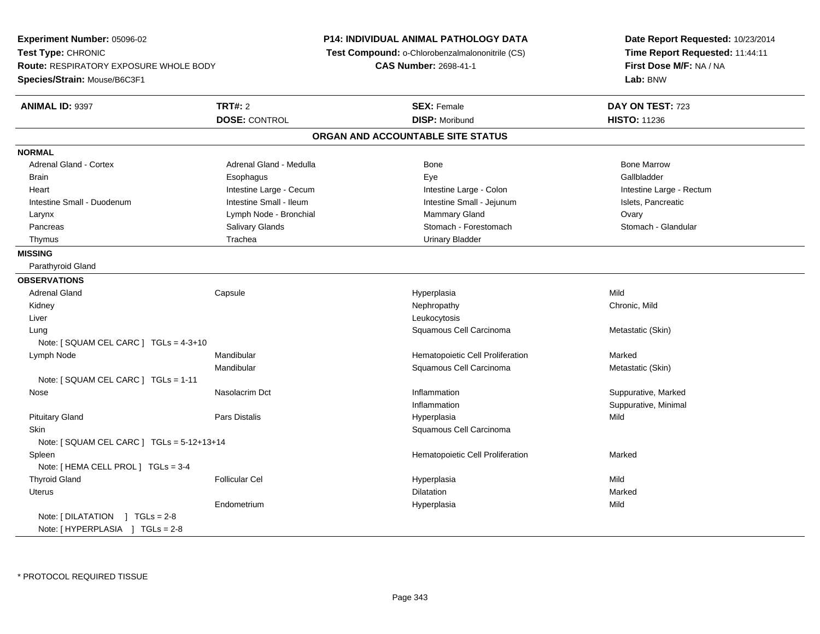**Experiment Number:** 05096-02**Test Type:** CHRONIC **Route:** RESPIRATORY EXPOSURE WHOLE BODY**Species/Strain:** Mouse/B6C3F1**P14: INDIVIDUAL ANIMAL PATHOLOGY DATA Test Compound:** o-Chlorobenzalmalononitrile (CS)**CAS Number:** 2698-41-1**Date Report Requested:** 10/23/2014**Time Report Requested:** 11:44:11**First Dose M/F:** NA / NA**Lab:** BNW**ANIMAL ID:** 9397 **TRT#:** <sup>2</sup> **SEX:** Female **DAY ON TEST:** <sup>723</sup> **DOSE:** CONTROL**DISP:** Moribund **HISTO:** 11236 **ORGAN AND ACCOUNTABLE SITE STATUSNORMALAdrenal Gland - Cortex** Adrenal Gland - Medulla **Bone Adrenal Gland - Cortex Adrenal Gland - Cortex Adrenal Gland - Medulla** Bone Marrow Gallbladder Brain Esophagus Esophagus Esophagus Esophagus Exercicle Exercises et al. Exercises et al. et al. et al. et al. Heart **Intestine Large - Cecum** Intestine Large - Cecum Intestine Large - Colon Intestine Large - Rectum Intestine Small - Duodenum **Intestine Small - Ileum** Intestine Small - Ileum Intestine Small - Jejunum Intestine Small - Jejunum Islets, Pancreatic Larynx **Lymph Node - Bronchial Mammary Gland Covary** Ovary Stomach - Glandular Pancreas Salivary Glands Salivary Glands Stomach - Forestomach - Stomach - Stomach - Stomach - Stomach - Glandulary Stomach - Stomach - Stomach - Stomach - Stomach - Stomach - Stomach - Stomach - Stomach - Stomach - Stomac Thymus **Trachea** Trachea **Trachea** Urinary Bladder **MISSING** Parathyroid Gland**OBSERVATIONS** Adrenal Gland Capsule Hyperplasia Mild Kidneyy the controller of the controller of the controller of the controller of the controller of the chronic, Mild Liverr and the contract of the contract of the contract of the contract of the contract of the contract of the contract of the contract of the contract of the contract of the contract of the contract of the contract of the cont g Squamous Cell Carcinoma Cell Carcinoma Metastatic (Skin) LungNote: [ SQUAM CEL CARC ] TGLs = 4-3+10 Lymph NodeMandibular **Manual Letter Cell Proliferation** Marked Marked Marked Mandibular Squamous Cell Carcinoma Metastatic (Skin) Note: [ SQUAM CEL CARC ] TGLs = 1-11 Nosee who suppurative, Masolacrim Dct the Suppuration of the Inflammation of the Suppurative, Marked Suppurative, Marked InflammationInflammation **Suppurative, Minimal**<br>
Suppurative, Minimal<br>
Hyperplasia Pituitary Gland Pars Distalis Hyperplasia Mild **Skin**  Squamous Cell Carcinoma Note: [ SQUAM CEL CARC ] TGLs = 5-12+13+14 SpleenHematopoietic Cell Proliferation Marked Note: [ HEMA CELL PROL ] TGLs = 3-4 Thyroid Gland Follicular Cel Hyperplasia Mild Uteruss and the contract of the contract of the contract of the contract of the contract of the contract of the contract of the contract of the contract of the contract of the contract of the contract of the contract of the cont n Marked **Marked** Endometrium Hyperplasia Mild Note: [ DILATATION ] TGLs = 2-8Note: [ HYPERPLASIA ] TGLs = 2-8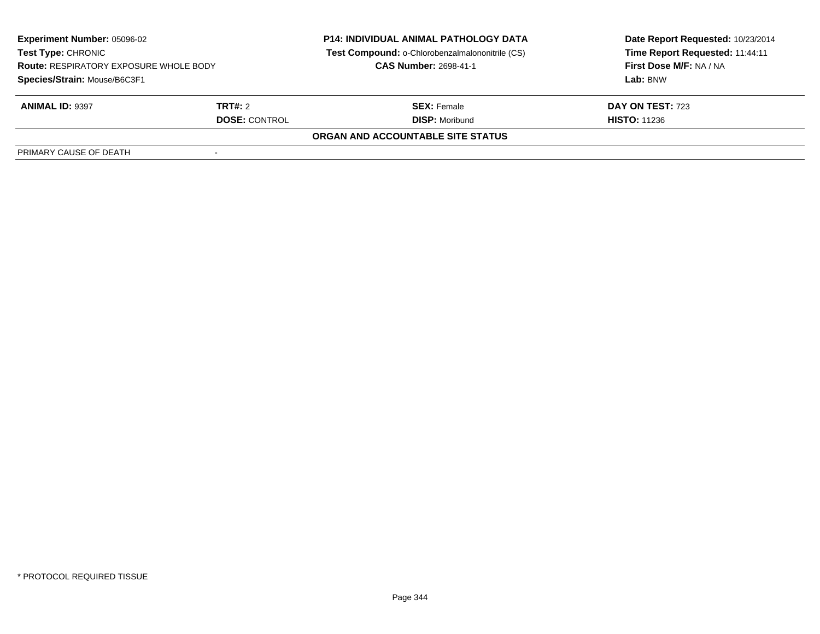| <b>Experiment Number: 05096-02</b><br>Test Type: CHRONIC |                      | <b>P14: INDIVIDUAL ANIMAL PATHOLOGY DATA</b><br>Test Compound: o-Chlorobenzalmalononitrile (CS) | Date Report Requested: 10/23/2014<br>Time Report Requested: 11:44:11 |
|----------------------------------------------------------|----------------------|-------------------------------------------------------------------------------------------------|----------------------------------------------------------------------|
| <b>Route: RESPIRATORY EXPOSURE WHOLE BODY</b>            |                      | <b>CAS Number: 2698-41-1</b>                                                                    | First Dose M/F: NA / NA                                              |
| Species/Strain: Mouse/B6C3F1                             |                      |                                                                                                 | Lab: BNW                                                             |
| <b>ANIMAL ID: 9397</b>                                   | TRT#: 2              | <b>SEX:</b> Female                                                                              | DAY ON TEST: 723                                                     |
|                                                          | <b>DOSE: CONTROL</b> | <b>DISP:</b> Moribund                                                                           | <b>HISTO: 11236</b>                                                  |
|                                                          |                      | ORGAN AND ACCOUNTABLE SITE STATUS                                                               |                                                                      |
| PRIMARY CAUSE OF DEATH                                   |                      |                                                                                                 |                                                                      |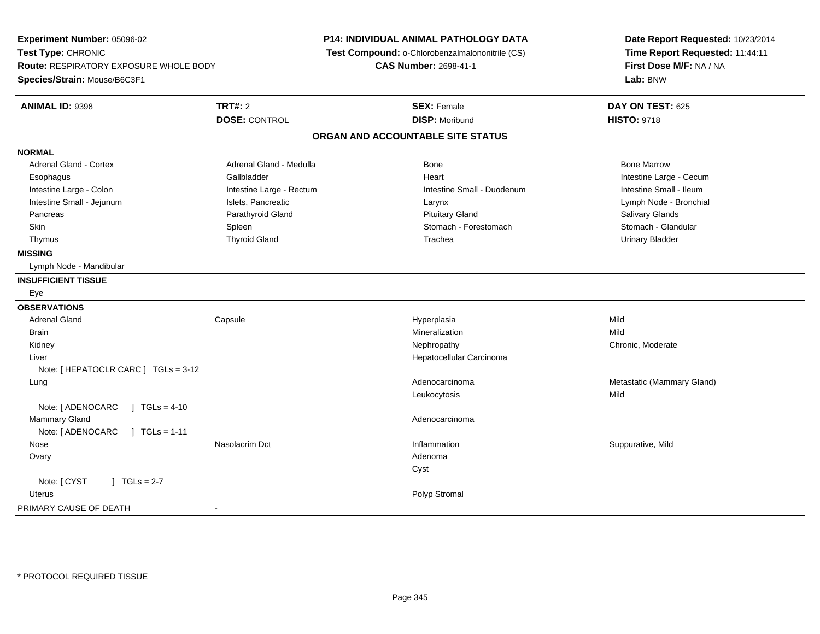**Experiment Number:** 05096-02**Test Type:** CHRONIC **Route:** RESPIRATORY EXPOSURE WHOLE BODY**Species/Strain:** Mouse/B6C3F1**P14: INDIVIDUAL ANIMAL PATHOLOGY DATA Test Compound:** o-Chlorobenzalmalononitrile (CS)**CAS Number:** 2698-41-1**Date Report Requested:** 10/23/2014**Time Report Requested:** 11:44:11**First Dose M/F:** NA / NA**Lab:** BNW**ANIMAL ID:** 9398**TRT#:** 2 **SEX:** Female **DAY ON TEST:** 625 **DOSE:** CONTROL**DISP:** Moribund **HISTO:** 9718 **ORGAN AND ACCOUNTABLE SITE STATUSNORMALAdrenal Gland - Cortex** Adrenal Gland - Medulla **Bone Adrenal Gland - Cortex Adrenal Gland - Cortex Adrenal Gland - Medulla** Bone Marrow Esophagus Gallbladder Gallbladder Annual Heart Heart Intestine Large - Cecum Intestine Small - Ileum Intestine Large - Colon **Intestine Large - Rectum** Intestine Large - Rectum Intestine Small - Duodenum Lymph Node - Bronchial Intestine Small - Jejunum **Islets, Pancreatic Larynx** Larynx Larynx Larynx Larynx Larynx Larynx Larynx Larynx Larynx Pancreas Parathyroid Gland Pituitary Gland Salivary GlandsStomach - Glandular Skin Stomach - Forestomach Spleen Stomach - Forestomach - Stomach - Forestomach - Stomach - Forestomach - Glandular Thymus Thyroid Gland Trachea Urinary Bladder**MISSING** Lymph Node - Mandibular**INSUFFICIENT TISSUE** Eye**OBSERVATIONS** Adrenal Gland Capsule Hyperplasia Mild **Brain** n and the control of the control of the control of the control of the control of the control of the control of the control of the control of the control of the control of the control of the control of the control of the co Kidneyy the chronic, Moderate and September 2011 of the Chronic Moderate and September 2012 of the Chronic, Moderate Liver Hepatocellular CarcinomaNote: [ HEPATOCLR CARC ] TGLs = 3-12 LungAdenocarcinoma **Metastatic (Mammary Gland)** Metastatic (Mammary Gland) Leukocytosiss Mild Note: [ ADENOCARC ] TGLs = 4-10 Mammary Glandd and the control of the control of the control of the control of the control of the control of the control of the control of the control of the control of the control of the control of the control of the control of the co Note: [ ADENOCARC ] TGLs = 1-11 Nose Nasolacrim Dct Inflammation Suppurative, Mild **Ovary** y and the control of the control of the control of the control of the control of the control of the control of the control of the control of the control of the control of the control of the control of the control of the co CystNote:  $[CYST \t 1 TGLs = 2-7$  Uteruss and the control of the control of the control of the control of the control of the control of the control of the control of the control of the control of the control of the control of the control of the control of the co PRIMARY CAUSE OF DEATH-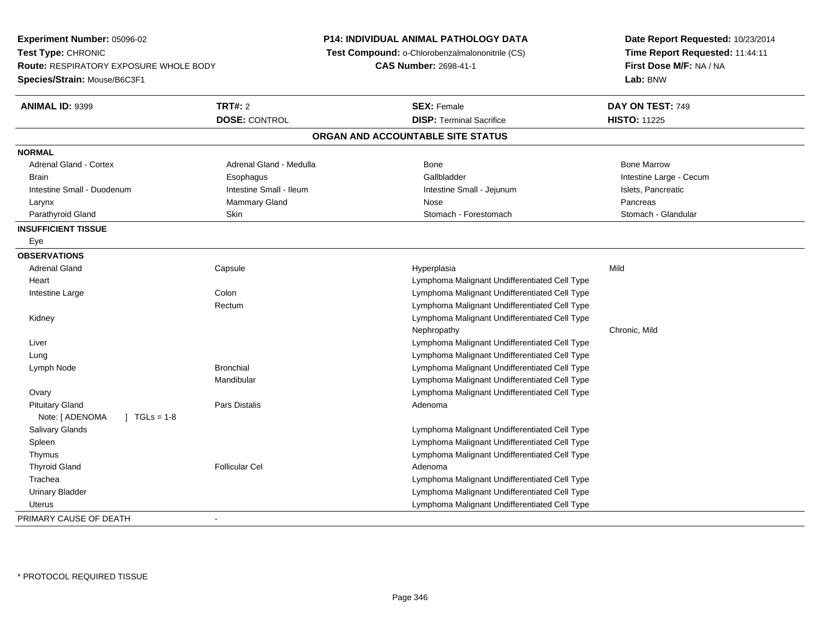**Experiment Number:** 05096-02**Test Type:** CHRONIC **Route:** RESPIRATORY EXPOSURE WHOLE BODY**Species/Strain:** Mouse/B6C3F1**P14: INDIVIDUAL ANIMAL PATHOLOGY DATA Test Compound:** o-Chlorobenzalmalononitrile (CS)**CAS Number:** 2698-41-1**Date Report Requested:** 10/23/2014**Time Report Requested:** 11:44:11**First Dose M/F:** NA / NA**Lab:** BNW**ANIMAL ID:** 9399**TRT#:** 2 **SEX:** Female **DAY ON TEST:** 749 **DOSE:** CONTROL**DISP:** Terminal Sacrifice **HISTO:** 11225 **ORGAN AND ACCOUNTABLE SITE STATUSNORMALAdrenal Gland - Cortex**  Adrenal Gland - Cortex Adrenal Gland - Medulla Bone Bone MarrowBrain Esophagus Esophagus Callbladder Gallbladder (Bachara Intestine Large - Cecum Intestine Small - Duodenum **Intestine Small - Ileum** Intestine Small - Ileum Intestine Small - Jejunum Intestine Small - Islets, Pancreatic Larynx Mammary Gland Nose PancreasStomach - Glandular Parathyroid Gland School Stomach - Forestomach - Skin Stomach - Stomach - Forestomach - Stomach - Stomach - Glandular **INSUFFICIENT TISSUE** Eye**OBSERVATIONS** Adrenal Gland Capsule Hyperplasia Mild **Heart**  Lymphoma Malignant Undifferentiated Cell Typee and Lymphoma Malignant Undifferentiated Cell Type Intestine LargeRectum Lymphoma Malignant Undifferentiated Cell Type Kidney Lymphoma Malignant Undifferentiated Cell TypeNephropathy Chronic, Mild Liver Lymphoma Malignant Undifferentiated Cell Type Lymphoma Malignant Undifferentiated Cell Type Lung Lymph Node Bronchial Lymphoma Malignant Undifferentiated Cell Type Mandibular Lymphoma Malignant Undifferentiated Cell Type Lymphoma Malignant Undifferentiated Cell Type**Ovary**  Pituitary Glandd and the set of Pars Distalis and the Second Adenomal Adenomal Second Second Pars Distalls and Adenomal Second Second Second Second Second Second Second Second Second Second Second Second Second Second Second Second Secon Note: [ ADENOMA ] TGLs = 1-8 Salivary Glands Lymphoma Malignant Undifferentiated Cell Type Lymphoma Malignant Undifferentiated Cell Type Spleen Thymus Lymphoma Malignant Undifferentiated Cell Type Thyroid Glandd and the set of the Follicular Cel the set of the Second Adenomal Adenomal Second Second Second Second Second Second Second Second Second Second Second Second Second Second Second Second Second Second Second Second Second Trachea Lymphoma Malignant Undifferentiated Cell Type Urinary Bladder Lymphoma Malignant Undifferentiated Cell Type Lymphoma Malignant Undifferentiated Cell Type UterusPRIMARY CAUSE OF DEATH-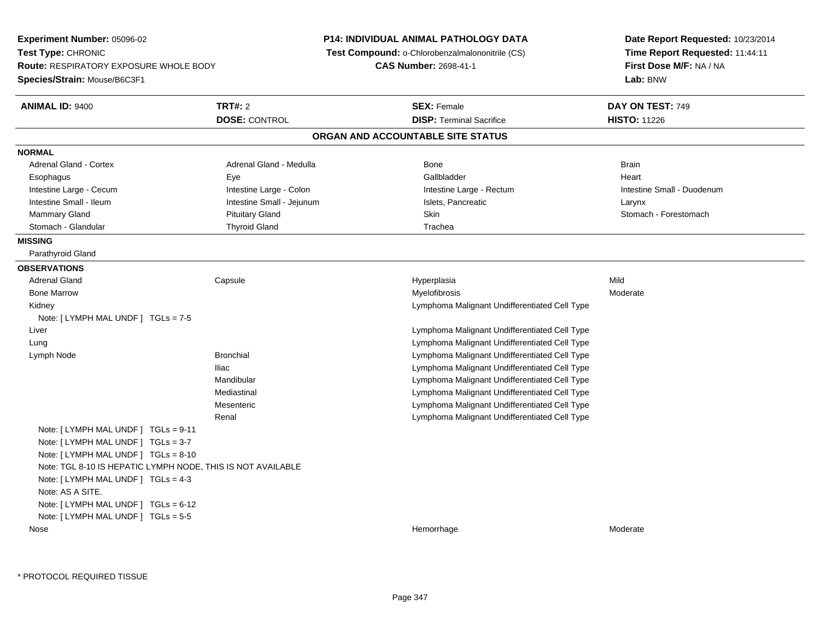| Experiment Number: 05096-02                                         |                           | <b>P14: INDIVIDUAL ANIMAL PATHOLOGY DATA</b>    | Date Report Requested: 10/23/2014                          |  |
|---------------------------------------------------------------------|---------------------------|-------------------------------------------------|------------------------------------------------------------|--|
| Test Type: CHRONIC<br><b>Route: RESPIRATORY EXPOSURE WHOLE BODY</b> |                           | Test Compound: o-Chlorobenzalmalononitrile (CS) | Time Report Requested: 11:44:11<br>First Dose M/F: NA / NA |  |
|                                                                     |                           | CAS Number: 2698-41-1                           |                                                            |  |
| Species/Strain: Mouse/B6C3F1                                        |                           |                                                 | Lab: BNW                                                   |  |
| <b>ANIMAL ID: 9400</b>                                              | <b>TRT#: 2</b>            | <b>SEX: Female</b>                              | DAY ON TEST: 749                                           |  |
|                                                                     | <b>DOSE: CONTROL</b>      | <b>DISP: Terminal Sacrifice</b>                 | <b>HISTO: 11226</b>                                        |  |
|                                                                     |                           | ORGAN AND ACCOUNTABLE SITE STATUS               |                                                            |  |
| <b>NORMAL</b>                                                       |                           |                                                 |                                                            |  |
| Adrenal Gland - Cortex                                              | Adrenal Gland - Medulla   | Bone                                            | <b>Brain</b>                                               |  |
| Esophagus                                                           | Eye                       | Gallbladder                                     | Heart                                                      |  |
| Intestine Large - Cecum                                             | Intestine Large - Colon   | Intestine Large - Rectum                        | Intestine Small - Duodenum                                 |  |
| Intestine Small - Ileum                                             | Intestine Small - Jejunum | Islets, Pancreatic                              | Larynx                                                     |  |
| Mammary Gland                                                       | <b>Pituitary Gland</b>    | Skin                                            | Stomach - Forestomach                                      |  |
| Stomach - Glandular                                                 | <b>Thyroid Gland</b>      | Trachea                                         |                                                            |  |
| <b>MISSING</b>                                                      |                           |                                                 |                                                            |  |
| Parathyroid Gland                                                   |                           |                                                 |                                                            |  |
| <b>OBSERVATIONS</b>                                                 |                           |                                                 |                                                            |  |
| <b>Adrenal Gland</b>                                                | Capsule                   | Hyperplasia                                     | Mild                                                       |  |
| <b>Bone Marrow</b>                                                  |                           | Myelofibrosis                                   | Moderate                                                   |  |
| Kidney                                                              |                           | Lymphoma Malignant Undifferentiated Cell Type   |                                                            |  |
| Note: $[LYMPH MAL UNDER] TGLS = 7-5$                                |                           |                                                 |                                                            |  |
| Liver                                                               |                           | Lymphoma Malignant Undifferentiated Cell Type   |                                                            |  |
| Lung                                                                |                           | Lymphoma Malignant Undifferentiated Cell Type   |                                                            |  |
| Lymph Node                                                          | <b>Bronchial</b>          | Lymphoma Malignant Undifferentiated Cell Type   |                                                            |  |
|                                                                     | Iliac                     | Lymphoma Malignant Undifferentiated Cell Type   |                                                            |  |
|                                                                     | Mandibular                | Lymphoma Malignant Undifferentiated Cell Type   |                                                            |  |
|                                                                     | Mediastinal               | Lymphoma Malignant Undifferentiated Cell Type   |                                                            |  |
|                                                                     | Mesenteric                | Lymphoma Malignant Undifferentiated Cell Type   |                                                            |  |
|                                                                     | Renal                     | Lymphoma Malignant Undifferentiated Cell Type   |                                                            |  |
| Note: $[LYMPH MAL UNDER] TGLS = 9-11$                               |                           |                                                 |                                                            |  |
| Note: [ LYMPH MAL UNDF ] TGLs = 3-7                                 |                           |                                                 |                                                            |  |
| Note: [ LYMPH MAL UNDF ] TGLs = 8-10                                |                           |                                                 |                                                            |  |
| Note: TGL 8-10 IS HEPATIC LYMPH NODE, THIS IS NOT AVAILABLE         |                           |                                                 |                                                            |  |
| Note: [ LYMPH MAL UNDF ] TGLs = 4-3                                 |                           |                                                 |                                                            |  |
| Note: AS A SITE.                                                    |                           |                                                 |                                                            |  |
| Note: [ LYMPH MAL UNDF ] TGLs = 6-12                                |                           |                                                 |                                                            |  |
| Note: [ LYMPH MAL UNDF ] TGLs = 5-5                                 |                           |                                                 |                                                            |  |
| Nose                                                                |                           | Hemorrhage                                      | Moderate                                                   |  |
|                                                                     |                           |                                                 |                                                            |  |